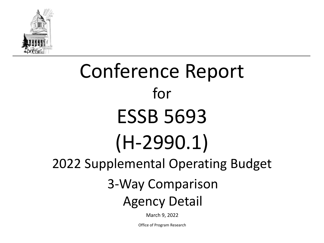

# Conference Report for ESSB 5693 (H-2990.1) 2022 Supplemental Operating Budget 3-Way Comparison

# Agency Detail

March 9, 2022

Office of Program Research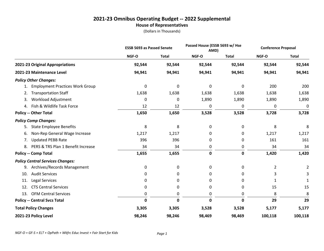# **2021-23 Omnibus Operating Budget -- 2022 Supplemental House of Representatives**

|                                          | <b>ESSB 5693 as Passed Senate</b> |              | Passed House (ESSB 5693 w/ Hse<br>AMD) |              | <b>Conference Proposal</b> |              |
|------------------------------------------|-----------------------------------|--------------|----------------------------------------|--------------|----------------------------|--------------|
|                                          | NGF-O                             | <b>Total</b> | NGF-O                                  | <b>Total</b> | NGF-O                      | <b>Total</b> |
| 2021-23 Original Appropriations          | 92,544                            | 92,544       | 92,544                                 | 92,544       | 92,544                     | 92,544       |
| 2021-23 Maintenance Level                | 94,941                            | 94,941       | 94,941                                 | 94,941       | 94,941                     | 94,941       |
| <b>Policy Other Changes:</b>             |                                   |              |                                        |              |                            |              |
| <b>Employment Practices Work Group</b>   | 0                                 | 0            | 0                                      | 0            | 200                        | 200          |
| <b>Transportation Staff</b><br>2.        | 1,638                             | 1,638        | 1,638                                  | 1,638        | 1,638                      | 1,638        |
| <b>Workload Adjustment</b><br>3.         | 0                                 | 0            | 1,890                                  | 1,890        | 1,890                      | 1,890        |
| 4. Fish & Wildlife Task Force            | 12                                | 12           | $\mathbf 0$                            | 0            | 0                          | 0            |
| <b>Policy -- Other Total</b>             | 1,650                             | 1,650        | 3,528                                  | 3,528        | 3,728                      | 3,728        |
| <b>Policy Comp Changes:</b>              |                                   |              |                                        |              |                            |              |
| <b>State Employee Benefits</b><br>5.     | 8                                 | 8            | 0                                      | 0            | 8                          | 8            |
| Non-Rep General Wage Increase<br>6.      | 1,217                             | 1,217        | 0                                      | 0            | 1,217                      | 1,217        |
| <b>Updated PEBB Rate</b><br>7.           | 396                               | 396          | 0                                      | 0            | 161                        | 161          |
| PERS & TRS Plan 1 Benefit Increase<br>8. | 34                                | 34           | 0                                      | 0            | 34                         | 34           |
| <b>Policy -- Comp Total</b>              | 1,655                             | 1,655        | $\pmb{0}$                              | 0            | 1,420                      | 1,420        |
| <b>Policy Central Services Changes:</b>  |                                   |              |                                        |              |                            |              |
| Archives/Records Management<br>9.        | 0                                 | 0            | 0                                      | 0            | $\overline{2}$             | 2            |
| <b>Audit Services</b><br>10.             | 0                                 | 0            | 0                                      | 0            | 3                          | 3            |
| Legal Services<br>11.                    | 0                                 | 0            | 0                                      | 0            | 1                          |              |
| <b>CTS Central Services</b><br>12.       | 0                                 | 0            | 0                                      | 0            | 15                         | 15           |
| <b>OFM Central Services</b><br>13.       | 0                                 | 0            | 0                                      | 0            | 8                          | 8            |
| <b>Policy -- Central Svcs Total</b>      | $\mathbf 0$                       | $\mathbf 0$  | $\mathbf 0$                            | 0            | 29                         | 29           |
| <b>Total Policy Changes</b>              | 3,305                             | 3,305        | 3,528                                  | 3,528        | 5,177                      | 5,177        |
| 2021-23 Policy Level                     | 98,246                            | 98,246       | 98,469                                 | 98,469       | 100,118                    | 100,118      |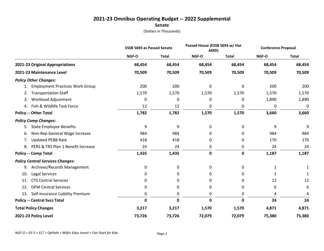# **2021-23 Omnibus Operating Budget -- 2022 Supplemental**

**Senate**

|                                          | <b>ESSB 5693 as Passed Senate</b> |              | Passed House (ESSB 5693 w/ Hse<br>AMD) |              | <b>Conference Proposal</b> |              |
|------------------------------------------|-----------------------------------|--------------|----------------------------------------|--------------|----------------------------|--------------|
|                                          | NGF-O                             | <b>Total</b> | NGF-O                                  | <b>Total</b> | NGF-O                      | <b>Total</b> |
| 2021-23 Original Appropriations          | 68,454                            | 68,454       | 68,454                                 | 68,454       | 68,454                     | 68,454       |
| 2021-23 Maintenance Level                | 70,509                            | 70,509       | 70,509                                 | 70,509       | 70,509                     | 70,509       |
| <b>Policy Other Changes:</b>             |                                   |              |                                        |              |                            |              |
| <b>Employment Practices Work Group</b>   | 200                               | 200          | 0                                      | 0            | 200                        | 200          |
| <b>Transportation Staff</b><br>2.        | 1,570                             | 1,570        | 1,570                                  | 1,570        | 1,570                      | 1,570        |
| Workload Adjustment<br>3.                | 0                                 | 0            | 0                                      | 0            | 1,890                      | 1,890        |
| 4. Fish & Wildlife Task Force            | 12                                | 12           | 0                                      | 0            | 0                          | 0            |
| <b>Policy -- Other Total</b>             | 1,782                             | 1,782        | 1,570                                  | 1,570        | 3,660                      | 3,660        |
| <b>Policy Comp Changes:</b>              |                                   |              |                                        |              |                            |              |
| <b>State Employee Benefits</b><br>5.     | 9                                 | 9            | 0                                      | 0            | 9                          | 9            |
| Non-Rep General Wage Increase<br>6.      | 984                               | 984          | 0                                      | 0            | 984                        | 984          |
| <b>Updated PEBB Rate</b><br>7.           | 418                               | 418          | 0                                      | 0            | 170                        | 170          |
| PERS & TRS Plan 1 Benefit Increase<br>8. | 24                                | 24           | 0                                      | 0            | 24                         | 24           |
| <b>Policy -- Comp Total</b>              | 1,435                             | 1,435        | $\pmb{0}$                              | $\mathbf 0$  | 1,187                      | 1,187        |
| <b>Policy Central Services Changes:</b>  |                                   |              |                                        |              |                            |              |
| Archives/Records Management<br>9.        | 0                                 | 0            | 0                                      | 0            | 1                          |              |
| Legal Services<br>10.                    | 0                                 | 0            | 0                                      | 0            | 1                          | 1            |
| <b>CTS Central Services</b><br>11.       | 0                                 | 0            | 0                                      | 0            | 12                         | 12           |
| <b>OFM Central Services</b><br>12.       | 0                                 | 0            | 0                                      | 0            | 6                          | 6            |
| 13.<br>Self-Insurance Liability Premium  | 0                                 | 0            | 0                                      | 0            | 4                          | 4            |
| <b>Policy -- Central Svcs Total</b>      | $\mathbf{0}$                      | $\mathbf 0$  | 0                                      | $\Omega$     | 24                         | 24           |
| <b>Total Policy Changes</b>              | 3,217                             | 3,217        | 1,570                                  | 1,570        | 4,871                      | 4,871        |
| 2021-23 Policy Level                     | 73,726                            | 73,726       | 72,079                                 | 72,079       | 75,380                     | 75,380       |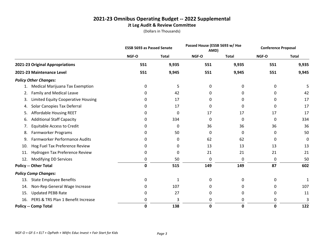# **2021-23 Omnibus Operating Budget -- 2022 Supplemental Jt Leg Audit & Review Committee**

|                                                 | <b>ESSB 5693 as Passed Senate</b> |              | Passed House (ESSB 5693 w/ Hse<br>AMD) |              | <b>Conference Proposal</b> |              |
|-------------------------------------------------|-----------------------------------|--------------|----------------------------------------|--------------|----------------------------|--------------|
|                                                 | NGF-O                             | <b>Total</b> | NGF-O                                  | <b>Total</b> | NGF-O                      | <b>Total</b> |
| 2021-23 Original Appropriations                 | 551                               | 9,935        | 551                                    | 9,935        | 551                        | 9,935        |
| 2021-23 Maintenance Level                       | 551                               | 9,945        | 551                                    | 9,945        | 551                        | 9,945        |
| <b>Policy Other Changes:</b>                    |                                   |              |                                        |              |                            |              |
| Medical Marijuana Tax Exemption<br>1.           | 0                                 | 5            | 0                                      | 0            | 0                          | 5            |
| <b>Family and Medical Leave</b><br>2.           | 0                                 | 42           | 0                                      | 0            | 0                          | 42           |
| <b>Limited Equity Cooperative Housing</b><br>3. | 0                                 | 17           | 0                                      | 0            | 0                          | 17           |
| Solar Canopies Tax Deferral<br>4.               | 0                                 | 17           | 0                                      | 0            | 0                          | 17           |
| Affordable Housing REET<br>5.                   | 0                                 | 0            | 17                                     | 17           | 17                         | 17           |
| <b>Additional Staff Capacity</b><br>6.          | 0                                 | 334          | 0                                      | 0            | 0                          | 334          |
| <b>Equitable Access to Credit</b><br>7.         | 0                                 | 0            | 36                                     | 36           | 36                         | 36           |
| Farmworker Programs<br>8.                       | 0                                 | 50           | 0                                      | 0            | 0                          | 50           |
| Farmworker Performance Audits<br>9.             | 0                                 | 0            | 62                                     | 62           | 0                          | 0            |
| Hog Fuel Tax Preference Review<br>10.           | 0                                 | 0            | 13                                     | 13           | 13                         | 13           |
| Hydrogen Tax Preference Review<br>11.           | 0                                 | 0            | 21                                     | 21           | 21                         | 21           |
| Modifying DD Services<br>12.                    | 0                                 | 50           | 0                                      | 0            | 0                          | 50           |
| <b>Policy -- Other Total</b>                    | 0                                 | 515          | 149                                    | 149          | 87                         | 602          |
| <b>Policy Comp Changes:</b>                     |                                   |              |                                        |              |                            |              |
| <b>State Employee Benefits</b><br>13.           | 0                                 | 1            | 0                                      | 0            | 0                          | 1            |
| Non-Rep General Wage Increase<br>14.            | 0                                 | 107          | 0                                      | 0            | 0                          | 107          |
| <b>Updated PEBB Rate</b><br>15.                 | 0                                 | 27           | 0                                      | 0            | 0                          | 11           |
| PERS & TRS Plan 1 Benefit Increase<br>16.       | 0                                 | 3            | 0                                      | 0            | 0                          | 3            |
| <b>Policy -- Comp Total</b>                     | 0                                 | 138          | 0                                      | 0            | 0                          | 122          |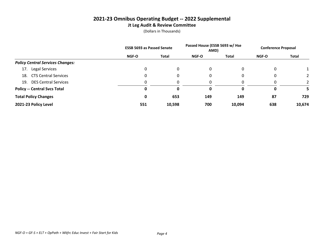# **2021-23 Omnibus Operating Budget -- 2022 Supplemental Jt Leg Audit & Review Committee**

|                                         | <b>ESSB 5693 as Passed Senate</b> |              | Passed House (ESSB 5693 w/ Hse<br>AMD) |        | <b>Conference Proposal</b> |              |
|-----------------------------------------|-----------------------------------|--------------|----------------------------------------|--------|----------------------------|--------------|
|                                         | <b>NGF-O</b>                      | <b>Total</b> | <b>NGF-O</b>                           | Total  | <b>NGF-O</b>               | <b>Total</b> |
| <b>Policy Central Services Changes:</b> |                                   |              |                                        |        |                            |              |
| Legal Services<br>17.                   |                                   | 0            | 0                                      |        |                            |              |
| 18. CTS Central Services                |                                   | 0            | 0                                      |        | 0                          |              |
| <b>DES Central Services</b><br>19.      |                                   | 0            | $\Omega$                               |        |                            |              |
| <b>Policy -- Central Svcs Total</b>     |                                   | 0            | 0                                      | 0      |                            |              |
| <b>Total Policy Changes</b>             | 0                                 | 653          | 149                                    | 149    | 87                         | 729          |
| 2021-23 Policy Level                    | 551                               | 10,598       | 700                                    | 10,094 | 638                        | 10,674       |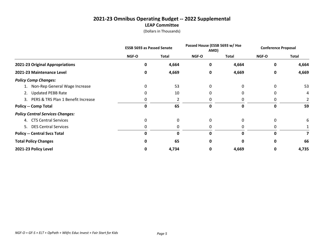# **2021-23 Omnibus Operating Budget -- 2022 Supplemental LEAP Committee**

|                                         | <b>ESSB 5693 as Passed Senate</b> |          | Passed House (ESSB 5693 w/ Hse<br>AMD) |              | <b>Conference Proposal</b> |              |
|-----------------------------------------|-----------------------------------|----------|----------------------------------------|--------------|----------------------------|--------------|
|                                         | <b>NGF-O</b>                      | Total    | NGF-O                                  | <b>Total</b> | <b>NGF-O</b>               | <b>Total</b> |
| 2021-23 Original Appropriations         | O                                 | 4,664    | 0                                      | 4,664        | 0                          | 4,664        |
| 2021-23 Maintenance Level               | 0                                 | 4,669    | 0                                      | 4,669        | 0                          | 4,669        |
| <b>Policy Comp Changes:</b>             |                                   |          |                                        |              |                            |              |
| 1. Non-Rep General Wage Increase        | 0                                 | 53       | 0                                      | 0            | 0                          | 53           |
| <b>Updated PEBB Rate</b><br>2.          | 0                                 | 10       | 0                                      |              | 0                          | 4            |
| 3. PERS & TRS Plan 1 Benefit Increase   | 0                                 |          |                                        |              |                            |              |
| <b>Policy -- Comp Total</b>             | 0                                 | 65       | 0                                      | 0            | 0                          | 59           |
| <b>Policy Central Services Changes:</b> |                                   |          |                                        |              |                            |              |
| 4. CTS Central Services                 | 0                                 | $\Omega$ | $\Omega$                               |              | 0                          | 6            |
| 5. DES Central Services                 | 0                                 | 0        | 0                                      |              | 0                          |              |
| <b>Policy -- Central Svcs Total</b>     | $\Omega$                          | 0        | 0                                      | U            | O                          |              |
| <b>Total Policy Changes</b>             | 0                                 | 65       | 0                                      |              | Ω                          | 66           |
| 2021-23 Policy Level                    | 0                                 | 4,734    | 0                                      | 4,669        | 0                          | 4,735        |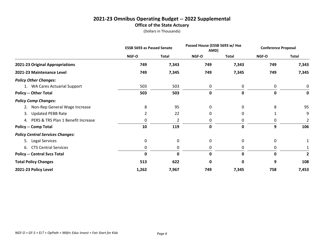# **2021-23 Omnibus Operating Budget -- 2022 Supplemental Office of the State Actuary**

|                                         | <b>ESSB 5693 as Passed Senate</b> |              | Passed House (ESSB 5693 w/ Hse<br>AMD) |             | <b>Conference Proposal</b> |              |
|-----------------------------------------|-----------------------------------|--------------|----------------------------------------|-------------|----------------------------|--------------|
|                                         | NGF-O                             | <b>Total</b> | NGF-O                                  | Total       | NGF-O                      | <b>Total</b> |
| 2021-23 Original Appropriations         | 749                               | 7,343        | 749                                    | 7,343       | 749                        | 7,343        |
| 2021-23 Maintenance Level               | 749                               | 7,345        | 749                                    | 7,345       | 749                        | 7,345        |
| <b>Policy Other Changes:</b>            |                                   |              |                                        |             |                            |              |
| 1. WA Cares Actuarial Support           | 503                               | 503          | 0                                      | 0           | 0                          | 0            |
| <b>Policy -- Other Total</b>            | 503                               | 503          | 0                                      | 0           | 0                          |              |
| <b>Policy Comp Changes:</b>             |                                   |              |                                        |             |                            |              |
| Non-Rep General Wage Increase<br>2.     | 8                                 | 95           | 0                                      | 0           | 8                          | 95           |
| <b>Updated PEBB Rate</b><br>3.          | 2                                 | 22           | 0                                      | 0           |                            | 9            |
| 4. PERS & TRS Plan 1 Benefit Increase   | 0                                 | 2            | 0                                      | 0           | 0                          | 2            |
| <b>Policy -- Comp Total</b>             | 10                                | 119          | $\mathbf 0$                            | $\mathbf 0$ | 9                          | 106          |
| <b>Policy Central Services Changes:</b> |                                   |              |                                        |             |                            |              |
| 5. Legal Services                       | 0                                 | 0            | 0                                      | 0           | 0                          |              |
| 6. CTS Central Services                 | 0                                 | 0            | 0                                      | 0           | 0                          |              |
| <b>Policy -- Central Svcs Total</b>     | $\mathbf 0$                       | 0            | 0                                      | 0           | 0                          | 2            |
| <b>Total Policy Changes</b>             | 513                               | 622          | 0                                      | 0           | 9                          | 108          |
| 2021-23 Policy Level                    | 1,262                             | 7,967        | 749                                    | 7,345       | 758                        | 7,453        |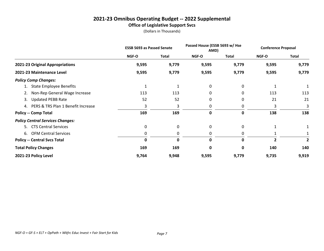# **2021-23 Omnibus Operating Budget -- 2022 Supplemental Office of Legislative Support Svcs**

|                                         | <b>ESSB 5693 as Passed Senate</b> |       | Passed House (ESSB 5693 w/ Hse<br>AMD) |              | <b>Conference Proposal</b> |              |
|-----------------------------------------|-----------------------------------|-------|----------------------------------------|--------------|----------------------------|--------------|
|                                         | NGF-O                             | Total | NGF-O                                  | <b>Total</b> | <b>NGF-O</b>               | <b>Total</b> |
| 2021-23 Original Appropriations         | 9,595                             | 9,779 | 9,595                                  | 9,779        | 9,595                      | 9,779        |
| 2021-23 Maintenance Level               | 9,595                             | 9,779 | 9,595                                  | 9,779        | 9,595                      | 9,779        |
| <b>Policy Comp Changes:</b>             |                                   |       |                                        |              |                            |              |
| <b>State Employee Benefits</b>          | 1                                 |       | 0                                      | 0            | 1                          |              |
| Non-Rep General Wage Increase<br>2.     | 113                               | 113   | 0                                      | 0            | 113                        | 113          |
| <b>Updated PEBB Rate</b><br>3.          | 52                                | 52    | 0                                      | 0            | 21                         | 21           |
| 4. PERS & TRS Plan 1 Benefit Increase   | 3                                 | 3     | 0                                      | 0            | 3                          | 3            |
| <b>Policy -- Comp Total</b>             | 169                               | 169   | 0                                      | 0            | 138                        | 138          |
| <b>Policy Central Services Changes:</b> |                                   |       |                                        |              |                            |              |
| 5. CTS Central Services                 | 0                                 | 0     | 0                                      | 0            |                            |              |
| 6. OFM Central Services                 | 0                                 | 0     | 0                                      | 0            |                            |              |
| <b>Policy -- Central Svcs Total</b>     | 0                                 | 0     | 0                                      | 0            | $\overline{2}$             | 2            |
| <b>Total Policy Changes</b>             | 169                               | 169   | 0                                      | 0            | 140                        | 140          |
| 2021-23 Policy Level                    | 9,764                             | 9,948 | 9,595                                  | 9,779        | 9,735                      | 9,919        |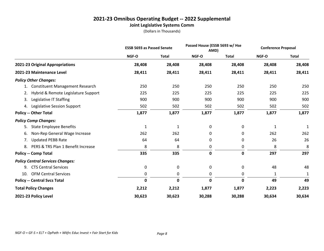# **2021-23 Omnibus Operating Budget -- 2022 Supplemental Joint Legislative Systems Comm**

|                                              | <b>ESSB 5693 as Passed Senate</b> |              | Passed House (ESSB 5693 w/ Hse<br>AMD) |              | <b>Conference Proposal</b> |              |
|----------------------------------------------|-----------------------------------|--------------|----------------------------------------|--------------|----------------------------|--------------|
|                                              | NGF-O                             | <b>Total</b> | NGF-O                                  | <b>Total</b> | NGF-O                      | <b>Total</b> |
| 2021-23 Original Appropriations              | 28,408                            | 28,408       | 28,408                                 | 28,408       | 28,408                     | 28,408       |
| 2021-23 Maintenance Level                    | 28,411                            | 28,411       | 28,411                                 | 28,411       | 28,411                     | 28,411       |
| <b>Policy Other Changes:</b>                 |                                   |              |                                        |              |                            |              |
| <b>Constituent Management Research</b><br>1. | 250                               | 250          | 250                                    | 250          | 250                        | 250          |
| Hybrid & Remote Legislature Support<br>2.    | 225                               | 225          | 225                                    | 225          | 225                        | 225          |
| Legislative IT Staffing<br>3.                | 900                               | 900          | 900                                    | 900          | 900                        | 900          |
| Legislative Session Support<br>4.            | 502                               | 502          | 502                                    | 502          | 502                        | 502          |
| <b>Policy -- Other Total</b>                 | 1,877                             | 1,877        | 1,877                                  | 1,877        | 1,877                      | 1,877        |
| <b>Policy Comp Changes:</b>                  |                                   |              |                                        |              |                            |              |
| <b>State Employee Benefits</b><br>5.         | $\mathbf{1}$                      | $\mathbf{1}$ | 0                                      | 0            | 1                          | 1            |
| Non-Rep General Wage Increase<br>6.          | 262                               | 262          | 0                                      | 0            | 262                        | 262          |
| <b>Updated PEBB Rate</b><br>7.               | 64                                | 64           | 0                                      | 0            | 26                         | 26           |
| PERS & TRS Plan 1 Benefit Increase<br>8.     | 8                                 | 8            | 0                                      | 0            | 8                          | 8            |
| <b>Policy -- Comp Total</b>                  | 335                               | 335          | $\pmb{0}$                              | 0            | 297                        | 297          |
| <b>Policy Central Services Changes:</b>      |                                   |              |                                        |              |                            |              |
| <b>CTS Central Services</b><br>9.            | 0                                 | 0            | 0                                      | 0            | 48                         | 48           |
| <b>OFM Central Services</b><br>10.           | 0                                 | 0            | 0                                      | 0            | 1                          | 1            |
| <b>Policy -- Central Svcs Total</b>          | 0                                 | $\mathbf 0$  | 0                                      | 0            | 49                         | 49           |
| <b>Total Policy Changes</b>                  | 2,212                             | 2,212        | 1,877                                  | 1,877        | 2,223                      | 2,223        |
| 2021-23 Policy Level                         | 30,623                            | 30,623       | 30,288                                 | 30,288       | 30,634                     | 30,634       |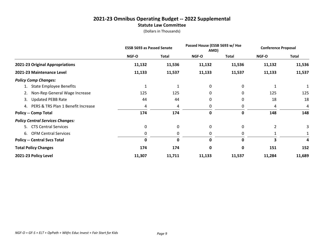#### **2021-23 Omnibus Operating Budget -- 2022 Supplemental Statute Law Committee**

|                                         | <b>ESSB 5693 as Passed Senate</b> |              | Passed House (ESSB 5693 w/ Hse<br>AMD) |        | <b>Conference Proposal</b> |              |
|-----------------------------------------|-----------------------------------|--------------|----------------------------------------|--------|----------------------------|--------------|
|                                         | NGF-O                             | Total        | NGF-O                                  | Total  | NGF-O                      | <b>Total</b> |
| 2021-23 Original Appropriations         | 11,132                            | 11,536       | 11,132                                 | 11,536 | 11,132                     | 11,536       |
| 2021-23 Maintenance Level               | 11,133                            | 11,537       | 11,133                                 | 11,537 | 11,133                     | 11,537       |
| <b>Policy Comp Changes:</b>             |                                   |              |                                        |        |                            |              |
| <b>State Employee Benefits</b>          | 1                                 | $\mathbf{1}$ | 0                                      | 0      | 1                          |              |
| Non-Rep General Wage Increase<br>2.     | 125                               | 125          | 0                                      | 0      | 125                        | 125          |
| <b>Updated PEBB Rate</b><br>3.          | 44                                | 44           | 0                                      | 0      | 18                         | 18           |
| 4. PERS & TRS Plan 1 Benefit Increase   | 4                                 | 4            | 0                                      | 0      | 4                          | 4            |
| <b>Policy -- Comp Total</b>             | 174                               | 174          | 0                                      | 0      | 148                        | 148          |
| <b>Policy Central Services Changes:</b> |                                   |              |                                        |        |                            |              |
| 5. CTS Central Services                 | 0                                 | 0            | $\mathbf{0}$                           | 0      | $\overline{2}$             | 3            |
| 6. OFM Central Services                 | 0                                 | 0            | 0                                      | 0      |                            |              |
| <b>Policy -- Central Svcs Total</b>     | 0                                 | $\mathbf{0}$ | 0                                      | 0      | $\overline{\mathbf{3}}$    | 4            |
| <b>Total Policy Changes</b>             | 174                               | 174          | 0                                      | 0      | 151                        | 152          |
| 2021-23 Policy Level                    | 11,307                            | 11,711       | 11,133                                 | 11,537 | 11,284                     | 11,689       |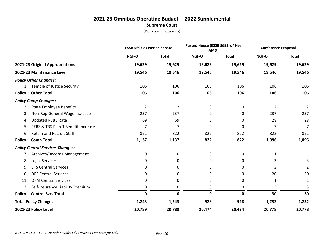# **2021-23 Omnibus Operating Budget -- 2022 Supplemental Supreme Court**

|                                          | <b>ESSB 5693 as Passed Senate</b> |                | Passed House (ESSB 5693 w/ Hse<br>AMD) |              | <b>Conference Proposal</b> |                |
|------------------------------------------|-----------------------------------|----------------|----------------------------------------|--------------|----------------------------|----------------|
|                                          | NGF-O                             | <b>Total</b>   | NGF-O                                  | <b>Total</b> | NGF-O                      | <b>Total</b>   |
| 2021-23 Original Appropriations          | 19,629                            | 19,629         | 19,629                                 | 19,629       | 19,629                     | 19,629         |
| 2021-23 Maintenance Level                | 19,546                            | 19,546         | 19,546                                 | 19,546       | 19,546                     | 19,546         |
| <b>Policy Other Changes:</b>             |                                   |                |                                        |              |                            |                |
| 1. Temple of Justice Security            | 106                               | 106            | 106                                    | 106          | 106                        | 106            |
| <b>Policy -- Other Total</b>             | 106                               | 106            | 106                                    | 106          | 106                        | 106            |
| <b>Policy Comp Changes:</b>              |                                   |                |                                        |              |                            |                |
| <b>State Employee Benefits</b><br>2.     | $\overline{2}$                    | $\overline{2}$ | 0                                      | 0            | $\overline{2}$             | $\overline{2}$ |
| Non-Rep General Wage Increase<br>3.      | 237                               | 237            | 0                                      | 0            | 237                        | 237            |
| <b>Updated PEBB Rate</b><br>4.           | 69                                | 69             | 0                                      | 0            | 28                         | 28             |
| PERS & TRS Plan 1 Benefit Increase<br>5. | $\overline{7}$                    | 7              | 0                                      | 0            | $\overline{7}$             | $\overline{7}$ |
| Retain and Recruit Staff<br>6.           | 822                               | 822            | 822                                    | 822          | 822                        | 822            |
| <b>Policy -- Comp Total</b>              | 1,137                             | 1,137          | 822                                    | 822          | 1,096                      | 1,096          |
| <b>Policy Central Services Changes:</b>  |                                   |                |                                        |              |                            |                |
| 7. Archives/Records Management           | 0                                 | 0              | 0                                      | 0            | 1                          |                |
| Legal Services<br>8.                     | 0                                 | 0              | 0                                      | 0            | 3                          |                |
| <b>CTS Central Services</b><br>9.        | 0                                 | 0              | 0                                      | 0            | 2                          |                |
| <b>DES Central Services</b><br>10.       | 0                                 | 0              | 0                                      | 0            | 20                         | 20             |
| <b>OFM Central Services</b><br>11.       | 0                                 | 0              | 0                                      | 0            | 1                          | 1              |
| Self-Insurance Liability Premium<br>12.  | 0                                 | 0              | 0                                      | 0            | 3                          | 3              |
| <b>Policy -- Central Svcs Total</b>      | 0                                 | $\mathbf 0$    | $\mathbf 0$                            | 0            | 30                         | 30             |
| <b>Total Policy Changes</b>              | 1,243                             | 1,243          | 928                                    | 928          | 1,232                      | 1,232          |
| 2021-23 Policy Level                     | 20,789                            | 20,789         | 20,474                                 | 20,474       | 20,778                     | 20,778         |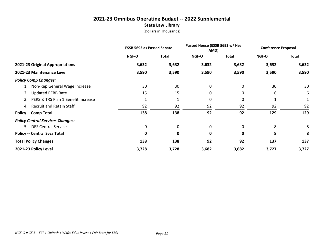# **2021-23 Omnibus Operating Budget -- 2022 Supplemental State Law Library**

|                                          | <b>ESSB 5693 as Passed Senate</b> |       | Passed House (ESSB 5693 w/ Hse<br>AMD) |       | <b>Conference Proposal</b> |              |
|------------------------------------------|-----------------------------------|-------|----------------------------------------|-------|----------------------------|--------------|
|                                          | <b>NGF-O</b>                      | Total | NGF-O                                  | Total | <b>NGF-O</b>               | <b>Total</b> |
| 2021-23 Original Appropriations          | 3,632                             | 3,632 | 3,632                                  | 3,632 | 3,632                      | 3,632        |
| 2021-23 Maintenance Level                | 3,590                             | 3,590 | 3,590                                  | 3,590 | 3,590                      | 3,590        |
| <b>Policy Comp Changes:</b>              |                                   |       |                                        |       |                            |              |
| 1. Non-Rep General Wage Increase         | 30                                | 30    | 0                                      | 0     | 30                         | 30           |
| <b>Updated PEBB Rate</b>                 | 15                                | 15    | 0                                      | 0     | 6                          | 6            |
| PERS & TRS Plan 1 Benefit Increase<br>3. |                                   |       | 0                                      | 0     |                            |              |
| 4. Recruit and Retain Staff              | 92                                | 92    | 92                                     | 92    | 92                         | 92           |
| <b>Policy -- Comp Total</b>              | 138                               | 138   | 92                                     | 92    | 129                        | 129          |
| <b>Policy Central Services Changes:</b>  |                                   |       |                                        |       |                            |              |
| 5. DES Central Services                  | 0                                 | 0     | 0                                      | 0     | 8                          | 8            |
| <b>Policy -- Central Svcs Total</b>      | 0                                 | 0     | 0                                      | 0     | 8                          | 8            |
| <b>Total Policy Changes</b>              | 138                               | 138   | 92                                     | 92    | 137                        | 137          |
| 2021-23 Policy Level                     | 3,728                             | 3,728 | 3,682                                  | 3,682 | 3,727                      | 3,727        |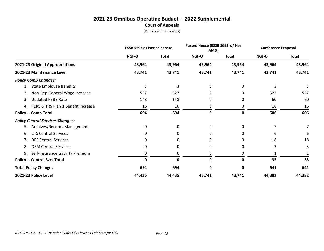# **2021-23 Omnibus Operating Budget -- 2022 Supplemental Court of Appeals**

|                                          | <b>ESSB 5693 as Passed Senate</b> |              | Passed House (ESSB 5693 w/ Hse<br>AMD) |              | <b>Conference Proposal</b> |              |
|------------------------------------------|-----------------------------------|--------------|----------------------------------------|--------------|----------------------------|--------------|
|                                          | NGF-O                             | <b>Total</b> | <b>NGF-O</b>                           | <b>Total</b> | <b>NGF-O</b>               | <b>Total</b> |
| 2021-23 Original Appropriations          | 43,964                            | 43,964       | 43,964                                 | 43,964       | 43,964                     | 43,964       |
| 2021-23 Maintenance Level                | 43,741                            | 43,741       | 43,741                                 | 43,741       | 43,741                     | 43,741       |
| <b>Policy Comp Changes:</b>              |                                   |              |                                        |              |                            |              |
| <b>State Employee Benefits</b>           | 3                                 | 3            | 0                                      | 0            | 3                          | 3            |
| Non-Rep General Wage Increase<br>2.      | 527                               | 527          | 0                                      | 0            | 527                        | 527          |
| <b>Updated PEBB Rate</b><br>3.           | 148                               | 148          | 0                                      | 0            | 60                         | 60           |
| PERS & TRS Plan 1 Benefit Increase<br>4. | 16                                | 16           | 0                                      | 0            | 16                         | 16           |
| <b>Policy -- Comp Total</b>              | 694                               | 694          | 0                                      | 0            | 606                        | 606          |
| <b>Policy Central Services Changes:</b>  |                                   |              |                                        |              |                            |              |
| Archives/Records Management<br>5.        | 0                                 | 0            | 0                                      | 0            |                            |              |
| <b>CTS Central Services</b><br>6.        | 0                                 | 0            | 0                                      | 0            | 6                          | 6            |
| <b>DES Central Services</b><br>7.        | 0                                 | 0            | 0                                      | 0            | 18                         | 18           |
| <b>OFM Central Services</b><br>8.        | 0                                 | 0            | 0                                      | 0            | 3                          | 3            |
| Self-Insurance Liability Premium<br>9.   | 0                                 | 0            | 0                                      | 0            |                            |              |
| <b>Policy -- Central Svcs Total</b>      | 0                                 | 0            | 0                                      | 0            | 35                         | 35           |
| <b>Total Policy Changes</b>              | 694                               | 694          | 0                                      | 0            | 641                        | 641          |
| 2021-23 Policy Level                     | 44,435                            | 44,435       | 43,741                                 | 43,741       | 44,382                     | 44,382       |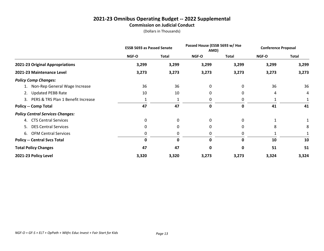#### **2021-23 Omnibus Operating Budget -- 2022 Supplemental Commission on Judicial Conduct**

|                                          | <b>ESSB 5693 as Passed Senate</b> |              | Passed House (ESSB 5693 w/ Hse<br>AMD) |              | <b>Conference Proposal</b> |              |
|------------------------------------------|-----------------------------------|--------------|----------------------------------------|--------------|----------------------------|--------------|
|                                          | NGF-O                             | <b>Total</b> | NGF-O                                  | <b>Total</b> | NGF-O                      | <b>Total</b> |
| 2021-23 Original Appropriations          | 3,299                             | 3,299        | 3,299                                  | 3,299        | 3,299                      | 3,299        |
| 2021-23 Maintenance Level                | 3,273                             | 3,273        | 3,273                                  | 3,273        | 3,273                      | 3,273        |
| <b>Policy Comp Changes:</b>              |                                   |              |                                        |              |                            |              |
| 1. Non-Rep General Wage Increase         | 36                                | 36           | 0                                      | 0            | 36                         | 36           |
| <b>Updated PEBB Rate</b><br>2.           | 10                                | 10           | 0                                      | 0            | 4                          | 4            |
| PERS & TRS Plan 1 Benefit Increase<br>3. |                                   |              | 0                                      | 0            |                            |              |
| <b>Policy -- Comp Total</b>              | 47                                | 47           | 0                                      | 0            | 41                         | 41           |
| <b>Policy Central Services Changes:</b>  |                                   |              |                                        |              |                            |              |
| 4. CTS Central Services                  | 0                                 | 0            | 0                                      | 0            |                            |              |
| <b>DES Central Services</b><br>5.        | $\Omega$                          | $\Omega$     | 0                                      | $\Omega$     | 8                          | 8            |
| 6. OFM Central Services                  | 0                                 | 0            | 0                                      | 0            |                            |              |
| <b>Policy -- Central Svcs Total</b>      | 0                                 | 0            | 0                                      | 0            | 10                         | 10           |
| <b>Total Policy Changes</b>              | 47                                | 47           | 0                                      | 0            | 51                         | 51           |
| 2021-23 Policy Level                     | 3,320                             | 3,320        | 3,273                                  | 3,273        | 3,324                      | 3,324        |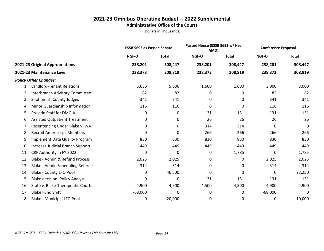#### **2021-23 Omnibus Operating Budget -- 2022 Supplemental Administrative Office of the Courts**

|     |                                       | <b>ESSB 5693 as Passed Senate</b> |              |         | Passed House (ESSB 5693 w/ Hse<br>AMD) |           | <b>Conference Proposal</b> |
|-----|---------------------------------------|-----------------------------------|--------------|---------|----------------------------------------|-----------|----------------------------|
|     |                                       | NGF-O                             | <b>Total</b> | NGF-O   | <b>Total</b>                           | NGF-O     | <b>Total</b>               |
|     | 2021-23 Original Appropriations       | 238,201                           | 308,447      | 238,201 | 308,447                                | 238,201   | 308,447                    |
|     | 2021-23 Maintenance Level             | 238,373                           | 308,819      | 238,373 | 308,819                                | 238,373   | 308,819                    |
|     | <b>Policy Other Changes:</b>          |                                   |              |         |                                        |           |                            |
| 1.  | <b>Landlord-Tenant Relations</b>      | 5,636                             | 5,636        | 1,600   | 1,600                                  | 3,000     | 3,000                      |
| 2.  | Interbranch Advisory Committee        | 82                                | 82           | 0       | 0                                      | 82        | 82                         |
| 3.  | <b>Snohomish County Judges</b>        | 341                               | 341          | 0       | 0                                      | 341       | 341                        |
| 4.  | Minor Guardianship Information        | 116                               | 116          | 0       | 0                                      | 116       | 116                        |
| 5.  | Provide Staff for DMCJA               | 0                                 | 0            | 131     | 131                                    | 131       | 131                        |
| 6.  | <b>Assisted Outpatient Treatment</b>  | 0                                 | 0            | 26      | 26                                     | 26        | 26                         |
| 7.  | Resentencing Under Blake v. WA        | 0                                 | 0            | 314     | 314                                    | 0         | $\mathbf 0$                |
| 8.  | <b>Recruit Americorps Members</b>     | 0                                 | 0            | 266     | 266                                    | 266       | 266                        |
| 9.  | <b>Implement Data Quality Program</b> | 830                               | 830          | 830     | 830                                    | 830       | 830                        |
| 10. | Increase Judicial Branch Support      | 449                               | 449          | 449     | 449                                    | 449       | 449                        |
| 11. | CRF Authority in FY 2022              | 0                                 | 0            | 0       | 1,785                                  | 0         | 1,785                      |
| 12. | Blake - Admin & Refund Process        | 2,025                             | 2,025        | 0       | 0                                      | 2,025     | 2,025                      |
| 13. | Blake - Admin Scheduling Referee      | 314                               | 314          | 0       | 0                                      | 314       | 314                        |
| 14. | Blake - County LFO Pool               | 0                                 | 46,500       | 0       | 0                                      | 0         | 23,250                     |
| 15. | <b>Blake decision: Policy Analyst</b> | 0                                 | 0            | 131     | 131                                    | 131       | 131                        |
| 16. | State v. Blake-Therapeutic Courts     | 4,900                             | 4,900        | 4,500   | 4,500                                  | 4,900     | 4,900                      |
| 17. | <b>Blake Fund Shift</b>               | $-68,000$                         | 0            | 0       | 0                                      | $-68,000$ | 0                          |
| 18. | Blake - Municipal LFO Pool            | 0                                 | 20,000       | 0       | 0                                      | 0         | 10,000                     |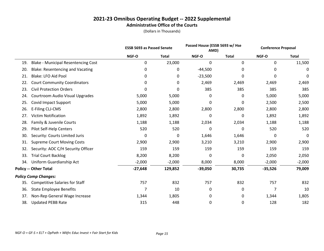#### **2021-23 Omnibus Operating Budget -- 2022 Supplemental Administrative Office of the Courts**

|     |                                            |           | <b>ESSB 5693 as Passed Senate</b> |             | Passed House (ESSB 5693 w/ Hse<br>AMD) |           | <b>Conference Proposal</b> |
|-----|--------------------------------------------|-----------|-----------------------------------|-------------|----------------------------------------|-----------|----------------------------|
|     |                                            | NGF-O     | <b>Total</b>                      | NGF-O       | <b>Total</b>                           | NGF-O     | <b>Total</b>               |
| 19. | <b>Blake - Municipal Resentencing Cost</b> | 0         | 23,000                            | $\mathbf 0$ | $\mathbf 0$                            | 0         | 11,500                     |
| 20. | <b>Blake: Resentencing and Vacating</b>    | 0         | 0                                 | $-44,500$   | 0                                      | 0         | 0                          |
| 21. | <b>Blake: LFO Aid Pool</b>                 | 0         | 0                                 | $-23,500$   | 0                                      | 0         | 0                          |
| 22. | <b>Court Community Coordinators</b>        | 0         | 0                                 | 2,469       | 2,469                                  | 2,469     | 2,469                      |
| 23. | <b>Civil Protection Orders</b>             | 0         | 0                                 | 385         | 385                                    | 385       | 385                        |
| 24. | Courtroom Audio Visual Upgrades            | 5,000     | 5,000                             | 0           | 0                                      | 5,000     | 5,000                      |
| 25. | Covid Impact Support                       | 5,000     | 5,000                             | 0           | 0                                      | 2,500     | 2,500                      |
| 26. | E-Filing CLJ-CMS                           | 2,800     | 2,800                             | 2,800       | 2,800                                  | 2,800     | 2,800                      |
| 27. | <b>Victim Notification</b>                 | 1,892     | 1,892                             | 0           | 0                                      | 1,892     | 1,892                      |
| 28. | Family & Juvenile Courts                   | 1,188     | 1,188                             | 2,034       | 2,034                                  | 1,188     | 1,188                      |
| 29. | Pilot Self-Help Centers                    | 520       | 520                               | 0           | 0                                      | 520       | 520                        |
| 30. | Security: Courts Limited Juris             | 0         | 0                                 | 1,646       | 1,646                                  | 0         | 0                          |
| 31. | <b>Supreme Court Moving Costs</b>          | 2,900     | 2,900                             | 3,210       | 3,210                                  | 2,900     | 2,900                      |
| 32. | Security: AOC C/H Security Officer         | 159       | 159                               | 159         | 159                                    | 159       | 159                        |
| 33. | <b>Trial Court Backlog</b>                 | 8,200     | 8,200                             | 0           | 0                                      | 2,050     | 2,050                      |
| 34. | Uniform Guardianship Act                   | $-2,000$  | $-2,000$                          | 8,000       | 8,000                                  | $-2,000$  | $-2,000$                   |
|     | <b>Policy -- Other Total</b>               | $-27,648$ | 129,852                           | $-39,050$   | 30,735                                 | $-35,526$ | 79,009                     |
|     | <b>Policy Comp Changes:</b>                |           |                                   |             |                                        |           |                            |
| 35. | <b>Competitive Salaries for Staff</b>      | 757       | 832                               | 757         | 832                                    | 757       | 832                        |
| 36. | <b>State Employee Benefits</b>             | 7         | 10                                | 0           | 0                                      | 7         | 10                         |
| 37. | Non-Rep General Wage Increase              | 1,344     | 1,805                             | 0           | 0                                      | 1,344     | 1,805                      |
| 38. | <b>Updated PEBB Rate</b>                   | 315       | 448                               | 0           | 0                                      | 128       | 182                        |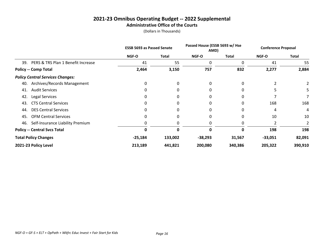#### **2021-23 Omnibus Operating Budget -- 2022 Supplemental Administrative Office of the Courts**

|                                           | <b>ESSB 5693 as Passed Senate</b> |              | Passed House (ESSB 5693 w/ Hse<br>AMD) |              | <b>Conference Proposal</b> |              |  |
|-------------------------------------------|-----------------------------------|--------------|----------------------------------------|--------------|----------------------------|--------------|--|
|                                           | <b>NGF-O</b>                      | <b>Total</b> | <b>NGF-O</b>                           | <b>Total</b> | <b>NGF-O</b>               | <b>Total</b> |  |
| PERS & TRS Plan 1 Benefit Increase<br>39. | 41                                | 55           | 0                                      | 0            | 41                         | 55           |  |
| <b>Policy -- Comp Total</b>               | 2,464                             | 3,150        | 757                                    | 832          | 2,277                      | 2,884        |  |
| <b>Policy Central Services Changes:</b>   |                                   |              |                                        |              |                            |              |  |
| Archives/Records Management<br>40.        | $\Omega$                          | 0            | 0                                      | 0            | $\overline{2}$             |              |  |
| <b>Audit Services</b><br>41.              |                                   | 0            | 0                                      | 0            |                            | 5            |  |
| 42.<br>Legal Services                     | 0                                 | 0            | 0                                      | 0            |                            |              |  |
| <b>CTS Central Services</b><br>43.        |                                   | 0            | 0                                      | 0            | 168                        | 168          |  |
| <b>DES Central Services</b><br>44.        |                                   | 0            | 0                                      | 0            | 4                          | 4            |  |
| <b>OFM Central Services</b><br>45.        |                                   | 0            | 0                                      | 0            | 10                         | 10           |  |
| Self-Insurance Liability Premium<br>46.   |                                   | 0            | 0                                      | 0            |                            |              |  |
| <b>Policy -- Central Svcs Total</b>       | O                                 | 0            | $\Omega$                               | 0            | 198                        | 198          |  |
| <b>Total Policy Changes</b>               | $-25,184$                         | 133,002      | $-38,293$                              | 31,567       | $-33,051$                  | 82,091       |  |
| 2021-23 Policy Level                      | 213,189                           | 441,821      | 200,080                                | 340,386      | 205,322                    | 390,910      |  |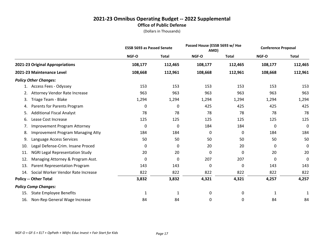## **2021-23 Omnibus Operating Budget -- 2022 Supplemental Office of Public Defense**

|     |                                          | <b>ESSB 5693 as Passed Senate</b> |              |         | Passed House (ESSB 5693 w/ Hse<br>AMD) |         | <b>Conference Proposal</b> |
|-----|------------------------------------------|-----------------------------------|--------------|---------|----------------------------------------|---------|----------------------------|
|     |                                          | NGF-O                             | <b>Total</b> | NGF-O   | <b>Total</b>                           | NGF-O   | <b>Total</b>               |
|     | 2021-23 Original Appropriations          | 108,177                           | 112,465      | 108,177 | 112,465                                | 108,177 | 112,465                    |
|     | 2021-23 Maintenance Level                | 108,668                           | 112,961      | 108,668 | 112,961                                | 108,668 | 112,961                    |
|     | <b>Policy Other Changes:</b>             |                                   |              |         |                                        |         |                            |
| 1.  | <b>Access Fees - Odyssey</b>             | 153                               | 153          | 153     | 153                                    | 153     | 153                        |
| 2.  | <b>Attorney Vendor Rate Increase</b>     | 963                               | 963          | 963     | 963                                    | 963     | 963                        |
| 3.  | Triage Team - Blake                      | 1,294                             | 1,294        | 1,294   | 1,294                                  | 1,294   | 1,294                      |
| 4.  | Parents for Parents Program              | 0                                 | 0            | 425     | 425                                    | 425     | 425                        |
| 5.  | <b>Additional Fiscal Analyst</b>         | 78                                | 78           | 78      | 78                                     | 78      | 78                         |
| 6.  | Lease Cost Increase                      | 125                               | 125          | 125     | 125                                    | 125     | 125                        |
| 7.  | <b>Improvement Program Attorney</b>      | 0                                 | 0            | 184     | 184                                    | 0       | $\mathbf 0$                |
| 8.  | <b>Improvement Program Managing Atty</b> | 184                               | 184          | 0       | 0                                      | 184     | 184                        |
| 9.  | Language Access Services                 | 50                                | 50           | 50      | 50                                     | 50      | 50                         |
| 10. | Legal Defense-Crim. Insane Proced        | 0                                 | 0            | 20      | 20                                     | 0       | 0                          |
| 11. | <b>NGRI Legal Representation Study</b>   | 20                                | 20           | 0       | 0                                      | 20      | 20                         |
| 12. | Managing Attorney & Program Asst.        | 0                                 | 0            | 207     | 207                                    | 0       | 0                          |
| 13. | Parent Representation Program            | 143                               | 143          | 0       | 0                                      | 143     | 143                        |
| 14. | Social Worker Vendor Rate Increase       | 822                               | 822          | 822     | 822                                    | 822     | 822                        |
|     | <b>Policy -- Other Total</b>             | 3,832                             | 3,832        | 4,321   | 4,321                                  | 4,257   | 4,257                      |
|     | <b>Policy Comp Changes:</b>              |                                   |              |         |                                        |         |                            |
| 15. | <b>State Employee Benefits</b>           | 1                                 | 1            | 0       | 0                                      | 1       | 1                          |
| 16. | Non-Rep General Wage Increase            | 84                                | 84           | 0       | 0                                      | 84      | 84                         |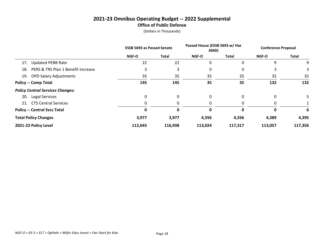# **2021-23 Omnibus Operating Budget -- 2022 Supplemental Office of Public Defense**

|     |                                         | <b>ESSB 5693 as Passed Senate</b> |              | Passed House (ESSB 5693 w/ Hse<br>AMD) |              | <b>Conference Proposal</b> |              |
|-----|-----------------------------------------|-----------------------------------|--------------|----------------------------------------|--------------|----------------------------|--------------|
|     |                                         | <b>NGF-O</b>                      | <b>Total</b> | <b>NGF-O</b>                           | Total        | <b>NGF-O</b>               | <b>Total</b> |
| 17. | <b>Updated PEBB Rate</b>                | 22                                | 22           | 0                                      | 0            | 9                          | 9            |
| 18. | PERS & TRS Plan 1 Benefit Increase      |                                   |              | 0                                      | 0            | 3                          | 3            |
|     | 19. OPD Salary Adjustments              | 35                                | 35           | 35                                     | 35           | 35                         | 35           |
|     | <b>Policy -- Comp Total</b>             | 145                               | 145          | 35                                     | 35           | 132                        | 132          |
|     | <b>Policy Central Services Changes:</b> |                                   |              |                                        |              |                            |              |
| 20. | <b>Legal Services</b>                   | 0                                 | $\Omega$     | 0                                      | $\Omega$     | 0                          |              |
|     | 21. CTS Central Services                | 0                                 |              | 0                                      |              | 0                          |              |
|     | <b>Policy -- Central Svcs Total</b>     | 0                                 |              | 0                                      | <sup>0</sup> | 0                          | 6            |
|     | <b>Total Policy Changes</b>             | 3,977                             | 3,977        | 4,356                                  | 4,356        | 4,389                      | 4,395        |
|     | 2021-23 Policy Level                    | 112,645                           | 116,938      | 113,024                                | 117,317      | 113,057                    | 117,356      |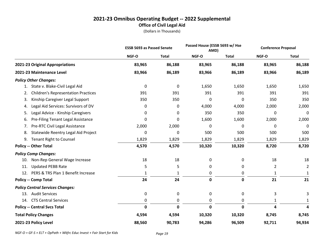# **2021-23 Omnibus Operating Budget -- 2022 Supplemental Office of Civil Legal Aid**

(Dollars in Thousands)

|                                                  | <b>ESSB 5693 as Passed Senate</b> |              | Passed House (ESSB 5693 w/ Hse<br>AMD) |              | <b>Conference Proposal</b> |                |
|--------------------------------------------------|-----------------------------------|--------------|----------------------------------------|--------------|----------------------------|----------------|
|                                                  | NGF-O                             | <b>Total</b> | NGF-O                                  | <b>Total</b> | NGF-O                      | <b>Total</b>   |
| 2021-23 Original Appropriations                  | 83,965                            | 86,188       | 83,965                                 | 86,188       | 83,965                     | 86,188         |
| 2021-23 Maintenance Level                        | 83,966                            | 86,189       | 83,966                                 | 86,189       | 83,966                     | 86,189         |
| <b>Policy Other Changes:</b>                     |                                   |              |                                        |              |                            |                |
| 1. State v. Blake-Civil Legal Aid                | 0                                 | $\pmb{0}$    | 1,650                                  | 1,650        | 1,650                      | 1,650          |
| <b>Children's Representation Practices</b><br>2. | 391                               | 391          | 391                                    | 391          | 391                        | 391            |
| Kinship Caregiver Legal Support<br>3.            | 350                               | 350          | $\Omega$                               | $\Omega$     | 350                        | 350            |
| Legal Aid Services: Survivors of DV<br>4.        | 0                                 | 0            | 4,000                                  | 4,000        | 2,000                      | 2,000          |
| Legal Advice - Kinship Caregivers<br>5.          | 0                                 | 0            | 350                                    | 350          | 0                          | $\mathbf 0$    |
| Pre-Filing Tenant Legal Assistance<br>6.         | 0                                 | 0            | 1,600                                  | 1,600        | 2,000                      | 2,000          |
| Pre-RTC Civil Legal Assistance<br>7.             | 2,000                             | 2,000        | 0                                      | 0            | 0                          | 0              |
| Statewide Reentry Legal Aid Project<br>8.        | 0                                 | $\mathbf 0$  | 500                                    | 500          | 500                        | 500            |
| <b>Tenant Right to Counsel</b><br>9.             | 1,829                             | 1,829        | 1,829                                  | 1,829        | 1,829                      | 1,829          |
| <b>Policy -- Other Total</b>                     | 4,570                             | 4,570        | 10,320                                 | 10,320       | 8,720                      | 8,720          |
| <b>Policy Comp Changes:</b>                      |                                   |              |                                        |              |                            |                |
| Non-Rep General Wage Increase<br>10.             | 18                                | 18           | 0                                      | 0            | 18                         | 18             |
| <b>Updated PEBB Rate</b><br>11.                  | 5                                 | 5            | 0                                      | 0            | $\overline{2}$             | $\overline{2}$ |
| PERS & TRS Plan 1 Benefit Increase<br>12.        | 1                                 | 1            | 0                                      | 0            | 1                          |                |
| <b>Policy -- Comp Total</b>                      | 24                                | 24           | $\mathbf 0$                            | 0            | 21                         | 21             |
| <b>Policy Central Services Changes:</b>          |                                   |              |                                        |              |                            |                |
| 13. Audit Services                               | 0                                 | $\mathbf 0$  | 0                                      | 0            | 3                          | 3              |
| <b>CTS Central Services</b><br>14.               | 0                                 | 0            | 0                                      | 0            | 1                          | 1              |
| <b>Policy -- Central Svcs Total</b>              | 0                                 | $\mathbf 0$  | 0                                      | 0            | 4                          | 4              |
| <b>Total Policy Changes</b>                      | 4,594                             | 4,594        | 10,320                                 | 10,320       | 8,745                      | 8,745          |
| 2021-23 Policy Level                             | 88,560                            | 90,783       | 94,286                                 | 96,509       | 92,711                     | 94,934         |

*NGF-O = GF-S + ELT + OpPath + Wkfrc Educ Invest + Fair Start for Kids Page 19*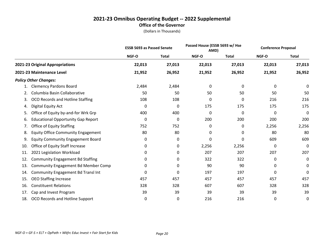#### **2021-23 Omnibus Operating Budget -- 2022 Supplemental Office of the Governor**

|     |                                            | <b>ESSB 5693 as Passed Senate</b> |              |        | Passed House (ESSB 5693 w/ Hse<br>AMD) |        | <b>Conference Proposal</b> |
|-----|--------------------------------------------|-----------------------------------|--------------|--------|----------------------------------------|--------|----------------------------|
|     |                                            | NGF-O                             | <b>Total</b> | NGF-O  | <b>Total</b>                           | NGF-O  | <b>Total</b>               |
|     | 2021-23 Original Appropriations            | 22,013                            | 27,013       | 22,013 | 27,013                                 | 22,013 | 27,013                     |
|     | 2021-23 Maintenance Level                  | 21,952                            | 26,952       | 21,952 | 26,952                                 | 21,952 | 26,952                     |
|     | <b>Policy Other Changes:</b>               |                                   |              |        |                                        |        |                            |
| 1.  | <b>Clemency Pardons Board</b>              | 2,484                             | 2,484        | 0      | 0                                      | 0      | 0                          |
| 2.  | Columbia Basin Collaborative               | 50                                | 50           | 50     | 50                                     | 50     | 50                         |
| 3.  | OCO Records and Hotline Staffing           | 108                               | 108          | 0      | 0                                      | 216    | 216                        |
| 4.  | Digital Equity Act                         | 0                                 | 0            | 175    | 175                                    | 175    | 175                        |
| 5.  | Office of Equity by-and-for Wrk Grp        | 400                               | 400          | 0      | 0                                      | 0      | 0                          |
| 6.  | <b>Educational Opportunity Gap Report</b>  | 0                                 | 0            | 200    | 200                                    | 200    | 200                        |
| 7.  | <b>Office of Equity Staffing</b>           | 752                               | 752          | 0      | 0                                      | 2,256  | 2,256                      |
| 8.  | <b>Equity Office Community Engagement</b>  | 80                                | 80           | 0      | 0                                      | 80     | 80                         |
| 9.  | <b>Equity Community Engagement Board</b>   | 0                                 | 0            | 0      | 0                                      | 609    | 609                        |
| 10. | Office of Equity Staff Increase            | 0                                 | 0            | 2,256  | 2,256                                  | 0      | 0                          |
| 11. | 2021 Legislation Workload                  | 0                                 | 0            | 207    | 207                                    | 207    | 207                        |
| 12. | <b>Community Engagement Bd Staffing</b>    | 0                                 | 0            | 322    | 322                                    | 0      | 0                          |
| 13. | <b>Community Engagement Bd Member Comp</b> | 0                                 | 0            | 90     | 90                                     | 0      | 0                          |
| 14. | Community Engagement Bd Transl Int         | 0                                 | 0            | 197    | 197                                    | 0      | 0                          |
| 15. | <b>OEO Staffing Increase</b>               | 457                               | 457          | 457    | 457                                    | 457    | 457                        |
| 16. | <b>Constituent Relations</b>               | 328                               | 328          | 607    | 607                                    | 328    | 328                        |
| 17. | Cap and Invest Program                     | 39                                | 39           | 39     | 39                                     | 39     | 39                         |
| 18. | OCO Records and Hotline Support            | 0                                 | 0            | 216    | 216                                    | 0      | 0                          |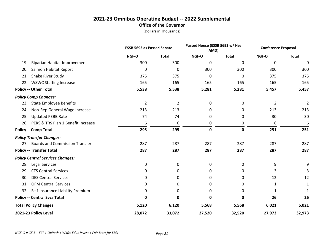# **2021-23 Omnibus Operating Budget -- 2022 Supplemental Office of the Governor**

|                                           | <b>ESSB 5693 as Passed Senate</b> |                | Passed House (ESSB 5693 w/ Hse<br>AMD) |              | <b>Conference Proposal</b> |                |
|-------------------------------------------|-----------------------------------|----------------|----------------------------------------|--------------|----------------------------|----------------|
|                                           | NGF-O                             | <b>Total</b>   | NGF-O                                  | <b>Total</b> | NGF-O                      | <b>Total</b>   |
| Riparian Habitat Improvement<br>19.       | 300                               | 300            | 0                                      | $\Omega$     | 0                          | 0              |
| Salmon Habitat Report<br>20.              | 0                                 | 0              | 300                                    | 300          | 300                        | 300            |
| 21.<br>Snake River Study                  | 375                               | 375            | 0                                      | $\Omega$     | 375                        | 375            |
| <b>WSWC Staffing Increase</b><br>22.      | 165                               | 165            | 165                                    | 165          | 165                        | 165            |
| <b>Policy -- Other Total</b>              | 5,538                             | 5,538          | 5,281                                  | 5,281        | 5,457                      | 5,457          |
| <b>Policy Comp Changes:</b>               |                                   |                |                                        |              |                            |                |
| <b>State Employee Benefits</b><br>23.     | $\overline{2}$                    | $\overline{2}$ | 0                                      | 0            | $\overline{2}$             | $\overline{2}$ |
| Non-Rep General Wage Increase<br>24.      | 213                               | 213            | 0                                      | 0            | 213                        | 213            |
| <b>Updated PEBB Rate</b><br>25.           | 74                                | 74             | 0                                      | 0            | 30                         | 30             |
| PERS & TRS Plan 1 Benefit Increase<br>26. | 6                                 | 6              | 0                                      | 0            | 6                          | 6              |
| <b>Policy -- Comp Total</b>               | 295                               | 295            | 0                                      | 0            | 251                        | 251            |
| <b>Policy Transfer Changes:</b>           |                                   |                |                                        |              |                            |                |
| 27. Boards and Commission Transfer        | 287                               | 287            | 287                                    | 287          | 287                        | 287            |
| <b>Policy -- Transfer Total</b>           | 287                               | 287            | 287                                    | 287          | 287                        | 287            |
| <b>Policy Central Services Changes:</b>   |                                   |                |                                        |              |                            |                |
| Legal Services<br>28.                     | 0                                 | 0              | 0                                      | 0            | 9                          | 9              |
| <b>CTS Central Services</b><br>29.        | 0                                 | 0              | 0                                      | 0            | 3                          | 3              |
| <b>DES Central Services</b><br>30.        | 0                                 | 0              | 0                                      | 0            | 12                         | 12             |
| <b>OFM Central Services</b><br>31.        | 0                                 | 0              | 0                                      | 0            | 1                          | 1              |
| Self-Insurance Liability Premium<br>32.   | $\mathbf 0$                       | 0              | 0                                      | 0            | 1                          | 1              |
| <b>Policy -- Central Svcs Total</b>       | $\mathbf 0$                       | $\mathbf 0$    | $\mathbf{0}$                           | $\mathbf 0$  | 26                         | 26             |
| <b>Total Policy Changes</b>               | 6,120                             | 6,120          | 5,568                                  | 5,568        | 6,021                      | 6,021          |
| 2021-23 Policy Level                      | 28,072                            | 33,072         | 27,520                                 | 32,520       | 27,973                     | 32,973         |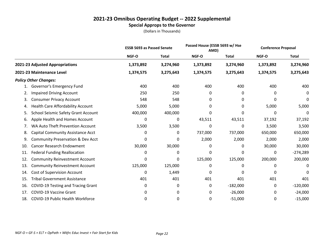|     |                                              | <b>ESSB 5693 as Passed Senate</b> |              |              | Passed House (ESSB 5693 w/ Hse<br>AMD) |           | <b>Conference Proposal</b> |
|-----|----------------------------------------------|-----------------------------------|--------------|--------------|----------------------------------------|-----------|----------------------------|
|     |                                              | NGF-O                             | <b>Total</b> | <b>NGF-O</b> | <b>Total</b>                           | NGF-O     | <b>Total</b>               |
|     | 2021-23 Adjusted Appropriations              | 1,373,892                         | 3,274,960    | 1,373,892    | 3,274,960                              | 1,373,892 | 3,274,960                  |
|     | 2021-23 Maintenance Level                    | 1,374,575                         | 3,275,643    | 1,374,575    | 3,275,643                              | 1,374,575 | 3,275,643                  |
|     | <b>Policy Other Changes:</b>                 |                                   |              |              |                                        |           |                            |
| 1.  | Governor's Emergency Fund                    | 400                               | 400          | 400          | 400                                    | 400       | 400                        |
| 2.  | <b>Impaired Driving Account</b>              | 250                               | 250          | 0            | 0                                      | 0         | 0                          |
| 3.  | <b>Consumer Privacy Account</b>              | 548                               | 548          | 0            | 0                                      | 0         | 0                          |
| 4.  | <b>Health Care Affordability Account</b>     | 5,000                             | 5,000        | 0            | 0                                      | 5,000     | 5,000                      |
| 5.  | <b>School Seismic Safety Grant Account</b>   | 400,000                           | 400,000      | 0            | 0                                      | 0         | 0                          |
| 6.  | Apple Health and Homes Account               | 0                                 | 0            | 43,511       | 43,511                                 | 37,192    | 37,192                     |
| 7.  | WA Auto Theft Prevention Account             | 3,500                             | 3,500        | 0            | 0                                      | 3,500     | 3,500                      |
| 8.  | <b>Capital Community Assistance Acct</b>     | 0                                 | 0            | 737,000      | 737,000                                | 650,000   | 650,000                    |
| 9.  | <b>Community Preservation &amp; Dev Acct</b> | 0                                 | 0            | 2,000        | 2,000                                  | 2,000     | 2,000                      |
| 10. | <b>Cancer Research Endowment</b>             | 30,000                            | 30,000       | 0            | 0                                      | 30,000    | 30,000                     |
| 11. | <b>Federal Funding Reallocation</b>          | 0                                 | 0            | 0            | 0                                      | 0         | $-274,289$                 |
| 12. | <b>Community Reinvestment Account</b>        | 0                                 | 0            | 125,000      | 125,000                                | 200,000   | 200,000                    |
| 13. | <b>Community Reinvestment Account</b>        | 125,000                           | 125,000      | 0            | 0                                      | ŋ         | 0                          |
| 14. | Cost of Supervision Account                  | 0                                 | 1,449        | 0            | <sup>0</sup>                           | 0         | 0                          |
| 15. | <b>Tribal Government Assistance</b>          | 401                               | 401          | 401          | 401                                    | 401       | 401                        |
| 16. | COVID-19 Testing and Tracing Grant           | 0                                 | 0            | 0            | $-182,000$                             | 0         | $-120,000$                 |
| 17. | <b>COVID-19 Vaccine Grant</b>                | 0                                 | 0            | 0            | $-26,000$                              | 0         | $-24,000$                  |
| 18. | COVID-19 Public Health Workforce             | 0                                 | 0            | 0            | $-51,000$                              | 0         | $-15,000$                  |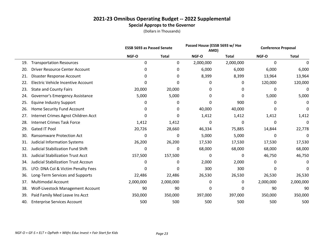|     |                                            | <b>ESSB 5693 as Passed Senate</b> |              | Passed House (ESSB 5693 w/ Hse<br>AMD) |              | <b>Conference Proposal</b> |              |  |
|-----|--------------------------------------------|-----------------------------------|--------------|----------------------------------------|--------------|----------------------------|--------------|--|
|     |                                            | NGF-O                             | <b>Total</b> | NGF-O                                  | <b>Total</b> | NGF-O                      | <b>Total</b> |  |
| 19. | <b>Transportation Resources</b>            | 0                                 | 0            | 2,000,000                              | 2,000,000    | 0                          | $\Omega$     |  |
| 20. | <b>Driver Resource Center Account</b>      | 0                                 | 0            | 6,000                                  | 6,000        | 6,000                      | 6,000        |  |
| 21. | Disaster Response Account                  | 0                                 | 0            | 8,399                                  | 8,399        | 13,964                     | 13,964       |  |
| 22. | Electric Vehicle Incentive Account         | 0                                 | 0            | 0                                      | 0            | 120,000                    | 120,000      |  |
| 23. | <b>State and County Fairs</b>              | 20,000                            | 20,000       | 0                                      | 0            | 0                          | 0            |  |
| 24. | Governor's Emergency Assistance            | 5,000                             | 5,000        | 0                                      | 0            | 5,000                      | 5,000        |  |
| 25. | <b>Equine Industry Support</b>             | 0                                 | 0            | 0                                      | 900          | 0                          | 0            |  |
| 26. | Home Security Fund Account                 | 0                                 | 0            | 40,000                                 | 40,000       | 0                          | 0            |  |
| 27. | Internet Crimes Agnst Children Acct        | 0                                 | 0            | 1,412                                  | 1,412        | 1,412                      | 1,412        |  |
| 28. | <b>Internet Crimes Task Force</b>          | 1,412                             | 1,412        | 0                                      | 0            | 0                          | 0            |  |
| 29. | <b>Gated IT Pool</b>                       | 20,726                            | 28,660       | 46,334                                 | 75,885       | 14,844                     | 22,778       |  |
| 30. | <b>Ransomware Protection Act</b>           | 0                                 | 0            | 5,000                                  | 5,000        | 0                          | $\Omega$     |  |
| 31. | <b>Judicial Information Systems</b>        | 26,200                            | 26,200       | 17,530                                 | 17,530       | 17,530                     | 17,530       |  |
| 32. | <b>Judicial Stabilization Fund Shift</b>   | 0                                 | 0            | 68,000                                 | 68,000       | 68,000                     | 68,000       |  |
| 33. | <b>Judicial Stabilization Trust Acct</b>   | 157,500                           | 157,500      | 0                                      | 0            | 46,750                     | 46,750       |  |
| 34. | <b>Judicial Stabilization Trust Accoun</b> | 0                                 | 0            | 2,000                                  | 2,000        | 0                          | 0            |  |
| 35. | LFO: DNA Col & Victim Penalty Fees         | 0                                 | 0            | 300                                    | 300          | 0                          | 0            |  |
| 36. | Long-Term Services and Supports            | 22,486                            | 22,486       | 26,530                                 | 26,530       | 26,530                     | 26,530       |  |
| 37. | <b>Multimodal Account</b>                  | 2,000,000                         | 2,000,000    | 0                                      | 0            | 2,000,000                  | 2,000,000    |  |
| 38. | Wolf-Livestock Management Account          | 90                                | 90           | 0                                      | 0            | 90                         | 90           |  |
| 39. | Paid Family Med Leave Ins Acct             | 350,000                           | 350,000      | 397,000                                | 397,000      | 350,000                    | 350,000      |  |
| 40. | <b>Enterprise Services Account</b>         | 500                               | 500          | 500                                    | 500          | 500                        | 500          |  |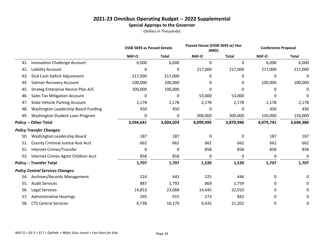|     |                                          | <b>ESSB 5693 as Passed Senate</b> |              | Passed House (ESSB 5693 w/ Hse<br>AMD) |              | <b>Conference Proposal</b> |              |
|-----|------------------------------------------|-----------------------------------|--------------|----------------------------------------|--------------|----------------------------|--------------|
|     |                                          | NGF-O                             | <b>Total</b> | NGF-O                                  | <b>Total</b> | NGF-O                      | <b>Total</b> |
| 41. | <b>Innovation Challenge Account</b>      | 6,000                             | 6,000        | 0                                      | 0            | 6,000                      | 6,000        |
| 42. | Liability Account                        | 0                                 | 0            | 217,000                                | 217,000      | 217,000                    | 217,000      |
| 43. | SILA Cash Deficit Adjustment             | 217,000                           | 217,000      | 0                                      | 0            | 0                          | 0            |
| 44. | Salmon Recovery Account                  | 100,000                           | 100,000      | 0                                      | 0            | 100,000                    | 100,000      |
| 45. | Strateg Enterprise Resrce Plan A/C       | 100,000                           | 100,000      | 0                                      | <sup>0</sup> | 0                          | 0            |
| 46. | <b>Sales Tax Mitigation Account</b>      | 0                                 | 0            | 53,000                                 | 53,000       | 0                          | 0            |
| 47. | <b>State Vehicle Parking Account</b>     | 2,178                             | 2,178        | 2,178                                  | 2,178        | 2,178                      | 2,178        |
| 48. | Washington Leadership Board Funding      | 450                               | 450          | 0                                      | 0            | 450                        | 450          |
| 49. | Washington Student Loan Program          | 0                                 | 0            | 300,000                                | 300,000      | 150,000                    | 150,000      |
|     | <b>Policy -- Other Total</b>             | 3,594,641                         | 3,604,024    | 4,099,495                              | 3,870,946    | 4,074,741                  | 3,649,386    |
|     | <b>Policy Transfer Changes:</b>          |                                   |              |                                        |              |                            |              |
| 50. | Washington Leadership Board              | 187                               | 187          | $\Omega$                               | $\mathbf{0}$ | 187                        | 187          |
| 51. | <b>County Criminal Justice Asst Acct</b> | 662                               | 662          | 662                                    | 662          | 662                        | 662          |
| 52. | Internet Crimes/Transfer                 | 0                                 | 0            | 858                                    | 858          | 858                        | 858          |
| 53. | Internet Crimes Agnst Children Acct      | 858                               | 858          | 0                                      | 0            | 0                          | 0            |
|     | <b>Policy -- Transfer Total</b>          | 1,707                             | 1,707        | 1,520                                  | 1,520        | 1,707                      | 1,707        |
|     | <b>Policy Central Services Changes:</b>  |                                   |              |                                        |              |                            |              |
| 54. | Archives/Records Management              | 224                               | 443          | 225                                    | 446          | 0                          | 0            |
| 55. | <b>Audit Services</b>                    | 887                               | 1,793        | 869                                    | 1,759        | 0                          | 0            |
| 56. | Legal Services                           | 14,853                            | 23,088       | 14,445                                 | 22,010       | 0                          | 0            |
| 57. | <b>Administrative Hearings</b>           | 295                               | 915          | 273                                    | 842          | 0                          | 0            |
| 58. | <b>CTS Central Services</b>              | 6,738                             | 16,179       | 9,435                                  | 21,202       | 0                          | 0            |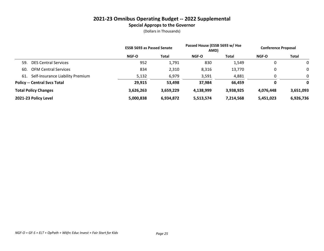|     |                                     | <b>ESSB 5693 as Passed Senate</b> |              | Passed House (ESSB 5693 w/ Hse<br>AMD) |           | <b>Conference Proposal</b> |              |
|-----|-------------------------------------|-----------------------------------|--------------|----------------------------------------|-----------|----------------------------|--------------|
|     |                                     | <b>NGF-O</b>                      | <b>Total</b> | <b>NGF-O</b>                           | Total     | <b>NGF-O</b>               | <b>Total</b> |
| 59. | <b>DES Central Services</b>         | 952                               | 1,791        | 830                                    | 1,549     | 0                          | $\mathbf{0}$ |
| 60. | <b>OFM Central Services</b>         | 834                               | 2,310        | 8,316                                  | 13,770    | 0                          | $\mathbf{0}$ |
| 61. | Self-Insurance Liability Premium    | 5,132                             | 6,979        | 3,591                                  | 4,881     |                            | $\mathbf{0}$ |
|     | <b>Policy -- Central Svcs Total</b> | 29,915                            | 53,498       | 37,984                                 | 66.459    | 0                          | 0            |
|     | <b>Total Policy Changes</b>         | 3,626,263                         | 3,659,229    | 4,138,999                              | 3,938,925 | 4,076,448                  | 3,651,093    |
|     | 2021-23 Policy Level                | 5,000,838                         | 6,934,872    | 5,513,574                              | 7,214,568 | 5,451,023                  | 6,926,736    |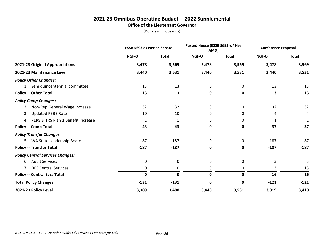#### **2021-23 Omnibus Operating Budget -- 2022 Supplemental Office of the Lieutenant Governor**

|                                         | <b>ESSB 5693 as Passed Senate</b> |              |              | Passed House (ESSB 5693 w/ Hse<br>AMD) |              | <b>Conference Proposal</b> |  |
|-----------------------------------------|-----------------------------------|--------------|--------------|----------------------------------------|--------------|----------------------------|--|
|                                         | NGF-O                             | <b>Total</b> | <b>NGF-O</b> | <b>Total</b>                           | <b>NGF-O</b> | <b>Total</b>               |  |
| 2021-23 Original Appropriations         | 3,478                             | 3,569        | 3,478        | 3,569                                  | 3,478        | 3,569                      |  |
| 2021-23 Maintenance Level               | 3,440                             | 3,531        | 3,440        | 3,531                                  | 3,440        | 3,531                      |  |
| <b>Policy Other Changes:</b>            |                                   |              |              |                                        |              |                            |  |
| 1. Semiquincentennial committee         | 13                                | 13           | 0            | 0                                      | 13           | 13                         |  |
| <b>Policy -- Other Total</b>            | 13                                | 13           | $\mathbf 0$  | 0                                      | 13           | 13                         |  |
| <b>Policy Comp Changes:</b>             |                                   |              |              |                                        |              |                            |  |
| 2. Non-Rep General Wage Increase        | 32                                | 32           | 0            | 0                                      | 32           | 32                         |  |
| <b>Updated PEBB Rate</b><br>3.          | 10                                | 10           | $\Omega$     | 0                                      | 4            | 4                          |  |
| 4. PERS & TRS Plan 1 Benefit Increase   | 1                                 | 1            | 0            | 0                                      | 1            |                            |  |
| <b>Policy -- Comp Total</b>             | 43                                | 43           | $\pmb{0}$    | 0                                      | 37           | 37                         |  |
| <b>Policy Transfer Changes:</b>         |                                   |              |              |                                        |              |                            |  |
| 5. WA State Leadership Board            | $-187$                            | $-187$       | 0            | 0                                      | $-187$       | $-187$                     |  |
| <b>Policy -- Transfer Total</b>         | $-187$                            | $-187$       | $\mathbf 0$  | 0                                      | $-187$       | $-187$                     |  |
| <b>Policy Central Services Changes:</b> |                                   |              |              |                                        |              |                            |  |
| 6. Audit Services                       | $\mathbf 0$                       | 0            | 0            | 0                                      | 3            | 3                          |  |
| 7. DES Central Services                 | 0                                 | 0            | 0            | 0                                      | 13           | 13                         |  |
| <b>Policy -- Central Svcs Total</b>     | $\mathbf 0$                       | $\mathbf 0$  | $\mathbf 0$  | 0                                      | 16           | 16                         |  |
| <b>Total Policy Changes</b>             | $-131$                            | $-131$       | $\pmb{0}$    | 0                                      | $-121$       | $-121$                     |  |
| 2021-23 Policy Level                    | 3,309                             | 3,400        | 3,440        | 3,531                                  | 3,319        | 3,410                      |  |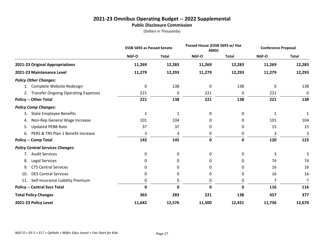#### **2021-23 Omnibus Operating Budget -- 2022 Supplemental Public Disclosure Commission**

|                                          | <b>ESSB 5693 as Passed Senate</b> |              | Passed House (ESSB 5693 w/ Hse<br>AMD) |              | <b>Conference Proposal</b> |              |
|------------------------------------------|-----------------------------------|--------------|----------------------------------------|--------------|----------------------------|--------------|
|                                          | NGF-O                             | <b>Total</b> | NGF-O                                  | <b>Total</b> | NGF-O                      | <b>Total</b> |
| 2021-23 Original Appropriations          | 11,269                            | 12,283       | 11,269                                 | 12,283       | 11,269                     | 12,283       |
| 2021-23 Maintenance Level                | 11,279                            | 12,293       | 11,279                                 | 12,293       | 11,279                     | 12,293       |
| <b>Policy Other Changes:</b>             |                                   |              |                                        |              |                            |              |
| Complete Website Redesign<br>1.          | 0                                 | 138          | $\mathbf 0$                            | 138          | 0                          | 138          |
| 2. Transfer Ongoing Operating Expenses   | 221                               | 0            | 221                                    | 0            | 221                        | 0            |
| <b>Policy -- Other Total</b>             | 221                               | 138          | 221                                    | 138          | 221                        | 138          |
| <b>Policy Comp Changes:</b>              |                                   |              |                                        |              |                            |              |
| <b>State Employee Benefits</b><br>3.     | 1                                 | 1            | 0                                      | 0            | 1                          | 1            |
| Non-Rep General Wage Increase<br>4.      | 101                               | 104          | 0                                      | 0            | 101                        | 104          |
| <b>Updated PEBB Rate</b><br>5.           | 37                                | 37           | 0                                      | 0            | 15                         | 15           |
| PERS & TRS Plan 1 Benefit Increase<br>6. | 3                                 | 3            | 0                                      | 0            | 3                          | 3            |
| <b>Policy -- Comp Total</b>              | 142                               | 145          | 0                                      | 0            | 120                        | 123          |
| <b>Policy Central Services Changes:</b>  |                                   |              |                                        |              |                            |              |
| 7. Audit Services                        | 0                                 | 0            | 0                                      | 0            | 3                          | 3            |
| Legal Services<br>8.                     | 0                                 | 0            | 0                                      | 0            | 74                         | 74           |
| <b>CTS Central Services</b><br>9.        | 0                                 | 0            | 0                                      | 0            | 16                         | 16           |
| <b>DES Central Services</b><br>10.       | 0                                 | 0            | 0                                      | 0            | 16                         | 16           |
| Self-Insurance Liability Premium<br>11.  | 0                                 | 0            | 0                                      | 0            | 7                          | 7            |
| <b>Policy -- Central Svcs Total</b>      | $\mathbf 0$                       | 0            | 0                                      | 0            | 116                        | 116          |
| <b>Total Policy Changes</b>              | 363                               | 283          | 221                                    | 138          | 457                        | 377          |
| 2021-23 Policy Level                     | 11,642                            | 12,576       | 11,500                                 | 12,431       | 11,736                     | 12,670       |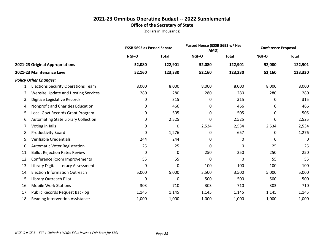# **2021-23 Omnibus Operating Budget -- 2022 Supplemental Office of the Secretary of State**

|     |                                            | <b>ESSB 5693 as Passed Senate</b> |              | Passed House (ESSB 5693 w/ Hse<br>AMD) |              | <b>Conference Proposal</b> |              |
|-----|--------------------------------------------|-----------------------------------|--------------|----------------------------------------|--------------|----------------------------|--------------|
|     |                                            | NGF-O                             | <b>Total</b> | NGF-O                                  | <b>Total</b> | NGF-O                      | <b>Total</b> |
|     | 2021-23 Original Appropriations            | 52,080                            | 122,901      | 52,080                                 | 122,901      | 52,080                     | 122,901      |
|     | 2021-23 Maintenance Level                  | 52,160                            | 123,330      | 52,160                                 | 123,330      | 52,160                     | 123,330      |
|     | <b>Policy Other Changes:</b>               |                                   |              |                                        |              |                            |              |
| 1.  | <b>Elections Security Operations Team</b>  | 8,000                             | 8,000        | 8,000                                  | 8,000        | 8,000                      | 8,000        |
| 2.  | <b>Website Update and Hosting Services</b> | 280                               | 280          | 280                                    | 280          | 280                        | 280          |
| 3.  | Digitize Legislative Records               | 0                                 | 315          | 0                                      | 315          | 0                          | 315          |
| 4.  | Nonprofit and Charities Education          | 0                                 | 466          | 0                                      | 466          | 0                          | 466          |
| 5.  | Local Govt Records Grant Program           | 0                                 | 505          | 0                                      | 505          | 0                          | 505          |
| 6.  | <b>Automating State Library Collection</b> | 0                                 | 2,525        | 0                                      | 2,525        | 0                          | 2,525        |
| 7.  | Voting in Jails                            | 0                                 | 0            | 2,534                                  | 2,534        | 2,534                      | 2,534        |
| 8.  | Productivity Board                         | 0                                 | 1,276        | 0                                      | 657          | 0                          | 1,276        |
| 9.  | Verifiable Credentials                     | 244                               | 244          | 0                                      | 0            | 0                          | 0            |
| 10. | <b>Automatic Voter Registration</b>        | 25                                | 25           | 0                                      | 0            | 25                         | 25           |
| 11. | <b>Ballot Rejection Rates Review</b>       | 0                                 | 0            | 250                                    | 250          | 250                        | 250          |
| 12. | Conference Room Improvements               | 55                                | 55           | 0                                      | 0            | 55                         | 55           |
| 13. | Library Digital Literacy Assessment        | 0                                 | 0            | 100                                    | 100          | 100                        | 100          |
| 14. | <b>Election Information Outreach</b>       | 5,000                             | 5,000        | 3,500                                  | 3,500        | 5,000                      | 5,000        |
| 15. | Library Outreach Pilot                     | 0                                 | 0            | 500                                    | 500          | 500                        | 500          |
| 16. | <b>Mobile Work Stations</b>                | 303                               | 710          | 303                                    | 710          | 303                        | 710          |
| 17. | <b>Public Records Request Backlog</b>      | 1,145                             | 1,145        | 1,145                                  | 1,145        | 1,145                      | 1,145        |
| 18. | <b>Reading Intervention Assistance</b>     | 1,000                             | 1,000        | 1,000                                  | 1,000        | 1,000                      | 1,000        |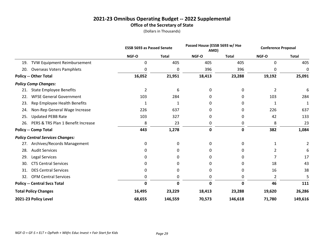# **2021-23 Omnibus Operating Budget -- 2022 Supplemental Office of the Secretary of State**

|     |                                         |                | Passed House (ESSB 5693 w/ Hse<br><b>ESSB 5693 as Passed Senate</b><br>AMD) |             | <b>Conference Proposal</b> |                |              |
|-----|-----------------------------------------|----------------|-----------------------------------------------------------------------------|-------------|----------------------------|----------------|--------------|
|     |                                         | NGF-O          | <b>Total</b>                                                                | NGF-O       | <b>Total</b>               | NGF-O          | <b>Total</b> |
| 19. | <b>TVW Equipment Reimbursement</b>      | 0              | 405                                                                         | 405         | 405                        | 0              | 405          |
| 20. | <b>Overseas Voters Pamphlets</b>        | 0              | 0                                                                           | 396         | 396                        | 0              | 0            |
|     | <b>Policy -- Other Total</b>            | 16,052         | 21,951                                                                      | 18,413      | 23,288                     | 19,192         | 25,091       |
|     | <b>Policy Comp Changes:</b>             |                |                                                                             |             |                            |                |              |
| 21. | <b>State Employee Benefits</b>          | $\overline{2}$ | 6                                                                           | 0           | 0                          | $\overline{2}$ | 6            |
| 22. | <b>WFSE General Government</b>          | 103            | 284                                                                         | 0           | 0                          | 103            | 284          |
| 23. | Rep Employee Health Benefits            | 1              | 1                                                                           | 0           | 0                          | 1              | 1            |
| 24. | Non-Rep General Wage Increase           | 226            | 637                                                                         | 0           | 0                          | 226            | 637          |
| 25. | <b>Updated PEBB Rate</b>                | 103            | 327                                                                         | 0           | 0                          | 42             | 133          |
| 26. | PERS & TRS Plan 1 Benefit Increase      | 8              | 23                                                                          | 0           | 0                          | 8              | 23           |
|     | <b>Policy -- Comp Total</b>             | 443            | 1,278                                                                       | $\mathbf 0$ | $\mathbf 0$                | 382            | 1,084        |
|     | <b>Policy Central Services Changes:</b> |                |                                                                             |             |                            |                |              |
| 27. | Archives/Records Management             | 0              | 0                                                                           | 0           | 0                          |                | 2            |
| 28. | <b>Audit Services</b>                   | 0              | 0                                                                           | 0           | 0                          | 2              | 6            |
| 29. | <b>Legal Services</b>                   | 0              | 0                                                                           | 0           | 0                          | 7              | 17           |
| 30. | <b>CTS Central Services</b>             | 0              | 0                                                                           | 0           | 0                          | 18             | 43           |
| 31. | <b>DES Central Services</b>             | 0              | 0                                                                           | 0           | 0                          | 16             | 38           |
| 32. | <b>OFM Central Services</b>             | 0              | 0                                                                           | 0           | 0                          | $\overline{2}$ |              |
|     | <b>Policy -- Central Svcs Total</b>     | 0              | 0                                                                           | 0           | 0                          | 46             | 111          |
|     | <b>Total Policy Changes</b>             | 16,495         | 23,229                                                                      | 18,413      | 23,288                     | 19,620         | 26,286       |
|     | 2021-23 Policy Level                    | 68,655         | 146,559                                                                     | 70,573      | 146,618                    | 71,780         | 149,616      |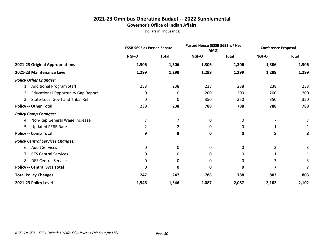#### **2021-23 Omnibus Operating Budget -- 2022 Supplemental Governor's Office of Indian Affairs**

|                                           | <b>ESSB 5693 as Passed Senate</b> |              | Passed House (ESSB 5693 w/ Hse<br>AMD) |              | <b>Conference Proposal</b> |              |
|-------------------------------------------|-----------------------------------|--------------|----------------------------------------|--------------|----------------------------|--------------|
|                                           | NGF-O                             | <b>Total</b> | NGF-O                                  | <b>Total</b> | NGF-O                      | <b>Total</b> |
| 2021-23 Original Appropriations           | 1,306                             | 1,306        | 1,306                                  | 1,306        | 1,306                      | 1,306        |
| 2021-23 Maintenance Level                 | 1,299                             | 1,299        | 1,299                                  | 1,299        | 1,299                      | 1,299        |
| <b>Policy Other Changes:</b>              |                                   |              |                                        |              |                            |              |
| 1. Additional Program Staff               | 238                               | 238          | 238                                    | 238          | 238                        | 238          |
| <b>Educational Opportunity Gap Report</b> | 0                                 | 0            | 200                                    | 200          | 200                        | 200          |
| State-Local Gov't and Tribal Rel<br>3.    | 0                                 | 0            | 350                                    | 350          | 350                        | 350          |
| <b>Policy -- Other Total</b>              | 238                               | 238          | 788                                    | 788          | 788                        | 788          |
| <b>Policy Comp Changes:</b>               |                                   |              |                                        |              |                            |              |
| 4. Non-Rep General Wage Increase          | 7                                 | 7            | 0                                      | 0            | 7                          |              |
| <b>Updated PEBB Rate</b><br>5.            | 2                                 | 2            | 0                                      | 0            |                            |              |
| <b>Policy -- Comp Total</b>               | 9                                 | 9            | 0                                      | 0            | 8                          | 8            |
| <b>Policy Central Services Changes:</b>   |                                   |              |                                        |              |                            |              |
| <b>Audit Services</b><br>6.               | 0                                 | 0            | 0                                      | 0            | 3                          |              |
| 7. CTS Central Services                   | 0                                 | 0            | 0                                      | 0            |                            |              |
| <b>DES Central Services</b><br>8.         | 0                                 | 0            | 0                                      | 0            | 3                          | 3            |
| <b>Policy -- Central Svcs Total</b>       | $\mathbf 0$                       | $\mathbf 0$  | $\mathbf{0}$                           | 0            |                            |              |
| <b>Total Policy Changes</b>               | 247                               | 247          | 788                                    | 788          | 803                        | 803          |
| 2021-23 Policy Level                      | 1,546                             | 1,546        | 2,087                                  | 2,087        | 2,102                      | 2,102        |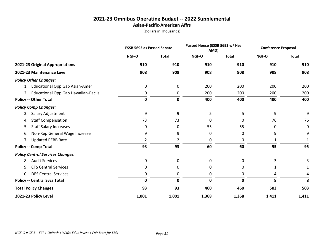#### **2021-23 Omnibus Operating Budget -- 2022 Supplemental Asian-Pacific-American Affrs**

|                                             | <b>ESSB 5693 as Passed Senate</b> |              |       | Passed House (ESSB 5693 w/ Hse<br>AMD) |       | <b>Conference Proposal</b> |  |
|---------------------------------------------|-----------------------------------|--------------|-------|----------------------------------------|-------|----------------------------|--|
|                                             | NGF-O                             | <b>Total</b> | NGF-O | <b>Total</b>                           | NGF-O | <b>Total</b>               |  |
| 2021-23 Original Appropriations             | 910                               | 910          | 910   | 910                                    | 910   | 910                        |  |
| 2021-23 Maintenance Level                   | 908                               | 908          | 908   | 908                                    | 908   | 908                        |  |
| <b>Policy Other Changes:</b>                |                                   |              |       |                                        |       |                            |  |
| <b>Educational Opp Gap Asian-Amer</b><br>1. | 0                                 | 0            | 200   | 200                                    | 200   | 200                        |  |
| 2. Educational Opp Gap Hawaiian-Pac Is      | 0                                 | 0            | 200   | 200                                    | 200   | 200                        |  |
| <b>Policy -- Other Total</b>                | 0                                 | 0            | 400   | 400                                    | 400   | 400                        |  |
| <b>Policy Comp Changes:</b>                 |                                   |              |       |                                        |       |                            |  |
| Salary Adjustment<br>3.                     | 9                                 | 9            | 5     | 5                                      | 9     | 9                          |  |
| <b>Staff Compensation</b><br>4.             | 73                                | 73           | 0     | 0                                      | 76    | 76                         |  |
| <b>Staff Salary Increases</b><br>5.         | 0                                 | 0            | 55    | 55                                     | 0     | 0                          |  |
| Non-Rep General Wage Increase<br>6.         | 9                                 | 9            | 0     | 0                                      | 9     | 9                          |  |
| <b>Updated PEBB Rate</b><br>7.              | 2                                 | 2            | 0     | 0                                      |       | 1                          |  |
| <b>Policy -- Comp Total</b>                 | 93                                | 93           | 60    | 60                                     | 95    | 95                         |  |
| <b>Policy Central Services Changes:</b>     |                                   |              |       |                                        |       |                            |  |
| <b>Audit Services</b><br>8.                 | 0                                 | 0            | 0     | 0                                      | 3     |                            |  |
| <b>CTS Central Services</b><br>9.           | 0                                 | 0            | 0     | 0                                      |       | 1                          |  |
| <b>DES Central Services</b><br>10.          | 0                                 | 0            | 0     | 0                                      | 4     | 4                          |  |
| <b>Policy -- Central Svcs Total</b>         | 0                                 | 0            | 0     | O                                      | 8     | 8                          |  |
| <b>Total Policy Changes</b>                 | 93                                | 93           | 460   | 460                                    | 503   | 503                        |  |
| 2021-23 Policy Level                        | 1,001                             | 1,001        | 1,368 | 1,368                                  | 1,411 | 1,411                      |  |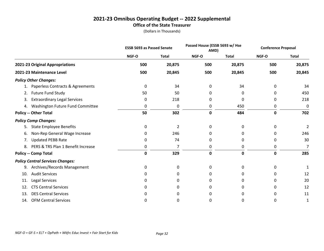#### **2021-23 Omnibus Operating Budget -- 2022 Supplemental Office of the State Treasurer**

|     |                                         | <b>ESSB 5693 as Passed Senate</b> |              |       | Passed House (ESSB 5693 w/ Hse<br>AMD) |       | <b>Conference Proposal</b> |  |
|-----|-----------------------------------------|-----------------------------------|--------------|-------|----------------------------------------|-------|----------------------------|--|
|     |                                         | NGF-O                             | <b>Total</b> | NGF-O | <b>Total</b>                           | NGF-O | <b>Total</b>               |  |
|     | 2021-23 Original Appropriations         | 500                               | 20,875       | 500   | 20,875                                 | 500   | 20,875                     |  |
|     | 2021-23 Maintenance Level               | 500                               | 20,845       | 500   | 20,845                                 | 500   | 20,845                     |  |
|     | <b>Policy Other Changes:</b>            |                                   |              |       |                                        |       |                            |  |
| 1.  | Paperless Contracts & Agreements        | 0                                 | 34           | 0     | 34                                     | 0     | 34                         |  |
| 2.  | Future Fund Study                       | 50                                | 50           | 0     | 0                                      | 0     | 450                        |  |
| 3.  | <b>Extraordinary Legal Services</b>     | 0                                 | 218          | 0     | 0                                      | 0     | 218                        |  |
|     | 4. Washington Future Fund Committee     | 0                                 | 0            | 0     | 450                                    | 0     | 0                          |  |
|     | <b>Policy -- Other Total</b>            | 50                                | 302          | 0     | 484                                    | 0     | 702                        |  |
|     | <b>Policy Comp Changes:</b>             |                                   |              |       |                                        |       |                            |  |
| 5.  | <b>State Employee Benefits</b>          | 0                                 | 2            | 0     | 0                                      | 0     | $\overline{2}$             |  |
| 6.  | Non-Rep General Wage Increase           | 0                                 | 246          | 0     | 0                                      | 0     | 246                        |  |
| 7.  | <b>Updated PEBB Rate</b>                | 0                                 | 74           | 0     | 0                                      | 0     | 30                         |  |
| 8.  | PERS & TRS Plan 1 Benefit Increase      | 0                                 | 7            | 0     | 0                                      | 0     | 7                          |  |
|     | <b>Policy -- Comp Total</b>             | 0                                 | 329          | 0     | 0                                      | 0     | 285                        |  |
|     | <b>Policy Central Services Changes:</b> |                                   |              |       |                                        |       |                            |  |
| 9.  | Archives/Records Management             | 0                                 | 0            | 0     | 0                                      | 0     |                            |  |
| 10. | <b>Audit Services</b>                   | 0                                 | 0            | 0     | 0                                      | 0     | 12                         |  |
| 11. | <b>Legal Services</b>                   | 0                                 | 0            | 0     | 0                                      | 0     | 20                         |  |
| 12. | <b>CTS Central Services</b>             | 0                                 | 0            | O     | 0                                      | 0     | 12                         |  |
| 13. | <b>DES Central Services</b>             | 0                                 | 0            | 0     | 0                                      | 0     | 11                         |  |
| 14. | <b>OFM Central Services</b>             | 0                                 | n            | 0     | 0                                      | 0     | 1                          |  |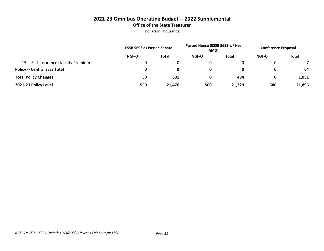# **2021-23 Omnibus Operating Budget -- 2022 Supplemental Office of the State Treasurer**

|                                      | <b>ESSB 5693 as Passed Senate</b> |              | Passed House (ESSB 5693 w/ Hse<br>AMD) |        | <b>Conference Proposal</b> |              |
|--------------------------------------|-----------------------------------|--------------|----------------------------------------|--------|----------------------------|--------------|
|                                      | NGF-O                             | <b>Total</b> | NGF-O                                  | Total  | <b>NGF-O</b>               | <b>Total</b> |
| 15. Self-Insurance Liability Premium |                                   |              |                                        |        |                            |              |
| <b>Policy -- Central Svcs Total</b>  | 0                                 | 0            |                                        |        | O                          | 64           |
| <b>Total Policy Changes</b>          | 50                                | 631          | 0                                      | 484    | 0                          | 1,051        |
| 2021-23 Policy Level                 | 550                               | 21,476       | 500                                    | 21,329 | 500                        | 21,896       |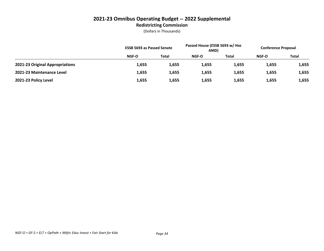# **2021-23 Omnibus Operating Budget -- 2022 Supplemental Redistricting Commission**

|                                 |              | <b>ESSB 5693 as Passed Senate</b> |       | Passed House (ESSB 5693 w/ Hse<br>AMD) |       | <b>Conference Proposal</b> |  |
|---------------------------------|--------------|-----------------------------------|-------|----------------------------------------|-------|----------------------------|--|
|                                 | <b>NGF-O</b> | <b>Total</b>                      | NGF-O | Total                                  | NGF-O | <b>Total</b>               |  |
| 2021-23 Original Appropriations | 1,655        | 1,655                             | 1,655 | 1,655                                  | 1,655 | 1,655                      |  |
| 2021-23 Maintenance Level       | 1,655        | 1,655                             | 1,655 | 1,655                                  | 1,655 | 1,655                      |  |
| 2021-23 Policy Level            | 1,655        | 1,655                             | 1,655 | 1,655                                  | 1,655 | 1,655                      |  |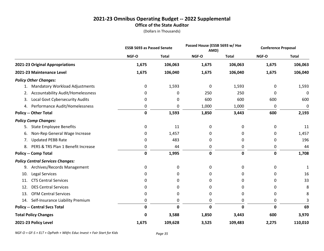#### **2021-23 Omnibus Operating Budget -- 2022 Supplemental Office of the State Auditor**

|                                                |             | <b>ESSB 5693 as Passed Senate</b> |             | Passed House (ESSB 5693 w/ Hse<br>AMD) |       | <b>Conference Proposal</b> |  |
|------------------------------------------------|-------------|-----------------------------------|-------------|----------------------------------------|-------|----------------------------|--|
|                                                | NGF-O       | <b>Total</b>                      | NGF-O       | <b>Total</b>                           | NGF-O | <b>Total</b>               |  |
| 2021-23 Original Appropriations                | 1,675       | 106,063                           | 1,675       | 106,063                                | 1,675 | 106,063                    |  |
| 2021-23 Maintenance Level                      | 1,675       | 106,040                           | 1,675       | 106,040                                | 1,675 | 106,040                    |  |
| <b>Policy Other Changes:</b>                   |             |                                   |             |                                        |       |                            |  |
| <b>Mandatory Workload Adjustments</b><br>1.    | 0           | 1,593                             | 0           | 1,593                                  | 0     | 1,593                      |  |
| <b>Accountability Audit/Homelessness</b><br>2. | 0           | 0                                 | 250         | 250                                    | 0     | 0                          |  |
| Local Govt Cybersecurity Audits<br>3.          | 0           | 0                                 | 600         | 600                                    | 600   | 600                        |  |
| Performance Audit/Homelessness<br>4.           | 0           | 0                                 | 1,000       | 1,000                                  | 0     | 0                          |  |
| <b>Policy -- Other Total</b>                   | $\mathbf 0$ | 1,593                             | 1,850       | 3,443                                  | 600   | 2,193                      |  |
| <b>Policy Comp Changes:</b>                    |             |                                   |             |                                        |       |                            |  |
| <b>State Employee Benefits</b><br>5.           | 0           | 11                                | 0           | 0                                      | 0     | 11                         |  |
| Non-Rep General Wage Increase<br>6.            | 0           | 1,457                             | 0           | 0                                      | 0     | 1,457                      |  |
| <b>Updated PEBB Rate</b><br>7.                 | 0           | 483                               | 0           | 0                                      | 0     | 196                        |  |
| PERS & TRS Plan 1 Benefit Increase<br>8.       | 0           | 44                                | 0           | 0                                      | 0     | 44                         |  |
| <b>Policy -- Comp Total</b>                    | $\mathbf 0$ | 1,995                             | $\mathbf 0$ | 0                                      | 0     | 1,708                      |  |
| <b>Policy Central Services Changes:</b>        |             |                                   |             |                                        |       |                            |  |
| 9. Archives/Records Management                 | 0           | 0                                 | 0           | 0                                      | 0     |                            |  |
| Legal Services<br>10.                          | 0           | 0                                 | 0           | 0                                      | 0     | 16                         |  |
| <b>CTS Central Services</b><br>11.             | 0           | 0                                 | 0           | 0                                      | 0     | 33                         |  |
| <b>DES Central Services</b><br>12.             | 0           | 0                                 | 0           | 0                                      | 0     | 8                          |  |
| <b>OFM Central Services</b><br>13.             | 0           | 0                                 | 0           | 0                                      | 0     | 8                          |  |
| Self-Insurance Liability Premium<br>14.        | 0           | 0                                 | 0           | 0                                      | 0     | 3                          |  |
| <b>Policy -- Central Svcs Total</b>            | 0           | $\mathbf 0$                       | 0           | 0                                      | 0     | 69                         |  |
| <b>Total Policy Changes</b>                    | 0           | 3,588                             | 1,850       | 3,443                                  | 600   | 3,970                      |  |
| 2021-23 Policy Level                           | 1,675       | 109,628                           | 3,525       | 109,483                                | 2,275 | 110,010                    |  |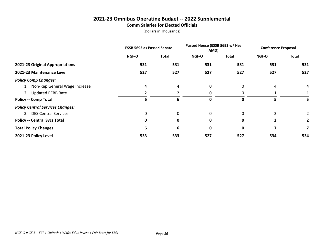#### **2021-23 Omnibus Operating Budget -- 2022 Supplemental Comm Salaries for Elected Officials**

|                                         | <b>ESSB 5693 as Passed Senate</b> |              | Passed House (ESSB 5693 w/ Hse<br>AMD) |              | <b>Conference Proposal</b> |              |
|-----------------------------------------|-----------------------------------|--------------|----------------------------------------|--------------|----------------------------|--------------|
|                                         | <b>NGF-O</b>                      | Total        | <b>NGF-O</b>                           | Total        | <b>NGF-O</b>               | Total        |
| 2021-23 Original Appropriations         | 531                               | 531          | 531                                    | 531          | 531                        | 531          |
| 2021-23 Maintenance Level               | 527                               | 527          | 527                                    | 527          | 527                        | 527          |
| <b>Policy Comp Changes:</b>             |                                   |              |                                        |              |                            |              |
| 1. Non-Rep General Wage Increase        | 4                                 | 4            | 0                                      | 0            | 4                          | 4            |
| 2. Updated PEBB Rate                    |                                   |              | 0                                      | $\Omega$     |                            |              |
| <b>Policy -- Comp Total</b>             | 6                                 | 6            | 0                                      | $\mathbf{0}$ | 5.                         | 5            |
| <b>Policy Central Services Changes:</b> |                                   |              |                                        |              |                            |              |
| 3. DES Central Services                 | 0                                 | 0            | 0                                      | 0            |                            |              |
| <b>Policy -- Central Svcs Total</b>     | 0                                 | $\mathbf{0}$ | O                                      | 0            | 2                          | $\mathbf{2}$ |
| <b>Total Policy Changes</b>             | 6                                 | 6            | 0                                      | 0            | 7                          |              |
| 2021-23 Policy Level                    | 533                               | 533          | 527                                    | 527          | 534                        | 534          |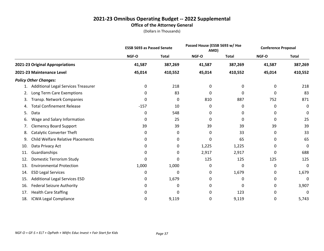#### **2021-23 Omnibus Operating Budget -- 2022 Supplemental Office of the Attorney General**

|     |                                          | <b>ESSB 5693 as Passed Senate</b> |              | Passed House (ESSB 5693 w/ Hse<br>AMD) |              | <b>Conference Proposal</b> |              |
|-----|------------------------------------------|-----------------------------------|--------------|----------------------------------------|--------------|----------------------------|--------------|
|     |                                          | NGF-O                             | <b>Total</b> | NGF-O                                  | <b>Total</b> | NGF-O                      | <b>Total</b> |
|     | 2021-23 Original Appropriations          | 41,587                            | 387,269      | 41,587                                 | 387,269      | 41,587                     | 387,269      |
|     | 2021-23 Maintenance Level                | 45,014                            | 410,552      | 45,014                                 | 410,552      | 45,014                     | 410,552      |
|     | <b>Policy Other Changes:</b>             |                                   |              |                                        |              |                            |              |
| 1.  | Additional Legal Services Treasurer      | 0                                 | 218          | 0                                      | 0            | 0                          | 218          |
| 2.  | Long Term Care Exemptions                | 0                                 | 83           | 0                                      | 0            | 0                          | 83           |
| 3.  | Transp. Network Companies                | 0                                 | 0            | 810                                    | 887          | 752                        | 871          |
| 4.  | <b>Total Confinement Release</b>         | $-157$                            | 10           | 0                                      | 0            | 0                          | 0            |
| 5.  | Data                                     | 0                                 | 548          | 0                                      | 0            | 0                          | 0            |
| 6.  | Wage and Salary Information              | 0                                 | 25           | 0                                      | 0            | 0                          | 25           |
| 7.  | <b>Clemency Board Support</b>            | 39                                | 39           | 39                                     | 39           | 39                         | 39           |
| 8.  | <b>Catalytic Converter Theft</b>         | 0                                 | 0            | 0                                      | 33           | 0                          | 33           |
| 9.  | <b>Child Welfare Relative Placements</b> | 0                                 | 0            | 0                                      | 65           | 0                          | 65           |
| 10. | Data Privacy Act                         | 0                                 | 0            | 1,225                                  | 1,225        | 0                          | 0            |
| 11. | Guardianships                            | 0                                 | 0            | 2,917                                  | 2,917        | 0                          | 688          |
| 12. | Domestic Terrorism Study                 | 0                                 | 0            | 125                                    | 125          | 125                        | 125          |
| 13. | <b>Environmental Protection</b>          | 1,000                             | 1,000        | 0                                      | 0            | 0                          | 0            |
| 14. | <b>ESD Legal Services</b>                | 0                                 | 0            | 0                                      | 1,679        | 0                          | 1,679        |
| 15. | <b>Additional Legal Services ESD</b>     | 0                                 | 1,679        | 0                                      | 0            | 0                          | 0            |
| 16. | <b>Federal Seizure Authority</b>         | 0                                 | 0            | 0                                      | 0            | 0                          | 3,907        |
| 17. | <b>Health Care Staffing</b>              | O                                 | 0            | 0                                      | 123          | 0                          | 0            |
| 18. | <b>ICWA Legal Compliance</b>             | 0                                 | 9,119        | 0                                      | 9,119        | 0                          | 5,743        |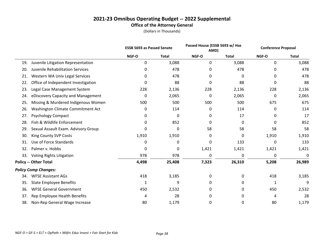#### **2021-23 Omnibus Operating Budget -- 2022 Supplemental Office of the Attorney General**

|     |                                     | <b>ESSB 5693 as Passed Senate</b> |              | Passed House (ESSB 5693 w/ Hse<br>AMD) |              | <b>Conference Proposal</b> |              |  |
|-----|-------------------------------------|-----------------------------------|--------------|----------------------------------------|--------------|----------------------------|--------------|--|
|     |                                     | NGF-O                             | <b>Total</b> | NGF-O                                  | <b>Total</b> | NGF-O                      | <b>Total</b> |  |
| 19. | Juvenile Litigation Representation  | 0                                 | 3,088        | 0                                      | 3,088        | 0                          | 3,088        |  |
| 20. | Juvenile Rehabilitation Services    | 0                                 | 478          | 0                                      | 478          | 0                          | 478          |  |
| 21. | Western WA Univ Legal Services      | 0                                 | 478          | 0                                      | 0            | 0                          | 478          |  |
| 22. | Office of Independent Investigation | 0                                 | 88           | 0                                      | 88           | 0                          | 88           |  |
| 23. | Legal Case Management System        | 228                               | 2,136        | 228                                    | 2,136        | 228                        | 2,136        |  |
| 24. | eDiscovery Capacity and Management  | 0                                 | 2,065        | 0                                      | 2,065        | 0                          | 2,065        |  |
| 25. | Missing & Murdered Indigenous Women | 500                               | 500          | 500                                    | 500          | 675                        | 675          |  |
| 26. | Washington Climate Commitment Act   | 0                                 | 114          | 0                                      | 114          | 0                          | 114          |  |
| 27. | <b>Psychology Compact</b>           | 0                                 | 0            | 0                                      | 17           | 0                          | 17           |  |
| 28. | Fish & Wildlife Enforcement         | 0                                 | 852          | 0                                      | $\mathbf{0}$ | 0                          | 852          |  |
| 29. | Sexual Assault Exam. Advisory Group | 0                                 | 0            | 58                                     | 58           | 58                         | 58           |  |
| 30. | King County SVP Costs               | 1,910                             | 1,910        | 0                                      | 0            | 1,910                      | 1,910        |  |
| 31. | Use of Force Standards              | 0                                 | 0            | 0                                      | 133          | 0                          | 133          |  |
| 32. | Palmer v. Hobbs                     | 0                                 | 0            | 1,421                                  | 1,421        | 1,421                      | 1,421        |  |
| 33. | Voting Rights Litigation            | 978                               | 978          | 0                                      | 0            | 0                          | 0            |  |
|     | <b>Policy -- Other Total</b>        | 4,498                             | 25,408       | 7,323                                  | 26,310       | 5,208                      | 26,989       |  |
|     | <b>Policy Comp Changes:</b>         |                                   |              |                                        |              |                            |              |  |
| 34. | <b>WFSE Assistant AGs</b>           | 418                               | 3,185        | 0                                      | 0            | 418                        | 3,185        |  |
| 35. | <b>State Employee Benefits</b>      | 1                                 | 9            | 0                                      | 0            | 1                          | 9            |  |
| 36. | <b>WFSE General Government</b>      | 450                               | 2,532        | 0                                      | 0            | 450                        | 2,532        |  |
| 37. | Rep Employee Health Benefits        | 4                                 | 28           | 0                                      | 0            | 4                          | 28           |  |
| 38. | Non-Rep General Wage Increase       | 80                                | 1,179        | 0                                      | 0            | 80                         | 1,179        |  |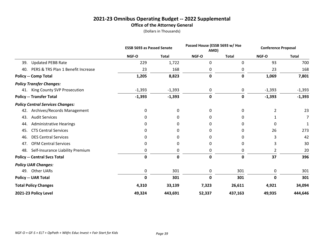#### **2021-23 Omnibus Operating Budget -- 2022 Supplemental Office of the Attorney General**

|                                           | <b>ESSB 5693 as Passed Senate</b> |              | Passed House (ESSB 5693 w/ Hse<br>AMD) |              |                | <b>Conference Proposal</b> |  |
|-------------------------------------------|-----------------------------------|--------------|----------------------------------------|--------------|----------------|----------------------------|--|
|                                           | NGF-O                             | <b>Total</b> | NGF-O                                  | <b>Total</b> | NGF-O          | <b>Total</b>               |  |
| <b>Updated PEBB Rate</b><br>39.           | 229                               | 1,722        | 0                                      | 0            | 93             | 700                        |  |
| PERS & TRS Plan 1 Benefit Increase<br>40. | 23                                | 168          | 0                                      | 0            | 23             | 168                        |  |
| <b>Policy -- Comp Total</b>               | 1,205                             | 8,823        | $\pmb{0}$                              | $\pmb{0}$    | 1,069          | 7,801                      |  |
| <b>Policy Transfer Changes:</b>           |                                   |              |                                        |              |                |                            |  |
| King County SVP Prosecution<br>41.        | $-1,393$                          | $-1,393$     | 0                                      | 0            | $-1,393$       | $-1,393$                   |  |
| <b>Policy -- Transfer Total</b>           | $-1,393$                          | $-1,393$     | $\mathbf 0$                            | $\pmb{0}$    | $-1,393$       | $-1,393$                   |  |
| <b>Policy Central Services Changes:</b>   |                                   |              |                                        |              |                |                            |  |
| Archives/Records Management<br>42.        | 0                                 | 0            | $\mathbf{0}$                           | 0            | $\overline{2}$ | 23                         |  |
| <b>Audit Services</b><br>43.              | 0                                 | 0            | 0                                      | 0            |                | 7                          |  |
| <b>Administrative Hearings</b><br>44.     | 0                                 | 0            | 0                                      | 0            | 0              |                            |  |
| <b>CTS Central Services</b><br>45.        | 0                                 | 0            | 0                                      | 0            | 26             | 273                        |  |
| <b>DES Central Services</b><br>46.        | 0                                 | 0            | 0                                      | 0            | 3              | 42                         |  |
| <b>OFM Central Services</b><br>47.        | 0                                 | 0            | 0                                      | 0            | 3              | 30                         |  |
| Self-Insurance Liability Premium<br>48.   | 0                                 | 0            | 0                                      | 0            | $\overline{2}$ | 20                         |  |
| <b>Policy -- Central Svcs Total</b>       | $\mathbf 0$                       | $\mathbf 0$  | $\mathbf 0$                            | $\mathbf 0$  | 37             | 396                        |  |
| <b>Policy UAR Changes:</b>                |                                   |              |                                        |              |                |                            |  |
| Other UARs<br>49.                         | 0                                 | 301          | $\mathbf 0$                            | 301          | 0              | 301                        |  |
| <b>Policy -- UAR Total</b>                | 0                                 | 301          | $\mathbf 0$                            | 301          | $\mathbf 0$    | 301                        |  |
| <b>Total Policy Changes</b>               | 4,310                             | 33,139       | 7,323                                  | 26,611       | 4,921          | 34,094                     |  |
| 2021-23 Policy Level                      | 49,324                            | 443,691      | 52,337                                 | 437,163      | 49,935         | 444,646                    |  |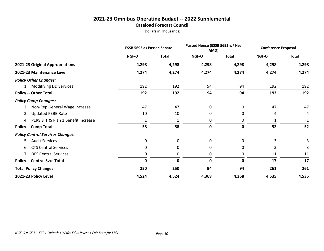#### **2021-23 Omnibus Operating Budget -- 2022 Supplemental Caseload Forecast Council**

|                                         | <b>ESSB 5693 as Passed Senate</b> |              | Passed House (ESSB 5693 w/ Hse<br>AMD) |              | <b>Conference Proposal</b> |              |
|-----------------------------------------|-----------------------------------|--------------|----------------------------------------|--------------|----------------------------|--------------|
|                                         | NGF-O                             | <b>Total</b> | NGF-O                                  | <b>Total</b> | NGF-O                      | <b>Total</b> |
| 2021-23 Original Appropriations         | 4,298                             | 4,298        | 4,298                                  | 4,298        | 4,298                      | 4,298        |
| 2021-23 Maintenance Level               | 4,274                             | 4,274        | 4,274                                  | 4,274        | 4,274                      | 4,274        |
| <b>Policy Other Changes:</b>            |                                   |              |                                        |              |                            |              |
| 1. Modifiying DD Services               | 192                               | 192          | 94                                     | 94           | 192                        | 192          |
| <b>Policy -- Other Total</b>            | 192                               | 192          | 94                                     | 94           | 192                        | 192          |
| <b>Policy Comp Changes:</b>             |                                   |              |                                        |              |                            |              |
| Non-Rep General Wage Increase<br>2.     | 47                                | 47           | 0                                      | 0            | 47                         | 47           |
| <b>Updated PEBB Rate</b><br>3.          | 10                                | 10           | 0                                      | 0            | 4                          | 4            |
| 4. PERS & TRS Plan 1 Benefit Increase   | 1                                 | 1            | 0                                      | 0            |                            |              |
| <b>Policy -- Comp Total</b>             | 58                                | 58           | $\mathbf 0$                            | $\mathbf 0$  | 52                         | 52           |
| <b>Policy Central Services Changes:</b> |                                   |              |                                        |              |                            |              |
| <b>Audit Services</b><br>5.             | 0                                 | 0            | 0                                      | 0            | 3                          | 3            |
| <b>CTS Central Services</b><br>6.       | 0                                 | 0            | 0                                      | 0            | 3                          |              |
| 7. DES Central Services                 | 0                                 | 0            | 0                                      | 0            | 11                         | 11           |
| <b>Policy -- Central Svcs Total</b>     | 0                                 | 0            | 0                                      | 0            | 17                         | 17           |
| <b>Total Policy Changes</b>             | 250                               | 250          | 94                                     | 94           | 261                        | 261          |
| 2021-23 Policy Level                    | 4,524                             | 4,524        | 4,368                                  | 4,368        | 4,535                      | 4,535        |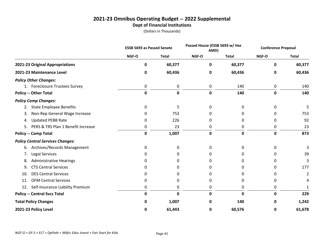#### **2021-23 Omnibus Operating Budget -- 2022 Supplemental Dept of Financial Institutions**

|                                          | <b>ESSB 5693 as Passed Senate</b> |              |             | Passed House (ESSB 5693 w/ Hse<br>AMD) |       | <b>Conference Proposal</b> |
|------------------------------------------|-----------------------------------|--------------|-------------|----------------------------------------|-------|----------------------------|
|                                          | NGF-O                             | <b>Total</b> | NGF-O       | <b>Total</b>                           | NGF-O | <b>Total</b>               |
| 2021-23 Original Appropriations          | 0                                 | 60,377       | 0           | 60,377                                 | 0     | 60,377                     |
| 2021-23 Maintenance Level                | 0                                 | 60,436       | 0           | 60,436                                 | 0     | 60,436                     |
| <b>Policy Other Changes:</b>             |                                   |              |             |                                        |       |                            |
| 1. Foreclosure Trustees Survey           | 0                                 | 0            | 0           | 140                                    | 0     | 140                        |
| <b>Policy -- Other Total</b>             | $\mathbf 0$                       | $\mathbf 0$  | $\mathbf 0$ | 140                                    | 0     | 140                        |
| <b>Policy Comp Changes:</b>              |                                   |              |             |                                        |       |                            |
| <b>State Employee Benefits</b><br>2.     | 0                                 | 5            | 0           | 0                                      | 0     | 5                          |
| Non-Rep General Wage Increase<br>3.      | 0                                 | 753          | 0           | 0                                      | 0     | 753                        |
| <b>Updated PEBB Rate</b><br>4.           | 0                                 | 226          | 0           | 0                                      | 0     | 92                         |
| PERS & TRS Plan 1 Benefit Increase<br>5. | 0                                 | 23           | 0           | 0                                      | 0     | 23                         |
| <b>Policy -- Comp Total</b>              | $\mathbf 0$                       | 1,007        | $\mathbf 0$ | 0                                      | 0     | 873                        |
| <b>Policy Central Services Changes:</b>  |                                   |              |             |                                        |       |                            |
| Archives/Records Management<br>6.        | 0                                 | 0            | 0           | 0                                      | 0     |                            |
| Legal Services<br>7.                     | 0                                 | 0            | 0           | 0                                      | 0     | 39                         |
| <b>Administrative Hearings</b><br>8.     | 0                                 | 0            | O           | 0                                      |       | 3                          |
| <b>CTS Central Services</b><br>9.        | 0                                 | 0            | O           | 0                                      | 0     | 177                        |
| <b>DES Central Services</b><br>10.       | 0                                 | 0            | O           | 0                                      | ŋ     | 2                          |
| <b>OFM Central Services</b><br>11.       | 0                                 | 0            | 0           | 0                                      | 0     | 4                          |
| Self-Insurance Liability Premium<br>12.  | 0                                 | 0            | 0           | 0                                      | 0     |                            |
| <b>Policy -- Central Svcs Total</b>      | 0                                 | 0            | 0           | $\mathbf 0$                            | 0     | 229                        |
| <b>Total Policy Changes</b>              | 0                                 | 1,007        | 0           | 140                                    | 0     | 1,242                      |
| 2021-23 Policy Level                     | 0                                 | 61,443       | 0           | 60,576                                 | 0     | 61,678                     |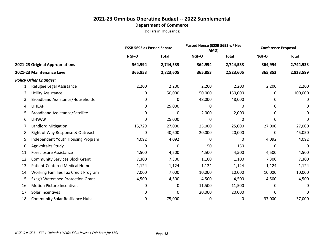|     |                                            | <b>ESSB 5693 as Passed Senate</b> |              | Passed House (ESSB 5693 w/ Hse<br>AMD) |              | <b>Conference Proposal</b> |              |
|-----|--------------------------------------------|-----------------------------------|--------------|----------------------------------------|--------------|----------------------------|--------------|
|     |                                            | NGF-O                             | <b>Total</b> | NGF-O                                  | <b>Total</b> | NGF-O                      | <b>Total</b> |
|     | 2021-23 Original Appropriations            | 364,994                           | 2,744,533    | 364,994                                | 2,744,533    | 364,994                    | 2,744,533    |
|     | 2021-23 Maintenance Level                  | 365,853                           | 2,823,605    | 365,853                                | 2,823,605    | 365,853                    | 2,823,599    |
|     | <b>Policy Other Changes:</b>               |                                   |              |                                        |              |                            |              |
| 1.  | Refugee Legal Assistance                   | 2,200                             | 2,200        | 2,200                                  | 2,200        | 2,200                      | 2,200        |
| 2.  | <b>Utility Assistance</b>                  | 0                                 | 50,000       | 150,000                                | 150,000      | 0                          | 100,000      |
| 3.  | <b>Broadband Assistance/Households</b>     | 0                                 | 0            | 48,000                                 | 48,000       | 0                          | 0            |
| 4.  | <b>LIHEAP</b>                              | 0                                 | 25,000       | 0                                      | 0            | 0                          | 0            |
| 5.  | <b>Broadband Assistance/Satellite</b>      | 0                                 | 0            | 2,000                                  | 2,000        | 0                          | 0            |
| 6.  | <b>LIHWAP</b>                              | 0                                 | 25,000       | 0                                      | 0            | 0                          | 0            |
| 7.  | Landlord Mitigation                        | 15,729                            | 27,000       | 25,000                                 | 25,000       | 27,000                     | 27,000       |
| 8.  | Right of Way Response & Outreach           | 0                                 | 40,600       | 20,000                                 | 20,000       | 0                          | 45,050       |
| 9.  | <b>Independent Youth Housing Program</b>   | 4,092                             | 4,092        | 0                                      | 0            | 4,092                      | 4,092        |
| 10. | <b>Agrivoltaics Study</b>                  | 0                                 | 0            | 150                                    | 150          | 0                          | 0            |
| 11. | <b>Foreclosure Assistance</b>              | 4,500                             | 4,500        | 4,500                                  | 4,500        | 4,500                      | 4,500        |
| 12. | <b>Community Services Block Grant</b>      | 7,300                             | 7,300        | 1,100                                  | 1,100        | 7,300                      | 7,300        |
| 13. | Patient-Centered Medical Home              | 1,124                             | 1,124        | 1,124                                  | 1,124        | 1,124                      | 1,124        |
| 14. | <b>Working Families Tax Credit Program</b> | 7,000                             | 7,000        | 10,000                                 | 10,000       | 10,000                     | 10,000       |
| 15. | <b>Skagit Watershed Protection Grant</b>   | 4,500                             | 4,500        | 4,500                                  | 4,500        | 4,500                      | 4,500        |
| 16. | <b>Motion Picture Incentives</b>           | 0                                 | 0            | 11,500                                 | 11,500       | 0                          | 0            |
| 17. | Solar Incentives                           | 0                                 | 0            | 20,000                                 | 20,000       | 0                          | 0            |
| 18. | <b>Community Solar Resilience Hubs</b>     | 0                                 | 75,000       | 0                                      | 0            | 37,000                     | 37,000       |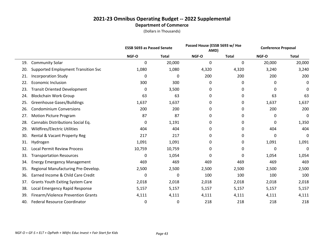|     |                                            | <b>ESSB 5693 as Passed Senate</b> |              | Passed House (ESSB 5693 w/ Hse<br>AMD) |              | <b>Conference Proposal</b> |              |
|-----|--------------------------------------------|-----------------------------------|--------------|----------------------------------------|--------------|----------------------------|--------------|
|     |                                            | NGF-O                             | <b>Total</b> | NGF-O                                  | <b>Total</b> | NGF-O                      | <b>Total</b> |
| 19. | <b>Community Solar</b>                     | 0                                 | 20,000       | 0                                      | 0            | 20,000                     | 20,000       |
| 20. | <b>Supported Employment Transition Svc</b> | 1,080                             | 1,080        | 4,320                                  | 4,320        | 3,240                      | 3,240        |
| 21. | <b>Incorporation Study</b>                 | 0                                 | 0            | 200                                    | 200          | 200                        | 200          |
| 22. | <b>Economic Inclusion</b>                  | 300                               | 300          | 0                                      | 0            | 0                          | 0            |
| 23. | <b>Transit Oriented Development</b>        | 0                                 | 3,500        | 0                                      | 0            | 0                          | 0            |
| 24. | <b>Blockchain Work Group</b>               | 63                                | 63           | 0                                      | 0            | 63                         | 63           |
| 25. | <b>Greenhouse Gases/Buildings</b>          | 1,637                             | 1,637        | 0                                      | 0            | 1,637                      | 1,637        |
| 26. | <b>Condominium Conversions</b>             | 200                               | 200          | 0                                      | 0            | 200                        | 200          |
| 27. | <b>Motion Picture Program</b>              | 87                                | 87           | 0                                      | 0            | 0                          | 0            |
| 28. | Cannabis Distributions Social Eq.          | 0                                 | 1,191        | 0                                      | 0            | 0                          | 1,350        |
| 29. | Wildfires/Electric Utilities               | 404                               | 404          | 0                                      | 0            | 404                        | 404          |
| 30. | Rental & Vacant Property Reg               | 217                               | 217          | 0                                      | 0            | 0                          | 0            |
| 31. | Hydrogen                                   | 1,091                             | 1,091        | 0                                      | 0            | 1,091                      | 1,091        |
| 32. | <b>Local Permit Review Process</b>         | 10,759                            | 10,759       | 0                                      | 0            | 0                          | 0            |
| 33. | <b>Transportation Resources</b>            | 0                                 | 1,054        | 0                                      | 0            | 1,054                      | 1,054        |
| 34. | <b>Energy Emergency Management</b>         | 469                               | 469          | 469                                    | 469          | 469                        | 469          |
| 35. | Regional Manufacturing Pre-Develop.        | 2,500                             | 2,500        | 2,500                                  | 2,500        | 2,500                      | 2,500        |
| 36. | Earned Income & Child Care Credit          | 0                                 | 0            | 100                                    | 100          | 100                        | 100          |
| 37. | <b>Grants Youth Exiting System Care</b>    | 2,018                             | 2,018        | 2,018                                  | 2,018        | 2,018                      | 2,018        |
| 38. | Local Emergency Rapid Response             | 5,157                             | 5,157        | 5,157                                  | 5,157        | 5,157                      | 5,157        |
| 39. | Firearm/Violence Prevention Grants         | 4,111                             | 4,111        | 4,111                                  | 4,111        | 4,111                      | 4,111        |
| 40. | <b>Federal Resource Coordinator</b>        | 0                                 | 0            | 218                                    | 218          | 218                        | 218          |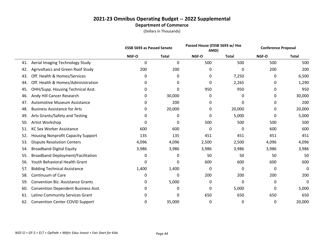|     |                                           |       | Passed House (ESSB 5693 w/ Hse<br><b>ESSB 5693 as Passed Senate</b><br>AMD) |       | <b>Conference Proposal</b> |       |              |
|-----|-------------------------------------------|-------|-----------------------------------------------------------------------------|-------|----------------------------|-------|--------------|
|     |                                           | NGF-O | <b>Total</b>                                                                | NGF-O | Total                      | NGF-O | <b>Total</b> |
| 41. | Aerial Imaging Technology Study           | 0     | 0                                                                           | 500   | 500                        | 500   | 500          |
| 42. | Agrivoltaics and Green Roof Study         | 200   | 200                                                                         | 0     | 0                          | 200   | 200          |
| 43. | Off. Health & Homes/Services              | 0     | 0                                                                           | 0     | 7,250                      | 0     | 6,500        |
| 44. | Off. Health & Homes/Administration        | 0     | 0                                                                           | 0     | 2,265                      | 0     | 1,290        |
| 45. | OHH/Supp. Housing Technical Asst.         | 0     | 0                                                                           | 950   | 950                        | 0     | 950          |
| 46. | Andy Hill Cancer Research                 | 0     | 30,000                                                                      | 0     | 0                          | 0     | 30,000       |
| 47. | <b>Automotive Museum Assistance</b>       | 0     | 200                                                                         | 0     | 0                          | 0     | 200          |
| 48. | <b>Business Assistance for Arts</b>       | 0     | 20,000                                                                      | 0     | 20,000                     | 0     | 20,000       |
| 49. | Arts Grants/Safety and Testing            | 0     | 0                                                                           | 0     | 5,000                      | 0     | 5,000        |
| 50. | Artist Workshop                           | 0     | 0                                                                           | 500   | 500                        | 500   | 500          |
| 51. | <b>KC Sex Worker Assistance</b>           | 600   | 600                                                                         | 0     | 0                          | 600   | 600          |
| 52. | <b>Housing Nonprofit Capacity Support</b> | 135   | 135                                                                         | 451   | 451                        | 451   | 451          |
| 53. | <b>Dispute Resolution Centers</b>         | 4,096 | 4,096                                                                       | 2,500 | 2,500                      | 4,096 | 4,096        |
| 54. | <b>Broadband Digital Equity</b>           | 3,986 | 3,986                                                                       | 3,986 | 3,986                      | 3,986 | 3,986        |
| 55. | <b>Broadband Deployment/Facilitation</b>  | 0     | 0                                                                           | 50    | 50                         | 50    | 50           |
| 56. | Youth Behavioral Health Grant             | 0     | 0                                                                           | 600   | 600                        | 600   | 600          |
| 57. | <b>Bidding Technical Assistance</b>       | 1,400 | 1,400                                                                       | 0     | 0                          | 0     | 0            |
| 58. | Continuum of Care                         | 0     | 0                                                                           | 200   | 200                        | 200   | 200          |
| 59. | <b>Convention Biz. Assistance Grants</b>  | 0     | 5,000                                                                       | 0     | 0                          | 0     | 0            |
| 60. | Convention Dependent Business Asst.       | 0     | 0                                                                           | 0     | 5,000                      | 0     | 5,000        |
| 61. | Latino Community Services Grant           | 0     | 0                                                                           | 650   | 650                        | 650   | 650          |
| 62. | <b>Convention Center COVID Support</b>    | 0     | 35,000                                                                      | 0     | 0                          | 0     | 20,000       |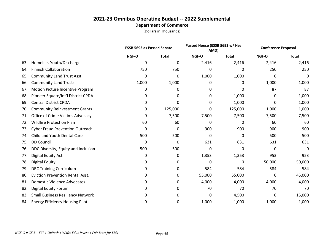|     |                                          | <b>ESSB 5693 as Passed Senate</b> |              | Passed House (ESSB 5693 w/ Hse<br>AMD) |              | <b>Conference Proposal</b> |              |
|-----|------------------------------------------|-----------------------------------|--------------|----------------------------------------|--------------|----------------------------|--------------|
|     |                                          | NGF-O                             | <b>Total</b> | NGF-O                                  | <b>Total</b> | NGF-O                      | <b>Total</b> |
| 63. | Homeless Youth/Discharge                 | 0                                 | 0            | 2,416                                  | 2,416        | 2,416                      | 2,416        |
| 64. | <b>Finnish Collaboration</b>             | 750                               | 750          | 0                                      | 0            | 250                        | 250          |
| 65. | <b>Community Land Trust Asst.</b>        | 0                                 | 0            | 1,000                                  | 1,000        | 0                          | 0            |
| 66. | <b>Community Land Trusts</b>             | 1,000                             | 1,000        | 0                                      | 0            | 1,000                      | 1,000        |
| 67. | Motion Picture Incentive Program         | 0                                 | 0            | 0                                      | 0            | 87                         | 87           |
| 68. | Pioneer Square/Int'l District CPDA       | 0                                 | 0            | 0                                      | 1,000        | 0                          | 1,000        |
| 69. | <b>Central District CPDA</b>             | 0                                 | 0            | 0                                      | 1,000        | 0                          | 1,000        |
| 70. | <b>Community Reinvestment Grants</b>     | 0                                 | 125,000      | 0                                      | 125,000      | 1,000                      | 1,000        |
| 71. | Office of Crime Victims Advocacy         | 0                                 | 7,500        | 7,500                                  | 7,500        | 7,500                      | 7,500        |
| 72. | <b>Wildfire Protection Plan</b>          | 60                                | 60           | 0                                      | 0            | 60                         | 60           |
| 73. | <b>Cyber Fraud Prevention Outreach</b>   | 0                                 | 0            | 900                                    | 900          | 900                        | 900          |
| 74. | Child and Youth Dental Care              | 500                               | 500          | 0                                      | 0            | 500                        | 500          |
| 75. | <b>DD Council</b>                        | 0                                 | 0            | 631                                    | 631          | 631                        | 631          |
| 76. | DDC Diversity, Equity and Inclusion      | 500                               | 500          | 0                                      | 0            | 0                          | 0            |
| 77. | Digital Equity Act                       | 0                                 | 0            | 1,353                                  | 1,353        | 953                        | 953          |
| 78. | <b>Digital Equity</b>                    | 0                                 | 0            | 0                                      | 0            | 50,000                     | 50,000       |
| 79. | <b>DRC Training Curriculum</b>           | 0                                 | 0            | 584                                    | 584          | 584                        | 584          |
| 80. | <b>Eviction Prevention Rental Asst.</b>  | 0                                 | 0            | 55,000                                 | 55,000       | 0                          | 45,000       |
| 81. | <b>Domestic Violence Advocates</b>       | 0                                 | 0            | 4,000                                  | 4,000        | 4,000                      | 4,000        |
| 82. | <b>Digital Equity Forum</b>              | 0                                 | 0            | 70                                     | 70           | 70                         | 70           |
| 83. | <b>Small Business Resiliency Network</b> | 0                                 | 0            | 0                                      | 4,500        | 0                          | 15,000       |
| 84. | <b>Energy Efficiency Housing Pilot</b>   | 0                                 | 0            | 1,000                                  | 1,000        | 1,000                      | 1,000        |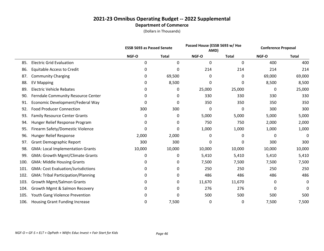|      |                                           | <b>ESSB 5693 as Passed Senate</b> |              | Passed House (ESSB 5693 w/ Hse<br>AMD) |              | <b>Conference Proposal</b> |              |
|------|-------------------------------------------|-----------------------------------|--------------|----------------------------------------|--------------|----------------------------|--------------|
|      |                                           | NGF-O                             | <b>Total</b> | NGF-O                                  | <b>Total</b> | NGF-O                      | <b>Total</b> |
| 85.  | <b>Electric Grid Evaluation</b>           | 0                                 | 0            | 0                                      | $\mathbf{0}$ | 400                        | 400          |
| 86.  | <b>Equitable Access to Credit</b>         | 0                                 | 0            | 214                                    | 214          | 214                        | 214          |
| 87.  | <b>Community Charging</b>                 | 0                                 | 69,500       | 0                                      | 0            | 69,000                     | 69,000       |
| 88.  | <b>EV Mapping</b>                         | 0                                 | 8,500        | 0                                      | 0            | 8,500                      | 8,500        |
| 89.  | <b>Electric Vehicle Rebates</b>           | 0                                 | 0            | 25,000                                 | 25,000       | 0                          | 25,000       |
| 90.  | Ferndale Community Resource Center        | 0                                 | 0            | 330                                    | 330          | 330                        | 330          |
| 91.  | Economic Development/Federal Way          | 0                                 | 0            | 350                                    | 350          | 350                        | 350          |
| 92.  | <b>Food Producer Connection</b>           | 300                               | 300          | 0                                      | 0            | 300                        | 300          |
| 93.  | <b>Family Resource Center Grants</b>      | 0                                 | 0            | 5,000                                  | 5,000        | 5,000                      | 5,000        |
| 94.  | Hunger Relief Response Program            | 0                                 | 0            | 750                                    | 750          | 2,000                      | 2,000        |
| 95.  | Firearm Safety/Domestic Violence          | 0                                 | 0            | 1,000                                  | 1,000        | 1,000                      | 1,000        |
| 96.  | Hunger Relief Response                    | 2,000                             | 2,000        | 0                                      | 0            | 0                          | 0            |
| 97.  | <b>Grant Demographic Report</b>           | 300                               | 300          | 0                                      | 0            | 300                        | 300          |
| 98.  | <b>GMA: Local Implementation Grants</b>   | 10,000                            | 10,000       | 10,000                                 | 10,000       | 10,000                     | 10,000       |
| 99.  | <b>GMA: Growth Mgmt/Climate Grants</b>    | 0                                 | 0            | 5,410                                  | 5,410        | 5,410                      | 5,410        |
| 100. | <b>GMA: Middle Housing Grants</b>         | 0                                 | 0            | 7,500                                  | 7,500        | 7,500                      | 7,500        |
| 101. | <b>GMA: Cost Evaluation/Jurisdictions</b> | 0                                 | 0            | 250                                    | 250          | 250                        | 250          |
| 102. | <b>GMA: Tribal Participation/Planning</b> | 0                                 | 0            | 486                                    | 486          | 486                        | 486          |
| 103. | <b>Growth Mgmt/Salmon Grants</b>          | 0                                 | 0            | 11,670                                 | 11,670       | 0                          | 0            |
| 104. | Growth Mgmt & Salmon Recovery             | 0                                 | 0            | 276                                    | 276          | 0                          | 0            |
| 105. | Youth Gang Violence Prevention            | 0                                 | 0            | 500                                    | 500          | 500                        | 500          |
| 106. | <b>Housing Grant Funding Increase</b>     | 0                                 | 7,500        | 0                                      | 0            | 7,500                      | 7,500        |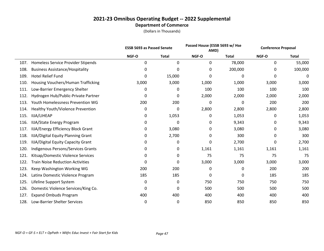|      |                                           |       | Passed House (ESSB 5693 w/ Hse<br><b>ESSB 5693 as Passed Senate</b><br>AMD) |       | <b>Conference Proposal</b> |       |              |
|------|-------------------------------------------|-------|-----------------------------------------------------------------------------|-------|----------------------------|-------|--------------|
|      |                                           | NGF-O | <b>Total</b>                                                                | NGF-O | <b>Total</b>               | NGF-O | <b>Total</b> |
| 107. | <b>Homeless Service Provider Stipends</b> | 0     | 0                                                                           | 0     | 78,000                     | 0     | 55,000       |
| 108. | <b>Business Assistance/Hospitality</b>    | 0     | 0                                                                           | 0     | 200,000                    | 0     | 100,000      |
| 109. | <b>Hotel Relief Fund</b>                  | 0     | 15,000                                                                      | 0     | 0                          | 0     | 0            |
| 110. | Housing Vouchers/Human Trafficking        | 3,000 | 3,000                                                                       | 1,000 | 1,000                      | 3,000 | 3,000        |
| 111. | Low-Barrier Emergency Shelter             | 0     | 0                                                                           | 100   | 100                        | 100   | 100          |
| 112. | Hydrogen Hub/Public-Private Partner       | 0     | 0                                                                           | 2,000 | 2,000                      | 2,000 | 2,000        |
| 113. | Youth Homelessness Prevention WG          | 200   | 200                                                                         | 0     | 0                          | 200   | 200          |
| 114. | Healthy Youth/Violence Prevention         | 0     | 0                                                                           | 2,800 | 2,800                      | 2,800 | 2,800        |
| 115. | IIJA/LIHEAP                               | 0     | 1,053                                                                       | 0     | 1,053                      | 0     | 1,053        |
| 116. | <b>IIJA/State Energy Program</b>          | 0     | 0                                                                           | 0     | 9,343                      | 0     | 9,343        |
| 117. | <b>IIJA/Energy Efficiency Block Grant</b> | 0     | 3,080                                                                       | 0     | 3,080                      | 0     | 3,080        |
| 118. | IIJA/Digital Equity Planning Grant        | 0     | 2,700                                                                       | 0     | 300                        | 0     | 300          |
| 119. | <b>IIJA/Digital Equity Capacity Grant</b> | 0     | $\mathbf 0$                                                                 | 0     | 2,700                      | 0     | 2,700        |
| 120. | Indigenous Persons/Services Grants        | 0     | 0                                                                           | 1,161 | 1,161                      | 1,161 | 1,161        |
| 121. | Kitsap/Domestic Violence Services         | 0     | 0                                                                           | 75    | 75                         | 75    | 75           |
| 122. | <b>Train Noise Reduction Activities</b>   | 0     | 0                                                                           | 3,000 | 3,000                      | 3,000 | 3,000        |
| 123. | Keep Washington Working WG                | 200   | 200                                                                         | 0     | 0                          | 200   | 200          |
| 124. | Latinx Domestic Violence Program          | 185   | 185                                                                         | 0     | 0                          | 185   | 185          |
| 125. | Lifeline Support System                   | 0     | 0                                                                           | 750   | 750                        | 750   | 750          |
| 126. | Domestic Violence Services/King Co.       | 0     | 0                                                                           | 500   | 500                        | 500   | 500          |
| 127. | <b>Expand Ombuds Program</b>              | 400   | 400                                                                         | 400   | 400                        | 400   | 400          |
| 128. | Low-Barrier Shelter Services              | 0     | 0                                                                           | 850   | 850                        | 850   | 850          |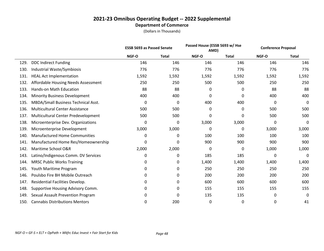|      |                                        | <b>ESSB 5693 as Passed Senate</b> |              | Passed House (ESSB 5693 w/ Hse<br>AMD) |              | <b>Conference Proposal</b> |              |
|------|----------------------------------------|-----------------------------------|--------------|----------------------------------------|--------------|----------------------------|--------------|
|      |                                        | NGF-O                             | <b>Total</b> | NGF-O                                  | <b>Total</b> | NGF-O                      | <b>Total</b> |
| 129. | <b>DDC Indirect Funding</b>            | 146                               | 146          | 146                                    | 146          | 146                        | 146          |
| 130. | Industrial Waste/Symbiosis             | 776                               | 776          | 776                                    | 776          | 776                        | 776          |
| 131. | <b>HEAL Act Implementation</b>         | 1,592                             | 1,592        | 1,592                                  | 1,592        | 1,592                      | 1,592        |
| 132. | Affordable Housing Needs Assessment    | 250                               | 250          | 500                                    | 500          | 250                        | 250          |
| 133. | <b>Hands-on Math Education</b>         | 88                                | 88           | 0                                      | 0            | 88                         | 88           |
| 134. | <b>Minority Business Development</b>   | 400                               | 400          | 0                                      | 0            | 400                        | 400          |
| 135. | MBDA/Small Business Technical Asst.    | 0                                 | 0            | 400                                    | 400          | 0                          | 0            |
| 136. | <b>Multicultural Center Assistance</b> | 500                               | 500          | 0                                      | 0            | 500                        | 500          |
| 137. | Multicultural Center Predevelopment    | 500                               | 500          | 0                                      | 0            | 500                        | 500          |
| 138. | Microenterprise Dev. Organizations     | 0                                 | 0            | 3,000                                  | 3,000        | 0                          | 0            |
| 139. | Microenterprise Development            | 3,000                             | 3,000        | 0                                      | 0            | 3,000                      | 3,000        |
| 140. | <b>Manufactured Home Communities</b>   | 0                                 | 0            | 100                                    | 100          | 100                        | 100          |
| 141. | Manufactured Home Res/Homeownership    | 0                                 | 0            | 900                                    | 900          | 900                        | 900          |
| 142. | Maritime School O&R                    | 2,000                             | 2,000        | 0                                      | 0            | 1,000                      | 1,000        |
| 143. | Latino/Indigenous Comm. DV Services    | 0                                 | 0            | 185                                    | 185          | 0                          | 0            |
| 144. | <b>MRSC Public Works Training</b>      | 0                                 | 0            | 1,400                                  | 1,400        | 1,400                      | 1,400        |
| 145. | Youth Maritime Program                 | 0                                 | 0            | 250                                    | 250          | 250                        | 250          |
| 146. | Poulsbo Fire BH Mobile Outreach        | 0                                 | 0            | 200                                    | 200          | 200                        | 200          |
| 147. | Residential Facilities Develop.        | 0                                 | 0            | 600                                    | 600          | 600                        | 600          |
| 148. | Supportive Housing Advisory Comm.      | 0                                 | 0            | 155                                    | 155          | 155                        | 155          |
| 149. | Sexual Assault Prevention Program      | 0                                 | 0            | 135                                    | 135          | 0                          | 0            |
| 150. | <b>Cannabis Distributions Mentors</b>  | 0                                 | 200          | 0                                      | 0            | 0                          | 41           |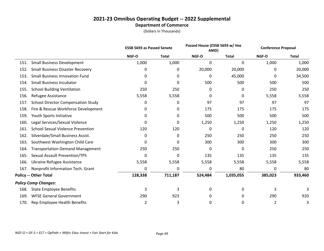|      |                                           | <b>ESSB 5693 as Passed Senate</b> |              | Passed House (ESSB 5693 w/ Hse<br>AMD) |              | <b>Conference Proposal</b> |              |
|------|-------------------------------------------|-----------------------------------|--------------|----------------------------------------|--------------|----------------------------|--------------|
|      |                                           | NGF-O                             | <b>Total</b> | NGF-O                                  | <b>Total</b> | NGF-O                      | <b>Total</b> |
| 151. | <b>Small Business Development</b>         | 1,000                             | 1,000        | 0                                      | 0            | 1,000                      | 1,000        |
| 152. | <b>Small Business Disaster Recovery</b>   | 0                                 | 0            | 20,000                                 | 20,000       | 0                          | 20,000       |
| 153. | <b>Small Business Innovation Fund</b>     | 0                                 | 0            | 0                                      | 45,000       | 0                          | 34,500       |
| 154. | <b>Small Business Incubator</b>           | 0                                 | 0            | 500                                    | 500          | 500                        | 500          |
| 155. | <b>School Building Ventilation</b>        | 250                               | 250          | 0                                      | 0            | 250                        | 250          |
| 156. | Refugee Assistance                        | 5,558                             | 5,558        | 0                                      | 0            | 5,558                      | 5,558        |
| 157. | <b>School Director Compensation Study</b> | 0                                 | 0            | 97                                     | 97           | 97                         | 97           |
| 158. | Fire & Rescue Workforce Development       | 0                                 | 0            | 175                                    | 175          | 175                        | 175          |
| 159. | Youth Sports Initiative                   | 0                                 | 0            | 500                                    | 500          | 500                        | 500          |
| 160. | Legal Services/Sexual Violence            | 0                                 | 0            | 1,250                                  | 1,250        | 1,250                      | 1,250        |
| 161. | <b>School Sexual Violence Prevention</b>  | 120                               | 120          | 0                                      | 0            | 120                        | 120          |
| 162. | Silverdale/Small Business Assist.         | 0                                 | 0            | 250                                    | 250          | 250                        | 250          |
| 163. | Southwest Washington Child Care           | 0                                 | 0            | 300                                    | 300          | 300                        | 300          |
| 164. | <b>Transportation Demand Management</b>   | 250                               | 250          | 0                                      | $\mathbf{0}$ | 250                        | 250          |
| 165. | <b>Sexual Assault Prevention/TPS</b>      | 0                                 | 0            | 135                                    | 135          | 135                        | 135          |
| 166. | Ukraine Refugee Assistance                | 5,558                             | 5,558        | 5,558                                  | 5,558        | 5,558                      | 5,558        |
| 167. | Nonprofit Information Tech. Grant         | 0                                 | 0            | 0                                      | 80           | 0                          | 80           |
|      | <b>Policy -- Other Total</b>              | 128,338                           | 711,187      | 524,484                                | 1,035,055    | 385,023                    | 933,460      |
|      | <b>Policy Comp Changes:</b>               |                                   |              |                                        |              |                            |              |
| 168. | <b>State Employee Benefits</b>            | 3                                 | 3            | 0                                      | 0            | 3                          | 3            |
| 169. | <b>WFSE General Government</b>            | 290                               | 923          | 0                                      | 0            | 290                        | 920          |
| 170. | Rep Employee Health Benefits              | $\overline{2}$                    | 3            | 0                                      | 0            | $\overline{2}$             | 3            |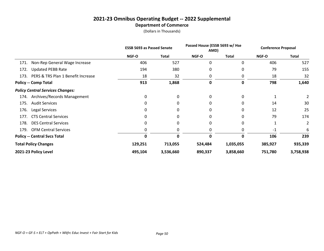|      |                                         | <b>ESSB 5693 as Passed Senate</b> |           | Passed House (ESSB 5693 w/ Hse<br>AMD) |              | <b>Conference Proposal</b> |              |  |
|------|-----------------------------------------|-----------------------------------|-----------|----------------------------------------|--------------|----------------------------|--------------|--|
|      |                                         | <b>NGF-O</b>                      | Total     | <b>NGF-O</b>                           | <b>Total</b> | <b>NGF-O</b>               | <b>Total</b> |  |
| 171. | Non-Rep General Wage Increase           | 406                               | 527       | 0                                      | 0            | 406                        | 527          |  |
| 172. | <b>Updated PEBB Rate</b>                | 194                               | 380       | 0                                      | 0            | 79                         | 155          |  |
| 173. | PERS & TRS Plan 1 Benefit Increase      | 18                                | 32        | 0                                      | 0            | 18                         | 32           |  |
|      | <b>Policy -- Comp Total</b>             | 913                               | 1,868     | 0                                      | 0            | 798                        | 1,640        |  |
|      | <b>Policy Central Services Changes:</b> |                                   |           |                                        |              |                            |              |  |
| 174. | Archives/Records Management             | 0                                 | 0         | 0                                      | 0            |                            |              |  |
| 175. | <b>Audit Services</b>                   | 0                                 | 0         | 0                                      | 0            | 14                         | 30           |  |
| 176. | Legal Services                          | 0                                 | 0         | 0                                      | 0            | 12                         | 25           |  |
| 177. | <b>CTS Central Services</b>             | 0                                 | 0         | 0                                      | 0            | 79                         | 174          |  |
| 178. | <b>DES Central Services</b>             | 0                                 | 0         | 0                                      | 0            |                            | 2            |  |
| 179. | <b>OFM Central Services</b>             | 0                                 | Ω         | 0                                      | 0            | $-1$                       | 6            |  |
|      | <b>Policy -- Central Svcs Total</b>     | 0                                 | 0         | 0                                      | O            | 106                        | 239          |  |
|      | <b>Total Policy Changes</b>             | 129,251                           | 713,055   | 524,484                                | 1,035,055    | 385,927                    | 935,339      |  |
|      | 2021-23 Policy Level                    | 495,104                           | 3,536,660 | 890,337                                | 3,858,660    | 751,780                    | 3,758,938    |  |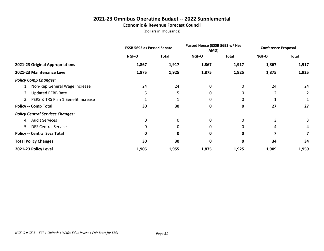# **2021-23 Omnibus Operating Budget -- 2022 Supplemental**

**Economic & Revenue Forecast Council**

|                                         | <b>ESSB 5693 as Passed Senate</b> |       | Passed House (ESSB 5693 w/ Hse<br>AMD) |              | <b>Conference Proposal</b> |              |
|-----------------------------------------|-----------------------------------|-------|----------------------------------------|--------------|----------------------------|--------------|
|                                         | NGF-O                             | Total | NGF-O                                  | <b>Total</b> | NGF-O                      | <b>Total</b> |
| 2021-23 Original Appropriations         | 1,867                             | 1,917 | 1,867                                  | 1,917        | 1,867                      | 1,917        |
| 2021-23 Maintenance Level               | 1,875                             | 1,925 | 1,875                                  | 1,925        | 1,875                      | 1,925        |
| <b>Policy Comp Changes:</b>             |                                   |       |                                        |              |                            |              |
| 1. Non-Rep General Wage Increase        | 24                                | 24    | 0                                      | 0            | 24                         | 24           |
| <b>Updated PEBB Rate</b><br>2.          | 5                                 | 5     | 0                                      | 0            | $\overline{2}$             | 2            |
| 3. PERS & TRS Plan 1 Benefit Increase   |                                   |       | 0                                      | 0            |                            |              |
| <b>Policy -- Comp Total</b>             | 30                                | 30    | 0                                      | 0            | 27                         | 27           |
| <b>Policy Central Services Changes:</b> |                                   |       |                                        |              |                            |              |
| 4. Audit Services                       | 0                                 | 0     | 0                                      | 0            | 3                          | 3            |
| 5. DES Central Services                 | 0                                 | 0     | 0                                      | 0            | 4                          | 4            |
| <b>Policy -- Central Svcs Total</b>     | $\mathbf 0$                       | 0     | 0                                      | 0            | 7                          | 7            |
| <b>Total Policy Changes</b>             | 30                                | 30    | 0                                      | 0            | 34                         | 34           |
| 2021-23 Policy Level                    | 1,905                             | 1,955 | 1,875                                  | 1,925        | 1,909                      | 1,959        |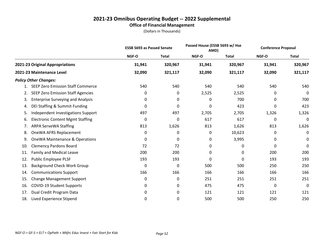#### **2021-23 Omnibus Operating Budget -- 2022 Supplemental Office of Financial Management**

|     |                                           | <b>ESSB 5693 as Passed Senate</b> |              | Passed House (ESSB 5693 w/ Hse<br>AMD) |              | <b>Conference Proposal</b> |              |
|-----|-------------------------------------------|-----------------------------------|--------------|----------------------------------------|--------------|----------------------------|--------------|
|     |                                           | NGF-O                             | <b>Total</b> | NGF-O                                  | <b>Total</b> | NGF-O                      | <b>Total</b> |
|     | 2021-23 Original Appropriations           | 31,941                            | 320,967      | 31,941                                 | 320,967      | 31,941                     | 320,967      |
|     | 2021-23 Maintenance Level                 | 32,090                            | 321,117      | 32,090                                 | 321,117      | 32,090                     | 321,117      |
|     | <b>Policy Other Changes:</b>              |                                   |              |                                        |              |                            |              |
|     | <b>SEEP Zero Emission Staff Commerce</b>  | 540                               | 540          | 540                                    | 540          | 540                        | 540          |
| 2.  | <b>SEEP Zero Emission Staff Agencies</b>  | 0                                 | 0            | 2,525                                  | 2,525        | 0                          | 0            |
| 3.  | <b>Enterprise Surveying and Analysis</b>  | 0                                 | 0            | 0                                      | 700          | 0                          | 700          |
| 4.  | DEI Staffing & Summit Funding             | 0                                 | 0            | 0                                      | 423          | 0                          | 423          |
| 5.  | Independent Investigations Support        | 497                               | 497          | 2,705                                  | 2,705        | 1,326                      | 1,326        |
| 6.  | <b>Electronic Content Mgmt Staffing</b>   | 0                                 | 0            | 617                                    | 617          | 0                          | 0            |
| 7.  | <b>ARPA ServeWA Staffing</b>              | 813                               | 1,626        | 813                                    | 1,626        | 813                        | 1,626        |
| 8.  | OneWA AFRS Replacement                    | 0                                 | 0            | 0                                      | 10,623       | 0                          | 0            |
| 9.  | <b>OneWA Maintenance &amp; Operations</b> | 0                                 | 0            | 0                                      | 3,995        | 0                          | 0            |
| 10. | <b>Clemency Pardons Board</b>             | 72                                | 72           | 0                                      | 0            | 0                          | 0            |
| 11. | <b>Family and Medical Leave</b>           | 200                               | 200          | 0                                      | 0            | 200                        | 200          |
| 12. | Public Employee PLSF                      | 193                               | 193          | 0                                      | 0            | 193                        | 193          |
| 13. | <b>Background Check Work Group</b>        | 0                                 | 0            | 500                                    | 500          | 250                        | 250          |
| 14. | <b>Communications Support</b>             | 166                               | 166          | 166                                    | 166          | 166                        | 166          |
| 15. | <b>Change Management Support</b>          | 0                                 | 0            | 251                                    | 251          | 251                        | 251          |
| 16. | <b>COVID-19 Student Supports</b>          | 0                                 | 0            | 475                                    | 475          | 0                          | 0            |
| 17. | Dual Credit Program Data                  | 0                                 | 0            | 121                                    | 121          | 121                        | 121          |
| 18. | Lived Experience Stipend                  | 0                                 | 0            | 500                                    | 500          | 250                        | 250          |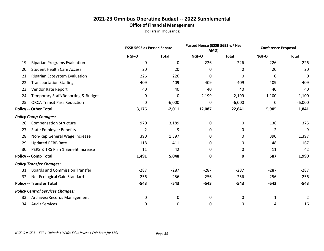#### **2021-23 Omnibus Operating Budget -- 2022 Supplemental Office of Financial Management**

|     |                                         | <b>ESSB 5693 as Passed Senate</b> |              | Passed House (ESSB 5693 w/ Hse<br>AMD) |              | <b>Conference Proposal</b> |              |
|-----|-----------------------------------------|-----------------------------------|--------------|----------------------------------------|--------------|----------------------------|--------------|
|     |                                         | NGF-O                             | <b>Total</b> | NGF-O                                  | <b>Total</b> | NGF-O                      | <b>Total</b> |
| 19. | <b>Riparian Programs Evaluation</b>     | 0                                 | 0            | 226                                    | 226          | 226                        | 226          |
| 20. | <b>Student Health Care Access</b>       | 20                                | 20           | 0                                      | 0            | 20                         | 20           |
| 21. | Riparian Ecosystem Evaluation           | 226                               | 226          | 0                                      | 0            | 0                          | 0            |
| 22. | <b>Transportation Staffing</b>          | 409                               | 409          | 409                                    | 409          | 409                        | 409          |
| 23. | Vendor Rate Report                      | 40                                | 40           | 40                                     | 40           | 40                         | 40           |
| 24. | Temporary Staff/Reporting & Budget      | 0                                 | 0            | 2,199                                  | 2,199        | 1,100                      | 1,100        |
| 25. | <b>ORCA Transit Pass Reduction</b>      | 0                                 | $-6,000$     | 0                                      | $-6,000$     | 0                          | $-6,000$     |
|     | <b>Policy -- Other Total</b>            | 3,176                             | $-2,011$     | 12,087                                 | 22,641       | 5,905                      | 1,841        |
|     | <b>Policy Comp Changes:</b>             |                                   |              |                                        |              |                            |              |
| 26. | <b>Compensation Structure</b>           | 970                               | 3,189        | 0                                      | 0            | 136                        | 375          |
| 27. | <b>State Employee Benefits</b>          | 2                                 | 9            | 0                                      | 0            | 2                          | 9            |
| 28. | Non-Rep General Wage Increase           | 390                               | 1,397        | 0                                      | 0            | 390                        | 1,397        |
| 29. | <b>Updated PEBB Rate</b>                | 118                               | 411          | 0                                      | 0            | 48                         | 167          |
| 30. | PERS & TRS Plan 1 Benefit Increase      | 11                                | 42           | 0                                      | 0            | 11                         | 42           |
|     | <b>Policy -- Comp Total</b>             | 1,491                             | 5,048        | $\pmb{0}$                              | $\mathbf 0$  | 587                        | 1,990        |
|     | <b>Policy Transfer Changes:</b>         |                                   |              |                                        |              |                            |              |
|     | 31. Boards and Commission Transfer      | $-287$                            | $-287$       | $-287$                                 | $-287$       | $-287$                     | $-287$       |
| 32. | Net Ecological Gain Standard            | $-256$                            | $-256$       | $-256$                                 | $-256$       | $-256$                     | $-256$       |
|     | <b>Policy -- Transfer Total</b>         | $-543$                            | $-543$       | $-543$                                 | $-543$       | $-543$                     | $-543$       |
|     | <b>Policy Central Services Changes:</b> |                                   |              |                                        |              |                            |              |
| 33. | Archives/Records Management             | 0                                 | 0            | 0                                      | 0            | 1                          | 2            |
|     | 34. Audit Services                      | 0                                 | 0            | 0                                      | 0            | 4                          | 16           |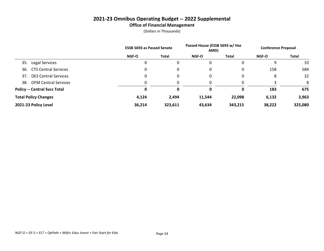#### **2021-23 Omnibus Operating Budget -- 2022 Supplemental Office of Financial Management**

|                                     | <b>ESSB 5693 as Passed Senate</b> |         | Passed House (ESSB 5693 w/ Hse<br>AMD) |              | <b>Conference Proposal</b> |         |
|-------------------------------------|-----------------------------------|---------|----------------------------------------|--------------|----------------------------|---------|
|                                     | <b>NGF-O</b>                      | Total   | <b>NGF-O</b>                           | <b>Total</b> | <b>NGF-O</b>               | Total   |
| 35.<br>Legal Services               | 0                                 | 0       | 0                                      |              | 9                          | 33      |
| <b>CTS Central Services</b><br>36.  | 0                                 | 0       | 0                                      | 0            | 158                        | 584     |
| <b>DES Central Services</b><br>37.  | 0                                 | 0       | 0                                      | 0            | 8                          | 32      |
| <b>OFM Central Services</b><br>38.  | 0                                 |         | 0                                      | 0            |                            | 8       |
| <b>Policy -- Central Svcs Total</b> | 0                                 | 0       | 0                                      | 0            | 183                        | 675     |
| <b>Total Policy Changes</b>         | 4,124                             | 2,494   | 11,544                                 | 22,098       | 6,132                      | 3,963   |
| 2021-23 Policy Level                | 36,214                            | 323,611 | 43,634                                 | 343,215      | 38,222                     | 325,080 |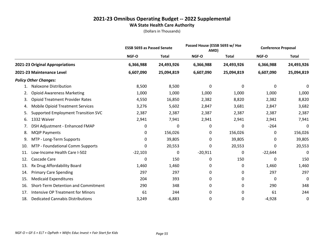|     |                                          | <b>ESSB 5693 as Passed Senate</b> |              | Passed House (ESSB 5693 w/ Hse<br>AMD) |              | <b>Conference Proposal</b> |              |
|-----|------------------------------------------|-----------------------------------|--------------|----------------------------------------|--------------|----------------------------|--------------|
|     |                                          | NGF-O                             | <b>Total</b> | NGF-O                                  | <b>Total</b> | NGF-O                      | <b>Total</b> |
|     | 2021-23 Original Appropriations          | 6,366,988                         | 24,493,926   | 6,366,988                              | 24,493,926   | 6,366,988                  | 24,493,926   |
|     | 2021-23 Maintenance Level                | 6,607,090                         | 25,094,819   | 6,607,090                              | 25,094,819   | 6,607,090                  | 25,094,819   |
|     | <b>Policy Other Changes:</b>             |                                   |              |                                        |              |                            |              |
|     | Naloxone Distribution                    | 8,500                             | 8,500        | 0                                      | 0            | 0                          | 0            |
| 2.  | <b>Opioid Awareness Marketing</b>        | 1,000                             | 1,000        | 1,000                                  | 1,000        | 1,000                      | 1,000        |
| 3.  | <b>Opioid Treatment Provider Rates</b>   | 4,550                             | 16,850       | 2,382                                  | 8,820        | 2,382                      | 8,820        |
| 4.  | <b>Mobile Opioid Treatment Services</b>  | 3,276                             | 5,602        | 2,847                                  | 3,681        | 2,847                      | 3,682        |
| 5.  | Supported Employment Transition SVC      | 2,387                             | 2,387        | 2,387                                  | 2,387        | 2,387                      | 2,387        |
| 6.  | 1332 Waiver                              | 2,941                             | 7,941        | 2,941                                  | 2,941        | 2,941                      | 7,941        |
| 7.  | DSH Adjustment - Enhanced FMAP           | 0                                 | 0            | 0                                      | 0            | $-264$                     | 0            |
| 8.  | <b>MQIP Payments</b>                     | 0                                 | 156,026      | 0                                      | 156,026      | 0                          | 156,026      |
| 9.  | MTP - Long-Term Supports                 | 0                                 | 39,805       | 0                                      | 39,805       | 0                          | 39,805       |
| 10. | MTP - Foundational Comm Supports         | 0                                 | 20,553       | 0                                      | 20,553       | 0                          | 20,553       |
| 11. | Low-Income Health Care I-502             | $-22,103$                         | 0            | $-20,911$                              | 0            | $-22,644$                  | 0            |
| 12. | Cascade Care                             | 0                                 | 150          | 0                                      | 150          | 0                          | 150          |
| 13. | Rx Drug Affordability Board              | 1,460                             | 1,460        | 0                                      | 0            | 1,460                      | 1,460        |
| 14. | <b>Primary Care Spending</b>             | 297                               | 297          | 0                                      | 0            | 297                        | 297          |
| 15. | <b>Medicaid Expenditures</b>             | 204                               | 393          | 0                                      | 0            | 0                          | 0            |
| 16. | Short-Term Detention and Commitment      | 290                               | 348          | 0                                      | 0            | 290                        | 348          |
| 17. | <b>Intensive OP Treatment for Minors</b> | 61                                | 244          | 0                                      | 0            | 61                         | 244          |
| 18. | <b>Dedicated Cannabis Distributions</b>  | 3,249                             | $-6,883$     | 0                                      | 0            | $-4,928$                   | 0            |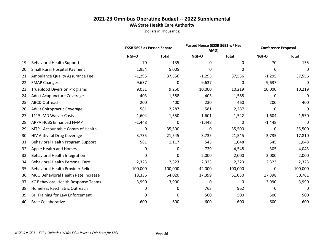|     |                                        | <b>ESSB 5693 as Passed Senate</b> |              | Passed House (ESSB 5693 w/ Hse<br>AMD) |              | <b>Conference Proposal</b> |              |
|-----|----------------------------------------|-----------------------------------|--------------|----------------------------------------|--------------|----------------------------|--------------|
|     |                                        | NGF-O                             | <b>Total</b> | <b>NGF-O</b>                           | <b>Total</b> | NGF-O                      | <b>Total</b> |
| 19. | <b>Behavioral Health Support</b>       | 70                                | 135          | 0                                      | 0            | 70                         | 135          |
| 20. | <b>Small Rural Hospital Payment</b>    | 1,954                             | 5,005        | 0                                      | 0            | 0                          | 0            |
| 21. | Ambulance Quality Assurance Fee        | $-1,295$                          | 37,556       | $-1,295$                               | 37,556       | $-1,295$                   | 37,556       |
| 22. | <b>FMAP Changes</b>                    | $-9,637$                          | 0            | $-9,637$                               | 0            | $-9,637$                   | 0            |
| 23. | <b>Trueblood Diversion Programs</b>    | 9,031                             | 9,250        | 10,000                                 | 10,219       | 10,000                     | 10,219       |
| 24. | Adult Acupuncture Coverage             | 403                               | 1,588        | 403                                    | 1,588        | 0                          | 0            |
| 25. | <b>ABCD Outreach</b>                   | 200                               | 400          | 230                                    | 460          | 200                        | 400          |
| 26. | <b>Adult Chiropractic Coverage</b>     | 581                               | 2,287        | 581                                    | 2,287        | 0                          | 0            |
| 27. | 1115 IMD Waiver Costs                  | 1,604                             | 1,550        | 1,601                                  | 1,542        | 1,604                      | 1,550        |
| 28. | <b>ARPA HCBS Enhanced FMAP</b>         | $-1,448$                          | 0            | $-1,448$                               | 0            | $-1,448$                   | 0            |
| 29. | MTP - Accountable Comm of Health       | 0                                 | 35,500       | 0                                      | 35,500       | 0                          | 35,500       |
| 30. | <b>HIV Antiviral Drug Coverage</b>     | 3,735                             | 21,545       | 3,735                                  | 21,545       | 3,735                      | 17,810       |
| 31. | Behavioral Health Program Support      | 581                               | 1,117        | 545                                    | 1,048        | 545                        | 1,048        |
| 32. | Apple Health and Homes                 | 0                                 | 0            | 729                                    | 4,548        | 305                        | 4,043        |
| 33. | Behavioral Health Integration          | 0                                 | $\Omega$     | 2,000                                  | 2,000        | 2,000                      | 2,000        |
| 34. | <b>Behavioral Health Personal Care</b> | 2,323                             | 2,323        | 2,323                                  | 2,323        | 2,323                      | 2,323        |
| 35. | Behavioral Health Provider Relief      | 100,000                           | 100,000      | 42,000                                 | 100,000      | 0                          | 100,000      |
| 36. | MCO Behavioral Health Rate Increase    | 18,336                            | 54,020       | 17,399                                 | 51,030       | 17,398                     | 50,761       |
| 37. | KC Behavioral Health Response Teams    | 3,990                             | 3,990        | 0                                      | 0            | 3,990                      | 3,990        |
| 38. | Homeless Psychiatric Outreach          | 0                                 | 0            | 763                                    | 962          | 0                          | 0            |
| 39. | BH Training for Law Enforcement        | 0                                 | 0            | 500                                    | 500          | 500                        | 500          |
| 40. | <b>Bree Collaborative</b>              | 600                               | 600          | 600                                    | 600          | 600                        | 600          |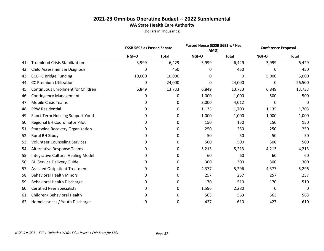|     |                                           | <b>ESSB 5693 as Passed Senate</b> |              | Passed House (ESSB 5693 w/ Hse<br>AMD) |              | <b>Conference Proposal</b> |              |
|-----|-------------------------------------------|-----------------------------------|--------------|----------------------------------------|--------------|----------------------------|--------------|
|     |                                           | NGF-O                             | <b>Total</b> | NGF-O                                  | <b>Total</b> | NGF-O                      | <b>Total</b> |
| 41. | <b>Trueblood Crisis Stabilization</b>     | 3,999                             | 6,429        | 3,999                                  | 6,429        | 3,999                      | 6,429        |
| 42. | Child Assessment & Diagnosis              | 0                                 | 450          | 0                                      | 450          | 0                          | 450          |
| 43. | <b>CCBHC Bridge Funding</b>               | 10,000                            | 10,000       | 0                                      | $\Omega$     | 5,000                      | 5,000        |
| 44. | <b>CC Premium Utilization</b>             | 0                                 | $-24,000$    | 0                                      | $-24,000$    | 0                          | $-26,500$    |
| 45. | <b>Continuous Enrollment for Children</b> | 6,849                             | 13,733       | 6,849                                  | 13,733       | 6,849                      | 13,733       |
| 46. | <b>Contingency Management</b>             | 0                                 | 0            | 1,000                                  | 1,000        | 500                        | 500          |
| 47. | <b>Mobile Crisis Teams</b>                | 0                                 | 0            | 3,000                                  | 4,012        | 0                          | 0            |
| 48. | <b>PPW Residential</b>                    | 0                                 | 0            | 1,135                                  | 1,703        | 1,135                      | 1,703        |
| 49. | Short-Term Housing Support Youth          | 0                                 | 0            | 1,000                                  | 1,000        | 1,000                      | 1,000        |
| 50. | <b>Regional BH Coordinator Pilot</b>      | 0                                 | 0            | 150                                    | 150          | 150                        | 150          |
| 51. | <b>Statewide Recovery Organization</b>    | 0                                 | 0            | 250                                    | 250          | 250                        | 250          |
| 52. | <b>Rural BH Study</b>                     | 0                                 | 0            | 50                                     | 50           | 50                         | 50           |
| 53. | <b>Volunteer Counseling Services</b>      | 0                                 | 0            | 500                                    | 500          | 500                        | 500          |
| 54. | Alternative Response Teams                | 0                                 | 0            | 5,213                                  | 5,213        | 4,213                      | 4,213        |
| 55. | Integrative Cultural Healing Model        | 0                                 | 0            | 60                                     | 60           | 60                         | 60           |
| 56. | <b>BH Service Delivery Guide</b>          | 0                                 | 0            | 300                                    | 300          | 300                        | 300          |
| 57. | <b>Assisted Outpatient Treatment</b>      | 0                                 | 0            | 4,377                                  | 5,296        | 4,377                      | 5,296        |
| 58. | <b>Behavioral Health Minors</b>           | 0                                 | 0            | 257                                    | 257          | 257                        | 257          |
| 59. | Behavioral Health Discharge               | 0                                 | 0            | 170                                    | 510          | 170                        | 510          |
| 60. | <b>Certified Peer Specialists</b>         | 0                                 | 0            | 1,596                                  | 2,280        | 0                          | 0            |
| 61. | Children/ Behavioral Health               | 0                                 | 0            | 563                                    | 563          | 563                        | 563          |
| 62. | Homelessness / Youth Discharge            | 0                                 | 0            | 427                                    | 610          | 427                        | 610          |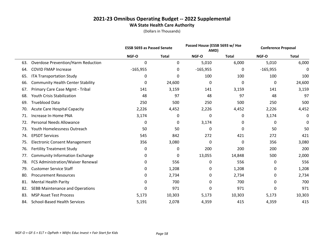|     |                                           | <b>ESSB 5693 as Passed Senate</b> |              | Passed House (ESSB 5693 w/ Hse<br>AMD) |              | <b>Conference Proposal</b> |              |
|-----|-------------------------------------------|-----------------------------------|--------------|----------------------------------------|--------------|----------------------------|--------------|
|     |                                           | NGF-O                             | <b>Total</b> | NGF-O                                  | <b>Total</b> | NGF-O                      | <b>Total</b> |
| 63. | <b>Overdose Prevention/Harm Reduction</b> | 0                                 | 0            | 5,010                                  | 6,000        | 5,010                      | 6,000        |
| 64. | <b>COVID FMAP Increase</b>                | $-165,955$                        | 0            | $-165,955$                             | 0            | $-165,955$                 | 0            |
| 65. | <b>ITA Transportation Study</b>           | 0                                 | 0            | 100                                    | 100          | 100                        | 100          |
| 66. | <b>Community Health Center Stability</b>  | 0                                 | 24,600       | 0                                      | 0            | 0                          | 24,600       |
| 67. | Primary Care Case Mgmt - Tribal           | 141                               | 3,159        | 141                                    | 3,159        | 141                        | 3,159        |
| 68. | <b>Youth Crisis Stabilization</b>         | 48                                | 97           | 48                                     | 97           | 48                         | 97           |
| 69. | <b>Trueblood Data</b>                     | 250                               | 500          | 250                                    | 500          | 250                        | 500          |
| 70. | <b>Acute Care Hospital Capacity</b>       | 2,226                             | 4,452        | 2,226                                  | 4,452        | 2,226                      | 4,452        |
| 71. | Increase In-Home PNA                      | 3,174                             | 0            | 0                                      | 0            | 3,174                      | 0            |
| 72. | <b>Personal Needs Allowance</b>           | 0                                 | 0            | 3,174                                  | 0            | 0                          | 0            |
| 73. | Youth Homelessness Outreach               | 50                                | 50           | 0                                      | 0            | 50                         | 50           |
| 74. | <b>EPSDT Services</b>                     | 545                               | 842          | 272                                    | 421          | 272                        | 421          |
| 75. | <b>Electronic Consent Management</b>      | 356                               | 3,080        | 0                                      | $\mathbf{0}$ | 356                        | 3,080        |
| 76. | <b>Fertility Treatment Study</b>          | 0                                 | 0            | 200                                    | 200          | 200                        | 200          |
| 77. | <b>Community Information Exchange</b>     | 0                                 | 0            | 13,055                                 | 14,848       | 500                        | 2,000        |
| 78. | FCS Administration/Waiver Renewal         | 0                                 | 556          | 0                                      | 556          | 0                          | 556          |
| 79. | <b>Customer Service Staff</b>             | 0                                 | 1,208        | 0                                      | 1,208        | 0                          | 1,208        |
| 80. | <b>Procurement Resources</b>              | 0                                 | 2,734        | 0                                      | 2,734        | 0                          | 2,734        |
| 81. | <b>Mental Health Parity</b>               | 0                                 | 700          | 0                                      | 700          | 0                          | 700          |
| 82. | <b>SEBB Maintenance and Operations</b>    | 0                                 | 971          | 0                                      | 971          | 0                          | 971          |
| 83. | <b>MSP Asset Test Process</b>             | 5,173                             | 10,303       | 5,173                                  | 10,303       | 5,173                      | 10,303       |
| 84. | <b>School-Based Health Services</b>       | 5,191                             | 2,078        | 4,359                                  | 415          | 4,359                      | 415          |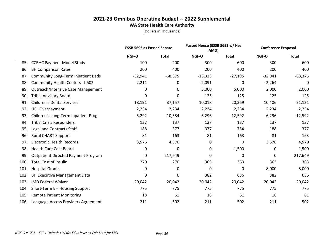|      |                                            | <b>ESSB 5693 as Passed Senate</b> |              | Passed House (ESSB 5693 w/ Hse<br>AMD) |              | <b>Conference Proposal</b> |              |
|------|--------------------------------------------|-----------------------------------|--------------|----------------------------------------|--------------|----------------------------|--------------|
|      |                                            | NGF-O                             | <b>Total</b> | NGF-O                                  | <b>Total</b> | NGF-O                      | <b>Total</b> |
| 85.  | <b>CCBHC Payment Model Study</b>           | 100                               | 200          | 300                                    | 600          | 300                        | 600          |
| 86.  | <b>BH Comparison Rates</b>                 | 200                               | 400          | 200                                    | 400          | 200                        | 400          |
| 87.  | <b>Community Long-Term Inpatient Beds</b>  | $-32,941$                         | $-68,375$    | $-13,313$                              | $-27,195$    | $-32,941$                  | $-68,375$    |
| 88.  | <b>Community Health Centers - I-502</b>    | $-2,211$                          | 0            | $-2,091$                               | 0            | $-2,264$                   | 0            |
| 89.  | <b>Outreach/Intensive Case Management</b>  | 0                                 | 0            | 5,000                                  | 5,000        | 2,000                      | 2,000        |
| 90.  | <b>Tribal Advisory Board</b>               | 0                                 | 0            | 125                                    | 125          | 125                        | 125          |
| 91.  | <b>Children's Dental Services</b>          | 18,191                            | 37,157       | 10,018                                 | 20,369       | 10,406                     | 21,121       |
| 92.  | <b>UPL Overpayment</b>                     | 2,234                             | 2,234        | 2,234                                  | 2,234        | 2,234                      | 2,234        |
| 93.  | Children's Long-Term Inpatient Prog        | 5,292                             | 10,584       | 6,296                                  | 12,592       | 6,296                      | 12,592       |
| 94.  | <b>Tribal Crisis Responders</b>            | 137                               | 137          | 137                                    | 137          | 137                        | 137          |
| 95.  | <b>Legal and Contracts Staff</b>           | 188                               | 377          | 377                                    | 754          | 188                        | 377          |
| 96.  | <b>Rural CHART Support</b>                 | 81                                | 163          | 81                                     | 163          | 81                         | 163          |
| 97.  | <b>Electronic Health Records</b>           | 3,576                             | 4,570        | 0                                      | $\mathbf 0$  | 3,576                      | 4,570        |
| 98.  | <b>Health Care Cost Board</b>              | 0                                 | 0            | 0                                      | 1,500        | 0                          | 1,500        |
| 99.  | <b>Outpatient Directed Payment Program</b> | 0                                 | 217,649      | 0                                      | 0            | 0                          | 217,649      |
| 100. | <b>Total Cost of Insulin</b>               | 270                               | 270          | 363                                    | 363          | 363                        | 363          |
| 101. | <b>Hospital Grants</b>                     | 0                                 | 0            | 0                                      | $\mathbf{0}$ | 8,000                      | 8,000        |
| 102. | <b>BH Executive Management Data</b>        | 0                                 | 0            | 382                                    | 636          | 382                        | 636          |
| 103. | <b>IMD Federal Waiver</b>                  | 20,042                            | 20,042       | 20,042                                 | 20,042       | 20,042                     | 20,042       |
| 104. | Short-Term BH Housing Support              | 775                               | 775          | 775                                    | 775          | 775                        | 775          |
| 105. | <b>Remote Patient Monitoring</b>           | 18                                | 61           | 18                                     | 61           | 18                         | 61           |
| 106. | Language Access Providers Agreement        | 211                               | 502          | 211                                    | 502          | 211                        | 502          |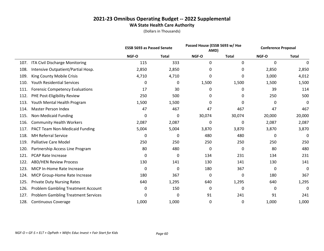|      |                                            | <b>ESSB 5693 as Passed Senate</b> |              |        | Passed House (ESSB 5693 w/ Hse<br>AMD) |        | <b>Conference Proposal</b> |
|------|--------------------------------------------|-----------------------------------|--------------|--------|----------------------------------------|--------|----------------------------|
|      |                                            | NGF-O                             | <b>Total</b> | NGF-O  | <b>Total</b>                           | NGF-O  | <b>Total</b>               |
| 107. | ITA Civil Discharge Monitoring             | 115                               | 333          | 0      | 0                                      | 0      | 0                          |
| 108. | Intensive Outpatient/Partial Hosp.         | 2,850                             | 2,850        | 0      | 0                                      | 2,850  | 2,850                      |
| 109. | King County Mobile Crisis                  | 4,710                             | 4,710        | 0      | 0                                      | 3,000  | 4,012                      |
| 110. | <b>Youth Residential Services</b>          | 0                                 | 0            | 1,500  | 1,500                                  | 1,500  | 1,500                      |
| 111. | <b>Forensic Competency Evaluations</b>     | 17                                | 30           | 0      | 0                                      | 39     | 114                        |
| 112. | PHE Post-Eligibility Review                | 250                               | 500          | 0      | 0                                      | 250    | 500                        |
| 113. | Youth Mental Health Program                | 1,500                             | 1,500        | 0      | 0                                      | 0      | 0                          |
| 114. | Master Person Index                        | 47                                | 467          | 47     | 467                                    | 47     | 467                        |
| 115. | Non-Medicaid Funding                       | 0                                 | 0            | 30,074 | 30,074                                 | 20,000 | 20,000                     |
| 116. | <b>Community Health Workers</b>            | 2,087                             | 2,087        | 0      | 0                                      | 2,087  | 2,087                      |
| 117. | PACT Team Non-Medicaid Funding             | 5,004                             | 5,004        | 3,870  | 3,870                                  | 3,870  | 3,870                      |
| 118. | <b>MH Referral Service</b>                 | 0                                 | 0            | 480    | 480                                    | 0      | 0                          |
| 119. | <b>Palliative Care Model</b>               | 250                               | 250          | 250    | 250                                    | 250    | 250                        |
| 120. | Partnership Access Line Program            | 80                                | 480          | 0      | 0                                      | 80     | 480                        |
| 121. | <b>PCAP Rate Increase</b>                  | 0                                 | 0            | 134    | 231                                    | 134    | 231                        |
| 122. | <b>ABD/HEN Review Process</b>              | 130                               | 141          | 130    | 141                                    | 130    | 141                        |
| 123. | MICP In-Home Rate Increase                 | 0                                 | 0            | 180    | 367                                    | 0      | 0                          |
| 124. | MICP Group-Home Rate Increase              | 180                               | 367          | 0      | 0                                      | 180    | 367                        |
| 125. | <b>Private Duty Nursing Rates</b>          | 640                               | 1,295        | 640    | 1,295                                  | 640    | 1,295                      |
| 126. | <b>Problem Gambling Treatment Account</b>  | 0                                 | 150          | 0      | 0                                      | 0      | 0                          |
| 127. | <b>Problem Gambling Treatment Services</b> | 0                                 | 0            | 91     | 241                                    | 91     | 241                        |
| 128. | <b>Continuous Coverage</b>                 | 1,000                             | 1,000        | 0      | 0                                      | 1,000  | 1,000                      |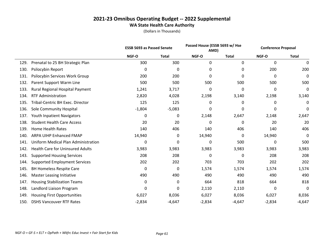|      |                                         | <b>ESSB 5693 as Passed Senate</b> |              | Passed House (ESSB 5693 w/ Hse<br>AMD) |              | <b>Conference Proposal</b> |              |
|------|-----------------------------------------|-----------------------------------|--------------|----------------------------------------|--------------|----------------------------|--------------|
|      |                                         | NGF-O                             | <b>Total</b> | NGF-O                                  | <b>Total</b> | NGF-O                      | <b>Total</b> |
| 129. | Prenatal to 25 BH Strategic Plan        | 300                               | 300          | 0                                      | 0            | 0                          | 0            |
| 130. | Psilocybin Report                       | 0                                 | 0            | 0                                      | 0            | 200                        | 200          |
| 131. | Psilocybin Services Work Group          | 200                               | 200          | $\Omega$                               | 0            | 0                          | 0            |
| 132. | Parent Support Warm Line                | 500                               | 500          | 500                                    | 500          | 500                        | 500          |
| 133. | Rural Regional Hospital Payment         | 1,241                             | 3,717        | 0                                      | $\mathbf{0}$ | $\mathbf{0}$               | 0            |
| 134. | <b>RTF Administration</b>               | 2,820                             | 4,028        | 2,198                                  | 3,140        | 2,198                      | 3,140        |
| 135. | Tribal-Centric BH Exec. Director        | 125                               | 125          | 0                                      | 0            | 0                          | 0            |
| 136. | Sole Community Hospital                 | $-1,804$                          | $-5,083$     | 0                                      | 0            | 0                          | 0            |
| 137. | Youth Inpatient Navigators              | 0                                 | 0            | 2,148                                  | 2,647        | 2,148                      | 2,647        |
| 138. | <b>Student Health Care Access</b>       | 20                                | 20           | 0                                      | 0            | 20                         | 20           |
| 139. | <b>Home Health Rates</b>                | 140                               | 406          | 140                                    | 406          | 140                        | 406          |
| 140. | <b>ARPA UIHP Enhanced FMAP</b>          | 14,940                            | 0            | 14,940                                 | 0            | 14,940                     | 0            |
| 141. | Uniform Medical Plan Administration     | $\mathbf 0$                       | 0            | 0                                      | 500          | 0                          | 500          |
| 142. | <b>Health Care for Uninsured Adults</b> | 3,983                             | 3,983        | 3,983                                  | 3,983        | 3,983                      | 3,983        |
| 143. | <b>Supported Housing Services</b>       | 208                               | 208          | 0                                      | 0            | 208                        | 208          |
| 144. | <b>Supported Employment Services</b>    | 202                               | 202          | 703                                    | 703          | 202                        | 202          |
| 145. | <b>BH Homeless Respite Care</b>         | 0                                 | 0            | 1,574                                  | 1,574        | 1,574                      | 1,574        |
| 146. | <b>Master Leasing Initiative</b>        | 490                               | 490          | 490                                    | 490          | 490                        | 490          |
| 147. | <b>Housing Stabilization Teams</b>      | 0                                 | 0            | 664                                    | 818          | 664                        | 818          |
| 148. | Landlord Liaison Program                | 0                                 | 0            | 2,110                                  | 2,110        | 0                          | 0            |
| 149. | <b>Housing First Opportunities</b>      | 6,027                             | 8,036        | 6,027                                  | 8,036        | 6,027                      | 8,036        |
| 150. | <b>DSHS Vancouver RTF Rates</b>         | $-2,834$                          | $-4,647$     | $-2,834$                               | $-4,647$     | $-2,834$                   | $-4,647$     |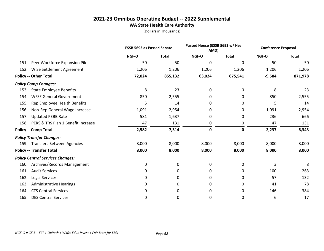|                                            |             | <b>ESSB 5693 as Passed Senate</b> |           | Passed House (ESSB 5693 w/ Hse<br>AMD) |          | <b>Conference Proposal</b> |
|--------------------------------------------|-------------|-----------------------------------|-----------|----------------------------------------|----------|----------------------------|
|                                            | NGF-O       | <b>Total</b>                      | NGF-O     | <b>Total</b>                           | NGF-O    | <b>Total</b>               |
| Peer Workforce Expansion Pilot<br>151.     | 50          | 50                                | 0         | 0                                      | 50       | 50                         |
| WISe Settlement Agreement<br>152.          | 1,206       | 1,206                             | 1,206     | 1,206                                  | 1,206    | 1,206                      |
| <b>Policy -- Other Total</b>               | 72,024      | 855,132                           | 63,024    | 675,541                                | $-9,584$ | 871,978                    |
| <b>Policy Comp Changes:</b>                |             |                                   |           |                                        |          |                            |
| <b>State Employee Benefits</b><br>153.     | 8           | 23                                | 0         | 0                                      | 8        | 23                         |
| <b>WFSE General Government</b><br>154.     | 850         | 2,555                             | 0         | 0                                      | 850      | 2,555                      |
| Rep Employee Health Benefits<br>155.       | 5           | 14                                | 0         | 0                                      | 5        | 14                         |
| Non-Rep General Wage Increase<br>156.      | 1,091       | 2,954                             | 0         | 0                                      | 1,091    | 2,954                      |
| <b>Updated PEBB Rate</b><br>157.           | 581         | 1,637                             | 0         | 0                                      | 236      | 666                        |
| PERS & TRS Plan 1 Benefit Increase<br>158. | 47          | 131                               | 0         | 0                                      | 47       | 131                        |
| <b>Policy -- Comp Total</b>                | 2,582       | 7,314                             | $\pmb{0}$ | 0                                      | 2,237    | 6,343                      |
| <b>Policy Transfer Changes:</b>            |             |                                   |           |                                        |          |                            |
| 159. Transfers Between Agencies            | 8,000       | 8,000                             | 8,000     | 8,000                                  | 8,000    | 8,000                      |
| <b>Policy -- Transfer Total</b>            | 8,000       | 8,000                             | 8,000     | 8,000                                  | 8,000    | 8,000                      |
| <b>Policy Central Services Changes:</b>    |             |                                   |           |                                        |          |                            |
| Archives/Records Management<br>160.        | $\mathbf 0$ | 0                                 | 0         | 0                                      | 3        | 8                          |
| <b>Audit Services</b><br>161.              | 0           | 0                                 | 0         | 0                                      | 100      | 263                        |
| 162.<br>Legal Services                     | 0           | 0                                 | 0         | 0                                      | 57       | 132                        |
| 163.<br><b>Administrative Hearings</b>     | 0           | 0                                 | 0         | 0                                      | 41       | 78                         |
| <b>CTS Central Services</b><br>164.        | 0           | 0                                 | 0         | 0                                      | 146      | 384                        |
| <b>DES Central Services</b><br>165.        | 0           | 0                                 | 0         | 0                                      | 6        | 17                         |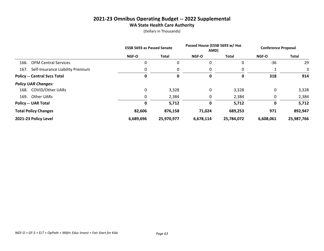|                                       | <b>ESSB 5693 as Passed Senate</b> |              | Passed House (ESSB 5693 w/ Hse<br>AMD) |              | <b>Conference Proposal</b> |            |
|---------------------------------------|-----------------------------------|--------------|----------------------------------------|--------------|----------------------------|------------|
|                                       | <b>NGF-O</b>                      | <b>Total</b> | <b>NGF-O</b>                           | <b>Total</b> | <b>NGF-O</b>               | Total      |
| <b>OFM Central Services</b><br>166.   | 0                                 | 0            | 0                                      | 0            | $-36$                      | 29         |
| 167. Self-Insurance Liability Premium | 0                                 | 0            | 0                                      | 0            |                            |            |
| <b>Policy -- Central Svcs Total</b>   | 0                                 | 0            | 0                                      | 0            | 318                        | 914        |
| <b>Policy UAR Changes:</b>            |                                   |              |                                        |              |                            |            |
| 168. COVID/Other UARs                 | 0                                 | 3,328        | 0                                      | 3,328        | 0                          | 3,328      |
| Other UARs<br>169.                    | 0                                 | 2,384        | 0                                      | 2,384        | 0                          | 2,384      |
| <b>Policy -- UAR Total</b>            | 0                                 | 5,712        | 0                                      | 5,712        | 0                          | 5,712      |
| <b>Total Policy Changes</b>           | 82,606                            | 876,158      | 71,024                                 | 689,253      | 971                        | 892,947    |
| 2021-23 Policy Level                  | 6,689,696                         | 25,970,977   | 6,678,114                              | 25,784,072   | 6,608,061                  | 25,987,766 |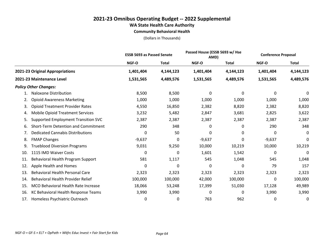**Community Behavioral Health**

|                                               |             | <b>ESSB 5693 as Passed Senate</b> |           | Passed House (ESSB 5693 w/ Hse<br>AMD) |           | <b>Conference Proposal</b> |
|-----------------------------------------------|-------------|-----------------------------------|-----------|----------------------------------------|-----------|----------------------------|
|                                               | NGF-O       | <b>Total</b>                      | NGF-O     | <b>Total</b>                           | NGF-O     | <b>Total</b>               |
| 2021-23 Original Appropriations               | 1,401,404   | 4,144,123                         | 1,401,404 | 4,144,123                              | 1,401,404 | 4,144,123                  |
| 2021-23 Maintenance Level                     | 1,531,565   | 4,489,576                         | 1,531,565 | 4,489,576                              | 1,531,565 | 4,489,576                  |
| <b>Policy Other Changes:</b>                  |             |                                   |           |                                        |           |                            |
| Naloxone Distribution                         | 8,500       | 8,500                             | 0         | $\Omega$                               | $\Omega$  | 0                          |
| <b>Opioid Awareness Marketing</b><br>2.       | 1,000       | 1,000                             | 1,000     | 1,000                                  | 1,000     | 1,000                      |
| <b>Opioid Treatment Provider Rates</b><br>3.  | 4,550       | 16,850                            | 2,382     | 8,820                                  | 2,382     | 8,820                      |
| <b>Mobile Opioid Treatment Services</b><br>4. | 3,232       | 5,482                             | 2,847     | 3,681                                  | 2,825     | 3,622                      |
| Supported Employment Transition SVC<br>5.     | 2,387       | 2,387                             | 2,387     | 2,387                                  | 2,387     | 2,387                      |
| Short-Term Detention and Commitment<br>6.     | 290         | 348                               | 0         | 0                                      | 290       | 348                        |
| <b>Dedicated Cannabis Distributions</b><br>7. | 0           | 50                                | 0         | 0                                      | 0         | 0                          |
| <b>FMAP Changes</b><br>8.                     | $-9,637$    | 0                                 | $-9,637$  | 0                                      | $-9,637$  | 0                          |
| <b>Trueblood Diversion Programs</b><br>9.     | 9,031       | 9,250                             | 10,000    | 10,219                                 | 10,000    | 10,219                     |
| 1115 IMD Waiver Costs<br>10.                  | 0           | 0                                 | 1,601     | 1,542                                  | 0         | 0                          |
| Behavioral Health Program Support<br>11.      | 581         | 1,117                             | 545       | 1,048                                  | 545       | 1,048                      |
| Apple Health and Homes<br>12.                 | $\mathbf 0$ | $\Omega$                          | 0         | 0                                      | 79        | 157                        |
| <b>Behavioral Health Personal Care</b><br>13. | 2,323       | 2,323                             | 2,323     | 2,323                                  | 2,323     | 2,323                      |
| Behavioral Health Provider Relief<br>14.      | 100,000     | 100,000                           | 42,000    | 100,000                                | 0         | 100,000                    |
| MCO Behavioral Health Rate Increase<br>15.    | 18,066      | 53,248                            | 17,399    | 51,030                                 | 17,128    | 49,989                     |
| KC Behavioral Health Response Teams<br>16.    | 3,990       | 3,990                             | 0         | 0                                      | 3,990     | 3,990                      |
| Homeless Psychiatric Outreach<br>17.          | 0           | 0                                 | 763       | 962                                    | 0         | 0                          |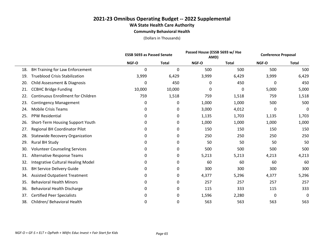**Community Behavioral Health**

|     |                                           |          | <b>ESSB 5693 as Passed Senate</b> |       | Passed House (ESSB 5693 w/ Hse<br>AMD) |       | <b>Conference Proposal</b> |  |
|-----|-------------------------------------------|----------|-----------------------------------|-------|----------------------------------------|-------|----------------------------|--|
|     |                                           | NGF-O    | <b>Total</b>                      | NGF-O | <b>Total</b>                           | NGF-O | <b>Total</b>               |  |
| 18. | BH Training for Law Enforcement           | 0        | 0                                 | 500   | 500                                    | 500   | 500                        |  |
| 19. | <b>Trueblood Crisis Stabilization</b>     | 3,999    | 6,429                             | 3,999 | 6,429                                  | 3,999 | 6,429                      |  |
| 20. | Child Assessment & Diagnosis              | $\Omega$ | 450                               | 0     | 450                                    | 0     | 450                        |  |
| 21. | <b>CCBHC Bridge Funding</b>               | 10,000   | 10,000                            | 0     | 0                                      | 5,000 | 5,000                      |  |
| 22. | <b>Continuous Enrollment for Children</b> | 759      | 1,518                             | 759   | 1,518                                  | 759   | 1,518                      |  |
| 23. | <b>Contingency Management</b>             | 0        | 0                                 | 1,000 | 1,000                                  | 500   | 500                        |  |
| 24. | <b>Mobile Crisis Teams</b>                | 0        | 0                                 | 3,000 | 4,012                                  | 0     | 0                          |  |
| 25. | <b>PPW Residential</b>                    | 0        | 0                                 | 1,135 | 1,703                                  | 1,135 | 1,703                      |  |
| 26. | Short-Term Housing Support Youth          | 0        | 0                                 | 1,000 | 1,000                                  | 1,000 | 1,000                      |  |
| 27. | <b>Regional BH Coordinator Pilot</b>      | 0        | 0                                 | 150   | 150                                    | 150   | 150                        |  |
| 28. | <b>Statewide Recovery Organization</b>    | 0        | 0                                 | 250   | 250                                    | 250   | 250                        |  |
| 29. | Rural BH Study                            | 0        | 0                                 | 50    | 50                                     | 50    | 50                         |  |
| 30. | <b>Volunteer Counseling Services</b>      | 0        | 0                                 | 500   | 500                                    | 500   | 500                        |  |
| 31. | Alternative Response Teams                | 0        | 0                                 | 5,213 | 5,213                                  | 4,213 | 4,213                      |  |
| 32. | Integrative Cultural Healing Model        | 0        | 0                                 | 60    | 60                                     | 60    | 60                         |  |
| 33. | <b>BH Service Delivery Guide</b>          | 0        | 0                                 | 300   | 300                                    | 300   | 300                        |  |
| 34. | <b>Assisted Outpatient Treatment</b>      | 0        | 0                                 | 4,377 | 5,296                                  | 4,377 | 5,296                      |  |
| 35. | <b>Behavioral Health Minors</b>           | 0        | 0                                 | 257   | 257                                    | 257   | 257                        |  |
| 36. | Behavioral Health Discharge               | 0        | 0                                 | 115   | 333                                    | 115   | 333                        |  |
| 37. | <b>Certified Peer Specialists</b>         | 0        | 0                                 | 1,596 | 2,280                                  | 0     | 0                          |  |
| 38. | Children/ Behavioral Health               | 0        | 0                                 | 563   | 563                                    | 563   | 563                        |  |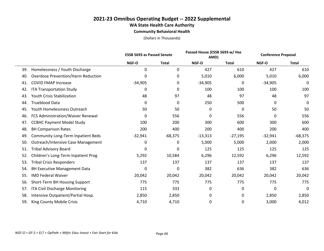**Community Behavioral Health**

|     |                                           | <b>ESSB 5693 as Passed Senate</b> |              | Passed House (ESSB 5693 w/ Hse<br>AMD) |              | <b>Conference Proposal</b> |              |
|-----|-------------------------------------------|-----------------------------------|--------------|----------------------------------------|--------------|----------------------------|--------------|
|     |                                           | NGF-O                             | <b>Total</b> | NGF-O                                  | <b>Total</b> | NGF-O                      | <b>Total</b> |
| 39. | Homelessness / Youth Discharge            | 0                                 | $\mathbf{0}$ | 427                                    | 610          | 427                        | 610          |
| 40. | <b>Overdose Prevention/Harm Reduction</b> | 0                                 | 0            | 5,010                                  | 6,000        | 5,010                      | 6,000        |
| 41. | <b>COVID FMAP Increase</b>                | $-34,905$                         | 0            | $-34,905$                              | 0            | $-34,905$                  | 0            |
| 42. | <b>ITA Transportation Study</b>           | 0                                 | 0            | 100                                    | 100          | 100                        | 100          |
| 43. | <b>Youth Crisis Stabilization</b>         | 48                                | 97           | 48                                     | 97           | 48                         | 97           |
| 44. | <b>Trueblood Data</b>                     | 0                                 | 0            | 250                                    | 500          | 0                          | 0            |
| 45. | Youth Homelessness Outreach               | 50                                | 50           | 0                                      | 0            | 50                         | 50           |
| 46. | FCS Administration/Waiver Renewal         | 0                                 | 556          | 0                                      | 556          | 0                          | 556          |
| 47. | <b>CCBHC Payment Model Study</b>          | 100                               | 200          | 300                                    | 600          | 300                        | 600          |
| 48. | <b>BH Comparison Rates</b>                | 200                               | 400          | 200                                    | 400          | 200                        | 400          |
| 49. | <b>Community Long-Term Inpatient Beds</b> | $-32,941$                         | $-68,375$    | $-13,313$                              | $-27,195$    | $-32,941$                  | $-68,375$    |
| 50. | <b>Outreach/Intensive Case Management</b> | 0                                 | 0            | 5,000                                  | 5,000        | 2,000                      | 2,000        |
| 51. | <b>Tribal Advisory Board</b>              | 0                                 | 0            | 125                                    | 125          | 125                        | 125          |
| 52. | Children's Long-Term Inpatient Prog       | 5,292                             | 10,584       | 6,296                                  | 12,592       | 6,296                      | 12,592       |
| 53. | <b>Tribal Crisis Responders</b>           | 137                               | 137          | 137                                    | 137          | 137                        | 137          |
| 54. | <b>BH Executive Management Data</b>       | 0                                 | 0            | 382                                    | 636          | 382                        | 636          |
| 55. | <b>IMD Federal Waiver</b>                 | 20,042                            | 20,042       | 20,042                                 | 20,042       | 20,042                     | 20,042       |
| 56. | Short-Term BH Housing Support             | 775                               | 775          | 775                                    | 775          | 775                        | 775          |
| 57. | ITA Civil Discharge Monitoring            | 115                               | 333          | 0                                      | 0            | 0                          | 0            |
| 58. | Intensive Outpatient/Partial Hosp.        | 2,850                             | 2,850        | 0                                      | 0            | 2,850                      | 2,850        |
| 59. | King County Mobile Crisis                 | 4,710                             | 4,710        | 0                                      | 0            | 3,000                      | 4,012        |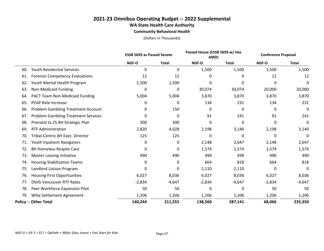**Community Behavioral Health**

|     |                                            | <b>ESSB 5693 as Passed Senate</b> |              | Passed House (ESSB 5693 w/ Hse<br>AMD) |              | <b>Conference Proposal</b> |              |
|-----|--------------------------------------------|-----------------------------------|--------------|----------------------------------------|--------------|----------------------------|--------------|
|     |                                            | NGF-O                             | <b>Total</b> | NGF-O                                  | <b>Total</b> | NGF-O                      | <b>Total</b> |
| 60. | <b>Youth Residential Services</b>          | 0                                 | 0            | 1,500                                  | 1,500        | 1,500                      | 1,500        |
| 61. | <b>Forensic Competency Evaluations</b>     | 12                                | 12           | 0                                      | 0            | 12                         | 12           |
| 62. | Youth Mental Health Program                | 1,500                             | 1,500        | 0                                      | 0            | 0                          | 0            |
| 63. | Non-Medicaid Funding                       | 0                                 | 0            | 30,074                                 | 30,074       | 20,000                     | 20,000       |
| 64. | <b>PACT Team Non-Medicaid Funding</b>      | 5,004                             | 5,004        | 3,870                                  | 3,870        | 3,870                      | 3,870        |
| 65. | PCAP Rate Increase                         | 0                                 | 0            | 134                                    | 231          | 134                        | 231          |
| 66. | <b>Problem Gambling Treatment Account</b>  | 0                                 | 150          | 0                                      | 0            | 0                          | 0            |
| 67. | <b>Problem Gambling Treatment Services</b> | 0                                 | 0            | 91                                     | 241          | 91                         | 241          |
| 68. | Prenatal to 25 BH Strategic Plan           | 300                               | 300          | 0                                      | 0            | 0                          | 0            |
| 69. | <b>RTF Administration</b>                  | 2,820                             | 4,028        | 2,198                                  | 3,140        | 2,198                      | 3,140        |
| 70. | Tribal-Centric BH Exec. Director           | 125                               | 125          | 0                                      | 0            | 0                          | 0            |
| 71. | Youth Inpatient Navigators                 | 0                                 | 0            | 2,148                                  | 2,647        | 2,148                      | 2,647        |
| 72. | <b>BH Homeless Respite Care</b>            | 0                                 | 0            | 1,574                                  | 1,574        | 1,574                      | 1,574        |
| 73. | <b>Master Leasing Initiative</b>           | 490                               | 490          | 490                                    | 490          | 490                        | 490          |
| 74. | <b>Housing Stabilization Teams</b>         | 0                                 | 0            | 664                                    | 818          | 664                        | 818          |
| 75. | Landlord Liaison Program                   | 0                                 | 0            | 2,110                                  | 2,110        | 0                          | 0            |
| 76. | <b>Housing First Opportunities</b>         | 6,027                             | 8,036        | 6,027                                  | 8,036        | 6,027                      | 8,036        |
| 77. | <b>DSHS Vancouver RTF Rates</b>            | $-2,834$                          | $-4,647$     | $-2,834$                               | $-4,647$     | $-2,834$                   | $-4,647$     |
| 78. | Peer Workforce Expansion Pilot             | 50                                | 50           | 0                                      | $\Omega$     | 50                         | 50           |
| 79. | WISe Settlement Agreement                  | 1,206                             | 1,206        | 1,206                                  | 1,206        | 1,206                      | 1,206        |
|     | <b>Policy -- Other Total</b>               | 140,244                           | 211,555      | 138,560                                | 287,141      | 68,066                     | 235,350      |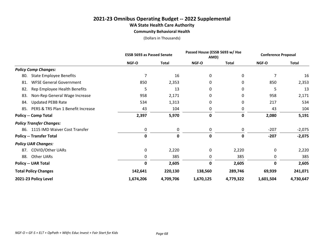#### **Community Behavioral Health**

|                                           | <b>ESSB 5693 as Passed Senate</b> |              |             | Passed House (ESSB 5693 w/ Hse<br>AMD) |           | <b>Conference Proposal</b> |
|-------------------------------------------|-----------------------------------|--------------|-------------|----------------------------------------|-----------|----------------------------|
|                                           | <b>NGF-O</b>                      | <b>Total</b> | NGF-O       | <b>Total</b>                           | NGF-O     | <b>Total</b>               |
| <b>Policy Comp Changes:</b>               |                                   |              |             |                                        |           |                            |
| <b>State Employee Benefits</b><br>80.     | 7                                 | 16           | 0           | 0                                      | 7         | 16                         |
| <b>WFSE General Government</b><br>81.     | 850                               | 2,353        | 0           | 0                                      | 850       | 2,353                      |
| Rep Employee Health Benefits<br>82.       | 5                                 | 13           | 0           | 0                                      | 5         | 13                         |
| Non-Rep General Wage Increase<br>83.      | 958                               | 2,171        | 0           | 0                                      | 958       | 2,171                      |
| <b>Updated PEBB Rate</b><br>84.           | 534                               | 1,313        | 0           | 0                                      | 217       | 534                        |
| PERS & TRS Plan 1 Benefit Increase<br>85. | 43                                | 104          | 0           | 0                                      | 43        | 104                        |
| <b>Policy -- Comp Total</b>               | 2,397                             | 5,970        | 0           | 0                                      | 2,080     | 5,191                      |
| <b>Policy Transfer Changes:</b>           |                                   |              |             |                                        |           |                            |
| 1115 IMD Waiver Cost Transfer<br>86.      | 0                                 | 0            | 0           | 0                                      | $-207$    | $-2,075$                   |
| <b>Policy -- Transfer Total</b>           | $\mathbf 0$                       | $\mathbf 0$  | $\mathbf 0$ | 0                                      | $-207$    | $-2,075$                   |
| <b>Policy UAR Changes:</b>                |                                   |              |             |                                        |           |                            |
| <b>COVID/Other UARs</b><br>87.            | 0                                 | 2,220        | 0           | 2,220                                  | 0         | 2,220                      |
| Other UARs<br>88.                         | 0                                 | 385          | 0           | 385                                    | 0         | 385                        |
| <b>Policy -- UAR Total</b>                | $\mathbf 0$                       | 2,605        | 0           | 2,605                                  | 0         | 2,605                      |
| <b>Total Policy Changes</b>               | 142,641                           | 220,130      | 138,560     | 289,746                                | 69,939    | 241,071                    |
| 2021-23 Policy Level                      | 1,674,206                         | 4,709,706    | 1,670,125   | 4,779,322                              | 1,601,504 | 4,730,647                  |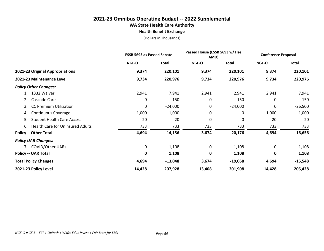#### **2021-23 Omnibus Operating Budget -- 2022 Supplemental WA State Health Care Authority Health Benefit Exchange**

|                                               |        | <b>ESSB 5693 as Passed Senate</b> |             | Passed House (ESSB 5693 w/ Hse<br>AMD) |             | <b>Conference Proposal</b> |  |
|-----------------------------------------------|--------|-----------------------------------|-------------|----------------------------------------|-------------|----------------------------|--|
|                                               | NGF-O  | <b>Total</b>                      | NGF-O       | <b>Total</b>                           | NGF-O       | Total                      |  |
| 2021-23 Original Appropriations               | 9,374  | 220,101                           | 9,374       | 220,101                                | 9,374       | 220,101                    |  |
| 2021-23 Maintenance Level                     | 9,734  | 220,976                           | 9,734       | 220,976                                | 9,734       | 220,976                    |  |
| <b>Policy Other Changes:</b>                  |        |                                   |             |                                        |             |                            |  |
| 1332 Waiver                                   | 2,941  | 7,941                             | 2,941       | 2,941                                  | 2,941       | 7,941                      |  |
| Cascade Care<br>2.                            | 0      | 150                               | 0           | 150                                    | 0           | 150                        |  |
| <b>CC Premium Utilization</b><br>3.           | 0      | $-24,000$                         | 0           | $-24,000$                              | 0           | $-26,500$                  |  |
| <b>Continuous Coverage</b><br>4.              | 1,000  | 1,000                             | 0           | 0                                      | 1,000       | 1,000                      |  |
| <b>Student Health Care Access</b><br>5.       | 20     | 20                                | 0           | 0                                      | 20          | 20                         |  |
| <b>Health Care for Uninsured Adults</b><br>6. | 733    | 733                               | 733         | 733                                    | 733         | 733                        |  |
| <b>Policy -- Other Total</b>                  | 4,694  | $-14,156$                         | 3,674       | $-20,176$                              | 4,694       | $-16,656$                  |  |
| <b>Policy UAR Changes:</b>                    |        |                                   |             |                                        |             |                            |  |
| 7. COVID/Other UARs                           | 0      | 1,108                             | 0           | 1,108                                  | 0           | 1,108                      |  |
| <b>Policy -- UAR Total</b>                    | 0      | 1,108                             | $\mathbf 0$ | 1,108                                  | $\mathbf 0$ | 1,108                      |  |
| <b>Total Policy Changes</b>                   | 4,694  | $-13,048$                         | 3,674       | $-19,068$                              | 4,694       | $-15,548$                  |  |
| 2021-23 Policy Level                          | 14,428 | 207,928                           | 13,408      | 201,908                                | 14,428      | 205,428                    |  |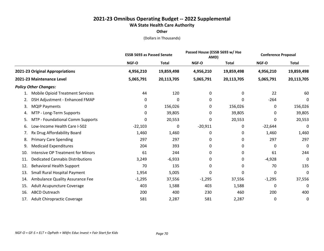**Other**

|                                                 | <b>ESSB 5693 as Passed Senate</b> |              |              | Passed House (ESSB 5693 w/ Hse<br>AMD) |           | <b>Conference Proposal</b> |
|-------------------------------------------------|-----------------------------------|--------------|--------------|----------------------------------------|-----------|----------------------------|
|                                                 | NGF-O                             | <b>Total</b> | <b>NGF-O</b> | <b>Total</b>                           | NGF-O     | <b>Total</b>               |
| 2021-23 Original Appropriations                 | 4,956,210                         | 19,859,498   | 4,956,210    | 19,859,498                             | 4,956,210 | 19,859,498                 |
| 2021-23 Maintenance Level                       | 5,065,791                         | 20,113,705   | 5,065,791    | 20,113,705                             | 5,065,791 | 20,113,705                 |
| <b>Policy Other Changes:</b>                    |                                   |              |              |                                        |           |                            |
| <b>Mobile Opioid Treatment Services</b><br>1.   | 44                                | 120          | 0            | 0                                      | 22        | 60                         |
| DSH Adjustment - Enhanced FMAP<br>2.            | 0                                 | 0            | 0            | 0                                      | $-264$    | 0                          |
| <b>MQIP Payments</b><br>3.                      | 0                                 | 156,026      | 0            | 156,026                                | 0         | 156,026                    |
| MTP - Long-Term Supports<br>4.                  | 0                                 | 39,805       | 0            | 39,805                                 | 0         | 39,805                     |
| MTP - Foundational Comm Supports<br>5.          | 0                                 | 20,553       | 0            | 20,553                                 | 0         | 20,553                     |
| Low-Income Health Care I-502<br>6.              | $-22,103$                         | 0            | $-20,911$    | 0                                      | $-22,644$ | 0                          |
| Rx Drug Affordability Board<br>7.               | 1,460                             | 1,460        | 0            | 0                                      | 1,460     | 1,460                      |
| <b>Primary Care Spending</b><br>8.              | 297                               | 297          | 0            | 0                                      | 297       | 297                        |
| <b>Medicaid Expenditures</b><br>9.              | 204                               | 393          | 0            | 0                                      | 0         | 0                          |
| <b>Intensive OP Treatment for Minors</b><br>10. | 61                                | 244          | 0            | 0                                      | 61        | 244                        |
| <b>Dedicated Cannabis Distributions</b><br>11.  | 3,249                             | $-6,933$     | 0            | 0                                      | $-4,928$  | 0                          |
| <b>Behavioral Health Support</b><br>12.         | 70                                | 135          | 0            | 0                                      | 70        | 135                        |
| Small Rural Hospital Payment<br>13.             | 1,954                             | 5,005        | 0            | 0                                      | 0         | 0                          |
| Ambulance Quality Assurance Fee<br>14.          | $-1,295$                          | 37,556       | $-1,295$     | 37,556                                 | $-1,295$  | 37,556                     |
| Adult Acupuncture Coverage<br>15.               | 403                               | 1,588        | 403          | 1,588                                  | 0         | 0                          |
| <b>ABCD Outreach</b><br>16.                     | 200                               | 400          | 230          | 460                                    | 200       | 400                        |
| Adult Chiropractic Coverage<br>17.              | 581                               | 2,287        | 581          | 2,287                                  | 0         | 0                          |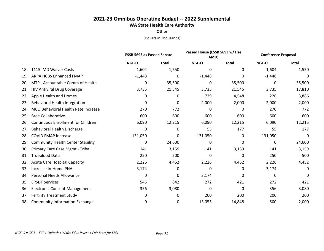**Other**

|     |                                           | <b>ESSB 5693 as Passed Senate</b> |              |            | Passed House (ESSB 5693 w/ Hse<br>AMD) |            | <b>Conference Proposal</b> |  |
|-----|-------------------------------------------|-----------------------------------|--------------|------------|----------------------------------------|------------|----------------------------|--|
|     |                                           | NGF-O                             | <b>Total</b> | NGF-O      | <b>Total</b>                           | NGF-O      | <b>Total</b>               |  |
| 18. | 1115 IMD Waiver Costs                     | 1,604                             | 1,550        | 0          | 0                                      | 1,604      | 1,550                      |  |
| 19. | <b>ARPA HCBS Enhanced FMAP</b>            | $-1,448$                          | 0            | $-1,448$   | 0                                      | $-1,448$   | 0                          |  |
| 20. | MTP - Accountable Comm of Health          | 0                                 | 35,500       | 0          | 35,500                                 | 0          | 35,500                     |  |
| 21. | <b>HIV Antiviral Drug Coverage</b>        | 3,735                             | 21,545       | 3,735      | 21,545                                 | 3,735      | 17,810                     |  |
| 22. | Apple Health and Homes                    | 0                                 | 0            | 729        | 4,548                                  | 226        | 3,886                      |  |
| 23. | <b>Behavioral Health Integration</b>      | 0                                 | 0            | 2,000      | 2,000                                  | 2,000      | 2,000                      |  |
| 24. | MCO Behavioral Health Rate Increase       | 270                               | 772          | 0          | 0                                      | 270        | 772                        |  |
| 25. | <b>Bree Collaborative</b>                 | 600                               | 600          | 600        | 600                                    | 600        | 600                        |  |
| 26. | <b>Continuous Enrollment for Children</b> | 6,090                             | 12,215       | 6,090      | 12,215                                 | 6,090      | 12,215                     |  |
| 27. | Behavioral Health Discharge               | 0                                 | 0            | 55         | 177                                    | 55         | 177                        |  |
| 28. | <b>COVID FMAP Increase</b>                | $-131,050$                        | 0            | $-131,050$ | 0                                      | $-131,050$ | 0                          |  |
| 29. | <b>Community Health Center Stability</b>  | 0                                 | 24,600       | 0          | 0                                      | 0          | 24,600                     |  |
| 30. | Primary Care Case Mgmt - Tribal           | 141                               | 3,159        | 141        | 3,159                                  | 141        | 3,159                      |  |
| 31. | <b>Trueblood Data</b>                     | 250                               | 500          | 0          | 0                                      | 250        | 500                        |  |
| 32. | <b>Acute Care Hospital Capacity</b>       | 2,226                             | 4,452        | 2,226      | 4,452                                  | 2,226      | 4,452                      |  |
| 33. | Increase In-Home PNA                      | 3,174                             | 0            | 0          | 0                                      | 3,174      | 0                          |  |
| 34. | <b>Personal Needs Allowance</b>           | 0                                 | 0            | 3,174      | 0                                      | 0          | 0                          |  |
| 35. | <b>EPSDT Services</b>                     | 545                               | 842          | 272        | 421                                    | 272        | 421                        |  |
| 36. | <b>Electronic Consent Management</b>      | 356                               | 3,080        | 0          | 0                                      | 356        | 3,080                      |  |
| 37. | <b>Fertility Treatment Study</b>          | 0                                 | 0            | 200        | 200                                    | 200        | 200                        |  |
| 38. | <b>Community Information Exchange</b>     | 0                                 | 0            | 13,055     | 14,848                                 | 500        | 2,000                      |  |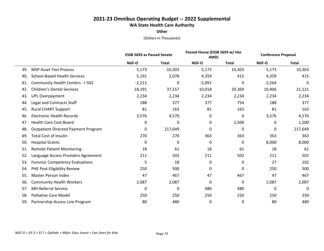## **2021-23 Omnibus Operating Budget -- 2022 Supplemental WA State Health Care Authority**

**Other**

|     |                                            |          | Passed House (ESSB 5693 w/ Hse<br><b>ESSB 5693 as Passed Senate</b><br>AMD) |          |              | <b>Conference Proposal</b> |              |
|-----|--------------------------------------------|----------|-----------------------------------------------------------------------------|----------|--------------|----------------------------|--------------|
|     |                                            | NGF-O    | <b>Total</b>                                                                | NGF-O    | <b>Total</b> | NGF-O                      | <b>Total</b> |
| 39. | <b>MSP Asset Test Process</b>              | 5,173    | 10,303                                                                      | 5,173    | 10,303       | 5,173                      | 10,303       |
| 40. | <b>School-Based Health Services</b>        | 5,191    | 2,078                                                                       | 4,359    | 415          | 4,359                      | 415          |
| 41. | Community Health Centers - I-502           | $-2,211$ | 0                                                                           | $-2,091$ | 0            | $-2,264$                   | 0            |
| 42. | <b>Children's Dental Services</b>          | 18,191   | 37,157                                                                      | 10,018   | 20,369       | 10,406                     | 21,121       |
| 43. | <b>UPL Overpayment</b>                     | 2,234    | 2,234                                                                       | 2,234    | 2,234        | 2,234                      | 2,234        |
| 44. | Legal and Contracts Staff                  | 188      | 377                                                                         | 377      | 754          | 188                        | 377          |
| 45. | <b>Rural CHART Support</b>                 | 81       | 163                                                                         | 81       | 163          | 81                         | 163          |
| 46. | <b>Electronic Health Records</b>           | 3,576    | 4,570                                                                       | 0        | 0            | 3,576                      | 4,570        |
| 47. | <b>Health Care Cost Board</b>              | 0        | 0                                                                           | 0        | 1,500        | 0                          | 1,500        |
| 48. | <b>Outpatient Directed Payment Program</b> | 0        | 217,649                                                                     | 0        | 0            | 0                          | 217,649      |
| 49. | <b>Total Cost of Insulin</b>               | 270      | 270                                                                         | 363      | 363          | 363                        | 363          |
| 50. | <b>Hospital Grants</b>                     | 0        | 0                                                                           | 0        | 0            | 8,000                      | 8,000        |
| 51. | <b>Remote Patient Monitoring</b>           | 18       | 61                                                                          | 18       | 61           | 18                         | 61           |
| 52. | Language Access Providers Agreement        | 211      | 502                                                                         | 211      | 502          | 211                        | 502          |
| 53. | <b>Forensic Competency Evaluations</b>     | 5        | 18                                                                          | 0        | 0            | 27                         | 102          |
| 54. | PHE Post-Eligibility Review                | 250      | 500                                                                         | 0        | 0            | 250                        | 500          |
| 55. | <b>Master Person Index</b>                 | 47       | 467                                                                         | 47       | 467          | 47                         | 467          |
| 56. | <b>Community Health Workers</b>            | 2,087    | 2,087                                                                       | 0        | 0            | 2,087                      | 2,087        |
| 57. | <b>MH Referral Service</b>                 | 0        | 0                                                                           | 480      | 480          | 0                          | 0            |
| 58. | <b>Palliative Care Model</b>               | 250      | 250                                                                         | 250      | 250          | 250                        | 250          |
| 59. | Partnership Access Line Program            | 80       | 480                                                                         | 0        | 0            | 80                         | 480          |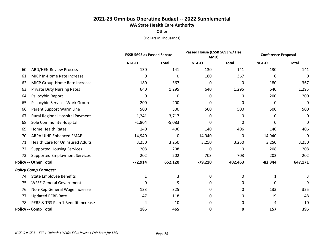## **2021-23 Omnibus Operating Budget -- 2022 Supplemental WA State Health Care Authority**

**Other**

|     |                                         | Passed House (ESSB 5693 w/ Hse<br><b>ESSB 5693 as Passed Senate</b><br>AMD) |              | <b>Conference Proposal</b> |              |           |              |
|-----|-----------------------------------------|-----------------------------------------------------------------------------|--------------|----------------------------|--------------|-----------|--------------|
|     |                                         | NGF-O                                                                       | <b>Total</b> | NGF-O                      | <b>Total</b> | NGF-O     | <b>Total</b> |
| 60. | <b>ABD/HEN Review Process</b>           | 130                                                                         | 141          | 130                        | 141          | 130       | 141          |
| 61. | MICP In-Home Rate Increase              | 0                                                                           | 0            | 180                        | 367          | 0         | $\Omega$     |
| 62. | MICP Group-Home Rate Increase           | 180                                                                         | 367          | 0                          | 0            | 180       | 367          |
| 63. | <b>Private Duty Nursing Rates</b>       | 640                                                                         | 1,295        | 640                        | 1,295        | 640       | 1,295        |
| 64. | Psilocybin Report                       | 0                                                                           | 0            | 0                          | 0            | 200       | 200          |
| 65. | Psilocybin Services Work Group          | 200                                                                         | 200          | 0                          | 0            | 0         | 0            |
| 66. | Parent Support Warm Line                | 500                                                                         | 500          | 500                        | 500          | 500       | 500          |
| 67. | Rural Regional Hospital Payment         | 1,241                                                                       | 3,717        | 0                          | 0            | 0         | 0            |
| 68. | Sole Community Hospital                 | $-1,804$                                                                    | $-5,083$     | 0                          | 0            | 0         | 0            |
| 69. | <b>Home Health Rates</b>                | 140                                                                         | 406          | 140                        | 406          | 140       | 406          |
| 70. | ARPA UIHP Enhanced FMAP                 | 14,940                                                                      | 0            | 14,940                     | 0            | 14,940    | 0            |
| 71. | <b>Health Care for Uninsured Adults</b> | 3,250                                                                       | 3,250        | 3,250                      | 3,250        | 3,250     | 3,250        |
| 72. | <b>Supported Housing Services</b>       | 208                                                                         | 208          | 0                          | 0            | 208       | 208          |
| 73. | <b>Supported Employment Services</b>    | 202                                                                         | 202          | 703                        | 703          | 202       | 202          |
|     | <b>Policy -- Other Total</b>            | $-72,914$                                                                   | 652,120      | $-79,210$                  | 402,463      | $-82,344$ | 647,171      |
|     | <b>Policy Comp Changes:</b>             |                                                                             |              |                            |              |           |              |
| 74. | <b>State Employee Benefits</b>          | 1                                                                           | 3            | 0                          | 0            | 1         | 3            |
| 75. | <b>WFSE General Government</b>          | 0                                                                           | 9            | 0                          | 0            | 0         | 9            |
| 76. | Non-Rep General Wage Increase           | 133                                                                         | 325          | 0                          | 0            | 133       | 325          |
| 77. | <b>Updated PEBB Rate</b>                | 47                                                                          | 118          | 0                          | 0            | 19        | 48           |
| 78. | PERS & TRS Plan 1 Benefit Increase      | 4                                                                           | 10           | 0                          | 0            | 4         | 10           |
|     | <b>Policy -- Comp Total</b>             | 185                                                                         | 465          | 0                          | 0            | 157       | 395          |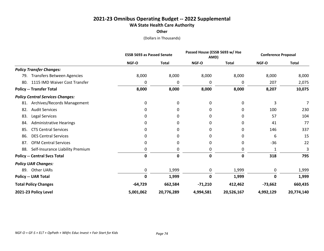## **2021-23 Omnibus Operating Budget -- 2022 Supplemental WA State Health Care Authority**

**Other**

|                                          | <b>ESSB 5693 as Passed Senate</b> |              | Passed House (ESSB 5693 w/ Hse<br>AMD) |              | <b>Conference Proposal</b> |              |
|------------------------------------------|-----------------------------------|--------------|----------------------------------------|--------------|----------------------------|--------------|
|                                          | NGF-O                             | <b>Total</b> | NGF-O                                  | <b>Total</b> | <b>NGF-O</b>               | <b>Total</b> |
| <b>Policy Transfer Changes:</b>          |                                   |              |                                        |              |                            |              |
| <b>Transfers Between Agencies</b><br>79. | 8,000                             | 8,000        | 8,000                                  | 8,000        | 8,000                      | 8,000        |
| 1115 IMD Waiver Cost Transfer<br>80.     | 0                                 | 0            | 0                                      | 0            | 207                        | 2,075        |
| <b>Policy -- Transfer Total</b>          | 8,000                             | 8,000        | 8,000                                  | 8,000        | 8,207                      | 10,075       |
| <b>Policy Central Services Changes:</b>  |                                   |              |                                        |              |                            |              |
| Archives/Records Management<br>81.       | 0                                 | 0            | 0                                      | 0            | 3                          | 7            |
| <b>Audit Services</b><br>82.             | 0                                 | 0            | 0                                      | 0            | 100                        | 230          |
| Legal Services<br>83.                    | 0                                 | 0            | 0                                      | 0            | 57                         | 104          |
| <b>Administrative Hearings</b><br>84.    | 0                                 | 0            | 0                                      | 0            | 41                         | 77           |
| <b>CTS Central Services</b><br>85.       | 0                                 | 0            | 0                                      | 0            | 146                        | 337          |
| <b>DES Central Services</b><br>86.       | 0                                 | 0            | 0                                      | 0            | 6                          | 15           |
| <b>OFM Central Services</b><br>87.       | 0                                 | 0            | 0                                      | 0            | $-36$                      | 22           |
| Self-Insurance Liability Premium<br>88.  | 0                                 | 0            | 0                                      | 0            |                            | 3            |
| <b>Policy -- Central Svcs Total</b>      | 0                                 | 0            | 0                                      | 0            | 318                        | 795          |
| <b>Policy UAR Changes:</b>               |                                   |              |                                        |              |                            |              |
| <b>Other UARs</b><br>89.                 | 0                                 | 1,999        | 0                                      | 1,999        | 0                          | 1,999        |
| <b>Policy -- UAR Total</b>               | 0                                 | 1,999        | O                                      | 1,999        | $\mathbf 0$                | 1,999        |
| <b>Total Policy Changes</b>              | $-64,729$                         | 662,584      | $-71,210$                              | 412,462      | $-73,662$                  | 660,435      |
| 2021-23 Policy Level                     | 5,001,062                         | 20,776,289   | 4,994,581                              | 20,526,167   | 4,992,129                  | 20,774,140   |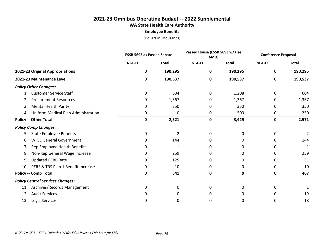### **2021-23 Omnibus Operating Budget -- 2022 Supplemental WA State Health Care Authority Employee Benefits**

|                                           |             | <b>ESSB 5693 as Passed Senate</b> |              | Passed House (ESSB 5693 w/ Hse<br>AMD) |             | <b>Conference Proposal</b> |  |
|-------------------------------------------|-------------|-----------------------------------|--------------|----------------------------------------|-------------|----------------------------|--|
|                                           | NGF-O       | <b>Total</b>                      | NGF-O        | <b>Total</b>                           | NGF-O       | <b>Total</b>               |  |
| 2021-23 Original Appropriations           | 0           | 190,295                           | 0            | 190,295                                | 0           | 190,295                    |  |
| 2021-23 Maintenance Level                 | 0           | 190,537                           | 0            | 190,537                                | 0           | 190,537                    |  |
| <b>Policy Other Changes:</b>              |             |                                   |              |                                        |             |                            |  |
| <b>Customer Service Staff</b>             | 0           | 604                               | 0            | 1,208                                  | 0           | 604                        |  |
| <b>Procurement Resources</b><br>2.        | 0           | 1,367                             | 0            | 1,367                                  | 0           | 1,367                      |  |
| <b>Mental Health Parity</b><br>3.         | 0           | 350                               | 0            | 350                                    | 0           | 350                        |  |
| Uniform Medical Plan Administration<br>4. | 0           | 0                                 | 0            | 500                                    | 0           | 250                        |  |
| <b>Policy -- Other Total</b>              | $\mathbf 0$ | 2,321                             | 0            | 3,425                                  | 0           | 2,571                      |  |
| <b>Policy Comp Changes:</b>               |             |                                   |              |                                        |             |                            |  |
| <b>State Employee Benefits</b><br>5.      | 0           | $\overline{2}$                    | 0            | 0                                      | 0           | 2                          |  |
| <b>WFSE General Government</b><br>6.      | 0           | 144                               | O            | 0                                      | 0           | 144                        |  |
| Rep Employee Health Benefits<br>7.        | 0           | 1                                 | 0            | 0                                      | 0           |                            |  |
| Non-Rep General Wage Increase<br>8.       | 0           | 259                               | <sup>0</sup> | 0                                      | 0           | 259                        |  |
| <b>Updated PEBB Rate</b><br>9.            | 0           | 125                               | 0            | 0                                      | 0           | 51                         |  |
| PERS & TRS Plan 1 Benefit Increase<br>10. | 0           | 10                                | 0            | 0                                      | 0           | 10                         |  |
| <b>Policy -- Comp Total</b>               | $\mathbf 0$ | 541                               | $\mathbf 0$  | $\mathbf 0$                            | $\mathbf 0$ | 467                        |  |
| <b>Policy Central Services Changes:</b>   |             |                                   |              |                                        |             |                            |  |
| Archives/Records Management<br>11.        | 0           | 0                                 | 0            | 0                                      | 0           |                            |  |
| <b>Audit Services</b><br>12.              | 0           | 0                                 | 0            | 0                                      | 0           | 19                         |  |
| Legal Services<br>13.                     | 0           | 0                                 | 0            | 0                                      | 0           | 18                         |  |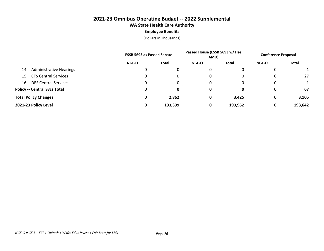#### **2021-23 Omnibus Operating Budget -- 2022 Supplemental WA State Health Care Authority Employee Benefits**

|                                       | <b>ESSB 5693 as Passed Senate</b> |         | Passed House (ESSB 5693 w/ Hse<br>AMD) |         | <b>Conference Proposal</b> |              |
|---------------------------------------|-----------------------------------|---------|----------------------------------------|---------|----------------------------|--------------|
|                                       | <b>NGF-O</b>                      | Total   | <b>NGF-O</b>                           | Total   | <b>NGF-O</b>               | <b>Total</b> |
| <b>Administrative Hearings</b><br>14. |                                   |         |                                        | 0       | 0                          |              |
| 15. CTS Central Services              |                                   |         |                                        | 0       | 0                          | 27           |
| 16. DES Central Services              |                                   |         |                                        |         | 0                          |              |
| <b>Policy -- Central Svcs Total</b>   |                                   |         | 0                                      | 0       | 0                          | 67           |
| <b>Total Policy Changes</b>           | 0                                 | 2,862   | 0                                      | 3,425   | 0                          | 3,105        |
| 2021-23 Policy Level                  |                                   | 193,399 | 0                                      | 193,962 | 0                          | 193,642      |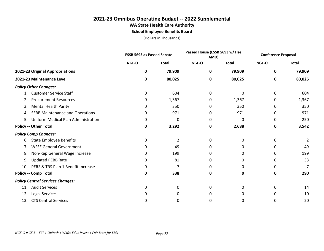#### **2021-23 Omnibus Operating Budget -- 2022 Supplemental WA State Health Care Authority School Employee Benefits Board**

|                                              | <b>ESSB 5693 as Passed Senate</b> |              |              | Passed House (ESSB 5693 w/ Hse<br>AMD) |              | <b>Conference Proposal</b> |
|----------------------------------------------|-----------------------------------|--------------|--------------|----------------------------------------|--------------|----------------------------|
|                                              | NGF-O                             | <b>Total</b> | NGF-O        | <b>Total</b>                           | <b>NGF-O</b> | <b>Total</b>               |
| 2021-23 Original Appropriations              | O                                 | 79,909       | 0            | 79,909                                 | 0            | 79,909                     |
| 2021-23 Maintenance Level                    | 0                                 | 80,025       | 0            | 80,025                                 | 0            | 80,025                     |
| <b>Policy Other Changes:</b>                 |                                   |              |              |                                        |              |                            |
| <b>Customer Service Staff</b>                | 0                                 | 604          | 0            | 0                                      | 0            | 604                        |
| <b>Procurement Resources</b><br>2.           | 0                                 | 1,367        | 0            | 1,367                                  | 0            | 1,367                      |
| <b>Mental Health Parity</b><br>3.            | 0                                 | 350          | 0            | 350                                    | 0            | 350                        |
| <b>SEBB Maintenance and Operations</b><br>4. | 0                                 | 971          | 0            | 971                                    | 0            | 971                        |
| Uniform Medical Plan Administration<br>5.    | 0                                 | 0            | 0            | 0                                      | 0            | 250                        |
| <b>Policy -- Other Total</b>                 | 0                                 | 3,292        | 0            | 2,688                                  | 0            | 3,542                      |
| <b>Policy Comp Changes:</b>                  |                                   |              |              |                                        |              |                            |
| <b>State Employee Benefits</b><br>6.         | 0                                 | 2            | 0            | 0                                      | 0            | 2                          |
| <b>WFSE General Government</b><br>7.         | 0                                 | 49           | 0            | 0                                      | 0            | 49                         |
| Non-Rep General Wage Increase<br>8.          | 0                                 | 199          | <sup>0</sup> | 0                                      | 0            | 199                        |
| <b>Updated PEBB Rate</b><br>9.               | 0                                 | 81           | 0            | 0                                      | 0            | 33                         |
| PERS & TRS Plan 1 Benefit Increase<br>10.    | 0                                 | 7            | 0            | 0                                      | 0            | 7                          |
| <b>Policy -- Comp Total</b>                  | 0                                 | 338          | $\mathbf 0$  | 0                                      | 0            | 290                        |
| <b>Policy Central Services Changes:</b>      |                                   |              |              |                                        |              |                            |
| <b>Audit Services</b><br>11.                 | 0                                 | 0            | 0            | 0                                      | 0            | 14                         |
| Legal Services<br>12.                        | 0                                 | 0            | 0            | 0                                      | 0            | 10                         |
| <b>CTS Central Services</b><br>13.           | 0                                 | 0            | 0            | 0                                      | 0            | 20                         |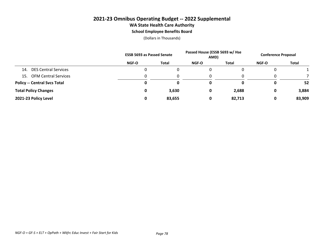#### **2021-23 Omnibus Operating Budget -- 2022 Supplemental WA State Health Care Authority School Employee Benefits Board**

|                                     |              | <b>ESSB 5693 as Passed Senate</b> |              | Passed House (ESSB 5693 w/ Hse<br>AMD) |       | <b>Conference Proposal</b> |
|-------------------------------------|--------------|-----------------------------------|--------------|----------------------------------------|-------|----------------------------|
|                                     | <b>NGF-O</b> | <b>Total</b>                      | <b>NGF-O</b> | <b>Total</b>                           | NGF-O | <b>Total</b>               |
| <b>DES Central Services</b><br>14.  |              | u                                 | 0            |                                        |       |                            |
| 15. OFM Central Services            |              |                                   | 0            |                                        |       |                            |
| <b>Policy -- Central Svcs Total</b> |              |                                   | 0            | 0                                      |       | 52                         |
| <b>Total Policy Changes</b>         |              | 3,630                             | 0            | 2,688                                  | 0     | 3,884                      |
| 2021-23 Policy Level                |              | 83,655                            | 0            | 82,713                                 | 0     | 83,909                     |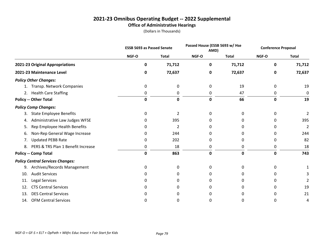#### **2021-23 Omnibus Operating Budget -- 2022 Supplemental Office of Administrative Hearings**

|                                          |             | <b>ESSB 5693 as Passed Senate</b> |              | Passed House (ESSB 5693 w/ Hse<br>AMD) |              | <b>Conference Proposal</b> |
|------------------------------------------|-------------|-----------------------------------|--------------|----------------------------------------|--------------|----------------------------|
|                                          | NGF-O       | <b>Total</b>                      | NGF-O        | <b>Total</b>                           | <b>NGF-O</b> | <b>Total</b>               |
| 2021-23 Original Appropriations          | 0           | 71,712                            | 0            | 71,712                                 | 0            | 71,712                     |
| 2021-23 Maintenance Level                | 0           | 72,637                            | 0            | 72,637                                 | 0            | 72,637                     |
| <b>Policy Other Changes:</b>             |             |                                   |              |                                        |              |                            |
| Transp. Network Companies                | 0           | 0                                 | 0            | 19                                     | 0            | 19                         |
| 2. Health Care Staffing                  | 0           | 0                                 | 0            | 47                                     | 0            | 0                          |
| <b>Policy -- Other Total</b>             | 0           | 0                                 | 0            | 66                                     | 0            | 19                         |
| <b>Policy Comp Changes:</b>              |             |                                   |              |                                        |              |                            |
| <b>State Employee Benefits</b><br>3.     | 0           | $\overline{2}$                    | 0            | 0                                      | 0            | 2                          |
| Administrative Law Judges WFSE<br>4.     | 0           | 395                               | O            | 0                                      | 0            | 395                        |
| Rep Employee Health Benefits<br>5.       | 0           | 2                                 | 0            | 0                                      | 0            | 2                          |
| Non-Rep General Wage Increase<br>6.      | 0           | 244                               | O            | o                                      | 0            | 244                        |
| <b>Updated PEBB Rate</b><br>7.           | 0           | 202                               | 0            | 0                                      | 0            | 82                         |
| PERS & TRS Plan 1 Benefit Increase<br>8. | 0           | 18                                | 0            | 0                                      | 0            | 18                         |
| <b>Policy -- Comp Total</b>              | $\mathbf 0$ | 863                               | 0            | 0                                      | 0            | 743                        |
| <b>Policy Central Services Changes:</b>  |             |                                   |              |                                        |              |                            |
| Archives/Records Management<br>9.        | 0           | 0                                 | 0            | 0                                      | 0            |                            |
| <b>Audit Services</b><br>10.             | 0           | 0                                 | <sup>0</sup> | O.                                     | 0            |                            |
| Legal Services<br>11.                    | 0           | 0                                 | O            | O                                      | 0            |                            |
| <b>CTS Central Services</b><br>12.       | 0           | 0                                 | O            | 0                                      | 0            | 19                         |
| <b>DES Central Services</b><br>13.       | O           | 0                                 | O            | O                                      | 0            | 21                         |
| <b>OFM Central Services</b><br>14.       | 0           | U                                 | O            | o                                      | 0            | 4                          |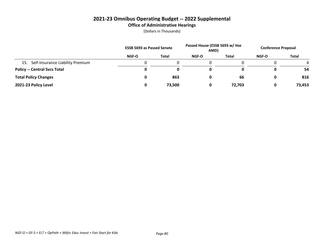#### **2021-23 Omnibus Operating Budget -- 2022 Supplemental Office of Administrative Hearings**

|                                         | <b>ESSB 5693 as Passed Senate</b> |              | Passed House (ESSB 5693 w/ Hse<br>AMD) |              | <b>Conference Proposal</b> |        |
|-----------------------------------------|-----------------------------------|--------------|----------------------------------------|--------------|----------------------------|--------|
|                                         | NGF-O                             | <b>Total</b> | <b>NGF-O</b>                           | <b>Total</b> | <b>NGF-O</b>               | Total  |
| Self-Insurance Liability Premium<br>15. |                                   |              |                                        |              |                            |        |
| <b>Policy -- Central Svcs Total</b>     | 0                                 |              | 0                                      |              |                            | 54     |
| <b>Total Policy Changes</b>             | 0                                 | 863          | 0                                      | 66           |                            | 816    |
| 2021-23 Policy Level                    | 0                                 | 73,500       | 0                                      | 72,703       |                            | 73,453 |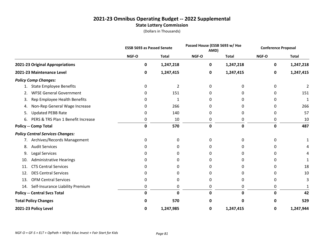#### **2021-23 Omnibus Operating Budget -- 2022 Supplemental State Lottery Commission**

|                                          | <b>ESSB 5693 as Passed Senate</b> |                |             | Passed House (ESSB 5693 w/ Hse<br>AMD) |             | <b>Conference Proposal</b> |
|------------------------------------------|-----------------------------------|----------------|-------------|----------------------------------------|-------------|----------------------------|
|                                          | NGF-O                             | <b>Total</b>   | NGF-O       | <b>Total</b>                           | NGF-O       | <b>Total</b>               |
| 2021-23 Original Appropriations          | 0                                 | 1,247,218      | 0           | 1,247,218                              | 0           | 1,247,218                  |
| 2021-23 Maintenance Level                | 0                                 | 1,247,415      | 0           | 1,247,415                              | 0           | 1,247,415                  |
| <b>Policy Comp Changes:</b>              |                                   |                |             |                                        |             |                            |
| <b>State Employee Benefits</b><br>1.     | 0                                 | $\overline{2}$ | 0           | 0                                      | 0           |                            |
| <b>WFSE General Government</b><br>2.     | 0                                 | 151            | 0           | 0                                      | 0           | 151                        |
| Rep Employee Health Benefits<br>3.       | 0                                 | 1              | 0           | 0                                      |             | 1                          |
| Non-Rep General Wage Increase<br>4.      | 0                                 | 266            | O           |                                        | ი           | 266                        |
| <b>Updated PEBB Rate</b><br>5.           | 0                                 | 140            | 0           | 0                                      | 0           | 57                         |
| PERS & TRS Plan 1 Benefit Increase<br>6. | 0                                 | 10             | 0           | 0                                      | 0           | 10                         |
| <b>Policy -- Comp Total</b>              | 0                                 | 570            | $\mathbf 0$ | 0                                      | $\mathbf 0$ | 487                        |
| <b>Policy Central Services Changes:</b>  |                                   |                |             |                                        |             |                            |
| 7. Archives/Records Management           | 0                                 | 0              | 0           | <sup>0</sup>                           | n           |                            |
| <b>Audit Services</b><br>8.              | <sup>0</sup>                      | 0              | O           | O                                      |             |                            |
| Legal Services<br>9.                     | 0                                 | 0              | O           | 0                                      |             |                            |
| <b>Administrative Hearings</b><br>10.    | O                                 | 0              | O           |                                        |             |                            |
| <b>CTS Central Services</b><br>11.       | 0                                 | 0              | 0           | 0                                      | 0           | 18                         |
| <b>DES Central Services</b><br>12.       |                                   | 0              | O           | 0                                      | 0           | 10                         |
| <b>OFM Central Services</b><br>13.       | 0                                 | 0              | 0           | 0                                      | 0           | 3                          |
| Self-Insurance Liability Premium<br>14.  | 0                                 | 0              | 0           | 0                                      | 0           |                            |
| <b>Policy -- Central Svcs Total</b>      | 0                                 | 0              | 0           | U                                      | 0           | 42                         |
| <b>Total Policy Changes</b>              | 0                                 | 570            | n           |                                        | O           | 529                        |
| 2021-23 Policy Level                     | 0                                 | 1,247,985      | 0           | 1,247,415                              | 0           | 1,247,944                  |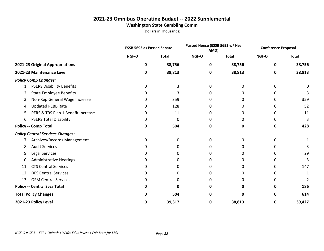#### **2021-23 Omnibus Operating Budget -- 2022 Supplemental Washington State Gambling Comm**

|                                          | <b>ESSB 5693 as Passed Senate</b> |              |       | Passed House (ESSB 5693 w/ Hse<br>AMD) |       | <b>Conference Proposal</b> |
|------------------------------------------|-----------------------------------|--------------|-------|----------------------------------------|-------|----------------------------|
|                                          | NGF-O                             | <b>Total</b> | NGF-O | <b>Total</b>                           | NGF-O | <b>Total</b>               |
| 2021-23 Original Appropriations          | 0                                 | 38,756       | 0     | 38,756                                 | 0     | 38,756                     |
| 2021-23 Maintenance Level                | 0                                 | 38,813       | 0     | 38,813                                 | 0     | 38,813                     |
| <b>Policy Comp Changes:</b>              |                                   |              |       |                                        |       |                            |
| <b>PSERS Disability Benefits</b><br>1.   | 0                                 | 3            | 0     | O                                      | 0     | 0                          |
| <b>State Employee Benefits</b><br>2.     | 0                                 | 3            | O     |                                        |       |                            |
| Non-Rep General Wage Increase<br>3.      | 0                                 | 359          | O     |                                        | 0     | 359                        |
| <b>Updated PEBB Rate</b><br>4.           | 0                                 | 128          | 0     | n                                      | 0     | 52                         |
| PERS & TRS Plan 1 Benefit Increase<br>5. | 0                                 | 11           | 0     | 0                                      | 0     | 11                         |
| <b>PSERS Total Disability</b><br>6.      | 0                                 | 0            | 0     | 0                                      | 0     | 3                          |
| <b>Policy -- Comp Total</b>              | 0                                 | 504          | 0     | 0                                      | 0     | 428                        |
| <b>Policy Central Services Changes:</b>  |                                   |              |       |                                        |       |                            |
| 7. Archives/Records Management           | 0                                 | 0            | 0     | 0                                      | 0     |                            |
| <b>Audit Services</b><br>8.              | O                                 | 0            |       |                                        |       |                            |
| Legal Services<br>9.                     | 0                                 | 0            | O     |                                        |       | 29                         |
| <b>Administrative Hearings</b><br>10.    | 0                                 |              |       |                                        |       | 3                          |
| <b>CTS Central Services</b><br>11.       | 0                                 | 0            | O     | n                                      | 0     | 147                        |
| <b>DES Central Services</b><br>12.       | 0                                 | 0            | O     | n                                      | 0     | 1                          |
| <b>OFM Central Services</b><br>13.       | 0                                 | 0            | 0     | 0                                      | 0     |                            |
| <b>Policy -- Central Svcs Total</b>      | 0                                 | 0            | 0     | 0                                      | 0     | 186                        |
| <b>Total Policy Changes</b>              |                                   | 504          |       |                                        | o     | 614                        |
| 2021-23 Policy Level                     | 0                                 | 39,317       | 0     | 38,813                                 | 0     | 39,427                     |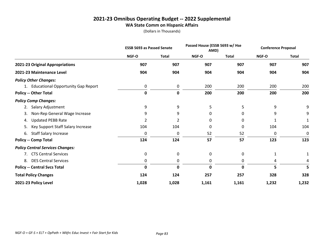#### **2021-23 Omnibus Operating Budget -- 2022 Supplemental WA State Comm on Hispanic Affairs**

|                                         | <b>ESSB 5693 as Passed Senate</b> |              | Passed House (ESSB 5693 w/ Hse<br>AMD) |              | <b>Conference Proposal</b> |              |
|-----------------------------------------|-----------------------------------|--------------|----------------------------------------|--------------|----------------------------|--------------|
|                                         | NGF-O                             | <b>Total</b> | NGF-O                                  | <b>Total</b> | NGF-O                      | <b>Total</b> |
| 2021-23 Original Appropriations         | 907                               | 907          | 907                                    | 907          | 907                        | 907          |
| 2021-23 Maintenance Level               | 904                               | 904          | 904                                    | 904          | 904                        | 904          |
| <b>Policy Other Changes:</b>            |                                   |              |                                        |              |                            |              |
| 1. Educational Opportunity Gap Report   | 0                                 | 0            | 200                                    | 200          | 200                        | 200          |
| <b>Policy -- Other Total</b>            | 0                                 | $\pmb{0}$    | 200                                    | 200          | 200                        | 200          |
| <b>Policy Comp Changes:</b>             |                                   |              |                                        |              |                            |              |
| 2. Salary Adjustment                    | 9                                 | 9            | 5                                      | 5            | 9                          | 9            |
| Non-Rep General Wage Increase<br>3.     | 9                                 | 9            | 0                                      | 0            | 9                          | 9            |
| <b>Updated PEBB Rate</b><br>4.          | 2                                 | 2            | 0                                      | 0            |                            |              |
| Key Support Staff Salary Increase<br>5. | 104                               | 104          | 0                                      | 0            | 104                        | 104          |
| <b>Staff Salary Increase</b><br>6.      | 0                                 | 0            | 52                                     | 52           | 0                          | 0            |
| <b>Policy -- Comp Total</b>             | 124                               | 124          | 57                                     | 57           | 123                        | 123          |
| <b>Policy Central Services Changes:</b> |                                   |              |                                        |              |                            |              |
| 7. CTS Central Services                 | $\mathbf 0$                       | 0            | 0                                      | 0            | 1                          |              |
| <b>DES Central Services</b><br>8.       | 0                                 | 0            | 0                                      | 0            | 4                          | 4            |
| <b>Policy -- Central Svcs Total</b>     | 0                                 | 0            | 0                                      | 0            | 5                          | 5            |
| <b>Total Policy Changes</b>             | 124                               | 124          | 257                                    | 257          | 328                        | 328          |
| 2021-23 Policy Level                    | 1,028                             | 1,028        | 1,161                                  | 1,161        | 1,232                      | 1,232        |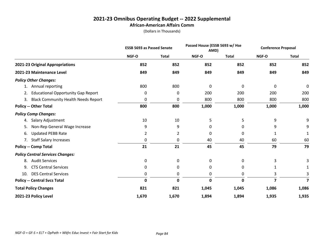#### **2021-23 Omnibus Operating Budget -- 2022 Supplemental African-American Affairs Comm**

|                                                  | <b>ESSB 5693 as Passed Senate</b> |              | Passed House (ESSB 5693 w/ Hse<br>AMD) |              | <b>Conference Proposal</b> |                         |
|--------------------------------------------------|-----------------------------------|--------------|----------------------------------------|--------------|----------------------------|-------------------------|
|                                                  | NGF-O                             | <b>Total</b> | NGF-O                                  | <b>Total</b> | NGF-O                      | <b>Total</b>            |
| 2021-23 Original Appropriations                  | 852                               | 852          | 852                                    | 852          | 852                        | 852                     |
| 2021-23 Maintenance Level                        | 849                               | 849          | 849                                    | 849          | 849                        | 849                     |
| <b>Policy Other Changes:</b>                     |                                   |              |                                        |              |                            |                         |
| Annual reporting<br>1.                           | 800                               | 800          | 0                                      | 0            | 0                          | 0                       |
| <b>Educational Opportunity Gap Report</b><br>2.  | 0                                 | 0            | 200                                    | 200          | 200                        | 200                     |
| <b>Black Community Health Needs Report</b><br>3. | 0                                 | 0            | 800                                    | 800          | 800                        | 800                     |
| <b>Policy -- Other Total</b>                     | 800                               | 800          | 1,000                                  | 1,000        | 1,000                      | 1,000                   |
| <b>Policy Comp Changes:</b>                      |                                   |              |                                        |              |                            |                         |
| Salary Adjustment<br>4.                          | 10                                | 10           | 5                                      | 5            | 9                          | 9                       |
| Non-Rep General Wage Increase<br>5.              | 9                                 | 9            | 0                                      | 0            | 9                          | 9                       |
| <b>Updated PEBB Rate</b><br>6.                   | 2                                 | 2            | 0                                      | 0            | 1                          | 1                       |
| <b>Staff Salary Increases</b><br>7.              | 0                                 | 0            | 40                                     | 40           | 60                         | 60                      |
| <b>Policy -- Comp Total</b>                      | 21                                | 21           | 45                                     | 45           | 79                         | 79                      |
| <b>Policy Central Services Changes:</b>          |                                   |              |                                        |              |                            |                         |
| <b>Audit Services</b><br>8.                      | 0                                 | 0            | 0                                      | 0            | 3                          |                         |
| <b>CTS Central Services</b><br>9.                | $\mathbf 0$                       | 0            | 0                                      | 0            | 1                          |                         |
| <b>DES Central Services</b><br>10.               | 0                                 | 0            | 0                                      | 0            | 3                          |                         |
| <b>Policy -- Central Svcs Total</b>              | $\mathbf 0$                       | $\mathbf 0$  | $\mathbf 0$                            | ŋ            | 7                          | $\overline{\mathbf{z}}$ |
| <b>Total Policy Changes</b>                      | 821                               | 821          | 1,045                                  | 1,045        | 1,086                      | 1,086                   |
| 2021-23 Policy Level                             | 1,670                             | 1,670        | 1,894                                  | 1,894        | 1,935                      | 1,935                   |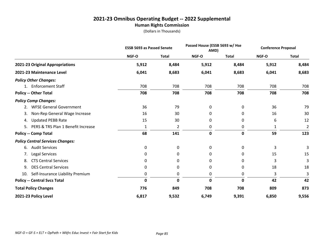# **2021-23 Omnibus Operating Budget -- 2022 Supplemental**

**Human Rights Commission**

|                                          |              | <b>ESSB 5693 as Passed Senate</b> |              | Passed House (ESSB 5693 w/ Hse<br>AMD) |       | <b>Conference Proposal</b> |
|------------------------------------------|--------------|-----------------------------------|--------------|----------------------------------------|-------|----------------------------|
|                                          | <b>NGF-O</b> | <b>Total</b>                      | NGF-O        | <b>Total</b>                           | NGF-O | <b>Total</b>               |
| 2021-23 Original Appropriations          | 5,912        | 8,484                             | 5,912        | 8,484                                  | 5,912 | 8,484                      |
| 2021-23 Maintenance Level                | 6,041        | 8,683                             | 6,041        | 8,683                                  | 6,041 | 8,683                      |
| <b>Policy Other Changes:</b>             |              |                                   |              |                                        |       |                            |
| 1. Enforcement Staff                     | 708          | 708                               | 708          | 708                                    | 708   | 708                        |
| <b>Policy -- Other Total</b>             | 708          | 708                               | 708          | 708                                    | 708   | 708                        |
| <b>Policy Comp Changes:</b>              |              |                                   |              |                                        |       |                            |
| <b>WFSE General Government</b><br>2.     | 36           | 79                                | 0            | 0                                      | 36    | 79                         |
| Non-Rep General Wage Increase<br>3.      | 16           | 30                                | 0            | 0                                      | 16    | 30                         |
| <b>Updated PEBB Rate</b><br>4.           | 15           | 30                                | 0            | 0                                      | 6     | 12                         |
| PERS & TRS Plan 1 Benefit Increase<br>5. | 1            | 2                                 | 0            | 0                                      | 1     | $\overline{2}$             |
| <b>Policy -- Comp Total</b>              | 68           | 141                               | $\mathbf 0$  | $\mathbf 0$                            | 59    | 123                        |
| <b>Policy Central Services Changes:</b>  |              |                                   |              |                                        |       |                            |
| <b>Audit Services</b><br>6.              | 0            | 0                                 | 0            | 0                                      | 3     | 3                          |
| Legal Services<br>7.                     | 0            | 0                                 | 0            | 0                                      | 15    | 15                         |
| <b>CTS Central Services</b><br>8.        | 0            | 0                                 | 0            | 0                                      | 3     | 3                          |
| <b>DES Central Services</b><br>9.        | 0            | 0                                 | 0            | 0                                      | 18    | 18                         |
| Self-Insurance Liability Premium<br>10.  | 0            | 0                                 | 0            | 0                                      | 3     | 3                          |
| <b>Policy -- Central Svcs Total</b>      | $\mathbf 0$  | $\mathbf 0$                       | $\mathbf{0}$ | $\mathbf 0$                            | 42    | 42                         |
| <b>Total Policy Changes</b>              | 776          | 849                               | 708          | 708                                    | 809   | 873                        |
| 2021-23 Policy Level                     | 6,817        | 9,532                             | 6,749        | 9,391                                  | 6,850 | 9,556                      |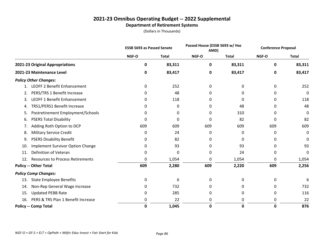#### **2021-23 Omnibus Operating Budget -- 2022 Supplemental Department of Retirement Systems**

|     |                                         | <b>ESSB 5693 as Passed Senate</b> |              | Passed House (ESSB 5693 w/ Hse<br>AMD) |              | <b>Conference Proposal</b> |              |
|-----|-----------------------------------------|-----------------------------------|--------------|----------------------------------------|--------------|----------------------------|--------------|
|     |                                         | NGF-O                             | <b>Total</b> | NGF-O                                  | <b>Total</b> | NGF-O                      | <b>Total</b> |
|     | 2021-23 Original Appropriations         | 0                                 | 83,311       | 0                                      | 83,311       | 0                          | 83,311       |
|     | 2021-23 Maintenance Level               | 0                                 | 83,417       | 0                                      | 83,417       | 0                          | 83,417       |
|     | <b>Policy Other Changes:</b>            |                                   |              |                                        |              |                            |              |
| 1.  | <b>LEOFF 2 Benefit Enhancement</b>      | 0                                 | 252          | 0                                      | 0            | 0                          | 252          |
| 2.  | PERS/TRS 1 Benefit Increase             | 0                                 | 48           | 0                                      | 0            | 0                          | 0            |
| 3.  | <b>LEOFF 1 Benefit Enhancement</b>      | 0                                 | 118          | <sup>0</sup>                           | 0            | 0                          | 118          |
| 4.  | TRS1/PERS1 Benefit Increase             | 0                                 | 0            | 0                                      | 48           | 0                          | 48           |
| 5.  | Postretirement Employment/Schools       | 0                                 | 0            | 0                                      | 310          | 0                          | 0            |
| 6.  | <b>PSERS Total Disability</b>           | 0                                 | 0            | 0                                      | 82           | 0                          | 82           |
| 7.  | Adding Roth Option to DCP               | 609                               | 609          | 609                                    | 609          | 609                        | 609          |
| 8.  | <b>Military Service Credit</b>          | 0                                 | 24           | 0                                      | 0            | 0                          | 0            |
| 9.  | <b>PSERS Disability Benefit</b>         | 0                                 | 82           | 0                                      | 0            | 0                          | 0            |
| 10. | <b>Implement Survivor Option Change</b> | 0                                 | 93           | 0                                      | 93           | 0                          | 93           |
| 11. | Definition of Veteran                   | 0                                 | 0            | 0                                      | 24           | 0                          | 0            |
| 12. | <b>Resources to Process Retirements</b> | 0                                 | 1,054        | 0                                      | 1,054        | 0                          | 1,054        |
|     | <b>Policy -- Other Total</b>            | 609                               | 2,280        | 609                                    | 2,220        | 609                        | 2,256        |
|     | <b>Policy Comp Changes:</b>             |                                   |              |                                        |              |                            |              |
| 13. | <b>State Employee Benefits</b>          | 0                                 | 6            | 0                                      | 0            | 0                          | 6            |
| 14. | Non-Rep General Wage Increase           | 0                                 | 732          | 0                                      | 0            | 0                          | 732          |
| 15. | <b>Updated PEBB Rate</b>                | 0                                 | 285          | 0                                      | 0            | 0                          | 116          |
| 16. | PERS & TRS Plan 1 Benefit Increase      | 0                                 | 22           | 0                                      | 0            | 0                          | 22           |
|     | <b>Policy -- Comp Total</b>             | 0                                 | 1,045        | 0                                      | 0            | 0                          | 876          |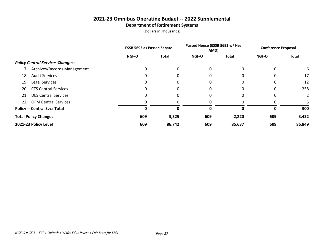#### **2021-23 Omnibus Operating Budget -- 2022 Supplemental Department of Retirement Systems**

|                                         | <b>ESSB 5693 as Passed Senate</b> |              | Passed House (ESSB 5693 w/ Hse<br>AMD) |        | <b>Conference Proposal</b> |                |
|-----------------------------------------|-----------------------------------|--------------|----------------------------------------|--------|----------------------------|----------------|
|                                         | NGF-O                             | <b>Total</b> | NGF-O                                  | Total  | NGF-O                      | Total          |
| <b>Policy Central Services Changes:</b> |                                   |              |                                        |        |                            |                |
| 17. Archives/Records Management         | 0                                 | 0            | 0                                      |        | 0                          | 6              |
| <b>Audit Services</b><br>18.            | 0                                 | 0            | 0                                      |        | 0                          | 17             |
| <b>Legal Services</b><br>19.            | 0                                 | 0            | 0                                      |        | 0                          | 12             |
| <b>CTS Central Services</b><br>20.      | 0                                 | 0            | 0                                      |        | 0                          | 258            |
| <b>DES Central Services</b><br>21.      | 0                                 | 0            | 0                                      |        | 0                          | $\overline{2}$ |
| 22. OFM Central Services                | 0                                 |              |                                        |        |                            |                |
| <b>Policy -- Central Svcs Total</b>     | Ω                                 | 0            | 0                                      | O      | 0                          | 300            |
| <b>Total Policy Changes</b>             | 609                               | 3,325        | 609                                    | 2,220  | 609                        | 3,432          |
| 2021-23 Policy Level                    | 609                               | 86,742       | 609                                    | 85,637 | 609                        | 86,849         |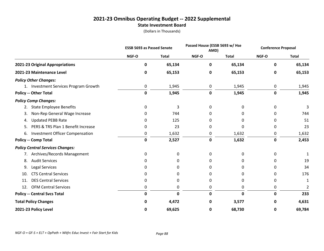#### **2021-23 Omnibus Operating Budget -- 2022 Supplemental State Investment Board**

|                                              |             | <b>ESSB 5693 as Passed Senate</b> |             | Passed House (ESSB 5693 w/ Hse<br>AMD) |       | <b>Conference Proposal</b> |
|----------------------------------------------|-------------|-----------------------------------|-------------|----------------------------------------|-------|----------------------------|
|                                              | NGF-O       | <b>Total</b>                      | NGF-O       | <b>Total</b>                           | NGF-O | <b>Total</b>               |
| 2021-23 Original Appropriations              | 0           | 65,134                            | 0           | 65,134                                 | 0     | 65,134                     |
| 2021-23 Maintenance Level                    | 0           | 65,153                            | 0           | 65,153                                 | 0     | 65,153                     |
| <b>Policy Other Changes:</b>                 |             |                                   |             |                                        |       |                            |
| 1. Investment Services Program Growth        | 0           | 1,945                             | 0           | 1,945                                  | 0     | 1,945                      |
| <b>Policy -- Other Total</b>                 | 0           | 1,945                             | $\mathbf 0$ | 1,945                                  | 0     | 1,945                      |
| <b>Policy Comp Changes:</b>                  |             |                                   |             |                                        |       |                            |
| <b>State Employee Benefits</b><br>2.         | 0           | 3                                 | 0           | 0                                      | 0     | 3                          |
| Non-Rep General Wage Increase<br>3.          | 0           | 744                               | 0           | 0                                      | 0     | 744                        |
| <b>Updated PEBB Rate</b><br>4.               | 0           | 125                               | 0           | 0                                      | 0     | 51                         |
| PERS & TRS Plan 1 Benefit Increase<br>5.     | 0           | 23                                | 0           | 0                                      | 0     | 23                         |
| <b>Investment Officer Compensation</b><br>6. | 0           | 1,632                             | 0           | 1,632                                  | 0     | 1,632                      |
| <b>Policy -- Comp Total</b>                  | $\mathbf 0$ | 2,527                             | $\mathbf 0$ | 1,632                                  | 0     | 2,453                      |
| <b>Policy Central Services Changes:</b>      |             |                                   |             |                                        |       |                            |
| 7. Archives/Records Management               | 0           | 0                                 | 0           | 0                                      | 0     |                            |
| <b>Audit Services</b><br>8.                  | 0           | 0                                 | 0           | 0                                      | 0     | 19                         |
| Legal Services<br>9.                         | 0           | 0                                 | 0           | 0                                      | 0     | 34                         |
| <b>CTS Central Services</b><br>10.           | 0           | 0                                 | 0           | 0                                      | 0     | 176                        |
| <b>DES Central Services</b><br>11.           | 0           | 0                                 | 0           | 0                                      | 0     | 1                          |
| <b>OFM Central Services</b><br>12.           | 0           | 0                                 | 0           | 0                                      | 0     | 2                          |
| <b>Policy -- Central Svcs Total</b>          | $\mathbf 0$ | 0                                 | 0           | 0                                      | 0     | 233                        |
| <b>Total Policy Changes</b>                  | 0           | 4,472                             | 0           | 3,577                                  | 0     | 4,631                      |
| 2021-23 Policy Level                         | 0           | 69,625                            | 0           | 68,730                                 | 0     | 69,784                     |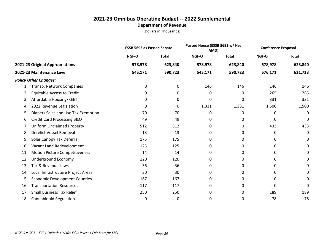#### **2021-23 Omnibus Operating Budget -- 2022 Supplemental Department of Revenue**

|     |                                       | <b>ESSB 5693 as Passed Senate</b> |              | Passed House (ESSB 5693 w/ Hse<br>AMD) |              | <b>Conference Proposal</b> |              |
|-----|---------------------------------------|-----------------------------------|--------------|----------------------------------------|--------------|----------------------------|--------------|
|     |                                       | NGF-O                             | <b>Total</b> | NGF-O                                  | <b>Total</b> | NGF-O                      | <b>Total</b> |
|     | 2021-23 Original Appropriations       | 578,978                           | 623,840      | 578,978                                | 623,840      | 578,978                    | 623,840      |
|     | 2021-23 Maintenance Level             | 545,171                           | 590,723      | 545,171                                | 590,723      | 576,171                    | 621,723      |
|     | <b>Policy Other Changes:</b>          |                                   |              |                                        |              |                            |              |
|     | Transp. Network Companies             | 0                                 | 0            | 146                                    | 146          | 146                        | 146          |
| 2.  | <b>Equitable Access to Credit</b>     | 0                                 | 0            | 0                                      | 0            | 265                        | 265          |
| 3.  | Affordable Housing/REET               | 0                                 | 0            | 0                                      | 0            | 331                        | 331          |
| 4.  | 2022 Revenue Legislation              | 0                                 | 0            | 1,331                                  | 1,331        | 1,500                      | 1,500        |
| 5.  | Diapers Sales and Use Tax Exemption   | 70                                | 70           | 0                                      | 0            | 0                          | 0            |
| 6.  | <b>Credit Card Processing B&amp;O</b> | 49                                | 49           | 0                                      | 0            | 0                          | 0            |
| 7.  | <b>Uniform Unclaimed Property</b>     | 512                               | 512          | 0                                      | 0            | 433                        | 433          |
| 8.  | Derelict Vessel Removal               | 13                                | 13           | 0                                      | 0            | 0                          | 0            |
| 9.  | Solar Canopy Tax Deferral             | 175                               | 175          | 0                                      | 0            | 0                          | 0            |
| 10. | Vacant Land Redevelopment             | 125                               | 125          | 0                                      | 0            | 0                          | 0            |
| 11. | <b>Motion Picture Competitiveness</b> | 14                                | 14           | 0                                      | 0            | 0                          | 0            |
| 12. | Underground Economy                   | 120                               | 120          | 0                                      | 0            | 0                          | 0            |
| 13. | Tax & Revenue Laws                    | 36                                | 36           | 0                                      | 0            | 0                          | 0            |
| 14. | Local Infrastructure Project Areas    | 30                                | 30           | 0                                      | 0            | 0                          | 0            |
| 15. | <b>Economic Development Counties</b>  | 167                               | 167          | 0                                      | 0            | 0                          | 0            |
| 16. | <b>Transportation Resources</b>       | 117                               | 117          | 0                                      | 0            | 0                          | 0            |
| 17. | <b>Small Business Tax Relief</b>      | 250                               | 250          | 0                                      | 0            | 189                        | 189          |
| 18. | <b>Cannabinoid Regulation</b>         | 0                                 | 0            | 0                                      | 0            | 78                         | 78           |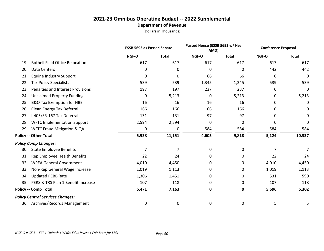#### **2021-23 Omnibus Operating Budget -- 2022 Supplemental Department of Revenue**

|     |                                         | <b>ESSB 5693 as Passed Senate</b> |              |             | Passed House (ESSB 5693 w/ Hse<br>AMD) |           | <b>Conference Proposal</b> |
|-----|-----------------------------------------|-----------------------------------|--------------|-------------|----------------------------------------|-----------|----------------------------|
|     |                                         | NGF-O                             | <b>Total</b> | NGF-O       | <b>Total</b>                           | NGF-O     | <b>Total</b>               |
| 19. | <b>Bothell Field Office Relocation</b>  | 617                               | 617          | 617         | 617                                    | 617       | 617                        |
| 20. | Data Centers                            | 0                                 | 0            | 0           | 0                                      | 442       | 442                        |
| 21. | <b>Equine Industry Support</b>          | 0                                 | 0            | 66          | 66                                     | $\pmb{0}$ | $\mathbf 0$                |
| 22. | <b>Tax Policy Specialists</b>           | 539                               | 539          | 1,345       | 1,345                                  | 539       | 539                        |
| 23. | Penalties and Interest Provisions       | 197                               | 197          | 237         | 237                                    | 0         | 0                          |
| 24. | <b>Unclaimed Property Funding</b>       | 0                                 | 5,213        | 0           | 5,213                                  | 0         | 5,213                      |
| 25. | <b>B&amp;O Tax Exemption for HBE</b>    | 16                                | 16           | 16          | 16                                     | 0         | 0                          |
| 26. | Clean Energy Tax Deferral               | 166                               | 166          | 166         | 166                                    | 0         | 0                          |
| 27. | I-405/SR-167 Tax Deferral               | 131                               | 131          | 97          | 97                                     | 0         | 0                          |
| 28. | <b>WFTC Implementation Support</b>      | 2,594                             | 2,594        | 0           | $\mathbf{0}$                           | 0         | 0                          |
| 29. | <b>WFTC Fraud Mitigation &amp; QA</b>   | 0                                 | 0            | 584         | 584                                    | 584       | 584                        |
|     | <b>Policy -- Other Total</b>            | 5,938                             | 11,151       | 4,605       | 9,818                                  | 5,124     | 10,337                     |
|     | <b>Policy Comp Changes:</b>             |                                   |              |             |                                        |           |                            |
| 30. | <b>State Employee Benefits</b>          | $\overline{7}$                    | 7            | 0           | 0                                      | 7         | 7                          |
| 31. | Rep Employee Health Benefits            | 22                                | 24           | 0           | 0                                      | 22        | 24                         |
| 32. | <b>WPEA General Government</b>          | 4,010                             | 4,450        | 0           | 0                                      | 4,010     | 4,450                      |
| 33. | Non-Rep General Wage Increase           | 1,019                             | 1,113        | 0           | 0                                      | 1,019     | 1,113                      |
| 34. | <b>Updated PEBB Rate</b>                | 1,306                             | 1,451        | 0           | 0                                      | 531       | 590                        |
| 35. | PERS & TRS Plan 1 Benefit Increase      | 107                               | 118          | 0           | 0                                      | 107       | 118                        |
|     | <b>Policy -- Comp Total</b>             | 6,471                             | 7,163        | $\mathbf 0$ | $\mathbf 0$                            | 5,696     | 6,302                      |
|     | <b>Policy Central Services Changes:</b> |                                   |              |             |                                        |           |                            |
|     | 36. Archives/Records Management         | 0                                 | 0            | 0           | 0                                      | 5         | 5                          |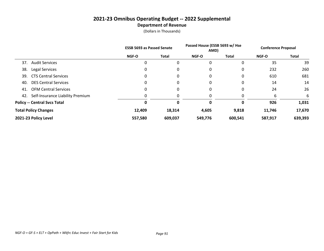#### **2021-23 Omnibus Operating Budget -- 2022 Supplemental Department of Revenue**

|                                      | <b>ESSB 5693 as Passed Senate</b> |              | Passed House (ESSB 5693 w/ Hse<br>AMD) |              | <b>Conference Proposal</b> |         |
|--------------------------------------|-----------------------------------|--------------|----------------------------------------|--------------|----------------------------|---------|
|                                      | <b>NGF-O</b>                      | <b>Total</b> | <b>NGF-O</b>                           | <b>Total</b> | NGF-O                      | Total   |
| <b>Audit Services</b><br>37.         | 0                                 | 0            | 0                                      |              | 35                         | 39      |
| 38.<br>Legal Services                | 0                                 | 0            | 0                                      | 0            | 232                        | 260     |
| <b>CTS Central Services</b><br>39.   | 0                                 | 0            | 0                                      |              | 610                        | 681     |
| <b>DES Central Services</b><br>40.   | 0                                 | 0            | 0                                      | 0            | 14                         | 14      |
| <b>OFM Central Services</b><br>41.   | 0                                 | 0            | 0                                      |              | 24                         | 26      |
| 42. Self-Insurance Liability Premium | 0                                 | 0            | 0                                      |              | 6                          | 6       |
| <b>Policy -- Central Svcs Total</b>  |                                   |              | 0                                      |              | 926                        | 1,031   |
| <b>Total Policy Changes</b>          | 12,409                            | 18,314       | 4,605                                  | 9,818        | 11,746                     | 17,670  |
| 2021-23 Policy Level                 | 557,580                           | 609,037      | 549,776                                | 600,541      | 587,917                    | 639,393 |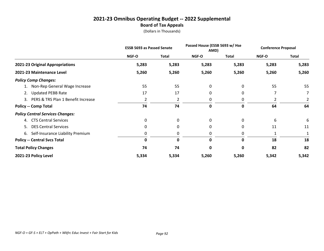#### **2021-23 Omnibus Operating Budget -- 2022 Supplemental Board of Tax Appeals**

|                                         | <b>ESSB 5693 as Passed Senate</b> |              | Passed House (ESSB 5693 w/ Hse<br>AMD) |              | <b>Conference Proposal</b> |              |
|-----------------------------------------|-----------------------------------|--------------|----------------------------------------|--------------|----------------------------|--------------|
|                                         | NGF-O                             | <b>Total</b> | NGF-O                                  | <b>Total</b> | <b>NGF-O</b>               | <b>Total</b> |
| 2021-23 Original Appropriations         | 5,283                             | 5,283        | 5,283                                  | 5,283        | 5,283                      | 5,283        |
| 2021-23 Maintenance Level               | 5,260                             | 5,260        | 5,260                                  | 5,260        | 5,260                      | 5,260        |
| <b>Policy Comp Changes:</b>             |                                   |              |                                        |              |                            |              |
| 1. Non-Rep General Wage Increase        | 55                                | 55           | 0                                      | 0            | 55                         | 55           |
| <b>Updated PEBB Rate</b><br>2.          | 17                                | 17           | 0                                      | 0            |                            | 7            |
| 3. PERS & TRS Plan 1 Benefit Increase   | 2                                 | 2            | 0                                      | 0            | 2                          | 2            |
| <b>Policy -- Comp Total</b>             | 74                                | 74           | 0                                      | 0            | 64                         | 64           |
| <b>Policy Central Services Changes:</b> |                                   |              |                                        |              |                            |              |
| <b>CTS Central Services</b><br>4.       | 0                                 | 0            | 0                                      | 0            | 6                          | 6            |
| <b>DES Central Services</b><br>5.       | $\Omega$                          | 0            | 0                                      | 0            | 11                         | 11           |
| 6. Self-Insurance Liability Premium     | 0                                 | 0            | 0                                      | 0            |                            |              |
| <b>Policy -- Central Svcs Total</b>     | $\mathbf{0}$                      | 0            | 0                                      | 0            | 18                         | 18           |
| <b>Total Policy Changes</b>             | 74                                | 74           | 0                                      | 0            | 82                         | 82           |
| 2021-23 Policy Level                    | 5,334                             | 5,334        | 5,260                                  | 5,260        | 5,342                      | 5,342        |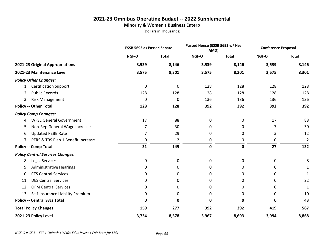#### **2021-23 Omnibus Operating Budget -- 2022 Supplemental Minority & Women's Business Enterp**

|                                         | <b>ESSB 5693 as Passed Senate</b> |                |             | Passed House (ESSB 5693 w/ Hse<br>AMD) |       | <b>Conference Proposal</b> |
|-----------------------------------------|-----------------------------------|----------------|-------------|----------------------------------------|-------|----------------------------|
|                                         | NGF-O                             | <b>Total</b>   | NGF-O       | <b>Total</b>                           | NGF-O | <b>Total</b>               |
| 2021-23 Original Appropriations         | 3,539                             | 8,146          | 3,539       | 8,146                                  | 3,539 | 8,146                      |
| 2021-23 Maintenance Level               | 3,575                             | 8,301          | 3,575       | 8,301                                  | 3,575 | 8,301                      |
| <b>Policy Other Changes:</b>            |                                   |                |             |                                        |       |                            |
| <b>Certification Support</b><br>1.      | 0                                 | 0              | 128         | 128                                    | 128   | 128                        |
| <b>Public Records</b><br>2.             | 128                               | 128            | 128         | 128                                    | 128   | 128                        |
| <b>Risk Management</b><br>3.            | 0                                 | 0              | 136         | 136                                    | 136   | 136                        |
| <b>Policy -- Other Total</b>            | 128                               | 128            | 392         | 392                                    | 392   | 392                        |
| <b>Policy Comp Changes:</b>             |                                   |                |             |                                        |       |                            |
| <b>WFSE General Government</b><br>4.    | 17                                | 88             | 0           | 0                                      | 17    | 88                         |
| Non-Rep General Wage Increase<br>5.     | 7                                 | 30             | 0           | 0                                      | 7     | 30                         |
| <b>Updated PEBB Rate</b><br>6.          | 7                                 | 29             | 0           | 0                                      | 3     | 12                         |
| 7. PERS & TRS Plan 1 Benefit Increase   | 0                                 | $\overline{2}$ | 0           | 0                                      | 0     | $\overline{2}$             |
| <b>Policy -- Comp Total</b>             | 31                                | 149            | $\mathbf 0$ | 0                                      | 27    | 132                        |
| <b>Policy Central Services Changes:</b> |                                   |                |             |                                        |       |                            |
| Legal Services<br>8.                    | 0                                 | 0              | 0           | 0                                      | 0     | 8                          |
| <b>Administrative Hearings</b><br>9.    | 0                                 | 0              | 0           | 0                                      | 0     | 1                          |
| <b>CTS Central Services</b><br>10.      | 0                                 | 0              | 0           | 0                                      | 0     | $\mathbf{1}$               |
| <b>DES Central Services</b><br>11.      | 0                                 | 0              | 0           | 0                                      | 0     | 22                         |
| <b>OFM Central Services</b><br>12.      | 0                                 | 0              | 0           | 0                                      | 0     | 1                          |
| Self-Insurance Liability Premium<br>13. | 0                                 | 0              | 0           | 0                                      | 0     | 10                         |
| <b>Policy -- Central Svcs Total</b>     | $\mathbf 0$                       | $\mathbf 0$    | 0           | $\mathbf{0}$                           | 0     | 43                         |
| <b>Total Policy Changes</b>             | 159                               | 277            | 392         | 392                                    | 419   | 567                        |
| 2021-23 Policy Level                    | 3,734                             | 8,578          | 3,967       | 8,693                                  | 3,994 | 8,868                      |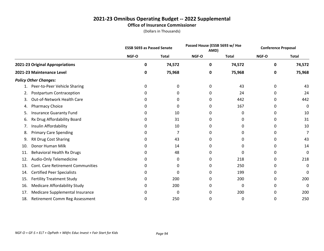#### **2021-23 Omnibus Operating Budget -- 2022 Supplemental Office of Insurance Commissioner**

|     |                                          |       | <b>ESSB 5693 as Passed Senate</b> |              | Passed House (ESSB 5693 w/ Hse<br>AMD) |       | <b>Conference Proposal</b> |
|-----|------------------------------------------|-------|-----------------------------------|--------------|----------------------------------------|-------|----------------------------|
|     |                                          | NGF-O | <b>Total</b>                      | <b>NGF-O</b> | <b>Total</b>                           | NGF-O | <b>Total</b>               |
|     | 2021-23 Original Appropriations          | 0     | 74,572                            | 0            | 74,572                                 | 0     | 74,572                     |
|     | 2021-23 Maintenance Level                | 0     | 75,968                            | 0            | 75,968                                 | 0     | 75,968                     |
|     | <b>Policy Other Changes:</b>             |       |                                   |              |                                        |       |                            |
| 1.  | Peer-to-Peer Vehicle Sharing             | 0     | 0                                 | 0            | 43                                     | 0     | 43                         |
| 2.  | Postpartum Contraception                 | 0     | 0                                 | 0            | 24                                     | 0     | 24                         |
| 3.  | Out-of-Network Health Care               | 0     | 0                                 | 0            | 442                                    | 0     | 442                        |
| 4.  | <b>Pharmacy Choice</b>                   | 0     | 0                                 | 0            | 167                                    | 0     | 0                          |
| 5.  | <b>Insurance Guaranty Fund</b>           | 0     | 10                                | 0            | 0                                      | 0     | 10                         |
| 6.  | Rx Drug Affordability Board              | 0     | 31                                | O            | 0                                      | ი     | 31                         |
| 7.  | Insulin Affordability                    | 0     | 10                                | O            | 0                                      | 0     | 10                         |
| 8.  | <b>Primary Care Spending</b>             | 0     | 7                                 | 0            | 0                                      | 0     | 7                          |
| 9.  | RX Drug Cost Sharing                     | 0     | 43                                | 0            | 0                                      | 0     | 43                         |
| 10. | Donor Human Milk                         | 0     | 14                                | 0            | 0                                      | 0     | 14                         |
| 11. | <b>Behavioral Health Rx Drugs</b>        | 0     | 48                                | O            | O                                      | 0     | 0                          |
| 12. | Audio-Only Telemedicine                  | 0     | 0                                 | 0            | 218                                    | 0     | 218                        |
| 13. | <b>Cont. Care Retirement Communities</b> | 0     | 0                                 | O            | 250                                    | ი     | 0                          |
| 14. | <b>Certified Peer Specialists</b>        | 0     | 0                                 | 0            | 199                                    | 0     | 0                          |
| 15. | <b>Fertility Treatment Study</b>         | 0     | 200                               | 0            | 200                                    | 0     | 200                        |
| 16. | Medicare Affordability Study             | 0     | 200                               | 0            | $\mathbf{0}$                           | 0     | 0                          |
| 17. | Medicare Supplemental Insurance          | O     | 0                                 | O            | 200                                    | 0     | 200                        |
| 18. | Retirement Comm Reg Assessment           | 0     | 250                               | 0            | 0                                      | 0     | 250                        |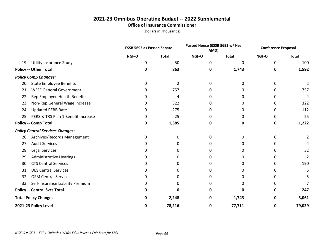#### **2021-23 Omnibus Operating Budget -- 2022 Supplemental Office of Insurance Commissioner**

|     |                                         | <b>ESSB 5693 as Passed Senate</b> |                | Passed House (ESSB 5693 w/ Hse<br>AMD) |              | <b>Conference Proposal</b> |                |
|-----|-----------------------------------------|-----------------------------------|----------------|----------------------------------------|--------------|----------------------------|----------------|
|     |                                         | NGF-O                             | <b>Total</b>   | NGF-O                                  | <b>Total</b> | NGF-O                      | <b>Total</b>   |
| 19. | <b>Utility Insurance Study</b>          | 0                                 | 50             | 0                                      | 0            | 0                          | 100            |
|     | <b>Policy -- Other Total</b>            | 0                                 | 863            | 0                                      | 1,743        | 0                          | 1,592          |
|     | <b>Policy Comp Changes:</b>             |                                   |                |                                        |              |                            |                |
| 20. | <b>State Employee Benefits</b>          | 0                                 | $\overline{2}$ | 0                                      | 0            |                            | $\overline{2}$ |
| 21. | <b>WFSE General Government</b>          | 0                                 | 757            | 0                                      | 0            |                            | 757            |
| 22. | Rep Employee Health Benefits            | 0                                 | 4              |                                        | 0            |                            | 4              |
| 23. | Non-Rep General Wage Increase           | 0                                 | 322            | 0                                      | 0            |                            | 322            |
| 24. | <b>Updated PEBB Rate</b>                | 0                                 | 275            | 0                                      | 0            |                            | 112            |
| 25. | PERS & TRS Plan 1 Benefit Increase      | 0                                 | 25             | 0                                      | 0            | 0                          | 25             |
|     | <b>Policy -- Comp Total</b>             | 0                                 | 1,385          | $\mathbf 0$                            | 0            | 0                          | 1,222          |
|     | <b>Policy Central Services Changes:</b> |                                   |                |                                        |              |                            |                |
| 26. | Archives/Records Management             | 0                                 | 0              | 0                                      | 0            | 0                          |                |
| 27. | <b>Audit Services</b>                   | 0                                 | $\Omega$       | O                                      | 0            | 0                          |                |
| 28. | <b>Legal Services</b>                   | 0                                 | 0              | O                                      | 0            | 0                          | 32             |
| 29. | <b>Administrative Hearings</b>          | 0                                 | 0              | O                                      | O            | 0                          | 2              |
| 30. | <b>CTS Central Services</b>             | 0                                 | 0              | O                                      | O            | 0                          | 190            |
| 31. | <b>DES Central Services</b>             | 0                                 | 0              | O                                      | O            | 0                          | 5              |
| 32. | <b>OFM Central Services</b>             | 0                                 | 0              | 0                                      | 0            | 0                          |                |
| 33. | Self-Insurance Liability Premium        | 0                                 | 0              | 0                                      | 0            | 0                          |                |
|     | <b>Policy -- Central Svcs Total</b>     | 0                                 | $\mathbf 0$    | 0                                      | 0            | 0                          | 247            |
|     | <b>Total Policy Changes</b>             | 0                                 | 2,248          | 0                                      | 1,743        | 0                          | 3,061          |
|     | 2021-23 Policy Level                    | 0                                 | 78,216         | 0                                      | 77,711       | 0                          | 79,029         |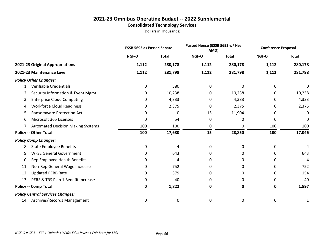#### **2021-23 Omnibus Operating Budget -- 2022 Supplemental Consolidated Technology Services**

|                                           |       | Passed House (ESSB 5693 w/ Hse<br><b>ESSB 5693 as Passed Senate</b><br>AMD) |       | <b>Conference Proposal</b> |       |              |
|-------------------------------------------|-------|-----------------------------------------------------------------------------|-------|----------------------------|-------|--------------|
|                                           | NGF-O | <b>Total</b>                                                                | NGF-O | <b>Total</b>               | NGF-O | <b>Total</b> |
| 2021-23 Original Appropriations           | 1,112 | 280,178                                                                     | 1,112 | 280,178                    | 1,112 | 280,178      |
| 2021-23 Maintenance Level                 | 1,112 | 281,798                                                                     | 1,112 | 281,798                    | 1,112 | 281,798      |
| <b>Policy Other Changes:</b>              |       |                                                                             |       |                            |       |              |
| Verifiable Credentials<br>1.              | 0     | 580                                                                         | 0     | 0                          | 0     | 0            |
| Security Information & Event Mgmt<br>2.   | 0     | 10,238                                                                      | 0     | 10,238                     | 0     | 10,238       |
| <b>Enterprise Cloud Computing</b><br>3.   | 0     | 4,333                                                                       | 0     | 4,333                      | 0     | 4,333        |
| <b>Workforce Cloud Readiness</b><br>4.    | 0     | 2,375                                                                       | 0     | 2,375                      | 0     | 2,375        |
| <b>Ransomware Protection Act</b><br>5.    | 0     | 0                                                                           | 15    | 11,904                     | 0     | 0            |
| Microsoft 365 Licenses<br>6.              | 0     | 54                                                                          | 0     | 0                          | 0     | 0            |
| 7. Automated Decision Making Systems      | 100   | 100                                                                         | 0     | 0                          | 100   | 100          |
| <b>Policy -- Other Total</b>              | 100   | 17,680                                                                      | 15    | 28,850                     | 100   | 17,046       |
| <b>Policy Comp Changes:</b>               |       |                                                                             |       |                            |       |              |
| <b>State Employee Benefits</b><br>8.      | 0     | 4                                                                           | 0     | 0                          | 0     | 4            |
| <b>WFSE General Government</b><br>9.      | 0     | 643                                                                         | 0     | 0                          | 0     | 643          |
| Rep Employee Health Benefits<br>10.       | 0     | 4                                                                           | 0     | 0                          | 0     | 4            |
| Non-Rep General Wage Increase<br>11.      | 0     | 752                                                                         | 0     | 0                          | 0     | 752          |
| <b>Updated PEBB Rate</b><br>12.           | 0     | 379                                                                         | 0     | 0                          | 0     | 154          |
| PERS & TRS Plan 1 Benefit Increase<br>13. | 0     | 40                                                                          | 0     | 0                          | 0     | 40           |
| <b>Policy -- Comp Total</b>               | 0     | 1,822                                                                       | 0     | 0                          | 0     | 1,597        |
| <b>Policy Central Services Changes:</b>   |       |                                                                             |       |                            |       |              |
| 14. Archives/Records Management           | 0     | 0                                                                           | 0     | 0                          | 0     | 1            |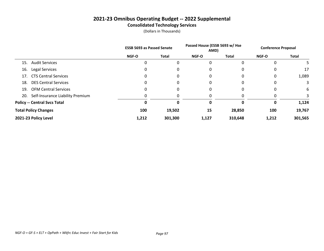#### **2021-23 Omnibus Operating Budget -- 2022 Supplemental Consolidated Technology Services**

|                                         | <b>ESSB 5693 as Passed Senate</b> |              | Passed House (ESSB 5693 w/ Hse<br>AMD) |              | <b>Conference Proposal</b> |         |
|-----------------------------------------|-----------------------------------|--------------|----------------------------------------|--------------|----------------------------|---------|
|                                         | <b>NGF-O</b>                      | <b>Total</b> | <b>NGF-O</b>                           | <b>Total</b> | <b>NGF-O</b>               | Total   |
| <b>Audit Services</b><br>15.            |                                   | 0            | 0                                      |              | 0                          | 5.      |
| Legal Services<br>16.                   |                                   |              | 0                                      |              | 0                          | 17      |
| 17. CTS Central Services                |                                   | 0            | 0                                      |              | 0                          | 1,089   |
| <b>DES Central Services</b><br>18.      | 0                                 | 0            | 0                                      |              | 0                          | 3       |
| <b>OFM Central Services</b><br>19.      |                                   | 0            | 0                                      |              | 0                          | 6       |
| Self-Insurance Liability Premium<br>20. |                                   |              |                                        |              | 0                          | 3       |
| <b>Policy -- Central Svcs Total</b>     |                                   |              | 0                                      |              | 0                          | 1,124   |
| <b>Total Policy Changes</b>             | 100                               | 19,502       | 15                                     | 28,850       | 100                        | 19,767  |
| 2021-23 Policy Level                    | 1,212                             | 301,300      | 1,127                                  | 310,648      | 1,212                      | 301,565 |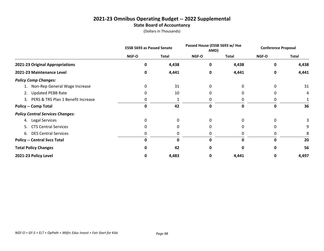#### **2021-23 Omnibus Operating Budget -- 2022 Supplemental State Board of Accountancy**

|                                         | <b>ESSB 5693 as Passed Senate</b> |             | Passed House (ESSB 5693 w/ Hse<br>AMD) |          | <b>Conference Proposal</b> |              |
|-----------------------------------------|-----------------------------------|-------------|----------------------------------------|----------|----------------------------|--------------|
|                                         | NGF-O                             | Total       | NGF-O                                  | Total    | NGF-O                      | <b>Total</b> |
| 2021-23 Original Appropriations         | 0                                 | 4,438       | 0                                      | 4,438    | 0                          | 4,438        |
| 2021-23 Maintenance Level               | 0                                 | 4,441       | 0                                      | 4,441    | 0                          | 4,441        |
| <b>Policy Comp Changes:</b>             |                                   |             |                                        |          |                            |              |
| 1. Non-Rep General Wage Increase        | 0                                 | 31          | 0                                      |          |                            | 31           |
| <b>Updated PEBB Rate</b><br>2.          | 0                                 | 10          | 0                                      |          |                            | 4            |
| 3. PERS & TRS Plan 1 Benefit Increase   | 0                                 |             | 0                                      | 0        | 0                          |              |
| <b>Policy -- Comp Total</b>             | 0                                 | 42          | 0                                      | 0        | 0                          | 36           |
| <b>Policy Central Services Changes:</b> |                                   |             |                                        |          |                            |              |
| Legal Services<br>4.                    | 0                                 | 0           | 0                                      | $\Omega$ | 0                          | 3            |
| 5. CTS Central Services                 | 0                                 | 0           | 0                                      |          |                            | 9            |
| 6. DES Central Services                 | O                                 | 0           | 0                                      |          |                            |              |
| <b>Policy -- Central Svcs Total</b>     | 0                                 | $\mathbf 0$ | $\mathbf{0}$                           | 0        | ŋ                          | 20           |
| <b>Total Policy Changes</b>             | Ω                                 | 42          | O                                      | 0        |                            | 56           |
| 2021-23 Policy Level                    | 0                                 | 4,483       | 0                                      | 4,441    | 0                          | 4,497        |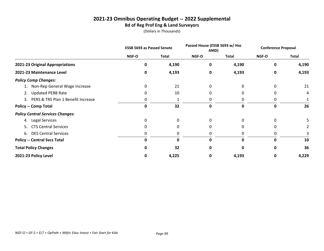#### **2021-23 Omnibus Operating Budget -- 2022 Supplemental Bd of Reg Prof Eng & Land Surveyors**

|                                         | <b>ESSB 5693 as Passed Senate</b> |              | Passed House (ESSB 5693 w/ Hse<br>AMD) |          | <b>Conference Proposal</b> |              |
|-----------------------------------------|-----------------------------------|--------------|----------------------------------------|----------|----------------------------|--------------|
|                                         | NGF-O                             | Total        | NGF-O                                  | Total    | NGF-O                      | <b>Total</b> |
| 2021-23 Original Appropriations         | 0                                 | 4,190        | 0                                      | 4,190    | 0                          | 4,190        |
| 2021-23 Maintenance Level               | 0                                 | 4,193        | 0                                      | 4,193    | 0                          | 4,193        |
| <b>Policy Comp Changes:</b>             |                                   |              |                                        |          |                            |              |
| 1. Non-Rep General Wage Increase        | 0                                 | 21           | 0                                      |          | 0                          | 21           |
| <b>Updated PEBB Rate</b><br>2.          | 0                                 | 10           | 0                                      |          |                            | 4            |
| 3. PERS & TRS Plan 1 Benefit Increase   | 0                                 |              | 0                                      | 0        | 0                          |              |
| <b>Policy -- Comp Total</b>             | 0                                 | 32           | 0                                      | 0        | 0                          | 26           |
| <b>Policy Central Services Changes:</b> |                                   |              |                                        |          |                            |              |
| Legal Services<br>4.                    | 0                                 | 0            | 0                                      | $\Omega$ | 0                          |              |
| 5. CTS Central Services                 | 0                                 | 0            | 0                                      |          |                            |              |
| 6. DES Central Services                 | O                                 | 0            | 0                                      |          |                            |              |
| <b>Policy -- Central Svcs Total</b>     | 0                                 | $\mathbf{0}$ | $\mathbf{0}$                           | 0        | ŋ                          | 10           |
| <b>Total Policy Changes</b>             | Ω                                 | 32           | 0                                      | 0        | ŋ                          | 36           |
| 2021-23 Policy Level                    | 0                                 | 4,225        | 0                                      | 4,193    | 0                          | 4,229        |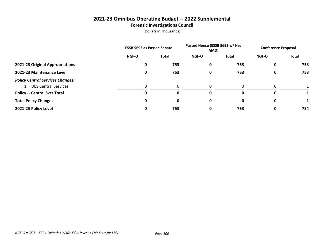#### **2021-23 Omnibus Operating Budget -- 2022 Supplemental Forensic Investigations Council**

|                                         |              | <b>ESSB 5693 as Passed Senate</b> |              | Passed House (ESSB 5693 w/ Hse<br>AMD) |              | <b>Conference Proposal</b> |  |
|-----------------------------------------|--------------|-----------------------------------|--------------|----------------------------------------|--------------|----------------------------|--|
|                                         | <b>NGF-O</b> | <b>Total</b>                      | <b>NGF-O</b> | Total                                  | <b>NGF-O</b> | Total                      |  |
| 2021-23 Original Appropriations         | 0            | 753                               | 0            | 753                                    | 0            | 753                        |  |
| 2021-23 Maintenance Level               | 0            | 753                               | 0            | 753                                    | 0            | 753                        |  |
| <b>Policy Central Services Changes:</b> |              |                                   |              |                                        |              |                            |  |
| 1. DES Central Services                 |              | 0                                 | 0            | $\Omega$                               | 0            |                            |  |
| <b>Policy -- Central Svcs Total</b>     | O            | 0                                 | 0            | 0                                      | 0            |                            |  |
| <b>Total Policy Changes</b>             | 0            | 0                                 | 0            | 0                                      | 0            |                            |  |
| 2021-23 Policy Level                    |              | 753                               | 0            | 753                                    | 0            | 754                        |  |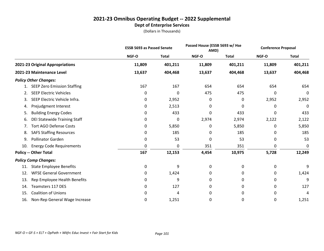#### **2021-23 Omnibus Operating Budget -- 2022 Supplemental Dept of Enterprise Services**

|     |                                     | <b>ESSB 5693 as Passed Senate</b> |              | Passed House (ESSB 5693 w/ Hse<br>AMD) |              | <b>Conference Proposal</b> |              |
|-----|-------------------------------------|-----------------------------------|--------------|----------------------------------------|--------------|----------------------------|--------------|
|     |                                     | NGF-O                             | <b>Total</b> | NGF-O                                  | <b>Total</b> | NGF-O                      | <b>Total</b> |
|     | 2021-23 Original Appropriations     | 11,809                            | 401,211      | 11,809                                 | 401,211      | 11,809                     | 401,211      |
|     | 2021-23 Maintenance Level           | 13,637                            | 404,468      | 13,637                                 | 404,468      | 13,637                     | 404,468      |
|     | <b>Policy Other Changes:</b>        |                                   |              |                                        |              |                            |              |
|     | <b>SEEP Zero Emission Staffing</b>  | 167                               | 167          | 654                                    | 654          | 654                        | 654          |
| 2.  | <b>SEEP Electric Vehicles</b>       | 0                                 | 0            | 475                                    | 475          | 0                          | 0            |
| 3.  | SEEP Electric Vehicle Infra.        | 0                                 | 2,952        | 0                                      | 0            | 2,952                      | 2,952        |
| 4.  | Prejudgment Interest                | 0                                 | 2,513        | 0                                      | 0            | 0                          | 0            |
| 5.  | <b>Building Energy Codes</b>        | 0                                 | 433          | 0                                      | 433          | 0                          | 433          |
| 6.  | <b>DEI Statewide Training Staff</b> | 0                                 | 0            | 2,974                                  | 2,974        | 2,122                      | 2,122        |
| 7.  | <b>Tort AGO Defense Costs</b>       | 0                                 | 5,850        | 0                                      | 5,850        | 0                          | 5,850        |
| 8.  | <b>SAFS Staffing Resources</b>      | 0                                 | 185          | 0                                      | 185          | 0                          | 185          |
| 9.  | <b>Pollinator Garden</b>            | 0                                 | 53           | 0                                      | 53           | 0                          | 53           |
| 10. | <b>Energy Code Requirements</b>     | 0                                 | 0            | 351                                    | 351          | 0                          | 0            |
|     | <b>Policy -- Other Total</b>        | 167                               | 12,153       | 4,454                                  | 10,975       | 5,728                      | 12,249       |
|     | <b>Policy Comp Changes:</b>         |                                   |              |                                        |              |                            |              |
| 11. | <b>State Employee Benefits</b>      | 0                                 | 9            | 0                                      | 0            | 0                          | 9            |
| 12. | <b>WFSE General Government</b>      | 0                                 | 1,424        | 0                                      | 0            | 0                          | 1,424        |
| 13. | Rep Employee Health Benefits        | 0                                 | 9            | 0                                      | 0            | 0                          | 9            |
| 14. | Teamsters 117 DES                   | 0                                 | 127          | 0                                      | 0            | 0                          | 127          |
| 15. | <b>Coalition of Unions</b>          | 0                                 | 4            | 0                                      | 0            | 0                          | 4            |
| 16. | Non-Rep General Wage Increase       | 0                                 | 1,251        | 0                                      | 0            | 0                          | 1,251        |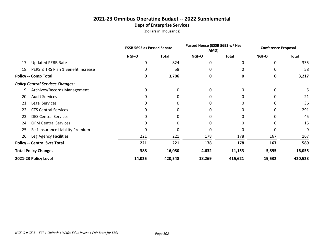#### **2021-23 Omnibus Operating Budget -- 2022 Supplemental Dept of Enterprise Services**

|                                           |        | Passed House (ESSB 5693 w/ Hse<br><b>ESSB 5693 as Passed Senate</b><br>AMD) |        | <b>Conference Proposal</b> |          |              |
|-------------------------------------------|--------|-----------------------------------------------------------------------------|--------|----------------------------|----------|--------------|
|                                           | NGF-O  | Total                                                                       | NGF-O  | <b>Total</b>               | NGF-O    | <b>Total</b> |
| <b>Updated PEBB Rate</b><br>17.           | 0      | 824                                                                         | 0      | $\Omega$                   | 0        | 335          |
| PERS & TRS Plan 1 Benefit Increase<br>18. | 0      | 58                                                                          | 0      |                            | 0        | 58           |
| <b>Policy -- Comp Total</b>               | 0      | 3,706                                                                       | 0      | 0                          | 0        | 3,217        |
| <b>Policy Central Services Changes:</b>   |        |                                                                             |        |                            |          |              |
| Archives/Records Management<br>19.        | 0      | 0                                                                           | 0      | 0                          | 0        |              |
| <b>Audit Services</b><br>20.              | 0      | 0                                                                           | 0      |                            | 0        | 21           |
| Legal Services<br>21.                     | 0      | 0                                                                           | 0      |                            | 0        | 36           |
| <b>CTS Central Services</b><br>22.        | 0      | 0                                                                           | 0      | 0                          | 0        | 291          |
| <b>DES Central Services</b><br>23.        | 0      | 0                                                                           | 0      |                            | $\Omega$ | 45           |
| <b>OFM Central Services</b><br>24.        | 0      | 0                                                                           | 0      | 0                          | 0        | 15           |
| Self-Insurance Liability Premium<br>25.   | 0      | 0                                                                           | 0      | 0                          | 0        | 9            |
| Leg Agency Facilities<br>26.              | 221    | 221                                                                         | 178    | 178                        | 167      | 167          |
| <b>Policy -- Central Svcs Total</b>       | 221    | 221                                                                         | 178    | 178                        | 167      | 589          |
| <b>Total Policy Changes</b>               | 388    | 16,080                                                                      | 4,632  | 11,153                     | 5,895    | 16,055       |
| 2021-23 Policy Level                      | 14,025 | 420,548                                                                     | 18,269 | 415,621                    | 19,532   | 420,523      |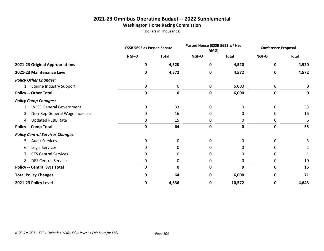### **2021-23 Omnibus Operating Budget -- 2022 Supplemental Washington Horse Racing Commission**

|                                         | <b>ESSB 5693 as Passed Senate</b> |              | Passed House (ESSB 5693 w/ Hse<br>AMD) |              | <b>Conference Proposal</b> |              |
|-----------------------------------------|-----------------------------------|--------------|----------------------------------------|--------------|----------------------------|--------------|
|                                         | NGF-O                             | <b>Total</b> | NGF-O                                  | <b>Total</b> | <b>NGF-O</b>               | <b>Total</b> |
| 2021-23 Original Appropriations         | 0                                 | 4,520        | $\mathbf 0$                            | 4,520        | 0                          | 4,520        |
| 2021-23 Maintenance Level               | 0                                 | 4,572        | 0                                      | 4,572        | 0                          | 4,572        |
| <b>Policy Other Changes:</b>            |                                   |              |                                        |              |                            |              |
| 1. Equine Industry Support              | 0                                 | 0            | 0                                      | 6,000        | 0                          | 0            |
| <b>Policy -- Other Total</b>            | 0                                 | 0            | 0                                      | 6,000        | 0                          | 0            |
| <b>Policy Comp Changes:</b>             |                                   |              |                                        |              |                            |              |
| 2. WFSE General Government              | 0                                 | 33           | $\Omega$                               | 0            | 0                          | 33           |
| Non-Rep General Wage Increase<br>3.     | 0                                 | 16           | 0                                      | 0            | 0                          | 16           |
| 4. Updated PEBB Rate                    | 0                                 | 15           | 0                                      | 0            | 0                          | 6            |
| <b>Policy -- Comp Total</b>             | 0                                 | 64           | $\mathbf 0$                            | $\mathbf 0$  | 0                          | 55           |
| <b>Policy Central Services Changes:</b> |                                   |              |                                        |              |                            |              |
| <b>Audit Services</b><br>5.             | 0                                 | 0            | $\Omega$                               | 0            | 0                          |              |
| Legal Services<br>6.                    | 0                                 | 0            | 0                                      | 0            | 0                          |              |
| <b>CTS Central Services</b><br>7.       | 0                                 | 0            | 0                                      | 0            | 0                          |              |
| <b>DES Central Services</b><br>8.       | 0                                 | 0            | 0                                      | 0            | 0                          | 10           |
| <b>Policy -- Central Svcs Total</b>     | 0                                 | $\mathbf 0$  | $\mathbf 0$                            | 0            | 0                          | 16           |
| <b>Total Policy Changes</b>             | 0                                 | 64           | 0                                      | 6,000        | 0                          | 71           |
| 2021-23 Policy Level                    | 0                                 | 4,636        | 0                                      | 10,572       | 0                          | 4,643        |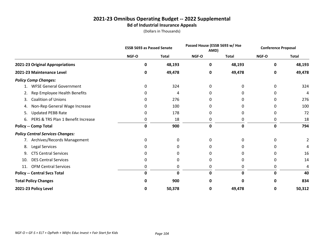#### **2021-23 Omnibus Operating Budget -- 2022 Supplemental Bd of Industrial Insurance Appeals**

|                                          | <b>ESSB 5693 as Passed Senate</b> |              | Passed House (ESSB 5693 w/ Hse<br>AMD) |              | <b>Conference Proposal</b> |              |
|------------------------------------------|-----------------------------------|--------------|----------------------------------------|--------------|----------------------------|--------------|
|                                          | NGF-O                             | <b>Total</b> | NGF-O                                  | <b>Total</b> | NGF-O                      | <b>Total</b> |
| 2021-23 Original Appropriations          | 0                                 | 48,193       | 0                                      | 48,193       | 0                          | 48,193       |
| 2021-23 Maintenance Level                | 0                                 | 49,478       | 0                                      | 49,478       | 0                          | 49,478       |
| <b>Policy Comp Changes:</b>              |                                   |              |                                        |              |                            |              |
| <b>WFSE General Government</b>           | 0                                 | 324          | 0                                      | 0            | 0                          | 324          |
| Rep Employee Health Benefits<br>2.       | 0                                 | 4            | 0                                      | 0            | 0                          | 4            |
| <b>Coalition of Unions</b><br>3.         | 0                                 | 276          | 0                                      | 0            | 0                          | 276          |
| Non-Rep General Wage Increase<br>4.      | 0                                 | 100          | 0                                      | 0            | 0                          | 100          |
| <b>Updated PEBB Rate</b><br>5.           | 0                                 | 178          | 0                                      | 0            | 0                          | 72           |
| PERS & TRS Plan 1 Benefit Increase<br>6. | 0                                 | 18           | 0                                      | 0            | 0                          | 18           |
| <b>Policy -- Comp Total</b>              | $\mathbf 0$                       | 900          | 0                                      | 0            | 0                          | 794          |
| <b>Policy Central Services Changes:</b>  |                                   |              |                                        |              |                            |              |
| 7. Archives/Records Management           | 0                                 | 0            | 0                                      | 0            | 0                          |              |
| Legal Services<br>8.                     | 0                                 | 0            | 0                                      | 0            | 0                          |              |
| <b>CTS Central Services</b><br>9.        | 0                                 | 0            | 0                                      | 0            | 0                          | 16           |
| <b>DES Central Services</b><br>10.       | 0                                 | 0            | 0                                      | 0            | 0                          | 14           |
| <b>OFM Central Services</b><br>11.       | 0                                 | 0            | 0                                      | 0            | 0                          | 4            |
| <b>Policy -- Central Svcs Total</b>      | 0                                 | 0            | 0                                      | 0            | U                          | 40           |
| <b>Total Policy Changes</b>              | O                                 | 900          | 0                                      | 0            | n                          | 834          |
| 2021-23 Policy Level                     | 0                                 | 50,378       | 0                                      | 49,478       | 0                          | 50,312       |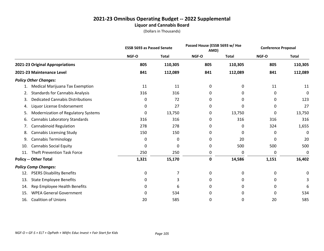#### **2021-23 Omnibus Operating Budget -- 2022 Supplemental Liquor and Cannabis Board**

|     |                                         |       | Passed House (ESSB 5693 w/ Hse<br><b>ESSB 5693 as Passed Senate</b><br>AMD) |       | <b>Conference Proposal</b> |       |              |
|-----|-----------------------------------------|-------|-----------------------------------------------------------------------------|-------|----------------------------|-------|--------------|
|     |                                         | NGF-O | <b>Total</b>                                                                | NGF-O | <b>Total</b>               | NGF-O | <b>Total</b> |
|     | 2021-23 Original Appropriations         | 805   | 110,305                                                                     | 805   | 110,305                    | 805   | 110,305      |
|     | 2021-23 Maintenance Level               | 841   | 112,089                                                                     | 841   | 112,089                    | 841   | 112,089      |
|     | <b>Policy Other Changes:</b>            |       |                                                                             |       |                            |       |              |
|     | Medical Marijuana Tax Exemption         | 11    | 11                                                                          | 0     | 0                          | 11    | 11           |
| 2.  | <b>Standards for Cannabis Analysis</b>  | 316   | 316                                                                         | 0     | 0                          | 0     | 0            |
| 3.  | <b>Dedicated Cannabis Distributions</b> | 0     | 72                                                                          | 0     | 0                          | 0     | 123          |
| 4.  | Liquor License Endorsement              | 0     | 27                                                                          | 0     | 0                          | 0     | 27           |
| 5.  | Modernization of Regulatory Systems     | 0     | 13,750                                                                      | 0     | 13,750                     | 0     | 13,750       |
| 6.  | Cannabis Laboratory Standards           | 316   | 316                                                                         | 0     | 316                        | 316   | 316          |
| 7.  | <b>Cannabinoid Regulation</b>           | 278   | 278                                                                         | 0     | 0                          | 324   | 1,655        |
| 8.  | <b>Cannabis Licensing Study</b>         | 150   | 150                                                                         | 0     | 0                          | 0     | 0            |
| 9.  | <b>Cannabis Terminology</b>             | 0     | 0                                                                           | 0     | 20                         | 0     | 20           |
| 10. | <b>Cannabis Social Equity</b>           | 0     | 0                                                                           | 0     | 500                        | 500   | 500          |
| 11. | <b>Theft Prevention Task Force</b>      | 250   | 250                                                                         | 0     | 0                          | 0     | 0            |
|     | <b>Policy -- Other Total</b>            | 1,321 | 15,170                                                                      | 0     | 14,586                     | 1,151 | 16,402       |
|     | <b>Policy Comp Changes:</b>             |       |                                                                             |       |                            |       |              |
| 12. | <b>PSERS Disability Benefits</b>        | 0     | 7                                                                           | 0     | 0                          | 0     | 0            |
| 13. | <b>State Employee Benefits</b>          | 0     | 3                                                                           | 0     | 0                          | 0     | 3            |
| 14. | Rep Employee Health Benefits            | 0     | 6                                                                           | 0     | 0                          | 0     | 6            |
| 15. | <b>WPEA General Government</b>          | 0     | 534                                                                         | 0     | 0                          | 0     | 534          |
| 16. | <b>Coalition of Unions</b>              | 20    | 585                                                                         | 0     | 0                          | 20    | 585          |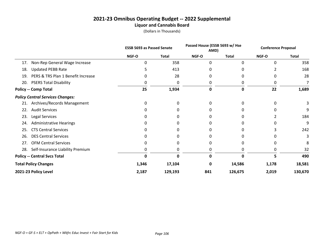#### **2021-23 Omnibus Operating Budget -- 2022 Supplemental Liquor and Cannabis Board**

|     |                                         | <b>ESSB 5693 as Passed Senate</b> |              | Passed House (ESSB 5693 w/ Hse<br>AMD) |              | <b>Conference Proposal</b> |              |
|-----|-----------------------------------------|-----------------------------------|--------------|----------------------------------------|--------------|----------------------------|--------------|
|     |                                         | <b>NGF-O</b>                      | <b>Total</b> | <b>NGF-O</b>                           | <b>Total</b> | NGF-O                      | <b>Total</b> |
| 17. | Non-Rep General Wage Increase           | 0                                 | 358          | 0                                      | 0            | 0                          | 358          |
| 18. | <b>Updated PEBB Rate</b>                |                                   | 413          |                                        |              |                            | 168          |
| 19. | PERS & TRS Plan 1 Benefit Increase      | O                                 | 28           |                                        |              |                            | 28           |
| 20. | <b>PSERS Total Disability</b>           |                                   | 0            |                                        |              |                            |              |
|     | <b>Policy -- Comp Total</b>             | 25                                | 1,934        | 0                                      | 0            | 22                         | 1,689        |
|     | <b>Policy Central Services Changes:</b> |                                   |              |                                        |              |                            |              |
| 21. | Archives/Records Management             | 0                                 | 0            | O                                      |              |                            |              |
| 22. | <b>Audit Services</b>                   |                                   |              |                                        |              |                            | 9            |
| 23. | Legal Services                          |                                   |              |                                        |              |                            | 184          |
| 24. | <b>Administrative Hearings</b>          |                                   |              |                                        |              |                            | 9            |
| 25. | <b>CTS Central Services</b>             |                                   | 0            |                                        |              |                            | 242          |
| 26. | <b>DES Central Services</b>             |                                   |              |                                        |              |                            |              |
| 27. | <b>OFM Central Services</b>             |                                   |              |                                        |              |                            |              |
| 28. | Self-Insurance Liability Premium        |                                   |              |                                        |              |                            | 32           |
|     | <b>Policy -- Central Svcs Total</b>     | Ω                                 |              | ŋ                                      |              | 5                          | 490          |
|     | <b>Total Policy Changes</b>             | 1,346                             | 17,104       | n                                      | 14,586       | 1,178                      | 18,581       |
|     | 2021-23 Policy Level                    | 2,187                             | 129,193      | 841                                    | 126,675      | 2,019                      | 130,670      |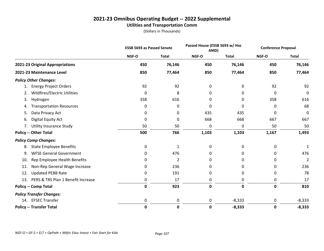#### **2021-23 Omnibus Operating Budget -- 2022 Supplemental Utilities and Transportation Comm**

|                                           | <b>ESSB 5693 as Passed Senate</b> |              | Passed House (ESSB 5693 w/ Hse<br>AMD) |              | <b>Conference Proposal</b> |                |
|-------------------------------------------|-----------------------------------|--------------|----------------------------------------|--------------|----------------------------|----------------|
|                                           | NGF-O                             | <b>Total</b> | NGF-O                                  | <b>Total</b> | NGF-O                      | <b>Total</b>   |
| 2021-23 Original Appropriations           | 450                               | 76,146       | 450                                    | 76,146       | 450                        | 76,146         |
| 2021-23 Maintenance Level                 | 850                               | 77,464       | 850                                    | 77,464       | 850                        | 77,464         |
| <b>Policy Other Changes:</b>              |                                   |              |                                        |              |                            |                |
| <b>Energy Project Orders</b><br>1.        | 92                                | 92           | 0                                      | 0            | 92                         | 92             |
| Wildfires/Electric Utilities<br>2.        | 0                                 | 8            | 0                                      | 0            | 0                          | $\mathbf 0$    |
| Hydrogen<br>3.                            | 358                               | 616          | 0                                      | 0            | 358                        | 616            |
| <b>Transportation Resources</b><br>4.     | 0                                 | 0            | 0                                      | 0            | 0                          | 68             |
| Data Privacy Act<br>5.                    | 0                                 | 0            | 435                                    | 435          | 0                          | $\mathbf 0$    |
| Digital Equity Act<br>6.                  | 0                                 | 0            | 668                                    | 668          | 667                        | 667            |
| <b>Utility Insurance Study</b><br>7.      | 50                                | 50           | 0                                      | 0            | 50                         | 50             |
| <b>Policy -- Other Total</b>              | 500                               | 766          | 1,103                                  | 1,103        | 1,167                      | 1,493          |
| <b>Policy Comp Changes:</b>               |                                   |              |                                        |              |                            |                |
| <b>State Employee Benefits</b><br>8.      | 0                                 | 1            | 0                                      | 0            | 0                          | 1              |
| <b>WFSE General Government</b><br>9.      | 0                                 | 476          | 0                                      | 0            | 0                          | 476            |
| Rep Employee Health Benefits<br>10.       | 0                                 | 2            | 0                                      | 0            | 0                          | $\overline{2}$ |
| Non-Rep General Wage Increase<br>11.      | 0                                 | 236          | 0                                      | 0            | 0                          | 236            |
| <b>Updated PEBB Rate</b><br>12.           | 0                                 | 191          | 0                                      | 0            | 0                          | 78             |
| PERS & TRS Plan 1 Benefit Increase<br>13. | 0                                 | 17           | 0                                      | 0            | 0                          | 17             |
| <b>Policy -- Comp Total</b>               | $\mathbf 0$                       | 923          | $\mathbf 0$                            | 0            | 0                          | 810            |
| <b>Policy Transfer Changes:</b>           |                                   |              |                                        |              |                            |                |
| 14. EFSEC Transfer                        | 0                                 | 0            | 0                                      | $-8,333$     | 0                          | $-8,333$       |
| <b>Policy -- Transfer Total</b>           | $\mathbf 0$                       | 0            | 0                                      | $-8,333$     | 0                          | $-8,333$       |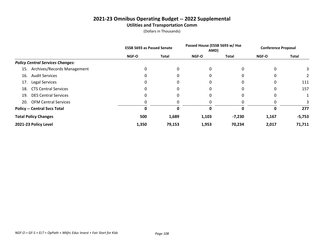#### **2021-23 Omnibus Operating Budget -- 2022 Supplemental Utilities and Transportation Comm**

|                                         | <b>ESSB 5693 as Passed Senate</b> |              | Passed House (ESSB 5693 w/ Hse<br>AMD) |              | <b>Conference Proposal</b> |              |
|-----------------------------------------|-----------------------------------|--------------|----------------------------------------|--------------|----------------------------|--------------|
|                                         | NGF-O                             | <b>Total</b> | NGF-O                                  | <b>Total</b> | NGF-O                      | <b>Total</b> |
| <b>Policy Central Services Changes:</b> |                                   |              |                                        |              |                            |              |
| Archives/Records Management<br>15.      | $\Omega$                          | 0            | 0                                      |              | 0                          |              |
| <b>Audit Services</b><br>16.            | 0                                 | 0            | 0                                      |              | 0                          |              |
| <b>Legal Services</b><br>17.            | 0                                 | 0            | 0                                      |              | 0                          | 111          |
| <b>CTS Central Services</b><br>18.      | 0                                 | 0            | 0                                      |              | 0                          | 157          |
| <b>DES Central Services</b><br>19.      | 0                                 | 0            | 0                                      |              | 0                          |              |
| <b>OFM Central Services</b><br>20.      | 0                                 | 0            | 0                                      |              |                            | 3            |
| <b>Policy -- Central Svcs Total</b>     | 0                                 | 0            | 0                                      | 0            | 0                          | 277          |
| <b>Total Policy Changes</b>             | 500                               | 1,689        | 1,103                                  | $-7,230$     | 1,167                      | $-5,753$     |
| 2021-23 Policy Level                    | 1,350                             | 79,153       | 1,953                                  | 70,234       | 2,017                      | 71,711       |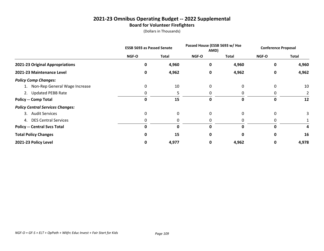### **2021-23 Omnibus Operating Budget -- 2022 Supplemental Board for Volunteer Firefighters**

|                                         | <b>ESSB 5693 as Passed Senate</b> |       | Passed House (ESSB 5693 w/ Hse<br>AMD) |              | <b>Conference Proposal</b> |              |
|-----------------------------------------|-----------------------------------|-------|----------------------------------------|--------------|----------------------------|--------------|
|                                         | NGF-O                             | Total | NGF-O                                  | <b>Total</b> | <b>NGF-O</b>               | <b>Total</b> |
| 2021-23 Original Appropriations         | 0                                 | 4,960 | 0                                      | 4,960        | 0                          | 4,960        |
| 2021-23 Maintenance Level               | 0                                 | 4,962 | 0                                      | 4,962        | 0                          | 4,962        |
| <b>Policy Comp Changes:</b>             |                                   |       |                                        |              |                            |              |
| 1. Non-Rep General Wage Increase        | 0                                 | 10    | 0                                      | 0            | 0                          | 10           |
| 2. Updated PEBB Rate                    | 0                                 | 5     | 0                                      |              | 0                          |              |
| <b>Policy -- Comp Total</b>             | 0                                 | 15    | 0                                      | 0            | 0                          | 12           |
| <b>Policy Central Services Changes:</b> |                                   |       |                                        |              |                            |              |
| 3. Audit Services                       | 0                                 | 0     | 0                                      | 0            | 0                          | 3            |
| 4. DES Central Services                 | 0                                 | 0     | 0                                      |              |                            |              |
| <b>Policy -- Central Svcs Total</b>     | 0                                 | 0     | 0                                      |              | 0                          | 4            |
| <b>Total Policy Changes</b>             | <sup>0</sup>                      | 15    | 0                                      |              | 0                          | 16           |
| 2021-23 Policy Level                    | 0                                 | 4,977 | 0                                      | 4,962        | 0                          | 4,978        |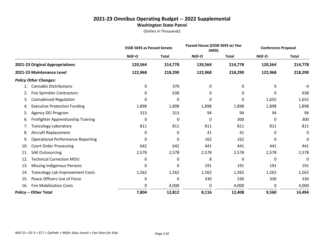#### **2021-23 Omnibus Operating Budget -- 2022 Supplemental Washington State Patrol**

|     |                                            | <b>ESSB 5693 as Passed Senate</b> |              | Passed House (ESSB 5693 w/ Hse<br>AMD) |              | <b>Conference Proposal</b> |              |
|-----|--------------------------------------------|-----------------------------------|--------------|----------------------------------------|--------------|----------------------------|--------------|
|     |                                            | NGF-O                             | <b>Total</b> | <b>NGF-O</b>                           | <b>Total</b> | NGF-O                      | <b>Total</b> |
|     | 2021-23 Original Appropriations            | 120,564                           | 214,778      | 120,564                                | 214,778      | 120,564                    | 214,778      |
|     | 2021-23 Maintenance Level                  | 122,968                           | 218,290      | 122,968                                | 218,290      | 122,968                    | 218,290      |
|     | <b>Policy Other Changes:</b>               |                                   |              |                                        |              |                            |              |
|     | <b>Cannabis Distributions</b>              | 0                                 | 370          | 0                                      | 0            | 0                          | -4           |
| 2.  | <b>Fire Sprinkler Contractors</b>          | 0                                 | 638          | 0                                      | 0            | 0                          | 638          |
| 3.  | <b>Cannabinoid Regulation</b>              | 0                                 | 0            | 0                                      | 0            | 1,655                      | 1,655        |
| 4.  | <b>Executive Protection Funding</b>        | 1,898                             | 1,898        | 1,898                                  | 1,898        | 1,898                      | 1,898        |
| 5.  | Agency DEI Program                         | 313                               | 313          | 94                                     | 94           | 94                         | 94           |
| 6.  | <b>Firefighter Apprenticeship Training</b> | 0                                 | 0            | 0                                      | 300          | 0                          | 300          |
| 7.  | Toxicology Laboratory                      | 811                               | 811          | 811                                    | 811          | 811                        | 811          |
| 8.  | Aircraft Replacement                       | 0                                 | 0            | 41                                     | 41           | 0                          | 0            |
| 9.  | <b>Operational Performance Reporting</b>   | 0                                 | 0            | 162                                    | 162          | 0                          | 0            |
| 10. | <b>Court Order Processing</b>              | 642                               | 642          | 441                                    | 441          | 441                        | 441          |
| 11. | <b>SAK Outsourcing</b>                     | 2,578                             | 2,578        | 2,578                                  | 2,578        | 2,578                      | 2,578        |
| 12. | <b>Technical Correction MOU</b>            | 0                                 | 0            | 8                                      | 0            | 0                          | 0            |
| 13. | Missing Indigenous Persons                 | 0                                 | 0            | 191                                    | 191          | 191                        | 191          |
| 14. | <b>Toxicology Lab Improvement Costs</b>    | 1,562                             | 1,562        | 1,562                                  | 1,562        | 1,562                      | 1,562        |
| 15. | Peace Officers Use of Force                | 0                                 | 0            | 330                                    | 330          | 330                        | 330          |
| 16. | <b>Fire Mobilization Costs</b>             | 0                                 | 4,000        | 0                                      | 4,000        | 0                          | 4,000        |
|     | <b>Policy -- Other Total</b>               | 7,804                             | 12,812       | 8,116                                  | 12,408       | 9,560                      | 14,494       |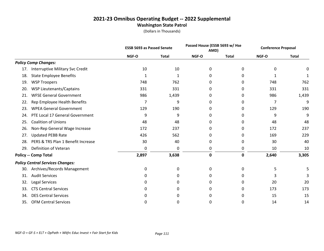#### **2021-23 Omnibus Operating Budget -- 2022 Supplemental Washington State Patrol**

|     |                                         | <b>ESSB 5693 as Passed Senate</b> |              | Passed House (ESSB 5693 w/ Hse<br>AMD) |              | <b>Conference Proposal</b> |              |
|-----|-----------------------------------------|-----------------------------------|--------------|----------------------------------------|--------------|----------------------------|--------------|
|     |                                         | NGF-O                             | <b>Total</b> | NGF-O                                  | <b>Total</b> | NGF-O                      | <b>Total</b> |
|     | <b>Policy Comp Changes:</b>             |                                   |              |                                        |              |                            |              |
| 17. | Interruptive Military Svc Credit        | 10                                | 10           | 0                                      | 0            | 0                          | 0            |
| 18. | <b>State Employee Benefits</b>          | 1                                 | 1            | 0                                      | 0            | 1                          |              |
| 19. | <b>WSP Troopers</b>                     | 748                               | 762          | 0                                      | 0            | 748                        | 762          |
| 20. | <b>WSP Lieutenants/Captains</b>         | 331                               | 331          | 0                                      | 0            | 331                        | 331          |
| 21. | <b>WFSE General Government</b>          | 986                               | 1,439        | 0                                      | 0            | 986                        | 1,439        |
| 22. | Rep Employee Health Benefits            | 7                                 | 9            | 0                                      | 0            | 7                          | 9            |
| 23. | <b>WPEA General Government</b>          | 129                               | 190          | 0                                      | 0            | 129                        | 190          |
| 24. | PTE Local 17 General Government         | 9                                 | 9            | 0                                      | 0            | 9                          | 9            |
| 25. | <b>Coalition of Unions</b>              | 48                                | 48           | 0                                      | 0            | 48                         | 48           |
| 26. | Non-Rep General Wage Increase           | 172                               | 237          | 0                                      | 0            | 172                        | 237          |
| 27. | <b>Updated PEBB Rate</b>                | 426                               | 562          | 0                                      | 0            | 169                        | 229          |
| 28. | PERS & TRS Plan 1 Benefit Increase      | 30                                | 40           | 0                                      | 0            | 30                         | 40           |
| 29. | Definition of Veteran                   | 0                                 | 0            | 0                                      | 0            | 10                         | 10           |
|     | <b>Policy -- Comp Total</b>             | 2,897                             | 3,638        | 0                                      | 0            | 2,640                      | 3,305        |
|     | <b>Policy Central Services Changes:</b> |                                   |              |                                        |              |                            |              |
| 30. | Archives/Records Management             | 0                                 | 0            | 0                                      | 0            | 5                          | 5            |
| 31. | <b>Audit Services</b>                   | 0                                 | 0            | 0                                      | 0            | 3                          | 3            |
| 32. | Legal Services                          | 0                                 | 0            | 0                                      | 0            | 20                         | 20           |
| 33. | <b>CTS Central Services</b>             | 0                                 | 0            | 0                                      | 0            | 173                        | 173          |
| 34. | <b>DES Central Services</b>             | 0                                 | 0            | 0                                      | 0            | 15                         | 15           |
| 35. | <b>OFM Central Services</b>             | 0                                 | 0            | 0                                      | 0            | 14                         | 14           |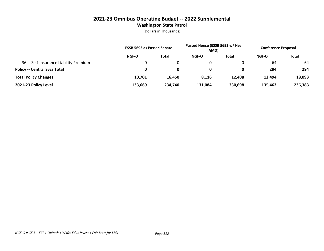#### **2021-23 Omnibus Operating Budget -- 2022 Supplemental Washington State Patrol**

|                                         | <b>ESSB 5693 as Passed Senate</b> |              | Passed House (ESSB 5693 w/ Hse<br>AMD) |         | <b>Conference Proposal</b> |         |
|-----------------------------------------|-----------------------------------|--------------|----------------------------------------|---------|----------------------------|---------|
|                                         | NGF-O                             | <b>Total</b> | NGF-O                                  | Total   | <b>NGF-O</b>               | Total   |
| Self-Insurance Liability Premium<br>36. |                                   |              |                                        |         | 64                         | 64      |
| <b>Policy -- Central Svcs Total</b>     | 0                                 | 0            | 0                                      |         | 294                        | 294     |
| <b>Total Policy Changes</b>             | 10,701                            | 16,450       | 8,116                                  | 12,408  | 12,494                     | 18,093  |
| 2021-23 Policy Level                    | 133.669                           | 234.740      | 131,084                                | 230,698 | 135,462                    | 236,383 |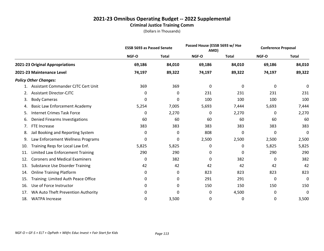#### **Criminal Justice Training Comm**

|     |                                        | <b>ESSB 5693 as Passed Senate</b> |              | Passed House (ESSB 5693 w/ Hse<br>AMD) |              | <b>Conference Proposal</b> |              |
|-----|----------------------------------------|-----------------------------------|--------------|----------------------------------------|--------------|----------------------------|--------------|
|     |                                        | NGF-O                             | <b>Total</b> | NGF-O                                  | <b>Total</b> | NGF-O                      | <b>Total</b> |
|     | 2021-23 Original Appropriations        | 69,186                            | 84,010       | 69,186                                 | 84,010       | 69,186                     | 84,010       |
|     | 2021-23 Maintenance Level              | 74,197                            | 89,322       | 74,197                                 | 89,322       | 74,197                     | 89,322       |
|     | <b>Policy Other Changes:</b>           |                                   |              |                                        |              |                            |              |
|     | Assistant Commander CJTC Cert Unit     | 369                               | 369          | 0                                      | 0            | 0                          | 0            |
| 2.  | <b>Assistant Director-CJTC</b>         | 0                                 | 0            | 231                                    | 231          | 231                        | 231          |
| 3.  | <b>Body Cameras</b>                    | 0                                 | 0            | 100                                    | 100          | 100                        | 100          |
| 4.  | <b>Basic Law Enforcement Academy</b>   | 5,254                             | 7,005        | 5,693                                  | 7,444        | 5,693                      | 7,444        |
| 5.  | <b>Internet Crimes Task Force</b>      | 0                                 | 2,270        | 0                                      | 2,270        | 0                          | 2,270        |
| 6.  | Denied Firearms Investigations         | 60                                | 60           | 60                                     | 60           | 60                         | 60           |
| 7.  | FTE Increase                           | 383                               | 383          | 383                                    | 383          | 383                        | 383          |
| 8.  | Jail Booking and Reporting System      | 0                                 | 0            | 808                                    | 0            | 0                          | 0            |
| 9.  | Law Enforcement Wellness Programs      | 0                                 | 0            | 2,500                                  | 2,500        | 2,500                      | 2,500        |
| 10. | Training Regs for Local Law Enf.       | 5,825                             | 5,825        | 0                                      | 0            | 5,825                      | 5,825        |
| 11. | Limited Law Enforcement Training       | 290                               | 290          | 0                                      | 0            | 290                        | 290          |
| 12. | <b>Coroners and Medical Examiners</b>  | 0                                 | 382          | 0                                      | 382          | 0                          | 382          |
| 13. | <b>Substance Use Disorder Training</b> | 42                                | 42           | 42                                     | 42           | 42                         | 42           |
| 14. | <b>Online Training Platform</b>        | 0                                 | 0            | 823                                    | 823          | 823                        | 823          |
| 15. | Training: Limited Auth Peace Office    | 0                                 | 0            | 291                                    | 291          | 0                          | 0            |
| 16. | Use of Force Instructor                | 0                                 | 0            | 150                                    | 150          | 150                        | 150          |
| 17. | WA Auto Theft Prevention Authority     | 0                                 | 0            | 0                                      | 4,500        | 0                          | 0            |
| 18. | <b>WATPA Increase</b>                  | 0                                 | 3,500        | 0                                      | 0            | 0                          | 3,500        |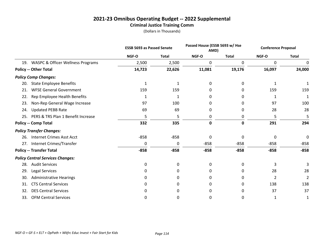#### **Criminal Justice Training Comm**

|     |                                              | <b>ESSB 5693 as Passed Senate</b> |              | Passed House (ESSB 5693 w/ Hse<br>AMD) |              | <b>Conference Proposal</b> |              |
|-----|----------------------------------------------|-----------------------------------|--------------|----------------------------------------|--------------|----------------------------|--------------|
|     |                                              | NGF-O                             | <b>Total</b> | NGF-O                                  | <b>Total</b> | NGF-O                      | <b>Total</b> |
| 19. | <b>WASPC &amp; Officer Wellness Programs</b> | 2,500                             | 2,500        | 0                                      | 0            | 0                          | 0            |
|     | <b>Policy -- Other Total</b>                 | 14,723                            | 22,626       | 11,081                                 | 19,176       | 16,097                     | 24,000       |
|     | <b>Policy Comp Changes:</b>                  |                                   |              |                                        |              |                            |              |
| 20. | <b>State Employee Benefits</b>               | 1                                 | 1            | 0                                      | 0            | 1                          |              |
| 21. | <b>WFSE General Government</b>               | 159                               | 159          | 0                                      | 0            | 159                        | 159          |
| 22. | Rep Employee Health Benefits                 | 1                                 | 1            | 0                                      | 0            | 1                          | 1            |
| 23. | Non-Rep General Wage Increase                | 97                                | 100          | 0                                      | 0            | 97                         | 100          |
| 24. | <b>Updated PEBB Rate</b>                     | 69                                | 69           | 0                                      | 0            | 28                         | 28           |
| 25. | PERS & TRS Plan 1 Benefit Increase           | 5                                 | 5            | 0                                      | 0            | 5                          | 5            |
|     | <b>Policy -- Comp Total</b>                  | 332                               | 335          | $\mathbf 0$                            | 0            | 291                        | 294          |
|     | <b>Policy Transfer Changes:</b>              |                                   |              |                                        |              |                            |              |
| 26. | <b>Internet Crimes Asst Acct</b>             | $-858$                            | $-858$       | 0                                      | 0            | 0                          | 0            |
|     | 27. Internet Crimes/Transfer                 | 0                                 | 0            | $-858$                                 | $-858$       | $-858$                     | $-858$       |
|     | <b>Policy -- Transfer Total</b>              | $-858$                            | $-858$       | $-858$                                 | $-858$       | $-858$                     | $-858$       |
|     | <b>Policy Central Services Changes:</b>      |                                   |              |                                        |              |                            |              |
| 28. | <b>Audit Services</b>                        | $\mathbf 0$                       | 0            | 0                                      | 0            | 3                          |              |
| 29. | <b>Legal Services</b>                        | 0                                 | 0            | 0                                      | 0            | 28                         | 28           |
| 30. | <b>Administrative Hearings</b>               | O                                 | 0            | 0                                      | 0            | 2                          | 2            |
| 31. | <b>CTS Central Services</b>                  | 0                                 | 0            | 0                                      | 0            | 138                        | 138          |
| 32. | <b>DES Central Services</b>                  | 0                                 | 0            | 0                                      | 0            | 37                         | 37           |
| 33. | <b>OFM Central Services</b>                  | 0                                 | 0            | 0                                      | 0            | 1                          | 1            |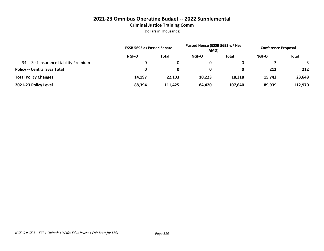#### **Criminal Justice Training Comm**

|                                         | <b>ESSB 5693 as Passed Senate</b> |              | Passed House (ESSB 5693 w/ Hse<br>AMD) |         | <b>Conference Proposal</b> |         |
|-----------------------------------------|-----------------------------------|--------------|----------------------------------------|---------|----------------------------|---------|
|                                         | <b>NGF-O</b>                      | <b>Total</b> | <b>NGF-O</b>                           | Total   | <b>NGF-O</b>               | Total   |
| Self-Insurance Liability Premium<br>34. |                                   |              |                                        |         |                            |         |
| <b>Policy -- Central Svcs Total</b>     | 0                                 |              | 0                                      |         | 212                        | 212     |
| <b>Total Policy Changes</b>             | 14,197                            | 22,103       | 10,223                                 | 18,318  | 15,742                     | 23,648  |
| 2021-23 Policy Level                    | 88,394                            | 111.425      | 84.420                                 | 107,640 | 89,939                     | 112,970 |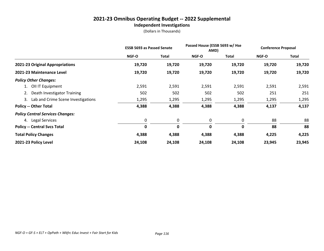#### **2021-23 Omnibus Operating Budget -- 2022 Supplemental Independent Investigations**

|                                         | <b>ESSB 5693 as Passed Senate</b> |             | Passed House (ESSB 5693 w/ Hse<br>AMD) |        | <b>Conference Proposal</b> |        |
|-----------------------------------------|-----------------------------------|-------------|----------------------------------------|--------|----------------------------|--------|
|                                         | NGF-O                             | Total       | NGF-O                                  | Total  | <b>NGF-O</b>               | Total  |
| 2021-23 Original Appropriations         | 19,720                            | 19,720      | 19,720                                 | 19,720 | 19,720                     | 19,720 |
| 2021-23 Maintenance Level               | 19,720                            | 19,720      | 19,720                                 | 19,720 | 19,720                     | 19,720 |
| <b>Policy Other Changes:</b>            |                                   |             |                                        |        |                            |        |
| 1. OII IT Equipment                     | 2,591                             | 2,591       | 2,591                                  | 2,591  | 2,591                      | 2,591  |
| Death Investigator Training<br>2.       | 502                               | 502         | 502                                    | 502    | 251                        | 251    |
| 3. Lab and Crime Scene Investigations   | 1,295                             | 1,295       | 1,295                                  | 1,295  | 1,295                      | 1,295  |
| <b>Policy -- Other Total</b>            | 4,388                             | 4,388       | 4,388                                  | 4,388  | 4,137                      | 4,137  |
| <b>Policy Central Services Changes:</b> |                                   |             |                                        |        |                            |        |
| 4. Legal Services                       | 0                                 | 0           | 0                                      | 0      | 88                         | 88     |
| <b>Policy -- Central Svcs Total</b>     | $\mathbf 0$                       | $\mathbf 0$ | 0                                      | 0      | 88                         | 88     |
| <b>Total Policy Changes</b>             | 4,388                             | 4,388       | 4,388                                  | 4,388  | 4,225                      | 4,225  |
| 2021-23 Policy Level                    | 24,108                            | 24,108      | 24,108                                 | 24,108 | 23,945                     | 23,945 |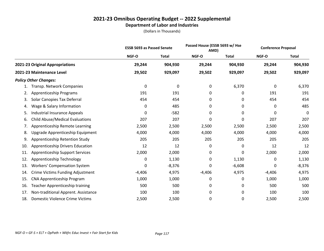#### **2021-23 Omnibus Operating Budget -- 2022 Supplemental Department of Labor and Industries**

|     |                                         | <b>ESSB 5693 as Passed Senate</b> |              | Passed House (ESSB 5693 w/ Hse<br>AMD) |              | <b>Conference Proposal</b> |              |
|-----|-----------------------------------------|-----------------------------------|--------------|----------------------------------------|--------------|----------------------------|--------------|
|     |                                         | NGF-O                             | <b>Total</b> | NGF-O                                  | <b>Total</b> | NGF-O                      | <b>Total</b> |
|     | 2021-23 Original Appropriations         | 29,244                            | 904,930      | 29,244                                 | 904,930      | 29,244                     | 904,930      |
|     | 2021-23 Maintenance Level               | 29,502                            | 929,097      | 29,502                                 | 929,097      | 29,502                     | 929,097      |
|     | <b>Policy Other Changes:</b>            |                                   |              |                                        |              |                            |              |
| 1.  | Transp. Network Companies               | 0                                 | 0            | 0                                      | 6,370        | 0                          | 6,370        |
| 2.  | <b>Apprenticeship Programs</b>          | 191                               | 191          | 0                                      | 0            | 191                        | 191          |
| 3.  | Solar Canopies Tax Deferral             | 454                               | 454          | 0                                      | 0            | 454                        | 454          |
| 4.  | Wage & Salary Information               | 0                                 | 485          | 0                                      | 0            | 0                          | 485          |
| 5.  | <b>Industrial Insurance Appeals</b>     | 0                                 | $-582$       | 0                                      | 0            | 0                          | 0            |
| 6.  | <b>Child Abuse/Medical Evaluations</b>  | 207                               | 207          | 0                                      | 0            | 207                        | 207          |
| 7.  | Apprenticeship Remote Learning          | 2,500                             | 2,500        | 2,500                                  | 2,500        | 2,500                      | 2,500        |
| 8.  | Upgrade Apprenticeship Equipment        | 4,000                             | 4,000        | 4,000                                  | 4,000        | 4,000                      | 4,000        |
| 9.  | Apprenticeship Retention Study          | 205                               | 205          | 205                                    | 205          | 205                        | 205          |
| 10. | Apprenticeship Drivers Education        | 12                                | 12           | 0                                      | 0            | 12                         | 12           |
| 11. | <b>Apprenticeship Support Services</b>  | 2,000                             | 2,000        | 0                                      | 0            | 2,000                      | 2,000        |
| 12. | Apprenticeship Technology               | 0                                 | 1,130        | 0                                      | 1,130        | 0                          | 1,130        |
| 13. | <b>Workers' Compensation System</b>     | 0                                 | $-8,376$     | 0                                      | $-6,608$     | 0                          | $-8,376$     |
| 14. | <b>Crime Victims Funding Adjustment</b> | $-4,406$                          | 4,975        | $-4,406$                               | 4,975        | $-4,406$                   | 4,975        |
| 15. | CNA Apprenticeship Program              | 1,000                             | 1,000        | 0                                      | 0            | 1,000                      | 1,000        |
| 16. | Teacher Apprenticeship training         | 500                               | 500          | 0                                      | 0            | 500                        | 500          |
| 17. | Non-traditional Apprent. Assistance     | 100                               | 100          | 0                                      | 0            | 100                        | 100          |
| 18. | Domestic Violence Crime Victims         | 2,500                             | 2,500        | 0                                      | 0            | 2,500                      | 2,500        |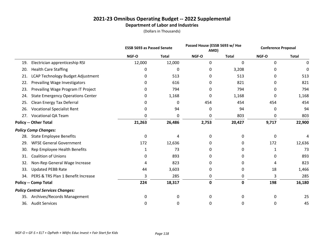#### **2021-23 Omnibus Operating Budget -- 2022 Supplemental Department of Labor and Industries**

|     |                                          | <b>ESSB 5693 as Passed Senate</b> |              |             | Passed House (ESSB 5693 w/ Hse<br>AMD) |       | <b>Conference Proposal</b> |
|-----|------------------------------------------|-----------------------------------|--------------|-------------|----------------------------------------|-------|----------------------------|
|     |                                          | NGF-O                             | <b>Total</b> | NGF-O       | <b>Total</b>                           | NGF-O | <b>Total</b>               |
| 19. | Electrician apprenticeship RSI           | 12,000                            | 12,000       | 0           | $\mathbf 0$                            | 0     | 0                          |
| 20. | <b>Health Care Staffing</b>              | 0                                 | 0            | 0           | 3,208                                  | 0     | 0                          |
| 21. | LCAP Technology Budget Adjustment        | 0                                 | 513          | 0           | 513                                    | 0     | 513                        |
| 22. | Prevailing Wage Investigators            |                                   | 616          | 0           | 821                                    | 0     | 821                        |
| 23. | Prevailing Wage Program IT Project       |                                   | 794          | 0           | 794                                    | 0     | 794                        |
| 24. | <b>State Emergency Operations Center</b> | 0                                 | 1,168        | 0           | 1,168                                  | 0     | 1,168                      |
| 25. | Clean Energy Tax Deferral                |                                   | 0            | 454         | 454                                    | 454   | 454                        |
| 26. | <b>Vocational Specialist Rent</b>        | 0                                 | 94           | 0           | 94                                     | 0     | 94                         |
| 27. | <b>Vocational QA Team</b>                | 0                                 | 0            | 0           | 803                                    | 0     | 803                        |
|     | <b>Policy -- Other Total</b>             | 21,263                            | 26,486       | 2,753       | 20,427                                 | 9,717 | 22,900                     |
|     | <b>Policy Comp Changes:</b>              |                                   |              |             |                                        |       |                            |
| 28. | <b>State Employee Benefits</b>           | 0                                 | 4            | 0           | 0                                      | 0     |                            |
| 29. | <b>WFSE General Government</b>           | 172                               | 12,636       | 0           | 0                                      | 172   | 12,636                     |
| 30. | Rep Employee Health Benefits             | $\mathbf{1}$                      | 73           | 0           | 0                                      | 1     | 73                         |
| 31. | <b>Coalition of Unions</b>               | 0                                 | 893          | 0           | 0                                      | 0     | 893                        |
| 32. | Non-Rep General Wage Increase            | 4                                 | 823          | 0           | 0                                      | 4     | 823                        |
| 33. | <b>Updated PEBB Rate</b>                 | 44                                | 3,603        | 0           | 0                                      | 18    | 1,466                      |
| 34. | PERS & TRS Plan 1 Benefit Increase       | 3                                 | 285          | 0           | 0                                      | 3     | 285                        |
|     | <b>Policy -- Comp Total</b>              | 224                               | 18,317       | $\mathbf 0$ | $\mathbf 0$                            | 198   | 16,180                     |
|     | <b>Policy Central Services Changes:</b>  |                                   |              |             |                                        |       |                            |
| 35. | Archives/Records Management              | 0                                 | 0            | 0           | 0                                      | 0     | 25                         |
| 36. | <b>Audit Services</b>                    | 0                                 | 0            | 0           | 0                                      | 0     | 45                         |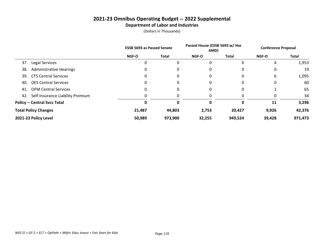#### **2021-23 Omnibus Operating Budget -- 2022 Supplemental Department of Labor and Industries**

|                                       | <b>ESSB 5693 as Passed Senate</b> |              | Passed House (ESSB 5693 w/ Hse<br>AMD) |              | <b>Conference Proposal</b> |              |
|---------------------------------------|-----------------------------------|--------------|----------------------------------------|--------------|----------------------------|--------------|
|                                       | <b>NGF-O</b>                      | <b>Total</b> | <b>NGF-O</b>                           | <b>Total</b> | <b>NGF-O</b>               | <b>Total</b> |
| Legal Services<br>37.                 | 0                                 |              | 0                                      | 0            | 4                          | 1,953        |
| <b>Administrative Hearings</b><br>38. | 0                                 |              | 0                                      | 0            | 0                          | 19           |
| <b>CTS Central Services</b><br>39.    | 0                                 | 0            | 0                                      | 0            | 6                          | 1,095        |
| <b>DES Central Services</b><br>40.    | 0                                 | 0            | 0                                      | 0            | 0                          | 60           |
| <b>OFM Central Services</b><br>41.    | 0                                 | 0            | 0                                      | 0            |                            | 65           |
| 42. Self-Insurance Liability Premium  | 0                                 |              | 0                                      |              | 0                          | 34           |
| <b>Policy -- Central Svcs Total</b>   |                                   | 0            | 0                                      | 0            | 11                         | 3,296        |
| <b>Total Policy Changes</b>           | 21,487                            | 44,803       | 2,753                                  | 20,427       | 9,926                      | 42,376       |
| 2021-23 Policy Level                  | 50,989                            | 973,900      | 32,255                                 | 949,524      | 39,428                     | 971,473      |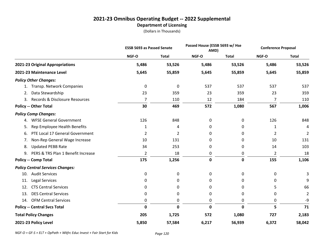#### **2021-23 Omnibus Operating Budget -- 2022 Supplemental Department of Licensing**

(Dollars in Thousands)

|                                          | <b>ESSB 5693 as Passed Senate</b> |              | Passed House (ESSB 5693 w/ Hse<br>AMD) |              | <b>Conference Proposal</b> |                |
|------------------------------------------|-----------------------------------|--------------|----------------------------------------|--------------|----------------------------|----------------|
|                                          | NGF-O                             | <b>Total</b> | NGF-O                                  | <b>Total</b> | NGF-O                      | <b>Total</b>   |
| 2021-23 Original Appropriations          | 5,486                             | 53,526       | 5,486                                  | 53,526       | 5,486                      | 53,526         |
| 2021-23 Maintenance Level                | 5,645                             | 55,859       | 5,645                                  | 55,859       | 5,645                      | 55,859         |
| <b>Policy Other Changes:</b>             |                                   |              |                                        |              |                            |                |
| 1. Transp. Network Companies             | 0                                 | $\pmb{0}$    | 537                                    | 537          | 537                        | 537            |
| Data Stewardship<br>2.                   | 23                                | 359          | 23                                     | 359          | 23                         | 359            |
| 3. Records & Disclosure Resources        | $\overline{7}$                    | 110          | 12                                     | 184          | 7                          | 110            |
| <b>Policy -- Other Total</b>             | 30                                | 469          | 572                                    | 1,080        | 567                        | 1,006          |
| <b>Policy Comp Changes:</b>              |                                   |              |                                        |              |                            |                |
| <b>WFSE General Government</b><br>4.     | 126                               | 848          | 0                                      | 0            | 126                        | 848            |
| Rep Employee Health Benefits<br>5.       | 1                                 | 4            | 0                                      | 0            | 1                          | 4              |
| PTE Local 17 General Government<br>6.    | 2                                 | 2            | 0                                      | 0            | 2                          | 2              |
| Non-Rep General Wage Increase<br>7.      | 10                                | 131          | 0                                      | 0            | 10                         | 131            |
| <b>Updated PEBB Rate</b><br>8.           | 34                                | 253          | 0                                      | 0            | 14                         | 103            |
| PERS & TRS Plan 1 Benefit Increase<br>9. | 2                                 | 18           | 0                                      | 0            | 2                          | 18             |
| <b>Policy -- Comp Total</b>              | 175                               | 1,256        | $\mathbf 0$                            | 0            | 155                        | 1,106          |
| <b>Policy Central Services Changes:</b>  |                                   |              |                                        |              |                            |                |
| <b>Audit Services</b><br>10.             | 0                                 | 0            | 0                                      | 0            | 0                          | 3              |
| Legal Services<br>11.                    | 0                                 | 0            | 0                                      | 0            | 0                          | 9              |
| <b>CTS Central Services</b><br>12.       | 0                                 | 0            | 0                                      | 0            | 5                          | 66             |
| <b>DES Central Services</b><br>13.       | 0                                 | $\mathbf 0$  | 0                                      | 0            | 0                          | $\overline{2}$ |
| <b>OFM Central Services</b><br>14.       | 0                                 | 0            | 0                                      | 0            | 0                          | -9             |
| <b>Policy -- Central Svcs Total</b>      | 0                                 | $\mathbf 0$  | $\mathbf 0$                            | 0            | 5                          | 71             |
| <b>Total Policy Changes</b>              | 205                               | 1,725        | 572                                    | 1,080        | 727                        | 2,183          |
| 2021-23 Policy Level                     | 5,850                             | 57,584       | 6,217                                  | 56,939       | 6,372                      | 58,042         |

*NGF-O = GF-S + ELT + OpPath + Wkfrc Educ Invest + Fair Start for Kids Page 120*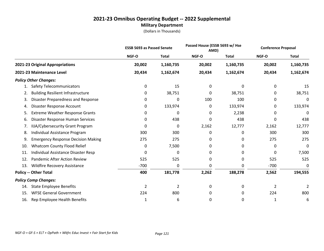#### **2021-23 Omnibus Operating Budget -- 2022 Supplemental Military Department**

|     |                                           | <b>ESSB 5693 as Passed Senate</b> |              | Passed House (ESSB 5693 w/ Hse<br>AMD) |              | <b>Conference Proposal</b> |              |
|-----|-------------------------------------------|-----------------------------------|--------------|----------------------------------------|--------------|----------------------------|--------------|
|     |                                           | NGF-O                             | <b>Total</b> | NGF-O                                  | <b>Total</b> | NGF-O                      | <b>Total</b> |
|     | 2021-23 Original Appropriations           | 20,002                            | 1,160,735    | 20,002                                 | 1,160,735    | 20,002                     | 1,160,735    |
|     | 2021-23 Maintenance Level                 | 20,434                            | 1,162,674    | 20,434                                 | 1,162,674    | 20,434                     | 1,162,674    |
|     | <b>Policy Other Changes:</b>              |                                   |              |                                        |              |                            |              |
| 1.  | <b>Safety Telecommunicators</b>           | 0                                 | 15           | 0                                      | 0            | 0                          | 15           |
| 2.  | <b>Building Resilient Infrastructure</b>  | 0                                 | 38,751       | 0                                      | 38,751       | 0                          | 38,751       |
| 3.  | Disaster Preparedness and Response        | 0                                 | 0            | 100                                    | 100          | 0                          | 0            |
| 4.  | Disaster Response Account                 | 0                                 | 133,974      | 0                                      | 133,974      | 0                          | 133,974      |
| 5.  | <b>Extreme Weather Response Grants</b>    | 0                                 | 0            | 0                                      | 2,238        | 0                          | 0            |
| 6.  | Disaster Response Human Services          | 0                                 | 438          | 0                                      | 438          | 0                          | 438          |
| 7.  | IIJA/Cybersecurity Grant Program          | 0                                 | 0            | 2,162                                  | 12,777       | 2,162                      | 12,777       |
| 8.  | Individual Assistance Program             | 300                               | 300          | 0                                      | 0            | 300                        | 300          |
| 9.  | <b>Emergency Response Decision Making</b> | 275                               | 275          | 0                                      | 0            | 275                        | 275          |
| 10. | <b>Whatcom County Flood Relief</b>        | 0                                 | 7,500        | 0                                      | 0            | 0                          | 0            |
| 11. | Individual Assistance Disaster Resp       | 0                                 | 0            | 0                                      | 0            | 0                          | 7,500        |
| 12. | <b>Pandemic After Action Review</b>       | 525                               | 525          | 0                                      | 0            | 525                        | 525          |
| 13. | Wildfire Recovery Assistance              | $-700$                            | 0            | 0                                      | 0            | $-700$                     | 0            |
|     | <b>Policy -- Other Total</b>              | 400                               | 181,778      | 2,262                                  | 188,278      | 2,562                      | 194,555      |
|     | <b>Policy Comp Changes:</b>               |                                   |              |                                        |              |                            |              |
| 14. | <b>State Employee Benefits</b>            | $\overline{2}$                    | 2            | 0                                      | 0            | $\overline{2}$             | 2            |
| 15. | <b>WFSE General Government</b>            | 224                               | 800          | 0                                      | 0            | 224                        | 800          |
| 16. | Rep Employee Health Benefits              | 1                                 | 6            | 0                                      | 0            | 1                          | 6            |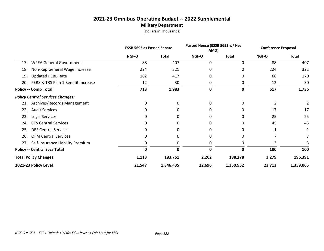#### **2021-23 Omnibus Operating Budget -- 2022 Supplemental Military Department**

|     |                                         | <b>ESSB 5693 as Passed Senate</b> |              | Passed House (ESSB 5693 w/ Hse<br>AMD) |              | <b>Conference Proposal</b> |              |
|-----|-----------------------------------------|-----------------------------------|--------------|----------------------------------------|--------------|----------------------------|--------------|
|     |                                         | NGF-O                             | <b>Total</b> | <b>NGF-O</b>                           | <b>Total</b> | NGF-O                      | <b>Total</b> |
| 17. | <b>WPEA General Government</b>          | 88                                | 407          | $\Omega$                               | 0            | 88                         | 407          |
| 18. | Non-Rep General Wage Increase           | 224                               | 321          | 0                                      | 0            | 224                        | 321          |
| 19. | <b>Updated PEBB Rate</b>                | 162                               | 417          | 0                                      | 0            | 66                         | 170          |
| 20. | PERS & TRS Plan 1 Benefit Increase      | 12                                | 30           | 0                                      | 0            | 12                         | 30           |
|     | <b>Policy -- Comp Total</b>             | 713                               | 1,983        | 0                                      | 0            | 617                        | 1,736        |
|     | <b>Policy Central Services Changes:</b> |                                   |              |                                        |              |                            |              |
| 21. | Archives/Records Management             | 0                                 | 0            | 0                                      | 0            | 2                          | 2            |
| 22. | <b>Audit Services</b>                   |                                   | 0            | 0                                      |              | 17                         | 17           |
| 23. | Legal Services                          |                                   | Ω            | 0                                      | 0            | 25                         | 25           |
| 24. | <b>CTS Central Services</b>             |                                   | 0            | 0                                      | 0            | 45                         | 45           |
| 25. | <b>DES Central Services</b>             |                                   |              |                                        |              |                            |              |
| 26. | <b>OFM Central Services</b>             |                                   |              |                                        |              |                            |              |
|     | 27. Self-Insurance Liability Premium    | 0                                 |              | 0                                      | 0            | 3                          |              |
|     | <b>Policy -- Central Svcs Total</b>     | 0                                 | 0            | 0                                      | 0            | 100                        | 100          |
|     | <b>Total Policy Changes</b>             | 1,113                             | 183,761      | 2,262                                  | 188,278      | 3,279                      | 196,391      |
|     | 2021-23 Policy Level                    | 21,547                            | 1,346,435    | 22,696                                 | 1,350,952    | 23,713                     | 1,359,065    |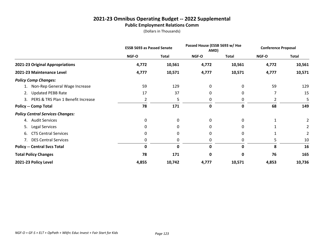#### **2021-23 Omnibus Operating Budget -- 2022 Supplemental Public Employment Relations Comm**

|                                         | <b>ESSB 5693 as Passed Senate</b> |              | Passed House (ESSB 5693 w/ Hse<br>AMD) |              | <b>Conference Proposal</b> |              |
|-----------------------------------------|-----------------------------------|--------------|----------------------------------------|--------------|----------------------------|--------------|
|                                         | NGF-O                             | <b>Total</b> | NGF-O                                  | <b>Total</b> | NGF-O                      | <b>Total</b> |
| 2021-23 Original Appropriations         | 4,772                             | 10,561       | 4,772                                  | 10,561       | 4,772                      | 10,561       |
| 2021-23 Maintenance Level               | 4,777                             | 10,571       | 4,777                                  | 10,571       | 4,777                      | 10,571       |
| <b>Policy Comp Changes:</b>             |                                   |              |                                        |              |                            |              |
| 1. Non-Rep General Wage Increase        | 59                                | 129          | 0                                      | 0            | 59                         | 129          |
| <b>Updated PEBB Rate</b><br>2.          | 17                                | 37           | 0                                      | 0            |                            | 15           |
| 3. PERS & TRS Plan 1 Benefit Increase   | 2                                 | 5            | 0                                      | 0            | 2                          | 5            |
| <b>Policy -- Comp Total</b>             | 78                                | 171          | 0                                      | 0            | 68                         | 149          |
| <b>Policy Central Services Changes:</b> |                                   |              |                                        |              |                            |              |
| 4. Audit Services                       | 0                                 | 0            | $\mathbf{0}$                           | 0            |                            | 2            |
| Legal Services<br>5.                    | 0                                 | <sup>0</sup> | 0                                      | 0            |                            | 2            |
| <b>CTS Central Services</b><br>6.       | 0                                 | 0            | 0                                      | 0            |                            | 2            |
| 7. DES Central Services                 | 0                                 | 0            | 0                                      | 0            | 5                          | 10           |
| <b>Policy -- Central Svcs Total</b>     | 0                                 | $\mathbf{0}$ | 0                                      | 0            | 8                          | 16           |
| <b>Total Policy Changes</b>             | 78                                | 171          | 0                                      | 0            | 76                         | 165          |
| 2021-23 Policy Level                    | 4,855                             | 10,742       | 4,777                                  | 10,571       | 4,853                      | 10,736       |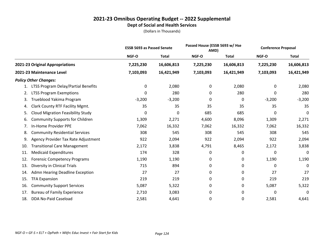|                                                | <b>ESSB 5693 as Passed Senate</b> |              |           | Passed House (ESSB 5693 w/ Hse<br>AMD) |           | <b>Conference Proposal</b> |
|------------------------------------------------|-----------------------------------|--------------|-----------|----------------------------------------|-----------|----------------------------|
|                                                | NGF-O                             | <b>Total</b> | NGF-O     | <b>Total</b>                           | NGF-O     | <b>Total</b>               |
| 2021-23 Original Appropriations                | 7,225,230                         | 16,606,813   | 7,225,230 | 16,606,813                             | 7,225,230 | 16,606,813                 |
| 2021-23 Maintenance Level                      | 7,103,093                         | 16,421,949   | 7,103,093 | 16,421,949                             | 7,103,093 | 16,421,949                 |
| <b>Policy Other Changes:</b>                   |                                   |              |           |                                        |           |                            |
| LTSS Program Delay/Partial Benefits            | 0                                 | 2,080        | 0         | 2,080                                  | 0         | 2,080                      |
| <b>LTSS Program Exemptions</b><br>2.           | 0                                 | 280          | 0         | 280                                    | 0         | 280                        |
| Trueblood Yakima Program<br>3.                 | $-3,200$                          | $-3,200$     | 0         | 0                                      | $-3,200$  | $-3,200$                   |
| Clark County RTF Facility Mgmt.<br>4.          | 35                                | 35           | 35        | 35                                     | 35        | 35                         |
| <b>Cloud Migration Feasibility Study</b><br>5. | $\mathbf 0$                       | $\mathbf 0$  | 685       | 685                                    | 0         | 0                          |
| <b>Community Supports for Children</b><br>6.   | 1,309                             | 2,271        | 4,600     | 8,096                                  | 1,309     | 2,271                      |
| In-Home Provider PPE<br>7.                     | 7,062                             | 16,332       | 7,062     | 16,332                                 | 7,062     | 16,332                     |
| <b>Community Residential Services</b><br>8.    | 308                               | 545          | 308       | 545                                    | 308       | 545                        |
| Agency Provider Tax Rate Adjustment<br>9.      | 922                               | 2,094        | 922       | 2,094                                  | 922       | 2,094                      |
| <b>Transitional Care Management</b><br>10.     | 2,172                             | 3,838        | 4,791     | 8,465                                  | 2,172     | 3,838                      |
| <b>Medicaid Expenditures</b><br>11.            | 174                               | 328          | 0         | 0                                      | 0         | 0                          |
| <b>Forensic Competency Programs</b><br>12.     | 1,190                             | 1,190        | 0         | 0                                      | 1,190     | 1,190                      |
| Diversity in Clinical Trials<br>13.            | 715                               | 894          | 0         | 0                                      | 0         | 0                          |
| Admn Hearing Deadline Exception<br>14.         | 27                                | 27           | 0         | 0                                      | 27        | 27                         |
| 15.<br><b>TFA Expansion</b>                    | 219                               | 219          | 0         | 0                                      | 219       | 219                        |
| 16.<br><b>Community Support Services</b>       | 5,087                             | 5,322        | 0         | 0                                      | 5,087     | 5,322                      |
| <b>Bureau of Family Experience</b><br>17.      | 2,710                             | 3,083        | 0         | 0                                      | 0         | 0                          |
| DDA No-Paid Caseload<br>18.                    | 2,581                             | 4,641        | 0         | 0                                      | 2,581     | 4,641                      |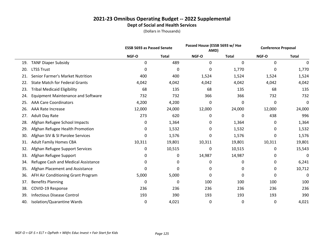|     |                                           | <b>ESSB 5693 as Passed Senate</b> |              | Passed House (ESSB 5693 w/ Hse<br>AMD) |              | <b>Conference Proposal</b> |              |
|-----|-------------------------------------------|-----------------------------------|--------------|----------------------------------------|--------------|----------------------------|--------------|
|     |                                           | NGF-O                             | <b>Total</b> | NGF-O                                  | <b>Total</b> | NGF-O                      | <b>Total</b> |
| 19. | <b>TANF Diaper Subsidy</b>                | 0                                 | 489          | 0                                      | 0            | 0                          | 0            |
| 20. | <b>LTSS Trust</b>                         | 0                                 | 0            | 0                                      | 1,770        | 0                          | 1,770        |
| 21. | Senior Farmer's Market Nutrition          | 400                               | 400          | 1,524                                  | 1,524        | 1,524                      | 1,524        |
| 22. | <b>State Match for Federal Grants</b>     | 4,042                             | 4,042        | 4,042                                  | 4,042        | 4,042                      | 4,042        |
| 23. | <b>Tribal Medicaid Eligibility</b>        | 68                                | 135          | 68                                     | 135          | 68                         | 135          |
| 24. | <b>Equipment Maintenance and Software</b> | 732                               | 732          | 366                                    | 366          | 732                        | 732          |
| 25. | <b>AAA Care Coordinators</b>              | 4,200                             | 4,200        | 0                                      | $\mathbf{0}$ | 0                          | 0            |
| 26. | <b>AAA Rate Increase</b>                  | 12,000                            | 24,000       | 12,000                                 | 24,000       | 12,000                     | 24,000       |
| 27. | Adult Day Rate                            | 273                               | 620          | 0                                      | 0            | 438                        | 996          |
| 28. | Afghan Refugee School Impacts             | 0                                 | 1,364        | 0                                      | 1,364        | 0                          | 1,364        |
| 29. | Afghan Refugee Health Promotion           | 0                                 | 1,532        | 0                                      | 1,532        | 0                          | 1,532        |
| 30. | Afghan SIV & SI Parolee Services          | 0                                 | 1,576        | 0                                      | 1,576        | 0                          | 1,576        |
| 31. | <b>Adult Family Homes CBA</b>             | 10,311                            | 19,801       | 10,311                                 | 19,801       | 10,311                     | 19,801       |
| 32. | Afghan Refugee Support Services           | 0                                 | 10,515       | 0                                      | 10,515       | 0                          | 15,543       |
| 33. | Afghan Refugee Support                    | 0                                 | 0            | 14,987                                 | 14,987       | 0                          | 0            |
| 34. | Refugee Cash and Medical Assistance       | 0                                 | 0            | 0                                      | 0            | 0                          | 6,241        |
| 35. | Afghan Placement and Assistance           | 0                                 | 0            | 0                                      | 0            | 0                          | 10,712       |
| 36. | AFH Air Conditioning Grant Program        | 5,000                             | 5,000        | 0                                      | 0            | 0                          | 0            |
| 37. | <b>Benefits Planning</b>                  | 0                                 | 0            | 100                                    | 100          | 100                        | 100          |
| 38. | COVID-19 Response                         | 236                               | 236          | 236                                    | 236          | 236                        | 236          |
| 39. | <b>Infectious Disease Control</b>         | 193                               | 390          | 193                                    | 193          | 193                        | 390          |
| 40. | Isolation/Quarantine Wards                | 0                                 | 4,021        | 0                                      | 0            | 0                          | 4,021        |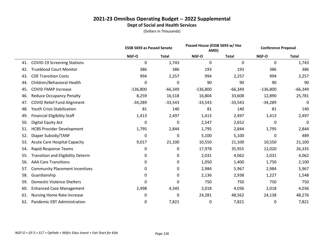|     |                                          | <b>ESSB 5693 as Passed Senate</b> |              | Passed House (ESSB 5693 w/ Hse<br>AMD) |              | <b>Conference Proposal</b> |              |
|-----|------------------------------------------|-----------------------------------|--------------|----------------------------------------|--------------|----------------------------|--------------|
|     |                                          | NGF-O                             | <b>Total</b> | NGF-O                                  | <b>Total</b> | NGF-O                      | <b>Total</b> |
| 41. | <b>COVID-19 Screening Stations</b>       | 0                                 | 1,743        | $\mathbf 0$                            | 0            | 0                          | 1,743        |
| 42. | <b>Trueblood Court Monitor</b>           | 386                               | 386          | 193                                    | 193          | 386                        | 386          |
| 43. | <b>CDE Transition Costs</b>              | 994                               | 2,257        | 994                                    | 2,257        | 994                        | 2,257        |
| 44. | Children/Behavioral Health               | 0                                 | 0            | 90                                     | 90           | 90                         | 90           |
| 45. | <b>COVID FMAP Increase</b>               | $-136,800$                        | $-66,349$    | $-136,800$                             | $-66,349$    | $-136,800$                 | $-66,349$    |
| 46. | <b>Reduce Occupancy Penalty</b>          | 8,259                             | 16,518       | 16,804                                 | 33,608       | 12,890                     | 25,781       |
| 47. | <b>COVID Relief Fund Alignment</b>       | $-34,289$                         | $-33,543$    | $-33,543$                              | $-33,543$    | $-34,289$                  | 0            |
| 48. | Youth Crisis Stabilization               | 81                                | 140          | 81                                     | 140          | 81                         | 140          |
| 49. | <b>Financial Eligibility Staff</b>       | 1,413                             | 2,497        | 1,413                                  | 2,497        | 1,413                      | 2,497        |
| 50. | Digital Equity Act                       | 0                                 | 0            | 2,547                                  | 2,652        | 0                          | 0            |
| 51. | <b>HCBS Provider Development</b>         | 1,795                             | 2,844        | 1,795                                  | 2,844        | 1,795                      | 2,844        |
| 52. | Diaper Subsidy/TANF                      | 0                                 | 0            | 5,100                                  | 5,100        | 0                          | 489          |
| 53. | <b>Acute Care Hospital Capacity</b>      | 9,017                             | 21,100       | 10,550                                 | 21,100       | 10,550                     | 21,100       |
| 54. | Rapid Response Teams                     | 0                                 | 0            | 17,978                                 | 35,955       | 12,020                     | 26,335       |
| 55. | <b>Transition and Eligibility Determ</b> | 0                                 | 0            | 2,031                                  | 4,062        | 2,031                      | 4,062        |
| 56. | <b>AAA Care Transitions</b>              | 0                                 | 0            | 1,050                                  | 1,400        | 1,750                      | 2,100        |
| 57. | <b>Community Placement Incentives</b>    | 0                                 | 0            | 2,984                                  | 5,967        | 2,984                      | 5,967        |
| 58. | Guardianship                             | 0                                 | 0            | 2,136                                  | 2,938        | 1,227                      | 1,548        |
| 59. | <b>Domestic Violence Shelters</b>        | 0                                 | 0            | 750                                    | 750          | 750                        | 750          |
| 60. | <b>Enhanced Case Management</b>          | 2,498                             | 4,345        | 2,018                                  | 4,036        | 2,018                      | 4,036        |
| 61. | <b>Nursing Home Rate Increase</b>        | 0                                 | 0            | 24,281                                 | 48,562       | 24,138                     | 48,276       |
| 62. | Pandemic EBT Administration              | 0                                 | 7,821        | 0                                      | 7,821        | 0                          | 7,821        |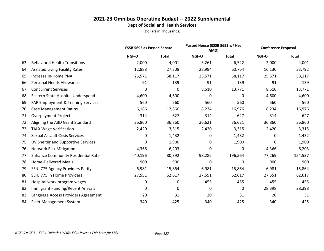|     |                                           | <b>ESSB 5693 as Passed Senate</b> |              | Passed House (ESSB 5693 w/ Hse<br>AMD) |              | <b>Conference Proposal</b> |              |
|-----|-------------------------------------------|-----------------------------------|--------------|----------------------------------------|--------------|----------------------------|--------------|
|     |                                           | NGF-O                             | <b>Total</b> | NGF-O                                  | <b>Total</b> | NGF-O                      | <b>Total</b> |
| 63. | <b>Behavioral Health Transitions</b>      | 2,000                             | 4,001        | 3,261                                  | 6,522        | 2,000                      | 4,001        |
| 64. | <b>Assisted Living Facility Rates</b>     | 12,888                            | 27,308       | 28,994                                 | 60,764       | 16,130                     | 33,792       |
| 65. | Increase In-Home PNA                      | 25,571                            | 58,117       | 25,571                                 | 58,117       | 25,571                     | 58,117       |
| 66. | <b>Personal Needs Allowance</b>           | 91                                | 139          | 91                                     | 139          | 91                         | 139          |
| 67. | <b>Concurrent Services</b>                | 0                                 | 0            | 8,510                                  | 13,771       | 8,510                      | 13,771       |
| 68. | Eastern State Hospital Underspend         | $-4,600$                          | $-4,600$     | 0                                      | 0            | $-4,600$                   | $-4,600$     |
| 69. | FAP Employment & Training Services        | 560                               | 560          | 560                                    | 560          | 560                        | 560          |
| 70. | <b>Case Management Ratios</b>             | 6,186                             | 12,860       | 8,234                                  | 16,976       | 8,234                      | 16,976       |
| 71. | <b>Overpayment Project</b>                | 314                               | 627          | 314                                    | 627          | 314                        | 627          |
| 72. | Aligning the ABD Grant Standard           | 36,860                            | 36,860       | 36,621                                 | 36,621       | 36,860                     | 36,860       |
| 73. | <b>TALX Wage Verification</b>             | 2,420                             | 3,315        | 2,420                                  | 3,315        | 2,420                      | 3,315        |
| 74. | <b>Sexual Assault Crisis Services</b>     | 0                                 | 1,432        | 0                                      | 1,432        | 0                          | 1,432        |
| 75. | DV Shelter and Supportive Services        | 0                                 | 1,900        | 0                                      | 1,900        | 0                          | 1,900        |
| 76. | <b>Network Risk Mitigation</b>            | 4,366                             | 6,203        | $\mathbf{0}$                           | 0            | 4,366                      | 6,203        |
| 77. | <b>Enhance Community Residential Rate</b> | 40,196                            | 80,392       | 98,282                                 | 196,564      | 77,269                     | 154,537      |
| 78. | <b>Home-Delivered Meals</b>               | 900                               | 900          | $\Omega$                               | 0            | 900                        | 900          |
| 79. | SEIU 775 Agency Providers Parity          | 6,981                             | 15,864       | 6,981                                  | 15,864       | 6,981                      | 15,864       |
| 80. | SEIU 775 In Home Providers                | 27,551                            | 62,617       | 27,551                                 | 62,617       | 27,551                     | 62,617       |
| 81. | Hospital work program wages               | 0                                 | 0            | 455                                    | 455          | 455                        | 455          |
| 82. | <b>Immigrant Funding/Recent Arrivals</b>  | 0                                 | 0            | 0                                      | 0            | 28,398                     | 28,398       |
| 83. | Language Access Providers Agreement       | 20                                | 31           | 20                                     | 31           | 20                         | 31           |
| 84. | <b>Fleet Management System</b>            | 340                               | 425          | 340                                    | 425          | 340                        | 425          |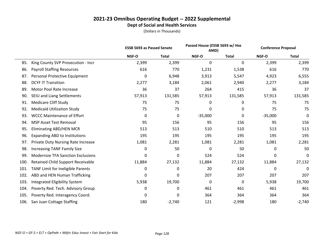|      |                                           | <b>ESSB 5693 as Passed Senate</b> |              | Passed House (ESSB 5693 w/ Hse<br>AMD) |              | <b>Conference Proposal</b> |              |
|------|-------------------------------------------|-----------------------------------|--------------|----------------------------------------|--------------|----------------------------|--------------|
|      |                                           | NGF-O                             | <b>Total</b> | NGF-O                                  | <b>Total</b> | NGF-O                      | <b>Total</b> |
| 85.  | King County SVP Prosecution - Incr        | 2,399                             | 2,399        | 0                                      | 0            | 2,399                      | 2,399        |
| 86.  | <b>Payroll Staffing Resources</b>         | 616                               | 770          | 1,231                                  | 1,538        | 616                        | 770          |
| 87.  | Personal Protective Equipment             | 0                                 | 6,948        | 3,913                                  | 5,547        | 4,923                      | 6,555        |
| 88.  | <b>DCYF IT Transition</b>                 | 2,277                             | 3,184        | 2,061                                  | 2,940        | 2,277                      | 3,184        |
| 89.  | Motor Pool Rate Increase                  | 36                                | 37           | 264                                    | 415          | 36                         | 37           |
| 90.  | SEIU and Liang Settlements                | 57,913                            | 131,585      | 57,913                                 | 131,585      | 57,913                     | 131,585      |
| 91.  | <b>Medicare Cliff Study</b>               | 75                                | 75           | 0                                      | 0            | 75                         | 75           |
| 92.  | <b>Medicaid Utilization Study</b>         | 75                                | 75           | 0                                      | 0            | 75                         | 75           |
| 93.  | <b>WCCC Maintenance of Effort</b>         | 0                                 | 0            | $-35,000$                              | 0            | $-35,000$                  | 0            |
| 94.  | <b>MSP Asset Test Removal</b>             | 95                                | 156          | 95                                     | 156          | 95                         | 156          |
| 95.  | Eliminating ABD/HEN MCR                   | 513                               | 513          | 510                                    | 510          | 513                        | 513          |
| 96.  | <b>Expanding ABD to Institutions</b>      | 195                               | 195          | 195                                    | 195          | 195                        | 195          |
| 97.  | <b>Private Duty Nursing Rate Increase</b> | 1,081                             | 2,281        | 1,081                                  | 2,281        | 1,081                      | 2,281        |
| 98.  | <b>Increasing TANF Family Size</b>        | 0                                 | 50           | 0                                      | 50           | 0                          | 50           |
| 99.  | <b>Modernize TFA Sanction Exclusions</b>  | 0                                 | 0            | 524                                    | 524          | 0                          | $\mathbf 0$  |
| 100. | <b>Retained Child Support Receivable</b>  | 11,884                            | 27,132       | 11,884                                 | 27,132       | 11,884                     | 27,132       |
| 101. | TANF Limit for Ineligible Parents         | 0                                 | 0            | 20                                     | 424          | 0                          | 0            |
| 102. | ABD and HEN Human Trafficking             | 0                                 | 0            | 207                                    | 207          | 207                        | 207          |
| 103. | <b>Integrated Eligibility System</b>      | 5,938                             | 19,700       | 0                                      | 0            | 5,938                      | 19,700       |
| 104. | Poverty Red. Tech. Advisory Group         | 0                                 | 0            | 461                                    | 461          | 461                        | 461          |
| 105. | Poverty Red. Interagency Coord.           | 0                                 | 0            | 364                                    | 364          | 364                        | 364          |
| 106. | San Juan Cottage Staffing                 | 180                               | $-2,740$     | 121                                    | $-2,998$     | 180                        | $-2,740$     |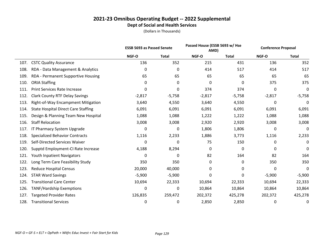|      |                                            | <b>ESSB 5693 as Passed Senate</b> |              | Passed House (ESSB 5693 w/ Hse<br>AMD) |              |          | <b>Conference Proposal</b> |  |
|------|--------------------------------------------|-----------------------------------|--------------|----------------------------------------|--------------|----------|----------------------------|--|
|      |                                            | NGF-O                             | <b>Total</b> | NGF-O                                  | <b>Total</b> | NGF-O    | <b>Total</b>               |  |
| 107. | <b>CSTC Quality Assurance</b>              | 136                               | 352          | 215                                    | 431          | 136      | 352                        |  |
| 108. | RDA - Data Management & Analytics          | 0                                 | 0            | 414                                    | 517          | 414      | 517                        |  |
| 109. | RDA - Permanent Supportive Housing         | 65                                | 65           | 65                                     | 65           | 65       | 65                         |  |
| 110. | <b>ORIA Staffing</b>                       | 0                                 | 0            | 0                                      | 0            | 375      | 375                        |  |
| 111. | <b>Print Services Rate Increase</b>        | 0                                 | 0            | 374                                    | 374          | 0        | 0                          |  |
| 112. | <b>Clark County RTF Delay Savings</b>      | $-2,817$                          | $-5,758$     | $-2,817$                               | $-5,758$     | $-2,817$ | $-5,758$                   |  |
| 113. | Right-of-Way Encampment Mitigation         | 3,640                             | 4,550        | 3,640                                  | 4,550        | 0        | 0                          |  |
| 114. | <b>State Hospital Direct Care Staffing</b> | 6,091                             | 6,091        | 6,091                                  | 6,091        | 6,091    | 6,091                      |  |
| 115. | Design & Planning Team New Hospital        | 1,088                             | 1,088        | 1,222                                  | 1,222        | 1,088    | 1,088                      |  |
| 116. | <b>Staff Relocation</b>                    | 3,008                             | 3,008        | 2,920                                  | 2,920        | 3,008    | 3,008                      |  |
| 117. | IT Pharmacy System Upgrade                 | 0                                 | 0            | 1,806                                  | 1,806        | 0        | 0                          |  |
| 118. | <b>Specialized Behavior Contracts</b>      | 1,116                             | 2,233        | 1,886                                  | 3,773        | 1,116    | 2,233                      |  |
| 119. | Self-Directed Services Waiver              | $\mathbf 0$                       | 0            | 75                                     | 150          | 0        | 0                          |  |
| 120. | Supptd Employment-CI Rate Increase         | 4,188                             | 8,294        | 0                                      | 0            | 0        | 0                          |  |
| 121. | Youth Inpatient Navigators                 | 0                                 | 0            | 82                                     | 164          | 82       | 164                        |  |
| 122. | Long Term Care Feasibility Study           | 350                               | 350          | 0                                      | 0            | 350      | 350                        |  |
| 123. | <b>Reduce Hospital Census</b>              | 20,000                            | 40,000       | 0                                      | 0            | 0        | 0                          |  |
| 124. | <b>STAR Ward Savings</b>                   | $-5,900$                          | $-5,900$     | 0                                      | 0            | $-5,900$ | $-5,900$                   |  |
| 125. | <b>Transitional Care Center</b>            | 10,694                            | 22,333       | 10,694                                 | 22,333       | 10,694   | 22,333                     |  |
| 126. | <b>TANF/Hardship Exemptions</b>            | 0                                 | 0            | 10,864                                 | 10,864       | 10,864   | 10,864                     |  |
| 127. | <b>Targeted Provider Rates</b>             | 126,835                           | 259,472      | 202,372                                | 425,278      | 202,372  | 425,278                    |  |
| 128. | <b>Transitional Services</b>               | 0                                 | 0            | 2,850                                  | 2,850        | 0        | 0                          |  |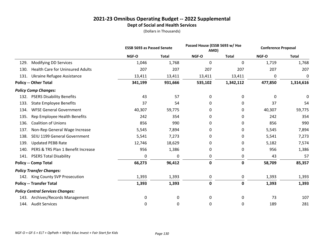|      |                                         | <b>ESSB 5693 as Passed Senate</b> |              | Passed House (ESSB 5693 w/ Hse<br>AMD) |              | <b>Conference Proposal</b> |              |  |
|------|-----------------------------------------|-----------------------------------|--------------|----------------------------------------|--------------|----------------------------|--------------|--|
|      |                                         | NGF-O                             | <b>Total</b> | NGF-O                                  | <b>Total</b> | NGF-O                      | <b>Total</b> |  |
| 129. | <b>Modifying DD Services</b>            | 1,046                             | 1,768        | $\mathbf 0$                            | 0            | 1,719                      | 1,768        |  |
| 130. | <b>Health Care for Uninsured Adults</b> | 207                               | 207          | 207                                    | 207          | 207                        | 207          |  |
| 131. | Ukraine Refugee Assistance              | 13,411                            | 13,411       | 13,411                                 | 13,411       | 0                          | 0            |  |
|      | <b>Policy -- Other Total</b>            | 341,199                           | 931,666      | 535,102                                | 1,342,112    | 477,850                    | 1,314,616    |  |
|      | <b>Policy Comp Changes:</b>             |                                   |              |                                        |              |                            |              |  |
| 132. | <b>PSERS Disability Benefits</b>        | 43                                | 57           | 0                                      | 0            | 0                          | 0            |  |
| 133. | <b>State Employee Benefits</b>          | 37                                | 54           | 0                                      | 0            | 37                         | 54           |  |
| 134. | <b>WFSE General Government</b>          | 40,307                            | 59,775       | 0                                      | 0            | 40,307                     | 59,775       |  |
| 135. | Rep Employee Health Benefits            | 242                               | 354          | 0                                      | 0            | 242                        | 354          |  |
| 136. | <b>Coalition of Unions</b>              | 856                               | 990          | 0                                      | 0            | 856                        | 990          |  |
| 137. | Non-Rep General Wage Increase           | 5,545                             | 7,894        | 0                                      | 0            | 5,545                      | 7,894        |  |
| 138. | SEIU 1199 General Government            | 5,541                             | 7,273        | 0                                      | 0            | 5,541                      | 7,273        |  |
| 139. | <b>Updated PEBB Rate</b>                | 12,746                            | 18,629       | 0                                      | 0            | 5,182                      | 7,574        |  |
| 140. | PERS & TRS Plan 1 Benefit Increase      | 956                               | 1,386        | 0                                      | 0            | 956                        | 1,386        |  |
| 141. | <b>PSERS Total Disability</b>           | 0                                 | 0            | 0                                      | 0            | 43                         | 57           |  |
|      | <b>Policy -- Comp Total</b>             | 66,273                            | 96,412       | 0                                      | 0            | 58,709                     | 85,357       |  |
|      | <b>Policy Transfer Changes:</b>         |                                   |              |                                        |              |                            |              |  |
| 142. | King County SVP Prosecution             | 1,393                             | 1,393        | $\pmb{0}$                              | 0            | 1,393                      | 1,393        |  |
|      | <b>Policy -- Transfer Total</b>         | 1,393                             | 1,393        | $\pmb{0}$                              | 0            | 1,393                      | 1,393        |  |
|      | <b>Policy Central Services Changes:</b> |                                   |              |                                        |              |                            |              |  |
| 143. | Archives/Records Management             | 0                                 | 0            | 0                                      | 0            | 73                         | 107          |  |
|      | 144. Audit Services                     | 0                                 | 0            | 0                                      | 0            | 189                        | 281          |  |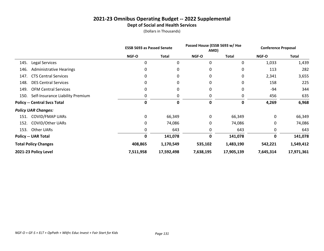|      |                                     | <b>ESSB 5693 as Passed Senate</b> |              | Passed House (ESSB 5693 w/ Hse<br>AMD) |              | <b>Conference Proposal</b> |            |
|------|-------------------------------------|-----------------------------------|--------------|----------------------------------------|--------------|----------------------------|------------|
|      |                                     | <b>NGF-O</b>                      | <b>Total</b> | NGF-O                                  | <b>Total</b> | <b>NGF-O</b>               | Total      |
| 145. | Legal Services                      | 0                                 | 0            | 0                                      | 0            | 1,033                      | 1,439      |
| 146. | <b>Administrative Hearings</b>      | 0                                 | $\Omega$     | 0                                      | 0            | 113                        | 282        |
| 147. | <b>CTS Central Services</b>         | 0                                 | 0            | 0                                      | 0            | 2,341                      | 3,655      |
| 148. | <b>DES Central Services</b>         | 0                                 | 0            | 0                                      | 0            | 158                        | 225        |
| 149. | <b>OFM Central Services</b>         |                                   | 0            | 0                                      | 0            | -94                        | 344        |
| 150. | Self-Insurance Liability Premium    |                                   |              |                                        | 0            | 456                        | 635        |
|      | <b>Policy -- Central Svcs Total</b> | 0                                 | 0            | 0                                      | $\mathbf 0$  | 4,269                      | 6,968      |
|      | <b>Policy UAR Changes:</b>          |                                   |              |                                        |              |                            |            |
|      | 151. COVID/FMAP UARs                | 0                                 | 66,349       | 0                                      | 66,349       | 0                          | 66,349     |
| 152. | <b>COVID/Other UARs</b>             | 0                                 | 74,086       | 0                                      | 74,086       | 0                          | 74,086     |
| 153. | Other UARs                          |                                   | 643          | $\Omega$                               | 643          | 0                          | 643        |
|      | <b>Policy -- UAR Total</b>          | 0                                 | 141,078      | 0                                      | 141,078      | 0                          | 141,078    |
|      | <b>Total Policy Changes</b>         | 408,865                           | 1,170,549    | 535,102                                | 1,483,190    | 542,221                    | 1,549,412  |
|      | 2021-23 Policy Level                | 7,511,958                         | 17,592,498   | 7,638,195                              | 17,905,139   | 7,645,314                  | 17,971,361 |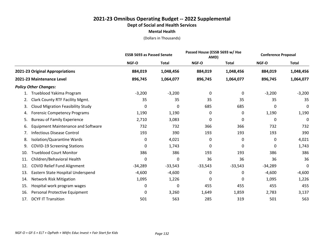|                                                 | <b>ESSB 5693 as Passed Senate</b> |              | Passed House (ESSB 5693 w/ Hse<br>AMD) |              | <b>Conference Proposal</b> |              |
|-------------------------------------------------|-----------------------------------|--------------|----------------------------------------|--------------|----------------------------|--------------|
|                                                 | NGF-O                             | <b>Total</b> | NGF-O                                  | <b>Total</b> | NGF-O                      | <b>Total</b> |
| 2021-23 Original Appropriations                 | 884,019                           | 1,048,456    | 884,019                                | 1,048,456    | 884,019                    | 1,048,456    |
| 2021-23 Maintenance Level                       | 896,745                           | 1,064,077    | 896,745                                | 1,064,077    | 896,745                    | 1,064,077    |
| <b>Policy Other Changes:</b>                    |                                   |              |                                        |              |                            |              |
| Trueblood Yakima Program                        | $-3,200$                          | $-3,200$     | 0                                      | 0            | $-3,200$                   | $-3,200$     |
| Clark County RTF Facility Mgmt.<br>2.           | 35                                | 35           | 35                                     | 35           | 35                         | 35           |
| <b>Cloud Migration Feasibility Study</b><br>3.  | 0                                 | 0            | 685                                    | 685          | 0                          | 0            |
| <b>Forensic Competency Programs</b><br>4.       | 1,190                             | 1,190        | 0                                      | 0            | 1,190                      | 1,190        |
| <b>Bureau of Family Experience</b><br>5.        | 2,710                             | 3,083        | 0                                      | 0            | 0                          | 0            |
| <b>Equipment Maintenance and Software</b><br>6. | 732                               | 732          | 366                                    | 366          | 732                        | 732          |
| <b>Infectious Disease Control</b><br>7.         | 193                               | 390          | 193                                    | 193          | 193                        | 390          |
| Isolation/Quarantine Wards<br>8.                | 0                                 | 4,021        | 0                                      | 0            | 0                          | 4,021        |
| <b>COVID-19 Screening Stations</b><br>9.        | 0                                 | 1,743        | 0                                      | 0            | 0                          | 1,743        |
| <b>Trueblood Court Monitor</b><br>10.           | 386                               | 386          | 193                                    | 193          | 386                        | 386          |
| Children/Behavioral Health<br>11.               | 0                                 | 0            | 36                                     | 36           | 36                         | 36           |
| <b>COVID Relief Fund Alignment</b><br>12.       | $-34,289$                         | $-33,543$    | $-33,543$                              | $-33,543$    | $-34,289$                  | 0            |
| 13.<br>Eastern State Hospital Underspend        | $-4,600$                          | $-4,600$     | 0                                      | 0            | $-4,600$                   | $-4,600$     |
| Network Risk Mitigation<br>14.                  | 1,095                             | 1,226        | 0                                      | 0            | 1,095                      | 1,226        |
| Hospital work program wages<br>15.              | 0                                 | 0            | 455                                    | 455          | 455                        | 455          |
| Personal Protective Equipment<br>16.            | 0                                 | 3,260        | 1,649                                  | 1,859        | 2,783                      | 3,137        |
| <b>DCYF IT Transition</b><br>17.                | 501                               | 563          | 285                                    | 319          | 501                        | 563          |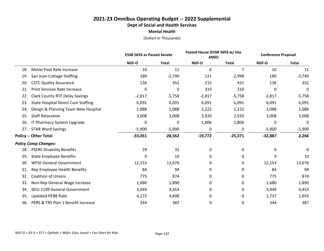|     |                                            | <b>ESSB 5693 as Passed Senate</b> |              | Passed House (ESSB 5693 w/ Hse<br>AMD) |              | <b>Conference Proposal</b> |              |
|-----|--------------------------------------------|-----------------------------------|--------------|----------------------------------------|--------------|----------------------------|--------------|
|     |                                            | NGF-O                             | <b>Total</b> | NGF-O                                  | <b>Total</b> | NGF-O                      | <b>Total</b> |
| 18. | Motor Pool Rate Increase                   | 10                                | 11           | 6                                      | 7            | 10                         | 11           |
| 19. | San Juan Cottage Staffing                  | 180                               | $-2,740$     | 121                                    | $-2,998$     | 180                        | $-2,740$     |
| 20. | <b>CSTC Quality Assurance</b>              | 136                               | 352          | 215                                    | 431          | 136                        | 352          |
| 21. | <b>Print Services Rate Increase</b>        | 0                                 | 0            | 310                                    | 310          | 0                          | 0            |
| 22. | <b>Clark County RTF Delay Savings</b>      | $-2,817$                          | $-5,758$     | $-2,817$                               | $-5,758$     | $-2,817$                   | $-5,758$     |
| 23. | <b>State Hospital Direct Care Staffing</b> | 6,091                             | 6,091        | 6,091                                  | 6,091        | 6,091                      | 6,091        |
| 24. | Design & Planning Team New Hospital        | 1,088                             | 1,088        | 1,222                                  | 1,222        | 1,088                      | 1,088        |
| 25. | <b>Staff Relocation</b>                    | 3,008                             | 3,008        | 2,920                                  | 2,920        | 3,008                      | 3,008        |
| 26. | IT Pharmacy System Upgrade                 | 0                                 | 0            | 1,806                                  | 1,806        | 0                          | 0            |
| 27. | <b>STAR Ward Savings</b>                   | $-5,900$                          | $-5,900$     | 0                                      | 0            | $-5,900$                   | $-5,900$     |
|     | <b>Policy -- Other Total</b>               | $-33,451$                         | $-28,562$    | $-19,772$                              | $-25,371$    | $-32,887$                  | 2,266        |
|     | <b>Policy Comp Changes:</b>                |                                   |              |                                        |              |                            |              |
| 28. | <b>PSERS Disability Benefits</b>           | 29                                | 32           | 0                                      | 0            | 0                          | 0            |
| 29. | <b>State Employee Benefits</b>             | 9                                 | 10           | 0                                      | 0            | 9                          | 10           |
| 30. | <b>WFSE General Government</b>             | 12,153                            | 13,676       | 0                                      | 0            | 12,153                     | 13,676       |
| 31. | Rep Employee Health Benefits               | 84                                | 94           | 0                                      | 0            | 84                         | 94           |
| 32. | <b>Coalition of Unions</b>                 | 775                               | 874          | 0                                      | 0            | 775                        | 874          |
| 33. | Non-Rep General Wage Increase              | 1,680                             | 1,890        | 0                                      | 0            | 1,680                      | 1,890        |
| 34. | SEIU 1199 General Government               | 3,949                             | 4,453        | 0                                      | 0            | 3,949                      | 4,453        |
| 35. | <b>Updated PEBB Rate</b>                   | 4,272                             | 4,808        | 0                                      | 0            | 1,737                      | 1,955        |
| 36. | PERS & TRS Plan 1 Benefit Increase         | 344                               | 387          | 0                                      | 0            | 344                        | 387          |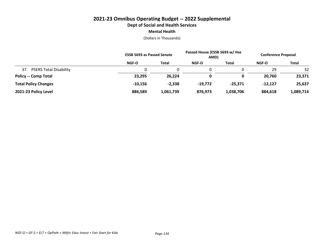|                                      | <b>ESSB 5693 as Passed Senate</b> |              | Passed House (ESSB 5693 w/ Hse<br>AMD) |              | <b>Conference Proposal</b> |              |
|--------------------------------------|-----------------------------------|--------------|----------------------------------------|--------------|----------------------------|--------------|
|                                      | NGF-O                             | <b>Total</b> | <b>NGF-O</b>                           | <b>Total</b> | <b>NGF-O</b>               | <b>Total</b> |
| <b>PSERS Total Disability</b><br>37. |                                   |              |                                        |              | 29                         | 32           |
| <b>Policy -- Comp Total</b>          | 23,295                            | 26,224       | 0                                      | 0            | 20,760                     | 23,371       |
| <b>Total Policy Changes</b>          | $-10,156$                         | $-2,338$     | $-19.772$                              | $-25.371$    | $-12.127$                  | 25,637       |
| 2021-23 Policy Level                 | 886,589                           | 1,061,739    | 876,973                                | 1,038,706    | 884,618                    | 1,089,714    |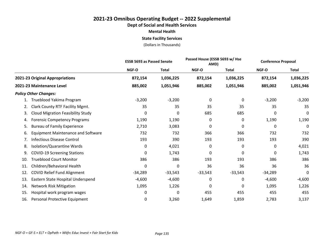# **2021-23 Omnibus Operating Budget -- 2022 Supplemental Dept of Social and Health Services Mental Health State Facility Services**

|                                                 |           | <b>ESSB 5693 as Passed Senate</b> |           | Passed House (ESSB 5693 w/ Hse<br>AMD) |              | <b>Conference Proposal</b> |
|-------------------------------------------------|-----------|-----------------------------------|-----------|----------------------------------------|--------------|----------------------------|
|                                                 | NGF-O     | <b>Total</b>                      | NGF-O     | <b>Total</b>                           | <b>NGF-O</b> | <b>Total</b>               |
| 2021-23 Original Appropriations                 | 872,154   | 1,036,225                         | 872,154   | 1,036,225                              | 872,154      | 1,036,225                  |
| 2021-23 Maintenance Level                       | 885,002   | 1,051,946                         | 885,002   | 1,051,946                              | 885,002      | 1,051,946                  |
| <b>Policy Other Changes:</b>                    |           |                                   |           |                                        |              |                            |
| Trueblood Yakima Program                        | $-3,200$  | $-3,200$                          | 0         | 0                                      | $-3,200$     | $-3,200$                   |
| Clark County RTF Facility Mgmt.<br>2.           | 35        | 35                                | 35        | 35                                     | 35           | 35                         |
| <b>Cloud Migration Feasibility Study</b><br>3.  | 0         | 0                                 | 685       | 685                                    | 0            | 0                          |
| <b>Forensic Competency Programs</b><br>4.       | 1,190     | 1,190                             | 0         | 0                                      | 1,190        | 1,190                      |
| <b>Bureau of Family Experience</b><br>5.        | 2,710     | 3,083                             | 0         | 0                                      | 0            | $\Omega$                   |
| <b>Equipment Maintenance and Software</b><br>6. | 732       | 732                               | 366       | 366                                    | 732          | 732                        |
| <b>Infectious Disease Control</b><br>7.         | 193       | 390                               | 193       | 193                                    | 193          | 390                        |
| Isolation/Quarantine Wards<br>8.                | 0         | 4,021                             | 0         | 0                                      | 0            | 4,021                      |
| <b>COVID-19 Screening Stations</b><br>9.        | 0         | 1,743                             | 0         | 0                                      | 0            | 1,743                      |
| <b>Trueblood Court Monitor</b><br>10.           | 386       | 386                               | 193       | 193                                    | 386          | 386                        |
| Children/Behavioral Health<br>11.               | 0         | 0                                 | 36        | 36                                     | 36           | 36                         |
| <b>COVID Relief Fund Alignment</b><br>12.       | $-34,289$ | $-33,543$                         | $-33,543$ | $-33,543$                              | $-34,289$    | 0                          |
| 13.<br>Eastern State Hospital Underspend        | $-4,600$  | $-4,600$                          | 0         | 0                                      | $-4,600$     | $-4,600$                   |
| <b>Network Risk Mitigation</b><br>14.           | 1,095     | 1,226                             | 0         | 0                                      | 1,095        | 1,226                      |
| Hospital work program wages<br>15.              | 0         | 0                                 | 455       | 455                                    | 455          | 455                        |
| Personal Protective Equipment<br>16.            | 0         | 3,260                             | 1,649     | 1,859                                  | 2,783        | 3,137                      |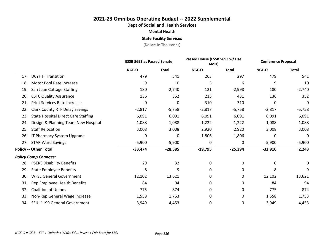# **2021-23 Omnibus Operating Budget -- 2022 Supplemental Dept of Social and Health Services Mental Health State Facility Services**

|     |                                            | <b>ESSB 5693 as Passed Senate</b> |              | Passed House (ESSB 5693 w/ Hse<br>AMD) |              | <b>Conference Proposal</b> |              |
|-----|--------------------------------------------|-----------------------------------|--------------|----------------------------------------|--------------|----------------------------|--------------|
|     |                                            | NGF-O                             | <b>Total</b> | NGF-O                                  | <b>Total</b> | NGF-O                      | <b>Total</b> |
| 17. | <b>DCYF IT Transition</b>                  | 479                               | 541          | 263                                    | 297          | 479                        | 541          |
| 18. | Motor Pool Rate Increase                   | 9                                 | 10           | 5                                      | 6            | 9                          | 10           |
| 19. | San Juan Cottage Staffing                  | 180                               | $-2,740$     | 121                                    | $-2,998$     | 180                        | $-2,740$     |
| 20. | <b>CSTC Quality Assurance</b>              | 136                               | 352          | 215                                    | 431          | 136                        | 352          |
| 21. | <b>Print Services Rate Increase</b>        | 0                                 | $\mathbf 0$  | 310                                    | 310          | 0                          | 0            |
| 22. | <b>Clark County RTF Delay Savings</b>      | $-2,817$                          | $-5,758$     | $-2,817$                               | $-5,758$     | $-2,817$                   | $-5,758$     |
| 23. | <b>State Hospital Direct Care Staffing</b> | 6,091                             | 6,091        | 6,091                                  | 6,091        | 6,091                      | 6,091        |
| 24. | Design & Planning Team New Hospital        | 1,088                             | 1,088        | 1,222                                  | 1,222        | 1,088                      | 1,088        |
| 25. | <b>Staff Relocation</b>                    | 3,008                             | 3,008        | 2,920                                  | 2,920        | 3,008                      | 3,008        |
| 26. | IT Pharmacy System Upgrade                 | 0                                 | 0            | 1,806                                  | 1,806        | 0                          | 0            |
| 27. | <b>STAR Ward Savings</b>                   | $-5,900$                          | $-5,900$     | 0                                      | 0            | $-5,900$                   | $-5,900$     |
|     | <b>Policy -- Other Total</b>               | $-33,474$                         | $-28,585$    | $-19,795$                              | $-25,394$    | $-32,910$                  | 2,243        |
|     | <b>Policy Comp Changes:</b>                |                                   |              |                                        |              |                            |              |
| 28. | <b>PSERS Disability Benefits</b>           | 29                                | 32           | 0                                      | 0            | 0                          | 0            |
| 29. | <b>State Employee Benefits</b>             | 8                                 | 9            | 0                                      | 0            | 8                          | 9            |
| 30. | <b>WFSE General Government</b>             | 12,102                            | 13,621       | 0                                      | 0            | 12,102                     | 13,621       |
| 31. | Rep Employee Health Benefits               | 84                                | 94           | 0                                      | 0            | 84                         | 94           |
| 32. | <b>Coalition of Unions</b>                 | 775                               | 874          | 0                                      | 0            | 775                        | 874          |
| 33. | Non-Rep General Wage Increase              | 1,558                             | 1,753        | 0                                      | 0            | 1,558                      | 1,753        |
| 34. | SEIU 1199 General Government               | 3,949                             | 4,453        | 0                                      | 0            | 3,949                      | 4,453        |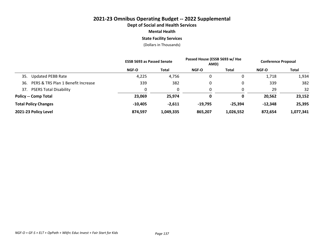## **2021-23 Omnibus Operating Budget -- 2022 Supplemental Dept of Social and Health Services Mental Health State Facility Services**

|                                           | <b>ESSB 5693 as Passed Senate</b> |              | Passed House (ESSB 5693 w/ Hse<br>AMD) |           | <b>Conference Proposal</b> |           |
|-------------------------------------------|-----------------------------------|--------------|----------------------------------------|-----------|----------------------------|-----------|
|                                           | NGF-O                             | <b>Total</b> | <b>NGF-O</b>                           | Total     | NGF-O                      | Total     |
| <b>Updated PEBB Rate</b><br>35.           | 4,225                             | 4,756        | 0                                      | 0         | 1,718                      | 1,934     |
| PERS & TRS Plan 1 Benefit Increase<br>36. | 339                               | 382          | 0                                      | 0         | 339                        | 382       |
| <b>PSERS Total Disability</b><br>37.      |                                   | 0            | 0                                      | 0         | 29                         | 32        |
| <b>Policy -- Comp Total</b>               | 23,069                            | 25,974       | 0                                      | 0         | 20,562                     | 23,152    |
| <b>Total Policy Changes</b>               | $-10,405$                         | $-2,611$     | $-19,795$                              | -25,394   | $-12,348$                  | 25,395    |
| 2021-23 Policy Level                      | 874.597                           | 1,049,335    | 865.207                                | 1,026,552 | 872,654                    | 1,077,341 |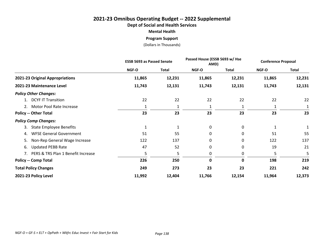# **2021-23 Omnibus Operating Budget -- 2022 Supplemental Dept of Social and Health Services Mental Health Program Support**

|                                       | <b>ESSB 5693 as Passed Senate</b> |              | Passed House (ESSB 5693 w/ Hse<br>AMD) |        | <b>Conference Proposal</b> |              |
|---------------------------------------|-----------------------------------|--------------|----------------------------------------|--------|----------------------------|--------------|
|                                       | NGF-O                             | <b>Total</b> | NGF-O                                  | Total  | NGF-O                      | <b>Total</b> |
| 2021-23 Original Appropriations       | 11,865                            | 12,231       | 11,865                                 | 12,231 | 11,865                     | 12,231       |
| 2021-23 Maintenance Level             | 11,743                            | 12,131       | 11,743                                 | 12,131 | 11,743                     | 12,131       |
| <b>Policy Other Changes:</b>          |                                   |              |                                        |        |                            |              |
| 1. DCYF IT Transition                 | 22                                | 22           | 22                                     | 22     | 22                         | 22           |
| 2. Motor Pool Rate Increase           |                                   |              | 1                                      |        |                            |              |
| <b>Policy -- Other Total</b>          | 23                                | 23           | 23                                     | 23     | 23                         | 23           |
| <b>Policy Comp Changes:</b>           |                                   |              |                                        |        |                            |              |
| <b>State Employee Benefits</b><br>3.  | 1                                 | 1            | 0                                      | 0      |                            |              |
| <b>WFSE General Government</b><br>4.  | 51                                | 55           | 0                                      | 0      | 51                         | 55           |
| Non-Rep General Wage Increase<br>5.   | 122                               | 137          | 0                                      | 0      | 122                        | 137          |
| <b>Updated PEBB Rate</b><br>6.        | 47                                | 52           | 0                                      | 0      | 19                         | 21           |
| 7. PERS & TRS Plan 1 Benefit Increase | 5                                 | 5            | 0                                      | 0      | 5                          | 5            |
| <b>Policy -- Comp Total</b>           | 226                               | 250          | $\mathbf 0$                            | 0      | 198                        | 219          |
| <b>Total Policy Changes</b>           | 249                               | 273          | 23                                     | 23     | 221                        | 242          |
| 2021-23 Policy Level                  | 11,992                            | 12,404       | 11,766                                 | 12,154 | 11,964                     | 12,373       |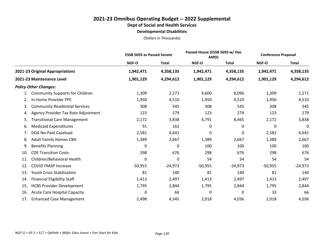**Developmental Disabilities**

|                                             |           | <b>ESSB 5693 as Passed Senate</b> |           | Passed House (ESSB 5693 w/ Hse<br>AMD) |           | <b>Conference Proposal</b> |
|---------------------------------------------|-----------|-----------------------------------|-----------|----------------------------------------|-----------|----------------------------|
|                                             | NGF-O     | <b>Total</b>                      | NGF-O     | <b>Total</b>                           | NGF-O     | <b>Total</b>               |
| 2021-23 Original Appropriations             | 1,942,471 | 4,358,135                         | 1,942,471 | 4,358,135                              | 1,942,471 | 4,358,135                  |
| 2021-23 Maintenance Level                   | 1,901,129 | 4,294,612                         | 1,901,129 | 4,294,612                              | 1,901,129 | 4,294,612                  |
| <b>Policy Other Changes:</b>                |           |                                   |           |                                        |           |                            |
| <b>Community Supports for Children</b>      | 1,309     | 2,271                             | 4,600     | 8,096                                  | 1,309     | 2,271                      |
| In-Home Provider PPE<br>2.                  | 1,950     | 4,510                             | 1,950     | 4,510                                  | 1,950     | 4,510                      |
| <b>Community Residential Services</b><br>3. | 308       | 545                               | 308       | 545                                    | 308       | 545                        |
| Agency Provider Tax Rate Adjustment<br>4.   | 123       | 279                               | 123       | 279                                    | 123       | 279                        |
| <b>Transitional Care Management</b><br>5.   | 2,172     | 3,838                             | 4,791     | 8,465                                  | 2,172     | 3,838                      |
| <b>Medicaid Expenditures</b><br>6.          | 91        | 162                               | 0         | 0                                      | 0         | 0                          |
| <b>DDA No-Paid Caseload</b><br>7.           | 2,581     | 4,641                             | 0         | 0                                      | 2,581     | 4,641                      |
| <b>Adult Family Homes CBA</b><br>8.         | 1,389     | 2,667                             | 1,389     | 2,667                                  | 1,389     | 2,667                      |
| <b>Benefits Planning</b><br>9.              | 0         | 0                                 | 100       | 100                                    | 100       | 100                        |
| <b>CDE Transition Costs</b><br>10.          | 298       | 676                               | 298       | 676                                    | 298       | 676                        |
| Children/Behavioral Health<br>11.           | 0         | 0                                 | 54        | 54                                     | 54        | 54                         |
| <b>COVID FMAP Increase</b><br>12.           | $-50,955$ | $-24,973$                         | $-50,955$ | $-24,973$                              | $-50,955$ | $-24,973$                  |
| <b>Youth Crisis Stabilization</b><br>13.    | 81        | 140                               | 81        | 140                                    | 81        | 140                        |
| <b>Financial Eligibility Staff</b><br>14.   | 1,413     | 2,497                             | 1,413     | 2,497                                  | 1,413     | 2,497                      |
| <b>HCBS Provider Development</b><br>15.     | 1,795     | 2,844                             | 1,795     | 2,844                                  | 1,795     | 2,844                      |
| <b>Acute Care Hospital Capacity</b><br>16.  | 0         | 66                                | 0         | 0                                      | 33        | 66                         |
| <b>Enhanced Case Management</b><br>17.      | 2,498     | 4,345                             | 2,018     | 4,036                                  | 2,018     | 4,036                      |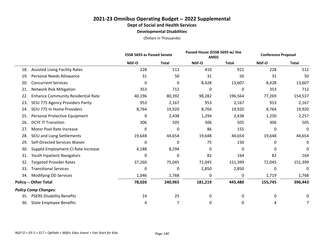#### **2021-23 Omnibus Operating Budget -- 2022 Supplemental Dept of Social and Health Services Developmental Disabilities**

|     |                                           | <b>ESSB 5693 as Passed Senate</b> |              |         | Passed House (ESSB 5693 w/ Hse<br>AMD) |         | <b>Conference Proposal</b> |
|-----|-------------------------------------------|-----------------------------------|--------------|---------|----------------------------------------|---------|----------------------------|
|     |                                           | NGF-O                             | <b>Total</b> | NGF-O   | <b>Total</b>                           | NGF-O   | <b>Total</b>               |
| 18. | <b>Assisted Living Facility Rates</b>     | 228                               | 512          | 410     | 921                                    | 228     | 512                        |
| 19. | Personal Needs Allowance                  | 31                                | 50           | 31      | 50                                     | 31      | 50                         |
| 20. | <b>Concurrent Services</b>                | 0                                 | 0            | 8,428   | 13,607                                 | 8,428   | 13,607                     |
| 21. | <b>Network Risk Mitigation</b>            | 353                               | 712          | 0       | 0                                      | 353     | 712                        |
| 22. | <b>Enhance Community Residential Rate</b> | 40,196                            | 80,392       | 98,282  | 196,564                                | 77,269  | 154,537                    |
| 23. | SEIU 775 Agency Providers Parity          | 953                               | 2,167        | 953     | 2,167                                  | 953     | 2,167                      |
| 24. | SEIU 775 In Home Providers                | 8,764                             | 19,920       | 8,764   | 19,920                                 | 8,764   | 19,920                     |
| 25. | Personal Protective Equipment             | 0                                 | 2,438        | 1,294   | 2,438                                  | 1,250   | 2,257                      |
| 26. | <b>DCYF IT Transition</b>                 | 306                               | 505          | 306     | 505                                    | 306     | 505                        |
| 27. | Motor Pool Rate Increase                  | 0                                 | 0            | 86      | 155                                    | 0       | 0                          |
| 28. | SEIU and Liang Settlements                | 19,648                            | 44,654       | 19,648  | 44,654                                 | 19,648  | 44,654                     |
| 29. | Self-Directed Services Waiver             | 0                                 | 0            | 75      | 150                                    | 0       | 0                          |
| 30. | Supptd Employment-CI Rate Increase        | 4,188                             | 8,294        | 0       | 0                                      | 0       | 0                          |
| 31. | Youth Inpatient Navigators                | 0                                 | 0            | 82      | 164                                    | 82      | 164                        |
| 32. | <b>Targeted Provider Rates</b>            | 37,260                            | 75,045       | 72,045  | 151,399                                | 72,045  | 151,399                    |
| 33. | <b>Transitional Services</b>              | 0                                 | 0            | 2,850   | 2,850                                  | 0       | 0                          |
| 34. | <b>Modifying DD Services</b>              | 1,046                             | 1,768        | 0       | 0                                      | 1,719   | 1,768                      |
|     | <b>Policy -- Other Total</b>              | 78,026                            | 240,965      | 181,219 | 445,480                                | 155,745 | 396,443                    |
|     | <b>Policy Comp Changes:</b>               |                                   |              |         |                                        |         |                            |
| 35. | <b>PSERS Disability Benefits</b>          | 14                                | 25           | 0       | 0                                      | 0       | 0                          |
| 36. | <b>State Employee Benefits</b>            | 4                                 | 7            | 0       | 0                                      | 4       | 7                          |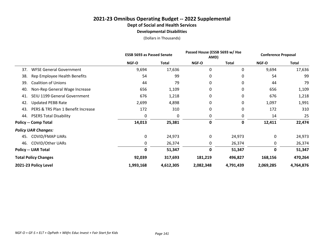#### **2021-23 Omnibus Operating Budget -- 2022 Supplemental Dept of Social and Health Services Developmental Disabilities**

|                                           | <b>ESSB 5693 as Passed Senate</b> |              | Passed House (ESSB 5693 w/ Hse<br>AMD) |           | <b>Conference Proposal</b> |              |
|-------------------------------------------|-----------------------------------|--------------|----------------------------------------|-----------|----------------------------|--------------|
|                                           | NGF-O                             | <b>Total</b> | NGF-O                                  | Total     | NGF-O                      | <b>Total</b> |
| <b>WFSE General Government</b><br>37.     | 9,694                             | 17,636       | 0                                      | 0         | 9,694                      | 17,636       |
| Rep Employee Health Benefits<br>38.       | 54                                | 99           | 0                                      | 0         | 54                         | 99           |
| <b>Coalition of Unions</b><br>39.         | 44                                | 79           | 0                                      | 0         | 44                         | 79           |
| Non-Rep General Wage Increase<br>40.      | 656                               | 1,109        | 0                                      | 0         | 656                        | 1,109        |
| SEIU 1199 General Government<br>41.       | 676                               | 1,218        | 0                                      | 0         | 676                        | 1,218        |
| <b>Updated PEBB Rate</b><br>42.           | 2,699                             | 4,898        | 0                                      | 0         | 1,097                      | 1,991        |
| PERS & TRS Plan 1 Benefit Increase<br>43. | 172                               | 310          | 0                                      | 0         | 172                        | 310          |
| <b>PSERS Total Disability</b><br>44.      | 0                                 | 0            | 0                                      | 0         | 14                         | 25           |
| <b>Policy -- Comp Total</b>               | 14,013                            | 25,381       | 0                                      | 0         | 12,411                     | 22,474       |
| <b>Policy UAR Changes:</b>                |                                   |              |                                        |           |                            |              |
| <b>COVID/FMAP UARS</b><br>45.             | 0                                 | 24,973       | 0                                      | 24,973    | 0                          | 24,973       |
| <b>COVID/Other UARs</b><br>46.            | 0                                 | 26,374       | 0                                      | 26,374    | 0                          | 26,374       |
| <b>Policy -- UAR Total</b>                | 0                                 | 51,347       | 0                                      | 51,347    | 0                          | 51,347       |
| <b>Total Policy Changes</b>               | 92,039                            | 317,693      | 181,219                                | 496,827   | 168,156                    | 470,264      |
| 2021-23 Policy Level                      | 1,993,168                         | 4,612,305    | 2,082,348                              | 4,791,439 | 2,069,285                  | 4,764,876    |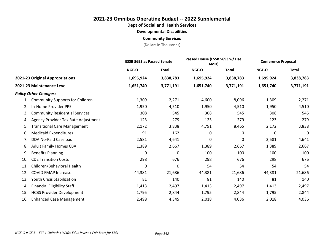**Dept of Social and Health Services**

**Developmental Disabilities**

**Community Services**

|                                             |           | <b>ESSB 5693 as Passed Senate</b> |           | Passed House (ESSB 5693 w/ Hse<br>AMD) |           | <b>Conference Proposal</b> |
|---------------------------------------------|-----------|-----------------------------------|-----------|----------------------------------------|-----------|----------------------------|
|                                             | NGF-O     | <b>Total</b>                      | NGF-O     | Total                                  | NGF-O     | <b>Total</b>               |
| 2021-23 Original Appropriations             | 1,695,924 | 3,838,783                         | 1,695,924 | 3,838,783                              | 1,695,924 | 3,838,783                  |
| 2021-23 Maintenance Level                   | 1,651,740 | 3,771,191                         | 1,651,740 | 3,771,191                              | 1,651,740 | 3,771,191                  |
| <b>Policy Other Changes:</b>                |           |                                   |           |                                        |           |                            |
| <b>Community Supports for Children</b>      | 1,309     | 2,271                             | 4,600     | 8,096                                  | 1,309     | 2,271                      |
| In-Home Provider PPE<br>2.                  | 1,950     | 4,510                             | 1,950     | 4,510                                  | 1,950     | 4,510                      |
| <b>Community Residential Services</b><br>3. | 308       | 545                               | 308       | 545                                    | 308       | 545                        |
| Agency Provider Tax Rate Adjustment<br>4.   | 123       | 279                               | 123       | 279                                    | 123       | 279                        |
| <b>Fransitional Care Management</b><br>5.   | 2,172     | 3,838                             | 4,791     | 8,465                                  | 2,172     | 3,838                      |
| <b>Medicaid Expenditures</b><br>6.          | 91        | 162                               | 0         | 0                                      | 0         | 0                          |
| DDA No-Paid Caseload<br>7.                  | 2,581     | 4,641                             | 0         | 0                                      | 2,581     | 4,641                      |
| <b>Adult Family Homes CBA</b><br>8.         | 1,389     | 2,667                             | 1,389     | 2,667                                  | 1,389     | 2,667                      |
| <b>Benefits Planning</b><br>9.              | 0         | 0                                 | 100       | 100                                    | 100       | 100                        |
| <b>CDE Transition Costs</b><br>10.          | 298       | 676                               | 298       | 676                                    | 298       | 676                        |
| Children/Behavioral Health<br>11.           | 0         | 0                                 | 54        | 54                                     | 54        | 54                         |
| 12.<br><b>COVID FMAP Increase</b>           | $-44,381$ | $-21,686$                         | $-44,381$ | $-21,686$                              | $-44,381$ | $-21,686$                  |
| Youth Crisis Stabilization<br>13.           | 81        | 140                               | 81        | 140                                    | 81        | 140                        |
| <b>Financial Eligibility Staff</b><br>14.   | 1,413     | 2,497                             | 1,413     | 2,497                                  | 1,413     | 2,497                      |
| <b>HCBS Provider Development</b><br>15.     | 1,795     | 2,844                             | 1,795     | 2,844                                  | 1,795     | 2,844                      |
| <b>Enhanced Case Management</b><br>16.      | 2,498     | 4,345                             | 2,018     | 4,036                                  | 2,018     | 4,036                      |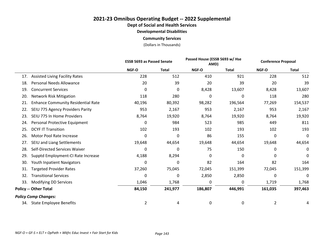**Dept of Social and Health Services**

**Developmental Disabilities**

**Community Services**

|     |                                           | <b>ESSB 5693 as Passed Senate</b> |              |              | Passed House (ESSB 5693 w/ Hse<br>AMD) |                | <b>Conference Proposal</b> |
|-----|-------------------------------------------|-----------------------------------|--------------|--------------|----------------------------------------|----------------|----------------------------|
|     |                                           | <b>NGF-O</b>                      | <b>Total</b> | <b>NGF-O</b> | <b>Total</b>                           | <b>NGF-O</b>   | <b>Total</b>               |
| 17. | <b>Assisted Living Facility Rates</b>     | 228                               | 512          | 410          | 921                                    | 228            | 512                        |
| 18. | <b>Personal Needs Allowance</b>           | 20                                | 39           | 20           | 39                                     | 20             | 39                         |
| 19. | <b>Concurrent Services</b>                | 0                                 | 0            | 8,428        | 13,607                                 | 8,428          | 13,607                     |
| 20. | <b>Network Risk Mitigation</b>            | 118                               | 280          | 0            | 0                                      | 118            | 280                        |
| 21. | <b>Enhance Community Residential Rate</b> | 40,196                            | 80,392       | 98,282       | 196,564                                | 77,269         | 154,537                    |
| 22. | SEIU 775 Agency Providers Parity          | 953                               | 2,167        | 953          | 2,167                                  | 953            | 2,167                      |
| 23. | SEIU 775 In Home Providers                | 8,764                             | 19,920       | 8,764        | 19,920                                 | 8,764          | 19,920                     |
| 24. | Personal Protective Equipment             | 0                                 | 984          | 523          | 985                                    | 449            | 811                        |
| 25. | <b>DCYF IT Transition</b>                 | 102                               | 193          | 102          | 193                                    | 102            | 193                        |
| 26. | Motor Pool Rate Increase                  | 0                                 | 0            | 86           | 155                                    | 0              | 0                          |
| 27. | SEIU and Liang Settlements                | 19,648                            | 44,654       | 19,648       | 44,654                                 | 19,648         | 44,654                     |
| 28. | Self-Directed Services Waiver             | 0                                 | 0            | 75           | 150                                    | 0              | 0                          |
| 29. | Supptd Employment-CI Rate Increase        | 4,188                             | 8,294        | 0            | 0                                      | 0              | 0                          |
| 30. | Youth Inpatient Navigators                | 0                                 | 0            | 82           | 164                                    | 82             | 164                        |
| 31. | <b>Targeted Provider Rates</b>            | 37,260                            | 75,045       | 72,045       | 151,399                                | 72,045         | 151,399                    |
| 32. | <b>Transitional Services</b>              | 0                                 | 0            | 2,850        | 2,850                                  | 0              | 0                          |
| 33. | Modifying DD Services                     | 1,046                             | 1,768        | 0            | 0                                      | 1,719          | 1,768                      |
|     | <b>Policy -- Other Total</b>              | 84,150                            | 241,977      | 186,807      | 446,991                                | 161,035        | 397,463                    |
|     | <b>Policy Comp Changes:</b>               |                                   |              |              |                                        |                |                            |
|     | 34. State Employee Benefits               | $\overline{2}$                    | 4            | 0            | 0                                      | $\overline{2}$ |                            |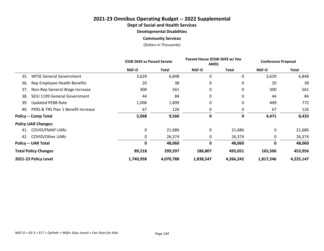# **2021-23 Omnibus Operating Budget -- 2022 Supplemental**

**Dept of Social and Health Services**

**Developmental Disabilities**

**Community Services**

|                                           | <b>ESSB 5693 as Passed Senate</b> |              | Passed House (ESSB 5693 w/ Hse<br>AMD) |              | <b>Conference Proposal</b> |           |
|-------------------------------------------|-----------------------------------|--------------|----------------------------------------|--------------|----------------------------|-----------|
|                                           | <b>NGF-O</b>                      | <b>Total</b> | <b>NGF-O</b>                           | <b>Total</b> | <b>NGF-O</b>               | Total     |
| <b>WFSE General Government</b><br>35.     | 3,629                             | 6,848        | 0                                      | 0            | 3,629                      | 6,848     |
| 36.<br>Rep Employee Health Benefits       | 20                                | 38           | 0                                      | 0            | 20                         | 38        |
| Non-Rep General Wage Increase<br>37.      | 300                               | 561          | 0                                      | 0            | 300                        | 561       |
| SEIU 1199 General Government<br>38.       | 44                                | 84           | 0                                      | 0            | 44                         | 84        |
| 39.<br><b>Updated PEBB Rate</b>           | 1,006                             | 1,899        | 0                                      | 0            | 409                        | 772       |
| PERS & TRS Plan 1 Benefit Increase<br>40. | 67                                | 126          | 0                                      | 0            | 67                         | 126       |
| <b>Policy -- Comp Total</b>               | 5,068                             | 9,560        | 0                                      | 0            | 4,471                      | 8,433     |
| <b>Policy UAR Changes:</b>                |                                   |              |                                        |              |                            |           |
| <b>COVID/FMAP UARS</b><br>41.             | 0                                 | 21,686       | 0                                      | 21,686       | 0                          | 21,686    |
| 42. COVID/Other UARs                      | 0                                 | 26,374       | 0                                      | 26,374       | 0                          | 26,374    |
| <b>Policy -- UAR Total</b>                | 0                                 | 48,060       | 0                                      | 48,060       | $\mathbf 0$                | 48,060    |
| <b>Total Policy Changes</b>               | 89,218                            | 299,597      | 186,807                                | 495,051      | 165,506                    | 453,956   |
| 2021-23 Policy Level                      | 1,740,958                         | 4,070,788    | 1,838,547                              | 4,266,242    | 1,817,246                  | 4,225,147 |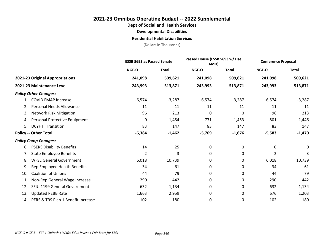#### **2021-23 Omnibus Operating Budget -- 2022 Supplemental**

**Dept of Social and Health Services**

**Developmental Disabilities**

**Residential Habilitation Services**

|     |                                    |          | <b>ESSB 5693 as Passed Senate</b> |          | Passed House (ESSB 5693 w/ Hse<br>AMD) |              | <b>Conference Proposal</b> |  |
|-----|------------------------------------|----------|-----------------------------------|----------|----------------------------------------|--------------|----------------------------|--|
|     |                                    | NGF-O    | <b>Total</b>                      | NGF-O    | <b>Total</b>                           | <b>NGF-O</b> | <b>Total</b>               |  |
|     | 2021-23 Original Appropriations    | 241,098  | 509,621                           | 241,098  | 509,621                                | 241,098      | 509,621                    |  |
|     | 2021-23 Maintenance Level          | 243,993  | 513,871                           | 243,993  | 513,871                                | 243,993      | 513,871                    |  |
|     | <b>Policy Other Changes:</b>       |          |                                   |          |                                        |              |                            |  |
|     | <b>COVID FMAP Increase</b>         | $-6,574$ | $-3,287$                          | $-6,574$ | $-3,287$                               | $-6,574$     | $-3,287$                   |  |
| 2.  | <b>Personal Needs Allowance</b>    | 11       | 11                                | 11       | 11                                     | 11           | 11                         |  |
| 3.  | <b>Network Risk Mitigation</b>     | 96       | 213                               | 0        | 0                                      | 96           | 213                        |  |
| 4.  | Personal Protective Equipment      | 0        | 1,454                             | 771      | 1,453                                  | 801          | 1,446                      |  |
| 5.  | <b>DCYF IT Transition</b>          | 83       | 147                               | 83       | 147                                    | 83           | 147                        |  |
|     | <b>Policy -- Other Total</b>       | $-6,384$ | $-1,462$                          | $-5,709$ | $-1,676$                               | $-5,583$     | $-1,470$                   |  |
|     | <b>Policy Comp Changes:</b>        |          |                                   |          |                                        |              |                            |  |
| 6.  | <b>PSERS Disability Benefits</b>   | 14       | 25                                | 0        | 0                                      | 0            | 0                          |  |
| 7.  | <b>State Employee Benefits</b>     | 2        | 3                                 | 0        | 0                                      | 2            | 3                          |  |
| 8.  | <b>WFSE General Government</b>     | 6,018    | 10,739                            | 0        | 0                                      | 6,018        | 10,739                     |  |
| 9.  | Rep Employee Health Benefits       | 34       | 61                                | 0        | 0                                      | 34           | 61                         |  |
| 10. | <b>Coalition of Unions</b>         | 44       | 79                                | 0        | 0                                      | 44           | 79                         |  |
| 11. | Non-Rep General Wage Increase      | 290      | 442                               | 0        | 0                                      | 290          | 442                        |  |
| 12. | SEIU 1199 General Government       | 632      | 1,134                             | 0        | 0                                      | 632          | 1,134                      |  |
| 13. | <b>Updated PEBB Rate</b>           | 1,663    | 2,959                             | 0        | 0                                      | 676          | 1,203                      |  |
| 14. | PERS & TRS Plan 1 Benefit Increase | 102      | 180                               | 0        | 0                                      | 102          | 180                        |  |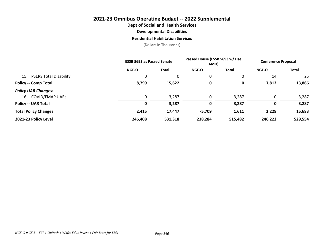### **2021-23 Omnibus Operating Budget -- 2022 Supplemental Dept of Social and Health Services Developmental Disabilities Residential Habilitation Services**

|                               | <b>ESSB 5693 as Passed Senate</b> |         | Passed House (ESSB 5693 w/ Hse<br>AMD) |              | <b>Conference Proposal</b> |              |
|-------------------------------|-----------------------------------|---------|----------------------------------------|--------------|----------------------------|--------------|
|                               | <b>NGF-O</b>                      | Total   | <b>NGF-O</b>                           | <b>Total</b> | <b>NGF-O</b>               | <b>Total</b> |
| 15. PSERS Total Disability    |                                   | 0       | $\Omega$                               | 0            | 14                         | 25           |
| <b>Policy -- Comp Total</b>   | 8,799                             | 15,622  | 0                                      | 0            | 7,812                      | 13,866       |
| <b>Policy UAR Changes:</b>    |                                   |         |                                        |              |                            |              |
| <b>COVID/FMAP UARS</b><br>16. |                                   | 3,287   | $\mathbf 0$                            | 3,287        | 0                          | 3,287        |
| <b>Policy -- UAR Total</b>    | 0                                 | 3,287   | 0                                      | 3,287        | 0                          | 3,287        |
| <b>Total Policy Changes</b>   | 2,415                             | 17,447  | $-5,709$                               | 1,611        | 2,229                      | 15,683       |
| 2021-23 Policy Level          | 246,408                           | 531,318 | 238,284                                | 515,482      | 246,222                    | 529,554      |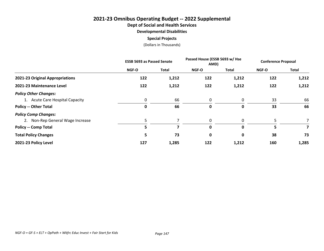## **2021-23 Omnibus Operating Budget -- 2022 Supplemental**

**Dept of Social and Health Services**

**Developmental Disabilities**

#### **Special Projects**

|                                  | <b>ESSB 5693 as Passed Senate</b> |              | Passed House (ESSB 5693 w/ Hse<br>AMD) |       | <b>Conference Proposal</b> |       |
|----------------------------------|-----------------------------------|--------------|----------------------------------------|-------|----------------------------|-------|
|                                  | <b>NGF-O</b>                      | <b>Total</b> | <b>NGF-O</b>                           | Total | <b>NGF-O</b>               | Total |
| 2021-23 Original Appropriations  | 122                               | 1,212        | 122                                    | 1,212 | 122                        | 1,212 |
| 2021-23 Maintenance Level        | 122                               | 1,212        | 122                                    | 1,212 | 122                        | 1,212 |
| <b>Policy Other Changes:</b>     |                                   |              |                                        |       |                            |       |
| 1. Acute Care Hospital Capacity  | 0                                 | 66           | 0                                      | 0     | 33                         | 66    |
| <b>Policy -- Other Total</b>     | 0                                 | 66           | 0                                      | 0     | 33                         | 66    |
| <b>Policy Comp Changes:</b>      |                                   |              |                                        |       |                            |       |
| 2. Non-Rep General Wage Increase |                                   |              | $\mathbf{0}$                           | 0     | 5                          |       |
| <b>Policy -- Comp Total</b>      | 5                                 | 7            | 0                                      | 0     | 5                          |       |
| <b>Total Policy Changes</b>      | 5                                 | 73           | 0                                      | 0     | 38                         | 73    |
| 2021-23 Policy Level             | 127                               | 1,285        | 122                                    | 1,212 | 160                        | 1,285 |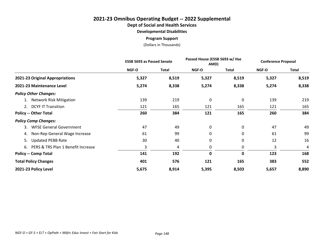### **2021-23 Omnibus Operating Budget -- 2022 Supplemental**

**Dept of Social and Health Services**

**Developmental Disabilities**

**Program Support**

|                                       | <b>ESSB 5693 as Passed Senate</b> |              | Passed House (ESSB 5693 w/ Hse<br>AMD) |              | <b>Conference Proposal</b> |              |
|---------------------------------------|-----------------------------------|--------------|----------------------------------------|--------------|----------------------------|--------------|
|                                       | <b>NGF-O</b>                      | <b>Total</b> | NGF-O                                  | <b>Total</b> | NGF-O                      | <b>Total</b> |
| 2021-23 Original Appropriations       | 5,327                             | 8,519        | 5,327                                  | 8,519        | 5,327                      | 8,519        |
| 2021-23 Maintenance Level             | 5,274                             | 8,338        | 5,274                                  | 8,338        | 5,274                      | 8,338        |
| <b>Policy Other Changes:</b>          |                                   |              |                                        |              |                            |              |
| 1. Network Risk Mitigation            | 139                               | 219          | 0                                      | 0            | 139                        | 219          |
| 2. DCYF IT Transition                 | 121                               | 165          | 121                                    | 165          | 121                        | 165          |
| <b>Policy -- Other Total</b>          | 260                               | 384          | 121                                    | 165          | 260                        | 384          |
| <b>Policy Comp Changes:</b>           |                                   |              |                                        |              |                            |              |
| <b>WFSE General Government</b><br>3.  | 47                                | 49           | 0                                      | 0            | 47                         | 49           |
| 4. Non-Rep General Wage Increase      | 61                                | 99           | 0                                      | 0            | 61                         | 99           |
| <b>Updated PEBB Rate</b><br>5.        | 30                                | 40           | 0                                      | 0            | 12                         | 16           |
| 6. PERS & TRS Plan 1 Benefit Increase | 3                                 | 4            | 0                                      | 0            | 3                          | 4            |
| <b>Policy -- Comp Total</b>           | 141                               | 192          | 0                                      | 0            | 123                        | 168          |
| <b>Total Policy Changes</b>           | 401                               | 576          | 121                                    | 165          | 383                        | 552          |
| 2021-23 Policy Level                  | 5,675                             | 8,914        | 5,395                                  | 8,503        | 5,657                      | 8,890        |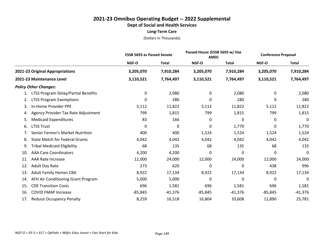|                                             |              | <b>ESSB 5693 as Passed Senate</b> |           | Passed House (ESSB 5693 w/ Hse<br>AMD) |           | <b>Conference Proposal</b> |
|---------------------------------------------|--------------|-----------------------------------|-----------|----------------------------------------|-----------|----------------------------|
|                                             | <b>NGF-O</b> | <b>Total</b>                      | NGF-O     | <b>Total</b>                           | NGF-O     | <b>Total</b>               |
| 2021-23 Original Appropriations             | 3,205,070    | 7,910,284                         | 3,205,070 | 7,910,284                              | 3,205,070 | 7,910,284                  |
| 2021-23 Maintenance Level                   | 3,110,521    | 7,764,497                         | 3,110,521 | 7,764,497                              | 3,110,521 | 7,764,497                  |
| <b>Policy Other Changes:</b>                |              |                                   |           |                                        |           |                            |
| LTSS Program Delay/Partial Benefits         | 0            | 2,080                             | 0         | 2,080                                  | 0         | 2,080                      |
| <b>LTSS Program Exemptions</b><br>2.        | 0            | 280                               | 0         | 280                                    | 0         | 280                        |
| In-Home Provider PPE<br>3.                  | 5,112        | 11,822                            | 5,112     | 11,822                                 | 5,112     | 11,822                     |
| Agency Provider Tax Rate Adjustment<br>4.   | 799          | 1,815                             | 799       | 1,815                                  | 799       | 1,815                      |
| <b>Medicaid Expenditures</b><br>5.          | 83           | 166                               | 0         | 0                                      | 0         | 0                          |
| <b>LTSS Trust</b><br>6.                     | 0            | 0                                 | 0         | 1,770                                  | 0         | 1,770                      |
| Senior Farmer's Market Nutrition<br>7.      | 400          | 400                               | 1,524     | 1,524                                  | 1,524     | 1,524                      |
| <b>State Match for Federal Grants</b><br>8. | 4,042        | 4,042                             | 4,042     | 4,042                                  | 4,042     | 4,042                      |
| <b>Tribal Medicaid Eligibility</b><br>9.    | 68           | 135                               | 68        | 135                                    | 68        | 135                        |
| <b>AAA Care Coordinators</b><br>10.         | 4,200        | 4,200                             | 0         | 0                                      | 0         | 0                          |
| 11.<br><b>AAA Rate Increase</b>             | 12,000       | 24,000                            | 12,000    | 24,000                                 | 12,000    | 24,000                     |
| 12.<br><b>Adult Day Rate</b>                | 273          | 620                               | $\Omega$  | 0                                      | 438       | 996                        |
| <b>Adult Family Homes CBA</b><br>13.        | 8,922        | 17,134                            | 8,922     | 17,134                                 | 8,922     | 17,134                     |
| AFH Air Conditioning Grant Program<br>14.   | 5,000        | 5,000                             | 0         | 0                                      | 0         | 0                          |
| <b>CDE Transition Costs</b><br>15.          | 696          | 1,581                             | 696       | 1,581                                  | 696       | 1,581                      |
| <b>COVID FMAP Increase</b><br>16.           | $-85,845$    | $-41,376$                         | $-85,845$ | $-41,376$                              | $-85,845$ | $-41,376$                  |
| <b>Reduce Occupancy Penalty</b><br>17.      | 8,259        | 16,518                            | 16,804    | 33,608                                 | 12,890    | 25,781                     |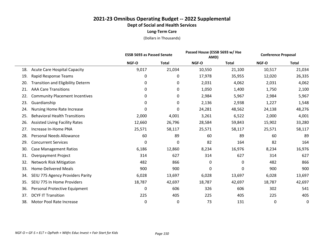|     |                                          | <b>ESSB 5693 as Passed Senate</b> |              | Passed House (ESSB 5693 w/ Hse<br>AMD) |              | <b>Conference Proposal</b> |              |
|-----|------------------------------------------|-----------------------------------|--------------|----------------------------------------|--------------|----------------------------|--------------|
|     |                                          | NGF-O                             | <b>Total</b> | NGF-O                                  | <b>Total</b> | NGF-O                      | <b>Total</b> |
| 18. | <b>Acute Care Hospital Capacity</b>      | 9,017                             | 21,034       | 10,550                                 | 21,100       | 10,517                     | 21,034       |
| 19. | Rapid Response Teams                     | 0                                 | 0            | 17,978                                 | 35,955       | 12,020                     | 26,335       |
| 20. | <b>Transition and Eligibility Determ</b> | 0                                 | 0            | 2,031                                  | 4,062        | 2,031                      | 4,062        |
| 21. | <b>AAA Care Transitions</b>              | 0                                 | 0            | 1,050                                  | 1,400        | 1,750                      | 2,100        |
| 22. | <b>Community Placement Incentives</b>    | 0                                 | 0            | 2,984                                  | 5,967        | 2,984                      | 5,967        |
| 23. | Guardianship                             | 0                                 | 0            | 2,136                                  | 2,938        | 1,227                      | 1,548        |
| 24. | Nursing Home Rate Increase               | 0                                 | 0            | 24,281                                 | 48,562       | 24,138                     | 48,276       |
| 25. | <b>Behavioral Health Transitions</b>     | 2,000                             | 4,001        | 3,261                                  | 6,522        | 2,000                      | 4,001        |
| 26. | <b>Assisted Living Facility Rates</b>    | 12,660                            | 26,796       | 28,584                                 | 59,843       | 15,902                     | 33,280       |
| 27. | Increase In-Home PNA                     | 25,571                            | 58,117       | 25,571                                 | 58,117       | 25,571                     | 58,117       |
| 28. | Personal Needs Allowance                 | 60                                | 89           | 60                                     | 89           | 60                         | 89           |
| 29. | <b>Concurrent Services</b>               | 0                                 | 0            | 82                                     | 164          | 82                         | 164          |
| 30. | <b>Case Management Ratios</b>            | 6,186                             | 12,860       | 8,234                                  | 16,976       | 8,234                      | 16,976       |
| 31. | <b>Overpayment Project</b>               | 314                               | 627          | 314                                    | 627          | 314                        | 627          |
| 32. | <b>Network Risk Mitigation</b>           | 482                               | 866          | 0                                      | 0            | 482                        | 866          |
| 33. | <b>Home-Delivered Meals</b>              | 900                               | 900          | 0                                      | 0            | 900                        | 900          |
| 34. | SEIU 775 Agency Providers Parity         | 6,028                             | 13,697       | 6,028                                  | 13,697       | 6,028                      | 13,697       |
| 35. | SEIU 775 In Home Providers               | 18,787                            | 42,697       | 18,787                                 | 42,697       | 18,787                     | 42,697       |
| 36. | Personal Protective Equipment            | 0                                 | 606          | 326                                    | 606          | 302                        | 541          |
| 37. | <b>DCYF IT Transition</b>                | 225                               | 405          | 225                                    | 405          | 225                        | 405          |
| 38. | Motor Pool Rate Increase                 | 0                                 | 0            | 73                                     | 131          | 0                          | 0            |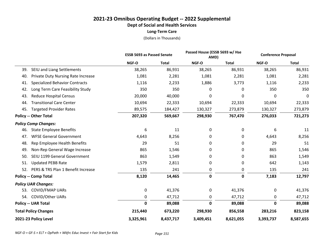|                                                  |           | Passed House (ESSB 5693 w/ Hse<br><b>ESSB 5693 as Passed Senate</b><br>AMD) |             | <b>Conference Proposal</b> |           |              |
|--------------------------------------------------|-----------|-----------------------------------------------------------------------------|-------------|----------------------------|-----------|--------------|
|                                                  | NGF-O     | <b>Total</b>                                                                | NGF-O       | <b>Total</b>               | NGF-O     | <b>Total</b> |
| SEIU and Liang Settlements<br>39.                | 38,265    | 86,931                                                                      | 38,265      | 86,931                     | 38,265    | 86,931       |
| <b>Private Duty Nursing Rate Increase</b><br>40. | 1,081     | 2,281                                                                       | 1,081       | 2,281                      | 1,081     | 2,281        |
| <b>Specialized Behavior Contracts</b><br>41.     | 1,116     | 2,233                                                                       | 1,886       | 3,773                      | 1,116     | 2,233        |
| Long Term Care Feasibility Study<br>42.          | 350       | 350                                                                         | 0           | 0                          | 350       | 350          |
| <b>Reduce Hospital Census</b><br>43.             | 20,000    | 40,000                                                                      | 0           | 0                          | 0         | 0            |
| <b>Transitional Care Center</b><br>44.           | 10,694    | 22,333                                                                      | 10,694      | 22,333                     | 10,694    | 22,333       |
| <b>Targeted Provider Rates</b><br>45.            | 89,575    | 184,427                                                                     | 130,327     | 273,879                    | 130,327   | 273,879      |
| <b>Policy -- Other Total</b>                     | 207,320   | 569,667                                                                     | 298,930     | 767,470                    | 276,033   | 721,273      |
| <b>Policy Comp Changes:</b>                      |           |                                                                             |             |                            |           |              |
| <b>State Employee Benefits</b><br>46.            | 6         | 11                                                                          | 0           | 0                          | 6         | 11           |
| <b>WFSE General Government</b><br>47.            | 4,643     | 8,256                                                                       | 0           | 0                          | 4,643     | 8,256        |
| Rep Employee Health Benefits<br>48.              | 29        | 51                                                                          | 0           | 0                          | 29        | 51           |
| Non-Rep General Wage Increase<br>49.             | 865       | 1,546                                                                       | 0           | 0                          | 865       | 1,546        |
| SEIU 1199 General Government<br>50.              | 863       | 1,549                                                                       | 0           | 0                          | 863       | 1,549        |
| <b>Updated PEBB Rate</b><br>51.                  | 1,579     | 2,811                                                                       | 0           | 0                          | 642       | 1,143        |
| 52.<br>PERS & TRS Plan 1 Benefit Increase        | 135       | 241                                                                         | 0           | 0                          | 135       | 241          |
| <b>Policy -- Comp Total</b>                      | 8,120     | 14,465                                                                      | $\mathbf 0$ | 0                          | 7,183     | 12,797       |
| <b>Policy UAR Changes:</b>                       |           |                                                                             |             |                            |           |              |
| <b>COVID/FMAP UARS</b><br>53.                    | 0         | 41,376                                                                      | 0           | 41,376                     | 0         | 41,376       |
| <b>COVID/Other UARs</b><br>54.                   | 0         | 47,712                                                                      | 0           | 47,712                     | 0         | 47,712       |
| <b>Policy -- UAR Total</b>                       | 0         | 89,088                                                                      | $\mathbf 0$ | 89,088                     | 0         | 89,088       |
| <b>Total Policy Changes</b>                      | 215,440   | 673,220                                                                     | 298,930     | 856,558                    | 283,216   | 823,158      |
| 2021-23 Policy Level                             | 3,325,961 | 8,437,717                                                                   | 3,409,451   | 8,621,055                  | 3,393,737 | 8,587,655    |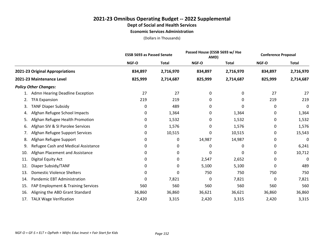#### **Economic Services Administration**

|     |                                     | <b>ESSB 5693 as Passed Senate</b> |              |              | Passed House (ESSB 5693 w/ Hse<br>AMD) |              | <b>Conference Proposal</b> |
|-----|-------------------------------------|-----------------------------------|--------------|--------------|----------------------------------------|--------------|----------------------------|
|     |                                     | <b>NGF-O</b>                      | <b>Total</b> | <b>NGF-O</b> | <b>Total</b>                           | <b>NGF-O</b> | <b>Total</b>               |
|     | 2021-23 Original Appropriations     | 834,897                           | 2,716,970    | 834,897      | 2,716,970                              | 834,897      | 2,716,970                  |
|     | 2021-23 Maintenance Level           | 825,999                           | 2,714,687    | 825,999      | 2,714,687                              | 825,999      | 2,714,687                  |
|     | <b>Policy Other Changes:</b>        |                                   |              |              |                                        |              |                            |
|     | Admn Hearing Deadline Exception     | 27                                | 27           | 0            | 0                                      | 27           | 27                         |
| 2.  | <b>TFA Expansion</b>                | 219                               | 219          | 0            | 0                                      | 219          | 219                        |
| 3.  | <b>TANF Diaper Subsidy</b>          | 0                                 | 489          | 0            | 0                                      | 0            | 0                          |
| 4.  | Afghan Refugee School Impacts       | 0                                 | 1,364        | 0            | 1,364                                  | 0            | 1,364                      |
| 5.  | Afghan Refugee Health Promotion     | 0                                 | 1,532        | 0            | 1,532                                  | 0            | 1,532                      |
| 6.  | Afghan SIV & SI Parolee Services    | 0                                 | 1,576        | 0            | 1,576                                  | 0            | 1,576                      |
| 7.  | Afghan Refugee Support Services     | 0                                 | 10,515       | 0            | 10,515                                 | 0            | 15,543                     |
| 8.  | Afghan Refugee Support              | 0                                 | 0            | 14,987       | 14,987                                 | 0            | 0                          |
| 9.  | Refugee Cash and Medical Assistance | 0                                 | 0            | 0            | 0                                      | 0            | 6,241                      |
| 10. | Afghan Placement and Assistance     | 0                                 | 0            | 0            | 0                                      | 0            | 10,712                     |
| 11. | Digital Equity Act                  | 0                                 | $\mathbf 0$  | 2,547        | 2,652                                  | 0            | 0                          |
| 12. | Diaper Subsidy/TANF                 | 0                                 | 0            | 5,100        | 5,100                                  | 0            | 489                        |
| 13. | <b>Domestic Violence Shelters</b>   | 0                                 | 0            | 750          | 750                                    | 750          | 750                        |
| 14. | Pandemic EBT Administration         | 0                                 | 7,821        | 0            | 7,821                                  | 0            | 7,821                      |
| 15. | FAP Employment & Training Services  | 560                               | 560          | 560          | 560                                    | 560          | 560                        |
| 16. | Aligning the ABD Grant Standard     | 36,860                            | 36,860       | 36,621       | 36,621                                 | 36,860       | 36,860                     |
| 17. | <b>TALX Wage Verification</b>       | 2,420                             | 3,315        | 2,420        | 3,315                                  | 2,420        | 3,315                      |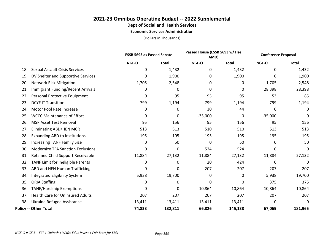### **2021-23 Omnibus Operating Budget -- 2022 Supplemental Dept of Social and Health Services Economic Services Administration**

|     |                                          |        | <b>ESSB 5693 as Passed Senate</b> |           | Passed House (ESSB 5693 w/ Hse<br>AMD) |           | <b>Conference Proposal</b> |
|-----|------------------------------------------|--------|-----------------------------------|-----------|----------------------------------------|-----------|----------------------------|
|     |                                          | NGF-O  | <b>Total</b>                      | NGF-O     | <b>Total</b>                           | NGF-O     | <b>Total</b>               |
| 18. | <b>Sexual Assault Crisis Services</b>    | 0      | 1,432                             | 0         | 1,432                                  | 0         | 1,432                      |
| 19. | DV Shelter and Supportive Services       | 0      | 1,900                             | 0         | 1,900                                  | 0         | 1,900                      |
| 20. | <b>Network Risk Mitigation</b>           | 1,705  | 2,548                             | 0         | 0                                      | 1,705     | 2,548                      |
| 21. | Immigrant Funding/Recent Arrivals        | 0      | 0                                 | 0         | 0                                      | 28,398    | 28,398                     |
| 22. | Personal Protective Equipment            | 0      | 95                                | 95        | 95                                     | 53        | 85                         |
| 23. | <b>DCYF IT Transition</b>                | 799    | 1,194                             | 799       | 1,194                                  | 799       | 1,194                      |
| 24. | Motor Pool Rate Increase                 | 0      | 0                                 | 30        | 44                                     | 0         | 0                          |
| 25. | <b>WCCC Maintenance of Effort</b>        | 0      | 0                                 | $-35,000$ | 0                                      | $-35,000$ | 0                          |
| 26. | <b>MSP Asset Test Removal</b>            | 95     | 156                               | 95        | 156                                    | 95        | 156                        |
| 27. | <b>Eliminating ABD/HEN MCR</b>           | 513    | 513                               | 510       | 510                                    | 513       | 513                        |
| 28. | <b>Expanding ABD to Institutions</b>     | 195    | 195                               | 195       | 195                                    | 195       | 195                        |
| 29. | <b>Increasing TANF Family Size</b>       | 0      | 50                                | 0         | 50                                     | 0         | 50                         |
| 30. | <b>Modernize TFA Sanction Exclusions</b> | 0      | 0                                 | 524       | 524                                    | 0         | 0                          |
| 31. | <b>Retained Child Support Receivable</b> | 11,884 | 27,132                            | 11,884    | 27,132                                 | 11,884    | 27,132                     |
| 32. | TANF Limit for Ineligible Parents        | 0      | 0                                 | 20        | 424                                    | 0         | 0                          |
| 33. | ABD and HEN Human Trafficking            | 0      | 0                                 | 207       | 207                                    | 207       | 207                        |
| 34. | Integrated Eligibility System            | 5,938  | 19,700                            | 0         | 0                                      | 5,938     | 19,700                     |
| 35. | <b>ORIA Staffing</b>                     | 0      | 0                                 | 0         | 0                                      | 375       | 375                        |
| 36. | <b>TANF/Hardship Exemptions</b>          | 0      | 0                                 | 10,864    | 10,864                                 | 10,864    | 10,864                     |
| 37. | <b>Health Care for Uninsured Adults</b>  | 207    | 207                               | 207       | 207                                    | 207       | 207                        |
| 38. | Ukraine Refugee Assistance               | 13,411 | 13,411                            | 13,411    | 13,411                                 | 0         | 0                          |
|     | <b>Policy -- Other Total</b>             | 74,833 | 132,811                           | 66,826    | 145,138                                | 67,069    | 181,965                    |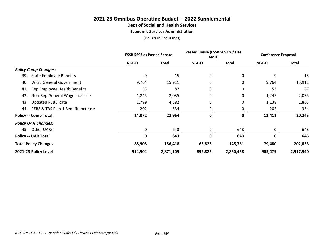#### **Economic Services Administration**

|                                           | <b>ESSB 5693 as Passed Senate</b> |              | Passed House (ESSB 5693 w/ Hse<br>AMD) |              | <b>Conference Proposal</b> |           |
|-------------------------------------------|-----------------------------------|--------------|----------------------------------------|--------------|----------------------------|-----------|
|                                           | <b>NGF-O</b>                      | <b>Total</b> | NGF-O                                  | <b>Total</b> | <b>NGF-O</b>               | Total     |
| <b>Policy Comp Changes:</b>               |                                   |              |                                        |              |                            |           |
| <b>State Employee Benefits</b><br>39.     | 9                                 | 15           | 0                                      | 0            | 9                          | 15        |
| <b>WFSE General Government</b><br>40.     | 9,764                             | 15,911       | 0                                      | 0            | 9,764                      | 15,911    |
| Rep Employee Health Benefits<br>41.       | 53                                | 87           | 0                                      | 0            | 53                         | 87        |
| Non-Rep General Wage Increase<br>42.      | 1,245                             | 2,035        | 0                                      | 0            | 1,245                      | 2,035     |
| <b>Updated PEBB Rate</b><br>43.           | 2,799                             | 4,582        | 0                                      | 0            | 1,138                      | 1,863     |
| PERS & TRS Plan 1 Benefit Increase<br>44. | 202                               | 334          | 0                                      | 0            | 202                        | 334       |
| <b>Policy -- Comp Total</b>               | 14,072                            | 22,964       | 0                                      | 0            | 12,411                     | 20,245    |
| <b>Policy UAR Changes:</b>                |                                   |              |                                        |              |                            |           |
| 45. Other UARs                            | 0                                 | 643          | 0                                      | 643          | 0                          | 643       |
| <b>Policy -- UAR Total</b>                | 0                                 | 643          | 0                                      | 643          | 0                          | 643       |
| <b>Total Policy Changes</b>               | 88,905                            | 156,418      | 66,826                                 | 145,781      | 79,480                     | 202,853   |
| 2021-23 Policy Level                      | 914,904                           | 2,871,105    | 892,825                                | 2,860,468    | 905,479                    | 2,917,540 |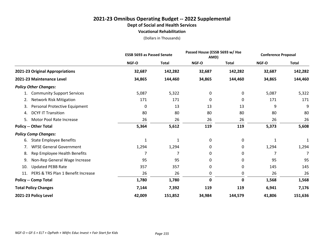#### **2021-23 Omnibus Operating Budget -- 2022 Supplemental Dept of Social and Health Services Vocational Rehabilitation**

|                                           |              | <b>ESSB 5693 as Passed Senate</b> |        | Passed House (ESSB 5693 w/ Hse<br>AMD) |              | <b>Conference Proposal</b> |  |
|-------------------------------------------|--------------|-----------------------------------|--------|----------------------------------------|--------------|----------------------------|--|
|                                           | <b>NGF-O</b> | <b>Total</b>                      | NGF-O  | <b>Total</b>                           | NGF-O        | <b>Total</b>               |  |
| 2021-23 Original Appropriations           | 32,687       | 142,282                           | 32,687 | 142,282                                | 32,687       | 142,282                    |  |
| 2021-23 Maintenance Level                 | 34,865       | 144,460                           | 34,865 | 144,460                                | 34,865       | 144,460                    |  |
| <b>Policy Other Changes:</b>              |              |                                   |        |                                        |              |                            |  |
| <b>Community Support Services</b><br>1.   | 5,087        | 5,322                             | 0      | 0                                      | 5,087        | 5,322                      |  |
| <b>Network Risk Mitigation</b><br>2.      | 171          | 171                               | 0      | 0                                      | 171          | 171                        |  |
| Personal Protective Equipment<br>3.       | 0            | 13                                | 13     | 13                                     | 9            | 9                          |  |
| <b>DCYF IT Transition</b><br>4.           | 80           | 80                                | 80     | 80                                     | 80           | 80                         |  |
| Motor Pool Rate Increase<br>5.            | 26           | 26                                | 26     | 26                                     | 26           | 26                         |  |
| <b>Policy -- Other Total</b>              | 5,364        | 5,612                             | 119    | 119                                    | 5,373        | 5,608                      |  |
| <b>Policy Comp Changes:</b>               |              |                                   |        |                                        |              |                            |  |
| <b>State Employee Benefits</b><br>6.      | 1            | 1                                 | 0      | 0                                      | $\mathbf{1}$ | 1                          |  |
| <b>WFSE General Government</b><br>7.      | 1,294        | 1,294                             | 0      | 0                                      | 1,294        | 1,294                      |  |
| Rep Employee Health Benefits<br>8.        |              | 7                                 | 0      | 0                                      |              |                            |  |
| Non-Rep General Wage Increase<br>9.       | 95           | 95                                | 0      | 0                                      | 95           | 95                         |  |
| <b>Updated PEBB Rate</b><br>10.           | 357          | 357                               | 0      | 0                                      | 145          | 145                        |  |
| PERS & TRS Plan 1 Benefit Increase<br>11. | 26           | 26                                | 0      | 0                                      | 26           | 26                         |  |
| <b>Policy -- Comp Total</b>               | 1,780        | 1,780                             | 0      | 0                                      | 1,568        | 1,568                      |  |
| <b>Total Policy Changes</b>               | 7,144        | 7,392                             | 119    | 119                                    | 6,941        | 7,176                      |  |
| 2021-23 Policy Level                      | 42,009       | 151,852                           | 34,984 | 144,579                                | 41,806       | 151,636                    |  |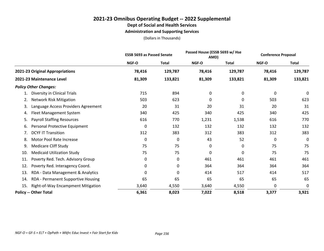**Administration and Supporting Services**

|                                           | <b>ESSB 5693 as Passed Senate</b> |              |        | Passed House (ESSB 5693 w/ Hse<br>AMD) |        | <b>Conference Proposal</b> |
|-------------------------------------------|-----------------------------------|--------------|--------|----------------------------------------|--------|----------------------------|
|                                           | NGF-O                             | <b>Total</b> | NGF-O  | <b>Total</b>                           | NGF-O  | <b>Total</b>               |
| 2021-23 Original Appropriations           | 78,416                            | 129,787      | 78,416 | 129,787                                | 78,416 | 129,787                    |
| 2021-23 Maintenance Level                 | 81,309                            | 133,821      | 81,309 | 133,821                                | 81,309 | 133,821                    |
| <b>Policy Other Changes:</b>              |                                   |              |        |                                        |        |                            |
| Diversity in Clinical Trials              | 715                               | 894          | 0      | 0                                      | 0      | $\mathbf 0$                |
| <b>Network Risk Mitigation</b><br>2.      | 503                               | 623          | 0      | 0                                      | 503    | 623                        |
| Language Access Providers Agreement<br>3. | 20                                | 31           | 20     | 31                                     | 20     | 31                         |
| Fleet Management System<br>4.             | 340                               | 425          | 340    | 425                                    | 340    | 425                        |
| <b>Payroll Staffing Resources</b><br>5.   | 616                               | 770          | 1,231  | 1,538                                  | 616    | 770                        |
| Personal Protective Equipment<br>6.       | 0                                 | 132          | 132    | 132                                    | 132    | 132                        |
| <b>DCYF IT Transition</b><br>7.           | 312                               | 383          | 312    | 383                                    | 312    | 383                        |
| Motor Pool Rate Increase<br>8.            | 0                                 | 0            | 43     | 52                                     | 0      | 0                          |
| <b>Medicare Cliff Study</b><br>9.         | 75                                | 75           | 0      | 0                                      | 75     | 75                         |
| <b>Medicaid Utilization Study</b><br>10.  | 75                                | 75           | 0      | 0                                      | 75     | 75                         |
| Poverty Red. Tech. Advisory Group<br>11.  | 0                                 | 0            | 461    | 461                                    | 461    | 461                        |
| Poverty Red. Interagency Coord.<br>12.    | 0                                 | 0            | 364    | 364                                    | 364    | 364                        |
| 13.<br>RDA - Data Management & Analytics  | 0                                 | $\Omega$     | 414    | 517                                    | 414    | 517                        |
| RDA - Permanent Supportive Housing<br>14. | 65                                | 65           | 65     | 65                                     | 65     | 65                         |
| 15.<br>Right-of-Way Encampment Mitigation | 3,640                             | 4,550        | 3,640  | 4,550                                  | 0      | 0                          |
| <b>Policy -- Other Total</b>              | 6,361                             | 8,023        | 7,022  | 8,518                                  | 3,377  | 3,921                      |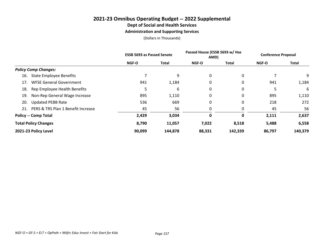**Administration and Supporting Services**

|                                           | <b>ESSB 5693 as Passed Senate</b> |              | Passed House (ESSB 5693 w/ Hse<br>AMD) |              | <b>Conference Proposal</b> |              |
|-------------------------------------------|-----------------------------------|--------------|----------------------------------------|--------------|----------------------------|--------------|
|                                           | <b>NGF-O</b>                      | <b>Total</b> | <b>NGF-O</b>                           | <b>Total</b> | <b>NGF-O</b>               | <b>Total</b> |
| <b>Policy Comp Changes:</b>               |                                   |              |                                        |              |                            |              |
| <b>State Employee Benefits</b><br>16.     |                                   | 9            | 0                                      | 0            |                            | 9            |
| <b>WFSE General Government</b><br>17.     | 941                               | 1,184        | 0                                      | 0            | 941                        | 1,184        |
| Rep Employee Health Benefits<br>18.       |                                   | 6            | 0                                      | 0            | 5                          | 6            |
| Non-Rep General Wage Increase<br>19.      | 895                               | 1,110        | 0                                      | 0            | 895                        | 1,110        |
| <b>Updated PEBB Rate</b><br>20.           | 536                               | 669          | 0                                      | 0            | 218                        | 272          |
| PERS & TRS Plan 1 Benefit Increase<br>21. | 45                                | 56           | 0                                      | 0            | 45                         | 56           |
| <b>Policy -- Comp Total</b>               | 2,429                             | 3,034        | 0                                      | 0            | 2,111                      | 2,637        |
| <b>Total Policy Changes</b>               | 8,790                             | 11,057       | 7,022                                  | 8,518        | 5,488                      | 6,558        |
| 2021-23 Policy Level                      | 90,099                            | 144,878      | 88,331                                 | 142,339      | 86,797                     | 140,379      |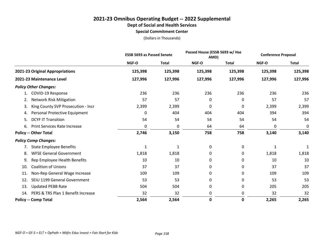**Special Commitment Center**

|                                           | <b>ESSB 5693 as Passed Senate</b> |              | Passed House (ESSB 5693 w/ Hse<br>AMD) |              | <b>Conference Proposal</b> |              |
|-------------------------------------------|-----------------------------------|--------------|----------------------------------------|--------------|----------------------------|--------------|
|                                           | NGF-O                             | <b>Total</b> | <b>NGF-O</b>                           | <b>Total</b> | NGF-O                      | <b>Total</b> |
| 2021-23 Original Appropriations           | 125,398                           | 125,398      | 125,398                                | 125,398      | 125,398                    | 125,398      |
| 2021-23 Maintenance Level                 | 127,996                           | 127,996      | 127,996                                | 127,996      | 127,996                    | 127,996      |
| <b>Policy Other Changes:</b>              |                                   |              |                                        |              |                            |              |
| COVID-19 Response<br>1.                   | 236                               | 236          | 236                                    | 236          | 236                        | 236          |
| <b>Network Risk Mitigation</b><br>2.      | 57                                | 57           | 0                                      | 0            | 57                         | 57           |
| King County SVP Prosecution - Incr<br>3.  | 2,399                             | 2,399        | 0                                      | 0            | 2,399                      | 2,399        |
| Personal Protective Equipment<br>4.       | 0                                 | 404          | 404                                    | 404          | 394                        | 394          |
| <b>DCYF IT Transition</b><br>5.           | 54                                | 54           | 54                                     | 54           | 54                         | 54           |
| <b>Print Services Rate Increase</b><br>6. | $\Omega$                          | 0            | 64                                     | 64           | 0                          | 0            |
| <b>Policy -- Other Total</b>              | 2,746                             | 3,150        | 758                                    | 758          | 3,140                      | 3,140        |
| <b>Policy Comp Changes:</b>               |                                   |              |                                        |              |                            |              |
| <b>State Employee Benefits</b><br>7.      | $\mathbf{1}$                      | 1            | 0                                      | 0            | 1                          | 1            |
| <b>WFSE General Government</b><br>8.      | 1,818                             | 1,818        | 0                                      | 0            | 1,818                      | 1,818        |
| Rep Employee Health Benefits<br>9.        | 10                                | 10           | 0                                      | 0            | 10                         | 10           |
| <b>Coalition of Unions</b><br>10.         | 37                                | 37           | 0                                      | 0            | 37                         | 37           |
| Non-Rep General Wage Increase<br>11.      | 109                               | 109          | 0                                      | 0            | 109                        | 109          |
| SEIU 1199 General Government<br>12.       | 53                                | 53           | 0                                      | 0            | 53                         | 53           |
| <b>Updated PEBB Rate</b><br>13.           | 504                               | 504          | 0                                      | 0            | 205                        | 205          |
| PERS & TRS Plan 1 Benefit Increase<br>14. | 32                                | 32           | 0                                      | 0            | 32                         | 32           |
| <b>Policy -- Comp Total</b>               | 2,564                             | 2,564        | 0                                      | 0            | 2,265                      | 2,265        |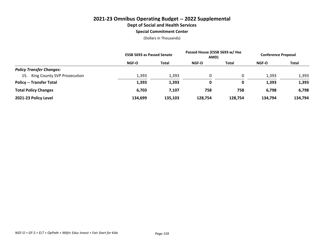#### **Special Commitment Center**

|                                    | <b>ESSB 5693 as Passed Senate</b> |         | Passed House (ESSB 5693 w/ Hse<br>AMD) |         | <b>Conference Proposal</b> |              |
|------------------------------------|-----------------------------------|---------|----------------------------------------|---------|----------------------------|--------------|
|                                    | <b>NGF-O</b>                      | Total   | <b>NGF-O</b>                           | Total   | NGF-O                      | <b>Total</b> |
| <b>Policy Transfer Changes:</b>    |                                   |         |                                        |         |                            |              |
| King County SVP Prosecution<br>15. | 1,393                             | 1,393   | $\mathbf{0}$                           | 0       | 1,393                      | 1,393        |
| <b>Policy -- Transfer Total</b>    | 1,393                             | 1,393   | 0                                      | 0       | 1,393                      | 1,393        |
| <b>Total Policy Changes</b>        | 6,703                             | 7,107   | 758                                    | 758     | 6,798                      | 6,798        |
| 2021-23 Policy Level               | 134,699                           | 135,103 | 128,754                                | 128,754 | 134,794                    | 134,794      |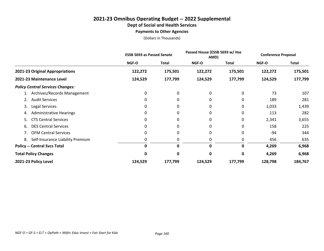#### **2021-23 Omnibus Operating Budget -- 2022 Supplemental Dept of Social and Health Services Payments to Other Agencies**

|                                         |              | <b>ESSB 5693 as Passed Senate</b> |              | Passed House (ESSB 5693 w/ Hse<br>AMD) |              | <b>Conference Proposal</b> |  |
|-----------------------------------------|--------------|-----------------------------------|--------------|----------------------------------------|--------------|----------------------------|--|
|                                         | <b>NGF-O</b> | <b>Total</b>                      | <b>NGF-O</b> | <b>Total</b>                           | <b>NGF-O</b> | <b>Total</b>               |  |
| 2021-23 Original Appropriations         | 122,272      | 175,501                           | 122,272      | 175,501                                | 122,272      | 175,501                    |  |
| 2021-23 Maintenance Level               | 124,529      | 177,799                           | 124,529      | 177,799                                | 124,529      | 177,799                    |  |
| <b>Policy Central Services Changes:</b> |              |                                   |              |                                        |              |                            |  |
| Archives/Records Management             | 0            | 0                                 | 0            | 0                                      | 73           | 107                        |  |
| <b>Audit Services</b><br>2.             | 0            | 0                                 | 0            | 0                                      | 189          | 281                        |  |
| Legal Services<br>3.                    | 0            | 0                                 | 0            | 0                                      | 1,033        | 1,439                      |  |
| <b>Administrative Hearings</b><br>4.    | 0            | 0                                 | 0            | 0                                      | 113          | 282                        |  |
| <b>CTS Central Services</b><br>5.       |              | 0                                 | 0            | 0                                      | 2,341        | 3,655                      |  |
| <b>DES Central Services</b><br>6.       | 0            | 0                                 | 0            | 0                                      | 158          | 225                        |  |
| <b>OFM Central Services</b>             | 0            | 0                                 | 0            | 0                                      | -94          | 344                        |  |
| Self-Insurance Liability Premium<br>8.  |              |                                   | 0            | 0                                      | 456          | 635                        |  |
| <b>Policy -- Central Svcs Total</b>     | 0            | 0                                 | $\Omega$     | 0                                      | 4,269        | 6,968                      |  |
| <b>Total Policy Changes</b>             | 0            | 0                                 | 0            | 0                                      | 4,269        | 6,968                      |  |
| 2021-23 Policy Level                    | 124,529      | 177,799                           | 124,529      | 177,799                                | 128,798      | 184,767                    |  |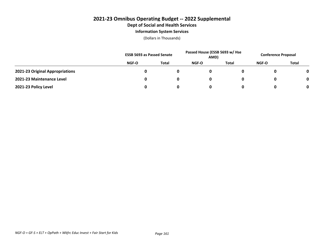### **2021-23 Omnibus Operating Budget -- 2022 Supplemental Dept of Social and Health Services Information System Services**

|                                 | <b>ESSB 5693 as Passed Senate</b> |              | Passed House (ESSB 5693 w/ Hse<br>AMD) |       | <b>Conference Proposal</b> |              |
|---------------------------------|-----------------------------------|--------------|----------------------------------------|-------|----------------------------|--------------|
|                                 | NGF-O                             | <b>Total</b> | NGF-O                                  | Total | NGF-O                      | <b>Total</b> |
| 2021-23 Original Appropriations |                                   |              |                                        |       |                            | $\mathbf 0$  |
| 2021-23 Maintenance Level       |                                   |              |                                        |       |                            | 0            |
| 2021-23 Policy Level            |                                   |              |                                        |       |                            | 0            |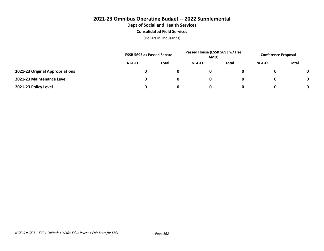### **2021-23 Omnibus Operating Budget -- 2022 Supplemental Dept of Social and Health Services Consolidated Field Services**

|                                 | <b>ESSB 5693 as Passed Senate</b> |              | Passed House (ESSB 5693 w/ Hse<br>AMD) |              | <b>Conference Proposal</b> |              |
|---------------------------------|-----------------------------------|--------------|----------------------------------------|--------------|----------------------------|--------------|
|                                 | NGF-O                             | <b>Total</b> | <b>NGF-O</b>                           | <b>Total</b> | NGF-O                      | <b>Total</b> |
| 2021-23 Original Appropriations |                                   |              | 0                                      |              |                            | 0            |
| 2021-23 Maintenance Level       |                                   |              | 0                                      |              |                            | 0            |
| 2021-23 Policy Level            |                                   |              | 0                                      |              |                            | 0            |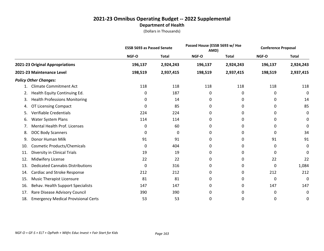|     |                                            | <b>ESSB 5693 as Passed Senate</b> |              | Passed House (ESSB 5693 w/ Hse<br>AMD) |              | <b>Conference Proposal</b> |              |
|-----|--------------------------------------------|-----------------------------------|--------------|----------------------------------------|--------------|----------------------------|--------------|
|     |                                            | NGF-O                             | <b>Total</b> | NGF-O                                  | <b>Total</b> | NGF-O                      | <b>Total</b> |
|     | 2021-23 Original Appropriations            | 196,137                           | 2,924,243    | 196,137                                | 2,924,243    | 196,137                    | 2,924,243    |
|     | 2021-23 Maintenance Level                  | 198,519                           | 2,937,415    | 198,519                                | 2,937,415    | 198,519                    | 2,937,415    |
|     | <b>Policy Other Changes:</b>               |                                   |              |                                        |              |                            |              |
|     | <b>Climate Commitment Act</b>              | 118                               | 118          | 118                                    | 118          | 118                        | 118          |
| 2.  | Health Equity Continuing Ed.               | 0                                 | 187          | 0                                      | 0            | 0                          | 0            |
| 3.  | <b>Health Professions Monitoring</b>       | 0                                 | 14           | 0                                      | 0            | 0                          | 14           |
| 4.  | OT Licensing Compact                       | 0                                 | 85           | 0                                      | 0            | 0                          | 85           |
| 5.  | Verifiable Credentials                     | 224                               | 224          | 0                                      | 0            | 0                          | 0            |
| 6.  | <b>Water System Plans</b>                  | 114                               | 114          | 0                                      | 0            | 0                          | 0            |
| 7.  | Mental Health Prof. Licenses               | 0                                 | 60           | 0                                      | 0            | 0                          | 0            |
| 8.  | <b>DOC Body Scanners</b>                   | 0                                 | 0            | 0                                      | 0            | 0                          | 34           |
| 9.  | Donor Human Milk                           | 91                                | 91           | 0                                      | 0            | 91                         | 91           |
| 10. | <b>Cosmetic Products/Chemicals</b>         | 0                                 | 404          | 0                                      | 0            | 0                          | 0            |
| 11. | Diversity in Clinical Trials               | 19                                | 19           | 0                                      | 0            | 0                          | 0            |
| 12. | Midwifery License                          | 22                                | 22           | 0                                      | 0            | 22                         | 22           |
| 13. | <b>Dedicated Cannabis Distributions</b>    | 0                                 | 316          | 0                                      | 0            | 0                          | 1,084        |
| 14. | Cardiac and Stroke Response                | 212                               | 212          | 0                                      | 0            | 212                        | 212          |
| 15. | Music Therapist Licensure                  | 81                                | 81           | 0                                      | 0            | 0                          | 0            |
| 16. | Behav. Health Support Specialists          | 147                               | 147          | 0                                      | 0            | 147                        | 147          |
| 17. | Rare Disease Advisory Council              | 390                               | 390          | 0                                      | 0            | 0                          | 0            |
| 18. | <b>Emergency Medical Provisional Certs</b> | 53                                | 53           | 0                                      | 0            | 0                          | 0            |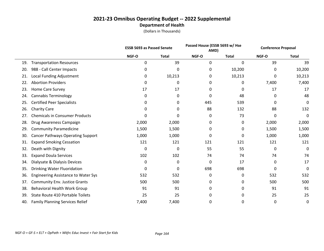|     |                                            |             | <b>ESSB 5693 as Passed Senate</b> |       | Passed House (ESSB 5693 w/ Hse<br>AMD) |       | <b>Conference Proposal</b> |
|-----|--------------------------------------------|-------------|-----------------------------------|-------|----------------------------------------|-------|----------------------------|
|     |                                            | NGF-O       | <b>Total</b>                      | NGF-O | <b>Total</b>                           | NGF-O | <b>Total</b>               |
| 19. | <b>Transportation Resources</b>            | $\mathbf 0$ | 39                                | 0     | 0                                      | 39    | 39                         |
| 20. | 988 - Call Center Impacts                  | 0           | 0                                 | 0     | 10,200                                 | 0     | 10,200                     |
| 21. | Local Funding Adjustment                   | 0           | 10,213                            | 0     | 10,213                                 | 0     | 10,213                     |
| 22. | <b>Abortion Providers</b>                  | 0           | 0                                 | 0     | 0                                      | 7,400 | 7,400                      |
| 23. | <b>Home Care Survey</b>                    | 17          | 17                                | 0     | $\Omega$                               | 17    | 17                         |
| 24. | <b>Cannabis Terminology</b>                | 0           | 0                                 | 0     | 48                                     | 0     | 48                         |
| 25. | <b>Certified Peer Specialists</b>          | 0           | 0                                 | 445   | 539                                    | 0     | 0                          |
| 26. | <b>Charity Care</b>                        | 0           | 0                                 | 88    | 132                                    | 88    | 132                        |
| 27. | <b>Chemicals in Consumer Products</b>      | 0           | 0                                 | 0     | 73                                     | 0     | 0                          |
| 28. | Drug Awareness Campaign                    | 2,000       | 2,000                             | 0     | 0                                      | 2,000 | 2,000                      |
| 29. | <b>Community Paramedicine</b>              | 1,500       | 1,500                             | 0     | 0                                      | 1,500 | 1,500                      |
| 30. | <b>Cancer Pathways Operating Support</b>   | 1,000       | 1,000                             | 0     | 0                                      | 1,000 | 1,000                      |
| 31. | <b>Expand Smoking Cessation</b>            | 121         | 121                               | 121   | 121                                    | 121   | 121                        |
| 32. | Death with Dignity                         | 0           | 0                                 | 55    | 55                                     | 0     | 0                          |
| 33. | <b>Expand Doula Services</b>               | 102         | 102                               | 74    | 74                                     | 74    | 74                         |
| 34. | Dialysate & Dialysis Devices               | 0           | 0                                 | 0     | 17                                     | 0     | 17                         |
| 35. | Drinking Water Fluoridation                | 0           | 0                                 | 698   | 698                                    | 0     | 0                          |
| 36. | <b>Engineering Assistance to Water Sys</b> | 532         | 532                               | 0     | 0                                      | 532   | 532                        |
| 37. | <b>Community Env. Justice Grants</b>       | 500         | 500                               | 0     | 0                                      | 500   | 500                        |
| 38. | <b>Behavioral Health Work Group</b>        | 91          | 91                                | 0     | 0                                      | 91    | 91                         |
| 39. | State Route 410 Portable Toilets           | 25          | 25                                | 0     | 0                                      | 25    | 25                         |
| 40. | <b>Family Planning Services Relief</b>     | 7,400       | 7,400                             | 0     | 0                                      | 0     | 0                          |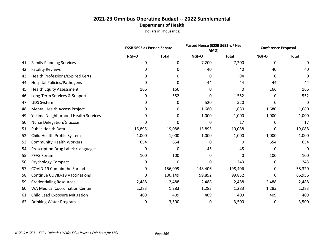|     |                                       |        | <b>ESSB 5693 as Passed Senate</b> |         | Passed House (ESSB 5693 w/ Hse<br>AMD) |       | <b>Conference Proposal</b> |
|-----|---------------------------------------|--------|-----------------------------------|---------|----------------------------------------|-------|----------------------------|
|     |                                       | NGF-O  | <b>Total</b>                      | NGF-O   | <b>Total</b>                           | NGF-O | <b>Total</b>               |
| 41. | <b>Family Planning Services</b>       | 0      | 0                                 | 7,200   | 7,200                                  | 0     | 0                          |
| 42. | <b>Fatality Reviews</b>               | 0      | 0                                 | 40      | 40                                     | 40    | 40                         |
| 43. | Health Professions/Expired Certs      | 0      | 0                                 | 0       | 94                                     | 0     | 0                          |
| 44. | <b>Hospital Policies/Pathogens</b>    | 0      | 0                                 | 44      | 44                                     | 44    | 44                         |
| 45. | <b>Health Equity Assessment</b>       | 166    | 166                               | 0       | $\Omega$                               | 166   | 166                        |
| 46. | Long-Term Services & Supports         | 0      | 552                               | 0       | 552                                    | 0     | 552                        |
| 47. | <b>UDS System</b>                     | 0      | 0                                 | 520     | 520                                    | 0     | 0                          |
| 48. | Mental Health Access Project          | 0      | 0                                 | 1,680   | 1,680                                  | 1,680 | 1,680                      |
| 49. | Yakima Neighborhood Health Services   | 0      | 0                                 | 1,000   | 1,000                                  | 1,000 | 1,000                      |
| 50. | <b>Nurse Delegation/Glucose</b>       | 0      | 0                                 | 0       | 17                                     | 0     | 17                         |
| 51. | <b>Public Health Data</b>             | 15,895 | 19,088                            | 15,895  | 19,088                                 | 0     | 19,088                     |
| 52. | Child Health Profile System           | 1,000  | 1,000                             | 1,000   | 1,000                                  | 1,000 | 1,000                      |
| 53. | <b>Community Health Workers</b>       | 654    | 654                               | 0       | 0                                      | 654   | 654                        |
| 54. | Prescription Drug Labels/Languages    | 0      | 0                                 | 45      | 45                                     | 0     | 0                          |
| 55. | <b>PFAS Forum</b>                     | 100    | 100                               | 0       | 0                                      | 100   | 100                        |
| 56. | <b>Psychology Compact</b>             | 0      | 0                                 | 0       | 243                                    | 0     | 243                        |
| 57. | COVID-19 Contain the Spread           | 0      | 156,099                           | 148,406 | 198,406                                | 0     | 58,320                     |
| 58. | <b>Continue COVID-19 Vaccinations</b> | 0      | 100,149                           | 99,852  | 99,852                                 | 0     | 66,956                     |
| 59. | <b>Credentialing Resources</b>        | 2,488  | 2,488                             | 2,488   | 2,488                                  | 2,488 | 2,488                      |
| 60. | <b>WA Medical Coordination Center</b> | 1,283  | 1,283                             | 1,283   | 1,283                                  | 1,283 | 1,283                      |
| 61. | Child Lead Exposure Mitigation        | 409    | 409                               | 409     | 409                                    | 409   | 409                        |
| 62. | Drinking Water Program                | 0      | 3,500                             | 0       | 3,500                                  | 0     | 3,500                      |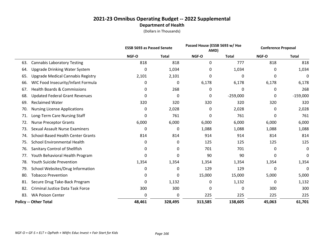|     |                                          | Passed House (ESSB 5693 w/ Hse<br><b>ESSB 5693 as Passed Senate</b><br>AMD) |              | <b>Conference Proposal</b> |              |        |              |
|-----|------------------------------------------|-----------------------------------------------------------------------------|--------------|----------------------------|--------------|--------|--------------|
|     |                                          | NGF-O                                                                       | <b>Total</b> | NGF-O                      | <b>Total</b> | NGF-O  | <b>Total</b> |
| 63. | <b>Cannabis Laboratory Testing</b>       | 818                                                                         | 818          | 0                          | 777          | 818    | 818          |
| 64. | <b>Upgrade Drinking Water System</b>     | 0                                                                           | 1,034        | 0                          | 1,034        | 0      | 1,034        |
| 65. | <b>Upgrade Medical Cannabis Registry</b> | 2,101                                                                       | 2,101        | 0                          | 0            | 0      | 0            |
| 66. | WIC Food Insecurity/Infant Formula       | 0                                                                           | 0            | 6,178                      | 6,178        | 6,178  | 6,178        |
| 67. | <b>Health Boards &amp; Commissions</b>   | 0                                                                           | 268          | 0                          | 0            | 0      | 268          |
| 68. | <b>Updated Federal Grant Revenues</b>    | 0                                                                           | 0            | 0                          | $-259,000$   | 0      | $-159,000$   |
| 69. | <b>Reclaimed Water</b>                   | 320                                                                         | 320          | 320                        | 320          | 320    | 320          |
| 70. | <b>Nursing License Applications</b>      | 0                                                                           | 2,028        | 0                          | 2,028        | 0      | 2,028        |
| 71. | Long-Term Care Nursing Staff             | 0                                                                           | 761          | 0                          | 761          | 0      | 761          |
| 72. | <b>Nurse Preceptor Grants</b>            | 6,000                                                                       | 6,000        | 6,000                      | 6,000        | 6,000  | 6,000        |
| 73. | <b>Sexual Assault Nurse Examiners</b>    | 0                                                                           | 0            | 1,088                      | 1,088        | 1,088  | 1,088        |
| 74. | <b>School-Based Health Center Grants</b> | 814                                                                         | 814          | 914                        | 914          | 814    | 814          |
| 75. | <b>School Environmental Health</b>       | 0                                                                           | 0            | 125                        | 125          | 125    | 125          |
| 76. | Sanitary Control of Shellfish            | 0                                                                           | 0            | 701                        | 701          | 0      | 0            |
| 77. | Youth Behavioral Health Program          | 0                                                                           | 0            | 90                         | 90           | 0      | 0            |
| 78. | Youth Suicide Prevention                 | 1,354                                                                       | 1,354        | 1,354                      | 1,354        | 1,354  | 1,354        |
| 79. | School Websites/Drug Information         | 0                                                                           | 0            | 129                        | 129          | 0      | 0            |
| 80. | <b>Tobacco Prevention</b>                | 0                                                                           | 0            | 15,000                     | 15,000       | 5,000  | 5,000        |
| 81. | Secure Drug Take-Back Program            | 0                                                                           | 1,132        | 0                          | 1,132        | 0      | 1,132        |
| 82. | <b>Criminal Justice Data Task Force</b>  | 300                                                                         | 300          | 0                          | 0            | 300    | 300          |
| 83. | <b>WA Poison Center</b>                  | 0                                                                           | 0            | 225                        | 225          | 225    | 225          |
|     | <b>Policy -- Other Total</b>             | 48,461                                                                      | 328,495      | 313,585                    | 138,605      | 45,063 | 61,701       |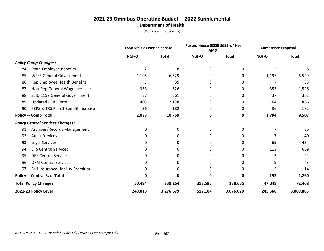|                                         |                                    | <b>ESSB 5693 as Passed Senate</b> |              |              | Passed House (ESSB 5693 w/ Hse<br>AMD) |                | <b>Conference Proposal</b> |
|-----------------------------------------|------------------------------------|-----------------------------------|--------------|--------------|----------------------------------------|----------------|----------------------------|
|                                         |                                    | NGF-O                             | <b>Total</b> | <b>NGF-O</b> | <b>Total</b>                           | <b>NGF-O</b>   | <b>Total</b>               |
| <b>Policy Comp Changes:</b>             |                                    |                                   |              |              |                                        |                |                            |
| 84.                                     | <b>State Employee Benefits</b>     | 2                                 | 8            | 0            | 0                                      | $\overline{2}$ | 8                          |
| 85.                                     | <b>WFSE General Government</b>     | 1,195                             | 6,529        | 0            | 0                                      | 1,195          | 6,529                      |
| 86.                                     | Rep Employee Health Benefits       | 7                                 | 35           | 0            | 0                                      | 7              | 35                         |
| 87.                                     | Non-Rep General Wage Increase      | 353                               | 1,526        | 0            | 0                                      | 353            | 1,526                      |
| 88.                                     | SEIU 1199 General Government       | 37                                | 361          | 0            | 0                                      | 37             | 361                        |
| <b>Updated PEBB Rate</b><br>89.         |                                    | 403                               | 2,128        | 0            | 0                                      | 164            | 866                        |
| 90.                                     | PERS & TRS Plan 1 Benefit Increase | 36                                | 182          | 0            | 0                                      | 36             | 182                        |
| <b>Policy -- Comp Total</b>             |                                    | 2,033                             | 10,769       | 0            | 0                                      | 1,794          | 9,507                      |
| <b>Policy Central Services Changes:</b> |                                    |                                   |              |              |                                        |                |                            |
| 91.                                     | Archives/Records Management        | 0                                 | 0            | 0            | 0                                      | 7              | 36                         |
| <b>Audit Services</b><br>92.            |                                    | 0                                 | 0            | 0            | 0                                      |                | 40                         |
| Legal Services<br>93.                   |                                    | 0                                 | 0            | 0            | 0                                      | 69             | 434                        |
| <b>CTS Central Services</b><br>94.      |                                    | 0                                 | 0            | 0            | 0                                      | 113            | 669                        |
| <b>DES Central Services</b><br>95.      |                                    | 0                                 | 0            | 0            | 0                                      | 3              | 24                         |
| <b>OFM Central Services</b><br>96.      |                                    | 0                                 | 0            | 0            | 0                                      | -9             | 43                         |
| 97.                                     | Self-Insurance Liability Premium   | 0                                 | 0            | 0            | 0                                      | 2              | 14                         |
| <b>Policy -- Central Svcs Total</b>     |                                    | 0                                 | $\mathbf 0$  | 0            | 0                                      | 192            | 1,260                      |
| <b>Total Policy Changes</b>             |                                    | 50,494                            | 339,264      | 313,585      | 138,605                                | 47,049         | 72,468                     |
| 2021-23 Policy Level                    |                                    | 249,013                           | 3,276,679    | 512,104      | 3,076,020                              | 245,568        | 3,009,883                  |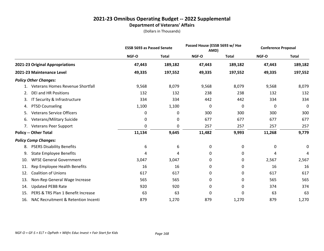### **2021-23 Omnibus Operating Budget -- 2022 Supplemental Department of Veterans' Affairs**

|     |                                     | <b>ESSB 5693 as Passed Senate</b> |              | Passed House (ESSB 5693 w/ Hse<br>AMD) |              | <b>Conference Proposal</b> |              |
|-----|-------------------------------------|-----------------------------------|--------------|----------------------------------------|--------------|----------------------------|--------------|
|     |                                     | <b>NGF-O</b>                      | <b>Total</b> | <b>NGF-O</b>                           | <b>Total</b> | NGF-O                      | <b>Total</b> |
|     | 2021-23 Original Appropriations     | 47,443                            | 189,182      | 47,443                                 | 189,182      | 47,443                     | 189,182      |
|     | 2021-23 Maintenance Level           | 49,335                            | 197,552      | 49,335                                 | 197,552      | 49,335                     | 197,552      |
|     | <b>Policy Other Changes:</b>        |                                   |              |                                        |              |                            |              |
|     | Veterans Homes Revenue Shortfall    | 9,568                             | 8,079        | 9,568                                  | 8,079        | 9,568                      | 8,079        |
| 2.  | <b>DEI and HR Positions</b>         | 132                               | 132          | 238                                    | 238          | 132                        | 132          |
| 3.  | IT Security & Infrastructure        | 334                               | 334          | 442                                    | 442          | 334                        | 334          |
| 4.  | <b>PTSD Counseling</b>              | 1,100                             | 1,100        | 0                                      | 0            | 0                          | 0            |
| 5.  | <b>Veterans Service Officers</b>    | 0                                 | 0            | 300                                    | 300          | 300                        | 300          |
| 6.  | Veterans/Military Suicide           | 0                                 | 0            | 677                                    | 677          | 677                        | 677          |
|     | 7. Veterans Peer Support            | 0                                 | 0            | 257                                    | 257          | 257                        | 257          |
|     | <b>Policy -- Other Total</b>        | 11,134                            | 9,645        | 11,482                                 | 9,993        | 11,268                     | 9,779        |
|     | <b>Policy Comp Changes:</b>         |                                   |              |                                        |              |                            |              |
| 8.  | <b>PSERS Disability Benefits</b>    | 6                                 | 6            | 0                                      | 0            | 0                          | 0            |
| 9.  | <b>State Employee Benefits</b>      | 4                                 | 4            | 0                                      | 0            | 4                          | 4            |
| 10. | <b>WFSE General Government</b>      | 3,047                             | 3,047        | 0                                      | 0            | 2,567                      | 2,567        |
| 11. | Rep Employee Health Benefits        | 16                                | 16           | 0                                      | 0            | 16                         | 16           |
| 12. | <b>Coalition of Unions</b>          | 617                               | 617          | 0                                      | 0            | 617                        | 617          |
| 13. | Non-Rep General Wage Increase       | 565                               | 565          | 0                                      | 0            | 565                        | 565          |
| 14. | <b>Updated PEBB Rate</b>            | 920                               | 920          | 0                                      | 0            | 374                        | 374          |
| 15. | PERS & TRS Plan 1 Benefit Increase  | 63                                | 63           | 0                                      | 0            | 63                         | 63           |
| 16. | NAC Recruitment & Retention Incenti | 879                               | 1,270        | 879                                    | 1,270        | 879                        | 1,270        |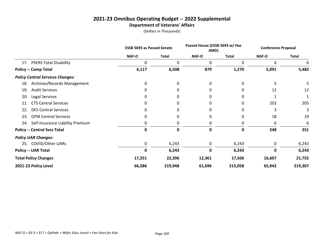### **2021-23 Omnibus Operating Budget -- 2022 Supplemental Department of Veterans' Affairs**

|                                         | <b>ESSB 5693 as Passed Senate</b> |              | Passed House (ESSB 5693 w/ Hse<br>AMD) |              | <b>Conference Proposal</b> |              |
|-----------------------------------------|-----------------------------------|--------------|----------------------------------------|--------------|----------------------------|--------------|
|                                         | NGF-O                             | <b>Total</b> | NGF-O                                  | <b>Total</b> | NGF-O                      | <b>Total</b> |
| 17. PSERS Total Disability              | $\Omega$                          | 0            | 0                                      | $\Omega$     | 6                          |              |
| <b>Policy -- Comp Total</b>             | 6,117                             | 6,508        | 879                                    | 1,270        | 5,091                      | 5,482        |
| <b>Policy Central Services Changes:</b> |                                   |              |                                        |              |                            |              |
| Archives/Records Management<br>18.      | 0                                 | 0            | 0                                      | 0            | 5                          | 5            |
| <b>Audit Services</b><br>19.            | 0                                 | 0            | 0                                      | 0            | 12                         | 12           |
| Legal Services<br>20.                   | 0                                 | 0            | 0                                      | 0            |                            |              |
| <b>CTS Central Services</b><br>21.      | 0                                 | 0            | 0                                      | 0            | 203                        | 205          |
| <b>DES Central Services</b><br>22.      | 0                                 | 0            | 0                                      | 0            | 3                          | 3            |
| <b>OFM Central Services</b><br>23.      | 0                                 | 0            | 0                                      | 0            | 18                         | 19           |
| Self-Insurance Liability Premium<br>24. |                                   | 0            | 0                                      | 0            | 6                          | 6            |
| <b>Policy -- Central Svcs Total</b>     | 0                                 | 0            | 0                                      | 0            | 248                        | 251          |
| <b>Policy UAR Changes:</b>              |                                   |              |                                        |              |                            |              |
| 25. COVID/Other UARs                    | 0                                 | 6,243        | 0                                      | 6,243        | 0                          | 6,243        |
| <b>Policy -- UAR Total</b>              | 0                                 | 6,243        | $\mathbf 0$                            | 6,243        | 0                          | 6,243        |
| <b>Total Policy Changes</b>             | 17,251                            | 22,396       | 12,361                                 | 17,506       | 16,607                     | 21,755       |
| 2021-23 Policy Level                    | 66,586                            | 219,948      | 61,696                                 | 215,058      | 65,942                     | 219,307      |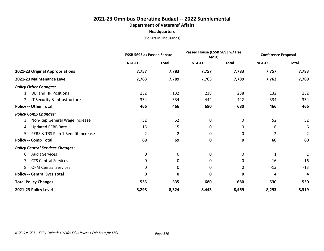#### **2021-23 Omnibus Operating Budget -- 2022 Supplemental Department of Veterans' Affairs Headquarters**

|                                         | <b>ESSB 5693 as Passed Senate</b> |              | Passed House (ESSB 5693 w/ Hse<br>AMD) |              | <b>Conference Proposal</b> |              |
|-----------------------------------------|-----------------------------------|--------------|----------------------------------------|--------------|----------------------------|--------------|
|                                         | NGF-O                             | <b>Total</b> | <b>NGF-O</b>                           | <b>Total</b> | <b>NGF-O</b>               | <b>Total</b> |
| 2021-23 Original Appropriations         | 7,757                             | 7,783        | 7,757                                  | 7,783        | 7,757                      | 7,783        |
| 2021-23 Maintenance Level               | 7,763                             | 7,789        | 7,763                                  | 7,789        | 7,763                      | 7,789        |
| <b>Policy Other Changes:</b>            |                                   |              |                                        |              |                            |              |
| 1. DEI and HR Positions                 | 132                               | 132          | 238                                    | 238          | 132                        | 132          |
| 2. IT Security & Infrastructure         | 334                               | 334          | 442                                    | 442          | 334                        | 334          |
| <b>Policy -- Other Total</b>            | 466                               | 466          | 680                                    | 680          | 466                        | 466          |
| <b>Policy Comp Changes:</b>             |                                   |              |                                        |              |                            |              |
| 3. Non-Rep General Wage Increase        | 52                                | 52           | 0                                      | 0            | 52                         | 52           |
| 4. Updated PEBB Rate                    | 15                                | 15           | 0                                      | 0            | 6                          | 6            |
| 5. PERS & TRS Plan 1 Benefit Increase   | $\overline{2}$                    | 2            | 0                                      | 0            | $\overline{2}$             | 2            |
| <b>Policy -- Comp Total</b>             | 69                                | 69           | $\mathbf 0$                            | $\mathbf 0$  | 60                         | 60           |
| <b>Policy Central Services Changes:</b> |                                   |              |                                        |              |                            |              |
| 6. Audit Services                       | 0                                 | 0            | 0                                      | 0            | 1                          | 1            |
| 7. CTS Central Services                 | 0                                 | 0            | 0                                      | 0            | 16                         | 16           |
| 8. OFM Central Services                 | 0                                 | 0            | 0                                      | 0            | $-13$                      | $-13$        |
| <b>Policy -- Central Svcs Total</b>     | $\mathbf 0$                       | $\mathbf 0$  | $\mathbf 0$                            | 0            | 4                          | 4            |
| <b>Total Policy Changes</b>             | 535                               | 535          | 680                                    | 680          | 530                        | 530          |
| 2021-23 Policy Level                    | 8,298                             | 8,324        | 8,443                                  | 8,469        | 8,293                      | 8,319        |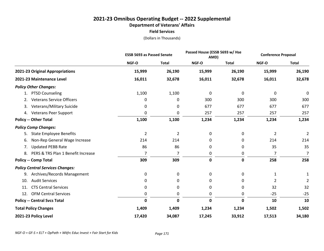#### **2021-23 Omnibus Operating Budget -- 2022 Supplemental Department of Veterans' Affairs Field Services**

|                                          | <b>ESSB 5693 as Passed Senate</b> |              | Passed House (ESSB 5693 w/ Hse<br>AMD) |              | <b>Conference Proposal</b> |                |
|------------------------------------------|-----------------------------------|--------------|----------------------------------------|--------------|----------------------------|----------------|
|                                          | NGF-O                             | <b>Total</b> | NGF-O                                  | <b>Total</b> | NGF-O                      | <b>Total</b>   |
| 2021-23 Original Appropriations          | 15,999                            | 26,190       | 15,999                                 | 26,190       | 15,999                     | 26,190         |
| 2021-23 Maintenance Level                | 16,011                            | 32,678       | 16,011                                 | 32,678       | 16,011                     | 32,678         |
| <b>Policy Other Changes:</b>             |                                   |              |                                        |              |                            |                |
| 1. PTSD Counseling                       | 1,100                             | 1,100        | 0                                      | 0            | 0                          | 0              |
| <b>Veterans Service Officers</b><br>2.   | 0                                 | 0            | 300                                    | 300          | 300                        | 300            |
| Veterans/Military Suicide<br>3.          | 0                                 | 0            | 677                                    | 677          | 677                        | 677            |
| 4. Veterans Peer Support                 | 0                                 | 0            | 257                                    | 257          | 257                        | 257            |
| <b>Policy -- Other Total</b>             | 1,100                             | 1,100        | 1,234                                  | 1,234        | 1,234                      | 1,234          |
| <b>Policy Comp Changes:</b>              |                                   |              |                                        |              |                            |                |
| <b>State Employee Benefits</b><br>5.     | $\overline{2}$                    | 2            | 0                                      | 0            | $\overline{2}$             | $\overline{2}$ |
| Non-Rep General Wage Increase<br>6.      | 214                               | 214          | 0                                      | 0            | 214                        | 214            |
| <b>Updated PEBB Rate</b><br>7.           | 86                                | 86           | $\Omega$                               | 0            | 35                         | 35             |
| PERS & TRS Plan 1 Benefit Increase<br>8. | 7                                 | 7            | 0                                      | 0            | $\overline{7}$             | 7              |
| <b>Policy -- Comp Total</b>              | 309                               | 309          | $\mathbf 0$                            | 0            | 258                        | 258            |
| <b>Policy Central Services Changes:</b>  |                                   |              |                                        |              |                            |                |
| Archives/Records Management<br>9.        | 0                                 | 0            | 0                                      | 0            | $\mathbf{1}$               | $\mathbf{1}$   |
| <b>Audit Services</b><br>10.             | 0                                 | 0            | 0                                      | 0            | 2                          | $\overline{2}$ |
| <b>CTS Central Services</b><br>11.       | 0                                 | 0            | 0                                      | 0            | 32                         | 32             |
| <b>OFM Central Services</b><br>12.       | 0                                 | 0            | 0                                      | 0            | $-25$                      | $-25$          |
| <b>Policy -- Central Svcs Total</b>      | $\mathbf 0$                       | 0            | 0                                      | 0            | 10                         | 10             |
| <b>Total Policy Changes</b>              | 1,409                             | 1,409        | 1,234                                  | 1,234        | 1,502                      | 1,502          |
| 2021-23 Policy Level                     | 17,420                            | 34,087       | 17,245                                 | 33,912       | 17,513                     | 34,180         |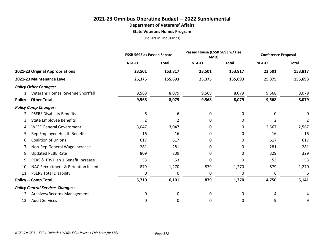# **2021-23 Omnibus Operating Budget -- 2022 Supplemental Department of Veterans' Affairs**

**State Veterans Homes Program**

|                                            | <b>ESSB 5693 as Passed Senate</b> |              | Passed House (ESSB 5693 w/ Hse<br>AMD) |              | <b>Conference Proposal</b> |                |
|--------------------------------------------|-----------------------------------|--------------|----------------------------------------|--------------|----------------------------|----------------|
|                                            | NGF-O                             | <b>Total</b> | NGF-O                                  | <b>Total</b> | NGF-O                      | <b>Total</b>   |
| 2021-23 Original Appropriations            | 23,501                            | 153,817      | 23,501                                 | 153,817      | 23,501                     | 153,817        |
| 2021-23 Maintenance Level                  | 25,375                            | 155,693      | 25,375                                 | 155,693      | 25,375                     | 155,693        |
| <b>Policy Other Changes:</b>               |                                   |              |                                        |              |                            |                |
| 1. Veterans Homes Revenue Shortfall        | 9,568                             | 8,079        | 9,568                                  | 8,079        | 9,568                      | 8,079          |
| <b>Policy -- Other Total</b>               | 9,568                             | 8,079        | 9,568                                  | 8,079        | 9,568                      | 8,079          |
| <b>Policy Comp Changes:</b>                |                                   |              |                                        |              |                            |                |
| <b>PSERS Disability Benefits</b>           | 6                                 | 6            | 0                                      | 0            | 0                          | 0              |
| <b>State Employee Benefits</b><br>3.       | 2                                 | 2            | 0                                      | 0            | 2                          | $\overline{2}$ |
| <b>WFSE General Government</b><br>4.       | 3,047                             | 3,047        | 0                                      | 0            | 2,567                      | 2,567          |
| Rep Employee Health Benefits<br>5.         | 16                                | 16           | 0                                      | 0            | 16                         | 16             |
| <b>Coalition of Unions</b><br>6.           | 617                               | 617          | 0                                      | 0            | 617                        | 617            |
| Non-Rep General Wage Increase<br>7.        | 281                               | 281          | 0                                      | 0            | 281                        | 281            |
| <b>Updated PEBB Rate</b><br>8.             | 809                               | 809          | 0                                      | 0            | 329                        | 329            |
| PERS & TRS Plan 1 Benefit Increase<br>9.   | 53                                | 53           | 0                                      | 0            | 53                         | 53             |
| NAC Recruitment & Retention Incenti<br>10. | 879                               | 1,270        | 879                                    | 1,270        | 879                        | 1,270          |
| <b>PSERS Total Disability</b><br>11.       | 0                                 | 0            | 0                                      | 0            | 6                          | 6              |
| <b>Policy -- Comp Total</b>                | 5,710                             | 6,101        | 879                                    | 1,270        | 4,750                      | 5,141          |
| <b>Policy Central Services Changes:</b>    |                                   |              |                                        |              |                            |                |
| Archives/Records Management<br>12.         | 0                                 | 0            | 0                                      | 0            | 4                          |                |
| <b>Audit Services</b><br>13.               | 0                                 | 0            | 0                                      | 0            | 9                          | 9              |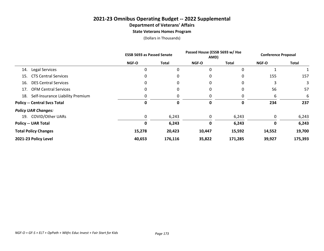#### **2021-23 Omnibus Operating Budget -- 2022 Supplemental Department of Veterans' Affairs State Veterans Homes Program**

|                                         | <b>ESSB 5693 as Passed Senate</b> |              | Passed House (ESSB 5693 w/ Hse<br>AMD) |              | <b>Conference Proposal</b> |         |
|-----------------------------------------|-----------------------------------|--------------|----------------------------------------|--------------|----------------------------|---------|
|                                         | <b>NGF-O</b>                      | <b>Total</b> | <b>NGF-O</b>                           | <b>Total</b> | <b>NGF-O</b>               | Total   |
| Legal Services<br>14.                   | 0                                 | 0            | 0                                      | 0            |                            | 1       |
| <b>CTS Central Services</b><br>15.      | 0                                 | 0            | 0                                      | 0            | 155                        | 157     |
| <b>DES Central Services</b><br>16.      | 0                                 | 0            | 0                                      | 0            | 3                          |         |
| <b>OFM Central Services</b><br>17.      | 0                                 | 0            | 0                                      | 0            | 56                         | 57      |
| Self-Insurance Liability Premium<br>18. |                                   | 0            | 0                                      |              | 6                          | 6       |
| <b>Policy -- Central Svcs Total</b>     | 0                                 | 0            | 0                                      | 0            | 234                        | 237     |
| <b>Policy UAR Changes:</b>              |                                   |              |                                        |              |                            |         |
| 19. COVID/Other UARs                    | 0                                 | 6,243        | 0                                      | 6,243        | 0                          | 6,243   |
| <b>Policy -- UAR Total</b>              | 0                                 | 6,243        | 0                                      | 6,243        | 0                          | 6,243   |
| <b>Total Policy Changes</b>             | 15,278                            | 20,423       | 10,447                                 | 15,592       | 14,552                     | 19,700  |
| 2021-23 Policy Level                    | 40,653                            | 176,116      | 35,822                                 | 171,285      | 39,927                     | 175,393 |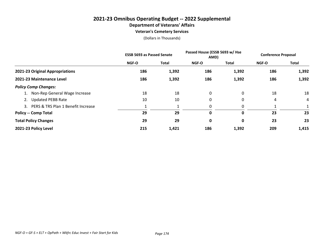## **2021-23 Omnibus Operating Budget -- 2022 Supplemental Department of Veterans' Affairs**

**Veteran's Cemetery Services**

|                                          | <b>ESSB 5693 as Passed Senate</b> |              | Passed House (ESSB 5693 w/ Hse<br>AMD) |       | <b>Conference Proposal</b> |              |
|------------------------------------------|-----------------------------------|--------------|----------------------------------------|-------|----------------------------|--------------|
|                                          | <b>NGF-O</b>                      | <b>Total</b> | NGF-O                                  | Total | <b>NGF-O</b>               | <b>Total</b> |
| 2021-23 Original Appropriations          | 186                               | 1,392        | 186                                    | 1,392 | 186                        | 1,392        |
| 2021-23 Maintenance Level                | 186                               | 1,392        | 186                                    | 1,392 | 186                        | 1,392        |
| <b>Policy Comp Changes:</b>              |                                   |              |                                        |       |                            |              |
| 1. Non-Rep General Wage Increase         | 18                                | 18           | 0                                      | 0     | 18                         | 18           |
| 2. Updated PEBB Rate                     | 10                                | 10           | 0                                      | 0     | 4                          | 4            |
| PERS & TRS Plan 1 Benefit Increase<br>3. |                                   |              | 0                                      |       |                            |              |
| <b>Policy -- Comp Total</b>              | 29                                | 29           | 0                                      | 0     | 23                         | 23           |
| <b>Total Policy Changes</b>              | 29                                | 29           | 0                                      | 0     | 23                         | 23           |
| 2021-23 Policy Level                     | 215                               | 1,421        | 186                                    | 1,392 | 209                        | 1,415        |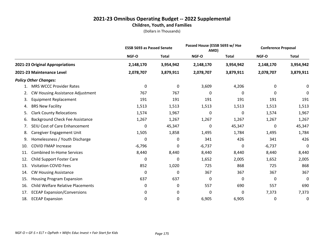|     |                                          | <b>ESSB 5693 as Passed Senate</b> |              | Passed House (ESSB 5693 w/ Hse<br>AMD) |              | <b>Conference Proposal</b> |              |
|-----|------------------------------------------|-----------------------------------|--------------|----------------------------------------|--------------|----------------------------|--------------|
|     |                                          | NGF-O                             | <b>Total</b> | NGF-O                                  | <b>Total</b> | NGF-O                      | <b>Total</b> |
|     | 2021-23 Original Appropriations          | 2,148,170                         | 3,954,942    | 2,148,170                              | 3,954,942    | 2,148,170                  | 3,954,942    |
|     | 2021-23 Maintenance Level                | 2,078,707                         | 3,879,911    | 2,078,707                              | 3,879,911    | 2,078,707                  | 3,879,911    |
|     | <b>Policy Other Changes:</b>             |                                   |              |                                        |              |                            |              |
| 1.  | <b>MRS WCCC Provider Rates</b>           | 0                                 | 0            | 3,609                                  | 4,206        | 0                          | 0            |
| 2.  | <b>CW Housing Assistance Adjustment</b>  | 767                               | 767          | 0                                      | 0            | 0                          | 0            |
| 3.  | <b>Equipment Replacement</b>             | 191                               | 191          | 191                                    | 191          | 191                        | 191          |
| 4.  | <b>BRS New Facility</b>                  | 1,513                             | 1,513        | 1,513                                  | 1,513        | 1,513                      | 1,513        |
| 5.  | <b>Clark County Relocations</b>          | 1,574                             | 1,967        | 0                                      | $\Omega$     | 1,574                      | 1,967        |
| 6.  | <b>Background Check Fee Assistance</b>   | 1,267                             | 1,267        | 1,267                                  | 1,267        | 1,267                      | 1,267        |
| 7.  | SEIU Cost of Care Enhancement            | 0                                 | 45,347       | 0                                      | 45,347       | 0                          | 45,347       |
| 8.  | Caregiver Engagement Unit                | 1,505                             | 1,858        | 1,495                                  | 1,784        | 1,495                      | 1,784        |
| 9.  | Homelessness / Youth Discharge           | 0                                 | 0            | 341                                    | 426          | 341                        | 426          |
| 10. | <b>COVID FMAP Increase</b>               | $-6,796$                          | 0            | $-6,737$                               | 0            | $-6,737$                   | 0            |
| 11. | <b>Combined In-Home Services</b>         | 8,440                             | 8,440        | 8,440                                  | 8,440        | 8,440                      | 8,440        |
| 12. | <b>Child Support Foster Care</b>         | 0                                 | 0            | 1,652                                  | 2,005        | 1,652                      | 2,005        |
| 13. | <b>Visitation COVID Fees</b>             | 852                               | 1,020        | 725                                    | 868          | 725                        | 868          |
| 14. | <b>CW Housing Assistance</b>             | 0                                 | 0            | 367                                    | 367          | 367                        | 367          |
| 15. | <b>Housing Program Expansion</b>         | 637                               | 637          | 0                                      | 0            | 0                          | 0            |
| 16. | <b>Child Welfare Relative Placements</b> | 0                                 | 0            | 557                                    | 690          | 557                        | 690          |
| 17. | <b>ECEAP Expansion/Conversions</b>       | 0                                 | 0            | 0                                      | 0            | 7,373                      | 7,373        |
| 18. | <b>ECEAP Expansion</b>                   | 0                                 | 0            | 6,905                                  | 6,905        | 0                          | 0            |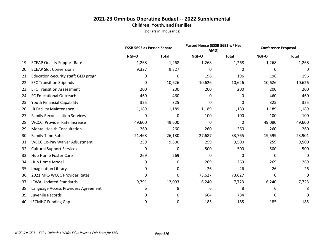|     |                                       | <b>ESSB 5693 as Passed Senate</b> |              | Passed House (ESSB 5693 w/ Hse<br>AMD) |              | <b>Conference Proposal</b> |              |
|-----|---------------------------------------|-----------------------------------|--------------|----------------------------------------|--------------|----------------------------|--------------|
|     |                                       | NGF-O                             | <b>Total</b> | NGF-O                                  | <b>Total</b> | NGF-O                      | <b>Total</b> |
| 19. | <b>ECEAP Quality Support Rate</b>     | 1,268                             | 1,268        | 1,268                                  | 1,268        | 1,268                      | 1,268        |
| 20. | <b>ECEAP Slot Conversions</b>         | 9,327                             | 9,327        | 0                                      | 0            | 0                          | 0            |
| 21. | Education-Security staff: GED progr   | 0                                 | 0            | 196                                    | 196          | 196                        | 196          |
| 22. | <b>EFC Transition Stipends</b>        | 0                                 | 10,626       | 10,626                                 | 10,626       | 10,626                     | 10,626       |
| 23. | <b>EFC Transition Assessment</b>      | 200                               | 200          | 200                                    | 200          | 200                        | 200          |
| 24. | FC Educational Outreach               | 460                               | 460          | 0                                      | 0            | 460                        | 460          |
| 25. | <b>Youth Financial Capability</b>     | 325                               | 325          | 0                                      | 0            | 325                        | 325          |
| 26. | JR Facility Maintenance               | 1,189                             | 1,189        | 1,189                                  | 1,189        | 1,189                      | 1,189        |
| 27. | <b>Family Reconciliation Services</b> | 0                                 | 0            | 100                                    | 100          | 100                        | 100          |
| 28. | <b>WCCC: Provider Rate Increase</b>   | 49,600                            | 49,600       | 0                                      | 0            | 49,080                     | 49,600       |
| 29. | <b>Mental Health Consultation</b>     | 260                               | 260          | 260                                    | 260          | 260                        | 260          |
| 30. | <b>Family Time Rates</b>              | 21,468                            | 26,180       | 27,687                                 | 33,765       | 19,599                     | 23,901       |
| 31. | <b>WCCC Co-Pay Waiver Adjustment</b>  | 259                               | 9,500        | 259                                    | 9,500        | 259                        | 9,500        |
| 32. | <b>Cultural Support Services</b>      | 0                                 | 0            | 500                                    | 500          | 500                        | 500          |
| 33. | Hub Home Foster Care                  | 269                               | 269          | 0                                      | 0            | 0                          | 0            |
| 34. | Hub Home Model                        | 0                                 | 0            | 269                                    | 269          | 269                        | 269          |
| 35. | Imagination Library                   | 0                                 | 0            | 26                                     | 26           | 26                         | 26           |
| 36. | 2021 MRS WCCC Provider Rates          | 0                                 | 0            | 73,627                                 | 73,627       | 0                          | 0            |
| 37. | <b>ICWA Updated Standards</b>         | 9,791                             | 12,093       | 6,240                                  | 7,723        | 6,240                      | 7,723        |
| 38. | Language Access Providers Agreement   | 6                                 | 8            | 6                                      | 8            | 6                          | 8            |
| 39. | Juvenile Records                      | 0                                 | 0            | 664                                    | 784          | 0                          | 0            |
| 40. | <b>IECMHC Funding Gap</b>             | 0                                 | 0            | 185                                    | 185          | 185                        | 185          |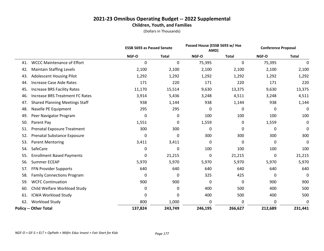|     |                                        | <b>ESSB 5693 as Passed Senate</b> |              | Passed House (ESSB 5693 w/ Hse<br>AMD) |              | <b>Conference Proposal</b> |              |  |
|-----|----------------------------------------|-----------------------------------|--------------|----------------------------------------|--------------|----------------------------|--------------|--|
|     |                                        | NGF-O                             | <b>Total</b> | NGF-O                                  | <b>Total</b> | NGF-O                      | <b>Total</b> |  |
| 41. | <b>WCCC Maintenance of Effort</b>      | 0                                 | 0            | 75,395                                 | 0            | 75,395                     | 0            |  |
| 42. | <b>Maintain Staffing Levels</b>        | 2,100                             | 2,100        | 2,100                                  | 2,100        | 2,100                      | 2,100        |  |
| 43. | <b>Adolescent Housing Pilot</b>        | 1,292                             | 1,292        | 1,292                                  | 1,292        | 1,292                      | 1,292        |  |
| 44. | <b>Increase Case Aide Rates</b>        | 171                               | 220          | 171                                    | 220          | 171                        | 220          |  |
| 45. | <b>Increase BRS Facility Rates</b>     | 11,170                            | 15,514       | 9,630                                  | 13,375       | 9,630                      | 13,375       |  |
| 46. | <b>Increase BRS Treatment FC Rates</b> | 3,914                             | 5,436        | 3,248                                  | 4,511        | 3,248                      | 4,511        |  |
| 47. | <b>Shared Planning Meetings Staff</b>  | 938                               | 1,144        | 938                                    | 1,144        | 938                        | 1,144        |  |
| 48. | Naselle PE Equipment                   | 295                               | 295          | 0                                      | 0            | 0                          | 0            |  |
| 49. | Peer Navigator Program                 | 0                                 | 0            | 100                                    | 100          | 100                        | 100          |  |
| 50. | Parent Pay                             | 1,551                             | 0            | 1,559                                  | 0            | 1,559                      | 0            |  |
| 51. | Prenatal Exposure Treatment            | 300                               | 300          | 0                                      | 0            | 0                          | $\mathbf 0$  |  |
| 52. | Prenatal Substance Exposure            | 0                                 | 0            | 300                                    | 300          | 300                        | 300          |  |
| 53. | <b>Parent Mentoring</b>                | 3,411                             | 3,411        | 0                                      | $\mathbf{0}$ | 0                          | 0            |  |
| 54. | SafeCare                               | 0                                 | 0            | 100                                    | 100          | 100                        | 100          |  |
| 55. | <b>Enrollment Based Payments</b>       | 0                                 | 21,215       | 0                                      | 21,215       | 0                          | 21,215       |  |
| 56. | Summer ECEAP                           | 5,970                             | 5,970        | 5,970                                  | 5,970        | 5,970                      | 5,970        |  |
| 57. | FFN Provider Supports                  | 640                               | 640          | 640                                    | 640          | 640                        | 640          |  |
| 58. | <b>Family Connections Program</b>      | 0                                 | 0            | 325                                    | 425          | 0                          | 0            |  |
| 59. | <b>WCFC Continuation</b>               | 900                               | 900          | 0                                      | 0            | 900                        | 900          |  |
| 60. | Child Welfare Workload Study           | 0                                 | 0            | 400                                    | 500          | 400                        | 500          |  |
| 61. | <b>ICWA Workload Study</b>             | 0                                 | 0            | 400                                    | 500          | 400                        | 500          |  |
| 62. | <b>Workload Study</b>                  | 800                               | 1,000        | 0                                      | 0            | 0                          | 0            |  |
|     | <b>Policy -- Other Total</b>           | 137,824                           | 243,749      | 246,195                                | 266,627      | 212,689                    | 231,441      |  |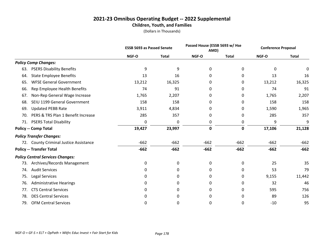|     |                                         | <b>ESSB 5693 as Passed Senate</b> |              | Passed House (ESSB 5693 w/ Hse<br>AMD) |              | <b>Conference Proposal</b> |              |  |
|-----|-----------------------------------------|-----------------------------------|--------------|----------------------------------------|--------------|----------------------------|--------------|--|
|     |                                         | NGF-O                             | <b>Total</b> | NGF-O                                  | <b>Total</b> | NGF-O                      | <b>Total</b> |  |
|     | <b>Policy Comp Changes:</b>             |                                   |              |                                        |              |                            |              |  |
| 63. | <b>PSERS Disability Benefits</b>        | 9                                 | 9            | 0                                      | 0            | 0                          | 0            |  |
| 64. | <b>State Employee Benefits</b>          | 13                                | 16           | 0                                      | 0            | 13                         | 16           |  |
| 65. | <b>WFSE General Government</b>          | 13,212                            | 16,325       | 0                                      | 0            | 13,212                     | 16,325       |  |
| 66. | Rep Employee Health Benefits            | 74                                | 91           | 0                                      | 0            | 74                         | 91           |  |
| 67. | Non-Rep General Wage Increase           | 1,765                             | 2,207        | 0                                      | 0            | 1,765                      | 2,207        |  |
| 68. | SEIU 1199 General Government            | 158                               | 158          | 0                                      | 0            | 158                        | 158          |  |
| 69. | <b>Updated PEBB Rate</b>                | 3,911                             | 4,834        | 0                                      | 0            | 1,590                      | 1,965        |  |
| 70. | PERS & TRS Plan 1 Benefit Increase      | 285                               | 357          | 0                                      | 0            | 285                        | 357          |  |
| 71. | <b>PSERS Total Disability</b>           | 0                                 | 0            | 0                                      | 0            | 9                          | 9            |  |
|     | <b>Policy -- Comp Total</b>             | 19,427                            | 23,997       | 0                                      | 0            | 17,106                     | 21,128       |  |
|     | <b>Policy Transfer Changes:</b>         |                                   |              |                                        |              |                            |              |  |
|     | 72. County Criminal Justice Assistance  | $-662$                            | $-662$       | $-662$                                 | $-662$       | $-662$                     | $-662$       |  |
|     | <b>Policy -- Transfer Total</b>         | $-662$                            | $-662$       | $-662$                                 | $-662$       | $-662$                     | $-662$       |  |
|     | <b>Policy Central Services Changes:</b> |                                   |              |                                        |              |                            |              |  |
| 73. | Archives/Records Management             | 0                                 | 0            | 0                                      | 0            | 25                         | 35           |  |
| 74. | <b>Audit Services</b>                   | 0                                 | 0            | 0                                      | 0            | 53                         | 79           |  |
| 75. | Legal Services                          | 0                                 | 0            | 0                                      | 0            | 9,155                      | 11,442       |  |
| 76. | <b>Administrative Hearings</b>          | 0                                 | 0            | 0                                      | 0            | 32                         | 46           |  |
| 77. | <b>CTS Central Services</b>             | 0                                 | 0            | 0                                      | 0            | 595                        | 756          |  |
| 78. | <b>DES Central Services</b>             | 0                                 | 0            | 0                                      | 0            | 89                         | 126          |  |
| 79. | <b>OFM Central Services</b>             | 0                                 | 0            | 0                                      | 0            | $-10$                      | 95           |  |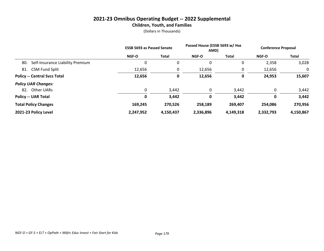|                                         | <b>ESSB 5693 as Passed Senate</b> |           | Passed House (ESSB 5693 w/ Hse<br>AMD) |           | <b>Conference Proposal</b> |           |  |
|-----------------------------------------|-----------------------------------|-----------|----------------------------------------|-----------|----------------------------|-----------|--|
|                                         | <b>NGF-O</b>                      | Total     | <b>NGF-O</b>                           | Total     | <b>NGF-O</b>               | Total     |  |
| Self-Insurance Liability Premium<br>80. | 0                                 | 0         | 0                                      | 0         | 2,358                      | 3,028     |  |
| <b>CSM Fund Split</b><br>81.            | 12,656                            |           | 12,656                                 | 0         | 12,656                     | 0         |  |
| <b>Policy -- Central Svcs Total</b>     | 12,656                            |           | 12,656                                 | 0         | 24,953                     | 15,607    |  |
| <b>Policy UAR Changes:</b>              |                                   |           |                                        |           |                            |           |  |
| Other UARs<br>82.                       | 0                                 | 3,442     | 0                                      | 3,442     | 0                          | 3,442     |  |
| <b>Policy -- UAR Total</b>              | 0                                 | 3,442     | 0                                      | 3,442     | 0                          | 3,442     |  |
| <b>Total Policy Changes</b>             | 169,245                           | 270,526   | 258,189                                | 269,407   | 254,086                    | 270,956   |  |
| 2021-23 Policy Level                    | 2,247,952                         | 4,150,437 | 2,336,896                              | 4,149,318 | 2,332,793                  | 4,150,867 |  |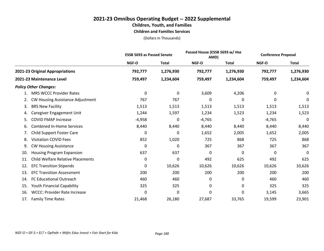# **2021-23 Omnibus Operating Budget -- 2022 Supplemental Children, Youth, and Families**

**Children and Families Services**

|                                                 | <b>ESSB 5693 as Passed Senate</b> |              |          | Passed House (ESSB 5693 w/ Hse<br>AMD) |          | <b>Conference Proposal</b> |
|-------------------------------------------------|-----------------------------------|--------------|----------|----------------------------------------|----------|----------------------------|
|                                                 | NGF-O                             | <b>Total</b> | NGF-O    | <b>Total</b>                           | NGF-O    | <b>Total</b>               |
| 2021-23 Original Appropriations                 | 792,777                           | 1,276,930    | 792,777  | 1,276,930                              | 792,777  | 1,276,930                  |
| 2021-23 Maintenance Level                       | 759,497                           | 1,234,604    | 759,497  | 1,234,604                              | 759,497  | 1,234,604                  |
| <b>Policy Other Changes:</b>                    |                                   |              |          |                                        |          |                            |
| <b>MRS WCCC Provider Rates</b><br>1.            | 0                                 | 0            | 3,609    | 4,206                                  | 0        | 0                          |
| <b>CW Housing Assistance Adjustment</b><br>2.   | 767                               | 767          | 0        | 0                                      | 0        | 0                          |
| <b>BRS New Facility</b><br>3.                   | 1,513                             | 1,513        | 1,513    | 1,513                                  | 1,513    | 1,513                      |
| Caregiver Engagement Unit<br>4.                 | 1,244                             | 1,597        | 1,234    | 1,523                                  | 1,234    | 1,523                      |
| <b>COVID FMAP Increase</b><br>5.                | $-4,958$                          | 0            | $-4,765$ | 0                                      | $-4,765$ | 0                          |
| <b>Combined In-Home Services</b><br>6.          | 8,440                             | 8,440        | 8,440    | 8,440                                  | 8,440    | 8,440                      |
| <b>Child Support Foster Care</b><br>7.          | 0                                 | 0            | 1,652    | 2,005                                  | 1,652    | 2,005                      |
| <b>Visitation COVID Fees</b><br>8.              | 852                               | 1,020        | 725      | 868                                    | 725      | 868                        |
| <b>CW Housing Assistance</b><br>9.              | 0                                 | 0            | 367      | 367                                    | 367      | 367                        |
| <b>Housing Program Expansion</b><br>10.         | 637                               | 637          | 0        | 0                                      | 0        | 0                          |
| <b>Child Welfare Relative Placements</b><br>11. | 0                                 | 0            | 492      | 625                                    | 492      | 625                        |
| <b>EFC Transition Stipends</b><br>12.           | 0                                 | 10,626       | 10,626   | 10,626                                 | 10,626   | 10,626                     |
| <b>EFC Transition Assessment</b><br>13.         | 200                               | 200          | 200      | 200                                    | 200      | 200                        |
| FC Educational Outreach<br>14.                  | 460                               | 460          | 0        | 0                                      | 460      | 460                        |
| Youth Financial Capability<br>15.               | 325                               | 325          | 0        | 0                                      | 325      | 325                        |
| <b>WCCC: Provider Rate Increase</b><br>16.      | 0                                 | 0            | 0        | 0                                      | 3,145    | 3,665                      |
| <b>Family Time Rates</b><br>17.                 | 21,468                            | 26,180       | 27,687   | 33,765                                 | 19,599   | 23,901                     |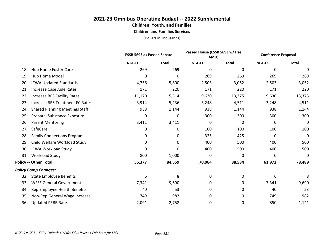#### **2021-23 Omnibus Operating Budget -- 2022 Supplemental Children, Youth, and Families Children and Families Services**

|     |                                        | <b>ESSB 5693 as Passed Senate</b> |              | Passed House (ESSB 5693 w/ Hse<br>AMD) |              | <b>Conference Proposal</b> |              |
|-----|----------------------------------------|-----------------------------------|--------------|----------------------------------------|--------------|----------------------------|--------------|
|     |                                        | NGF-O                             | <b>Total</b> | NGF-O                                  | <b>Total</b> | NGF-O                      | <b>Total</b> |
| 18. | Hub Home Foster Care                   | 269                               | 269          | $\Omega$                               | $\mathbf{0}$ | 0                          | 0            |
| 19. | <b>Hub Home Model</b>                  | 0                                 | 0            | 269                                    | 269          | 269                        | 269          |
| 20. | <b>ICWA Updated Standards</b>          | 4,756                             | 5,800        | 2,503                                  | 3,052        | 2,503                      | 3,052        |
| 21. | <b>Increase Case Aide Rates</b>        | 171                               | 220          | 171                                    | 220          | 171                        | 220          |
| 22. | <b>Increase BRS Facility Rates</b>     | 11,170                            | 15,514       | 9,630                                  | 13,375       | 9,630                      | 13,375       |
| 23. | <b>Increase BRS Treatment FC Rates</b> | 3,914                             | 5,436        | 3,248                                  | 4,511        | 3,248                      | 4,511        |
| 24. | <b>Shared Planning Meetings Staff</b>  | 938                               | 1,144        | 938                                    | 1,144        | 938                        | 1,144        |
| 25. | Prenatal Substance Exposure            | 0                                 | 0            | 300                                    | 300          | 300                        | 300          |
| 26. | <b>Parent Mentoring</b>                | 3,411                             | 3,411        | 0                                      | 0            | 0                          | 0            |
| 27. | SafeCare                               | 0                                 | 0            | 100                                    | 100          | 100                        | 100          |
| 28. | <b>Family Connections Program</b>      | 0                                 | 0            | 325                                    | 425          | 0                          | 0            |
| 29. | Child Welfare Workload Study           | 0                                 | 0            | 400                                    | 500          | 400                        | 500          |
| 30. | <b>ICWA Workload Study</b>             | 0                                 | 0            | 400                                    | 500          | 400                        | 500          |
| 31. | <b>Workload Study</b>                  | 800                               | 1,000        | 0                                      | 0            | 0                          | 0            |
|     | <b>Policy -- Other Total</b>           | 56,377                            | 84,559       | 70,064                                 | 88,534       | 61,972                     | 78,489       |
|     | <b>Policy Comp Changes:</b>            |                                   |              |                                        |              |                            |              |
| 32. | <b>State Employee Benefits</b>         | 6                                 | 8            | 0                                      | 0            | 6                          | 8            |
| 33. | <b>WFSE General Government</b>         | 7,341                             | 9,690        | 0                                      | 0            | 7,341                      | 9,690        |
| 34. | Rep Employee Health Benefits           | 40                                | 53           | 0                                      | 0            | 40                         | 53           |
| 35. | Non-Rep General Wage Increase          | 749                               | 982          | 0                                      | 0            | 749                        | 982          |
| 36. | <b>Updated PEBB Rate</b>               | 2,091                             | 2,758        | 0                                      | 0            | 850                        | 1,121        |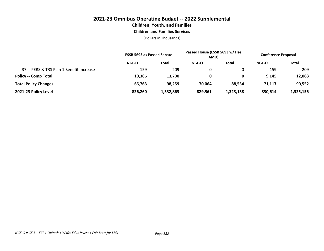#### **2021-23 Omnibus Operating Budget -- 2022 Supplemental Children, Youth, and Families Children and Families Services**

|                                           | <b>ESSB 5693 as Passed Senate</b> |              | Passed House (ESSB 5693 w/ Hse<br>AMD) |           | <b>Conference Proposal</b> |              |
|-------------------------------------------|-----------------------------------|--------------|----------------------------------------|-----------|----------------------------|--------------|
|                                           | NGF-O                             | <b>Total</b> | <b>NGF-O</b>                           | Total     | <b>NGF-O</b>               | <b>Total</b> |
| PERS & TRS Plan 1 Benefit Increase<br>37. | 159                               | 209          |                                        |           | 159                        | 209          |
| <b>Policy -- Comp Total</b>               | 10,386                            | 13,700       | 0                                      | 0         | 9,145                      | 12,063       |
| <b>Total Policy Changes</b>               | 66,763                            | 98,259       | 70,064                                 | 88.534    | 71.117                     | 90,552       |
| 2021-23 Policy Level                      | 826,260                           | 1,332,863    | 829,561                                | 1,323,138 | 830.614                    | 1,325,156    |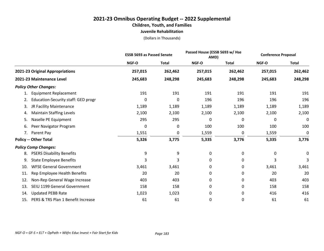#### **2021-23 Omnibus Operating Budget -- 2022 Supplemental Children, Youth, and Families Juvenile Rehabilitation**

|                                           |         | <b>ESSB 5693 as Passed Senate</b> |         | Passed House (ESSB 5693 w/ Hse<br>AMD) |         | <b>Conference Proposal</b> |
|-------------------------------------------|---------|-----------------------------------|---------|----------------------------------------|---------|----------------------------|
|                                           | NGF-O   | <b>Total</b>                      | NGF-O   | <b>Total</b>                           | NGF-O   | <b>Total</b>               |
| 2021-23 Original Appropriations           | 257,015 | 262,462                           | 257,015 | 262,462                                | 257,015 | 262,462                    |
| 2021-23 Maintenance Level                 | 245,683 | 248,298                           | 245,683 | 248,298                                | 245,683 | 248,298                    |
| <b>Policy Other Changes:</b>              |         |                                   |         |                                        |         |                            |
| <b>Equipment Replacement</b><br>1.        | 191     | 191                               | 191     | 191                                    | 191     | 191                        |
| Education-Security staff: GED progr<br>2. | 0       | 0                                 | 196     | 196                                    | 196     | 196                        |
| JR Facility Maintenance<br>3.             | 1,189   | 1,189                             | 1,189   | 1,189                                  | 1,189   | 1,189                      |
| <b>Maintain Staffing Levels</b><br>4.     | 2,100   | 2,100                             | 2,100   | 2,100                                  | 2,100   | 2,100                      |
| Naselle PE Equipment<br>5.                | 295     | 295                               | 0       | 0                                      | 0       | 0                          |
| Peer Navigator Program<br>6.              | 0       | 0                                 | 100     | 100                                    | 100     | 100                        |
| Parent Pay<br>7.                          | 1,551   | 0                                 | 1,559   | 0                                      | 1,559   | 0                          |
| <b>Policy -- Other Total</b>              | 5,326   | 3,775                             | 5,335   | 3,776                                  | 5,335   | 3,776                      |
| <b>Policy Comp Changes:</b>               |         |                                   |         |                                        |         |                            |
| <b>PSERS Disability Benefits</b><br>8.    | 9       | 9                                 | 0       | 0                                      | 0       | 0                          |
| <b>State Employee Benefits</b><br>9.      | 3       | 3                                 | 0       | 0                                      | 3       | 3                          |
| <b>WFSE General Government</b><br>10.     | 3,461   | 3,461                             | 0       | 0                                      | 3,461   | 3,461                      |
| Rep Employee Health Benefits<br>11.       | 20      | 20                                | 0       | 0                                      | 20      | 20                         |
| Non-Rep General Wage Increase<br>12.      | 403     | 403                               | 0       | 0                                      | 403     | 403                        |
| SEIU 1199 General Government<br>13.       | 158     | 158                               | 0       | 0                                      | 158     | 158                        |
| <b>Updated PEBB Rate</b><br>14.           | 1,023   | 1,023                             | 0       | 0                                      | 416     | 416                        |
| PERS & TRS Plan 1 Benefit Increase<br>15. | 61      | 61                                | 0       | 0                                      | 61      | 61                         |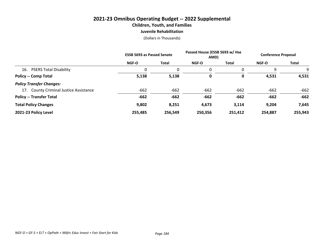#### **2021-23 Omnibus Operating Budget -- 2022 Supplemental Children, Youth, and Families Juvenile Rehabilitation**

|                                        | <b>ESSB 5693 as Passed Senate</b> |              | Passed House (ESSB 5693 w/ Hse<br>AMD) |         | <b>Conference Proposal</b> |         |
|----------------------------------------|-----------------------------------|--------------|----------------------------------------|---------|----------------------------|---------|
|                                        | <b>NGF-O</b>                      | <b>Total</b> | <b>NGF-O</b>                           | Total   | <b>NGF-O</b>               | Total   |
| <b>PSERS Total Disability</b><br>16.   | 0                                 | 0            | 0                                      | 0       | 9                          |         |
| <b>Policy -- Comp Total</b>            | 5,138                             | 5,138        | 0                                      | 0       | 4,531                      | 4,531   |
| <b>Policy Transfer Changes:</b>        |                                   |              |                                        |         |                            |         |
| 17. County Criminal Justice Assistance | $-662$                            | $-662$       | $-662$                                 | $-662$  | $-662$                     | $-662$  |
| <b>Policy -- Transfer Total</b>        | $-662$                            | $-662$       | $-662$                                 | $-662$  | $-662$                     | $-662$  |
| <b>Total Policy Changes</b>            | 9,802                             | 8,251        | 4,673                                  | 3,114   | 9,204                      | 7,645   |
| 2021-23 Policy Level                   | 255,485                           | 256,549      | 250,356                                | 251,412 | 254,887                    | 255,943 |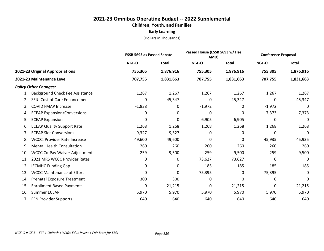## **2021-23 Omnibus Operating Budget -- 2022 Supplemental Children, Youth, and Families Early Learning**

|                                             |              | <b>ESSB 5693 as Passed Senate</b> |          | Passed House (ESSB 5693 w/ Hse<br>AMD) |              | <b>Conference Proposal</b> |
|---------------------------------------------|--------------|-----------------------------------|----------|----------------------------------------|--------------|----------------------------|
|                                             | <b>NGF-O</b> | <b>Total</b>                      | NGF-O    | <b>Total</b>                           | <b>NGF-O</b> | <b>Total</b>               |
| 2021-23 Original Appropriations             | 755,305      | 1,876,916                         | 755,305  | 1,876,916                              | 755,305      | 1,876,916                  |
| 2021-23 Maintenance Level                   | 707,755      | 1,831,663                         | 707,755  | 1,831,663                              | 707,755      | 1,831,663                  |
| <b>Policy Other Changes:</b>                |              |                                   |          |                                        |              |                            |
| <b>Background Check Fee Assistance</b>      | 1,267        | 1,267                             | 1,267    | 1,267                                  | 1,267        | 1,267                      |
| SEIU Cost of Care Enhancement<br>2.         | 0            | 45,347                            | 0        | 45,347                                 | 0            | 45,347                     |
| <b>COVID FMAP Increase</b><br>3.            | $-1,838$     | 0                                 | $-1,972$ | 0                                      | $-1,972$     | 0                          |
| <b>ECEAP Expansion/Conversions</b><br>4.    | 0            | 0                                 | 0        | $\Omega$                               | 7,373        | 7,373                      |
| <b>ECEAP Expansion</b><br>5.                | 0            | 0                                 | 6,905    | 6,905                                  | 0            | 0                          |
| <b>ECEAP Quality Support Rate</b><br>6.     | 1,268        | 1,268                             | 1,268    | 1,268                                  | 1,268        | 1,268                      |
| <b>ECEAP Slot Conversions</b><br>7.         | 9,327        | 9,327                             | 0        | 0                                      | 0            | 0                          |
| <b>WCCC: Provider Rate Increase</b><br>8.   | 49,600       | 49,600                            | 0        | $\mathbf{0}$                           | 45,935       | 45,935                     |
| <b>Mental Health Consultation</b><br>9.     | 260          | 260                               | 260      | 260                                    | 260          | 260                        |
| <b>WCCC Co-Pay Waiver Adjustment</b><br>10. | 259          | 9,500                             | 259      | 9,500                                  | 259          | 9,500                      |
| 2021 MRS WCCC Provider Rates<br>11.         | 0            | 0                                 | 73,627   | 73,627                                 | 0            | 0                          |
| <b>IECMHC Funding Gap</b><br>12.            | 0            | 0                                 | 185      | 185                                    | 185          | 185                        |
| <b>WCCC Maintenance of Effort</b><br>13.    | 0            | 0                                 | 75,395   | 0                                      | 75,395       | 0                          |
| Prenatal Exposure Treatment<br>14.          | 300          | 300                               | 0        | 0                                      | 0            | 0                          |
| <b>Enrollment Based Payments</b><br>15.     | 0            | 21,215                            | 0        | 21,215                                 | 0            | 21,215                     |
| Summer ECEAP<br>16.                         | 5,970        | 5,970                             | 5,970    | 5,970                                  | 5,970        | 5,970                      |
| FFN Provider Supports<br>17.                | 640          | 640                               | 640      | 640                                    | 640          | 640                        |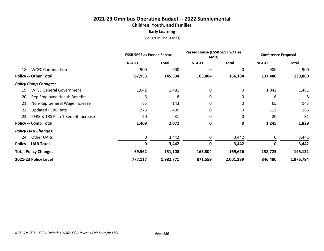# **2021-23 Omnibus Operating Budget -- 2022 Supplemental Children, Youth, and Families Early Learning**

|                                           | <b>ESSB 5693 as Passed Senate</b> |              | Passed House (ESSB 5693 w/ Hse<br>AMD) |              | <b>Conference Proposal</b> |              |
|-------------------------------------------|-----------------------------------|--------------|----------------------------------------|--------------|----------------------------|--------------|
|                                           | <b>NGF-O</b>                      | <b>Total</b> | NGF-O                                  | <b>Total</b> | NGF-O                      | <b>Total</b> |
| <b>WCFC Continuation</b><br>18.           | 900                               | 900          | 0                                      | 0            | 900                        | 900          |
| <b>Policy -- Other Total</b>              | 67,953                            | 145,594      | 163,804                                | 166,184      | 137,480                    | 139,860      |
| <b>Policy Comp Changes:</b>               |                                   |              |                                        |              |                            |              |
| <b>WFSE General Government</b><br>19.     | 1,042                             | 1,481        | 0                                      | 0            | 1,042                      | 1,481        |
| 20.<br>Rep Employee Health Benefits       | 6                                 | 8            | 0                                      | 0            | 6                          | 8            |
| Non-Rep General Wage Increase<br>21.      | 65                                | 143          | 0                                      | 0            | 65                         | 143          |
| <b>Updated PEBB Rate</b><br>22.           | 276                               | 409          | 0                                      | 0            | 112                        | 166          |
| PERS & TRS Plan 1 Benefit Increase<br>23. | 20                                | 31           | 0                                      | 0            | 20                         | 31           |
| <b>Policy -- Comp Total</b>               | 1,409                             | 2,072        | 0                                      | 0            | 1,245                      | 1,829        |
| <b>Policy UAR Changes:</b>                |                                   |              |                                        |              |                            |              |
| 24. Other UARs                            | 0                                 | 3,442        | $\mathbf 0$                            | 3,442        | 0                          | 3,442        |
| <b>Policy -- UAR Total</b>                | 0                                 | 3,442        | $\mathbf 0$                            | 3,442        | 0                          | 3,442        |
| <b>Total Policy Changes</b>               | 69,362                            | 151,108      | 163,804                                | 169,626      | 138,725                    | 145,131      |
| 2021-23 Policy Level                      | 777,117                           | 1,982,771    | 871,559                                | 2,001,289    | 846,480                    | 1,976,794    |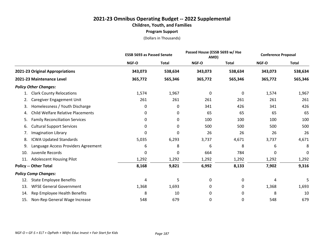# **2021-23 Omnibus Operating Budget -- 2022 Supplemental Children, Youth, and Families Program Support**

|                                                |         | <b>ESSB 5693 as Passed Senate</b> |              | Passed House (ESSB 5693 w/ Hse<br>AMD) |         | <b>Conference Proposal</b> |
|------------------------------------------------|---------|-----------------------------------|--------------|----------------------------------------|---------|----------------------------|
|                                                | NGF-O   | <b>Total</b>                      | <b>NGF-O</b> | <b>Total</b>                           | NGF-O   | <b>Total</b>               |
| 2021-23 Original Appropriations                | 343,073 | 538,634                           | 343,073      | 538,634                                | 343,073 | 538,634                    |
| 2021-23 Maintenance Level                      | 365,772 | 565,346                           | 365,772      | 565,346                                | 365,772 | 565,346                    |
| <b>Policy Other Changes:</b>                   |         |                                   |              |                                        |         |                            |
| <b>Clark County Relocations</b><br>1.          | 1,574   | 1,967                             | 0            | 0                                      | 1,574   | 1,967                      |
| Caregiver Engagement Unit<br>2.                | 261     | 261                               | 261          | 261                                    | 261     | 261                        |
| Homelessness / Youth Discharge<br>3.           | 0       | 0                                 | 341          | 426                                    | 341     | 426                        |
| <b>Child Welfare Relative Placements</b><br>4. | 0       | 0                                 | 65           | 65                                     | 65      | 65                         |
| <b>Family Reconciliation Services</b><br>5.    | 0       | 0                                 | 100          | 100                                    | 100     | 100                        |
| <b>Cultural Support Services</b><br>6.         | 0       | 0                                 | 500          | 500                                    | 500     | 500                        |
| <b>Imagination Library</b><br>7.               | 0       | 0                                 | 26           | 26                                     | 26      | 26                         |
| <b>ICWA Updated Standards</b><br>8.            | 5,035   | 6,293                             | 3,737        | 4,671                                  | 3,737   | 4,671                      |
| Language Access Providers Agreement<br>9.      | 6       | 8                                 | 6            | 8                                      | 6       | 8                          |
| Juvenile Records<br>10.                        | 0       | 0                                 | 664          | 784                                    | 0       | 0                          |
| <b>Adolescent Housing Pilot</b><br>11.         | 1,292   | 1,292                             | 1,292        | 1,292                                  | 1,292   | 1,292                      |
| <b>Policy -- Other Total</b>                   | 8,168   | 9,821                             | 6,992        | 8,133                                  | 7,902   | 9,316                      |
| <b>Policy Comp Changes:</b>                    |         |                                   |              |                                        |         |                            |
| <b>State Employee Benefits</b><br>12.          | 4       | 5                                 | 0            | 0                                      | 4       | 5                          |
| <b>WFSE General Government</b><br>13.          | 1,368   | 1,693                             | 0            | 0                                      | 1,368   | 1,693                      |
| Rep Employee Health Benefits<br>14.            | 8       | 10                                | 0            | 0                                      | 8       | 10                         |
| Non-Rep General Wage Increase<br>15.           | 548     | 679                               | 0            | 0                                      | 548     | 679                        |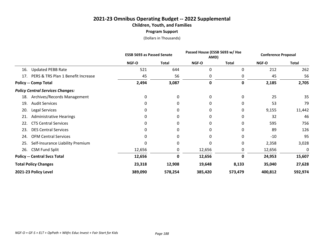# **2021-23 Omnibus Operating Budget -- 2022 Supplemental Children, Youth, and Families Program Support**

|                                           | <b>ESSB 5693 as Passed Senate</b> |              | Passed House (ESSB 5693 w/ Hse<br>AMD) |              | <b>Conference Proposal</b> |              |
|-------------------------------------------|-----------------------------------|--------------|----------------------------------------|--------------|----------------------------|--------------|
|                                           | NGF-O                             | <b>Total</b> | NGF-O                                  | <b>Total</b> | NGF-O                      | <b>Total</b> |
| <b>Updated PEBB Rate</b><br>16.           | 521                               | 644          | 0                                      | 0            | 212                        | 262          |
| PERS & TRS Plan 1 Benefit Increase<br>17. | 45                                | 56           | 0                                      | 0            | 45                         | 56           |
| <b>Policy -- Comp Total</b>               | 2,494                             | 3,087        | 0                                      | $\mathbf 0$  | 2,185                      | 2,705        |
| <b>Policy Central Services Changes:</b>   |                                   |              |                                        |              |                            |              |
| Archives/Records Management<br>18.        | 0                                 | 0            | 0                                      | 0            | 25                         | 35           |
| <b>Audit Services</b><br>19.              | 0                                 | 0            | 0                                      | 0            | 53                         | 79           |
| Legal Services<br>20.                     | 0                                 | 0            | 0                                      | 0            | 9,155                      | 11,442       |
| <b>Administrative Hearings</b><br>21.     | 0                                 | 0            | 0                                      | 0            | 32                         | 46           |
| <b>CTS Central Services</b><br>22.        | 0                                 | 0            | 0                                      | 0            | 595                        | 756          |
| <b>DES Central Services</b><br>23.        | 0                                 | 0            | 0                                      | 0            | 89                         | 126          |
| <b>OFM Central Services</b><br>24.        | 0                                 | 0            | 0                                      | 0            | $-10$                      | 95           |
| Self-Insurance Liability Premium<br>25.   | 0                                 | 0            | 0                                      | 0            | 2,358                      | 3,028        |
| <b>CSM Fund Split</b><br>26.              | 12,656                            | 0            | 12,656                                 | 0            | 12,656                     | 0            |
| <b>Policy -- Central Svcs Total</b>       | 12,656                            | 0            | 12,656                                 | 0            | 24,953                     | 15,607       |
| <b>Total Policy Changes</b>               | 23,318                            | 12,908       | 19,648                                 | 8,133        | 35,040                     | 27,628       |
| 2021-23 Policy Level                      | 389,090                           | 578,254      | 385,420                                | 573,479      | 400,812                    | 592,974      |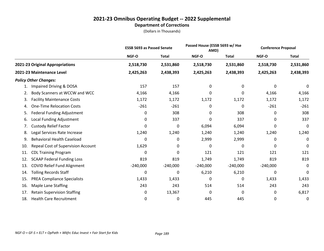|     |                                    | <b>ESSB 5693 as Passed Senate</b> |              | Passed House (ESSB 5693 w/ Hse<br>AMD) |              | <b>Conference Proposal</b> |              |
|-----|------------------------------------|-----------------------------------|--------------|----------------------------------------|--------------|----------------------------|--------------|
|     |                                    | NGF-O                             | <b>Total</b> | NGF-O                                  | <b>Total</b> | NGF-O                      | <b>Total</b> |
|     | 2021-23 Original Appropriations    | 2,518,730                         | 2,531,860    | 2,518,730                              | 2,531,860    | 2,518,730                  | 2,531,860    |
|     | 2021-23 Maintenance Level          | 2,425,263                         | 2,438,393    | 2,425,263                              | 2,438,393    | 2,425,263                  | 2,438,393    |
|     | <b>Policy Other Changes:</b>       |                                   |              |                                        |              |                            |              |
| 1.  | Impaired Driving & DOSA            | 157                               | 157          | 0                                      | 0            | 0                          | 0            |
| 2.  | Body Scanners at WCCW and WCC      | 4,166                             | 4,166        | 0                                      | 0            | 4,166                      | 4,166        |
| 3.  | <b>Facility Maintenance Costs</b>  | 1,172                             | 1,172        | 1,172                                  | 1,172        | 1,172                      | 1,172        |
| 4.  | <b>One-Time Relocation Costs</b>   | $-261$                            | $-261$       | 0                                      | 0            | $-261$                     | $-261$       |
| 5.  | <b>Federal Funding Adjustment</b>  | 0                                 | 308          | 0                                      | 308          | 0                          | 308          |
| 6.  | Local Funding Adjustment           | 0                                 | 337          | 0                                      | 337          | 0                          | 337          |
| 7.  | <b>Custody Relief Factor</b>       | 0                                 | 0            | 6,094                                  | 6,094        | 0                          | 0            |
| 8.  | Legal Services Rate Increase       | 1,240                             | 1,240        | 1,240                                  | 1,240        | 1,240                      | 1,240        |
| 9.  | <b>Behavioral Health Caseload</b>  | 0                                 | 0            | 2,999                                  | 2,999        | 0                          | $\mathbf 0$  |
| 10. | Repeal Cost of Supervision Account | 1,629                             | 0            | 0                                      | 0            | 0                          | 0            |
| 11. | <b>CDL Training Program</b>        | 0                                 | 0            | 121                                    | 121          | 121                        | 121          |
| 12. | <b>SCAAP Federal Funding Loss</b>  | 819                               | 819          | 1,749                                  | 1,749        | 819                        | 819          |
| 13. | <b>COVID Relief Fund Alignment</b> | $-240,000$                        | $-240,000$   | $-240,000$                             | $-240,000$   | $-240,000$                 | 0            |
| 14. | <b>Tolling Records Staff</b>       | 0                                 | 0            | 6,210                                  | 6,210        | 0                          | 0            |
| 15. | <b>PREA Compliance Specialists</b> | 1,433                             | 1,433        | 0                                      | 0            | 1,433                      | 1,433        |
| 16. | Maple Lane Staffing                | 243                               | 243          | 514                                    | 514          | 243                        | 243          |
| 17. | <b>Retain Supervision Staffing</b> | 0                                 | 13,367       | 0                                      | 0            | 0                          | 6,817        |
| 18. | <b>Health Care Recruitment</b>     | 0                                 | 0            | 445                                    | 445          | 0                          | 0            |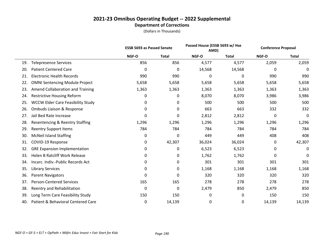|     |                                          |       | <b>ESSB 5693 as Passed Senate</b> |        | Passed House (ESSB 5693 w/ Hse<br>AMD) |        | <b>Conference Proposal</b> |
|-----|------------------------------------------|-------|-----------------------------------|--------|----------------------------------------|--------|----------------------------|
|     |                                          | NGF-O | <b>Total</b>                      | NGF-O  | <b>Total</b>                           | NGF-O  | <b>Total</b>               |
| 19. | <b>Telepresence Services</b>             | 856   | 856                               | 4,577  | 4,577                                  | 2,059  | 2,059                      |
| 20. | <b>Patient Centered Care</b>             | 0     | 0                                 | 14,568 | 14,568                                 | 0      | 0                          |
| 21. | <b>Electronic Health Records</b>         | 990   | 990                               | 0      | 0                                      | 990    | 990                        |
| 22. | <b>OMNI Sentencing Module Project</b>    | 5,658 | 5,658                             | 5,658  | 5,658                                  | 5,658  | 5,658                      |
| 23. | Amend Collaboration and Training         | 1,363 | 1,363                             | 1,363  | 1,363                                  | 1,363  | 1,363                      |
| 24. | <b>Restrictive Housing Reform</b>        | 0     | 0                                 | 8,070  | 8,070                                  | 3,986  | 3,986                      |
| 25. | <b>WCCW Elder Care Feasibility Study</b> | 0     | 0                                 | 500    | 500                                    | 500    | 500                        |
| 26. | Ombuds Liaison & Response                | 0     | 0                                 | 663    | 663                                    | 332    | 332                        |
| 27. | Jail Bed Rate Increase                   | 0     | 0                                 | 2,812  | 2,812                                  | 0      | 0                          |
| 28. | Resentencing & Reentry Staffing          | 1,296 | 1,296                             | 1,296  | 1,296                                  | 1,296  | 1,296                      |
| 29. | <b>Reentry Support Items</b>             | 784   | 784                               | 784    | 784                                    | 784    | 784                        |
| 30. | <b>McNeil Island Staffing</b>            | 0     | 0                                 | 449    | 449                                    | 408    | 408                        |
| 31. | COVID-19 Response                        | 0     | 42,307                            | 36,024 | 36,024                                 | 0      | 42,307                     |
| 32. | <b>GRE Expansion Implementation</b>      | 0     | 0                                 | 6,523  | 6,523                                  | 0      | 0                          |
| 33. | <b>Helen B Ratcliff Work Release</b>     | 0     | 0                                 | 1,762  | 1,762                                  | 0      | 0                          |
| 34. | Incarc. Indiv.-Public Records Act        | 0     | 0                                 | 301    | 301                                    | 301    | 301                        |
| 35. | <b>Library Services</b>                  | 0     | 0                                 | 1,168  | 1,168                                  | 1,168  | 1,168                      |
| 36. | <b>Parent Navigators</b>                 | 0     | 0                                 | 320    | 320                                    | 320    | 320                        |
| 37. | <b>Person-Centered Services</b>          | 165   | 165                               | 278    | 278                                    | 278    | 278                        |
| 38. | Reentry and Rehabilitation               | 0     | 0                                 | 2,479  | 850                                    | 2,479  | 850                        |
| 39. | Long Term Care Feasibility Study         | 150   | 150                               | 0      | 0                                      | 150    | 150                        |
| 40. | Patient & Behavioral Centered Care       | 0     | 14,139                            | 0      | 0                                      | 14,139 | 14,139                     |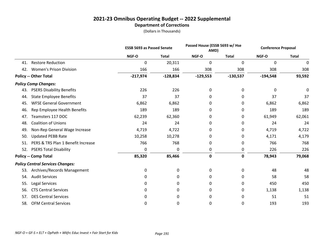|     |                                         | <b>ESSB 5693 as Passed Senate</b> |              |             | Passed House (ESSB 5693 w/ Hse<br>AMD) |            | <b>Conference Proposal</b> |
|-----|-----------------------------------------|-----------------------------------|--------------|-------------|----------------------------------------|------------|----------------------------|
|     |                                         | NGF-O                             | <b>Total</b> | NGF-O       | <b>Total</b>                           | NGF-O      | <b>Total</b>               |
| 41. | <b>Restore Reduction</b>                | $\mathbf 0$                       | 20,311       | $\mathbf 0$ | 0                                      | 0          | 0                          |
| 42. | <b>Women's Prison Division</b>          | 166                               | 166          | 308         | 308                                    | 308        | 308                        |
|     | <b>Policy -- Other Total</b>            | $-217,974$                        | $-128,834$   | $-129,553$  | $-130,537$                             | $-194,548$ | 93,592                     |
|     | <b>Policy Comp Changes:</b>             |                                   |              |             |                                        |            |                            |
| 43. | <b>PSERS Disability Benefits</b>        | 226                               | 226          | 0           | 0                                      | 0          | 0                          |
| 44. | <b>State Employee Benefits</b>          | 37                                | 37           | 0           | 0                                      | 37         | 37                         |
| 45. | <b>WFSE General Government</b>          | 6,862                             | 6,862        | 0           | 0                                      | 6,862      | 6,862                      |
| 46. | Rep Employee Health Benefits            | 189                               | 189          | 0           | 0                                      | 189        | 189                        |
| 47. | Teamsters 117 DOC                       | 62,239                            | 62,360       | 0           | 0                                      | 61,949     | 62,061                     |
| 48. | <b>Coalition of Unions</b>              | 24                                | 24           | 0           | 0                                      | 24         | 24                         |
| 49. | Non-Rep General Wage Increase           | 4,719                             | 4,722        | 0           | 0                                      | 4,719      | 4,722                      |
| 50. | <b>Updated PEBB Rate</b>                | 10,258                            | 10,278       | 0           | 0                                      | 4,171      | 4,179                      |
| 51. | PERS & TRS Plan 1 Benefit Increase      | 766                               | 768          | 0           | 0                                      | 766        | 768                        |
| 52. | <b>PSERS Total Disability</b>           | 0                                 | 0            | 0           | 0                                      | 226        | 226                        |
|     | <b>Policy -- Comp Total</b>             | 85,320                            | 85,466       | $\pmb{0}$   | 0                                      | 78,943     | 79,068                     |
|     | <b>Policy Central Services Changes:</b> |                                   |              |             |                                        |            |                            |
| 53. | Archives/Records Management             | 0                                 | 0            | 0           | 0                                      | 48         | 48                         |
| 54. | <b>Audit Services</b>                   | 0                                 | 0            | 0           | 0                                      | 58         | 58                         |
| 55. | <b>Legal Services</b>                   | 0                                 | 0            | 0           | 0                                      | 450        | 450                        |
| 56. | <b>CTS Central Services</b>             | 0                                 | 0            | 0           | 0                                      | 1,138      | 1,138                      |
| 57. | <b>DES Central Services</b>             | 0                                 | 0            | 0           | 0                                      | 51         | 51                         |
| 58. | <b>OFM Central Services</b>             | 0                                 | 0            | 0           | 0                                      | 193        | 193                        |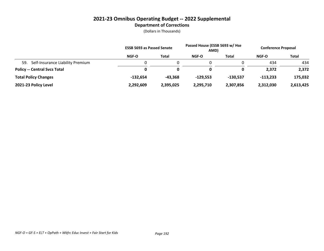|                                         | <b>ESSB 5693 as Passed Senate</b> |              | Passed House (ESSB 5693 w/ Hse<br>AMD) |            | <b>Conference Proposal</b> |           |
|-----------------------------------------|-----------------------------------|--------------|----------------------------------------|------------|----------------------------|-----------|
|                                         | <b>NGF-O</b>                      | <b>Total</b> | NGF-O                                  | Total      | <b>NGF-O</b>               | Total     |
| Self-Insurance Liability Premium<br>59. |                                   |              |                                        |            | 434                        | 434       |
| <b>Policy -- Central Svcs Total</b>     | 0                                 | 0            | 0                                      |            | 2,372                      | 2,372     |
| <b>Total Policy Changes</b>             | -132.654                          | -43.368      | $-129.553$                             | $-130.537$ | $-113.233$                 | 175,032   |
| 2021-23 Policy Level                    | 2,292,609                         | 2,395,025    | 2,295,710                              | 2,307,856  | 2,312,030                  | 2,613,425 |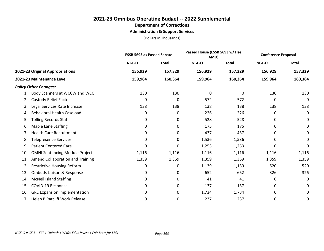## **2021-23 Omnibus Operating Budget -- 2022 Supplemental Department of Corrections Administration & Support Services**

|                                              | <b>ESSB 5693 as Passed Senate</b> |              | Passed House (ESSB 5693 w/ Hse<br>AMD) |              | <b>Conference Proposal</b> |              |
|----------------------------------------------|-----------------------------------|--------------|----------------------------------------|--------------|----------------------------|--------------|
|                                              | NGF-O                             | <b>Total</b> | <b>NGF-O</b>                           | <b>Total</b> | <b>NGF-O</b>               | <b>Total</b> |
| 2021-23 Original Appropriations              | 156,929                           | 157,329      | 156,929                                | 157,329      | 156,929                    | 157,329      |
| 2021-23 Maintenance Level                    | 159,964                           | 160,364      | 159,964                                | 160,364      | 159,964                    | 160,364      |
| <b>Policy Other Changes:</b>                 |                                   |              |                                        |              |                            |              |
| Body Scanners at WCCW and WCC                | 130                               | 130          | 0                                      | 0            | 130                        | 130          |
| <b>Custody Relief Factor</b><br>2.           | 0                                 | 0            | 572                                    | 572          | 0                          | 0            |
| Legal Services Rate Increase<br>3.           | 138                               | 138          | 138                                    | 138          | 138                        | 138          |
| <b>Behavioral Health Caseload</b><br>4.      | 0                                 | 0            | 226                                    | 226          | 0                          | 0            |
| <b>Tolling Records Staff</b><br>5.           | 0                                 | 0            | 528                                    | 528          | 0                          | 0            |
| <b>Maple Lane Staffing</b><br>6.             | 0                                 | 0            | 175                                    | 175          | 0                          | 0            |
| <b>Health Care Recruitment</b><br>7.         | 0                                 | 0            | 437                                    | 437          | 0                          | 0            |
| <b>Telepresence Services</b><br>8.           | 0                                 | 0            | 1,536                                  | 1,536        | 0                          | 0            |
| <b>Patient Centered Care</b><br>9.           | 0                                 | 0            | 1,253                                  | 1,253        | 0                          | 0            |
| <b>OMNI Sentencing Module Project</b><br>10. | 1,116                             | 1,116        | 1,116                                  | 1,116        | 1,116                      | 1,116        |
| Amend Collaboration and Training<br>11.      | 1,359                             | 1,359        | 1,359                                  | 1,359        | 1,359                      | 1,359        |
| <b>Restrictive Housing Reform</b><br>12.     | 0                                 | 0            | 1,139                                  | 1,139        | 520                        | 520          |
| Ombuds Liaison & Response<br>13.             | 0                                 | 0            | 652                                    | 652          | 326                        | 326          |
| <b>McNeil Island Staffing</b><br>14.         | 0                                 | 0            | 41                                     | 41           | 0                          | 0            |
| COVID-19 Response<br>15.                     | 0                                 | 0            | 137                                    | 137          | 0                          | 0            |
| <b>GRE Expansion Implementation</b><br>16.   | 0                                 | 0            | 1,734                                  | 1,734        | 0                          | 0            |
| <b>Helen B Ratcliff Work Release</b><br>17.  | $\Omega$                          | 0            | 237                                    | 237          | 0                          | 0            |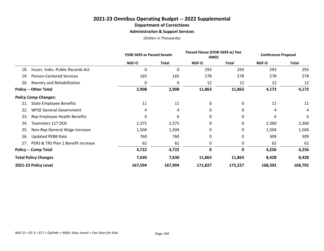## **2021-23 Omnibus Operating Budget -- 2022 Supplemental Department of Corrections Administration & Support Services**

|                                          | <b>ESSB 5693 as Passed Senate</b> |              | Passed House (ESSB 5693 w/ Hse<br>AMD) |              | <b>Conference Proposal</b> |              |
|------------------------------------------|-----------------------------------|--------------|----------------------------------------|--------------|----------------------------|--------------|
|                                          | NGF-O                             | <b>Total</b> | NGF-O                                  | <b>Total</b> | NGF-O                      | <b>Total</b> |
| Incarc. Indiv.-Public Records Act<br>18. | 0                                 | 0            | 293                                    | 293          | 293                        | 293          |
| <b>Person-Centered Services</b><br>19.   | 165                               | 165          | 278                                    | 278          | 278                        | 278          |
| Reentry and Rehabilitation<br>20.        | 0                                 | 0            | 12                                     | 12           | 12                         | 12           |
| <b>Policy -- Other Total</b>             | 2,908                             | 2,908        | 11,863                                 | 11,863       | 4,172                      | 4,172        |
| <b>Policy Comp Changes:</b>              |                                   |              |                                        |              |                            |              |
| <b>State Employee Benefits</b><br>21.    | 11                                | 11           | 0                                      | 0            | 11                         | 11           |
| <b>WFSE General Government</b><br>22.    | 4                                 | 4            | 0                                      | 0            | 4                          | 4            |
| Rep Employee Health Benefits<br>23.      | 6                                 | 6            | $\Omega$                               | 0            | 6                          | 6            |
| Teamsters 117 DOC<br>24.                 | 2,375                             | 2,375        | 0                                      | 0            | 2,360                      | 2,360        |
| Non-Rep General Wage Increase<br>25.     | 1,504                             | 1,504        | 0                                      | 0            | 1,504                      | 1,504        |
| <b>Updated PEBB Rate</b><br>26.          | 760                               | 760          | 0                                      | 0            | 309                        | 309          |
| 27. PERS & TRS Plan 1 Benefit Increase   | 62                                | 62           | 0                                      | 0            | 62                         | 62           |
| <b>Policy -- Comp Total</b>              | 4,722                             | 4,722        | 0                                      | 0            | 4,256                      | 4,256        |
| <b>Total Policy Changes</b>              | 7,630                             | 7,630        | 11,863                                 | 11,863       | 8,428                      | 8,428        |
| 2021-23 Policy Level                     | 167,594                           | 167,994      | 171,827                                | 172,227      | 168,392                    | 168,792      |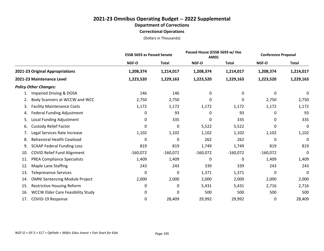## **2021-23 Omnibus Operating Budget -- 2022 Supplemental Department of Corrections Correctional Operations**

|                                                 | <b>ESSB 5693 as Passed Senate</b> |              | Passed House (ESSB 5693 w/ Hse<br>AMD) |              | <b>Conference Proposal</b> |              |
|-------------------------------------------------|-----------------------------------|--------------|----------------------------------------|--------------|----------------------------|--------------|
|                                                 | <b>NGF-O</b>                      | <b>Total</b> | NGF-O                                  | <b>Total</b> | NGF-O                      | <b>Total</b> |
| 2021-23 Original Appropriations                 | 1,208,374                         | 1,214,017    | 1,208,374                              | 1,214,017    | 1,208,374                  | 1,214,017    |
| 2021-23 Maintenance Level                       | 1,223,520                         | 1,229,163    | 1,223,520                              | 1,229,163    | 1,223,520                  | 1,229,163    |
| <b>Policy Other Changes:</b>                    |                                   |              |                                        |              |                            |              |
| Impaired Driving & DOSA<br>1.                   | 146                               | 146          | 0                                      | 0            | 0                          | 0            |
| Body Scanners at WCCW and WCC<br>2.             | 2,750                             | 2,750        | 0                                      | 0            | 2,750                      | 2,750        |
| <b>Facility Maintenance Costs</b><br>3.         | 1,172                             | 1,172        | 1,172                                  | 1,172        | 1,172                      | 1,172        |
| <b>Federal Funding Adjustment</b><br>4.         | 0                                 | 93           | 0                                      | 93           | 0                          | 93           |
| Local Funding Adjustment<br>5.                  | 0                                 | 335          | 0                                      | 335          | 0                          | 335          |
| <b>Custody Relief Factor</b><br>6.              | 0                                 | 0            | 5,522                                  | 5,522        | 0                          | 0            |
| Legal Services Rate Increase<br>7.              | 1,102                             | 1,102        | 1,102                                  | 1,102        | 1,102                      | 1,102        |
| <b>Behavioral Health Caseload</b><br>8.         | 0                                 | 0            | 262                                    | 262          | 0                          | 0            |
| <b>SCAAP Federal Funding Loss</b><br>9.         | 819                               | 819          | 1,749                                  | 1,749        | 819                        | 819          |
| <b>COVID Relief Fund Alignment</b><br>10.       | $-160,072$                        | $-160,072$   | $-160,072$                             | $-160,072$   | $-160,072$                 | 0            |
| <b>PREA Compliance Specialists</b><br>11.       | 1,409                             | 1,409        | $\mathbf 0$                            | 0            | 1,409                      | 1,409        |
| Maple Lane Staffing<br>12.                      | 243                               | 243          | 339                                    | 339          | 243                        | 243          |
| <b>Telepresence Services</b><br>13.             | 0                                 | 0            | 1,371                                  | 1,371        | 0                          | 0            |
| <b>OMNI Sentencing Module Project</b><br>14.    | 2,000                             | 2,000        | 2,000                                  | 2,000        | 2,000                      | 2,000        |
| <b>Restrictive Housing Reform</b><br>15.        | 0                                 | 0            | 5,431                                  | 5,431        | 2,716                      | 2,716        |
| <b>WCCW Elder Care Feasibility Study</b><br>16. | 0                                 | 0            | 500                                    | 500          | 500                        | 500          |
| COVID-19 Response<br>17.                        | 0                                 | 28,409       | 29,992                                 | 29,992       | 0                          | 28,409       |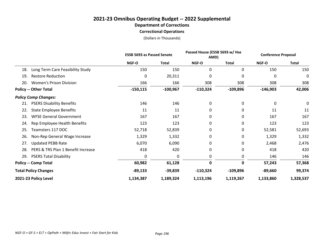## **2021-23 Omnibus Operating Budget -- 2022 Supplemental Department of Corrections Correctional Operations**

|                              |                                    |            | <b>ESSB 5693 as Passed Senate</b> |              | Passed House (ESSB 5693 w/ Hse<br>AMD) |            | <b>Conference Proposal</b> |  |
|------------------------------|------------------------------------|------------|-----------------------------------|--------------|----------------------------------------|------------|----------------------------|--|
|                              |                                    | NGF-O      | <b>Total</b>                      | <b>NGF-O</b> | <b>Total</b>                           | NGF-O      | <b>Total</b>               |  |
| 18.                          | Long Term Care Feasibility Study   | 150        | 150                               | 0            | 0                                      | 150        | 150                        |  |
| 19.                          | <b>Restore Reduction</b>           | 0          | 20,311                            | 0            | 0                                      | 0          | 0                          |  |
| 20.                          | <b>Women's Prison Division</b>     | 166        | 166                               | 308          | 308                                    | 308        | 308                        |  |
| <b>Policy -- Other Total</b> |                                    | $-150,115$ | $-100,967$                        | $-110,324$   | $-109,896$                             | $-146,903$ | 42,006                     |  |
| <b>Policy Comp Changes:</b>  |                                    |            |                                   |              |                                        |            |                            |  |
| 21.                          | <b>PSERS Disability Benefits</b>   | 146        | 146                               | 0            | 0                                      | 0          | 0                          |  |
| 22.                          | <b>State Employee Benefits</b>     | 11         | 11                                | 0            | 0                                      | 11         | 11                         |  |
| 23.                          | <b>WFSE General Government</b>     | 167        | 167                               | 0            | 0                                      | 167        | 167                        |  |
| 24.                          | Rep Employee Health Benefits       | 123        | 123                               | 0            | 0                                      | 123        | 123                        |  |
| 25.                          | Teamsters 117 DOC                  | 52,718     | 52,839                            | 0            | 0                                      | 52,581     | 52,693                     |  |
| 26.                          | Non-Rep General Wage Increase      | 1,329      | 1,332                             | 0            | 0                                      | 1,329      | 1,332                      |  |
| 27.                          | <b>Updated PEBB Rate</b>           | 6,070      | 6,090                             | 0            | 0                                      | 2,468      | 2,476                      |  |
| 28.                          | PERS & TRS Plan 1 Benefit Increase | 418        | 420                               | 0            | 0                                      | 418        | 420                        |  |
| 29.                          | <b>PSERS Total Disability</b>      | 0          | 0                                 | 0            | 0                                      | 146        | 146                        |  |
| <b>Policy -- Comp Total</b>  |                                    | 60,982     | 61,128                            | $\mathbf 0$  | 0                                      | 57,243     | 57,368                     |  |
| <b>Total Policy Changes</b>  |                                    | $-89,133$  | $-39,839$                         | $-110,324$   | $-109,896$                             | $-89,660$  | 99,374                     |  |
| 2021-23 Policy Level         |                                    | 1,134,387  | 1,189,324                         | 1,113,196    | 1,119,267                              | 1,133,860  | 1,328,537                  |  |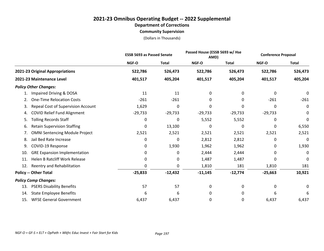## **2021-23 Omnibus Operating Budget -- 2022 Supplemental Department of Corrections Community Supervision**

|                                             |              | Passed House (ESSB 5693 w/ Hse<br><b>ESSB 5693 as Passed Senate</b><br>AMD) |           |              | <b>Conference Proposal</b> |              |
|---------------------------------------------|--------------|-----------------------------------------------------------------------------|-----------|--------------|----------------------------|--------------|
|                                             | NGF-O        | <b>Total</b>                                                                | NGF-O     | <b>Total</b> | NGF-O                      | <b>Total</b> |
| 2021-23 Original Appropriations             | 522,786      | 526,473                                                                     | 522,786   | 526,473      | 522,786                    | 526,473      |
| 2021-23 Maintenance Level                   | 401,517      | 405,204                                                                     | 401,517   | 405,204      | 401,517                    | 405,204      |
| <b>Policy Other Changes:</b>                |              |                                                                             |           |              |                            |              |
| Impaired Driving & DOSA<br>1.               | 11           | 11                                                                          | 0         | 0            | 0                          | 0            |
| <b>One-Time Relocation Costs</b><br>2.      | $-261$       | $-261$                                                                      | 0         | 0            | $-261$                     | $-261$       |
| Repeal Cost of Supervision Account<br>3.    | 1,629        | 0                                                                           | 0         | 0            | 0                          | 0            |
| <b>COVID Relief Fund Alignment</b><br>4.    | $-29,733$    | $-29,733$                                                                   | $-29,733$ | $-29,733$    | $-29,733$                  | 0            |
| <b>Tolling Records Staff</b><br>5.          | 0            | 0                                                                           | 5,552     | 5,552        | 0                          | 0            |
| <b>Retain Supervision Staffing</b><br>6.    | 0            | 13,100                                                                      | $\Omega$  | 0            | 0                          | 6,550        |
| <b>OMNI Sentencing Module Project</b><br>7. | 2,521        | 2,521                                                                       | 2,521     | 2,521        | 2,521                      | 2,521        |
| Jail Bed Rate Increase<br>8.                | 0            | 0                                                                           | 2,812     | 2,812        | 0                          | 0            |
| COVID-19 Response<br>9.                     | 0            | 1,930                                                                       | 1,962     | 1,962        | 0                          | 1,930        |
| <b>GRE Expansion Implementation</b><br>10.  | 0            | 0                                                                           | 2,444     | 2,444        | 0                          | 0            |
| <b>Helen B Ratcliff Work Release</b><br>11. | 0            | 0                                                                           | 1,487     | 1,487        | 0                          | $\mathbf{0}$ |
| Reentry and Rehabilitation<br>12.           | <sup>0</sup> | 0                                                                           | 1,810     | 181          | 1,810                      | 181          |
| <b>Policy -- Other Total</b>                | $-25,833$    | $-12,432$                                                                   | $-11,145$ | $-12,774$    | $-25,663$                  | 10,921       |
| <b>Policy Comp Changes:</b>                 |              |                                                                             |           |              |                            |              |
| <b>PSERS Disability Benefits</b><br>13.     | 57           | 57                                                                          | 0         | 0            | 0                          | 0            |
| <b>State Employee Benefits</b><br>14.       | 6            | 6                                                                           | 0         | 0            | 6                          | 6            |
| <b>WFSE General Government</b><br>15.       | 6,437        | 6,437                                                                       | 0         | 0            | 6,437                      | 6,437        |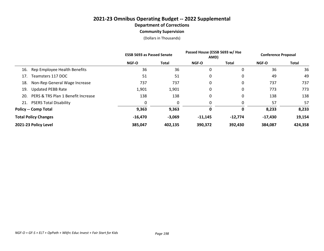## **2021-23 Omnibus Operating Budget -- 2022 Supplemental Department of Corrections Community Supervision**

(Dollars in Thousands)

|                                           | <b>ESSB 5693 as Passed Senate</b> |              | Passed House (ESSB 5693 w/ Hse<br>AMD) |              | <b>Conference Proposal</b> |              |
|-------------------------------------------|-----------------------------------|--------------|----------------------------------------|--------------|----------------------------|--------------|
|                                           | <b>NGF-O</b>                      | <b>Total</b> | <b>NGF-O</b>                           | <b>Total</b> | <b>NGF-O</b>               | <b>Total</b> |
| Rep Employee Health Benefits<br>16.       | 36                                | 36           | 0                                      | 0            | 36                         | 36           |
| Teamsters 117 DOC<br>17.                  | 51                                | 51           | 0                                      | 0            | 49                         | 49           |
| Non-Rep General Wage Increase<br>18.      | 737                               | 737          | 0                                      | 0            | 737                        | 737          |
| <b>Updated PEBB Rate</b><br>19.           | 1,901                             | 1,901        | 0                                      | 0            | 773                        | 773          |
| PERS & TRS Plan 1 Benefit Increase<br>20. | 138                               | 138          | 0                                      | 0            | 138                        | 138          |
| <b>PSERS Total Disability</b><br>21.      |                                   | 0            | 0                                      | 0            | 57                         | 57           |
| <b>Policy -- Comp Total</b>               | 9,363                             | 9,363        | 0                                      | 0            | 8,233                      | 8,233        |
| <b>Total Policy Changes</b>               | $-16,470$                         | $-3,069$     | $-11,145$                              | $-12,774$    | $-17,430$                  | 19,154       |
| 2021-23 Policy Level                      | 385,047                           | 402,135      | 390,372                                | 392,430      | 384,087                    | 424,358      |

*NGF-O = GF-S + ELT + OpPath + Wkfrc Educ Invest + Fair Start for Kids Page 198*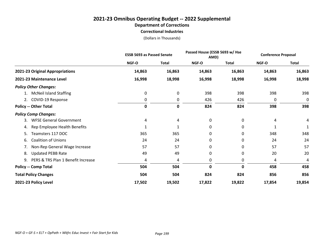## **2021-23 Omnibus Operating Budget -- 2022 Supplemental Department of Corrections Correctional Industries**

|                                          | <b>ESSB 5693 as Passed Senate</b> | Passed House (ESSB 5693 w/ Hse<br>AMD) |              |              | <b>Conference Proposal</b> |              |
|------------------------------------------|-----------------------------------|----------------------------------------|--------------|--------------|----------------------------|--------------|
|                                          | NGF-O                             | <b>Total</b>                           | <b>NGF-O</b> | <b>Total</b> | NGF-O                      | <b>Total</b> |
| 2021-23 Original Appropriations          | 14,863                            | 16,863                                 | 14,863       | 16,863       | 14,863                     | 16,863       |
| 2021-23 Maintenance Level                | 16,998                            | 18,998                                 | 16,998       | 18,998       | 16,998                     | 18,998       |
| <b>Policy Other Changes:</b>             |                                   |                                        |              |              |                            |              |
| <b>McNeil Island Staffing</b><br>1.      | 0                                 | 0                                      | 398          | 398          | 398                        | 398          |
| 2. COVID-19 Response                     | 0                                 | 0                                      | 426          | 426          | 0                          | 0            |
| <b>Policy -- Other Total</b>             | 0                                 | $\mathbf 0$                            | 824          | 824          | 398                        | 398          |
| <b>Policy Comp Changes:</b>              |                                   |                                        |              |              |                            |              |
| <b>WFSE General Government</b><br>3.     | 4                                 | 4                                      | 0            | 0            | 4                          | 4            |
| Rep Employee Health Benefits<br>4.       | 1                                 | 1                                      | 0            | 0            | 1                          |              |
| Teamsters 117 DOC<br>5.                  | 365                               | 365                                    | 0            | 0            | 348                        | 348          |
| <b>Coalition of Unions</b><br>6.         | 24                                | 24                                     | 0            | 0            | 24                         | 24           |
| Non-Rep General Wage Increase<br>7.      | 57                                | 57                                     | 0            | 0            | 57                         | 57           |
| <b>Updated PEBB Rate</b><br>8.           | 49                                | 49                                     | 0            | 0            | 20                         | 20           |
| PERS & TRS Plan 1 Benefit Increase<br>9. | 4                                 | 4                                      | 0            | 0            | 4                          | 4            |
| <b>Policy -- Comp Total</b>              | 504                               | 504                                    | 0            | 0            | 458                        | 458          |
| <b>Total Policy Changes</b>              | 504                               | 504                                    | 824          | 824          | 856                        | 856          |
| 2021-23 Policy Level                     | 17,502                            | 19,502                                 | 17,822       | 19,822       | 17,854                     | 19,854       |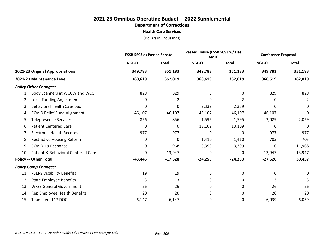## **2021-23 Omnibus Operating Budget -- 2022 Supplemental Department of Corrections Health Care Services**

|                                           | <b>ESSB 5693 as Passed Senate</b> |              | Passed House (ESSB 5693 w/ Hse<br>AMD) |              | <b>Conference Proposal</b> |                |
|-------------------------------------------|-----------------------------------|--------------|----------------------------------------|--------------|----------------------------|----------------|
|                                           | NGF-O                             | <b>Total</b> | NGF-O                                  | <b>Total</b> | <b>NGF-O</b>               | <b>Total</b>   |
| 2021-23 Original Appropriations           | 349,783                           | 351,183      | 349,783                                | 351,183      | 349,783                    | 351,183        |
| 2021-23 Maintenance Level                 | 360,619                           | 362,019      | 360,619                                | 362,019      | 360,619                    | 362,019        |
| <b>Policy Other Changes:</b>              |                                   |              |                                        |              |                            |                |
| Body Scanners at WCCW and WCC<br>1.       | 829                               | 829          | 0                                      | 0            | 829                        | 829            |
| Local Funding Adjustment<br>2.            | 0                                 | 2            | 0                                      | 2            | 0                          | $\overline{2}$ |
| <b>Behavioral Health Caseload</b><br>3.   | 0                                 | 0            | 2,339                                  | 2,339        | 0                          | 0              |
| <b>COVID Relief Fund Alignment</b><br>4.  | $-46,107$                         | $-46,107$    | $-46,107$                              | $-46,107$    | $-46,107$                  | 0              |
| <b>Telepresence Services</b><br>5.        | 856                               | 856          | 1,595                                  | 1,595        | 2,029                      | 2,029          |
| <b>Patient Centered Care</b><br>6.        | 0                                 | 0            | 13,109                                 | 13,109       | 0                          | 0              |
| <b>Electronic Health Records</b><br>7.    | 977                               | 977          | 0                                      | 0            | 977                        | 977            |
| <b>Restrictive Housing Reform</b><br>8.   | 0                                 | 0            | 1,410                                  | 1,410        | 705                        | 705            |
| COVID-19 Response<br>9.                   | 0                                 | 11,968       | 3,399                                  | 3,399        | 0                          | 11,968         |
| Patient & Behavioral Centered Care<br>10. | 0                                 | 13,947       | 0                                      | 0            | 13,947                     | 13,947         |
| <b>Policy -- Other Total</b>              | $-43,445$                         | $-17,528$    | $-24,255$                              | $-24,253$    | $-27,620$                  | 30,457         |
| <b>Policy Comp Changes:</b>               |                                   |              |                                        |              |                            |                |
| <b>PSERS Disability Benefits</b><br>11.   | 19                                | 19           | 0                                      | 0            | 0                          | 0              |
| <b>State Employee Benefits</b><br>12.     | 3                                 | 3            | 0                                      | 0            | 3                          | 3              |
| <b>WFSE General Government</b><br>13.     | 26                                | 26           | 0                                      | 0            | 26                         | 26             |
| Rep Employee Health Benefits<br>14.       | 20                                | 20           | 0                                      | 0            | 20                         | 20             |
| Teamsters 117 DOC<br>15.                  | 6,147                             | 6,147        | 0                                      | 0            | 6,039                      | 6,039          |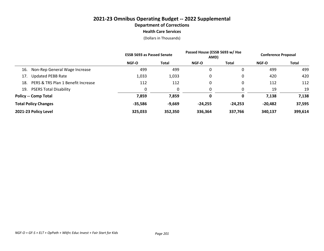## **2021-23 Omnibus Operating Budget -- 2022 Supplemental Department of Corrections Health Care Services**

|                                           | <b>ESSB 5693 as Passed Senate</b> |              | Passed House (ESSB 5693 w/ Hse<br>AMD) |           | <b>Conference Proposal</b> |         |
|-------------------------------------------|-----------------------------------|--------------|----------------------------------------|-----------|----------------------------|---------|
|                                           | <b>NGF-O</b>                      | <b>Total</b> | <b>NGF-O</b>                           | Total     | <b>NGF-O</b>               | Total   |
| Non-Rep General Wage Increase<br>16.      | 499                               | 499          | 0                                      | 0         | 499                        | 499     |
| <b>Updated PEBB Rate</b><br>17.           | 1,033                             | 1,033        | 0                                      | 0         | 420                        | 420     |
| PERS & TRS Plan 1 Benefit Increase<br>18. | 112                               | 112          | 0                                      | 0         | 112                        | 112     |
| <b>PSERS Total Disability</b><br>19.      | 0                                 |              | 0                                      | 0         | 19                         | 19      |
| <b>Policy -- Comp Total</b>               | 7,859                             | 7,859        | 0                                      | 0         | 7,138                      | 7,138   |
| <b>Total Policy Changes</b>               | $-35,586$                         | $-9,669$     | $-24,255$                              | $-24,253$ | -20,482                    | 37,595  |
| 2021-23 Policy Level                      | 325,033                           | 352,350      | 336,364                                | 337,766   | 340,137                    | 399,614 |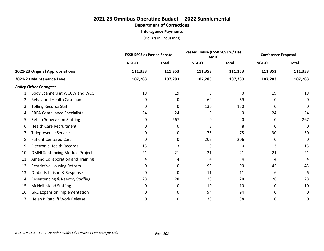## **2021-23 Omnibus Operating Budget -- 2022 Supplemental Department of Corrections Interagency Payments**

|                                                   | <b>ESSB 5693 as Passed Senate</b> |              | Passed House (ESSB 5693 w/ Hse<br>AMD) |              | <b>Conference Proposal</b> |              |
|---------------------------------------------------|-----------------------------------|--------------|----------------------------------------|--------------|----------------------------|--------------|
|                                                   | NGF-O                             | <b>Total</b> | NGF-O                                  | <b>Total</b> | NGF-O                      | <b>Total</b> |
| 2021-23 Original Appropriations                   | 111,353                           | 111,353      | 111,353                                | 111,353      | 111,353                    | 111,353      |
| 2021-23 Maintenance Level                         | 107,283                           | 107,283      | 107,283                                | 107,283      | 107,283                    | 107,283      |
| <b>Policy Other Changes:</b>                      |                                   |              |                                        |              |                            |              |
| Body Scanners at WCCW and WCC                     | 19                                | 19           | 0                                      | 0            | 19                         | 19           |
| <b>Behavioral Health Caseload</b><br>2.           | 0                                 | 0            | 69                                     | 69           | 0                          | 0            |
| <b>Tolling Records Staff</b><br>3.                | 0                                 | 0            | 130                                    | 130          | 0                          | 0            |
| <b>PREA Compliance Specialists</b><br>4.          | 24                                | 24           | 0                                      | 0            | 24                         | 24           |
| <b>Retain Supervision Staffing</b><br>5.          | 0                                 | 267          | 0                                      | 0            | 0                          | 267          |
| <b>Health Care Recruitment</b><br>6.              | 0                                 | 0            | 8                                      | 8            | 0                          | 0            |
| Telepresence Services<br>7.                       | 0                                 | 0            | 75                                     | 75           | 30                         | 30           |
| <b>Patient Centered Care</b><br>8.                | 0                                 | $\Omega$     | 206                                    | 206          | 0                          | 0            |
| <b>Electronic Health Records</b><br>9.            | 13                                | 13           | 0                                      | 0            | 13                         | 13           |
| <b>OMNI Sentencing Module Project</b><br>10.      | 21                                | 21           | 21                                     | 21           | 21                         | 21           |
| Amend Collaboration and Training<br>11.           | 4                                 | 4            | 4                                      | 4            | 4                          | 4            |
| 12.<br><b>Restrictive Housing Reform</b>          | 0                                 | 0            | 90                                     | 90           | 45                         | 45           |
| Ombuds Liaison & Response<br>13.                  | 0                                 | 0            | 11                                     | 11           | 6                          | 6            |
| <b>Resentencing &amp; Reentry Staffing</b><br>14. | 28                                | 28           | 28                                     | 28           | 28                         | 28           |
| <b>McNeil Island Staffing</b><br>15.              | 0                                 | 0            | 10                                     | 10           | 10                         | 10           |
| <b>GRE Expansion Implementation</b><br>16.        | 0                                 | 0            | 94                                     | 94           | 0                          | 0            |
| <b>Helen B Ratcliff Work Release</b><br>17.       | 0                                 | 0            | 38                                     | 38           | 0                          | 0            |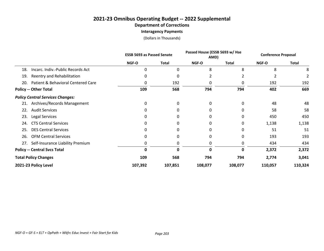**Interagency Payments**

|                                           |         | <b>ESSB 5693 as Passed Senate</b> |         | Passed House (ESSB 5693 w/ Hse<br>AMD) |         | <b>Conference Proposal</b> |  |
|-------------------------------------------|---------|-----------------------------------|---------|----------------------------------------|---------|----------------------------|--|
|                                           | NGF-O   | <b>Total</b>                      | NGF-O   | <b>Total</b>                           | NGF-O   | <b>Total</b>               |  |
| Incarc. Indiv.-Public Records Act<br>18.  | 0       | 0                                 | 8       | 8                                      | 8       | 8                          |  |
| Reentry and Rehabilitation<br>19.         | 0       | 0                                 | 2       |                                        |         |                            |  |
| Patient & Behavioral Centered Care<br>20. |         | 192                               | 0       | 0                                      | 192     | 192                        |  |
| <b>Policy -- Other Total</b>              | 109     | 568                               | 794     | 794                                    | 402     | 669                        |  |
| <b>Policy Central Services Changes:</b>   |         |                                   |         |                                        |         |                            |  |
| 21. Archives/Records Management           | 0       | 0                                 | 0       | 0                                      | 48      | 48                         |  |
| <b>Audit Services</b><br>22.              | 0       | $\Omega$                          | 0       | 0                                      | 58      | 58                         |  |
| Legal Services<br>23.                     | 0       | 0                                 | 0       | 0                                      | 450     | 450                        |  |
| <b>CTS Central Services</b><br>24.        | 0       | U                                 | 0       | 0                                      | 1,138   | 1,138                      |  |
| <b>DES Central Services</b><br>25.        |         |                                   |         | 0                                      | 51      | 51                         |  |
| <b>OFM Central Services</b><br>26.        | 0       | <sup>0</sup>                      |         | 0                                      | 193     | 193                        |  |
| Self-Insurance Liability Premium<br>27.   |         |                                   | 0       | 0                                      | 434     | 434                        |  |
| <b>Policy -- Central Svcs Total</b>       |         | 0                                 | 0       | 0                                      | 2,372   | 2,372                      |  |
| <b>Total Policy Changes</b>               | 109     | 568                               | 794     | 794                                    | 2,774   | 3,041                      |  |
| 2021-23 Policy Level                      | 107,392 | 107,851                           | 108,077 | 108,077                                | 110,057 | 110,324                    |  |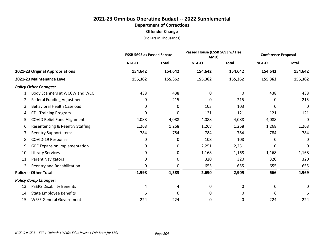|                                           |          | <b>ESSB 5693 as Passed Senate</b> |          | Passed House (ESSB 5693 w/ Hse<br>AMD) |          | <b>Conference Proposal</b> |
|-------------------------------------------|----------|-----------------------------------|----------|----------------------------------------|----------|----------------------------|
|                                           | NGF-O    | <b>Total</b>                      | NGF-O    | <b>Total</b>                           | NGF-O    | <b>Total</b>               |
| 2021-23 Original Appropriations           | 154,642  | 154,642                           | 154,642  | 154,642                                | 154,642  | 154,642                    |
| 2021-23 Maintenance Level                 | 155,362  | 155,362                           | 155,362  | 155,362                                | 155,362  | 155,362                    |
| <b>Policy Other Changes:</b>              |          |                                   |          |                                        |          |                            |
| Body Scanners at WCCW and WCC<br>1.       | 438      | 438                               | 0        | 0                                      | 438      | 438                        |
| Federal Funding Adjustment<br>2.          | 0        | 215                               | 0        | 215                                    | 0        | 215                        |
| <b>Behavioral Health Caseload</b><br>3.   | 0        | 0                                 | 103      | 103                                    | 0        | 0                          |
| <b>CDL Training Program</b><br>4.         | 0        | 0                                 | 121      | 121                                    | 121      | 121                        |
| COVID Relief Fund Alignment<br>5.         | $-4,088$ | $-4,088$                          | $-4,088$ | $-4,088$                               | $-4,088$ | 0                          |
| Resentencing & Reentry Staffing<br>6.     | 1,268    | 1,268                             | 1,268    | 1,268                                  | 1,268    | 1,268                      |
| <b>Reentry Support Items</b><br>7.        | 784      | 784                               | 784      | 784                                    | 784      | 784                        |
| COVID-19 Response<br>8.                   | 0        | 0                                 | 108      | 108                                    | 0        | $\mathbf 0$                |
| <b>GRE Expansion Implementation</b><br>9. | 0        | 0                                 | 2,251    | 2,251                                  | 0        | 0                          |
| <b>Library Services</b><br>10.            | 0        | 0                                 | 1,168    | 1,168                                  | 1,168    | 1,168                      |
| <b>Parent Navigators</b><br>11.           | 0        | 0                                 | 320      | 320                                    | 320      | 320                        |
| Reentry and Rehabilitation<br>12.         | 0        | 0                                 | 655      | 655                                    | 655      | 655                        |
| <b>Policy -- Other Total</b>              | $-1,598$ | $-1,383$                          | 2,690    | 2,905                                  | 666      | 4,969                      |
| <b>Policy Comp Changes:</b>               |          |                                   |          |                                        |          |                            |
| <b>PSERS Disability Benefits</b><br>13.   | 4        | 4                                 | 0        | 0                                      | 0        | 0                          |
| <b>State Employee Benefits</b><br>14.     | 6        | 6                                 | 0        | 0                                      | 6        | 6                          |
| <b>WFSE General Government</b><br>15.     | 224      | 224                               | 0        | 0                                      | 224      | 224                        |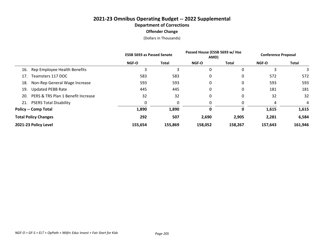|     |                                    | <b>ESSB 5693 as Passed Senate</b> |         | Passed House (ESSB 5693 w/ Hse<br>AMD) |              | <b>Conference Proposal</b> |              |
|-----|------------------------------------|-----------------------------------|---------|----------------------------------------|--------------|----------------------------|--------------|
|     |                                    | <b>NGF-O</b>                      | Total   | <b>NGF-O</b>                           | <b>Total</b> | <b>NGF-O</b>               | <b>Total</b> |
| 16. | Rep Employee Health Benefits       |                                   | 3       | 0                                      |              | 3                          | 3            |
| 17. | Teamsters 117 DOC                  | 583                               | 583     | 0                                      | 0            | 572                        | 572          |
| 18. | Non-Rep General Wage Increase      | 593                               | 593     | 0                                      |              | 593                        | 593          |
| 19. | <b>Updated PEBB Rate</b>           | 445                               | 445     | 0                                      | 0            | 181                        | 181          |
| 20. | PERS & TRS Plan 1 Benefit Increase | 32                                | 32      | 0                                      | 0            | 32                         | 32           |
|     | 21. PSERS Total Disability         | 0                                 | 0       | 0                                      |              | 4                          | 4            |
|     | <b>Policy -- Comp Total</b>        | 1,890                             | 1,890   | 0                                      |              | 1,615                      | 1,615        |
|     | <b>Total Policy Changes</b>        | 292                               | 507     | 2,690                                  | 2,905        | 2,281                      | 6,584        |
|     | 2021-23 Policy Level               | 155,654                           | 155,869 | 158,052                                | 158,267      | 157,643                    | 161,946      |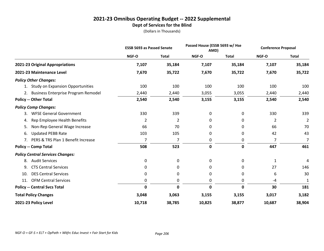## **2021-23 Omnibus Operating Budget -- 2022 Supplemental Dept of Services for the Blind**

|                                         | <b>ESSB 5693 as Passed Senate</b> |              | Passed House (ESSB 5693 w/ Hse<br>AMD) |              | <b>Conference Proposal</b> |                |
|-----------------------------------------|-----------------------------------|--------------|----------------------------------------|--------------|----------------------------|----------------|
|                                         | NGF-O                             | <b>Total</b> | NGF-O                                  | <b>Total</b> | NGF-O                      | <b>Total</b>   |
| 2021-23 Original Appropriations         | 7,107                             | 35,184       | 7,107                                  | 35,184       | 7,107                      | 35,184         |
| 2021-23 Maintenance Level               | 7,670                             | 35,722       | 7,670                                  | 35,722       | 7,670                      | 35,722         |
| <b>Policy Other Changes:</b>            |                                   |              |                                        |              |                            |                |
| 1. Study on Expansion Opportunities     | 100                               | 100          | 100                                    | 100          | 100                        | 100            |
| 2. Business Enterprise Program Remodel  | 2,440                             | 2,440        | 3,055                                  | 3,055        | 2,440                      | 2,440          |
| <b>Policy -- Other Total</b>            | 2,540                             | 2,540        | 3,155                                  | 3,155        | 2,540                      | 2,540          |
| <b>Policy Comp Changes:</b>             |                                   |              |                                        |              |                            |                |
| <b>WFSE General Government</b><br>3.    | 330                               | 339          | 0                                      | 0            | 330                        | 339            |
| Rep Employee Health Benefits<br>4.      | 2                                 | 2            | 0                                      | 0            | 2                          | $\overline{2}$ |
| Non-Rep General Wage Increase<br>5.     | 66                                | 70           | 0                                      | 0            | 66                         | 70             |
| <b>Updated PEBB Rate</b><br>6.          | 103                               | 105          | 0                                      | 0            | 42                         | 43             |
| 7. PERS & TRS Plan 1 Benefit Increase   | $\overline{7}$                    | 7            | 0                                      | 0            | 7                          | 7              |
| <b>Policy -- Comp Total</b>             | 508                               | 523          | $\mathbf 0$                            | $\mathbf 0$  | 447                        | 461            |
| <b>Policy Central Services Changes:</b> |                                   |              |                                        |              |                            |                |
| <b>Audit Services</b><br>8.             | 0                                 | 0            | 0                                      | 0            | 1                          | 4              |
| <b>CTS Central Services</b><br>9.       | 0                                 | 0            | 0                                      | 0            | 27                         | 146            |
| <b>DES Central Services</b><br>10.      | 0                                 | 0            | 0                                      | 0            | 6                          | 30             |
| 11. OFM Central Services                | 0                                 | 0            | 0                                      | 0            | $-4$                       | 1              |
| <b>Policy -- Central Svcs Total</b>     | 0                                 | 0            | 0                                      | 0            | 30                         | 181            |
| <b>Total Policy Changes</b>             | 3,048                             | 3,063        | 3,155                                  | 3,155        | 3,017                      | 3,182          |
| 2021-23 Policy Level                    | 10,718                            | 38,785       | 10,825                                 | 38,877       | 10,687                     | 38,904         |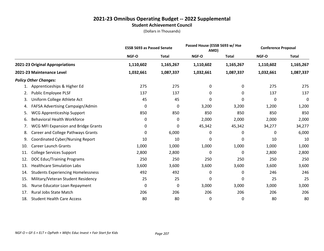#### **2021-23 Omnibus Operating Budget -- 2022 Supplemental Student Achievement Council**

|     |                                           | <b>ESSB 5693 as Passed Senate</b> |              | Passed House (ESSB 5693 w/ Hse<br>AMD) |              | <b>Conference Proposal</b> |              |
|-----|-------------------------------------------|-----------------------------------|--------------|----------------------------------------|--------------|----------------------------|--------------|
|     |                                           | NGF-O                             | <b>Total</b> | NGF-O                                  | <b>Total</b> | NGF-O                      | <b>Total</b> |
|     | 2021-23 Original Appropriations           | 1,110,602                         | 1,165,267    | 1,110,602                              | 1,165,267    | 1,110,602                  | 1,165,267    |
|     | 2021-23 Maintenance Level                 | 1,032,661                         | 1,087,337    | 1,032,661                              | 1,087,337    | 1,032,661                  | 1,087,337    |
|     | <b>Policy Other Changes:</b>              |                                   |              |                                        |              |                            |              |
| 1.  | Apprenticeships & Higher Ed               | 275                               | 275          | 0                                      | 0            | 275                        | 275          |
| 2.  | Public Employee PLSF                      | 137                               | 137          | 0                                      | 0            | 137                        | 137          |
| 3.  | Uniform College Athlete Act               | 45                                | 45           | 0                                      | 0            | 0                          | 0            |
| 4.  | FAFSA Advertising Campaign/Admin          | 0                                 | 0            | 3,200                                  | 3,200        | 1,200                      | 1,200        |
| 5.  | <b>WCG Apprenticeship Support</b>         | 850                               | 850          | 850                                    | 850          | 850                        | 850          |
| 6.  | <b>Behavioral Health Workforce</b>        | 0                                 | 0            | 2,000                                  | 2,000        | 2,000                      | 2,000        |
| 7.  | WCG MFI Expansion and Bridge Grants       | 0                                 | 0            | 45,342                                 | 45,342       | 34,277                     | 34,277       |
| 8.  | Career and College Pathways Grants        | 0                                 | 6,000        | 0                                      | 0            | 0                          | 6,000        |
| 9.  | <b>Coordinated Cyber/Nursing Report</b>   | 10                                | 10           | 0                                      | 0            | 10                         | 10           |
| 10. | <b>Career Launch Grants</b>               | 1,000                             | 1,000        | 1,000                                  | 1,000        | 1,000                      | 1,000        |
| 11. | <b>College Services Support</b>           | 2,800                             | 2,800        | 0                                      | 0            | 2,800                      | 2,800        |
| 12. | <b>DOC Educ/Training Programs</b>         | 250                               | 250          | 250                                    | 250          | 250                        | 250          |
| 13. | <b>Healthcare Simulation Labs</b>         | 3,600                             | 3,600        | 3,600                                  | 3,600        | 3,600                      | 3,600        |
| 14. | <b>Students Experiencing Homelessness</b> | 492                               | 492          | 0                                      | 0            | 246                        | 246          |
| 15. | Military/Veteran Student Residency        | 25                                | 25           | 0                                      | 0            | 25                         | 25           |
| 16. | Nurse Educator Loan Repayment             | 0                                 | 0            | 3,000                                  | 3,000        | 3,000                      | 3,000        |
| 17. | Rural Jobs State Match                    | 206                               | 206          | 206                                    | 206          | 206                        | 206          |
| 18. | <b>Student Health Care Access</b>         | 80                                | 80           | 0                                      | 0            | 80                         | 80           |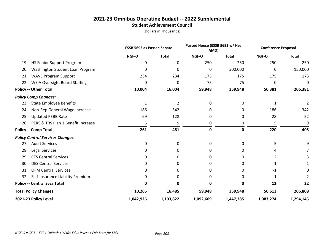#### **2021-23 Omnibus Operating Budget -- 2022 Supplemental Student Achievement Council**

|                                             |           | <b>ESSB 5693 as Passed Senate</b> |           | Passed House (ESSB 5693 w/ Hse<br>AMD) |           | <b>Conference Proposal</b> |
|---------------------------------------------|-----------|-----------------------------------|-----------|----------------------------------------|-----------|----------------------------|
|                                             | NGF-O     | <b>Total</b>                      | NGF-O     | <b>Total</b>                           | NGF-O     | <b>Total</b>               |
| <b>HS Senior Support Program</b><br>19.     | 0         | 0                                 | 250       | 250                                    | 250       | 250                        |
| Washington Student Loan Program<br>20.      | 0         | 0                                 | 0         | 300,000                                | 0         | 150,000                    |
| <b>WAVE Program Support</b><br>21.          | 234       | 234                               | 175       | 175                                    | 175       | 175                        |
| <b>WEIA Oversight Board Staffing</b><br>22. | 0         | 0                                 | 75        | 75                                     | 0         | 0                          |
| <b>Policy -- Other Total</b>                | 10,004    | 16,004                            | 59,948    | 359,948                                | 50,381    | 206,381                    |
| <b>Policy Comp Changes:</b>                 |           |                                   |           |                                        |           |                            |
| <b>State Employee Benefits</b><br>23.       | 1         | 2                                 | 0         | 0                                      | 1         |                            |
| Non-Rep General Wage Increase<br>24.        | 186       | 342                               | 0         | 0                                      | 186       | 342                        |
| <b>Updated PEBB Rate</b><br>25.             | 69        | 128                               | 0         | 0                                      | 28        | 52                         |
| PERS & TRS Plan 1 Benefit Increase<br>26.   | 5         | 9                                 | 0         | 0                                      | 5         | 9                          |
| <b>Policy -- Comp Total</b>                 | 261       | 481                               | 0         | 0                                      | 220       | 405                        |
| <b>Policy Central Services Changes:</b>     |           |                                   |           |                                        |           |                            |
| <b>Audit Services</b><br>27.                | 0         | 0                                 | 0         | 0                                      | 5         | 9                          |
| Legal Services<br>28.                       | 0         | 0                                 | 0         | 0                                      | 4         |                            |
| <b>CTS Central Services</b><br>29.          | 0         | 0                                 | 0         | 0                                      | 2         |                            |
| <b>DES Central Services</b><br>30.          | 0         | 0                                 | 0         | 0                                      |           |                            |
| <b>OFM Central Services</b><br>31.          | 0         | 0                                 | 0         | 0                                      | -1        | 0                          |
| Self-Insurance Liability Premium<br>32.     | 0         | 0                                 | 0         | 0                                      | 1         |                            |
| <b>Policy -- Central Svcs Total</b>         | 0         | 0                                 | 0         | 0                                      | 12        | 22                         |
| <b>Total Policy Changes</b>                 | 10,265    | 16,485                            | 59,948    | 359,948                                | 50,613    | 206,808                    |
| 2021-23 Policy Level                        | 1,042,926 | 1,103,822                         | 1,092,609 | 1,447,285                              | 1,083,274 | 1,294,145                  |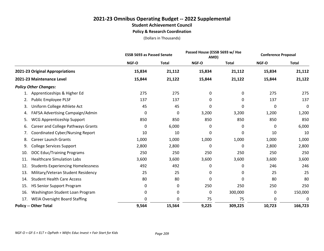## **2021-23 Omnibus Operating Budget -- 2022 Supplemental Student Achievement Council Policy & Research Coordination**

|                                                  | <b>ESSB 5693 as Passed Senate</b> |              |          | Passed House (ESSB 5693 w/ Hse<br>AMD) |        | <b>Conference Proposal</b> |
|--------------------------------------------------|-----------------------------------|--------------|----------|----------------------------------------|--------|----------------------------|
|                                                  | NGF-O                             | <b>Total</b> | NGF-O    | <b>Total</b>                           | NGF-O  | <b>Total</b>               |
| 2021-23 Original Appropriations                  | 15,834                            | 21,112       | 15,834   | 21,112                                 | 15,834 | 21,112                     |
| 2021-23 Maintenance Level                        | 15,844                            | 21,122       | 15,844   | 21,122                                 | 15,844 | 21,122                     |
| <b>Policy Other Changes:</b>                     |                                   |              |          |                                        |        |                            |
| Apprenticeships & Higher Ed                      | 275                               | 275          | $\Omega$ | 0                                      | 275    | 275                        |
| Public Employee PLSF<br>2.                       | 137                               | 137          | 0        | 0                                      | 137    | 137                        |
| Uniform College Athlete Act<br>3.                | 45                                | 45           | 0        | 0                                      | 0      | 0                          |
| FAFSA Advertising Campaign/Admin<br>4.           | 0                                 | 0            | 3,200    | 3,200                                  | 1,200  | 1,200                      |
| <b>WCG Apprenticeship Support</b><br>5.          | 850                               | 850          | 850      | 850                                    | 850    | 850                        |
| Career and College Pathways Grants<br>6.         | 0                                 | 6,000        | 0        | 0                                      | 0      | 6,000                      |
| Coordinated Cyber/Nursing Report<br>7.           | 10                                | 10           | 0        | 0                                      | 10     | 10                         |
| <b>Career Launch Grants</b><br>8.                | 1,000                             | 1,000        | 1,000    | 1,000                                  | 1,000  | 1,000                      |
| <b>College Services Support</b><br>9.            | 2,800                             | 2,800        | 0        | 0                                      | 2,800  | 2,800                      |
| <b>DOC Educ/Training Programs</b><br>10.         | 250                               | 250          | 250      | 250                                    | 250    | 250                        |
| <b>Healthcare Simulation Labs</b><br>11.         | 3,600                             | 3,600        | 3,600    | 3,600                                  | 3,600  | 3,600                      |
| <b>Students Experiencing Homelessness</b><br>12. | 492                               | 492          | 0        | 0                                      | 246    | 246                        |
| Military/Veteran Student Residency<br>13.        | 25                                | 25           | 0        | 0                                      | 25     | 25                         |
| <b>Student Health Care Access</b><br>14.         | 80                                | 80           | 0        | 0                                      | 80     | 80                         |
| <b>HS Senior Support Program</b><br>15.          | 0                                 | 0            | 250      | 250                                    | 250    | 250                        |
| 16.<br>Washington Student Loan Program           | 0                                 | 0            | 0        | 300,000                                | 0      | 150,000                    |
| <b>WEIA Oversight Board Staffing</b><br>17.      | 0                                 | 0            | 75       | 75                                     | 0      | 0                          |
| <b>Policy -- Other Total</b>                     | 9,564                             | 15,564       | 9,225    | 309,225                                | 10,723 | 166,723                    |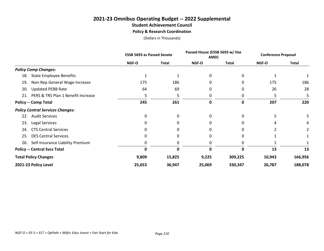# **2021-23 Omnibus Operating Budget -- 2022 Supplemental Student Achievement Council**

**Policy & Research Coordination**

|                                           | <b>ESSB 5693 as Passed Senate</b> |              | Passed House (ESSB 5693 w/ Hse<br>AMD) |              | <b>Conference Proposal</b> |              |
|-------------------------------------------|-----------------------------------|--------------|----------------------------------------|--------------|----------------------------|--------------|
|                                           | NGF-O                             | <b>Total</b> | NGF-O                                  | <b>Total</b> | NGF-O                      | <b>Total</b> |
| <b>Policy Comp Changes:</b>               |                                   |              |                                        |              |                            |              |
| <b>State Employee Benefits</b><br>18.     |                                   |              |                                        | 0            |                            |              |
| Non-Rep General Wage Increase<br>19.      | 175                               | 186          |                                        | 0            | 175                        | 186          |
| <b>Updated PEBB Rate</b><br>20.           | 64                                | 69           |                                        | 0            | 26                         | 28           |
| PERS & TRS Plan 1 Benefit Increase<br>21. | 5                                 | 5            |                                        | 0            | 5                          |              |
| <b>Policy -- Comp Total</b>               | 245                               | 261          | 0                                      | 0            | 207                        | 220          |
| <b>Policy Central Services Changes:</b>   |                                   |              |                                        |              |                            |              |
| <b>Audit Services</b><br>22.              | $\Omega$                          | 0            |                                        | 0            |                            |              |
| Legal Services<br>23.                     | 0                                 | O            |                                        | 0            | 4                          |              |
| <b>CTS Central Services</b><br>24.        | U                                 |              |                                        | 0            |                            |              |
| <b>DES Central Services</b><br>25.        | O                                 | O            |                                        | 0            |                            |              |
| Self-Insurance Liability Premium<br>26.   | 0                                 | 0            |                                        | 0            |                            |              |
| <b>Policy -- Central Svcs Total</b>       | O                                 | O            |                                        | 0            | 13                         | 13           |
| <b>Total Policy Changes</b>               | 9,809                             | 15,825       | 9,225                                  | 309,225      | 10,943                     | 166,956      |
| 2021-23 Policy Level                      | 25,653                            | 36,947       | 25,069                                 | 330,347      | 26,787                     | 188,078      |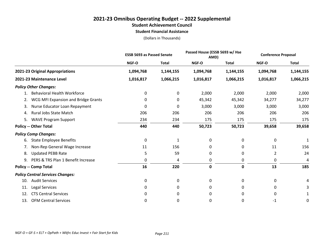#### **2021-23 Omnibus Operating Budget -- 2022 Supplemental Student Achievement Council**

**Student Financial Assistance**

|                                           |             | <b>ESSB 5693 as Passed Senate</b> |              | Passed House (ESSB 5693 w/ Hse<br>AMD) |           | <b>Conference Proposal</b> |
|-------------------------------------------|-------------|-----------------------------------|--------------|----------------------------------------|-----------|----------------------------|
|                                           | NGF-O       | <b>Total</b>                      | <b>NGF-O</b> | <b>Total</b>                           | NGF-O     | <b>Total</b>               |
| 2021-23 Original Appropriations           | 1,094,768   | 1,144,155                         | 1,094,768    | 1,144,155                              | 1,094,768 | 1,144,155                  |
| 2021-23 Maintenance Level                 | 1,016,817   | 1,066,215                         | 1,016,817    | 1,066,215                              | 1,016,817 | 1,066,215                  |
| <b>Policy Other Changes:</b>              |             |                                   |              |                                        |           |                            |
| <b>Behavioral Health Workforce</b>        | 0           | 0                                 | 2,000        | 2,000                                  | 2,000     | 2,000                      |
| WCG MFI Expansion and Bridge Grants<br>2. | 0           | 0                                 | 45,342       | 45,342                                 | 34,277    | 34,277                     |
| Nurse Educator Loan Repayment<br>3.       | 0           | 0                                 | 3,000        | 3,000                                  | 3,000     | 3,000                      |
| Rural Jobs State Match<br>4.              | 206         | 206                               | 206          | 206                                    | 206       | 206                        |
| <b>WAVE Program Support</b><br>5.         | 234         | 234                               | 175          | 175                                    | 175       | 175                        |
| <b>Policy -- Other Total</b>              | 440         | 440                               | 50,723       | 50,723                                 | 39,658    | 39,658                     |
| <b>Policy Comp Changes:</b>               |             |                                   |              |                                        |           |                            |
| <b>State Employee Benefits</b><br>6.      | $\mathbf 0$ | $\mathbf{1}$                      | 0            | 0                                      | 0         | 1                          |
| Non-Rep General Wage Increase<br>7.       | 11          | 156                               | 0            | 0                                      | 11        | 156                        |
| <b>Updated PEBB Rate</b><br>8.            | 5           | 59                                | 0            | 0                                      | 2         | 24                         |
| PERS & TRS Plan 1 Benefit Increase<br>9.  | 0           | 4                                 | 0            | 0                                      | 0         | 4                          |
| <b>Policy -- Comp Total</b>               | 16          | 220                               | $\mathbf 0$  | 0                                      | 13        | 185                        |
| <b>Policy Central Services Changes:</b>   |             |                                   |              |                                        |           |                            |
| <b>Audit Services</b><br>10.              | 0           | 0                                 | 0            | 0                                      | 0         | 4                          |
| <b>Legal Services</b><br>11.              | 0           | 0                                 | 0            | 0                                      | 0         |                            |
| <b>CTS Central Services</b><br>12.        | 0           | 0                                 | 0            | 0                                      | 0         |                            |
| <b>OFM Central Services</b><br>13.        | 0           | 0                                 | 0            | 0                                      | $-1$      | 0                          |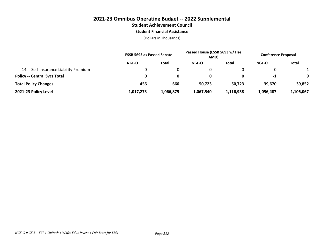#### **2021-23 Omnibus Operating Budget -- 2022 Supplemental Student Achievement Council Student Financial Assistance**

|                                         | <b>ESSB 5693 as Passed Senate</b> |              | Passed House (ESSB 5693 w/ Hse<br>AMD) |              | <b>Conference Proposal</b> |              |
|-----------------------------------------|-----------------------------------|--------------|----------------------------------------|--------------|----------------------------|--------------|
|                                         | NGF-O                             | <b>Total</b> | NGF-O                                  | <b>Total</b> | NGF-O                      | <b>Total</b> |
| Self-Insurance Liability Premium<br>14. |                                   |              |                                        |              |                            |              |
| <b>Policy -- Central Svcs Total</b>     |                                   | 0            | 0                                      | 0            | $-1$                       | $\Omega$     |
| <b>Total Policy Changes</b>             | 456                               | 660          | 50,723                                 | 50.723       | 39.670                     | 39,852       |
| 2021-23 Policy Level                    | 1,017,273                         | 1,066,875    | 1,067,540                              | 1,116,938    | 1,056,487                  | 1,106,067    |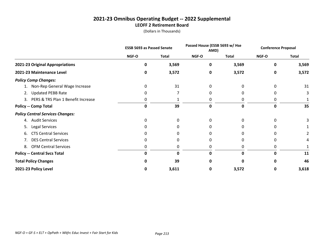## **2021-23 Omnibus Operating Budget -- 2022 Supplemental LEOFF 2 Retirement Board**

|                                         | <b>ESSB 5693 as Passed Senate</b> |              | Passed House (ESSB 5693 w/ Hse<br>AMD) |              | <b>Conference Proposal</b> |              |
|-----------------------------------------|-----------------------------------|--------------|----------------------------------------|--------------|----------------------------|--------------|
|                                         | NGF-O                             | <b>Total</b> | NGF-O                                  | <b>Total</b> | NGF-O                      | <b>Total</b> |
| 2021-23 Original Appropriations         | 0                                 | 3,569        | 0                                      | 3,569        | Ω                          | 3,569        |
| 2021-23 Maintenance Level               | 0                                 | 3,572        | 0                                      | 3,572        | 0                          | 3,572        |
| <b>Policy Comp Changes:</b>             |                                   |              |                                        |              |                            |              |
| Non-Rep General Wage Increase           | 0                                 | 31           | 0                                      |              |                            | 31           |
| <b>Updated PEBB Rate</b><br>2.          | 0                                 |              |                                        |              |                            |              |
| 3. PERS & TRS Plan 1 Benefit Increase   | 0                                 |              | 0                                      |              |                            |              |
| <b>Policy -- Comp Total</b>             | 0                                 | 39           | $\mathbf 0$                            | 0            | 0                          | 35           |
| <b>Policy Central Services Changes:</b> |                                   |              |                                        |              |                            |              |
| <b>Audit Services</b><br>4.             | 0                                 | 0            | 0                                      | 0            | 0                          |              |
| Legal Services<br>5.                    | 0                                 |              |                                        |              |                            |              |
| <b>CTS Central Services</b><br>6.       | 0                                 | O            | 0                                      |              |                            |              |
| <b>DES Central Services</b><br>7.       | 0                                 | 0            | 0                                      |              |                            |              |
| <b>OFM Central Services</b><br>8.       | 0                                 | 0            | 0                                      | 0            |                            |              |
| <b>Policy -- Central Svcs Total</b>     | 0                                 | 0            | 0                                      | 0            | Ω                          | 11           |
| <b>Total Policy Changes</b>             | n                                 | 39           |                                        | o            |                            | 46           |
| 2021-23 Policy Level                    | 0                                 | 3,611        | 0                                      | 3,572        | 0                          | 3,618        |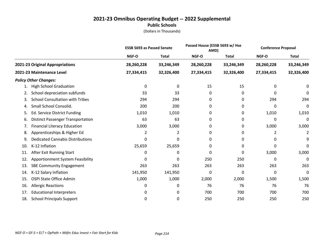## **2021-23 Omnibus Operating Budget -- 2022 Supplemental Public Schools**

|     |                                          | <b>ESSB 5693 as Passed Senate</b> |              | Passed House (ESSB 5693 w/ Hse<br>AMD) |              | <b>Conference Proposal</b> |                |
|-----|------------------------------------------|-----------------------------------|--------------|----------------------------------------|--------------|----------------------------|----------------|
|     |                                          | NGF-O                             | <b>Total</b> | <b>NGF-O</b>                           | <b>Total</b> | NGF-O                      | <b>Total</b>   |
|     | 2021-23 Original Appropriations          | 28,260,228                        | 33,246,349   | 28,260,228                             | 33,246,349   | 28,260,228                 | 33,246,349     |
|     | 2021-23 Maintenance Level                | 27,334,415                        | 32,326,400   | 27,334,415                             | 32,326,400   | 27,334,415                 | 32,326,400     |
|     | <b>Policy Other Changes:</b>             |                                   |              |                                        |              |                            |                |
| 1.  | <b>High School Graduation</b>            | 0                                 | 0            | 15                                     | 15           | 0                          | 0              |
| 2.  | School depreciation subfunds             | 33                                | 33           | 0                                      | 0            | 0                          | 0              |
| 3.  | <b>School Consultation with Tribes</b>   | 294                               | 294          | 0                                      | 0            | 294                        | 294            |
| 4.  | Small School Consolid.                   | 200                               | 200          | 0                                      | 0            | 0                          | 0              |
| 5.  | Ed. Service District Funding             | 1,010                             | 1,010        | 0                                      | 0            | 1,010                      | 1,010          |
| 6.  | <b>Distinct Passenger Transportation</b> | 63                                | 63           | 0                                      | 0            | 0                          | 0              |
| 7.  | <b>Financial Literacy Education</b>      | 3,000                             | 3,000        | 0                                      | 0            | 3,000                      | 3,000          |
| 8.  | Apprenticeships & Higher Ed              | 2                                 | 2            | 0                                      | 0            | 2                          | $\overline{2}$ |
| 9.  | <b>Dedicated Cannabis Distributions</b>  | 0                                 | 0            | 0                                      | 0            | 0                          | 9              |
| 10. | K-12 Inflation                           | 25,659                            | 25,659       | 0                                      | 0            | 0                          | 0              |
| 11. | After Exit Running Start                 | 0                                 | 0            | 0                                      | 0            | 3,000                      | 3,000          |
| 12. | <b>Apportionment System Feasibility</b>  | 0                                 | 0            | 250                                    | 250          | 0                          | 0              |
| 13. | <b>SBE Community Engagement</b>          | 263                               | 263          | 263                                    | 263          | 263                        | 263            |
| 14. | K-12 Salary Inflation                    | 141,950                           | 141,950      | 0                                      | 0            | 0                          | 0              |
| 15. | OSPI State Office Admin                  | 1,000                             | 1,000        | 2,000                                  | 2,000        | 1,500                      | 1,500          |
| 16. | <b>Allergic Reactions</b>                | 0                                 | 0            | 76                                     | 76           | 76                         | 76             |
| 17. | <b>Educational Interpreters</b>          | 0                                 | 0            | 700                                    | 700          | 700                        | 700            |
| 18. | <b>School Principals Support</b>         | 0                                 | 0            | 250                                    | 250          | 250                        | 250            |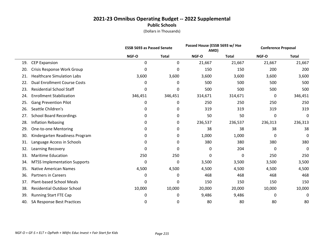# **2021-23 Omnibus Operating Budget -- 2022 Supplemental Public Schools**

|     |                                     | <b>ESSB 5693 as Passed Senate</b> |              | Passed House (ESSB 5693 w/ Hse<br>AMD) |              | <b>Conference Proposal</b> |              |
|-----|-------------------------------------|-----------------------------------|--------------|----------------------------------------|--------------|----------------------------|--------------|
|     |                                     | NGF-O                             | <b>Total</b> | NGF-O                                  | <b>Total</b> | NGF-O                      | <b>Total</b> |
| 19. | <b>CEP Expansion</b>                | 0                                 | 0            | 21,667                                 | 21,667       | 21,667                     | 21,667       |
| 20. | Crisis Response Work Group          | 0                                 | 0            | 150                                    | 150          | 200                        | 200          |
| 21. | <b>Healthcare Simulation Labs</b>   | 3,600                             | 3,600        | 3,600                                  | 3,600        | 3,600                      | 3,600        |
| 22. | <b>Dual Enrollment Course Costs</b> | 0                                 | 0            | 500                                    | 500          | 500                        | 500          |
| 23. | <b>Residential School Staff</b>     | 0                                 | 0            | 500                                    | 500          | 500                        | 500          |
| 24. | <b>Enrollment Stabilization</b>     | 346,451                           | 346,451      | 314,671                                | 314,671      | 0                          | 346,451      |
| 25. | <b>Gang Prevention Pilot</b>        | 0                                 | 0            | 250                                    | 250          | 250                        | 250          |
| 26. | Seattle Children's                  | 0                                 | 0            | 319                                    | 319          | 319                        | 319          |
| 27. | <b>School Board Recordings</b>      | 0                                 | 0            | 50                                     | 50           | 0                          | 0            |
| 28. | <b>Inflation Rebasing</b>           | 0                                 | 0            | 236,537                                | 236,537      | 236,313                    | 236,313      |
| 29. | One-to-one Mentoring                | 0                                 | 0            | 38                                     | 38           | 38                         | 38           |
| 30. | Kindergarten Readiness Program      | 0                                 | 0            | 1,000                                  | 1,000        | 0                          | 0            |
| 31. | Language Access in Schools          | 0                                 | $\mathbf 0$  | 380                                    | 380          | 380                        | 380          |
| 32. | Learning Recovery                   | 0                                 | 0            | 0                                      | 204          | 0                          | 0            |
| 33. | <b>Maritime Education</b>           | 250                               | 250          | 0                                      | 0            | 250                        | 250          |
| 34. | <b>MTSS Implementation Supports</b> | 0                                 | 0            | 3,500                                  | 3,500        | 3,500                      | 3,500        |
| 35. | <b>Native American Names</b>        | 4,500                             | 4,500        | 4,500                                  | 4,500        | 4,500                      | 4,500        |
| 36. | <b>Partners in Careers</b>          | 0                                 | 0            | 468                                    | 468          | 468                        | 468          |
| 37. | <b>Plant-based School Meals</b>     | 0                                 | 0            | 150                                    | 150          | 150                        | 150          |
| 38. | <b>Residential Outdoor School</b>   | 10,000                            | 10,000       | 20,000                                 | 20,000       | 10,000                     | 10,000       |
| 39. | <b>Running Start FTE Cap</b>        | 0                                 | 0            | 9,486                                  | 9,486        | 0                          | 0            |
| 40. | SA Response Best Practices          | 0                                 | 0            | 80                                     | 80           | 80                         | 80           |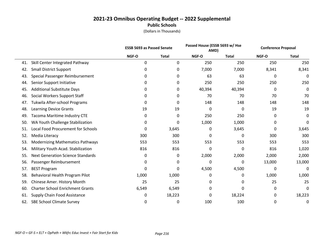|     |                                           | <b>ESSB 5693 as Passed Senate</b> |              | Passed House (ESSB 5693 w/ Hse<br>AMD) |              | <b>Conference Proposal</b> |              |
|-----|-------------------------------------------|-----------------------------------|--------------|----------------------------------------|--------------|----------------------------|--------------|
|     |                                           | NGF-O                             | <b>Total</b> | NGF-O                                  | <b>Total</b> | NGF-O                      | <b>Total</b> |
| 41. | Skill Center Integrated Pathway           | 0                                 | 0            | 250                                    | 250          | 250                        | 250          |
| 42. | <b>Small District Support</b>             | 0                                 | 0            | 7,000                                  | 7,000        | 8,341                      | 8,341        |
| 43. | Special Passenger Reimbursement           | 0                                 | 0            | 63                                     | 63           | 0                          | 0            |
| 44. | Senior Support Initiative                 | 0                                 | 0            | 250                                    | 250          | 250                        | 250          |
| 45. | <b>Additional Substitute Days</b>         | 0                                 | 0            | 40,394                                 | 40,394       | 0                          | 0            |
| 46. | Social Workers Support Staff              | 0                                 | 0            | 70                                     | 70           | 70                         | 70           |
| 47. | Tukwila After-school Programs             | 0                                 | 0            | 148                                    | 148          | 148                        | 148          |
| 48. | <b>Learning Device Grants</b>             | 19                                | 19           | 0                                      | $\mathbf{0}$ | 19                         | 19           |
| 49. | <b>Tacoma Maritime Industry CTE</b>       | 0                                 | 0            | 250                                    | 250          | 0                          | 0            |
| 50. | WA Youth Challenge Stabilization          | 0                                 | 0            | 1,000                                  | 1,000        | 0                          | 0            |
| 51. | <b>Local Food Procurement for Schools</b> | 0                                 | 3,645        | 0                                      | 3,645        | 0                          | 3,645        |
| 52. | Media Literacy                            | 300                               | 300          | 0                                      | 0            | 300                        | 300          |
| 53. | <b>Modernizing Mathematics Pathways</b>   | 553                               | 553          | 553                                    | 553          | 553                        | 553          |
| 54. | Military Youth Acad. Stabilization        | 816                               | 816          | 0                                      | $\mathbf{0}$ | 816                        | 1,020        |
| 55. | <b>Next Generation Science Standards</b>  | 0                                 | 0            | 2,000                                  | 2,000        | 2,000                      | 2,000        |
| 56. | Passenger Reimbursement                   | 0                                 | 0            | 0                                      | 0            | 13,000                     | 13,000       |
| 57. | <b>BEST Program</b>                       | 0                                 | 0            | 4,500                                  | 4,500        | 0                          | 0            |
| 58. | Behavioral Health Program Pilot           | 1,000                             | 1,000        | 0                                      | 0            | 1,000                      | 1,000        |
| 59. | Chinese Amer. History Month               | 25                                | 25           | 0                                      | 0            | 25                         | 25           |
| 60. | <b>Charter School Enrichment Grants</b>   | 6,549                             | 6,549        | 0                                      | 0            | 0                          | 0            |
| 61. | Supply Chain Food Assistance              | 0                                 | 18,223       | 0                                      | 18,224       | 0                          | 18,223       |
| 62. | <b>SBE School Climate Survey</b>          | 0                                 | 0            | 100                                    | 100          | 0                          | 0            |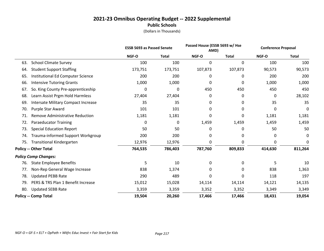|     |                                        | <b>ESSB 5693 as Passed Senate</b> |              | Passed House (ESSB 5693 w/ Hse<br>AMD) |              | <b>Conference Proposal</b> |              |
|-----|----------------------------------------|-----------------------------------|--------------|----------------------------------------|--------------|----------------------------|--------------|
|     |                                        | NGF-O                             | <b>Total</b> | NGF-O                                  | <b>Total</b> | NGF-O                      | <b>Total</b> |
| 63. | <b>School Climate Survey</b>           | 100                               | 100          | 0                                      | 0            | 100                        | 100          |
| 64. | <b>Student Support Staffing</b>        | 173,751                           | 173,751      | 107,873                                | 107,873      | 90,573                     | 90,573       |
| 65. | Institutional Ed Computer Science      | 200                               | 200          | 0                                      | 0            | 200                        | 200          |
| 66. | <b>Intensive Tutoring Grants</b>       | 1,000                             | 1,000        | 0                                      | 0            | 1,000                      | 1,000        |
| 67. | So. King County Pre-apprenticeship     | 0                                 | 0            | 450                                    | 450          | 450                        | 450          |
| 68. | Learn Assist Prgm Hold Harmless        | 27,404                            | 27,404       | 0                                      | 0            | 0                          | 28,102       |
| 69. | Intersate Military Compact Increase    | 35                                | 35           | 0                                      | 0            | 35                         | 35           |
| 70. | Purple Star Award                      | 101                               | 101          | 0                                      | 0            | 0                          | 0            |
| 71. | <b>Remove Administrative Reduction</b> | 1,181                             | 1,181        | 0                                      | 0            | 1,181                      | 1,181        |
| 72. | <b>Paraeducator Training</b>           | 0                                 | 0            | 1,459                                  | 1,459        | 1,459                      | 1,459        |
| 73. | <b>Special Education Report</b>        | 50                                | 50           | 0                                      | 0            | 50                         | 50           |
| 74. | Trauma-informed Support Workgroup      | 200                               | 200          | 0                                      | 0            | 0                          | 0            |
| 75. | <b>Transitional Kindergarten</b>       | 12,976                            | 12,976       | 0                                      | 0            | 0                          | 0            |
|     | <b>Policy -- Other Total</b>           | 764,535                           | 786,403      | 787,760                                | 809,833      | 414,630                    | 811,264      |
|     | <b>Policy Comp Changes:</b>            |                                   |              |                                        |              |                            |              |
| 76. | <b>State Employee Benefits</b>         | 5                                 | 10           | 0                                      | 0            | 5                          | 10           |
| 77. | Non-Rep General Wage Increase          | 838                               | 1,374        | 0                                      | 0            | 838                        | 1,363        |
| 78. | <b>Updated PEBB Rate</b>               | 290                               | 489          | 0                                      | 0            | 118                        | 197          |
| 79. | PERS & TRS Plan 1 Benefit Increase     | 15,012                            | 15,028       | 14,114                                 | 14,114       | 14,121                     | 14,135       |
| 80. | <b>Updated SEBB Rate</b>               | 3,359                             | 3,359        | 3,352                                  | 3,352        | 3,349                      | 3,349        |
|     | <b>Policy -- Comp Total</b>            | 19,504                            | 20,260       | 17,466                                 | 17,466       | 18,431                     | 19,054       |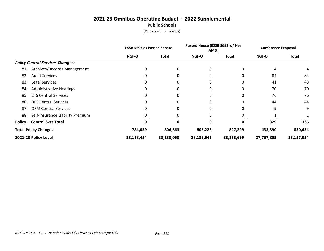|                                         |            | <b>ESSB 5693 as Passed Senate</b> |            | Passed House (ESSB 5693 w/ Hse<br>AMD) |              | <b>Conference Proposal</b> |
|-----------------------------------------|------------|-----------------------------------|------------|----------------------------------------|--------------|----------------------------|
|                                         | NGF-O      | <b>Total</b>                      | NGF-O      | <b>Total</b>                           | <b>NGF-O</b> | <b>Total</b>               |
| <b>Policy Central Services Changes:</b> |            |                                   |            |                                        |              |                            |
| Archives/Records Management<br>81.      | 0          | 0                                 | 0          |                                        | 4            | 4                          |
| <b>Audit Services</b><br>82.            | 0          | 0                                 | 0          |                                        | 84           | 84                         |
| 83.<br><b>Legal Services</b>            | 0          | 0                                 | 0          | 0                                      | 41           | 48                         |
| <b>Administrative Hearings</b><br>84.   | 0          | 0                                 | 0          |                                        | 70           | 70                         |
| <b>CTS Central Services</b><br>85.      | $\Omega$   | 0                                 | 0          | $\Omega$                               | 76           | 76                         |
| <b>DES Central Services</b><br>86.      | 0          | 0                                 |            |                                        | 44           | 44                         |
| <b>OFM Central Services</b><br>87.      | 0          | 0                                 | 0          |                                        | 9            | 9                          |
| Self-Insurance Liability Premium<br>88. | 0          | 0                                 | 0          |                                        |              |                            |
| <b>Policy -- Central Svcs Total</b>     | 0          | 0                                 | 0          | 0                                      | 329          | 336                        |
| <b>Total Policy Changes</b>             | 784,039    | 806,663                           | 805,226    | 827,299                                | 433,390      | 830,654                    |
| 2021-23 Policy Level                    | 28,118,454 | 33,133,063                        | 28,139,641 | 33,153,699                             | 27,767,805   | 33,157,054                 |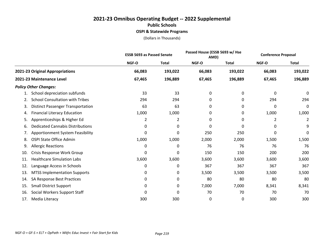## **2021-23 Omnibus Operating Budget -- 2022 Supplemental Public Schools OSPI & Statewide Programs**

|                                                |        | <b>ESSB 5693 as Passed Senate</b> |              | Passed House (ESSB 5693 w/ Hse<br>AMD) |        | <b>Conference Proposal</b> |
|------------------------------------------------|--------|-----------------------------------|--------------|----------------------------------------|--------|----------------------------|
|                                                | NGF-O  | <b>Total</b>                      | <b>NGF-O</b> | <b>Total</b>                           | NGF-O  | <b>Total</b>               |
| 2021-23 Original Appropriations                | 66,083 | 193,022                           | 66,083       | 193,022                                | 66,083 | 193,022                    |
| 2021-23 Maintenance Level                      | 67,465 | 196,889                           | 67,465       | 196,889                                | 67,465 | 196,889                    |
| <b>Policy Other Changes:</b>                   |        |                                   |              |                                        |        |                            |
| School depreciation subfunds<br>1.             | 33     | 33                                | 0            | 0                                      | 0      | 0                          |
| <b>School Consultation with Tribes</b><br>2.   | 294    | 294                               | 0            | 0                                      | 294    | 294                        |
| <b>Distinct Passenger Transportation</b><br>3. | 63     | 63                                | 0            | 0                                      | 0      | 0                          |
| <b>Financial Literacy Education</b><br>4.      | 1,000  | 1,000                             | 0            | 0                                      | 1,000  | 1,000                      |
| Apprenticeships & Higher Ed<br>5.              | 2      | 2                                 | 0            | 0                                      | 2      | 2                          |
| <b>Dedicated Cannabis Distributions</b><br>6.  | 0      | 0                                 | 0            | 0                                      | 0      | 9                          |
| <b>Apportionment System Feasibility</b><br>7.  | 0      | 0                                 | 250          | 250                                    | 0      | 0                          |
| OSPI State Office Admin<br>8.                  | 1,000  | 1,000                             | 2,000        | 2,000                                  | 1,500  | 1,500                      |
| <b>Allergic Reactions</b><br>9.                | 0      | 0                                 | 76           | 76                                     | 76     | 76                         |
| Crisis Response Work Group<br>10.              | 0      | 0                                 | 150          | 150                                    | 200    | 200                        |
| <b>Healthcare Simulation Labs</b><br>11.       | 3,600  | 3,600                             | 3,600        | 3,600                                  | 3,600  | 3,600                      |
| Language Access in Schools<br>12.              | 0      | 0                                 | 367          | 367                                    | 367    | 367                        |
| <b>MTSS Implementation Supports</b><br>13.     | 0      | 0                                 | 3,500        | 3,500                                  | 3,500  | 3,500                      |
| SA Response Best Practices<br>14.              | 0      | 0                                 | 80           | 80                                     | 80     | 80                         |
| <b>Small District Support</b><br>15.           | 0      | 0                                 | 7,000        | 7,000                                  | 8,341  | 8,341                      |
| Social Workers Support Staff<br>16.            | 0      | 0                                 | 70           | 70                                     | 70     | 70                         |
| Media Literacy<br>17.                          | 300    | 300                               | 0            | 0                                      | 300    | 300                        |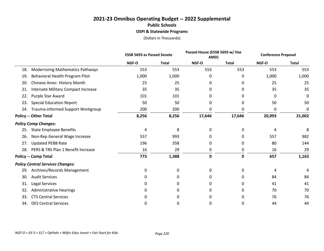## **2021-23 Omnibus Operating Budget -- 2022 Supplemental Public Schools OSPI & Statewide Programs**

|     |                                            | <b>ESSB 5693 as Passed Senate</b> |              |        | Passed House (ESSB 5693 w/ Hse<br>AMD) |        | <b>Conference Proposal</b> |
|-----|--------------------------------------------|-----------------------------------|--------------|--------|----------------------------------------|--------|----------------------------|
|     |                                            | NGF-O                             | <b>Total</b> | NGF-O  | <b>Total</b>                           | NGF-O  | <b>Total</b>               |
| 18. | <b>Modernizing Mathematics Pathways</b>    | 553                               | 553          | 553    | 553                                    | 553    | 553                        |
| 19. | Behavioral Health Program Pilot            | 1,000                             | 1,000        | 0      | 0                                      | 1,000  | 1,000                      |
| 20. | Chinese Amer. History Month                | 25                                | 25           | 0      | 0                                      | 25     | 25                         |
| 21. | <b>Intersate Military Compact Increase</b> | 35                                | 35           | 0      | 0                                      | 35     | 35                         |
| 22. | Purple Star Award                          | 101                               | 101          | 0      | 0                                      | 0      | 0                          |
| 23. | <b>Special Education Report</b>            | 50                                | 50           | 0      | 0                                      | 50     | 50                         |
| 24. | Trauma-informed Support Workgroup          | 200                               | 200          | 0      | 0                                      | 0      | 0                          |
|     | <b>Policy -- Other Total</b>               | 8,256                             | 8,256        | 17,646 | 17,646                                 | 20,993 | 21,002                     |
|     | <b>Policy Comp Changes:</b>                |                                   |              |        |                                        |        |                            |
| 25. | <b>State Employee Benefits</b>             | 4                                 | 8            | 0      | 0                                      | 4      | 8                          |
| 26. | Non-Rep General Wage Increase              | 557                               | 993          | 0      | 0                                      | 557    | 982                        |
| 27. | <b>Updated PEBB Rate</b>                   | 196                               | 358          | 0      | 0                                      | 80     | 144                        |
| 28. | PERS & TRS Plan 1 Benefit Increase         | 16                                | 29           | 0      | 0                                      | 16     | 29                         |
|     | <b>Policy -- Comp Total</b>                | 773                               | 1,388        | 0      | 0                                      | 657    | 1,163                      |
|     | <b>Policy Central Services Changes:</b>    |                                   |              |        |                                        |        |                            |
| 29. | Archives/Records Management                | 0                                 | 0            | 0      | 0                                      | 4      | 4                          |
| 30. | <b>Audit Services</b>                      | 0                                 | 0            | 0      | 0                                      | 84     | 84                         |
| 31. | Legal Services                             | 0                                 | 0            | 0      | 0                                      | 41     | 41                         |
| 32. | <b>Administrative Hearings</b>             | 0                                 | 0            | 0      | 0                                      | 70     | 70                         |
| 33. | <b>CTS Central Services</b>                | 0                                 | 0            | 0      | 0                                      | 76     | 76                         |
| 34. | <b>DES Central Services</b>                | 0                                 | 0            | 0      | 0                                      | 44     | 44                         |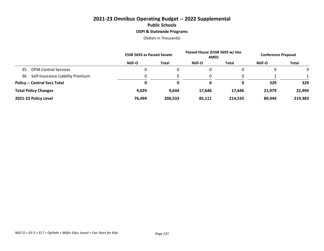## **2021-23 Omnibus Operating Budget -- 2022 Supplemental Public Schools OSPI & Statewide Programs**

|                                         | <b>ESSB 5693 as Passed Senate</b> |         | Passed House (ESSB 5693 w/ Hse<br>AMD) |              | <b>Conference Proposal</b> |              |
|-----------------------------------------|-----------------------------------|---------|----------------------------------------|--------------|----------------------------|--------------|
|                                         | NGF-O                             | Total   | <b>NGF-O</b>                           | <b>Total</b> | NGF-O                      | <b>Total</b> |
| <b>OFM Central Services</b><br>35.      |                                   | 0       |                                        | 0            | 9                          |              |
| Self-Insurance Liability Premium<br>36. |                                   | 0       | 0                                      | 0            |                            |              |
| <b>Policy -- Central Svcs Total</b>     |                                   | 0       | 0                                      | 0            | 329                        | 329          |
| <b>Total Policy Changes</b>             | 9,029                             | 9,644   | 17,646                                 | 17.646       | 21,979                     | 22,494       |
| 2021-23 Policy Level                    | 76,494                            | 206,533 | 85,111                                 | 214,535      | 89,444                     | 219,383      |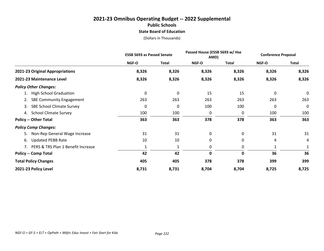## **2021-23 Omnibus Operating Budget -- 2022 Supplemental Public Schools State Board of Education**

|                                        | <b>ESSB 5693 as Passed Senate</b> |              |              | Passed House (ESSB 5693 w/ Hse<br>AMD) |       | <b>Conference Proposal</b> |  |
|----------------------------------------|-----------------------------------|--------------|--------------|----------------------------------------|-------|----------------------------|--|
|                                        | NGF-O                             | <b>Total</b> | NGF-O        | Total                                  | NGF-O | <b>Total</b>               |  |
| 2021-23 Original Appropriations        | 8,326                             | 8,326        | 8,326        | 8,326                                  | 8,326 | 8,326                      |  |
| 2021-23 Maintenance Level              | 8,326                             | 8,326        | 8,326        | 8,326                                  | 8,326 | 8,326                      |  |
| <b>Policy Other Changes:</b>           |                                   |              |              |                                        |       |                            |  |
| <b>High School Graduation</b>          | 0                                 | 0            | 15           | 15                                     | 0     | $\mathbf 0$                |  |
| <b>SBE Community Engagement</b><br>2.  | 263                               | 263          | 263          | 263                                    | 263   | 263                        |  |
| <b>SBE School Climate Survey</b><br>3. | 0                                 | 0            | 100          | 100                                    | 0     | 0                          |  |
| <b>School Climate Survey</b><br>4.     | 100                               | 100          | 0            | 0                                      | 100   | 100                        |  |
| <b>Policy -- Other Total</b>           | 363                               | 363          | 378          | 378                                    | 363   | 363                        |  |
| <b>Policy Comp Changes:</b>            |                                   |              |              |                                        |       |                            |  |
| Non-Rep General Wage Increase<br>5.    | 31                                | 31           | $\mathbf{0}$ | 0                                      | 31    | 31                         |  |
| <b>Updated PEBB Rate</b><br>6.         | 10                                | 10           | 0            | 0                                      | 4     | 4                          |  |
| PERS & TRS Plan 1 Benefit Increase     |                                   | 1            | 0            | 0                                      |       |                            |  |
| <b>Policy -- Comp Total</b>            | 42                                | 42           | $\mathbf 0$  | 0                                      | 36    | 36                         |  |
| <b>Total Policy Changes</b>            | 405                               | 405          | 378          | 378                                    | 399   | 399                        |  |
| 2021-23 Policy Level                   | 8,731                             | 8,731        | 8,704        | 8,704                                  | 8,725 | 8,725                      |  |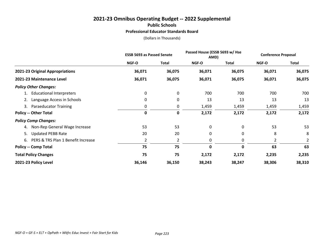#### **2021-23 Omnibus Operating Budget -- 2022 Supplemental Public Schools Professional Educator Standards Board**

|                                       |              | <b>ESSB 5693 as Passed Senate</b> |        | Passed House (ESSB 5693 w/ Hse<br>AMD) |        | <b>Conference Proposal</b> |  |
|---------------------------------------|--------------|-----------------------------------|--------|----------------------------------------|--------|----------------------------|--|
|                                       | <b>NGF-O</b> | <b>Total</b>                      | NGF-O  | Total                                  | NGF-O  | <b>Total</b>               |  |
| 2021-23 Original Appropriations       | 36,071       | 36,075                            | 36,071 | 36,075                                 | 36,071 | 36,075                     |  |
| 2021-23 Maintenance Level             | 36,071       | 36,075                            | 36,071 | 36,075                                 | 36,071 | 36,075                     |  |
| <b>Policy Other Changes:</b>          |              |                                   |        |                                        |        |                            |  |
| <b>Educational Interpreters</b>       | 0            | 0                                 | 700    | 700                                    | 700    | 700                        |  |
| Language Access in Schools<br>2.      | $\mathbf{0}$ | 0                                 | 13     | 13                                     | 13     | 13                         |  |
| <b>Paraeducator Training</b><br>3.    | 0            | 0                                 | 1,459  | 1,459                                  | 1,459  | 1,459                      |  |
| <b>Policy -- Other Total</b>          | 0            | 0                                 | 2,172  | 2,172                                  | 2,172  | 2,172                      |  |
| <b>Policy Comp Changes:</b>           |              |                                   |        |                                        |        |                            |  |
| 4. Non-Rep General Wage Increase      | 53           | 53                                | 0      | 0                                      | 53     | 53                         |  |
| <b>Updated PEBB Rate</b><br>5.        | 20           | 20                                | 0      | 0                                      | 8      | 8                          |  |
| 6. PERS & TRS Plan 1 Benefit Increase | 2            | 2                                 | 0      | 0                                      | 2      | 2                          |  |
| <b>Policy -- Comp Total</b>           | 75           | 75                                | 0      | 0                                      | 63     | 63                         |  |
| <b>Total Policy Changes</b>           | 75           | 75                                | 2,172  | 2,172                                  | 2,235  | 2,235                      |  |
| 2021-23 Policy Level                  | 36,146       | 36,150                            | 38,243 | 38,247                                 | 38,306 | 38,310                     |  |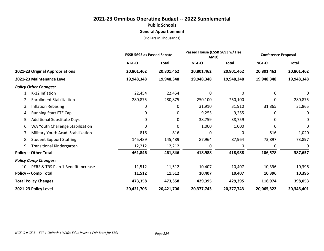**General Apportionment**

|                                          | <b>ESSB 5693 as Passed Senate</b> |              |            | Passed House (ESSB 5693 w/ Hse<br>AMD) |            | <b>Conference Proposal</b> |
|------------------------------------------|-----------------------------------|--------------|------------|----------------------------------------|------------|----------------------------|
|                                          | NGF-O                             | <b>Total</b> | NGF-O      | <b>Total</b>                           | NGF-O      | <b>Total</b>               |
| 2021-23 Original Appropriations          | 20,801,462                        | 20,801,462   | 20,801,462 | 20,801,462                             | 20,801,462 | 20,801,462                 |
| 2021-23 Maintenance Level                | 19,948,348                        | 19,948,348   | 19,948,348 | 19,948,348                             | 19,948,348 | 19,948,348                 |
| <b>Policy Other Changes:</b>             |                                   |              |            |                                        |            |                            |
| K-12 Inflation<br>1.                     | 22,454                            | 22,454       | 0          | 0                                      | 0          | 0                          |
| <b>Enrollment Stabilization</b><br>2.    | 280,875                           | 280,875      | 250,100    | 250,100                                | 0          | 280,875                    |
| Inflation Rebasing<br>3.                 | 0                                 | 0            | 31,910     | 31,910                                 | 31,865     | 31,865                     |
| <b>Running Start FTE Cap</b><br>4.       | 0                                 | 0            | 9,255      | 9,255                                  | 0          | 0                          |
| <b>Additional Substitute Days</b><br>5.  | 0                                 | 0            | 38,759     | 38,759                                 | 0          | 0                          |
| WA Youth Challenge Stabilization<br>6.   | 0                                 | 0            | 1,000      | 1,000                                  | 0          | 0                          |
| Military Youth Acad. Stabilization<br>7. | 816                               | 816          | 0          | 0                                      | 816        | 1,020                      |
| <b>Student Support Staffing</b><br>8.    | 145,489                           | 145,489      | 87,964     | 87,964                                 | 73,897     | 73,897                     |
| <b>Transitional Kindergarten</b><br>9.   | 12,212                            | 12,212       | 0          | 0                                      | 0          | 0                          |
| <b>Policy -- Other Total</b>             | 461,846                           | 461,846      | 418,988    | 418,988                                | 106,578    | 387,657                    |
| <b>Policy Comp Changes:</b>              |                                   |              |            |                                        |            |                            |
| 10. PERS & TRS Plan 1 Benefit Increase   | 11,512                            | 11,512       | 10,407     | 10,407                                 | 10,396     | 10,396                     |
| <b>Policy -- Comp Total</b>              | 11,512                            | 11,512       | 10,407     | 10,407                                 | 10,396     | 10,396                     |
| <b>Total Policy Changes</b>              | 473,358                           | 473,358      | 429,395    | 429,395                                | 116,974    | 398,053                    |
| 2021-23 Policy Level                     | 20,421,706                        | 20,421,706   | 20,377,743 | 20,377,743                             | 20,065,322 | 20,346,401                 |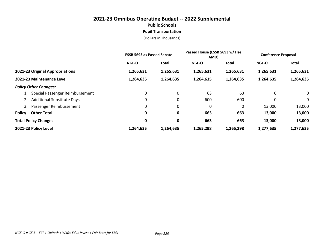# **2021-23 Omnibus Operating Budget -- 2022 Supplemental Public Schools Pupil Transportation**

|                                    | <b>ESSB 5693 as Passed Senate</b> |              | Passed House (ESSB 5693 w/ Hse<br>AMD) |           | <b>Conference Proposal</b> |              |
|------------------------------------|-----------------------------------|--------------|----------------------------------------|-----------|----------------------------|--------------|
|                                    | <b>NGF-O</b>                      | <b>Total</b> | NGF-O                                  | Total     | NGF-O                      | <b>Total</b> |
| 2021-23 Original Appropriations    | 1,265,631                         | 1,265,631    | 1,265,631                              | 1,265,631 | 1,265,631                  | 1,265,631    |
| 2021-23 Maintenance Level          | 1,264,635                         | 1,264,635    | 1,264,635                              | 1,264,635 | 1,264,635                  | 1,264,635    |
| <b>Policy Other Changes:</b>       |                                   |              |                                        |           |                            |              |
| 1. Special Passenger Reimbursement | 0                                 | 0            | 63                                     | 63        | 0                          | 0            |
| 2. Additional Substitute Days      | 0                                 | 0            | 600                                    | 600       | 0                          | 0            |
| Passenger Reimbursement<br>3.      | 0                                 | 0            | 0                                      | 0         | 13,000                     | 13,000       |
| <b>Policy -- Other Total</b>       | 0                                 | 0            | 663                                    | 663       | 13,000                     | 13,000       |
| <b>Total Policy Changes</b>        | 0                                 | 0            | 663                                    | 663       | 13,000                     | 13,000       |
| 2021-23 Policy Level               | 1,264,635                         | 1,264,635    | 1,265,298                              | 1,265,298 | 1,277,635                  | 1,277,635    |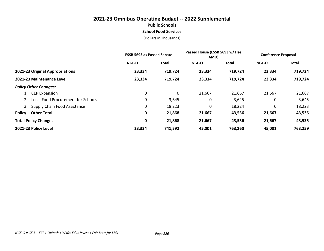## **2021-23 Omnibus Operating Budget -- 2022 Supplemental Public Schools School Food Services**

|                                       | <b>ESSB 5693 as Passed Senate</b> |              | Passed House (ESSB 5693 w/ Hse<br>AMD) |              | <b>Conference Proposal</b> |         |
|---------------------------------------|-----------------------------------|--------------|----------------------------------------|--------------|----------------------------|---------|
|                                       | <b>NGF-O</b>                      | <b>Total</b> | NGF-O                                  | <b>Total</b> | <b>NGF-O</b>               | Total   |
| 2021-23 Original Appropriations       | 23,334                            | 719,724      | 23,334                                 | 719,724      | 23,334                     | 719,724 |
| 2021-23 Maintenance Level             | 23,334                            | 719,724      | 23,334                                 | 719,724      | 23,334                     | 719,724 |
| <b>Policy Other Changes:</b>          |                                   |              |                                        |              |                            |         |
| 1. CEP Expansion                      | 0                                 | 0            | 21,667                                 | 21,667       | 21,667                     | 21,667  |
| 2. Local Food Procurement for Schools | 0                                 | 3,645        | 0                                      | 3,645        | 0                          | 3,645   |
| 3. Supply Chain Food Assistance       | 0                                 | 18,223       | 0                                      | 18,224       | 0                          | 18,223  |
| <b>Policy -- Other Total</b>          | 0                                 | 21,868       | 21,667                                 | 43,536       | 21,667                     | 43,535  |
| <b>Total Policy Changes</b>           | 0                                 | 21,868       | 21,667                                 | 43,536       | 21,667                     | 43,535  |
| 2021-23 Policy Level                  | 23,334                            | 741,592      | 45,001                                 | 763,260      | 45,001                     | 763,259 |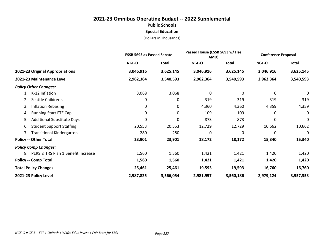#### **2021-23 Omnibus Operating Budget -- 2022 Supplemental Public Schools Special Education** (Dollars in Thousands)

**2021-23 Original Appropriations 3,046,916 3,625,145 3,046,916 3,625,145 3,046,916 3,625,145 2021-23 Maintenance Level 2,962,364 3,540,593 2,962,364 3,540,593 2,962,364 3,540,593** *Policy Other Changes:* 1. K-12 Inflation 3,068 3,068 0 0 0 0 2. Seattle Children's 2. Seattle Children's 2. Seattle Children's 2. Seattle Children's 2. 2. 319 319 319 319 3. Inflation Rebasing 0 0 4,360 4,360 4,359 4,359 4. Running Start FTE Cap 0 0 -109 -109 0 0 5. Additional Substitute Days 0 0 873 873 0 0 6. Student Support Staffing 20,553 20,553 12,729 12,729 10,662 10,662 7. Transitional Kindergarten 280 280 0 0 0 0 **Policy -- Other Total 23,901 23,901 18,172 18,172 15,340 15,340** *Policy Comp Changes:* 8. PERS & TRS Plan 1 Benefit Increase 1,560 1,560 1,421 1,421 1,420 1,420 1,420 1,420 **Policy -- Comp Total 1,560 1,560 1,421 1,421 1,420 1,420 Total Policy Changes 25,461 25,461 19,593 19,593 16,760 16,760 2021-23 Policy Level 2,987,825 3,566,054 2,981,957 3,560,186 2,979,124 3,557,353 ESSB 5693 as Passed Senate Passed House (ESSB 5693 w/ Hse AMD) Conference Proposal NGF-O Total NGF-O Total NGF-O Total**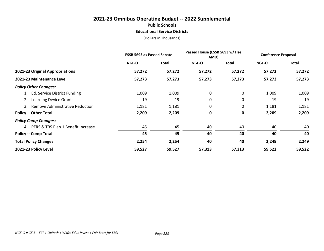### **2021-23 Omnibus Operating Budget -- 2022 Supplemental Public Schools Educational Service Districts**

|                                       | <b>ESSB 5693 as Passed Senate</b> |        | Passed House (ESSB 5693 w/ Hse<br>AMD) |        | <b>Conference Proposal</b> |        |
|---------------------------------------|-----------------------------------|--------|----------------------------------------|--------|----------------------------|--------|
|                                       | NGF-O                             | Total  | NGF-O                                  | Total  | NGF-O                      | Total  |
| 2021-23 Original Appropriations       | 57,272                            | 57,272 | 57,272                                 | 57,272 | 57,272                     | 57,272 |
| 2021-23 Maintenance Level             | 57,273                            | 57,273 | 57,273                                 | 57,273 | 57,273                     | 57,273 |
| <b>Policy Other Changes:</b>          |                                   |        |                                        |        |                            |        |
| 1. Ed. Service District Funding       | 1,009                             | 1,009  | 0                                      | 0      | 1,009                      | 1,009  |
| 2. Learning Device Grants             | 19                                | 19     | 0                                      | 0      | 19                         | 19     |
| 3. Remove Administrative Reduction    | 1,181                             | 1,181  | 0                                      | 0      | 1,181                      | 1,181  |
| <b>Policy -- Other Total</b>          | 2,209                             | 2,209  | 0                                      | 0      | 2,209                      | 2,209  |
| <b>Policy Comp Changes:</b>           |                                   |        |                                        |        |                            |        |
| 4. PERS & TRS Plan 1 Benefit Increase | 45                                | 45     | 40                                     | 40     | 40                         | 40     |
| <b>Policy -- Comp Total</b>           | 45                                | 45     | 40                                     | 40     | 40                         | 40     |
| <b>Total Policy Changes</b>           | 2,254                             | 2,254  | 40                                     | 40     | 2,249                      | 2,249  |
| 2021-23 Policy Level                  | 59,527                            | 59,527 | 57,313                                 | 57,313 | 59,522                     | 59,522 |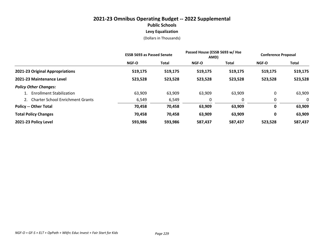## **2021-23 Omnibus Operating Budget -- 2022 Supplemental Public Schools Levy Equalization**

|                                     | <b>ESSB 5693 as Passed Senate</b> |              | Passed House (ESSB 5693 w/ Hse<br>AMD) |         | <b>Conference Proposal</b> |         |
|-------------------------------------|-----------------------------------|--------------|----------------------------------------|---------|----------------------------|---------|
|                                     | <b>NGF-O</b>                      | <b>Total</b> | <b>NGF-O</b>                           | Total   | <b>NGF-O</b>               | Total   |
| 2021-23 Original Appropriations     | 519,175                           | 519,175      | 519,175                                | 519,175 | 519,175                    | 519,175 |
| 2021-23 Maintenance Level           | 523,528                           | 523,528      | 523,528                                | 523,528 | 523,528                    | 523,528 |
| <b>Policy Other Changes:</b>        |                                   |              |                                        |         |                            |         |
| 1. Enrollment Stabilization         | 63,909                            | 63,909       | 63,909                                 | 63,909  | 0                          | 63,909  |
| 2. Charter School Enrichment Grants | 6,549                             | 6,549        | 0                                      |         | 0                          | 0       |
| <b>Policy -- Other Total</b>        | 70,458                            | 70,458       | 63,909                                 | 63,909  | 0                          | 63,909  |
| <b>Total Policy Changes</b>         | 70,458                            | 70,458       | 63,909                                 | 63,909  | 0                          | 63,909  |
| 2021-23 Policy Level                | 593,986                           | 593,986      | 587,437                                | 587,437 | 523,528                    | 587,437 |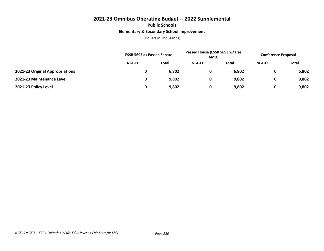## **2021-23 Omnibus Operating Budget -- 2022 Supplemental Public Schools Elementary & Secondary School Improvement**

|                                 | <b>ESSB 5693 as Passed Senate</b> |              | Passed House (ESSB 5693 w/ Hse<br>AMD) |       | <b>Conference Proposal</b> |       |
|---------------------------------|-----------------------------------|--------------|----------------------------------------|-------|----------------------------|-------|
|                                 | NGF-O                             | <b>Total</b> | <b>NGF-O</b>                           | Total | <b>NGF-O</b>               | Total |
| 2021-23 Original Appropriations |                                   | 6,802        | 0                                      | 6,802 | 0                          | 6,802 |
| 2021-23 Maintenance Level       |                                   | 9,802        | 0                                      | 9,802 | 0                          | 9,802 |
| 2021-23 Policy Level            |                                   | 9,802        | 0                                      | 9,802 | 0                          | 9,802 |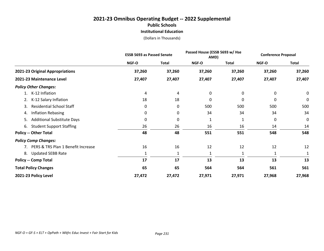## **2021-23 Omnibus Operating Budget -- 2022 Supplemental Public Schools Institutional Education**

|                                          | <b>ESSB 5693 as Passed Senate</b> |              | Passed House (ESSB 5693 w/ Hse<br>AMD) |              | <b>Conference Proposal</b> |              |
|------------------------------------------|-----------------------------------|--------------|----------------------------------------|--------------|----------------------------|--------------|
|                                          | NGF-O                             | <b>Total</b> | NGF-O                                  | <b>Total</b> | <b>NGF-O</b>               | <b>Total</b> |
| 2021-23 Original Appropriations          | 37,260                            | 37,260       | 37,260                                 | 37,260       | 37,260                     | 37,260       |
| 2021-23 Maintenance Level                | 27,407                            | 27,407       | 27,407                                 | 27,407       | 27,407                     | 27,407       |
| <b>Policy Other Changes:</b>             |                                   |              |                                        |              |                            |              |
| K-12 Inflation                           | 4                                 | 4            | 0                                      | 0            | 0                          | 0            |
| K-12 Salary Inflation<br>2.              | 18                                | 18           | 0                                      | 0            | 0                          | 0            |
| <b>Residential School Staff</b><br>3.    | 0                                 | 0            | 500                                    | 500          | 500                        | 500          |
| <b>Inflation Rebasing</b><br>4.          | 0                                 | 0            | 34                                     | 34           | 34                         | 34           |
| <b>Additional Substitute Days</b><br>5.  | 0                                 | 0            | 1                                      |              | 0                          | 0            |
| <b>Student Support Staffing</b><br>6.    | 26                                | 26           | 16                                     | 16           | 14                         | 14           |
| <b>Policy -- Other Total</b>             | 48                                | 48           | 551                                    | 551          | 548                        | 548          |
| <b>Policy Comp Changes:</b>              |                                   |              |                                        |              |                            |              |
| PERS & TRS Plan 1 Benefit Increase<br>7. | 16                                | 16           | 12                                     | 12           | 12                         | 12           |
| <b>Updated SEBB Rate</b><br>8.           |                                   | 1            | 1                                      |              |                            |              |
| <b>Policy -- Comp Total</b>              | 17                                | 17           | 13                                     | 13           | 13                         | 13           |
| <b>Total Policy Changes</b>              | 65                                | 65           | 564                                    | 564          | 561                        | 561          |
| 2021-23 Policy Level                     | 27,472                            | 27,472       | 27,971                                 | 27,971       | 27,968                     | 27,968       |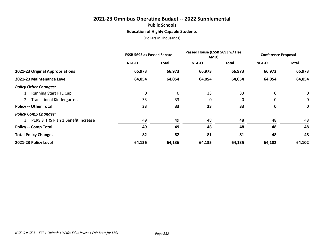## **2021-23 Omnibus Operating Budget -- 2022 Supplemental Public Schools Education of Highly Capable Students**

|                                       | <b>ESSB 5693 as Passed Senate</b> |             | Passed House (ESSB 5693 w/ Hse<br>AMD) |              | <b>Conference Proposal</b> |        |
|---------------------------------------|-----------------------------------|-------------|----------------------------------------|--------------|----------------------------|--------|
|                                       | <b>NGF-O</b>                      | Total       | <b>NGF-O</b>                           | <b>Total</b> | <b>NGF-O</b>               | Total  |
| 2021-23 Original Appropriations       | 66,973                            | 66,973      | 66,973                                 | 66,973       | 66,973                     | 66,973 |
| 2021-23 Maintenance Level             | 64,054                            | 64,054      | 64,054                                 | 64,054       | 64,054                     | 64,054 |
| <b>Policy Other Changes:</b>          |                                   |             |                                        |              |                            |        |
| 1. Running Start FTE Cap              | 0                                 | $\mathbf 0$ | 33                                     | 33           | 0                          | 0      |
| 2. Transitional Kindergarten          | 33                                | 33          | 0                                      | 0            | 0                          | 0      |
| <b>Policy -- Other Total</b>          | 33                                | 33          | 33                                     | 33           | 0                          | 0      |
| <b>Policy Comp Changes:</b>           |                                   |             |                                        |              |                            |        |
| 3. PERS & TRS Plan 1 Benefit Increase | 49                                | 49          | 48                                     | 48           | 48                         | 48     |
| <b>Policy -- Comp Total</b>           | 49                                | 49          | 48                                     | 48           | 48                         | 48     |
| <b>Total Policy Changes</b>           | 82                                | 82          | 81                                     | 81           | 48                         | 48     |
| 2021-23 Policy Level                  | 64,136                            | 64,136      | 64,135                                 | 64,135       | 64,102                     | 64,102 |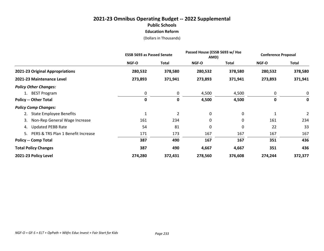## **2021-23 Omnibus Operating Budget -- 2022 Supplemental Public Schools Education Reform**

|                                       | <b>ESSB 5693 as Passed Senate</b> |              | Passed House (ESSB 5693 w/ Hse<br>AMD) |         | <b>Conference Proposal</b> |                |
|---------------------------------------|-----------------------------------|--------------|----------------------------------------|---------|----------------------------|----------------|
|                                       | <b>NGF-O</b>                      | <b>Total</b> | <b>NGF-O</b>                           | Total   | <b>NGF-O</b>               | <b>Total</b>   |
| 2021-23 Original Appropriations       | 280,532                           | 378,580      | 280,532                                | 378,580 | 280,532                    | 378,580        |
| 2021-23 Maintenance Level             | 273,893                           | 371,941      | 273,893                                | 371,941 | 273,893                    | 371,941        |
| <b>Policy Other Changes:</b>          |                                   |              |                                        |         |                            |                |
| 1. BEST Program                       | 0                                 | 0            | 4,500                                  | 4,500   | 0                          | 0              |
| <b>Policy -- Other Total</b>          | 0                                 | $\mathbf 0$  | 4,500                                  | 4,500   | 0                          | 0              |
| <b>Policy Comp Changes:</b>           |                                   |              |                                        |         |                            |                |
| <b>State Employee Benefits</b>        | $\mathbf{1}$                      | 2            | 0                                      | 0       | 1                          | $\overline{2}$ |
| Non-Rep General Wage Increase<br>3.   | 161                               | 234          | $\mathbf{0}$                           | 0       | 161                        | 234            |
| <b>Updated PEBB Rate</b><br>4.        | 54                                | 81           | 0                                      | 0       | 22                         | 33             |
| 5. PERS & TRS Plan 1 Benefit Increase | 171                               | 173          | 167                                    | 167     | 167                        | 167            |
| <b>Policy -- Comp Total</b>           | 387                               | 490          | 167                                    | 167     | 351                        | 436            |
| <b>Total Policy Changes</b>           | 387                               | 490          | 4,667                                  | 4,667   | 351                        | 436            |
| 2021-23 Policy Level                  | 274,280                           | 372,431      | 278,560                                | 376,608 | 274,244                    | 372,377        |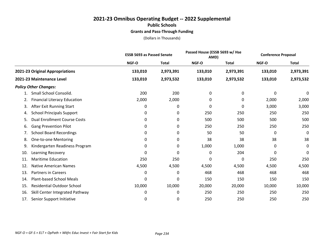## **2021-23 Omnibus Operating Budget -- 2022 Supplemental Public Schools Grants and Pass-Through Funding**

|                                           | <b>ESSB 5693 as Passed Senate</b> |              | Passed House (ESSB 5693 w/ Hse<br>AMD) |              | <b>Conference Proposal</b> |              |
|-------------------------------------------|-----------------------------------|--------------|----------------------------------------|--------------|----------------------------|--------------|
|                                           | NGF-O                             | <b>Total</b> | <b>NGF-O</b>                           | <b>Total</b> | <b>NGF-O</b>               | <b>Total</b> |
| 2021-23 Original Appropriations           | 133,010                           | 2,973,391    | 133,010                                | 2,973,391    | 133,010                    | 2,973,391    |
| 2021-23 Maintenance Level                 | 133,010                           | 2,973,532    | 133,010                                | 2,973,532    | 133,010                    | 2,973,532    |
| <b>Policy Other Changes:</b>              |                                   |              |                                        |              |                            |              |
| Small School Consolid.                    | 200                               | 200          | 0                                      | 0            | 0                          | 0            |
| <b>Financial Literacy Education</b><br>2. | 2,000                             | 2,000        | 0                                      | 0            | 2,000                      | 2,000        |
| After Exit Running Start<br>3.            | 0                                 | 0            | 0                                      | 0            | 3,000                      | 3,000        |
| <b>School Principals Support</b><br>4.    | 0                                 | 0            | 250                                    | 250          | 250                        | 250          |
| <b>Dual Enrollment Course Costs</b><br>5. | 0                                 | 0            | 500                                    | 500          | 500                        | 500          |
| <b>Gang Prevention Pilot</b><br>6.        | 0                                 | 0            | 250                                    | 250          | 250                        | 250          |
| <b>School Board Recordings</b><br>7.      | 0                                 | 0            | 50                                     | 50           | 0                          | 0            |
| <b>One-to-one Mentoring</b><br>8.         | 0                                 | 0            | 38                                     | 38           | 38                         | 38           |
| Kindergarten Readiness Program<br>9.      | 0                                 | 0            | 1,000                                  | 1,000        | 0                          | 0            |
| Learning Recovery<br>10.                  | 0                                 | 0            | 0                                      | 204          | 0                          | 0            |
| <b>Maritime Education</b><br>11.          | 250                               | 250          | 0                                      | 0            | 250                        | 250          |
| <b>Native American Names</b><br>12.       | 4,500                             | 4,500        | 4,500                                  | 4,500        | 4,500                      | 4,500        |
| <b>Partners in Careers</b><br>13.         | 0                                 | 0            | 468                                    | 468          | 468                        | 468          |
| <b>Plant-based School Meals</b><br>14.    | 0                                 | 0            | 150                                    | 150          | 150                        | 150          |
| <b>Residential Outdoor School</b><br>15.  | 10,000                            | 10,000       | 20,000                                 | 20,000       | 10,000                     | 10,000       |
| Skill Center Integrated Pathway<br>16.    | 0                                 | 0            | 250                                    | 250          | 250                        | 250          |
| Senior Support Initiative<br>17.          | 0                                 | 0            | 250                                    | 250          | 250                        | 250          |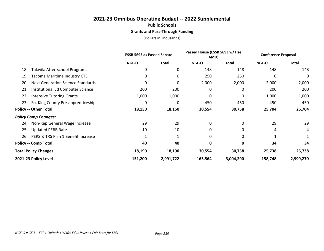## **2021-23 Omnibus Operating Budget -- 2022 Supplemental Public Schools Grants and Pass-Through Funding**

|                                                 | <b>ESSB 5693 as Passed Senate</b> |              | Passed House (ESSB 5693 w/ Hse<br>AMD) |              | <b>Conference Proposal</b> |              |
|-------------------------------------------------|-----------------------------------|--------------|----------------------------------------|--------------|----------------------------|--------------|
|                                                 | <b>NGF-O</b>                      | <b>Total</b> | NGF-O                                  | <b>Total</b> | <b>NGF-O</b>               | <b>Total</b> |
| Tukwila After-school Programs<br>18.            | 0                                 | 0            | 148                                    | 148          | 148                        | 148          |
| <b>Tacoma Maritime Industry CTE</b><br>19.      | 0                                 | 0            | 250                                    | 250          | 0                          | 0            |
| <b>Next Generation Science Standards</b><br>20. | 0                                 | 0            | 2,000                                  | 2,000        | 2,000                      | 2,000        |
| Institutional Ed Computer Science<br>21.        | 200                               | 200          | 0                                      | 0            | 200                        | 200          |
| 22.<br><b>Intensive Tutoring Grants</b>         | 1,000                             | 1,000        | 0                                      | 0            | 1,000                      | 1,000        |
| So. King County Pre-apprenticeship<br>23.       | 0                                 | 0            | 450                                    | 450          | 450                        | 450          |
| <b>Policy -- Other Total</b>                    | 18,150                            | 18,150       | 30,554                                 | 30,758       | 25,704                     | 25,704       |
| <b>Policy Comp Changes:</b>                     |                                   |              |                                        |              |                            |              |
| Non-Rep General Wage Increase<br>24.            | 29                                | 29           | 0                                      | 0            | 29                         | 29           |
| <b>Updated PEBB Rate</b><br>25.                 | 10                                | 10           | 0                                      | 0            | 4                          | 4            |
| PERS & TRS Plan 1 Benefit Increase<br>26.       |                                   |              | 0                                      | 0            |                            |              |
| <b>Policy -- Comp Total</b>                     | 40                                | 40           | 0                                      | 0            | 34                         | 34           |
| <b>Total Policy Changes</b>                     | 18,190                            | 18,190       | 30,554                                 | 30,758       | 25,738                     | 25,738       |
| 2021-23 Policy Level                            | 151,200                           | 2,991,722    | 163,564                                | 3,004,290    | 158,748                    | 2,999,270    |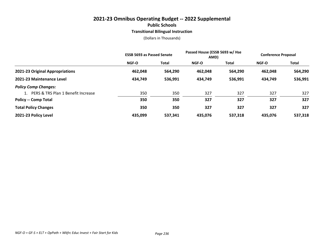#### **2021-23 Omnibus Operating Budget -- 2022 Supplemental Public Schools Transitional Bilingual Instruction**

|                                       | <b>ESSB 5693 as Passed Senate</b> |              | Passed House (ESSB 5693 w/ Hse<br>AMD) |         | <b>Conference Proposal</b> |         |
|---------------------------------------|-----------------------------------|--------------|----------------------------------------|---------|----------------------------|---------|
|                                       | NGF-O                             | <b>Total</b> | <b>NGF-O</b>                           | Total   | <b>NGF-O</b>               | Total   |
| 2021-23 Original Appropriations       | 462,048                           | 564,290      | 462.048                                | 564,290 | 462.048                    | 564,290 |
| 2021-23 Maintenance Level             | 434,749                           | 536,991      | 434,749                                | 536,991 | 434,749                    | 536,991 |
| <b>Policy Comp Changes:</b>           |                                   |              |                                        |         |                            |         |
| 1. PERS & TRS Plan 1 Benefit Increase | 350                               | 350          | 327                                    | 327     | 327                        | 327     |
| <b>Policy -- Comp Total</b>           | 350                               | 350          | 327                                    | 327     | 327                        | 327     |
| <b>Total Policy Changes</b>           | 350                               | 350          | 327                                    | 327     | 327                        | 327     |
| 2021-23 Policy Level                  | 435,099                           | 537,341      | 435.076                                | 537,318 | 435,076                    | 537,318 |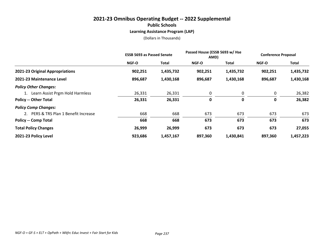#### **2021-23 Omnibus Operating Budget -- 2022 Supplemental Public Schools Learning Assistance Program (LAP)**

|                                       | <b>ESSB 5693 as Passed Senate</b> |              | Passed House (ESSB 5693 w/ Hse<br>AMD) |           | <b>Conference Proposal</b> |           |
|---------------------------------------|-----------------------------------|--------------|----------------------------------------|-----------|----------------------------|-----------|
|                                       | <b>NGF-O</b>                      | <b>Total</b> | <b>NGF-O</b>                           | Total     | <b>NGF-O</b>               | Total     |
| 2021-23 Original Appropriations       | 902,251                           | 1,435,732    | 902,251                                | 1,435,732 | 902,251                    | 1,435,732 |
| 2021-23 Maintenance Level             | 896,687                           | 1,430,168    | 896,687                                | 1,430,168 | 896,687                    | 1,430,168 |
| <b>Policy Other Changes:</b>          |                                   |              |                                        |           |                            |           |
| 1. Learn Assist Prgm Hold Harmless    | 26,331                            | 26,331       | 0                                      | 0         | 0                          | 26,382    |
| <b>Policy -- Other Total</b>          | 26,331                            | 26,331       | 0                                      | 0         | 0                          | 26,382    |
| <b>Policy Comp Changes:</b>           |                                   |              |                                        |           |                            |           |
| 2. PERS & TRS Plan 1 Benefit Increase | 668                               | 668          | 673                                    | 673       | 673                        | 673       |
| <b>Policy -- Comp Total</b>           | 668                               | 668          | 673                                    | 673       | 673                        | 673       |
| <b>Total Policy Changes</b>           | 26,999                            | 26,999       | 673                                    | 673       | 673                        | 27,055    |
| 2021-23 Policy Level                  | 923,686                           | 1,457,167    | 897,360                                | 1,430,841 | 897,360                    | 1,457,223 |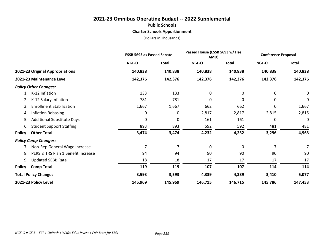## **2021-23 Omnibus Operating Budget -- 2022 Supplemental Public Schools Charter Schools Apportionment**

|                                          | <b>ESSB 5693 as Passed Senate</b> |              | Passed House (ESSB 5693 w/ Hse<br>AMD) |              | <b>Conference Proposal</b> |              |
|------------------------------------------|-----------------------------------|--------------|----------------------------------------|--------------|----------------------------|--------------|
|                                          | NGF-O                             | <b>Total</b> | NGF-O                                  | <b>Total</b> | <b>NGF-O</b>               | <b>Total</b> |
| 2021-23 Original Appropriations          | 140,838                           | 140,838      | 140,838                                | 140,838      | 140,838                    | 140,838      |
| 2021-23 Maintenance Level                | 142,376                           | 142,376      | 142,376                                | 142,376      | 142,376                    | 142,376      |
| <b>Policy Other Changes:</b>             |                                   |              |                                        |              |                            |              |
| K-12 Inflation                           | 133                               | 133          | 0                                      | 0            | 0                          | 0            |
| K-12 Salary Inflation<br>2.              | 781                               | 781          | 0                                      | 0            | 0                          | $\mathbf 0$  |
| <b>Enrollment Stabilization</b><br>3.    | 1,667                             | 1,667        | 662                                    | 662          | 0                          | 1,667        |
| <b>Inflation Rebasing</b><br>4.          | 0                                 | 0            | 2,817                                  | 2,817        | 2,815                      | 2,815        |
| <b>Additional Substitute Days</b><br>5.  | 0                                 | 0            | 161                                    | 161          | 0                          | 0            |
| <b>Student Support Staffing</b><br>6.    | 893                               | 893          | 592                                    | 592          | 481                        | 481          |
| <b>Policy -- Other Total</b>             | 3,474                             | 3,474        | 4,232                                  | 4,232        | 3,296                      | 4,963        |
| <b>Policy Comp Changes:</b>              |                                   |              |                                        |              |                            |              |
| Non-Rep General Wage Increase<br>7.      | 7                                 | 7            | $\mathbf{0}$                           | 0            | 7                          | 7            |
| PERS & TRS Plan 1 Benefit Increase<br>8. | 94                                | 94           | 90                                     | 90           | 90                         | 90           |
| <b>Updated SEBB Rate</b><br>9.           | 18                                | 18           | 17                                     | 17           | 17                         | 17           |
| <b>Policy -- Comp Total</b>              | 119                               | 119          | 107                                    | 107          | 114                        | 114          |
| <b>Total Policy Changes</b>              | 3,593                             | 3,593        | 4,339                                  | 4,339        | 3,410                      | 5,077        |
| 2021-23 Policy Level                     | 145,969                           | 145,969      | 146,715                                | 146,715      | 145,786                    | 147,453      |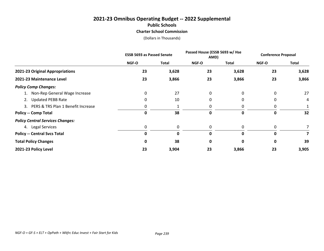## **2021-23 Omnibus Operating Budget -- 2022 Supplemental Public Schools Charter School Commission**

|                                         | <b>ESSB 5693 as Passed Senate</b> |              | Passed House (ESSB 5693 w/ Hse<br>AMD) |       | <b>Conference Proposal</b> |       |
|-----------------------------------------|-----------------------------------|--------------|----------------------------------------|-------|----------------------------|-------|
|                                         | NGF-O                             | <b>Total</b> | NGF-O                                  | Total | NGF-O                      | Total |
| 2021-23 Original Appropriations         | 23                                | 3,628        | 23                                     | 3,628 | 23                         | 3,628 |
| 2021-23 Maintenance Level               | 23                                | 3,866        | 23                                     | 3,866 | 23                         | 3,866 |
| <b>Policy Comp Changes:</b>             |                                   |              |                                        |       |                            |       |
| 1. Non-Rep General Wage Increase        | 0                                 | 27           | 0                                      | 0     | 0                          | 27    |
| 2. Updated PEBB Rate                    | O                                 | 10           | 0                                      | 0     | 0                          | 4     |
| 3. PERS & TRS Plan 1 Benefit Increase   |                                   |              | 0                                      | 0     | 0                          | 1     |
| <b>Policy -- Comp Total</b>             | 0                                 | 38           | 0                                      | 0     | 0                          | 32    |
| <b>Policy Central Services Changes:</b> |                                   |              |                                        |       |                            |       |
| 4. Legal Services                       | 0                                 | 0            | 0                                      | 0     | 0                          | 7     |
| <b>Policy -- Central Svcs Total</b>     | 0                                 | 0            | 0                                      | 0     | 0                          | 7     |
| <b>Total Policy Changes</b>             | 0                                 | 38           | 0                                      | 0     | 0                          | 39    |
| 2021-23 Policy Level                    | 23                                | 3,904        | 23                                     | 3,866 | 23                         | 3,905 |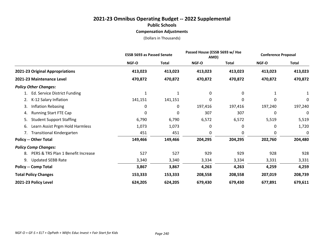#### **2021-23 Omnibus Operating Budget -- 2022 Supplemental Public Schools Compensation Adjustments**

|                                          | <b>ESSB 5693 as Passed Senate</b> |              | Passed House (ESSB 5693 w/ Hse<br>AMD) |              | <b>Conference Proposal</b> |              |
|------------------------------------------|-----------------------------------|--------------|----------------------------------------|--------------|----------------------------|--------------|
|                                          | NGF-O                             | <b>Total</b> | NGF-O                                  | <b>Total</b> | <b>NGF-O</b>               | <b>Total</b> |
| 2021-23 Original Appropriations          | 413,023                           | 413,023      | 413,023                                | 413,023      | 413,023                    | 413,023      |
| 2021-23 Maintenance Level                | 470,872                           | 470,872      | 470,872                                | 470,872      | 470,872                    | 470,872      |
| <b>Policy Other Changes:</b>             |                                   |              |                                        |              |                            |              |
| Ed. Service District Funding<br>1.       | 1                                 | 1            | 0                                      | 0            |                            |              |
| K-12 Salary Inflation<br>2.              | 141,151                           | 141,151      | 0                                      | 0            | 0                          | 0            |
| Inflation Rebasing<br>3.                 | 0                                 | 0            | 197,416                                | 197,416      | 197,240                    | 197,240      |
| <b>Running Start FTE Cap</b><br>4.       | 0                                 | 0            | 307                                    | 307          | 0                          | 0            |
| <b>Student Support Staffing</b><br>5.    | 6,790                             | 6,790        | 6,572                                  | 6,572        | 5,519                      | 5,519        |
| Learn Assist Prgm Hold Harmless<br>6.    | 1,073                             | 1,073        | 0                                      | 0            | 0                          | 1,720        |
| <b>Transitional Kindergarten</b><br>7.   | 451                               | 451          | 0                                      | 0            | 0                          | 0            |
| <b>Policy -- Other Total</b>             | 149,466                           | 149,466      | 204,295                                | 204,295      | 202,760                    | 204,480      |
| <b>Policy Comp Changes:</b>              |                                   |              |                                        |              |                            |              |
| PERS & TRS Plan 1 Benefit Increase<br>8. | 527                               | 527          | 929                                    | 929          | 928                        | 928          |
| <b>Updated SEBB Rate</b><br>9.           | 3,340                             | 3,340        | 3,334                                  | 3,334        | 3,331                      | 3,331        |
| <b>Policy -- Comp Total</b>              | 3,867                             | 3,867        | 4,263                                  | 4,263        | 4,259                      | 4,259        |
| <b>Total Policy Changes</b>              | 153,333                           | 153,333      | 208,558                                | 208,558      | 207,019                    | 208,739      |
| 2021-23 Policy Level                     | 624,205                           | 624,205      | 679,430                                | 679,430      | 677,891                    | 679,611      |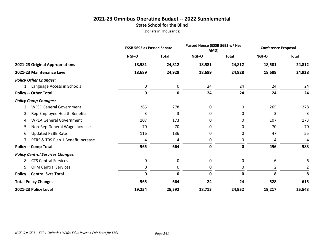#### **2021-23 Omnibus Operating Budget -- 2022 Supplemental State School for the Blind**

|                                          | <b>ESSB 5693 as Passed Senate</b> |              | Passed House (ESSB 5693 w/ Hse<br>AMD) |              | <b>Conference Proposal</b> |                |
|------------------------------------------|-----------------------------------|--------------|----------------------------------------|--------------|----------------------------|----------------|
|                                          | NGF-O                             | <b>Total</b> | NGF-O                                  | <b>Total</b> | NGF-O                      | <b>Total</b>   |
| 2021-23 Original Appropriations          | 18,581                            | 24,812       | 18,581                                 | 24,812       | 18,581                     | 24,812         |
| 2021-23 Maintenance Level                | 18,689                            | 24,928       | 18,689                                 | 24,928       | 18,689                     | 24,928         |
| <b>Policy Other Changes:</b>             |                                   |              |                                        |              |                            |                |
| 1. Language Access in Schools            | 0                                 | 0            | 24                                     | 24           | 24                         | 24             |
| <b>Policy -- Other Total</b>             | $\mathbf 0$                       | $\mathbf 0$  | 24                                     | 24           | 24                         | 24             |
| <b>Policy Comp Changes:</b>              |                                   |              |                                        |              |                            |                |
| <b>WFSE General Government</b><br>2.     | 265                               | 278          | 0                                      | 0            | 265                        | 278            |
| Rep Employee Health Benefits<br>3.       | 3                                 | 3            | 0                                      | 0            | 3                          | 3              |
| <b>WPEA General Government</b><br>4.     | 107                               | 173          | 0                                      | 0            | 107                        | 173            |
| Non-Rep General Wage Increase<br>5.      | 70                                | 70           | 0                                      | 0            | 70                         | 70             |
| <b>Updated PEBB Rate</b><br>6.           | 116                               | 136          | 0                                      | 0            | 47                         | 55             |
| PERS & TRS Plan 1 Benefit Increase<br>7. | 4                                 | 4            | 0                                      | 0            | 4                          | 4              |
| <b>Policy -- Comp Total</b>              | 565                               | 664          | $\mathbf 0$                            | 0            | 496                        | 583            |
| <b>Policy Central Services Changes:</b>  |                                   |              |                                        |              |                            |                |
| <b>CTS Central Services</b><br>8.        | 0                                 | 0            | 0                                      | 0            | 6                          | 6              |
| <b>OFM Central Services</b><br>9.        | 0                                 | 0            | 0                                      | 0            | $\overline{2}$             | $\overline{2}$ |
| <b>Policy -- Central Svcs Total</b>      | 0                                 | $\mathbf 0$  | 0                                      | 0            | 8                          | 8              |
| <b>Total Policy Changes</b>              | 565                               | 664          | 24                                     | 24           | 528                        | 615            |
| 2021-23 Policy Level                     | 19,254                            | 25,592       | 18,713                                 | 24,952       | 19,217                     | 25,543         |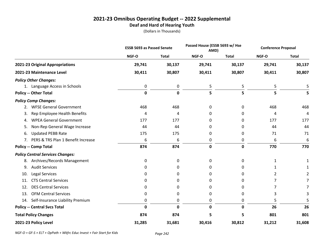### **2021-23 Omnibus Operating Budget -- 2022 Supplemental Deaf and Hard of Hearing Youth**

(Dollars in Thousands)

|                                                      | <b>ESSB 5693 as Passed Senate</b> |              | Passed House (ESSB 5693 w/ Hse<br>AMD) |              | <b>Conference Proposal</b> |              |
|------------------------------------------------------|-----------------------------------|--------------|----------------------------------------|--------------|----------------------------|--------------|
|                                                      | NGF-O                             | <b>Total</b> | NGF-O                                  | <b>Total</b> | NGF-O                      | <b>Total</b> |
| 2021-23 Original Appropriations                      | 29,741                            | 30,137       | 29,741                                 | 30,137       | 29,741                     | 30,137       |
| 2021-23 Maintenance Level                            | 30,411                            | 30,807       | 30,411                                 | 30,807       | 30,411                     | 30,807       |
| <b>Policy Other Changes:</b>                         |                                   |              |                                        |              |                            |              |
| 1. Language Access in Schools                        | 0                                 | $\mathbf 0$  | 5                                      | 5            | 5                          |              |
| <b>Policy -- Other Total</b>                         | $\mathbf 0$                       | $\mathbf 0$  | 5                                      | 5            | 5                          | 5            |
| <b>Policy Comp Changes:</b>                          |                                   |              |                                        |              |                            |              |
| <b>WFSE General Government</b><br>2.                 | 468                               | 468          | 0                                      | 0            | 468                        | 468          |
| Rep Employee Health Benefits<br>3.                   | 4                                 | 4            | 0                                      | 0            | 4                          | 4            |
| <b>WPEA General Government</b><br>4.                 | 177                               | 177          | 0                                      | 0            | 177                        | 177          |
| Non-Rep General Wage Increase<br>5.                  | 44                                | 44           | 0                                      | 0            | 44                         | 44           |
| <b>Updated PEBB Rate</b><br>6.                       | 175                               | 175          | 0                                      | 0            | 71                         | 71           |
| PERS & TRS Plan 1 Benefit Increase<br>7 <sub>1</sub> | 6                                 | 6            | 0                                      | 0            | 6                          | 6            |
| <b>Policy -- Comp Total</b>                          | 874                               | 874          | $\mathbf 0$                            | 0            | 770                        | 770          |
| <b>Policy Central Services Changes:</b>              |                                   |              |                                        |              |                            |              |
| Archives/Records Management<br>8.                    | 0                                 | 0            | 0                                      | 0            | 1                          | 1            |
| <b>Audit Services</b><br>9.                          | 0                                 | 0            | 0                                      | 0            | 1                          |              |
| <b>Legal Services</b><br>10.                         | 0                                 | 0            | 0                                      | 0            | 2                          |              |
| <b>CTS Central Services</b><br>11.                   | 0                                 | $\Omega$     | 0                                      | 0            | 7                          | 7            |
| <b>DES Central Services</b><br>12.                   | 0                                 | 0            | 0                                      | 0            | 7                          |              |
| <b>OFM Central Services</b><br>13.                   | 0                                 | 0            | 0                                      | 0            | 3                          | 3            |
| Self-Insurance Liability Premium<br>14.              | 0                                 | 0            | 0                                      | 0            | 5                          |              |
| <b>Policy -- Central Svcs Total</b>                  | 0                                 | $\mathbf 0$  | 0                                      | 0            | 26                         | 26           |
| <b>Total Policy Changes</b>                          | 874                               | 874          | 5                                      | 5            | 801                        | 801          |
| 2021-23 Policy Level                                 | 31,285                            | 31,681       | 30,416                                 | 30,812       | 31,212                     | 31,608       |

*NGF-O = GF-S + ELT + OpPath + Wkfrc Educ Invest + Fair Start for Kids Page 242*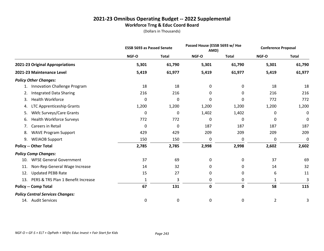#### **2021-23 Omnibus Operating Budget -- 2022 Supplemental Workforce Trng & Educ Coord Board**

|                                           | <b>ESSB 5693 as Passed Senate</b> |              | Passed House (ESSB 5693 w/ Hse<br>AMD) |              | <b>Conference Proposal</b> |              |
|-------------------------------------------|-----------------------------------|--------------|----------------------------------------|--------------|----------------------------|--------------|
|                                           | NGF-O                             | <b>Total</b> | NGF-O                                  | <b>Total</b> | NGF-O                      | <b>Total</b> |
| 2021-23 Original Appropriations           | 5,301                             | 61,790       | 5,301                                  | 61,790       | 5,301                      | 61,790       |
| 2021-23 Maintenance Level                 | 5,419                             | 61,977       | 5,419                                  | 61,977       | 5,419                      | 61,977       |
| <b>Policy Other Changes:</b>              |                                   |              |                                        |              |                            |              |
| Innovation Challenge Program<br>1.        | 18                                | 18           | 0                                      | 0            | 18                         | 18           |
| <b>Integrated Data Sharing</b><br>2.      | 216                               | 216          | 0                                      | 0            | 216                        | 216          |
| <b>Health Workforce</b><br>3.             | 0                                 | 0            | 0                                      | $\Omega$     | 772                        | 772          |
| LTC Apprenticeship Grants<br>4.           | 1,200                             | 1,200        | 1,200                                  | 1,200        | 1,200                      | 1,200        |
| Wkfc Surveys/Care Grants<br>5.            | 0                                 | 0            | 1,402                                  | 1,402        | 0                          | 0            |
| <b>Health Workforce Surveys</b><br>6.     | 772                               | 772          | 0                                      | 0            | 0                          | 0            |
| Careers in Retail<br>7.                   | 0                                 | 0            | 187                                    | 187          | 187                        | 187          |
| <b>WAVE Program Support</b><br>8.         | 429                               | 429          | 209                                    | 209          | 209                        | 209          |
| <b>WEIAOB Support</b><br>9.               | 150                               | 150          | 0                                      | 0            | 0                          | $\mathbf 0$  |
| <b>Policy -- Other Total</b>              | 2,785                             | 2,785        | 2,998                                  | 2,998        | 2,602                      | 2,602        |
| <b>Policy Comp Changes:</b>               |                                   |              |                                        |              |                            |              |
| <b>WFSE General Government</b><br>10.     | 37                                | 69           | 0                                      | 0            | 37                         | 69           |
| Non-Rep General Wage Increase<br>11.      | 14                                | 32           | 0                                      | 0            | 14                         | 32           |
| <b>Updated PEBB Rate</b><br>12.           | 15                                | 27           | 0                                      | 0            | 6                          | 11           |
| PERS & TRS Plan 1 Benefit Increase<br>13. | 1                                 | 3            | 0                                      | 0            | 1                          | 3            |
| <b>Policy -- Comp Total</b>               | 67                                | 131          | 0                                      | 0            | 58                         | 115          |
| <b>Policy Central Services Changes:</b>   |                                   |              |                                        |              |                            |              |
| 14. Audit Services                        | 0                                 | 0            | 0                                      | 0            | 2                          | 3            |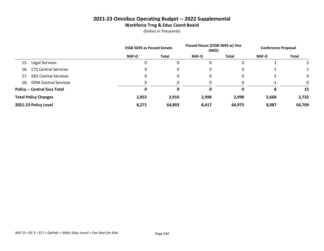#### **2021-23 Omnibus Operating Budget -- 2022 Supplemental Workforce Trng & Educ Coord Board**

|                                     | <b>ESSB 5693 as Passed Senate</b> |        | Passed House (ESSB 5693 w/ Hse<br>AMD) |        | <b>Conference Proposal</b> |              |
|-------------------------------------|-----------------------------------|--------|----------------------------------------|--------|----------------------------|--------------|
|                                     | <b>NGF-O</b>                      | Total  | <b>NGF-O</b>                           | Total  | <b>NGF-O</b>               | <b>Total</b> |
| Legal Services<br>15.               | 0                                 |        | 0                                      |        |                            |              |
| <b>CTS Central Services</b><br>16.  | 0                                 |        | 0                                      |        |                            |              |
| <b>DES Central Services</b><br>17.  | 0                                 | 0      | 0                                      |        |                            | 9            |
| <b>OFM Central Services</b><br>18.  |                                   |        |                                        |        | -1                         | $\Omega$     |
| <b>Policy -- Central Svcs Total</b> | 0                                 | 0      | 0                                      |        | 8                          | 15           |
| <b>Total Policy Changes</b>         | 2,852                             | 2,916  | 2,998                                  | 2,998  | 2,668                      | 2,732        |
| 2021-23 Policy Level                | 8,271                             | 64,893 | 8,417                                  | 64,975 | 8,087                      | 64,709       |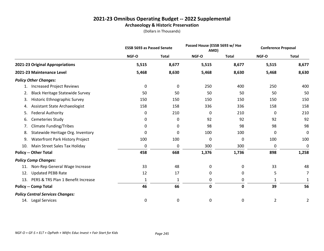#### **2021-23 Omnibus Operating Budget -- 2022 Supplemental Archaeology & Historic Preservation**

|                                              | <b>ESSB 5693 as Passed Senate</b> |              | Passed House (ESSB 5693 w/ Hse<br>AMD) |              | <b>Conference Proposal</b> |                |
|----------------------------------------------|-----------------------------------|--------------|----------------------------------------|--------------|----------------------------|----------------|
|                                              | NGF-O                             | <b>Total</b> | NGF-O                                  | <b>Total</b> | NGF-O                      | <b>Total</b>   |
| 2021-23 Original Appropriations              | 5,515                             | 8,677        | 5,515                                  | 8,677        | 5,515                      | 8,677          |
| 2021-23 Maintenance Level                    | 5,468                             | 8,630        | 5,468                                  | 8,630        | 5,468                      | 8,630          |
| <b>Policy Other Changes:</b>                 |                                   |              |                                        |              |                            |                |
| <b>Increased Project Reviews</b><br>1.       | 0                                 | 0            | 250                                    | 400          | 250                        | 400            |
| <b>Black Heritage Statewide Survey</b><br>2. | 50                                | 50           | 50                                     | 50           | 50                         | 50             |
| Historic Ethnographic Survey<br>3.           | 150                               | 150          | 150                                    | 150          | 150                        | 150            |
| Assistant State Archaeologist<br>4.          | 158                               | 158          | 336                                    | 336          | 158                        | 158            |
| <b>Federal Authority</b><br>5.               | 0                                 | 210          | 0                                      | 210          | 0                          | 210            |
| Cemeteries Study<br>6.                       | 0                                 | 0            | 92                                     | 92           | 92                         | 92             |
| <b>Climate Funding/Tribes</b><br>7.          | 0                                 | 0            | 98                                     | 98           | 98                         | 98             |
| Statewide Heritage Org. Inventory<br>8.      | 0                                 | 0            | 100                                    | 100          | 0                          | 0              |
| Waterfront Park History Project<br>9.        | 100                               | 100          | 0                                      | 0            | 100                        | 100            |
| Main Street Sales Tax Holiday<br>10.         | 0                                 | 0            | 300                                    | 300          | 0                          | 0              |
| <b>Policy -- Other Total</b>                 | 458                               | 668          | 1,376                                  | 1,736        | 898                        | 1,258          |
| <b>Policy Comp Changes:</b>                  |                                   |              |                                        |              |                            |                |
| Non-Rep General Wage Increase<br>11.         | 33                                | 48           | 0                                      | 0            | 33                         | 48             |
| <b>Updated PEBB Rate</b><br>12.              | 12                                | 17           | 0                                      | 0            | 5                          | 7              |
| PERS & TRS Plan 1 Benefit Increase<br>13.    | 1                                 | $\mathbf{1}$ | 0                                      | 0            | 1                          | 1              |
| <b>Policy -- Comp Total</b>                  | 46                                | 66           | 0                                      | 0            | 39                         | 56             |
| <b>Policy Central Services Changes:</b>      |                                   |              |                                        |              |                            |                |
| 14. Legal Services                           | 0                                 | 0            | 0                                      | 0            | 2                          | $\overline{2}$ |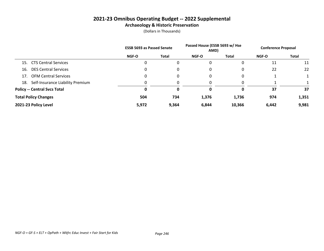#### **2021-23 Omnibus Operating Budget -- 2022 Supplemental Archaeology & Historic Preservation**

|                                     |                                  | <b>ESSB 5693 as Passed Senate</b> |              | Passed House (ESSB 5693 w/ Hse<br>AMD) |              | <b>Conference Proposal</b> |              |
|-------------------------------------|----------------------------------|-----------------------------------|--------------|----------------------------------------|--------------|----------------------------|--------------|
|                                     |                                  | <b>NGF-O</b>                      | <b>Total</b> | <b>NGF-O</b>                           | <b>Total</b> | <b>NGF-O</b>               | <b>Total</b> |
| 15. CTS Central Services            |                                  | 0                                 | 0            | 0                                      |              | 11                         | 11           |
| 16.                                 | <b>DES Central Services</b>      | 0                                 | 0            | 0                                      |              | 22                         | 22           |
| 17. OFM Central Services            |                                  | 0                                 | 0            | 0                                      |              |                            |              |
| 18.                                 | Self-Insurance Liability Premium |                                   |              |                                        |              |                            |              |
| <b>Policy -- Central Svcs Total</b> |                                  | 0                                 | 0            | 0                                      | 0            | 37                         | 37           |
| <b>Total Policy Changes</b>         |                                  | 504                               | 734          | 1,376                                  | 1,736        | 974                        | 1,351        |
| 2021-23 Policy Level                |                                  | 5,972                             | 9,364        | 6,844                                  | 10,366       | 6,442                      | 9,981        |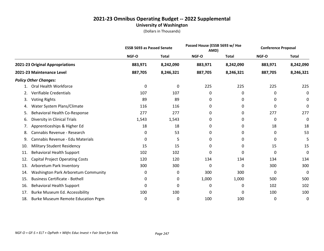#### **2021-23 Omnibus Operating Budget -- 2022 Supplemental University of Washington**

|     |                                           | <b>ESSB 5693 as Passed Senate</b> |              | Passed House (ESSB 5693 w/ Hse<br>AMD) |              |         | <b>Conference Proposal</b> |  |
|-----|-------------------------------------------|-----------------------------------|--------------|----------------------------------------|--------------|---------|----------------------------|--|
|     |                                           | NGF-O                             | <b>Total</b> | NGF-O                                  | <b>Total</b> | NGF-O   | <b>Total</b>               |  |
|     | 2021-23 Original Appropriations           | 883,971                           | 8,242,090    | 883,971                                | 8,242,090    | 883,971 | 8,242,090                  |  |
|     | 2021-23 Maintenance Level                 | 887,705                           | 8,246,321    | 887,705                                | 8,246,321    | 887,705 | 8,246,321                  |  |
|     | <b>Policy Other Changes:</b>              |                                   |              |                                        |              |         |                            |  |
| 1.  | Oral Health Workforce                     | 0                                 | 0            | 225                                    | 225          | 225     | 225                        |  |
| 2.  | Verifiable Credentials                    | 107                               | 107          | 0                                      | 0            | 0       | 0                          |  |
| 3.  | <b>Voting Rights</b>                      | 89                                | 89           | 0                                      | 0            | 0       | 0                          |  |
| 4.  | Water System Plans/Climate                | 116                               | 116          | 0                                      | 0            | 0       | 0                          |  |
| 5.  | Behavioral Health Co-Response             | 277                               | 277          | 0                                      | 0            | 277     | 277                        |  |
| 6.  | Diversity in Clinical Trials              | 1,543                             | 1,543        | 0                                      | 0            | 0       | 0                          |  |
| 7.  | Apprenticeships & Higher Ed               | 18                                | 18           | 0                                      | 0            | 18      | 18                         |  |
| 8.  | Cannabis Revenue - Research               | 0                                 | 53           | 0                                      | 0            | 0       | 53                         |  |
| 9.  | Cannabis Revenue - Edu Materials          | 0                                 | 5            | 0                                      | 0            | 0       | 5                          |  |
| 10. | <b>Military Student Residency</b>         | 15                                | 15           | 0                                      | 0            | 15      | 15                         |  |
| 11. | <b>Behavioral Health Support</b>          | 102                               | 102          | 0                                      | 0            | 0       | 0                          |  |
| 12. | <b>Capital Project Operating Costs</b>    | 120                               | 120          | 134                                    | 134          | 134     | 134                        |  |
| 13. | Arboretum Park Inventory                  | 300                               | 300          | 0                                      | 0            | 300     | 300                        |  |
| 14. | Washington Park Arboretum Community       | 0                                 | 0            | 300                                    | 300          | 0       | 0                          |  |
| 15. | <b>Business Certificate - Bothell</b>     | 0                                 | 0            | 1,000                                  | 1,000        | 500     | 500                        |  |
| 16. | <b>Behavioral Health Support</b>          | 0                                 | 0            | 0                                      | 0            | 102     | 102                        |  |
| 17. | Burke Museum Ed. Accessibility            | 100                               | 100          | 0                                      | 0            | 100     | 100                        |  |
| 18. | <b>Burke Museum Remote Education Prgm</b> | 0                                 | 0            | 100                                    | 100          | 0       | 0                          |  |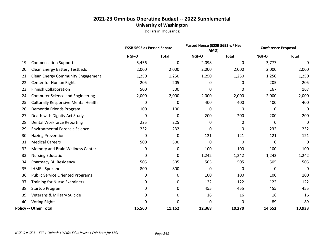#### **2021-23 Omnibus Operating Budget -- 2022 Supplemental University of Washington**

|     |                                            | <b>ESSB 5693 as Passed Senate</b> |              | Passed House (ESSB 5693 w/ Hse<br>AMD) |              | <b>Conference Proposal</b> |              |
|-----|--------------------------------------------|-----------------------------------|--------------|----------------------------------------|--------------|----------------------------|--------------|
|     |                                            | NGF-O                             | <b>Total</b> | NGF-O                                  | <b>Total</b> | NGF-O                      | <b>Total</b> |
| 19. | <b>Compensation Support</b>                | 5,456                             | 0            | 2,098                                  | 0            | 3,777                      | 0            |
| 20. | <b>Clean Energy Battery Testbeds</b>       | 2,000                             | 2,000        | 2,000                                  | 2,000        | 2,000                      | 2,000        |
| 21. | <b>Clean Energy Community Engagement</b>   | 1,250                             | 1,250        | 1,250                                  | 1,250        | 1,250                      | 1,250        |
| 22. | Center for Human Rights                    | 205                               | 205          | 0                                      | 0            | 205                        | 205          |
| 23. | <b>Finnish Collaboration</b>               | 500                               | 500          | 0                                      | 0            | 167                        | 167          |
| 24. | <b>Computer Science and Engineering</b>    | 2,000                             | 2,000        | 2,000                                  | 2,000        | 2,000                      | 2,000        |
| 25. | <b>Culturally Responsive Mental Health</b> | 0                                 | 0            | 400                                    | 400          | 400                        | 400          |
| 26. | Dementia Friends Program                   | 100                               | 100          | 0                                      | 0            | 0                          | 0            |
| 27. | Death with Dignity Act Study               | 0                                 | 0            | 200                                    | 200          | 200                        | 200          |
| 28. | <b>Dental Workforce Reporting</b>          | 225                               | 225          | 0                                      | 0            | 0                          | 0            |
| 29. | <b>Environmental Forensic Science</b>      | 232                               | 232          | 0                                      | 0            | 232                        | 232          |
| 30. | <b>Hazing Prevention</b>                   | 0                                 | 0            | 121                                    | 121          | 121                        | 121          |
| 31. | <b>Medical Careers</b>                     | 500                               | 500          | 0                                      | 0            | 0                          | 0            |
| 32. | Memory and Brain Wellness Center           | 0                                 | 0            | 100                                    | 100          | 100                        | 100          |
| 33. | <b>Nursing Education</b>                   | 0                                 | $\mathbf 0$  | 1,242                                  | 1,242        | 1,242                      | 1,242        |
| 34. | Pharmacy BH Residency                      | 505                               | 505          | 505                                    | 505          | 505                        | 505          |
| 35. | <b>IHME - Spokane</b>                      | 800                               | 800          | 0                                      | 0            | 0                          | 0            |
| 36. | <b>Public Service Oriented Programs</b>    | 0                                 | 0            | 100                                    | 100          | 100                        | 100          |
| 37. | <b>Training for Nurse Examiners</b>        | 0                                 | 0            | 122                                    | 122          | 122                        | 122          |
| 38. | Startup Program                            | 0                                 | 0            | 455                                    | 455          | 455                        | 455          |
| 39. | Veterans & Military Suicide                | 0                                 | 0            | 16                                     | 16           | 16                         | 16           |
| 40. | <b>Voting Rights</b>                       | 0                                 | 0            | 0                                      | 0            | 89                         | 89           |
|     | <b>Policy -- Other Total</b>               | 16,560                            | 11,162       | 12,368                                 | 10,270       | 14,652                     | 10,933       |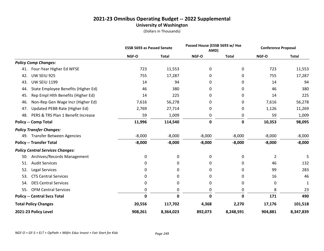#### **2021-23 Omnibus Operating Budget -- 2022 Supplemental University of Washington**

|                                            | <b>ESSB 5693 as Passed Senate</b> |              | Passed House (ESSB 5693 w/ Hse<br>AMD) |              | <b>Conference Proposal</b> |              |
|--------------------------------------------|-----------------------------------|--------------|----------------------------------------|--------------|----------------------------|--------------|
|                                            | NGF-O                             | <b>Total</b> | NGF-O                                  | <b>Total</b> | NGF-O                      | <b>Total</b> |
| <b>Policy Comp Changes:</b>                |                                   |              |                                        |              |                            |              |
| Four-Year Higher Ed WFSE<br>41.            | 723                               | 11,553       | 0                                      | 0            | 723                        | 11,553       |
| UW SEIU 925<br>42.                         | 755                               | 17,287       | 0                                      | 0            | 755                        | 17,287       |
| <b>UW SEIU 1199</b><br>43.                 | 14                                | 94           | 0                                      | 0            | 14                         | 94           |
| State Employee Benefits (Higher Ed)<br>44. | 46                                | 380          | 0                                      | 0            | 46                         | 380          |
| Rep Empl Hlth Benefits (Higher Ed)<br>45.  | 14                                | 225          | 0                                      | 0            | 14                         | 225          |
| Non-Rep Gen Wage Incr (Higher Ed)<br>46.   | 7,616                             | 56,278       | 0                                      | 0            | 7,616                      | 56,278       |
| Updated PEBB Rate (Higher Ed)<br>47.       | 2,769                             | 27,714       | 0                                      | 0            | 1,126                      | 11,269       |
| PERS & TRS Plan 1 Benefit Increase<br>48.  | 59                                | 1,009        | 0                                      | 0            | 59                         | 1,009        |
| <b>Policy -- Comp Total</b>                | 11,996                            | 114,540      | $\mathbf 0$                            | $\mathbf 0$  | 10,353                     | 98,095       |
| <b>Policy Transfer Changes:</b>            |                                   |              |                                        |              |                            |              |
| <b>Transfer Between Agencies</b><br>49.    | $-8,000$                          | $-8,000$     | $-8,000$                               | $-8,000$     | $-8,000$                   | $-8,000$     |
| <b>Policy -- Transfer Total</b>            | $-8,000$                          | $-8,000$     | $-8,000$                               | $-8,000$     | $-8,000$                   | $-8,000$     |
| <b>Policy Central Services Changes:</b>    |                                   |              |                                        |              |                            |              |
| Archives/Records Management<br>50.         | 0                                 | 0            | 0                                      | 0            | 2                          | 5            |
| <b>Audit Services</b><br>51.               | 0                                 | 0            | 0                                      | 0            | 46                         | 132          |
| 52.<br><b>Legal Services</b>               | 0                                 | 0            | 0                                      | 0            | 99                         | 283          |
| <b>CTS Central Services</b><br>53.         | 0                                 | 0            | 0                                      | 0            | 16                         | 46           |
| <b>DES Central Services</b><br>54.         | 0                                 | 0            | 0                                      | 0            | 0                          | 1            |
| <b>OFM Central Services</b><br>55.         | 0                                 | 0            | 0                                      | 0            | 8                          | 23           |
| <b>Policy -- Central Svcs Total</b>        | $\mathbf 0$                       | $\mathbf 0$  | $\mathbf 0$                            | 0            | 171                        | 490          |
| <b>Total Policy Changes</b>                | 20,556                            | 117,702      | 4,368                                  | 2,270        | 17,176                     | 101,518      |
| 2021-23 Policy Level                       | 908,261                           | 8,364,023    | 892,073                                | 8,248,591    | 904,881                    | 8,347,839    |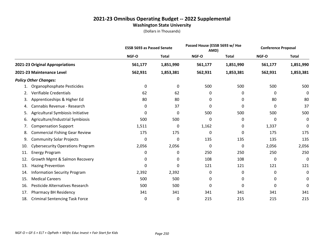#### **2021-23 Omnibus Operating Budget -- 2022 Supplemental Washington State University**

|     |                                         | <b>ESSB 5693 as Passed Senate</b> |              | Passed House (ESSB 5693 w/ Hse<br>AMD) |              | <b>Conference Proposal</b> |              |
|-----|-----------------------------------------|-----------------------------------|--------------|----------------------------------------|--------------|----------------------------|--------------|
|     |                                         | NGF-O                             | <b>Total</b> | NGF-O                                  | <b>Total</b> | NGF-O                      | <b>Total</b> |
|     | 2021-23 Original Appropriations         | 561,177                           | 1,851,990    | 561,177                                | 1,851,990    | 561,177                    | 1,851,990    |
|     | 2021-23 Maintenance Level               | 562,931                           | 1,853,381    | 562,931                                | 1,853,381    | 562,931                    | 1,853,381    |
|     | <b>Policy Other Changes:</b>            |                                   |              |                                        |              |                            |              |
|     | Organophosphate Pesticides              | 0                                 | 0            | 500                                    | 500          | 500                        | 500          |
| 2.  | Verifiable Credentials                  | 62                                | 62           | 0                                      | 0            | 0                          | 0            |
| 3.  | Apprenticeships & Higher Ed             | 80                                | 80           | 0                                      | 0            | 80                         | 80           |
| 4.  | Cannabis Revenue - Research             | 0                                 | 37           | 0                                      | 0            | 0                          | 37           |
| 5.  | Agricultural Symbiosis Initiative       | 0                                 | 0            | 500                                    | 500          | 500                        | 500          |
| 6.  | Agriculture/Industrial Symbiosis        | 500                               | 500          | 0                                      | 0            | 0                          | $\mathbf 0$  |
| 7.  | <b>Compensation Support</b>             | 1,511                             | 0            | 1,162                                  | 0            | 1,337                      | 0            |
| 8.  | <b>Commercial Fishing Gear Review</b>   | 175                               | 175          | 0                                      | 0            | 175                        | 175          |
| 9.  | <b>Community Solar Projects</b>         | 0                                 | 0            | 135                                    | 135          | 135                        | 135          |
| 10. | <b>Cybersecurity Operations Program</b> | 2,056                             | 2,056        | 0                                      | 0            | 2,056                      | 2,056        |
| 11. | <b>Energy Program</b>                   | 0                                 | 0            | 250                                    | 250          | 250                        | 250          |
| 12. | Growth Mgmt & Salmon Recovery           | 0                                 | 0            | 108                                    | 108          | 0                          | 0            |
| 13. | <b>Hazing Prevention</b>                | 0                                 | 0            | 121                                    | 121          | 121                        | 121          |
| 14. | <b>Information Security Program</b>     | 2,392                             | 2,392        | 0                                      | 0            | 0                          | 0            |
| 15. | <b>Medical Careers</b>                  | 500                               | 500          | 0                                      | 0            | 0                          | $\mathbf 0$  |
| 16. | Pesticide Alternatives Research         | 500                               | 500          | 0                                      | 0            | 0                          | 0            |
| 17. | <b>Pharmacy BH Residency</b>            | 341                               | 341          | 341                                    | 341          | 341                        | 341          |
| 18. | <b>Criminal Sentencing Task Force</b>   | 0                                 | 0            | 215                                    | 215          | 215                        | 215          |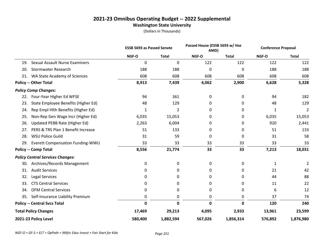#### **2021-23 Omnibus Operating Budget -- 2022 Supplemental Washington State University**

|                                         |                                       | <b>ESSB 5693 as Passed Senate</b> |              | Passed House (ESSB 5693 w/ Hse<br>AMD) |              | <b>Conference Proposal</b> |                |
|-----------------------------------------|---------------------------------------|-----------------------------------|--------------|----------------------------------------|--------------|----------------------------|----------------|
|                                         |                                       | NGF-O                             | <b>Total</b> | NGF-O                                  | <b>Total</b> | NGF-O                      | <b>Total</b>   |
| 19.                                     | <b>Sexual Assault Nurse Examiners</b> | $\mathbf 0$                       | $\mathbf 0$  | 122                                    | 122          | 122                        | 122            |
| 20.                                     | <b>Stormwater Research</b>            | 188                               | 188          | 0                                      | 0            | 188                        | 188            |
| 21.                                     | WA State Academy of Sciences          | 608                               | 608          | 608                                    | 608          | 608                        | 608            |
| <b>Policy -- Other Total</b>            |                                       | 8,913                             | 7,439        | 4,062                                  | 2,900        | 6,628                      | 5,328          |
| <b>Policy Comp Changes:</b>             |                                       |                                   |              |                                        |              |                            |                |
| 22.                                     | Four-Year Higher Ed WFSE              | 94                                | 361          | 0                                      | 0            | 94                         | 182            |
| 23.                                     | State Employee Benefits (Higher Ed)   | 48                                | 129          | 0                                      | 0            | 48                         | 129            |
| 24.                                     | Rep Empl Hlth Benefits (Higher Ed)    | 1                                 | 2            | 0                                      | 0            | 1                          | $\overline{2}$ |
| 25.                                     | Non-Rep Gen Wage Incr (Higher Ed)     | 6,035                             | 15,053       | 0                                      | 0            | 6,035                      | 15,053         |
| 26.                                     | Updated PEBB Rate (Higher Ed)         | 2,263                             | 6,004        | 0                                      | 0            | 920                        | 2,441          |
| 27.                                     | PERS & TRS Plan 1 Benefit Increase    | 51                                | 133          | 0                                      | 0            | 51                         | 133            |
| <b>WSU Police Guild</b><br>28.          |                                       | 31                                | 59           | 0                                      | 0            | 31                         | 58             |
| 29.                                     | Everett Compensation Funding-WWU      | 33                                | 33           | 33                                     | 33           | 33                         | 33             |
| <b>Policy -- Comp Total</b>             |                                       | 8,556                             | 21,774       | 33                                     | 33           | 7,213                      | 18,031         |
| <b>Policy Central Services Changes:</b> |                                       |                                   |              |                                        |              |                            |                |
| 30.                                     | Archives/Records Management           | 0                                 | 0            | 0                                      | 0            | 1                          | 2              |
| <b>Audit Services</b><br>31.            |                                       | 0                                 | 0            | 0                                      | 0            | 21                         | 42             |
| 32.<br>Legal Services                   |                                       | 0                                 | 0            | 0                                      | 0            | 44                         | 88             |
| 33.                                     | <b>CTS Central Services</b>           | 0                                 | 0            | 0                                      | 0            | 11                         | 22             |
| 34.                                     | <b>OFM Central Services</b>           | 0                                 | 0            | 0                                      | 0            | 6                          | 12             |
| 35.                                     | Self-Insurance Liability Premium      | 0                                 | 0            | 0                                      | 0            | 37                         | 74             |
| <b>Policy -- Central Svcs Total</b>     |                                       | 0                                 | $\mathbf 0$  | $\mathbf{0}$                           | 0            | 120                        | 240            |
| <b>Total Policy Changes</b>             |                                       | 17,469                            | 29,213       | 4,095                                  | 2,933        | 13,961                     | 23,599         |
| 2021-23 Policy Level                    |                                       | 580,400                           | 1,882,594    | 567,026                                | 1,856,314    | 576,892                    | 1,876,980      |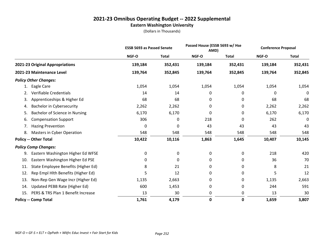# **2021-23 Omnibus Operating Budget -- 2022 Supplemental Eastern Washington University**

|                                            | <b>ESSB 5693 as Passed Senate</b> |              | Passed House (ESSB 5693 w/ Hse<br>AMD) |              | <b>Conference Proposal</b> |              |
|--------------------------------------------|-----------------------------------|--------------|----------------------------------------|--------------|----------------------------|--------------|
|                                            | NGF-O                             | <b>Total</b> | NGF-O                                  | <b>Total</b> | NGF-O                      | <b>Total</b> |
| 2021-23 Original Appropriations            | 139,184                           | 352,431      | 139,184                                | 352,431      | 139,184                    | 352,431      |
| 2021-23 Maintenance Level                  | 139,764                           | 352,845      | 139,764                                | 352,845      | 139,764                    | 352,845      |
| <b>Policy Other Changes:</b>               |                                   |              |                                        |              |                            |              |
| Eagle Care<br>1.                           | 1,054                             | 1,054        | 1,054                                  | 1,054        | 1,054                      | 1,054        |
| Verifiable Credentials<br>2.               | 14                                | 14           | 0                                      | 0            | 0                          | 0            |
| Apprenticeships & Higher Ed<br>3.          | 68                                | 68           | 0                                      | 0            | 68                         | 68           |
| <b>Bachelor in Cybersecurity</b><br>4.     | 2,262                             | 2,262        | 0                                      | 0            | 2,262                      | 2,262        |
| Bachelor of Science in Nursing<br>5.       | 6,170                             | 6,170        | 0                                      | 0            | 6,170                      | 6,170        |
| <b>Compensation Support</b><br>6.          | 306                               | 0            | 218                                    | 0            | 262                        | 0            |
| <b>Hazing Prevention</b><br>7.             | 0                                 | 0            | 43                                     | 43           | 43                         | 43           |
| Masters in Cyber Operation<br>8.           | 548                               | 548          | 548                                    | 548          | 548                        | 548          |
| <b>Policy -- Other Total</b>               | 10,422                            | 10,116       | 1,863                                  | 1,645        | 10,407                     | 10,145       |
| <b>Policy Comp Changes:</b>                |                                   |              |                                        |              |                            |              |
| Eastern Washington Higher Ed WFSE<br>9.    | 0                                 | $\mathbf 0$  | 0                                      | 0            | 218                        | 420          |
| Eastern Washington Higher Ed PSE<br>10.    | 0                                 | $\Omega$     | 0                                      | 0            | 36                         | 70           |
| State Employee Benefits (Higher Ed)<br>11. | 8                                 | 21           | 0                                      | 0            | 8                          | 21           |
| Rep Empl Hlth Benefits (Higher Ed)<br>12.  | 5                                 | 12           | 0                                      | 0            | 5                          | 12           |
| 13.<br>Non-Rep Gen Wage Incr (Higher Ed)   | 1,135                             | 2,663        | 0                                      | 0            | 1,135                      | 2,663        |
| Updated PEBB Rate (Higher Ed)<br>14.       | 600                               | 1,453        | 0                                      | 0            | 244                        | 591          |
| PERS & TRS Plan 1 Benefit Increase<br>15.  | 13                                | 30           | 0                                      | 0            | 13                         | 30           |
| <b>Policy -- Comp Total</b>                | 1,761                             | 4,179        | 0                                      | 0            | 1,659                      | 3,807        |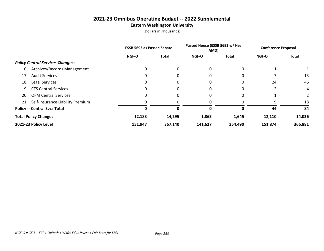# **2021-23 Omnibus Operating Budget -- 2022 Supplemental Eastern Washington University**

|                                         | <b>ESSB 5693 as Passed Senate</b> |              | Passed House (ESSB 5693 w/ Hse<br>AMD) |         | <b>Conference Proposal</b> |                |
|-----------------------------------------|-----------------------------------|--------------|----------------------------------------|---------|----------------------------|----------------|
|                                         | NGF-O                             | <b>Total</b> | NGF-O                                  | Total   | NGF-O                      | <b>Total</b>   |
| <b>Policy Central Services Changes:</b> |                                   |              |                                        |         |                            |                |
| Archives/Records Management<br>16.      | $\Omega$                          | 0            | 0                                      |         |                            |                |
| <b>Audit Services</b><br>17.            | $\Omega$                          | 0            | 0                                      | 0       |                            | 13             |
| <b>Legal Services</b><br>18.            | 0                                 | 0            | 0                                      | 0       | 24                         | 46             |
| <b>CTS Central Services</b><br>19.      | 0                                 | 0            | 0                                      | 0       | າ                          | 4              |
| <b>OFM Central Services</b><br>20.      | 0                                 | 0            | 0                                      |         |                            | $\overline{2}$ |
| 21. Self-Insurance Liability Premium    | 0                                 | 0            | 0                                      |         | 9                          | 18             |
| <b>Policy -- Central Svcs Total</b>     | Ω                                 | 0            | 0                                      | 0       | 44                         | 84             |
| <b>Total Policy Changes</b>             | 12,183                            | 14,295       | 1,863                                  | 1,645   | 12,110                     | 14,036         |
| 2021-23 Policy Level                    | 151,947                           | 367,140      | 141,627                                | 354,490 | 151,874                    | 366,881        |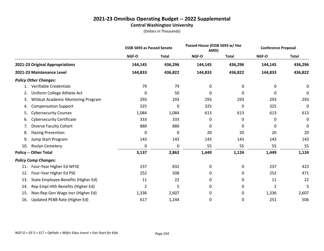# **2021-23 Omnibus Operating Budget -- 2022 Supplemental Central Washington University**

|     |                                           | <b>ESSB 5693 as Passed Senate</b> |              | Passed House (ESSB 5693 w/ Hse<br>AMD) |              | <b>Conference Proposal</b> |              |
|-----|-------------------------------------------|-----------------------------------|--------------|----------------------------------------|--------------|----------------------------|--------------|
|     |                                           | NGF-O                             | <b>Total</b> | <b>NGF-O</b>                           | <b>Total</b> | NGF-O                      | <b>Total</b> |
|     | 2021-23 Original Appropriations           | 144,145                           | 436,296      | 144,145                                | 436,296      | 144,145                    | 436,296      |
|     | 2021-23 Maintenance Level                 | 144,833                           | 436,822      | 144,833                                | 436,822      | 144,833                    | 436,822      |
|     | <b>Policy Other Changes:</b>              |                                   |              |                                        |              |                            |              |
|     | Verifiable Credentials                    | 79                                | 79           | 0                                      | 0            | 0                          | 0            |
| 2.  | Uniform College Athlete Act               | 0                                 | 50           | 0                                      | 0            | 0                          | 0            |
| 3.  | <b>Wildcat Academic Mentoring Program</b> | 293                               | 293          | 293                                    | 293          | 293                        | 293          |
| 4.  | <b>Compensation Support</b>               | 325                               | 0            | 325                                    | 0            | 325                        | 0            |
| 5.  | <b>Cybersecurity Courses</b>              | 1,084                             | 1,084        | 613                                    | 613          | 613                        | 613          |
| 6.  | <b>Cybersecurity Certificate</b>          | 333                               | 333          | 0                                      | 0            | 0                          | $\mathbf 0$  |
| 7.  | <b>Diverse Faculty Cohort</b>             | 880                               | 880          | 0                                      | 0            | 0                          | 0            |
| 8.  | <b>Hazing Prevention</b>                  | 0                                 | 0            | 20                                     | 20           | 20                         | 20           |
| 9.  | Jump Start Program                        | 143                               | 143          | 143                                    | 143          | 143                        | 143          |
| 10. | Roslyn Cemetery                           | 0                                 | 0            | 55                                     | 55           | 55                         | 55           |
|     | <b>Policy -- Other Total</b>              | 3,137                             | 2,862        | 1,449                                  | 1,124        | 1,449                      | 1,124        |
|     | <b>Policy Comp Changes:</b>               |                                   |              |                                        |              |                            |              |
| 11. | Four-Year Higher Ed WFSE                  | 237                               | 832          | 0                                      | 0            | 237                        | 423          |
| 12. | Four-Year Higher Ed PSE                   | 252                               | 508          | 0                                      | 0            | 252                        | 471          |
| 13. | State Employee Benefits (Higher Ed)       | 11                                | 22           | 0                                      | 0            | 11                         | 22           |
| 14. | Rep Empl Hlth Benefits (Higher Ed)        | $\overline{2}$                    | 5            | 0                                      | 0            | 2                          | 5            |
| 15. | Non-Rep Gen Wage Incr (Higher Ed)         | 1,336                             | 2,607        | 0                                      | 0            | 1,336                      | 2,607        |
| 16. | Updated PEBB Rate (Higher Ed)             | 617                               | 1,244        | 0                                      | 0            | 251                        | 506          |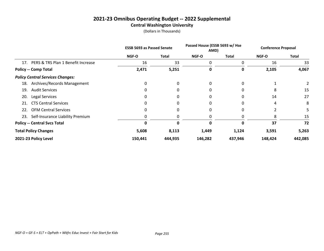# **2021-23 Omnibus Operating Budget -- 2022 Supplemental Central Washington University**

|                                         | <b>ESSB 5693 as Passed Senate</b> |         | Passed House (ESSB 5693 w/ Hse<br>AMD) |              | <b>Conference Proposal</b> |              |
|-----------------------------------------|-----------------------------------|---------|----------------------------------------|--------------|----------------------------|--------------|
|                                         | <b>NGF-O</b>                      | Total   | <b>NGF-O</b>                           | <b>Total</b> | <b>NGF-O</b>               | <b>Total</b> |
| 17. PERS & TRS Plan 1 Benefit Increase  | 16                                | 33      | 0                                      | 0            | 16                         | 33           |
| <b>Policy -- Comp Total</b>             | 2,471                             | 5,251   | 0                                      | 0            | 2,105                      | 4,067        |
| <b>Policy Central Services Changes:</b> |                                   |         |                                        |              |                            |              |
| Archives/Records Management<br>18.      | 0                                 | 0       | 0                                      |              |                            |              |
| <b>Audit Services</b><br>19.            | 0                                 |         | 0                                      |              | 8                          | 15           |
| <b>Legal Services</b><br>20.            | $\Omega$                          | 0       | 0                                      |              | 14                         | 27           |
| <b>CTS Central Services</b><br>21.      | 0                                 |         | 0                                      |              | 4                          | 8            |
| <b>OFM Central Services</b><br>22.      | 0                                 |         | 0                                      |              |                            |              |
| Self-Insurance Liability Premium<br>23. | 0                                 |         | 0                                      |              | 8                          | 15           |
| <b>Policy -- Central Svcs Total</b>     | 0                                 | ŋ       | 0                                      | O            | 37                         | 72           |
| <b>Total Policy Changes</b>             | 5,608                             | 8,113   | 1,449                                  | 1,124        | 3,591                      | 5,263        |
| 2021-23 Policy Level                    | 150,441                           | 444,935 | 146,282                                | 437,946      | 148,424                    | 442,085      |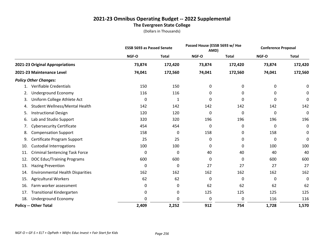# **2021-23 Omnibus Operating Budget -- 2022 Supplemental The Evergreen State College**

|     |                                         | <b>ESSB 5693 as Passed Senate</b> |              | Passed House (ESSB 5693 w/ Hse<br>AMD) |              | <b>Conference Proposal</b> |              |
|-----|-----------------------------------------|-----------------------------------|--------------|----------------------------------------|--------------|----------------------------|--------------|
|     |                                         | NGF-O                             | <b>Total</b> | <b>NGF-O</b>                           | <b>Total</b> | NGF-O                      | <b>Total</b> |
|     | 2021-23 Original Appropriations         | 73,874                            | 172,420      | 73,874                                 | 172,420      | 73,874                     | 172,420      |
|     | 2021-23 Maintenance Level               | 74,041                            | 172,560      | 74,041                                 | 172,560      | 74,041                     | 172,560      |
|     | <b>Policy Other Changes:</b>            |                                   |              |                                        |              |                            |              |
| 1.  | Verifiable Credentials                  | 150                               | 150          | 0                                      | 0            | 0                          | 0            |
| 2.  | Underground Economy                     | 116                               | 116          | 0                                      | 0            | 0                          | 0            |
| 3.  | Uniform College Athlete Act             | 0                                 | 1            | 0                                      | 0            | 0                          | 0            |
| 4.  | Student Wellness/Mental Health          | 142                               | 142          | 142                                    | 142          | 142                        | 142          |
| 5.  | <b>Instructional Design</b>             | 120                               | 120          | 0                                      | 0            | 0                          | 0            |
| 6.  | Lab and Studio Support                  | 320                               | 320          | 196                                    | 196          | 196                        | 196          |
| 7.  | <b>Cybersecurity Certificate</b>        | 454                               | 454          | 0                                      | 0            | 0                          | $\mathbf 0$  |
| 8.  | <b>Compensation Support</b>             | 158                               | 0            | 158                                    | 0            | 158                        | 0            |
| 9.  | Certificate Program Support             | 25                                | 25           | 0                                      | 0            | 0                          | $\mathbf 0$  |
| 10. | <b>Custodial Interrogations</b>         | 100                               | 100          | 0                                      | 0            | 100                        | 100          |
| 11. | <b>Criminal Sentencing Task Force</b>   | 0                                 | 0            | 40                                     | 40           | 40                         | 40           |
| 12. | <b>DOC Educ/Training Programs</b>       | 600                               | 600          | 0                                      | 0            | 600                        | 600          |
| 13. | <b>Hazing Prevention</b>                | 0                                 | 0            | 27                                     | 27           | 27                         | 27           |
| 14. | <b>Environmental Health Disparities</b> | 162                               | 162          | 162                                    | 162          | 162                        | 162          |
| 15. | <b>Agricultural Workers</b>             | 62                                | 62           | 0                                      | 0            | 0                          | 0            |
| 16. | Farm worker assessment                  | 0                                 | 0            | 62                                     | 62           | 62                         | 62           |
| 17. | <b>Transitional Kindergarten</b>        | 0                                 | 0            | 125                                    | 125          | 125                        | 125          |
| 18. | Underground Economy                     | 0                                 | 0            | 0                                      | 0            | 116                        | 116          |
|     | <b>Policy -- Other Total</b>            | 2,409                             | 2,252        | 912                                    | 754          | 1,728                      | 1,570        |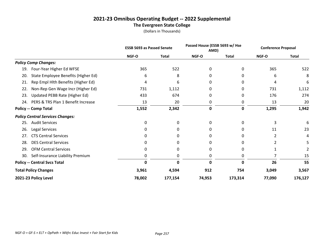# **2021-23 Omnibus Operating Budget -- 2022 Supplemental The Evergreen State College**

|                                            | <b>ESSB 5693 as Passed Senate</b> |              | Passed House (ESSB 5693 w/ Hse<br>AMD) |              | <b>Conference Proposal</b> |              |
|--------------------------------------------|-----------------------------------|--------------|----------------------------------------|--------------|----------------------------|--------------|
|                                            | NGF-O                             | <b>Total</b> | <b>NGF-O</b>                           | <b>Total</b> | <b>NGF-O</b>               | <b>Total</b> |
| <b>Policy Comp Changes:</b>                |                                   |              |                                        |              |                            |              |
| Four-Year Higher Ed WFSE<br>19.            | 365                               | 522          | 0                                      | 0            | 365                        | 522          |
| State Employee Benefits (Higher Ed)<br>20. | 6                                 | 8            | 0                                      | 0            | 6                          | 8            |
| Rep Empl Hlth Benefits (Higher Ed)<br>21.  | 4                                 | 6            | 0                                      | 0            | 4                          | 6            |
| Non-Rep Gen Wage Incr (Higher Ed)<br>22.   | 731                               | 1,112        | 0                                      | 0            | 731                        | 1,112        |
| Updated PEBB Rate (Higher Ed)<br>23.       | 433                               | 674          | 0                                      | 0            | 176                        | 274          |
| PERS & TRS Plan 1 Benefit Increase<br>24.  | 13                                | 20           | 0                                      | 0            | 13                         | 20           |
| <b>Policy -- Comp Total</b>                | 1,552                             | 2,342        | $\bf{0}$                               | 0            | 1,295                      | 1,942        |
| <b>Policy Central Services Changes:</b>    |                                   |              |                                        |              |                            |              |
| <b>Audit Services</b><br>25.               | 0                                 | 0            | $\Omega$                               | 0            | 3                          | 6            |
| Legal Services<br>26.                      | 0                                 | 0            | 0                                      | 0            | 11                         | 23           |
| <b>CTS Central Services</b><br>27.         | 0                                 | 0            | 0                                      | 0            | 2                          | 4            |
| <b>DES Central Services</b><br>28.         | 0                                 | 0            | 0                                      |              |                            |              |
| <b>OFM Central Services</b><br>29.         | 0                                 | 0            | 0                                      | 0            |                            |              |
| Self-Insurance Liability Premium<br>30.    | 0                                 | 0            | 0                                      | 0            |                            | 15           |
| <b>Policy -- Central Svcs Total</b>        | 0                                 | 0            | 0                                      | 0            | 26                         | 55           |
| <b>Total Policy Changes</b>                | 3,961                             | 4,594        | 912                                    | 754          | 3,049                      | 3,567        |
| 2021-23 Policy Level                       | 78,002                            | 177,154      | 74,953                                 | 173,314      | 77,090                     | 176,127      |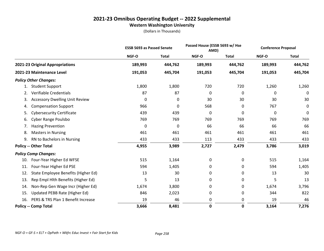# **2021-23 Omnibus Operating Budget -- 2022 Supplemental Western Washington University**

|                                             | <b>ESSB 5693 as Passed Senate</b> |              |         | Passed House (ESSB 5693 w/ Hse<br>AMD) |         | <b>Conference Proposal</b> |
|---------------------------------------------|-----------------------------------|--------------|---------|----------------------------------------|---------|----------------------------|
|                                             | NGF-O                             | <b>Total</b> | NGF-O   | <b>Total</b>                           | NGF-O   | <b>Total</b>               |
| 2021-23 Original Appropriations             | 189,993                           | 444,762      | 189,993 | 444,762                                | 189,993 | 444,762                    |
| 2021-23 Maintenance Level                   | 191,053                           | 445,704      | 191,053 | 445,704                                | 191,053 | 445,704                    |
| <b>Policy Other Changes:</b>                |                                   |              |         |                                        |         |                            |
| <b>Student Support</b><br>1.                | 1,800                             | 1,800        | 720     | 720                                    | 1,260   | 1,260                      |
| <b>Verifiable Credentials</b><br>2.         | 87                                | 87           | 0       | 0                                      | 0       | 0                          |
| <b>Accessory Dwelling Unit Review</b><br>3. | 0                                 | 0            | 30      | 30                                     | 30      | 30                         |
| <b>Compensation Support</b><br>4.           | 966                               | 0            | 568     | 0                                      | 767     | 0                          |
| <b>Cybersecurity Certificate</b><br>5.      | 439                               | 439          | 0       | 0                                      | 0       | 0                          |
| Cyber Range Poulsbo<br>6.                   | 769                               | 769          | 769     | 769                                    | 769     | 769                        |
| <b>Hazing Prevention</b><br>7.              | 0                                 | 0            | 66      | 66                                     | 66      | 66                         |
| <b>Masters in Nursing</b><br>8.             | 461                               | 461          | 461     | 461                                    | 461     | 461                        |
| RN to Bachelors in Nursing<br>9.            | 433                               | 433          | 113     | 433                                    | 433     | 433                        |
| <b>Policy -- Other Total</b>                | 4,955                             | 3,989        | 2,727   | 2,479                                  | 3,786   | 3,019                      |
| <b>Policy Comp Changes:</b>                 |                                   |              |         |                                        |         |                            |
| Four-Year Higher Ed WFSE<br>10.             | 515                               | 1,164        | 0       | 0                                      | 515     | 1,164                      |
| Four-Year Higher Ed PSE<br>11.              | 594                               | 1,405        | 0       | 0                                      | 594     | 1,405                      |
| State Employee Benefits (Higher Ed)<br>12.  | 13                                | 30           | 0       | 0                                      | 13      | 30                         |
| Rep Empl Hlth Benefits (Higher Ed)<br>13.   | 5                                 | 13           | 0       | 0                                      | 5       | 13                         |
| Non-Rep Gen Wage Incr (Higher Ed)<br>14.    | 1,674                             | 3,800        | 0       | 0                                      | 1,674   | 3,796                      |
| Updated PEBB Rate (Higher Ed)<br>15.        | 846                               | 2,023        | 0       | 0                                      | 344     | 822                        |
| PERS & TRS Plan 1 Benefit Increase<br>16.   | 19                                | 46           | 0       | 0                                      | 19      | 46                         |
| <b>Policy -- Comp Total</b>                 | 3,666                             | 8,481        | 0       | 0                                      | 3,164   | 7,276                      |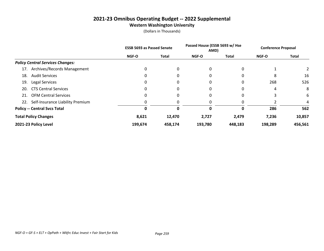# **2021-23 Omnibus Operating Budget -- 2022 Supplemental Western Washington University**

|                                         | <b>ESSB 5693 as Passed Senate</b> |         | Passed House (ESSB 5693 w/ Hse<br>AMD) |              | <b>Conference Proposal</b> |         |
|-----------------------------------------|-----------------------------------|---------|----------------------------------------|--------------|----------------------------|---------|
|                                         | NGF-O                             | Total   | <b>NGF-O</b>                           | <b>Total</b> | NGF-O                      | Total   |
| <b>Policy Central Services Changes:</b> |                                   |         |                                        |              |                            |         |
| Archives/Records Management<br>17.      | 0                                 | 0       | 0                                      | 0            |                            |         |
| <b>Audit Services</b><br>18.            | 0                                 | 0       | 0                                      | 0            | 8                          | 16      |
| Legal Services<br>19.                   | 0                                 |         | 0                                      | 0            | 268                        | 526     |
| <b>CTS Central Services</b><br>20.      | 0                                 | 0       | 0                                      | 0            | 4                          | 8       |
| <b>OFM Central Services</b><br>21.      | 0                                 |         | 0                                      | 0            |                            | 6       |
| 22. Self-Insurance Liability Premium    | 0                                 |         |                                        |              |                            | 4       |
| <b>Policy -- Central Svcs Total</b>     |                                   | 0       | 0                                      | 0            | 286                        | 562     |
| <b>Total Policy Changes</b>             | 8,621                             | 12,470  | 2,727                                  | 2,479        | 7,236                      | 10,857  |
| 2021-23 Policy Level                    | 199,674                           | 458,174 | 193,780                                | 448,183      | 198,289                    | 456,561 |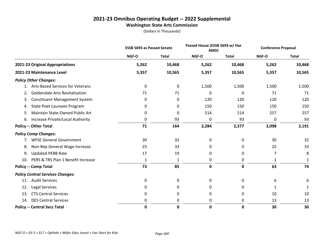# **2021-23 Omnibus Operating Budget -- 2022 Supplemental**

# **Washington State Arts Commission**

|                                            | <b>ESSB 5693 as Passed Senate</b> |              | Passed House (ESSB 5693 w/ Hse<br>AMD) |              | <b>Conference Proposal</b> |              |
|--------------------------------------------|-----------------------------------|--------------|----------------------------------------|--------------|----------------------------|--------------|
|                                            | NGF-O                             | <b>Total</b> | NGF-O                                  | <b>Total</b> | NGF-O                      | <b>Total</b> |
| 2021-23 Original Appropriations            | 5,262                             | 10,468       | 5,262                                  | 10,468       | 5,262                      | 10,468       |
| 2021-23 Maintenance Level                  | 5,357                             | 10,565       | 5,357                                  | 10,565       | 5,357                      | 10,565       |
| <b>Policy Other Changes:</b>               |                                   |              |                                        |              |                            |              |
| 1. Arts-Based Services for Veterans        | 0                                 | 0            | 1,500                                  | 1,500        | 1,500                      | 1,500        |
| Goldendale Arts Revitalization<br>2.       | 71                                | 71           | 0                                      | 0            | 71                         | 71           |
| <b>Constituent Management System</b><br>3. | 0                                 | 0            | 120                                    | 120          | 120                        | 120          |
| State Poet Laureate Program<br>4.          | 0                                 | 0            | 150                                    | 150          | 150                        | 150          |
| Maintain State-Owned Public Art<br>5.      | 0                                 | 0            | 514                                    | 514          | 257                        | 257          |
| Increase Private/Local Authority<br>6.     | 0                                 | 93           | 0                                      | 93           | 0                          | 93           |
| <b>Policy -- Other Total</b>               | 71                                | 164          | 2,284                                  | 2,377        | 2,098                      | 2,191        |
| <b>Policy Comp Changes:</b>                |                                   |              |                                        |              |                            |              |
| 7. WFSE General Government                 | 30                                | 32           | 0                                      | 0            | 30                         | 32           |
| Non-Rep General Wage Increase<br>8.        | 25                                | 33           | 0                                      | 0            | 25                         | 33           |
| <b>Updated PEBB Rate</b><br>9.             | 17                                | 19           | 0                                      | 0            | 7                          | 8            |
| PERS & TRS Plan 1 Benefit Increase<br>10.  | 1                                 | 1            | 0                                      | 0            | 1                          | 1            |
| <b>Policy -- Comp Total</b>                | 73                                | 85           | 0                                      | 0            | 63                         | 74           |
| <b>Policy Central Services Changes:</b>    |                                   |              |                                        |              |                            |              |
| <b>Audit Services</b><br>11.               | 0                                 | 0            | 0                                      | 0            | 6                          | 6            |
| Legal Services<br>12.                      | 0                                 | 0            | 0                                      | 0            | 1                          | 1            |
| <b>CTS Central Services</b><br>13.         | 0                                 | 0            | 0                                      | 0            | 10                         | 10           |
| <b>DES Central Services</b><br>14.         | 0                                 | 0            | 0                                      | 0            | 13                         | 13           |
| <b>Policy -- Central Svcs Total</b>        | $\mathbf 0$                       | $\mathbf 0$  | 0                                      | $\mathbf 0$  | 30                         | 30           |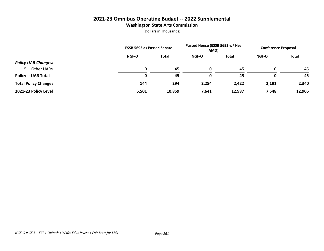# **2021-23 Omnibus Operating Budget -- 2022 Supplemental**

# **Washington State Arts Commission**

|                             | <b>ESSB 5693 as Passed Senate</b> |              | Passed House (ESSB 5693 w/ Hse<br>AMD) |        | <b>Conference Proposal</b> |              |
|-----------------------------|-----------------------------------|--------------|----------------------------------------|--------|----------------------------|--------------|
|                             | <b>NGF-O</b>                      | <b>Total</b> | <b>NGF-O</b>                           | Total  | <b>NGF-O</b>               | <b>Total</b> |
| <b>Policy UAR Changes:</b>  |                                   |              |                                        |        |                            |              |
| Other UARs<br>15.           |                                   | 45           | $\Omega$                               | 45     |                            | 45           |
| <b>Policy -- UAR Total</b>  | $\bf{0}$                          | 45           | 0                                      | 45     |                            | 45           |
| <b>Total Policy Changes</b> | 144                               | 294          | 2,284                                  | 2,422  | 2,191                      | 2,340        |
| 2021-23 Policy Level        | 5,501                             | 10,859       | 7,641                                  | 12,987 | 7,548                      | 12,905       |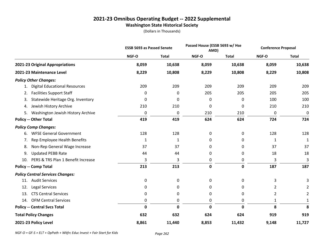# **2021-23 Omnibus Operating Budget -- 2022 Supplemental Washington State Historical Society**

(Dollars in Thousands)

|                                            | <b>ESSB 5693 as Passed Senate</b> |              | Passed House (ESSB 5693 w/ Hse<br>AMD) |              | <b>Conference Proposal</b> |                |
|--------------------------------------------|-----------------------------------|--------------|----------------------------------------|--------------|----------------------------|----------------|
|                                            | NGF-O                             | <b>Total</b> | NGF-O                                  | <b>Total</b> | NGF-O                      | <b>Total</b>   |
| 2021-23 Original Appropriations            | 8,059                             | 10,638       | 8,059                                  | 10,638       | 8,059                      | 10,638         |
| 2021-23 Maintenance Level                  | 8,229                             | 10,808       | 8,229                                  | 10,808       | 8,229                      | 10,808         |
| <b>Policy Other Changes:</b>               |                                   |              |                                        |              |                            |                |
| <b>Digital Educational Resources</b><br>1. | 209                               | 209          | 209                                    | 209          | 209                        | 209            |
| <b>Facilities Support Staff</b><br>2.      | 0                                 | 0            | 205                                    | 205          | 205                        | 205            |
| Statewide Heritage Org. Inventory<br>3.    | 0                                 | 0            | $\Omega$                               | 0            | 100                        | 100            |
| Jewish History Archive<br>4.               | 210                               | 210          | 0                                      | 0            | 210                        | 210            |
| Washington Jewish History Archive<br>5.    | 0                                 | 0            | 210                                    | 210          | 0                          | 0              |
| <b>Policy -- Other Total</b>               | 419                               | 419          | 624                                    | 624          | 724                        | 724            |
| <b>Policy Comp Changes:</b>                |                                   |              |                                        |              |                            |                |
| <b>WFSE General Government</b><br>6.       | 128                               | 128          | 0                                      | 0            | 128                        | 128            |
| Rep Employee Health Benefits<br>7.         | 1                                 | 1            | 0                                      | 0            | 1                          | $\mathbf{1}$   |
| Non-Rep General Wage Increase<br>8.        | 37                                | 37           | 0                                      | 0            | 37                         | 37             |
| <b>Updated PEBB Rate</b><br>9.             | 44                                | 44           | 0                                      | 0            | 18                         | 18             |
| PERS & TRS Plan 1 Benefit Increase<br>10.  | 3                                 | 3            | 0                                      | 0            | 3                          | 3              |
| <b>Policy -- Comp Total</b>                | 213                               | 213          | $\mathbf 0$                            | 0            | 187                        | 187            |
| <b>Policy Central Services Changes:</b>    |                                   |              |                                        |              |                            |                |
| <b>Audit Services</b><br>11.               | 0                                 | 0            | 0                                      | 0            | 3                          | 3              |
| Legal Services<br>12.                      | $\Omega$                          | 0            | 0                                      | 0            | 2                          | 2              |
| <b>CTS Central Services</b><br>13.         | 0                                 | 0            | 0                                      | 0            | $\overline{2}$             | $\overline{2}$ |
| <b>OFM Central Services</b><br>14.         | 0                                 | 0            | 0                                      | 0            | 1                          | 1              |
| <b>Policy -- Central Svcs Total</b>        | 0                                 | $\mathbf 0$  | 0                                      | 0            | 8                          | 8              |
| <b>Total Policy Changes</b>                | 632                               | 632          | 624                                    | 624          | 919                        | 919            |
| 2021-23 Policy Level                       | 8,861                             | 11,440       | 8,853                                  | 11,432       | 9,148                      | 11,727         |

*NGF-O = GF-S + ELT + OpPath + Wkfrc Educ Invest + Fair Start for Kids Page 262*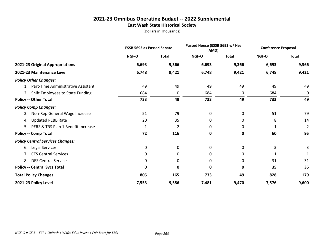# **2021-23 Omnibus Operating Budget -- 2022 Supplemental East Wash State Historical Society**

|                                          | <b>ESSB 5693 as Passed Senate</b> |              | Passed House (ESSB 5693 w/ Hse<br>AMD) |              | <b>Conference Proposal</b> |                |
|------------------------------------------|-----------------------------------|--------------|----------------------------------------|--------------|----------------------------|----------------|
|                                          | <b>NGF-O</b>                      | <b>Total</b> | <b>NGF-O</b>                           | <b>Total</b> | <b>NGF-O</b>               | <b>Total</b>   |
| 2021-23 Original Appropriations          | 6,693                             | 9,366        | 6,693                                  | 9,366        | 6,693                      | 9,366          |
| 2021-23 Maintenance Level                | 6,748                             | 9,421        | 6,748                                  | 9,421        | 6,748                      | 9,421          |
| <b>Policy Other Changes:</b>             |                                   |              |                                        |              |                            |                |
| Part-Time Administrative Assistant       | 49                                | 49           | 49                                     | 49           | 49                         | 49             |
| 2. Shift Employees to State Funding      | 684                               | 0            | 684                                    | 0            | 684                        | 0              |
| <b>Policy -- Other Total</b>             | 733                               | 49           | 733                                    | 49           | 733                        | 49             |
| <b>Policy Comp Changes:</b>              |                                   |              |                                        |              |                            |                |
| Non-Rep General Wage Increase<br>3.      | 51                                | 79           | 0                                      | 0            | 51                         | 79             |
| <b>Updated PEBB Rate</b><br>4.           | 20                                | 35           | 0                                      | 0            | 8                          | 14             |
| PERS & TRS Plan 1 Benefit Increase<br>5. | 1                                 | 2            | 0                                      | 0            | 1                          | $\overline{2}$ |
| <b>Policy -- Comp Total</b>              | 72                                | 116          | $\mathbf 0$                            | 0            | 60                         | 95             |
| <b>Policy Central Services Changes:</b>  |                                   |              |                                        |              |                            |                |
| Legal Services<br>6.                     | 0                                 | 0            | 0                                      | 0            | 3                          | 3              |
| <b>CTS Central Services</b>              | 0                                 | 0            | 0                                      | 0            |                            |                |
| <b>DES Central Services</b><br>8.        | 0                                 | 0            | 0                                      | 0            | 31                         | 31             |
| <b>Policy -- Central Svcs Total</b>      | 0                                 | 0            | 0                                      | $\mathbf{0}$ | 35                         | 35             |
| <b>Total Policy Changes</b>              | 805                               | 165          | 733                                    | 49           | 828                        | 179            |
| 2021-23 Policy Level                     | 7,553                             | 9,586        | 7,481                                  | 9,470        | 7,576                      | 9,600          |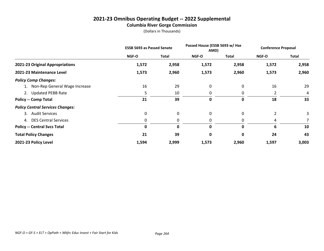# **2021-23 Omnibus Operating Budget -- 2022 Supplemental Columbia River Gorge Commission**

|                                         | <b>ESSB 5693 as Passed Senate</b> |       | Passed House (ESSB 5693 w/ Hse<br>AMD) |       | <b>Conference Proposal</b> |              |
|-----------------------------------------|-----------------------------------|-------|----------------------------------------|-------|----------------------------|--------------|
|                                         | NGF-O                             | Total | NGF-O                                  | Total | <b>NGF-O</b>               | <b>Total</b> |
| 2021-23 Original Appropriations         | 1,572                             | 2,958 | 1,572                                  | 2,958 | 1,572                      | 2,958        |
| 2021-23 Maintenance Level               | 1,573                             | 2,960 | 1,573                                  | 2,960 | 1,573                      | 2,960        |
| <b>Policy Comp Changes:</b>             |                                   |       |                                        |       |                            |              |
| 1. Non-Rep General Wage Increase        | 16                                | 29    | 0                                      | 0     | 16                         | 29           |
| 2. Updated PEBB Rate                    | 5                                 | 10    | 0                                      | 0     | 2                          | 4            |
| <b>Policy -- Comp Total</b>             | 21                                | 39    | 0                                      | 0     | 18                         | 33           |
| <b>Policy Central Services Changes:</b> |                                   |       |                                        |       |                            |              |
| 3. Audit Services                       | 0                                 | 0     | 0                                      | 0     |                            | 3            |
| 4. DES Central Services                 | 0                                 | 0     | 0                                      | 0     | 4                          |              |
| <b>Policy -- Central Svcs Total</b>     | 0                                 | 0     | 0                                      | 0     | 6                          | 10           |
| <b>Total Policy Changes</b>             | 21                                | 39    | 0                                      | 0     | 24                         | 43           |
| 2021-23 Policy Level                    | 1,594                             | 2,999 | 1,573                                  | 2,960 | 1,597                      | 3,003        |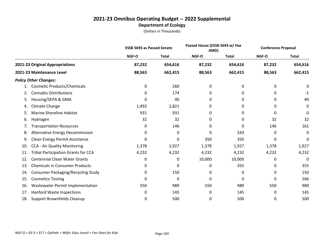|     |                                            | <b>ESSB 5693 as Passed Senate</b> |              | Passed House (ESSB 5693 w/ Hse<br>AMD) |              | <b>Conference Proposal</b> |              |
|-----|--------------------------------------------|-----------------------------------|--------------|----------------------------------------|--------------|----------------------------|--------------|
|     |                                            | NGF-O                             | <b>Total</b> | <b>NGF-O</b>                           | <b>Total</b> | NGF-O                      | <b>Total</b> |
|     | 2021-23 Original Appropriations            | 87,232                            | 654,616      | 87,232                                 | 654,616      | 87,232                     | 654,616      |
|     | 2021-23 Maintenance Level                  | 88,563                            | 662,415      | 88,563                                 | 662,415      | 88,563                     | 662,415      |
|     | <b>Policy Other Changes:</b>               |                                   |              |                                        |              |                            |              |
| 1.  | <b>Cosmetic Products/Chemicals</b>         | 0                                 | 260          | 0                                      | 0            | 0                          | 0            |
| 2.  | <b>Cannabis Distributions</b>              | 0                                 | 174          | 0                                      | 0            | 0                          | -1           |
| 3.  | Housing/SEPA & GMA                         | 0                                 | 40           | 0                                      | 0            | 0                          | 40           |
| 4.  | Climate Change                             | 1,492                             | 2,821        | 0                                      | 0            | 0                          | 0            |
| 5.  | <b>Marine Shoreline Habitat</b>            | 931                               | 931          | 0                                      | 0            | 0                          | 0            |
| 6.  | Hydrogen                                   | 32                                | 32           | 0                                      | 0            | 32                         | 32           |
| 7.  | <b>Transportation Resources</b>            | 0                                 | 146          | 0                                      | 0            | 146                        | 161          |
| 8.  | Alternative Energy Decommission            | 0                                 | 0            | 0                                      | 243          | 0                          | 0            |
| 9.  | Clean Energy Permit Assistance             | 0                                 | 0            | 350                                    | 350          | 0                          | 0            |
| 10. | CCA - Air Quality Monitoring               | 1,378                             | 1,927        | 1,378                                  | 1,927        | 1,378                      | 1,927        |
| 11. | <b>Tribal Participation Grants for CCA</b> | 4,232                             | 4,232        | 4,232                                  | 4,232        | 4,232                      | 4,232        |
| 12. | <b>Centennial Clean Water Grants</b>       | 0                                 | 0            | 10,000                                 | 10,000       | 0                          | 0            |
| 13. | <b>Chemicals in Consumer Products</b>      | 0                                 | 0            | 0                                      | 355          | 0                          | 355          |
| 14. | Consumer Packaging/Recycling Study         | 0                                 | 150          | 0                                      | 0            | 0                          | 150          |
| 15. | <b>Cosmetics Testing</b>                   | 0                                 | 0            | 0                                      | 0            | 0                          | 266          |
| 16. | Wastewater Permit Implementation           | 550                               | 989          | 550                                    | 989          | 550                        | 989          |
| 17. | <b>Hanford Waste Inspections</b>           | 0                                 | 145          | 0                                      | 145          | 0                          | 145          |
| 18. | Support Brownfields Cleanup                | 0                                 | 500          | 0                                      | 500          | 0                          | 500          |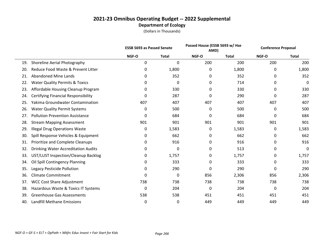|     |                                            |       | <b>ESSB 5693 as Passed Senate</b> |       | Passed House (ESSB 5693 w/ Hse<br>AMD) |       | <b>Conference Proposal</b> |
|-----|--------------------------------------------|-------|-----------------------------------|-------|----------------------------------------|-------|----------------------------|
|     |                                            | NGF-O | <b>Total</b>                      | NGF-O | <b>Total</b>                           | NGF-O | <b>Total</b>               |
| 19. | Shoreline Aerial Photography               | 0     | $\mathbf 0$                       | 200   | 200                                    | 200   | 200                        |
| 20. | Reduce Food Waste & Prevent Litter         | 0     | 1,800                             | 0     | 1,800                                  | 0     | 1,800                      |
| 21. | <b>Abandoned Mine Lands</b>                | 0     | 352                               | 0     | 352                                    | 0     | 352                        |
| 22. | <b>Water Quality Permits &amp; Toxics</b>  | 0     | 0                                 | 0     | 714                                    | 0     | 0                          |
| 23. | Affordable Housing Cleanup Program         | 0     | 330                               | 0     | 330                                    | 0     | 330                        |
| 24. | <b>Certifying Financial Responsibility</b> | 0     | 287                               | 0     | 290                                    | 0     | 287                        |
| 25. | Yakima Groundwater Contamination           | 407   | 407                               | 407   | 407                                    | 407   | 407                        |
| 26. | <b>Water Quality Permit Systems</b>        | 0     | 500                               | 0     | 500                                    | 0     | 500                        |
| 27. | <b>Pollution Prevention Assistance</b>     | 0     | 684                               | 0     | 684                                    | 0     | 684                        |
| 28. | <b>Stream Mapping Assessment</b>           | 901   | 901                               | 901   | 901                                    | 901   | 901                        |
| 29. | <b>Illegal Drug Operations Waste</b>       | 0     | 1,583                             | 0     | 1,583                                  | 0     | 1,583                      |
| 30. | Spill Response Vehicles & Equipment        | 0     | 662                               | 0     | 662                                    | 0     | 662                        |
| 31. | Prioritize and Complete Cleanups           | 0     | 916                               | 0     | 916                                    | 0     | 916                        |
| 32. | <b>Drinking Water Accreditation Audits</b> | 0     | 0                                 | 0     | 513                                    | 0     | 0                          |
| 33. | UST/LUST Inspection/Cleanup Backlog        | 0     | 1,757                             | 0     | 1,757                                  | 0     | 1,757                      |
| 34. | Oil Spill Contingency Planning             | 0     | 333                               | 0     | 333                                    | 0     | 333                        |
| 35. | Legacy Pesticide Pollution                 | 0     | 290                               | 0     | 290                                    | 0     | 290                        |
| 36. | <b>Climate Commitment</b>                  | 0     | 0                                 | 856   | 2,306                                  | 856   | 2,306                      |
| 37. | <b>WCC Cost Share Adjustment</b>           | 738   | 738                               | 738   | 738                                    | 738   | 738                        |
| 38. | Hazardous Waste & Toxics IT Systems        | 0     | 204                               | 0     | 204                                    | 0     | 204                        |
| 39. | <b>Greenhouse Gas Assessments</b>          | 538   | 538                               | 451   | 451                                    | 451   | 451                        |
| 40. | Landfill Methane Emissions                 | 0     | 0                                 | 449   | 449                                    | 449   | 449                        |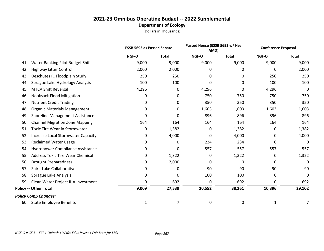|     |                                           |          | <b>ESSB 5693 as Passed Senate</b> |          | Passed House (ESSB 5693 w/ Hse<br>AMD) |          | <b>Conference Proposal</b> |  |
|-----|-------------------------------------------|----------|-----------------------------------|----------|----------------------------------------|----------|----------------------------|--|
|     |                                           | NGF-O    | <b>Total</b>                      | NGF-O    | <b>Total</b>                           | NGF-O    | <b>Total</b>               |  |
| 41. | Water Banking Pilot Budget Shift          | $-9,000$ | $-9,000$                          | $-9,000$ | $-9,000$                               | $-9,000$ | $-9,000$                   |  |
| 42. | <b>Highway Litter Control</b>             | 2,000    | 2,000                             | 0        | 0                                      | 0        | 2,000                      |  |
| 43. | Deschutes R. Floodplain Study             | 250      | 250                               | 0        | 0                                      | 250      | 250                        |  |
| 44. | Sprague Lake Hydrology Analysis           | 100      | 100                               | 0        | 0                                      | 100      | 100                        |  |
| 45. | <b>MTCA Shift Reversal</b>                | 4,296    | 0                                 | 4,296    | 0                                      | 4,296    | 0                          |  |
| 46. | <b>Nooksack Flood Mitigation</b>          | 0        | 0                                 | 750      | 750                                    | 750      | 750                        |  |
| 47. | <b>Nutrient Credit Trading</b>            | 0        | 0                                 | 350      | 350                                    | 350      | 350                        |  |
| 48. | <b>Organic Materials Management</b>       | 0        | 0                                 | 1,603    | 1,603                                  | 1,603    | 1,603                      |  |
| 49. | Shoreline Management Assistance           | 0        | 0                                 | 896      | 896                                    | 896      | 896                        |  |
| 50. | <b>Channel Migration Zone Mapping</b>     | 164      | 164                               | 164      | 164                                    | 164      | 164                        |  |
| 51. | <b>Toxic Tire Wear in Stormwater</b>      | 0        | 1,382                             | 0        | 1,382                                  | 0        | 1,382                      |  |
| 52. | <b>Increase Local Stormwater Capacity</b> | 0        | 4,000                             | 0        | 4,000                                  | 0        | 4,000                      |  |
| 53. | <b>Reclaimed Water Usage</b>              | 0        | 0                                 | 234      | 234                                    | 0        | 0                          |  |
| 54. | Hydropower Compliance Assistance          | 0        | 0                                 | 557      | 557                                    | 557      | 557                        |  |
| 55. | <b>Address Toxic Tire Wear Chemical</b>   | 0        | 1,322                             | 0        | 1,322                                  | 0        | 1,322                      |  |
| 56. | Drought Preparedness                      | 0        | 2,000                             | 0        | 0                                      | 0        | 0                          |  |
| 57. | Spirit Lake Collaborative                 | 0        | 0                                 | 90       | 90                                     | 90       | 90                         |  |
| 58. | Sprague Lake Analysis                     | 0        | 0                                 | 100      | 100                                    | 0        | 0                          |  |
| 59. | Clean Water Project IIJA Investment       | 0        | 692                               | 0        | 692                                    | 0        | 692                        |  |
|     | <b>Policy -- Other Total</b>              | 9,009    | 27,539                            | 20,552   | 38,261                                 | 10,396   | 29,102                     |  |
|     | <b>Policy Comp Changes:</b>               |          |                                   |          |                                        |          |                            |  |
| 60. | <b>State Employee Benefits</b>            | 1        | 7                                 | 0        | 0                                      | 1        | 7                          |  |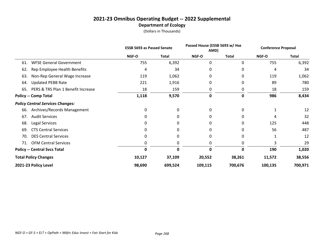|     |                                         | <b>ESSB 5693 as Passed Senate</b> |              | Passed House (ESSB 5693 w/ Hse<br>AMD) |              | <b>Conference Proposal</b> |              |
|-----|-----------------------------------------|-----------------------------------|--------------|----------------------------------------|--------------|----------------------------|--------------|
|     |                                         | NGF-O                             | <b>Total</b> | NGF-O                                  | <b>Total</b> | NGF-O                      | <b>Total</b> |
| 61. | <b>WFSE General Government</b>          | 755                               | 6,392        | 0                                      | 0            | 755                        | 6,392        |
| 62. | Rep Employee Health Benefits            | 4                                 | 34           | 0                                      | 0            | 4                          | 34           |
| 63. | Non-Rep General Wage Increase           | 119                               | 1,062        | 0                                      | 0            | 119                        | 1,062        |
| 64. | <b>Updated PEBB Rate</b>                | 221                               | 1,916        | 0                                      | 0            | 89                         | 780          |
| 65. | PERS & TRS Plan 1 Benefit Increase      | 18                                | 159          | 0                                      | 0            | 18                         | 159          |
|     | <b>Policy -- Comp Total</b>             | 1,118                             | 9,570        | 0                                      | 0            | 986                        | 8,434        |
|     | <b>Policy Central Services Changes:</b> |                                   |              |                                        |              |                            |              |
| 66. | Archives/Records Management             | 0                                 | 0            | 0                                      | 0            |                            | 12           |
| 67. | <b>Audit Services</b>                   |                                   | 0            | O                                      | O            | 4                          | 32           |
| 68. | Legal Services                          |                                   | 0            | Ω                                      | 0            | 125                        | 448          |
| 69. | <b>CTS Central Services</b>             |                                   | 0            | 0                                      |              | 56                         | 487          |
| 70. | <b>DES Central Services</b>             | Ω                                 | 0            | 0                                      | 0            |                            | 12           |
| 71. | <b>OFM Central Services</b>             | 0                                 | 0            | 0                                      | 0            | 3                          | 29           |
|     | <b>Policy -- Central Svcs Total</b>     | 0                                 |              | ŋ                                      | 0            | 190                        | 1,020        |
|     | <b>Total Policy Changes</b>             | 10,127                            | 37,109       | 20,552                                 | 38,261       | 11,572                     | 38,556       |
|     | 2021-23 Policy Level                    | 98,690                            | 699,524      | 109,115                                | 700,676      | 100,135                    | 700,971      |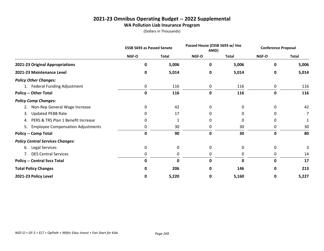# **2021-23 Omnibus Operating Budget -- 2022 Supplemental WA Pollution Liab Insurance Program**

|                                                | <b>ESSB 5693 as Passed Senate</b> |              | Passed House (ESSB 5693 w/ Hse<br>AMD) |              | <b>Conference Proposal</b> |              |
|------------------------------------------------|-----------------------------------|--------------|----------------------------------------|--------------|----------------------------|--------------|
|                                                | NGF-O                             | <b>Total</b> | NGF-O                                  | <b>Total</b> | NGF-O                      | <b>Total</b> |
| 2021-23 Original Appropriations                | 0                                 | 5,006        | 0                                      | 5,006        | 0                          | 5,006        |
| 2021-23 Maintenance Level                      | 0                                 | 5,014        | 0                                      | 5,014        | 0                          | 5,014        |
| <b>Policy Other Changes:</b>                   |                                   |              |                                        |              |                            |              |
| 1. Federal Funding Adjustment                  | 0                                 | 116          | 0                                      | 116          | 0                          | 116          |
| <b>Policy -- Other Total</b>                   | 0                                 | 116          | 0                                      | 116          | 0                          | 116          |
| <b>Policy Comp Changes:</b>                    |                                   |              |                                        |              |                            |              |
| Non-Rep General Wage Increase<br>2.            | 0                                 | 42           | $\Omega$                               | 0            | 0                          | 42           |
| <b>Updated PEBB Rate</b><br>3.                 | 0                                 | 17           | 0                                      | 0            | 0                          | 7            |
| PERS & TRS Plan 1 Benefit Increase<br>4.       | 0                                 | 1            | 0                                      | 0            | 0                          |              |
| <b>Employee Compensation Adjustments</b><br>5. | 0                                 | 30           | 0                                      | 30           | 0                          | 30           |
| <b>Policy -- Comp Total</b>                    | 0                                 | 90           | 0                                      | 30           | 0                          | 80           |
| <b>Policy Central Services Changes:</b>        |                                   |              |                                        |              |                            |              |
| 6. Legal Services                              | 0                                 | 0            | 0                                      | 0            | 0                          |              |
| 7. DES Central Services                        | 0                                 | 0            | 0                                      | 0            | 0                          | 14           |
| <b>Policy -- Central Svcs Total</b>            | 0                                 | 0            | 0                                      | 0            | 0                          | 17           |
| <b>Total Policy Changes</b>                    | 0                                 | 206          | <sup>0</sup>                           | 146          | 0                          | 213          |
| 2021-23 Policy Level                           | 0                                 | 5,220        | 0                                      | 5,160        | 0                          | 5,227        |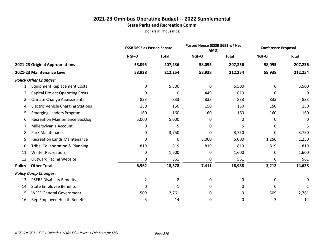#### **2021-23 Omnibus Operating Budget -- 2022 Supplemental State Parks and Recreation Comm**

|     |                                            | <b>ESSB 5693 as Passed Senate</b> |              | Passed House (ESSB 5693 w/ Hse<br>AMD) |              | <b>Conference Proposal</b> |              |
|-----|--------------------------------------------|-----------------------------------|--------------|----------------------------------------|--------------|----------------------------|--------------|
|     |                                            | NGF-O                             | <b>Total</b> | <b>NGF-O</b>                           | <b>Total</b> | NGF-O                      | <b>Total</b> |
|     | 2021-23 Original Appropriations            | 58,095                            | 207,236      | 58,095                                 | 207,236      | 58,095                     | 207,236      |
|     | 2021-23 Maintenance Level                  | 58,938                            | 212,254      | 58,938                                 | 212,254      | 58,938                     | 212,254      |
|     | <b>Policy Other Changes:</b>               |                                   |              |                                        |              |                            |              |
|     | <b>Equipment Replacement Costs</b>         | 0                                 | 5,500        | 0                                      | 5,500        | 0                          | 5,500        |
| 2.  | <b>Capital Project Operating Costs</b>     | $\Omega$                          | $\Omega$     | 449                                    | 610          | 0                          | 0            |
| 3.  | <b>Climate Change Assessments</b>          | 833                               | 833          | 833                                    | 833          | 833                        | 833          |
| 4.  | <b>Electric Vehicle Charging Stations</b>  | 150                               | 150          | 150                                    | 150          | 150                        | 150          |
| 5.  | <b>Emerging Leaders Program</b>            | 160                               | 160          | 160                                    | 160          | 160                        | 160          |
| 6.  | <b>Recreation Maintenance Backlog</b>      | 5,000                             | 5,000        | 0                                      | 0            | 0                          | 0            |
| 7.  | Millersylvania Account                     | 0                                 | 5            | 0                                      | 5            | 0                          | 5            |
| 8.  | Park Maintenance                           | 0                                 | 3,750        | 0                                      | 3,750        | 0                          | 3,750        |
| 9.  | <b>Recreation Lands Maintenance</b>        | $\Omega$                          | 0            | 5,000                                  | 5,000        | 1,250                      | 1,250        |
| 10. | <b>Tribal Collaboration &amp; Planning</b> | 819                               | 819          | 819                                    | 819          | 819                        | 819          |
| 11. | <b>Winter Recreation</b>                   | 0                                 | 1,600        | 0                                      | 1,600        | 0                          | 1,600        |
| 12. | <b>Outward Facing Website</b>              | 0                                 | 561          | 0                                      | 561          | 0                          | 561          |
|     | <b>Policy -- Other Total</b>               | 6,962                             | 18,378       | 7,411                                  | 18,988       | 3,212                      | 14,628       |
|     | <b>Policy Comp Changes:</b>                |                                   |              |                                        |              |                            |              |
| 13. | <b>PSERS Disability Benefits</b>           | $\overline{2}$                    | 8            | 0                                      | 0            | 0                          | 0            |
| 14. | <b>State Employee Benefits</b>             | 0                                 | 1            | 0                                      | 0            | 0                          | 1            |
| 15. | <b>WFSE General Government</b>             | 509                               | 2,761        | 0                                      | 0            | 509                        | 2,761        |
| 16. | Rep Employee Health Benefits               | 3                                 | 14           | 0                                      | 0            | 3                          | 14           |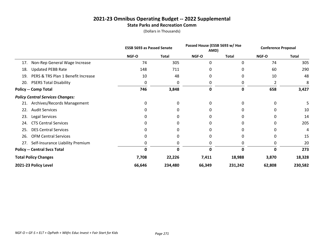#### **2021-23 Omnibus Operating Budget -- 2022 Supplemental State Parks and Recreation Comm**

|     |                                         | <b>ESSB 5693 as Passed Senate</b> |              | Passed House (ESSB 5693 w/ Hse<br>AMD) |              | <b>Conference Proposal</b> |              |
|-----|-----------------------------------------|-----------------------------------|--------------|----------------------------------------|--------------|----------------------------|--------------|
|     |                                         | NGF-O                             | <b>Total</b> | NGF-O                                  | <b>Total</b> | NGF-O                      | <b>Total</b> |
| 17. | Non-Rep General Wage Increase           | 74                                | 305          | 0                                      | $\Omega$     | 74                         | 305          |
| 18. | <b>Updated PEBB Rate</b>                | 148                               | 711          |                                        |              | 60                         | 290          |
| 19. | PERS & TRS Plan 1 Benefit Increase      | 10                                | 48           | 0                                      |              | 10                         | 48           |
| 20. | <b>PSERS Total Disability</b>           | 0                                 | 0            | 0                                      | 0            | 2                          | 8            |
|     | <b>Policy -- Comp Total</b>             | 746                               | 3,848        | 0                                      | 0            | 658                        | 3,427        |
|     | <b>Policy Central Services Changes:</b> |                                   |              |                                        |              |                            |              |
| 21. | Archives/Records Management             | 0                                 | 0            | 0                                      | O            | O                          |              |
| 22. | <b>Audit Services</b>                   |                                   |              |                                        |              |                            | 10           |
| 23. | Legal Services                          |                                   |              |                                        |              |                            | 14           |
| 24. | <b>CTS Central Services</b>             |                                   |              |                                        |              |                            | 205          |
| 25. | <b>DES Central Services</b>             |                                   |              |                                        |              |                            | 4            |
| 26. | <b>OFM Central Services</b>             |                                   |              |                                        |              |                            | 15           |
|     | 27. Self-Insurance Liability Premium    |                                   |              | Ω                                      |              | 0                          | 20           |
|     | <b>Policy -- Central Svcs Total</b>     | Ω                                 |              |                                        | Ω            | Ω                          | 273          |
|     | <b>Total Policy Changes</b>             | 7,708                             | 22,226       | 7,411                                  | 18,988       | 3,870                      | 18,328       |
|     | 2021-23 Policy Level                    | 66,646                            | 234,480      | 66,349                                 | 231,242      | 62,808                     | 230,582      |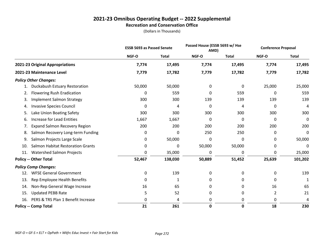#### **2021-23 Omnibus Operating Budget -- 2022 Supplemental Recreation and Conservation Office**

|                                                 | <b>ESSB 5693 as Passed Senate</b> |              | Passed House (ESSB 5693 w/ Hse<br>AMD) |              | <b>Conference Proposal</b> |              |
|-------------------------------------------------|-----------------------------------|--------------|----------------------------------------|--------------|----------------------------|--------------|
|                                                 | NGF-O                             | <b>Total</b> | NGF-O                                  | <b>Total</b> | NGF-O                      | <b>Total</b> |
| 2021-23 Original Appropriations                 | 7,774                             | 17,495       | 7,774                                  | 17,495       | 7,774                      | 17,495       |
| 2021-23 Maintenance Level                       | 7,779                             | 17,782       | 7,779                                  | 17,782       | 7,779                      | 17,782       |
| <b>Policy Other Changes:</b>                    |                                   |              |                                        |              |                            |              |
| Duckabush Estuary Restoration<br>1.             | 50,000                            | 50,000       | 0                                      | 0            | 25,000                     | 25,000       |
| <b>Flowering Rush Eradication</b><br>2.         | 0                                 | 559          | 0                                      | 559          | 0                          | 559          |
| <b>Implement Salmon Strategy</b><br>3.          | 300                               | 300          | 139                                    | 139          | 139                        | 139          |
| <b>Invasive Species Council</b><br>4.           | 0                                 | 4            | 0                                      | 4            | 0                          | 4            |
| Lake Union Boating Safety<br>5.                 | 300                               | 300          | 300                                    | 300          | 300                        | 300          |
| <b>Increase for Lead Entities</b><br>6.         | 1,667                             | 1,667        | 0                                      | 0            | 0                          | $\mathbf 0$  |
| <b>Expand Salmon Recovery Region</b><br>7.      | 200                               | 200          | 200                                    | 200          | 200                        | 200          |
| Salmon Recovery Long-term Funding<br>8.         | 0                                 | 0            | 250                                    | 250          | 0                          | 0            |
| Salmon Projects Large Scale<br>9.               | 0                                 | 50,000       | 0                                      | 0            | 0                          | 50,000       |
| <b>Salmon Habitat Restoration Grants</b><br>10. | 0                                 | 0            | 50,000                                 | 50,000       | 0                          | 0            |
| <b>Watershed Salmon Projects</b><br>11.         | 0                                 | 35,000       | 0                                      | 0            | 0                          | 25,000       |
| <b>Policy -- Other Total</b>                    | 52,467                            | 138,030      | 50,889                                 | 51,452       | 25,639                     | 101,202      |
| <b>Policy Comp Changes:</b>                     |                                   |              |                                        |              |                            |              |
| <b>WFSE General Government</b><br>12.           | 0                                 | 139          | 0                                      | 0            | 0                          | 139          |
| Rep Employee Health Benefits<br>13.             | 0                                 | 1            | 0                                      | 0            | 0                          | $\mathbf{1}$ |
| Non-Rep General Wage Increase<br>14.            | 16                                | 65           | 0                                      | 0            | 16                         | 65           |
| <b>Updated PEBB Rate</b><br>15.                 | 5                                 | 52           | 0                                      | 0            | 2                          | 21           |
| PERS & TRS Plan 1 Benefit Increase<br>16.       | $\Omega$                          | 4            | 0                                      | 0            | 0                          | 4            |
| <b>Policy -- Comp Total</b>                     | 21                                | 261          | 0                                      | 0            | 18                         | 230          |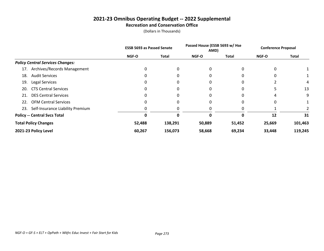#### **2021-23 Omnibus Operating Budget -- 2022 Supplemental Recreation and Conservation Office**

|                                         | <b>ESSB 5693 as Passed Senate</b> |              | Passed House (ESSB 5693 w/ Hse<br>AMD) |        | <b>Conference Proposal</b> |              |
|-----------------------------------------|-----------------------------------|--------------|----------------------------------------|--------|----------------------------|--------------|
|                                         | <b>NGF-O</b>                      | <b>Total</b> | <b>NGF-O</b>                           | Total  | <b>NGF-O</b>               | <b>Total</b> |
| <b>Policy Central Services Changes:</b> |                                   |              |                                        |        |                            |              |
| Archives/Records Management<br>17.      | 0                                 | 0            | 0                                      |        | 0                          |              |
| <b>Audit Services</b><br>18.            | 0                                 | 0            | 0                                      |        | 0                          |              |
| Legal Services<br>19                    | 0                                 | 0            | 0                                      |        |                            | 4            |
| <b>CTS Central Services</b><br>20.      |                                   |              | 0                                      |        |                            | 13           |
| <b>DES Central Services</b><br>21.      | 0                                 |              | 0                                      |        | 4                          | 9            |
| <b>OFM Central Services</b><br>22.      | 0                                 | 0            | 0                                      |        | 0                          |              |
| Self-Insurance Liability Premium<br>23. | 0                                 |              |                                        |        |                            |              |
| <b>Policy -- Central Svcs Total</b>     | Ω                                 | 0            | 0                                      |        | 12                         | 31           |
| <b>Total Policy Changes</b>             | 52,488                            | 138,291      | 50,889                                 | 51,452 | 25,669                     | 101,463      |
| 2021-23 Policy Level                    | 60,267                            | 156,073      | 58,668                                 | 69,234 | 33,448                     | 119,245      |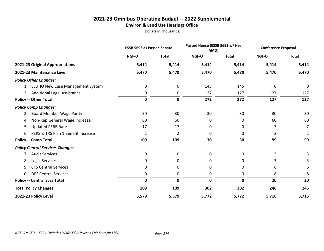# **2021-23 Omnibus Operating Budget -- 2022 Supplemental Environ & Land Use Hearings Office**

|                                          |              | <b>ESSB 5693 as Passed Senate</b> |             | Passed House (ESSB 5693 w/ Hse<br>AMD) |       | <b>Conference Proposal</b> |
|------------------------------------------|--------------|-----------------------------------|-------------|----------------------------------------|-------|----------------------------|
|                                          | <b>NGF-O</b> | <b>Total</b>                      | NGF-O       | <b>Total</b>                           | NGF-O | <b>Total</b>               |
| 2021-23 Original Appropriations          | 5,414        | 5,414                             | 5,414       | 5,414                                  | 5,414 | 5,414                      |
| 2021-23 Maintenance Level                | 5,470        | 5,470                             | 5,470       | 5,470                                  | 5,470 | 5,470                      |
| <b>Policy Other Changes:</b>             |              |                                   |             |                                        |       |                            |
| 1. ELUHO New Case Management System      | 0            | 0                                 | 145         | 145                                    | 0     | 0                          |
| 2. Additional Legal Assistance           | 0            | 0                                 | 127         | 127                                    | 127   | 127                        |
| <b>Policy -- Other Total</b>             | 0            | 0                                 | 272         | 272                                    | 127   | 127                        |
| <b>Policy Comp Changes:</b>              |              |                                   |             |                                        |       |                            |
| <b>Board Member Wage Parity</b><br>3.    | 30           | 30                                | 30          | 30                                     | 30    | 30                         |
| Non-Rep General Wage Increase<br>4.      | 60           | 60                                | 0           | 0                                      | 60    | 60                         |
| <b>Updated PEBB Rate</b><br>5.           | 17           | 17                                | 0           | 0                                      | 7     | 7                          |
| PERS & TRS Plan 1 Benefit Increase<br>6. | 2            | 2                                 | 0           | 0                                      | 2     | 2                          |
| <b>Policy -- Comp Total</b>              | 109          | 109                               | 30          | 30                                     | 99    | 99                         |
| <b>Policy Central Services Changes:</b>  |              |                                   |             |                                        |       |                            |
| <b>Audit Services</b><br>7.              | 0            | 0                                 | 0           | 0                                      | 3     | 3                          |
| <b>Legal Services</b><br>8.              | 0            | 0                                 | 0           | 0                                      | 3     |                            |
| <b>CTS Central Services</b><br>9.        | 0            | 0                                 | 0           | 0                                      | 6     | 6                          |
| <b>DES Central Services</b><br>10.       | 0            | 0                                 | 0           | 0                                      | 8     | 8                          |
| <b>Policy -- Central Svcs Total</b>      | 0            | 0                                 | $\mathbf 0$ | $\mathbf 0$                            | 20    | 20                         |
| <b>Total Policy Changes</b>              | 109          | 109                               | 302         | 302                                    | 246   | 246                        |
| 2021-23 Policy Level                     | 5,579        | 5,579                             | 5,772       | 5,772                                  | 5,716 | 5,716                      |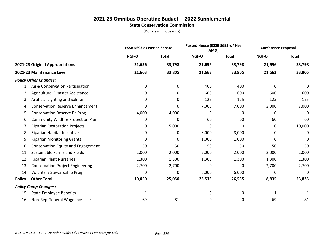#### **2021-23 Omnibus Operating Budget -- 2022 Supplemental State Conservation Commission**

|     |                                         | <b>ESSB 5693 as Passed Senate</b> |              | Passed House (ESSB 5693 w/ Hse<br>AMD) |              | <b>Conference Proposal</b> |              |
|-----|-----------------------------------------|-----------------------------------|--------------|----------------------------------------|--------------|----------------------------|--------------|
|     |                                         | NGF-O                             | <b>Total</b> | NGF-O                                  | <b>Total</b> | NGF-O                      | <b>Total</b> |
|     | 2021-23 Original Appropriations         | 21,656                            | 33,798       | 21,656                                 | 33,798       | 21,656                     | 33,798       |
|     | 2021-23 Maintenance Level               | 21,663                            | 33,805       | 21,663                                 | 33,805       | 21,663                     | 33,805       |
|     | <b>Policy Other Changes:</b>            |                                   |              |                                        |              |                            |              |
| 1.  | Ag & Conservation Participation         | 0                                 | 0            | 400                                    | 400          | 0                          | 0            |
| 2.  | Agricultural Disaster Assistance        | 0                                 | 0            | 600                                    | 600          | 600                        | 600          |
| 3.  | Artificial Lighting and Salmon          | 0                                 | 0            | 125                                    | 125          | 125                        | 125          |
| 4.  | <b>Conservation Reserve Enhancement</b> | 0                                 | 0            | 7,000                                  | 7,000        | 2,000                      | 7,000        |
| 5.  | <b>Conservation Reserve En Prog</b>     | 4,000                             | 4,000        | 0                                      | 0            | 0                          | 0            |
| 6.  | Community Wildfire Protection Plan      | 0                                 | 0            | 60                                     | 60           | 60                         | 60           |
| 7.  | <b>Riparian Restoration Projects</b>    | 0                                 | 15,000       | $\mathbf 0$                            | 0            | 0                          | 10,000       |
| 8.  | Riparian Habitat Incentives             | 0                                 | 0            | 8,000                                  | 8,000        | 0                          | 0            |
| 9.  | <b>Riparian Monitoring Grants</b>       | 0                                 | 0            | 1,000                                  | 1,000        | 0                          | 0            |
| 10. | Conservation Equity and Engagement      | 50                                | 50           | 50                                     | 50           | 50                         | 50           |
| 11. | <b>Sustainable Farms and Fields</b>     | 2,000                             | 2,000        | 2,000                                  | 2,000        | 2,000                      | 2,000        |
| 12. | <b>Riparian Plant Nurseries</b>         | 1,300                             | 1,300        | 1,300                                  | 1,300        | 1,300                      | 1,300        |
| 13. | <b>Conservation Project Engineering</b> | 2,700                             | 2,700        | 0                                      | 0            | 2,700                      | 2,700        |
| 14. | <b>Voluntary Stewardship Prog</b>       | 0                                 | 0            | 6,000                                  | 6,000        | 0                          | 0            |
|     | <b>Policy -- Other Total</b>            | 10,050                            | 25,050       | 26,535                                 | 26,535       | 8,835                      | 23,835       |
|     | <b>Policy Comp Changes:</b>             |                                   |              |                                        |              |                            |              |
| 15. | <b>State Employee Benefits</b>          | 1                                 | 1            | 0                                      | 0            | 1                          | 1            |
| 16. | Non-Rep General Wage Increase           | 69                                | 81           | 0                                      | 0            | 69                         | 81           |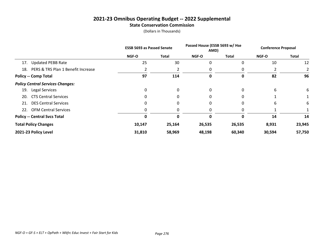#### **2021-23 Omnibus Operating Budget -- 2022 Supplemental State Conservation Commission**

|     |                                         |              | <b>ESSB 5693 as Passed Senate</b> |              | Passed House (ESSB 5693 w/ Hse<br>AMD) |              | <b>Conference Proposal</b> |  |
|-----|-----------------------------------------|--------------|-----------------------------------|--------------|----------------------------------------|--------------|----------------------------|--|
|     |                                         | <b>NGF-O</b> | Total                             | <b>NGF-O</b> | <b>Total</b>                           | <b>NGF-O</b> | <b>Total</b>               |  |
| 17. | <b>Updated PEBB Rate</b>                | 25           | 30                                | 0            | 0                                      | 10           | 12                         |  |
| 18. | PERS & TRS Plan 1 Benefit Increase      |              |                                   |              |                                        |              |                            |  |
|     | <b>Policy -- Comp Total</b>             | 97           | 114                               | 0            | 0                                      | 82           | 96                         |  |
|     | <b>Policy Central Services Changes:</b> |              |                                   |              |                                        |              |                            |  |
| 19. | Legal Services                          | 0            | 0                                 | 0            | 0                                      | 6            | 6                          |  |
| 20. | <b>CTS Central Services</b>             | 0            |                                   | 0            |                                        |              |                            |  |
| 21. | <b>DES Central Services</b>             | 0            |                                   | 0            |                                        | 6            | 6                          |  |
| 22. | <b>OFM Central Services</b>             | 0            |                                   | 0            |                                        |              |                            |  |
|     | <b>Policy -- Central Svcs Total</b>     | 0            | 0                                 | 0            | 0                                      | 14           | 14                         |  |
|     | <b>Total Policy Changes</b>             | 10,147       | 25,164                            | 26,535       | 26,535                                 | 8,931        | 23,945                     |  |
|     | 2021-23 Policy Level                    | 31,810       | 58,969                            | 48,198       | 60,340                                 | 30,594       | 57,750                     |  |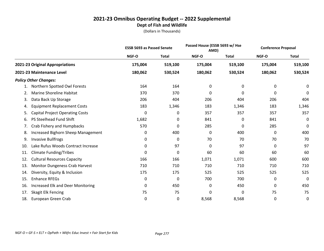|     |                                        | <b>ESSB 5693 as Passed Senate</b> |              |         | Passed House (ESSB 5693 w/ Hse<br>AMD) |         | <b>Conference Proposal</b> |
|-----|----------------------------------------|-----------------------------------|--------------|---------|----------------------------------------|---------|----------------------------|
|     |                                        | NGF-O                             | <b>Total</b> | NGF-O   | <b>Total</b>                           | NGF-O   | <b>Total</b>               |
|     | 2021-23 Original Appropriations        | 175,004                           | 519,100      | 175,004 | 519,100                                | 175,004 | 519,100                    |
|     | 2021-23 Maintenance Level              | 180,062                           | 530,524      | 180,062 | 530,524                                | 180,062 | 530,524                    |
|     | <b>Policy Other Changes:</b>           |                                   |              |         |                                        |         |                            |
| 1.  | Northern Spotted Owl Forests           | 164                               | 164          | 0       | 0                                      | 0       | 0                          |
| 2.  | Marine Shoreline Habitat               | 370                               | 370          | 0       | 0                                      | 0       | 0                          |
| 3.  | Data Back Up Storage                   | 206                               | 404          | 206     | 404                                    | 206     | 404                        |
| 4.  | <b>Equipment Replacement Costs</b>     | 183                               | 1,346        | 183     | 1,346                                  | 183     | 1,346                      |
| 5.  | <b>Capital Project Operating Costs</b> | 0                                 | 0            | 357     | 357                                    | 357     | 357                        |
| 6.  | PS Steelhead Fund Shift                | 1,682                             | 0            | 841     | 0                                      | 841     | 0                          |
| 7.  | Crab Fishery and Humpbacks             | 570                               | 0            | 285     | 0                                      | 285     | 0                          |
| 8.  | Increased Bighorn Sheep Management     | 0                                 | 400          | 0       | 400                                    | 0       | 400                        |
| 9.  | <b>Invasive Bullfrogs</b>              | 0                                 | 0            | 70      | 70                                     | 70      | 70                         |
| 10. | Lake Rufus Woods Contract Increase     | 0                                 | 97           | 0       | 97                                     | 0       | 97                         |
| 11. | <b>Climate Funding/Tribes</b>          | 0                                 | 0            | 60      | 60                                     | 60      | 60                         |
| 12. | <b>Cultural Resources Capacity</b>     | 166                               | 166          | 1,071   | 1,071                                  | 600     | 600                        |
| 13. | <b>Monitor Dungeness Crab Harvest</b>  | 710                               | 710          | 710     | 710                                    | 710     | 710                        |
| 14. | Diversity, Equity & Inclusion          | 175                               | 175          | 525     | 525                                    | 525     | 525                        |
| 15. | <b>Enhance RFEGs</b>                   | 0                                 | 0            | 700     | 700                                    | 0       | 0                          |
| 16. | Increased Elk and Deer Monitoring      | 0                                 | 450          | 0       | 450                                    | 0       | 450                        |
| 17. | Skagit Elk Fencing                     | 75                                | 75           | 0       | 0                                      | 75      | 75                         |
| 18. | European Green Crab                    | 0                                 | 0            | 8,568   | 8,568                                  | 0       | 0                          |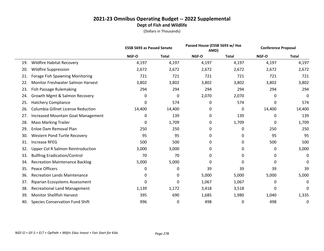|     |                                           | <b>ESSB 5693 as Passed Senate</b> |              | Passed House (ESSB 5693 w/ Hse<br>AMD) |              | <b>Conference Proposal</b> |              |
|-----|-------------------------------------------|-----------------------------------|--------------|----------------------------------------|--------------|----------------------------|--------------|
|     |                                           | NGF-O                             | <b>Total</b> | NGF-O                                  | <b>Total</b> | NGF-O                      | <b>Total</b> |
| 19. | <b>Wildfire Habitat Recovery</b>          | 4,197                             | 4,197        | 4,197                                  | 4,197        | 4,197                      | 4,197        |
| 20. | <b>Wildfire Suppression</b>               | 2,672                             | 2,672        | 2,672                                  | 2,672        | 2,672                      | 2,672        |
| 21. | Forage Fish Spawning Monitoring           | 721                               | 721          | 721                                    | 721          | 721                        | 721          |
| 22. | <b>Monitor Freshwater Salmon Harvest</b>  | 3,802                             | 3,802        | 3,802                                  | 3,802        | 3,802                      | 3,802        |
| 23. | Fish Passage Rulemaking                   | 294                               | 294          | 294                                    | 294          | 294                        | 294          |
| 24. | Growth Mgmt & Salmon Recovery             | 0                                 | 0            | 2,070                                  | 2,070        | 0                          | 0            |
| 25. | <b>Hatchery Compliance</b>                | 0                                 | 574          | 0                                      | 574          | 0                          | 574          |
| 26. | Columbia Gillnet License Reduction        | 14,400                            | 14,400       | 0                                      | 0            | 14,400                     | 14,400       |
| 27. | <b>Increased Mountain Goat Management</b> | 0                                 | 139          | 0                                      | 139          | 0                          | 139          |
| 28. | <b>Mass Marking Trailer</b>               | 0                                 | 1,709        | 0                                      | 1,709        | 0                          | 1,709        |
| 29. | Enloe Dam Removal Plan                    | 250                               | 250          | 0                                      | 0            | 250                        | 250          |
| 30. | Western Pond Turtle Recovery              | 95                                | 95           | 0                                      | 0            | 95                         | 95           |
| 31. | <b>Increase RFEG</b>                      | 500                               | 500          | 0                                      | 0            | 500                        | 500          |
| 32. | Upper Col R Salmon Reintroduction         | 3,000                             | 3,000        | 0                                      | 0            | 0                          | 3,000        |
| 33. | <b>Bullfrog Eradication/Control</b>       | 70                                | 70           | 0                                      | 0            | 0                          | 0            |
| 34. | <b>Recreation Maintenance Backlog</b>     | 5,000                             | 5,000        | 0                                      | 0            | 0                          | 0            |
| 35. | Peace Officers                            | 0                                 | 0            | 39                                     | 39           | 39                         | 39           |
| 36. | <b>Recreation Lands Maintenance</b>       | 0                                 | 0            | 5,000                                  | 5,000        | 5,000                      | 5,000        |
| 37. | Riparian Ecosystems Assessment            | 0                                 | 0            | 1,067                                  | 1,067        | 0                          | 0            |
| 38. | <b>Recreational Land Management</b>       | 1,139                             | 1,172        | 3,418                                  | 3,518        | 0                          | 0            |
| 39. | <b>Monitor Shellfish Harvest</b>          | 395                               | 690          | 1,685                                  | 1,980        | 1,040                      | 1,335        |
| 40. | <b>Species Conservation Fund Shift</b>    | 996                               | 0            | 498                                    | 0            | 498                        | 0            |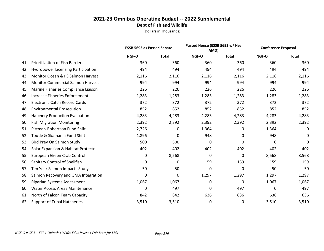|     |                                           | <b>ESSB 5693 as Passed Senate</b> |              |       | Passed House (ESSB 5693 w/ Hse<br>AMD) |       | <b>Conference Proposal</b> |  |
|-----|-------------------------------------------|-----------------------------------|--------------|-------|----------------------------------------|-------|----------------------------|--|
|     |                                           | NGF-O                             | <b>Total</b> | NGF-O | Total                                  | NGF-O | <b>Total</b>               |  |
| 41. | <b>Prioritization of Fish Barriers</b>    | 360                               | 360          | 360   | 360                                    | 360   | 360                        |  |
| 42. | <b>Hydropower Licensing Participation</b> | 494                               | 494          | 494   | 494                                    | 494   | 494                        |  |
| 43. | Monitor Ocean & PS Salmon Harvest         | 2,116                             | 2,116        | 2,116 | 2,116                                  | 2,116 | 2,116                      |  |
| 44. | <b>Monitor Commercial Salmon Harvest</b>  | 994                               | 994          | 994   | 994                                    | 994   | 994                        |  |
| 45. | Marine Fisheries Compliance Liaison       | 226                               | 226          | 226   | 226                                    | 226   | 226                        |  |
| 46. | <b>Increase Fisheries Enforcement</b>     | 1,283                             | 1,283        | 1,283 | 1,283                                  | 1,283 | 1,283                      |  |
| 47. | <b>Electronic Catch Record Cards</b>      | 372                               | 372          | 372   | 372                                    | 372   | 372                        |  |
| 48. | <b>Environmental Prosecution</b>          | 852                               | 852          | 852   | 852                                    | 852   | 852                        |  |
| 49. | <b>Hatchery Production Evaluation</b>     | 4,283                             | 4,283        | 4,283 | 4,283                                  | 4,283 | 4,283                      |  |
| 50. | <b>Fish Migration Monitoring</b>          | 2,392                             | 2,392        | 2,392 | 2,392                                  | 2,392 | 2,392                      |  |
| 51. | Pittman-Robertson Fund Shift              | 2,726                             | 0            | 1,364 | 0                                      | 1,364 | 0                          |  |
| 52. | Toutle & Skamania Fund Shift              | 1,896                             | 0            | 948   | 0                                      | 948   | 0                          |  |
| 53. | Bird Prey On Salmon Study                 | 500                               | 500          | 0     | 0                                      | 0     | $\mathbf 0$                |  |
| 54. | Solar Expansion & Habitat Protectn        | 402                               | 402          | 402   | 402                                    | 402   | 402                        |  |
| 55. | European Green Crab Control               | 0                                 | 8,568        | 0     | 0                                      | 8,568 | 8,568                      |  |
| 56. | Sanitary Control of Shellfish             | 0                                 | 0            | 159   | 159                                    | 159   | 159                        |  |
| 57. | Ten Year Salmon Impacts Study             | 50                                | 50           | 0     | $\mathbf 0$                            | 50    | 50                         |  |
| 58. | Salmon Recovery and GMA Integration       | 0                                 | 0            | 1,297 | 1,297                                  | 1,297 | 1,297                      |  |
| 59. | Riparian Systems Assessment               | 1,067                             | 1,067        | 0     | 0                                      | 1,067 | 1,067                      |  |
| 60. | <b>Water Access Areas Maintenance</b>     | 0                                 | 497          | 0     | 497                                    | 0     | 497                        |  |
| 61. | North of Falcon Team Capacity             | 842                               | 842          | 636   | 636                                    | 636   | 636                        |  |
| 62. | <b>Support of Tribal Hatcheries</b>       | 3,510                             | 3,510        | 0     | 0                                      | 3,510 | 3,510                      |  |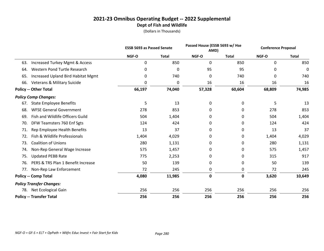|     |                                           |        | <b>ESSB 5693 as Passed Senate</b><br>AMD) |        | Passed House (ESSB 5693 w/ Hse | <b>Conference Proposal</b> |              |
|-----|-------------------------------------------|--------|-------------------------------------------|--------|--------------------------------|----------------------------|--------------|
|     |                                           | NGF-O  | <b>Total</b>                              | NGF-O  | <b>Total</b>                   | NGF-O                      | <b>Total</b> |
| 63. | <b>Increased Turkey Mgmt &amp; Access</b> | 0      | 850                                       | 0      | 850                            | 0                          | 850          |
| 64. | Western Pond Turtle Research              | 0      | 0                                         | 95     | 95                             | 0                          | 0            |
| 65. | Increased Upland Bird Habitat Mgmt        | 0      | 740                                       | 0      | 740                            | 0                          | 740          |
| 66. | <b>Veterans &amp; Military Suicide</b>    | 0      | 0                                         | 16     | 16                             | 16                         | 16           |
|     | <b>Policy -- Other Total</b>              | 66,197 | 74,040                                    | 57,328 | 60,604                         | 68,809                     | 74,985       |
|     | <b>Policy Comp Changes:</b>               |        |                                           |        |                                |                            |              |
| 67. | <b>State Employee Benefits</b>            | 5      | 13                                        | 0      | 0                              | 5                          | 13           |
| 68. | <b>WFSE General Government</b>            | 278    | 853                                       | 0      | 0                              | 278                        | 853          |
| 69. | Fish and Wildlife Officers Guild          | 504    | 1,404                                     | 0      | 0                              | 504                        | 1,404        |
| 70. | DFW Teamsters 760 Enf Sgts                | 124    | 424                                       | 0      | 0                              | 124                        | 424          |
| 71. | Rep Employee Health Benefits              | 13     | 37                                        | 0      | 0                              | 13                         | 37           |
| 72. | Fish & Wildlife Professionals             | 1,404  | 4,029                                     | 0      | 0                              | 1,404                      | 4,029        |
| 73. | <b>Coalition of Unions</b>                | 280    | 1,131                                     | 0      | 0                              | 280                        | 1,131        |
| 74. | Non-Rep General Wage Increase             | 575    | 1,457                                     | 0      | 0                              | 575                        | 1,457        |
| 75. | <b>Updated PEBB Rate</b>                  | 775    | 2,253                                     | 0      | 0                              | 315                        | 917          |
| 76. | PERS & TRS Plan 1 Benefit Increase        | 50     | 139                                       | 0      | 0                              | 50                         | 139          |
| 77. | Non-Rep Law Enforcement                   | 72     | 245                                       | 0      | 0                              | 72                         | 245          |
|     | <b>Policy -- Comp Total</b>               | 4,080  | 11,985                                    | 0      | $\mathbf 0$                    | 3,620                      | 10,649       |
|     | <b>Policy Transfer Changes:</b>           |        |                                           |        |                                |                            |              |
| 78. | Net Ecological Gain                       | 256    | 256                                       | 256    | 256                            | 256                        | 256          |
|     | <b>Policy -- Transfer Total</b>           | 256    | 256                                       | 256    | 256                            | 256                        | 256          |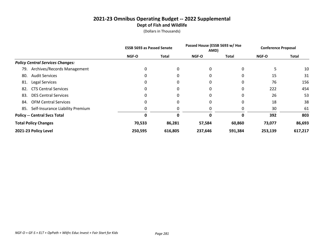|                                         | <b>ESSB 5693 as Passed Senate</b> |              | Passed House (ESSB 5693 w/ Hse<br>AMD) |         | <b>Conference Proposal</b> |              |
|-----------------------------------------|-----------------------------------|--------------|----------------------------------------|---------|----------------------------|--------------|
|                                         | <b>NGF-O</b>                      | <b>Total</b> | <b>NGF-O</b>                           | Total   | <b>NGF-O</b>               | <b>Total</b> |
| <b>Policy Central Services Changes:</b> |                                   |              |                                        |         |                            |              |
| Archives/Records Management<br>79.      | 0                                 | 0            | 0                                      | 0       |                            | 10           |
| <b>Audit Services</b><br>80.            | 0                                 | 0            | 0                                      |         | 15                         | 31           |
| Legal Services<br>81.                   | 0                                 | 0            | 0                                      | 0       | 76                         | 156          |
| <b>CTS Central Services</b><br>82.      |                                   | 0            | 0                                      | 0       | 222                        | 454          |
| <b>DES Central Services</b><br>83.      | 0                                 | 0            | 0                                      | 0       | 26                         | 53           |
| <b>OFM Central Services</b><br>84.      | $\Omega$                          | 0            | 0                                      | 0       | 18                         | 38           |
| Self-Insurance Liability Premium<br>85. | 0                                 | 0            | 0                                      |         | 30                         | 61           |
| <b>Policy -- Central Svcs Total</b>     | Ω                                 | ŋ            | 0                                      |         | 392                        | 803          |
| <b>Total Policy Changes</b>             | 70,533                            | 86,281       | 57,584                                 | 60,860  | 73,077                     | 86,693       |
| 2021-23 Policy Level                    | 250,595                           | 616,805      | 237,646                                | 591,384 | 253,139                    | 617,217      |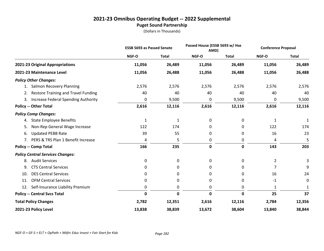# **2021-23 Omnibus Operating Budget -- 2022 Supplemental Puget Sound Partnership**

|                                                  | <b>ESSB 5693 as Passed Senate</b> |              |             | Passed House (ESSB 5693 w/ Hse<br>AMD) |        | <b>Conference Proposal</b> |
|--------------------------------------------------|-----------------------------------|--------------|-------------|----------------------------------------|--------|----------------------------|
|                                                  | NGF-O                             | <b>Total</b> | NGF-O       | <b>Total</b>                           | NGF-O  | <b>Total</b>               |
| 2021-23 Original Appropriations                  | 11,056                            | 26,489       | 11,056      | 26,489                                 | 11,056 | 26,489                     |
| 2021-23 Maintenance Level                        | 11,056                            | 26,488       | 11,056      | 26,488                                 | 11,056 | 26,488                     |
| <b>Policy Other Changes:</b>                     |                                   |              |             |                                        |        |                            |
| <b>Salmon Recovery Planning</b><br>1.            | 2,576                             | 2,576        | 2,576       | 2,576                                  | 2,576  | 2,576                      |
| <b>Restore Training and Travel Funding</b><br>2. | 40                                | 40           | 40          | 40                                     | 40     | 40                         |
| Increase Federal Spending Authority<br>3.        | 0                                 | 9,500        | 0           | 9,500                                  | 0      | 9,500                      |
| <b>Policy -- Other Total</b>                     | 2,616                             | 12,116       | 2,616       | 12,116                                 | 2,616  | 12,116                     |
| <b>Policy Comp Changes:</b>                      |                                   |              |             |                                        |        |                            |
| <b>State Employee Benefits</b><br>4.             | $\mathbf{1}$                      | $\mathbf{1}$ | 0           | 0                                      | 1      | $\mathbf{1}$               |
| Non-Rep General Wage Increase<br>5.              | 122                               | 174          | 0           | 0                                      | 122    | 174                        |
| <b>Updated PEBB Rate</b><br>6.                   | 39                                | 55           | 0           | 0                                      | 16     | 23                         |
| PERS & TRS Plan 1 Benefit Increase<br>7.         | 4                                 | 5            | 0           | 0                                      | 4      | 5                          |
| <b>Policy -- Comp Total</b>                      | 166                               | 235          | $\mathbf 0$ | $\mathbf 0$                            | 143    | 203                        |
| <b>Policy Central Services Changes:</b>          |                                   |              |             |                                        |        |                            |
| <b>Audit Services</b><br>8.                      | 0                                 | 0            | 0           | 0                                      | 2      | 3                          |
| <b>CTS Central Services</b><br>9.                | 0                                 | 0            | 0           | 0                                      | 7      | 9                          |
| <b>DES Central Services</b><br>10.               | 0                                 | 0            | 0           | 0                                      | 16     | 24                         |
| <b>OFM Central Services</b><br>11.               | 0                                 | 0            | 0           | 0                                      | $-1$   | 0                          |
| Self-Insurance Liability Premium<br>12.          | 0                                 | 0            | 0           | 0                                      | 1      | 1                          |
| <b>Policy -- Central Svcs Total</b>              | $\mathbf 0$                       | $\mathbf 0$  | 0           | 0                                      | 25     | 37                         |
| <b>Total Policy Changes</b>                      | 2,782                             | 12,351       | 2,616       | 12,116                                 | 2,784  | 12,356                     |
| 2021-23 Policy Level                             | 13,838                            | 38,839       | 13,672      | 38,604                                 | 13,840 | 38,844                     |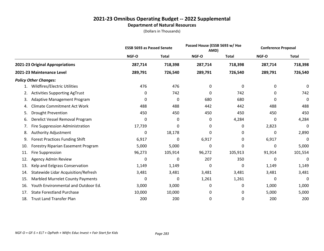# **2021-23 Omnibus Operating Budget -- 2022 Supplemental Department of Natural Resources**

|     |                                            | <b>ESSB 5693 as Passed Senate</b> |              |         | Passed House (ESSB 5693 w/ Hse<br>AMD) |         | <b>Conference Proposal</b> |
|-----|--------------------------------------------|-----------------------------------|--------------|---------|----------------------------------------|---------|----------------------------|
|     |                                            | NGF-O                             | <b>Total</b> | NGF-O   | <b>Total</b>                           | NGF-O   | <b>Total</b>               |
|     | 2021-23 Original Appropriations            | 287,714                           | 718,398      | 287,714 | 718,398                                | 287,714 | 718,398                    |
|     | 2021-23 Maintenance Level                  | 289,791                           | 726,540      | 289,791 | 726,540                                | 289,791 | 726,540                    |
|     | <b>Policy Other Changes:</b>               |                                   |              |         |                                        |         |                            |
| 1.  | Wildfires/Electric Utilities               | 476                               | 476          | 0       | 0                                      | 0       | 0                          |
| 2.  | <b>Activities Supporting AgTrust</b>       | 0                                 | 742          | 0       | 742                                    | 0       | 742                        |
| 3.  | <b>Adaptive Management Program</b>         | 0                                 | 0            | 680     | 680                                    | 0       | $\mathbf 0$                |
| 4.  | <b>Climate Commitment Act Work</b>         | 488                               | 488          | 442     | 442                                    | 488     | 488                        |
| 5.  | <b>Drought Prevention</b>                  | 450                               | 450          | 450     | 450                                    | 450     | 450                        |
| 6.  | Derelict Vessel Removal Program            | 0                                 | 0            | 0       | 4,284                                  | 0       | 4,284                      |
| 7.  | Fire Suppression Administration            | 17,739                            | 0            | 0       | 0                                      | 2,823   | 0                          |
| 8.  | Authority Adjustment                       | 0                                 | 18,178       | 0       | 0                                      | 0       | 2,890                      |
| 9.  | <b>Forest Practices Funding Shift</b>      | 6,917                             | 0            | 6,917   | 0                                      | 6,917   | 0                          |
| 10. | Forestry Riparian Easement Program         | 5,000                             | 5,000        | 0       | 0                                      | 0       | 5,000                      |
| 11. | <b>Fire Suppression</b>                    | 96,273                            | 105,914      | 96,272  | 105,913                                | 91,914  | 101,554                    |
| 12. | <b>Agency Admin Review</b>                 | 0                                 | 0            | 207     | 350                                    | 0       | 0                          |
| 13. | Kelp and Eelgrass Conservation             | 1,149                             | 1,149        | 0       | 0                                      | 1,149   | 1,149                      |
| 14. | <b>Statewide Lidar Acquisition/Refresh</b> | 3,481                             | 3,481        | 3,481   | 3,481                                  | 3,481   | 3,481                      |
| 15. | <b>Marbled Murrelet County Payments</b>    | 0                                 | 0            | 1,261   | 1,261                                  | 0       | 0                          |
| 16. | Youth Environmental and Outdoor Ed.        | 3,000                             | 3,000        | 0       | 0                                      | 1,000   | 1,000                      |
| 17. | <b>State Forestland Purchase</b>           | 10,000                            | 10,000       | 0       | 0                                      | 5,000   | 5,000                      |
| 18. | <b>Trust Land Transfer Plan</b>            | 200                               | 200          | 0       | 0                                      | 200     | 200                        |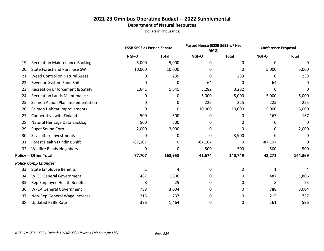# **2021-23 Omnibus Operating Budget -- 2022 Supplemental Department of Natural Resources**

|     |                                            | <b>ESSB 5693 as Passed Senate</b> |              | Passed House (ESSB 5693 w/ Hse<br>AMD) |              | <b>Conference Proposal</b> |              |
|-----|--------------------------------------------|-----------------------------------|--------------|----------------------------------------|--------------|----------------------------|--------------|
|     |                                            | NGF-O                             | <b>Total</b> | NGF-O                                  | <b>Total</b> | NGF-O                      | <b>Total</b> |
| 19. | <b>Recreation Maintenance Backlog</b>      | 5,000                             | 5,000        | 0                                      | $\mathbf{0}$ | 0                          | 0            |
| 20. | <b>State Forestland Purchase SW</b>        | 10,000                            | 10,000       | $\Omega$                               | 0            | 5,000                      | 5,000        |
| 21. | Weed Control on Natural Areas              | 0                                 | 239          | 0                                      | 239          | 0                          | 239          |
| 22. | Revenue System Fund Shift                  | 0                                 | 0            | 64                                     | 0            | 64                         | 0            |
| 23. | <b>Recreation Enforcement &amp; Safety</b> | 1,641                             | 1,641        | 3,282                                  | 3,282        | 0                          | 0            |
| 24. | <b>Recreation Lands Maintenance</b>        | 0                                 | 0            | 5,000                                  | 5,000        | 5,000                      | 5,000        |
| 25. | Salmon Action Plan Implementation          | 0                                 | 0            | 225                                    | 225          | 225                        | 225          |
| 26. | Salmon Habitat Improvements                | 0                                 | 0            | 10,000                                 | 10,000       | 5,000                      | 5,000        |
| 27. | Cooperative with Finland                   | 500                               | 500          | 0                                      | 0            | 167                        | 167          |
| 28. | Natural Heritage Data Backlog              | 500                               | 500          | 0                                      | 0            | 0                          | 0            |
| 29. | Puget Sound Corp                           | 2,000                             | 2,000        | 0                                      | 0            | 0                          | 2,000        |
| 30. | Silviculture Investments                   | 0                                 | 0            | 0                                      | 3,900        | 0                          | 0            |
| 31. | Forest Health Funding Shift                | $-87,107$                         | 0            | $-87,107$                              | 0            | $-87,107$                  | 0            |
| 32. | <b>Wildfire Ready Neighbors</b>            | 0                                 | 0            | 500                                    | 500          | 500                        | 500          |
|     | <b>Policy -- Other Total</b>               | 77,707                            | 168,958      | 41,674                                 | 140,749      | 42,271                     | 144,369      |
|     | <b>Policy Comp Changes:</b>                |                                   |              |                                        |              |                            |              |
| 33. | <b>State Employee Benefits</b>             | 1                                 | 4            | 0                                      | 0            | 1                          |              |
| 34. | <b>WFSE General Government</b>             | 487                               | 1,806        | 0                                      | 0            | 487                        | 1,806        |
| 35. | Rep Employee Health Benefits               | 8                                 | 25           | 0                                      | 0            | 8                          | 25           |
| 36. | <b>WPEA General Government</b>             | 788                               | 3,004        | 0                                      | 0            | 788                        | 3,004        |
| 37. | Non-Rep General Wage Increase              | 215                               | 737          | 0                                      | 0            | 215                        | 737          |
| 38. | <b>Updated PEBB Rate</b>                   | 396                               | 1,464        | 0                                      | 0            | 161                        | 596          |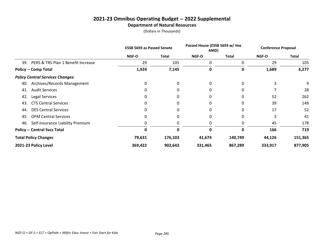# **2021-23 Omnibus Operating Budget -- 2022 Supplemental Department of Natural Resources**

|                                           | <b>ESSB 5693 as Passed Senate</b> |              | Passed House (ESSB 5693 w/ Hse<br>AMD) |              | <b>Conference Proposal</b> |         |
|-------------------------------------------|-----------------------------------|--------------|----------------------------------------|--------------|----------------------------|---------|
|                                           | <b>NGF-O</b>                      | <b>Total</b> | <b>NGF-O</b>                           | <b>Total</b> | <b>NGF-O</b>               | Total   |
| PERS & TRS Plan 1 Benefit Increase<br>39. | 29                                | 105          | 0                                      | 0            | 29                         | 105     |
| <b>Policy -- Comp Total</b>               | 1,924                             | 7,145        | 0                                      | 0            | 1,689                      | 6,277   |
| <b>Policy Central Services Changes:</b>   |                                   |              |                                        |              |                            |         |
| Archives/Records Management<br>40.        | 0                                 | 0            | 0                                      | 0            | 3                          | 9       |
| <b>Audit Services</b><br>41.              |                                   | 0            | 0                                      | 0            |                            | 28      |
| 42.<br>Legal Services                     | 0                                 | 0            | 0                                      | 0            | 52                         | 262     |
| <b>CTS Central Services</b><br>43.        |                                   | $\Omega$     | 0                                      | 0            | 39                         | 149     |
| <b>DES Central Services</b><br>44.        |                                   | 0            | 0                                      | 0            | 17                         | 52      |
| <b>OFM Central Services</b><br>45.        | 0                                 | $\Omega$     | 0                                      | $\Omega$     | 3                          | 41      |
| Self-Insurance Liability Premium<br>46.   |                                   | 0            | 0                                      | 0            | 45                         | 178     |
| <b>Policy -- Central Svcs Total</b>       | 0                                 | 0            | O                                      | <sup>0</sup> | 166                        | 719     |
| <b>Total Policy Changes</b>               | 79,631                            | 176,103      | 41,674                                 | 140,749      | 44,126                     | 151,365 |
| 2021-23 Policy Level                      | 369,422                           | 902,643      | 331,465                                | 867,289      | 333,917                    | 877,905 |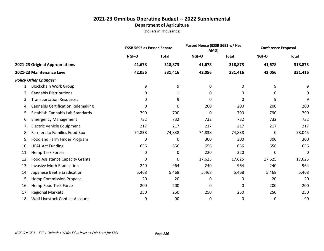|     |                                          | <b>ESSB 5693 as Passed Senate</b> |              |              | Passed House (ESSB 5693 w/ Hse<br>AMD) |        | <b>Conference Proposal</b> |
|-----|------------------------------------------|-----------------------------------|--------------|--------------|----------------------------------------|--------|----------------------------|
|     |                                          | NGF-O                             | <b>Total</b> | <b>NGF-O</b> | <b>Total</b>                           | NGF-O  | <b>Total</b>               |
|     | 2021-23 Original Appropriations          | 41,678                            | 318,873      | 41,678       | 318,873                                | 41,678 | 318,873                    |
|     | 2021-23 Maintenance Level                | 42,056                            | 331,416      | 42,056       | 331,416                                | 42,056 | 331,416                    |
|     | <b>Policy Other Changes:</b>             |                                   |              |              |                                        |        |                            |
| 1.  | <b>Blockchain Work Group</b>             | 9                                 | 9            | 0            | 0                                      | 9      | 9                          |
| 2.  | <b>Cannabis Distributions</b>            | 0                                 | 1            | 0            | 0                                      | 0      | 0                          |
| 3.  | <b>Transportation Resources</b>          | 0                                 | 9            | 0            | 0                                      | 9      | 9                          |
| 4.  | <b>Cannabis Certification Rulemaking</b> | 0                                 | 0            | 200          | 200                                    | 200    | 200                        |
| 5.  | Establish Cannabis Lab Standards         | 790                               | 790          | 0            | 790                                    | 790    | 790                        |
| 6.  | <b>Emergency Management</b>              | 732                               | 732          | 732          | 732                                    | 732    | 732                        |
| 7.  | Electric Vehicle Equipment               | 217                               | 217          | 217          | 217                                    | 217    | 217                        |
| 8.  | <b>Farmers to Families Food Box</b>      | 74,838                            | 74,838       | 74,838       | 74,838                                 | 0      | 58,045                     |
| 9.  | Food and Farm Finder Program             | 0                                 | 0            | 300          | 300                                    | 300    | 300                        |
| 10. | <b>HEAL Act Funding</b>                  | 656                               | 656          | 656          | 656                                    | 656    | 656                        |
| 11. | <b>Hemp Task Forces</b>                  | 0                                 | 0            | 220          | 220                                    | 0      | 0                          |
| 12. | <b>Food Assistance Capacity Grants</b>   | 0                                 | 0            | 17,625       | 17,625                                 | 17,625 | 17,625                     |
| 13. | <b>Invasive Moth Eradication</b>         | 240                               | 964          | 240          | 964                                    | 240    | 964                        |
| 14. | Japanese Beetle Eradication              | 5,468                             | 5,468        | 5,468        | 5,468                                  | 5,468  | 5,468                      |
| 15. | <b>Hemp Commission Proposal</b>          | 20                                | 20           | 0            | 0                                      | 20     | 20                         |
| 16. | Hemp Food Task Force                     | 200                               | 200          | 0            | 0                                      | 200    | 200                        |
| 17. | <b>Regional Markets</b>                  | 250                               | 250          | 250          | 250                                    | 250    | 250                        |
| 18. | Wolf Livestock Conflict Account          | 0                                 | 90           | 0            | 0                                      | 0      | 90                         |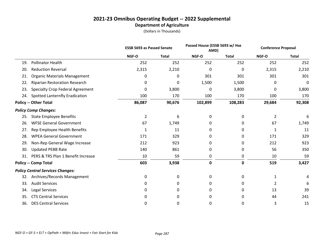|     |                                         | <b>ESSB 5693 as Passed Senate</b> |              | Passed House (ESSB 5693 w/ Hse<br>AMD) |              | <b>Conference Proposal</b> |              |
|-----|-----------------------------------------|-----------------------------------|--------------|----------------------------------------|--------------|----------------------------|--------------|
|     |                                         | NGF-O                             | <b>Total</b> | NGF-O                                  | <b>Total</b> | NGF-O                      | <b>Total</b> |
| 19. | <b>Pollinator Health</b>                | 252                               | 252          | 252                                    | 252          | 252                        | 252          |
| 20. | <b>Reduction Reversal</b>               | 2,315                             | 2,210        | 0                                      | 0            | 2,315                      | 2,210        |
| 21. | <b>Organic Materials Management</b>     | 0                                 | 0            | 301                                    | 301          | 301                        | 301          |
| 22. | <b>Riparian Restoration Research</b>    | 0                                 | 0            | 1,500                                  | 1,500        | 0                          | 0            |
| 23. | <b>Specialty Crop Federal Agreement</b> | 0                                 | 3,800        | 0                                      | 3,800        | 0                          | 3,800        |
| 24. | Spotted Lanternfly Eradication          | 100                               | 170          | 100                                    | 170          | 100                        | 170          |
|     | <b>Policy -- Other Total</b>            | 86,087                            | 90,676       | 102,899                                | 108,283      | 29,684                     | 92,308       |
|     | <b>Policy Comp Changes:</b>             |                                   |              |                                        |              |                            |              |
| 25. | <b>State Employee Benefits</b>          | 2                                 | 6            | 0                                      | 0            | 2                          | 6            |
| 26. | <b>WFSE General Government</b>          | 67                                | 1,749        | 0                                      | 0            | 67                         | 1,749        |
| 27. | Rep Employee Health Benefits            | 1                                 | 11           | 0                                      | 0            | 1                          | 11           |
| 28. | <b>WPEA General Government</b>          | 171                               | 329          | 0                                      | 0            | 171                        | 329          |
| 29. | Non-Rep General Wage Increase           | 212                               | 923          | 0                                      | 0            | 212                        | 923          |
| 30. | <b>Updated PEBB Rate</b>                | 140                               | 861          | 0                                      | 0            | 56                         | 350          |
| 31. | PERS & TRS Plan 1 Benefit Increase      | 10                                | 59           | 0                                      | 0            | 10                         | 59           |
|     | <b>Policy -- Comp Total</b>             | 603                               | 3,938        | $\mathbf 0$                            | $\mathbf 0$  | 519                        | 3,427        |
|     | <b>Policy Central Services Changes:</b> |                                   |              |                                        |              |                            |              |
| 32. | Archives/Records Management             | 0                                 | 0            | 0                                      | 0            | 1                          |              |
| 33. | <b>Audit Services</b>                   | 0                                 | 0            | 0                                      | 0            | $\overline{2}$             | 6            |
| 34. | <b>Legal Services</b>                   | 0                                 | 0            | 0                                      | 0            | 13                         | 39           |
| 35. | <b>CTS Central Services</b>             | 0                                 | 0            | 0                                      | 0            | 44                         | 241          |
| 36. | <b>DES Central Services</b>             | 0                                 | 0            | 0                                      | 0            | 3                          | 15           |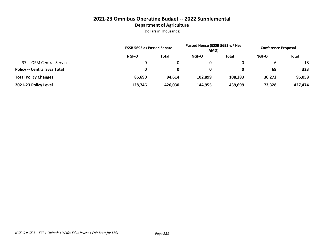## **2021-23 Omnibus Operating Budget -- 2022 Supplemental Department of Agriculture**

|                                     | <b>ESSB 5693 as Passed Senate</b> |              | Passed House (ESSB 5693 w/ Hse<br>AMD) |         | <b>Conference Proposal</b> |              |
|-------------------------------------|-----------------------------------|--------------|----------------------------------------|---------|----------------------------|--------------|
|                                     | <b>NGF-O</b>                      | <b>Total</b> | NGF-O                                  | Total   | NGF-O                      | <b>Total</b> |
| 37.<br><b>OFM Central Services</b>  |                                   |              |                                        |         |                            | 18           |
| <b>Policy -- Central Svcs Total</b> | 0                                 | 0            | 0                                      |         | 69                         | 323          |
| <b>Total Policy Changes</b>         | 86,690                            | 94,614       | 102,899                                | 108,283 | 30,272                     | 96,058       |
| 2021-23 Policy Level                | 128.746                           | 426,030      | 144,955                                | 439,699 | 72,328                     | 427,474      |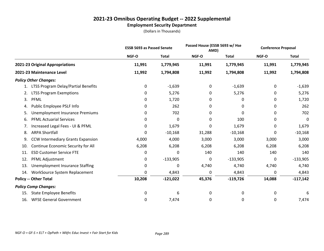# **2021-23 Omnibus Operating Budget -- 2022 Supplemental**

# **Employment Security Department**

|     |                                          | <b>ESSB 5693 as Passed Senate</b> |              | Passed House (ESSB 5693 w/ Hse<br>AMD) |              | <b>Conference Proposal</b> |              |
|-----|------------------------------------------|-----------------------------------|--------------|----------------------------------------|--------------|----------------------------|--------------|
|     |                                          | NGF-O                             | <b>Total</b> | <b>NGF-O</b>                           | <b>Total</b> | NGF-O                      | <b>Total</b> |
|     | 2021-23 Original Appropriations          | 11,991                            | 1,779,945    | 11,991                                 | 1,779,945    | 11,991                     | 1,779,945    |
|     | 2021-23 Maintenance Level                | 11,992                            | 1,794,808    | 11,992                                 | 1,794,808    | 11,992                     | 1,794,808    |
|     | <b>Policy Other Changes:</b>             |                                   |              |                                        |              |                            |              |
| 1.  | LTSS Program Delay/Partial Benefits      | 0                                 | $-1,639$     | 0                                      | $-1,639$     | 0                          | $-1,639$     |
| 2.  | <b>LTSS Program Exemptions</b>           | 0                                 | 5,276        | 0                                      | 5,276        | 0                          | 5,276        |
| 3.  | PFML                                     | 0                                 | 1,720        | 0                                      | 0            | 0                          | 1,720        |
| 4.  | Public Employee PSLF Info                | 0                                 | 262          | 0                                      | 0            | 0                          | 262          |
| 5.  | Unemployment Insurance Premiums          | 0                                 | 702          | 0                                      | 0            | 0                          | 702          |
| 6.  | <b>PFML Actuarial Services</b>           | 0                                 | 0            | 0                                      | 100          | 0                          | $\mathbf 0$  |
| 7.  | Increased Legal Fees - UI & PFML         | 0                                 | 1,679        | 0                                      | 1,679        | 0                          | 1,679        |
| 8.  | <b>ARPA Shortfall</b>                    | 0                                 | $-10,168$    | 31,288                                 | $-10,168$    | 0                          | $-10,168$    |
| 9.  | <b>CCW Intermediary Grants Expansion</b> | 4,000                             | 4,000        | 3,000                                  | 3,000        | 3,000                      | 3,000        |
| 10. | Continue Economic Security for All       | 6,208                             | 6,208        | 6,208                                  | 6,208        | 6,208                      | 6,208        |
| 11. | <b>ESD Customer Service FTE</b>          | 0                                 | 0            | 140                                    | 140          | 140                        | 140          |
| 12. | PFML Adjustment                          | 0                                 | $-133,905$   | 0                                      | $-133,905$   | 0                          | $-133,905$   |
| 13. | Unemployment Insurance Staffing          | 0                                 | 0            | 4,740                                  | 4,740        | 4,740                      | 4,740        |
| 14. | WorkSource System Replacement            | 0                                 | 4,843        | 0                                      | 4,843        | 0                          | 4,843        |
|     | <b>Policy -- Other Total</b>             | 10,208                            | $-121,022$   | 45,376                                 | $-119,726$   | 14,088                     | $-117,142$   |
|     | <b>Policy Comp Changes:</b>              |                                   |              |                                        |              |                            |              |
| 15. | <b>State Employee Benefits</b>           | 0                                 | 6            | 0                                      | 0            | 0                          | 6            |
| 16. | <b>WFSE General Government</b>           | 0                                 | 7,474        | 0                                      | 0            | 0                          | 7,474        |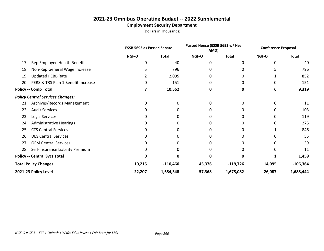# **2021-23 Omnibus Operating Budget -- 2022 Supplemental**

# **Employment Security Department**

|     |                                         | <b>ESSB 5693 as Passed Senate</b> |              | Passed House (ESSB 5693 w/ Hse<br>AMD) |              | <b>Conference Proposal</b> |              |
|-----|-----------------------------------------|-----------------------------------|--------------|----------------------------------------|--------------|----------------------------|--------------|
|     |                                         | <b>NGF-O</b>                      | <b>Total</b> | <b>NGF-O</b>                           | <b>Total</b> | NGF-O                      | <b>Total</b> |
| 17. | Rep Employee Health Benefits            | 0                                 | 40           | 0                                      | $\Omega$     | 0                          | 40           |
| 18. | Non-Rep General Wage Increase           |                                   | 796          | 0                                      |              |                            | 796          |
| 19. | <b>Updated PEBB Rate</b>                |                                   | 2,095        | O                                      |              |                            | 852          |
| 20. | PERS & TRS Plan 1 Benefit Increase      | 0                                 | 151          | 0                                      |              |                            | 151          |
|     | <b>Policy -- Comp Total</b>             |                                   | 10,562       | 0                                      | 0            | 6                          | 9,319        |
|     | <b>Policy Central Services Changes:</b> |                                   |              |                                        |              |                            |              |
| 21. | Archives/Records Management             | 0                                 | 0            | O                                      |              | 0                          | 11           |
| 22. | <b>Audit Services</b>                   |                                   |              |                                        |              |                            | 103          |
| 23. | Legal Services                          |                                   |              |                                        |              |                            | 119          |
| 24. | <b>Administrative Hearings</b>          | O                                 | 0            | O                                      |              |                            | 275          |
| 25. | <b>CTS Central Services</b>             | 0                                 | 0            |                                        |              |                            | 846          |
| 26. | <b>DES Central Services</b>             |                                   |              |                                        |              |                            | 55           |
| 27. | <b>OFM Central Services</b>             | 0                                 | 0            | O                                      |              | 0                          | 39           |
| 28. | Self-Insurance Liability Premium        |                                   |              | O                                      |              |                            | 11           |
|     | <b>Policy -- Central Svcs Total</b>     | 0                                 | 0            | $\Omega$                               | O            |                            | 1,459        |
|     | <b>Total Policy Changes</b>             | 10,215                            | $-110,460$   | 45,376                                 | $-119,726$   | 14,095                     | $-106,364$   |
|     | 2021-23 Policy Level                    | 22,207                            | 1,684,348    | 57,368                                 | 1,675,082    | 26,087                     | 1,688,444    |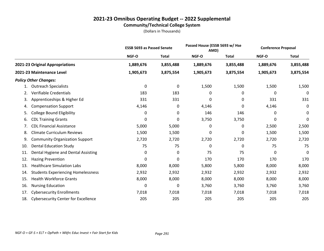# **2021-23 Omnibus Operating Budget -- 2022 Supplemental Community/Technical College System**

|     |                                            | <b>ESSB 5693 as Passed Senate</b> |              | Passed House (ESSB 5693 w/ Hse<br>AMD) |              | <b>Conference Proposal</b> |              |
|-----|--------------------------------------------|-----------------------------------|--------------|----------------------------------------|--------------|----------------------------|--------------|
|     |                                            | NGF-O                             | <b>Total</b> | NGF-O                                  | <b>Total</b> | NGF-O                      | <b>Total</b> |
|     | 2021-23 Original Appropriations            | 1,889,676                         | 3,855,488    | 1,889,676                              | 3,855,488    | 1,889,676                  | 3,855,488    |
|     | 2021-23 Maintenance Level                  | 1,905,673                         | 3,875,554    | 1,905,673                              | 3,875,554    | 1,905,673                  | 3,875,554    |
|     | <b>Policy Other Changes:</b>               |                                   |              |                                        |              |                            |              |
| 1.  | <b>Outreach Specialists</b>                | 0                                 | 0            | 1,500                                  | 1,500        | 1,500                      | 1,500        |
| 2.  | Verifiable Credentials                     | 183                               | 183          | 0                                      | 0            | 0                          | 0            |
| 3.  | Apprenticeships & Higher Ed                | 331                               | 331          | 0                                      | 0            | 331                        | 331          |
| 4.  | <b>Compensation Support</b>                | 4,146                             | 0            | 4,146                                  | 0            | 4,146                      | 0            |
| 5.  | <b>College Bound Eligibility</b>           | 0                                 | 0            | 146                                    | 146          | 0                          | 0            |
| 6.  | <b>CDL Training Grants</b>                 | 0                                 | 0            | 3,750                                  | 3,750        | 0                          | 0            |
| 7.  | <b>CDL Financial Assistance</b>            | 5,000                             | 5,000        | 0                                      | 0            | 2,500                      | 2,500        |
| 8.  | <b>Climate Curriculum Reviews</b>          | 1,500                             | 1,500        | 0                                      | 0            | 1,500                      | 1,500        |
| 9.  | <b>Community Organization Support</b>      | 2,720                             | 2,720        | 2,720                                  | 2,720        | 2,720                      | 2,720        |
| 10. | <b>Dental Education Study</b>              | 75                                | 75           | 0                                      | 0            | 75                         | 75           |
| 11. | Dental Hygiene and Dental Assisting        | 0                                 | 0            | 75                                     | 75           | 0                          | 0            |
| 12. | <b>Hazing Prevention</b>                   | 0                                 | 0            | 170                                    | 170          | 170                        | 170          |
| 13. | <b>Healthcare Simulation Labs</b>          | 8,000                             | 8,000        | 5,800                                  | 5,800        | 8,000                      | 8,000        |
| 14. | <b>Students Experiencing Homelessness</b>  | 2,932                             | 2,932        | 2,932                                  | 2,932        | 2,932                      | 2,932        |
| 15. | <b>Health Workforce Grants</b>             | 8,000                             | 8,000        | 8,000                                  | 8,000        | 8,000                      | 8,000        |
| 16. | <b>Nursing Education</b>                   | 0                                 | 0            | 3,760                                  | 3,760        | 3,760                      | 3,760        |
| 17. | <b>Cybersecurity Enrollments</b>           | 7,018                             | 7,018        | 7,018                                  | 7,018        | 7,018                      | 7,018        |
| 18. | <b>Cybersecurity Center for Excellence</b> | 205                               | 205          | 205                                    | 205          | 205                        | 205          |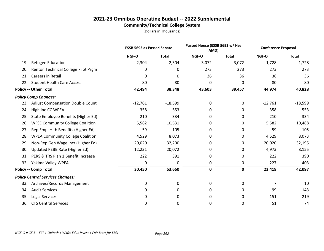# **2021-23 Omnibus Operating Budget -- 2022 Supplemental Community/Technical College System**

|     |                                         | <b>ESSB 5693 as Passed Senate</b> |              | Passed House (ESSB 5693 w/ Hse<br>AMD) |              | <b>Conference Proposal</b> |              |
|-----|-----------------------------------------|-----------------------------------|--------------|----------------------------------------|--------------|----------------------------|--------------|
|     |                                         | NGF-O                             | <b>Total</b> | NGF-O                                  | <b>Total</b> | NGF-O                      | <b>Total</b> |
| 19. | <b>Refugee Education</b>                | 2,304                             | 2,304        | 3,072                                  | 3,072        | 1,728                      | 1,728        |
| 20. | Renton Technical College Pilot Prgm     | 0                                 | 0            | 273                                    | 273          | 273                        | 273          |
| 21. | Careers in Retail                       | 0                                 | 0            | 36                                     | 36           | 36                         | 36           |
| 22. | <b>Student Health Care Access</b>       | 80                                | 80           | 0                                      | 0            | 80                         | 80           |
|     | <b>Policy -- Other Total</b>            | 42,494                            | 38,348       | 43,603                                 | 39,457       | 44,974                     | 40,828       |
|     | <b>Policy Comp Changes:</b>             |                                   |              |                                        |              |                            |              |
| 23. | <b>Adjust Compensation Double Count</b> | $-12,761$                         | $-18,599$    | 0                                      | 0            | $-12,761$                  | $-18,599$    |
| 24. | Highline CC WPEA                        | 358                               | 553          | 0                                      | 0            | 358                        | 553          |
| 25. | State Employee Benefits (Higher Ed)     | 210                               | 334          | 0                                      | 0            | 210                        | 334          |
| 26. | <b>WFSE Community College Coalition</b> | 5,582                             | 10,531       | 0                                      | 0            | 5,582                      | 10,488       |
| 27. | Rep Empl Hlth Benefits (Higher Ed)      | 59                                | 105          | 0                                      | 0            | 59                         | 105          |
| 28. | <b>WPEA Community College Coalition</b> | 4,529                             | 8,073        | 0                                      | 0            | 4,529                      | 8,073        |
| 29. | Non-Rep Gen Wage Incr (Higher Ed)       | 20,020                            | 32,200       | 0                                      | 0            | 20,020                     | 32,195       |
| 30. | Updated PEBB Rate (Higher Ed)           | 12,231                            | 20,072       | 0                                      | 0            | 4,973                      | 8,155        |
| 31. | PERS & TRS Plan 1 Benefit Increase      | 222                               | 391          | 0                                      | 0            | 222                        | 390          |
| 32. | Yakima Valley WPEA                      | 0                                 | 0            | 0                                      | 0            | 227                        | 403          |
|     | <b>Policy -- Comp Total</b>             | 30,450                            | 53,660       | $\pmb{0}$                              | 0            | 23,419                     | 42,097       |
|     | <b>Policy Central Services Changes:</b> |                                   |              |                                        |              |                            |              |
| 33. | Archives/Records Management             | 0                                 | 0            | 0                                      | 0            | 7                          | 10           |
| 34. | <b>Audit Services</b>                   | 0                                 | 0            | 0                                      | 0            | 99                         | 143          |
| 35. | Legal Services                          | 0                                 | 0            | 0                                      | 0            | 151                        | 219          |
| 36. | <b>CTS Central Services</b>             | 0                                 | 0            | 0                                      | 0            | 51                         | 74           |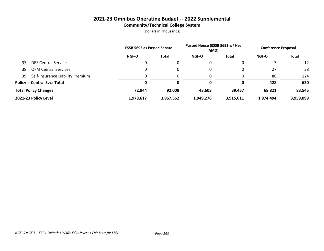# **2021-23 Omnibus Operating Budget -- 2022 Supplemental Community/Technical College System**

|     |                                     | <b>ESSB 5693 as Passed Senate</b> |           | Passed House (ESSB 5693 w/ Hse<br>AMD) |              | <b>Conference Proposal</b> |           |
|-----|-------------------------------------|-----------------------------------|-----------|----------------------------------------|--------------|----------------------------|-----------|
|     |                                     | <b>NGF-O</b>                      | Total     | NGF-O                                  | <b>Total</b> | NGF-O                      | Total     |
| 37. | <b>DES Central Services</b>         | 0                                 | 0         | 0                                      |              |                            | 12        |
| 38. | <b>OFM Central Services</b>         | 0                                 | 0         | 0                                      |              | 27                         | 38        |
| 39. | Self-Insurance Liability Premium    | 0                                 | 0         | 0                                      |              | 86                         | 124       |
|     | <b>Policy -- Central Svcs Total</b> | Ω                                 | 0         | 0                                      |              | 428                        | 620       |
|     | <b>Total Policy Changes</b>         | 72.944                            | 92,008    | 43,603                                 | 39,457       | 68,821                     | 83,545    |
|     | 2021-23 Policy Level                | 1,978,617                         | 3,967,562 | 1,949,276                              | 3,915,011    | 1,974,494                  | 3,959,099 |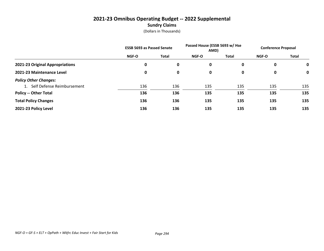# **2021-23 Omnibus Operating Budget -- 2022 Supplemental Sundry Claims**

|                                 | <b>ESSB 5693 as Passed Senate</b> |              | Passed House (ESSB 5693 w/ Hse<br>AMD) |       | <b>Conference Proposal</b> |       |
|---------------------------------|-----------------------------------|--------------|----------------------------------------|-------|----------------------------|-------|
|                                 | <b>NGF-O</b>                      | <b>Total</b> | <b>NGF-O</b>                           | Total | <b>NGF-O</b>               | Total |
| 2021-23 Original Appropriations | 0                                 | 0            | 0                                      | 0     | 0                          | 0     |
| 2021-23 Maintenance Level       | 0                                 | 0            | 0                                      | 0     | 0                          | 0     |
| <b>Policy Other Changes:</b>    |                                   |              |                                        |       |                            |       |
| 1. Self Defense Reimbursement   | 136                               | 136          | 135                                    | 135   | 135                        | 135   |
| <b>Policy -- Other Total</b>    | 136                               | 136          | 135                                    | 135   | 135                        | 135   |
| <b>Total Policy Changes</b>     | 136                               | 136          | 135                                    | 135   | 135                        | 135   |
| 2021-23 Policy Level            | 136                               | 136          | 135                                    | 135   | 135                        | 135   |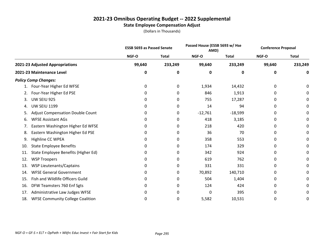## **2021-23 Omnibus Operating Budget -- 2022 Supplemental State Employee Compensation Adjust**

|     |                                         | <b>ESSB 5693 as Passed Senate</b> |              | Passed House (ESSB 5693 w/ Hse<br>AMD) |              | <b>Conference Proposal</b> |              |
|-----|-----------------------------------------|-----------------------------------|--------------|----------------------------------------|--------------|----------------------------|--------------|
|     |                                         | NGF-O                             | <b>Total</b> | NGF-O                                  | <b>Total</b> | NGF-O                      | <b>Total</b> |
|     | 2021-23 Adjusted Appropriations         | 99,640                            | 233,249      | 99,640                                 | 233,249      | 99,640                     | 233,249      |
|     | 2021-23 Maintenance Level               | 0                                 | 0            | 0                                      | 0            | 0                          | 0            |
|     | <b>Policy Comp Changes:</b>             |                                   |              |                                        |              |                            |              |
| 1.  | Four-Year Higher Ed WFSE                | 0                                 | 0            | 1,934                                  | 14,432       | 0                          | 0            |
| 2.  | Four-Year Higher Ed PSE                 | 0                                 | 0            | 846                                    | 1,913        | 0                          | 0            |
| 3.  | UW SEIU 925                             | 0                                 | 0            | 755                                    | 17,287       | 0                          | 0            |
| 4.  | <b>UW SEIU 1199</b>                     | 0                                 | 0            | 14                                     | 94           | 0                          | 0            |
| 5.  | <b>Adjust Compensation Double Count</b> | 0                                 | 0            | $-12,761$                              | $-18,599$    | 0                          | 0            |
| 6.  | <b>WFSE Assistant AGs</b>               |                                   | 0            | 418                                    | 3,185        | 0                          | 0            |
| 7.  | Eastern Washington Higher Ed WFSE       | 0                                 | 0            | 218                                    | 420          | 0                          | 0            |
| 8.  | Eastern Washington Higher Ed PSE        | 0                                 | 0            | 36                                     | 70           | 0                          | 0            |
| 9.  | Highline CC WPEA                        | 0                                 | 0            | 358                                    | 553          | 0                          | 0            |
| 10. | <b>State Employee Benefits</b>          | 0                                 | 0            | 174                                    | 329          | 0                          | 0            |
| 11. | State Employee Benefits (Higher Ed)     | 0                                 | 0            | 342                                    | 924          | 0                          | 0            |
| 12. | <b>WSP Troopers</b>                     | 0                                 | 0            | 619                                    | 762          | 0                          | 0            |
| 13. | WSP Lieutenants/Captains                | 0                                 | 0            | 331                                    | 331          | 0                          | 0            |
| 14. | <b>WFSE General Government</b>          | 0                                 | 0            | 70,892                                 | 140,710      | 0                          | 0            |
| 15. | Fish and Wildlife Officers Guild        | 0                                 | 0            | 504                                    | 1,404        | 0                          | 0            |
| 16. | DFW Teamsters 760 Enf Sgts              | 0                                 | 0            | 124                                    | 424          | 0                          | 0            |
| 17. | Administrative Law Judges WFSE          | 0                                 | 0            | 0                                      | 395          | 0                          | 0            |
| 18. | <b>WFSE Community College Coalition</b> | 0                                 | 0            | 5,582                                  | 10,531       | 0                          | 0            |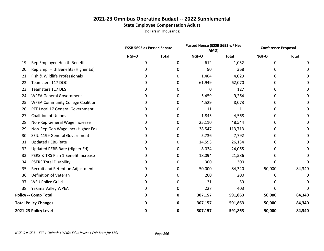# **2021-23 Omnibus Operating Budget -- 2022 Supplemental State Employee Compensation Adjust**

|     |                                          |             | <b>ESSB 5693 as Passed Senate</b> |         | Passed House (ESSB 5693 w/ Hse<br>AMD) |        | <b>Conference Proposal</b> |
|-----|------------------------------------------|-------------|-----------------------------------|---------|----------------------------------------|--------|----------------------------|
|     |                                          | NGF-O       | <b>Total</b>                      | NGF-O   | <b>Total</b>                           | NGF-O  | <b>Total</b>               |
| 19. | Rep Employee Health Benefits             | 0           | 0                                 | 612     | 1,052                                  | 0      | 0                          |
| 20. | Rep Empl Hlth Benefits (Higher Ed)       | 0           | 0                                 | 90      | 368                                    | 0      | 0                          |
| 21. | Fish & Wildlife Professionals            | 0           | 0                                 | 1,404   | 4,029                                  | 0      | O                          |
| 22. | Teamsters 117 DOC                        | 0           | 0                                 | 61,949  | 62,070                                 | 0      |                            |
| 23. | Teamsters 117 DES                        | 0           | 0                                 | 0       | 127                                    | 0      |                            |
| 24. | <b>WPEA General Government</b>           | 0           | 0                                 | 5,459   | 9,264                                  | 0      | 0                          |
| 25. | <b>WPEA Community College Coalition</b>  | 0           | 0                                 | 4,529   | 8,073                                  | 0      | 0                          |
| 26. | PTE Local 17 General Government          | 0           | 0                                 | 11      | 11                                     | 0      | 0                          |
| 27. | <b>Coalition of Unions</b>               | 0           | 0                                 | 1,845   | 4,568                                  | 0      | 0                          |
| 28. | Non-Rep General Wage Increase            | 0           | 0                                 | 25,110  | 48,544                                 | 0      | 0                          |
| 29. | Non-Rep Gen Wage Incr (Higher Ed)        | 0           | 0                                 | 38,547  | 113,713                                | 0      | 0                          |
| 30. | SEIU 1199 General Government             | 0           | 0                                 | 5,736   | 7,792                                  | 0      | 0                          |
| 31. | <b>Updated PEBB Rate</b>                 | 0           | 0                                 | 14,593  | 26,134                                 | 0      | 0                          |
| 32. | Updated PEBB Rate (Higher Ed)            | 0           | 0                                 | 8,034   | 24,065                                 | 0      | 0                          |
| 33. | PERS & TRS Plan 1 Benefit Increase       | 0           | 0                                 | 18,094  | 21,586                                 | 0      | 0                          |
| 34. | <b>PSERS Total Disability</b>            | 0           | 0                                 | 300     | 300                                    | 0      | 0                          |
| 35. | <b>Recruit and Retention Adjustments</b> | 0           | 0                                 | 50,000  | 84,340                                 | 50,000 | 84,340                     |
| 36. | Definition of Veteran                    | 0           | 0                                 | 200     | 200                                    | 0      | 0                          |
| 37. | <b>WSU Police Guild</b>                  | 0           | 0                                 | 31      | 59                                     | 0      | 0                          |
| 38. | Yakima Valley WPEA                       | 0           | 0                                 | 227     | 403                                    | 0      | 0                          |
|     | <b>Policy -- Comp Total</b>              | $\mathbf 0$ | 0                                 | 307,157 | 591,863                                | 50,000 | 84,340                     |
|     | <b>Total Policy Changes</b>              | 0           | 0                                 | 307,157 | 591,863                                | 50,000 | 84,340                     |
|     | 2021-23 Policy Level                     | 0           | 0                                 | 307,157 | 591,863                                | 50,000 | 84,340                     |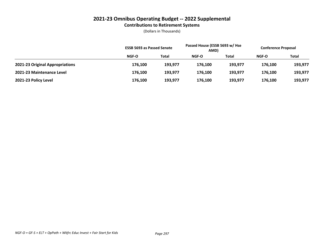## **2021-23 Omnibus Operating Budget -- 2022 Supplemental Contributions to Retirement Systems**

|                                 | <b>ESSB 5693 as Passed Senate</b> |         | Passed House (ESSB 5693 w/ Hse<br>AMD) |         | <b>Conference Proposal</b> |         |
|---------------------------------|-----------------------------------|---------|----------------------------------------|---------|----------------------------|---------|
|                                 | <b>NGF-O</b>                      | Total   | NGF-O                                  | Total   | NGF-O                      | Total   |
| 2021-23 Original Appropriations | 176,100                           | 193.977 | 176.100                                | 193.977 | 176.100                    | 193,977 |
| 2021-23 Maintenance Level       | 176,100                           | 193.977 | 176.100                                | 193.977 | 176.100                    | 193,977 |
| 2021-23 Policy Level            | 176,100                           | 193,977 | 176,100                                | 193,977 | 176,100                    | 193,977 |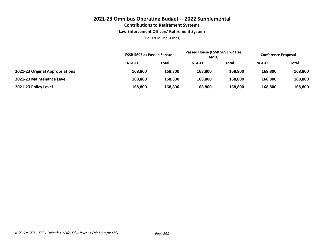### **2021-23 Omnibus Operating Budget -- 2022 Supplemental Contributions to Retirement Systems Law Enforcement Officers' Retirement System**

|                                 | <b>ESSB 5693 as Passed Senate</b> |         | Passed House (ESSB 5693 w/ Hse<br>AMD) |         | <b>Conference Proposal</b> |         |
|---------------------------------|-----------------------------------|---------|----------------------------------------|---------|----------------------------|---------|
|                                 | NGF-O                             | Total   | NGF-O                                  | Total   | <b>NGF-O</b>               | Total   |
| 2021-23 Original Appropriations | 168,800                           | 168,800 | 168.800                                | 168,800 | 168,800                    | 168,800 |
| 2021-23 Maintenance Level       | 168,800                           | 168,800 | 168.800                                | 168.800 | 168,800                    | 168,800 |
| 2021-23 Policy Level            | 168,800                           | 168,800 | 168,800                                | 168,800 | 168,800                    | 168,800 |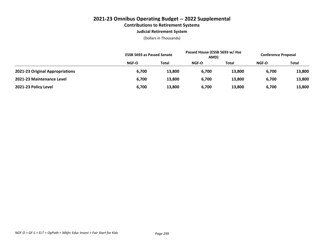# **2021-23 Omnibus Operating Budget -- 2022 Supplemental Contributions to Retirement Systems**

#### **Judicial Retirement System**

|                                 | <b>ESSB 5693 as Passed Senate</b> |              | Passed House (ESSB 5693 w/ Hse<br>AMD) |        | <b>Conference Proposal</b> |              |
|---------------------------------|-----------------------------------|--------------|----------------------------------------|--------|----------------------------|--------------|
|                                 | NGF-O                             | <b>Total</b> | NGF-O                                  | Total  | <b>NGF-O</b>               | <b>Total</b> |
| 2021-23 Original Appropriations | 6,700                             | 13,800       | 6,700                                  | 13,800 | 6,700                      | 13,800       |
| 2021-23 Maintenance Level       | 6,700                             | 13,800       | 6,700                                  | 13,800 | 6,700                      | 13,800       |
| 2021-23 Policy Level            | 6,700                             | 13,800       | 6,700                                  | 13,800 | 6,700                      | 13,800       |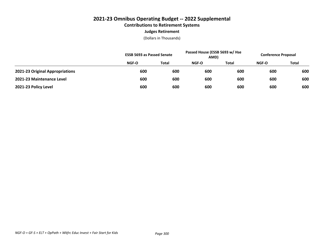# **2021-23 Omnibus Operating Budget -- 2022 Supplemental Contributions to Retirement Systems Judges Retirement**

|                                 |       | <b>ESSB 5693 as Passed Senate</b> |       | Passed House (ESSB 5693 w/ Hse<br>AMD) |              | <b>Conference Proposal</b> |  |
|---------------------------------|-------|-----------------------------------|-------|----------------------------------------|--------------|----------------------------|--|
|                                 | NGF-O | Total                             | NGF-O | <b>Total</b>                           | <b>NGF-O</b> | <b>Total</b>               |  |
| 2021-23 Original Appropriations | 600   | 600                               | 600   | 600                                    | 600          | 600                        |  |
| 2021-23 Maintenance Level       | 600   | 600                               | 600   | 600                                    | 600          | 600                        |  |
| 2021-23 Policy Level            | 600   | 600                               | 600   | 600                                    | 600          | 600                        |  |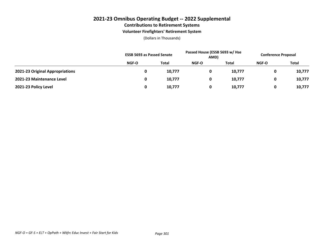### **2021-23 Omnibus Operating Budget -- 2022 Supplemental Contributions to Retirement Systems**

#### **Volunteer Firefighters' Retirement System**

|                                 | <b>ESSB 5693 as Passed Senate</b> |        | Passed House (ESSB 5693 w/ Hse<br>AMD) |              | <b>Conference Proposal</b> |              |
|---------------------------------|-----------------------------------|--------|----------------------------------------|--------------|----------------------------|--------------|
|                                 | NGF-O                             | Total  | <b>NGF-O</b>                           | <b>Total</b> | <b>NGF-O</b>               | <b>Total</b> |
| 2021-23 Original Appropriations |                                   | 10,777 | 0                                      | 10,777       |                            | 10,777       |
| 2021-23 Maintenance Level       |                                   | 10,777 | 0                                      | 10,777       |                            | 10,777       |
| 2021-23 Policy Level            |                                   | 10,777 | 0                                      | 10,777       |                            | 10,777       |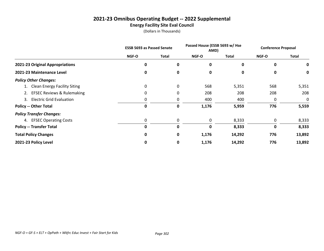# **2021-23 Omnibus Operating Budget -- 2022 Supplemental Energy Facility Site Eval Council**

|                                 | <b>ESSB 5693 as Passed Senate</b> |           | Passed House (ESSB 5693 w/ Hse<br>AMD) |              | <b>Conference Proposal</b> |              |
|---------------------------------|-----------------------------------|-----------|----------------------------------------|--------------|----------------------------|--------------|
|                                 | <b>NGF-O</b>                      | Total     | <b>NGF-O</b>                           | <b>Total</b> | <b>NGF-O</b>               | <b>Total</b> |
| 2021-23 Original Appropriations | $\mathbf 0$                       | $\pmb{0}$ | 0                                      | 0            | 0                          | 0            |
| 2021-23 Maintenance Level       | 0                                 | 0         | 0                                      | 0            | 0                          | 0            |
| <b>Policy Other Changes:</b>    |                                   |           |                                        |              |                            |              |
| 1. Clean Energy Facility Siting | 0                                 | 0         | 568                                    | 5,351        | 568                        | 5,351        |
| 2. EFSEC Reviews & Rulemaking   | 0                                 | 0         | 208                                    | 208          | 208                        | 208          |
| 3. Electric Grid Evaluation     | 0                                 | 0         | 400                                    | 400          | 0                          | 0            |
| <b>Policy -- Other Total</b>    | 0                                 | 0         | 1,176                                  | 5,959        | 776                        | 5,559        |
| <b>Policy Transfer Changes:</b> |                                   |           |                                        |              |                            |              |
| 4. EFSEC Operating Costs        | 0                                 | 0         | 0                                      | 8,333        | 0                          | 8,333        |
| <b>Policy -- Transfer Total</b> | 0                                 | 0         | 0                                      | 8,333        | 0                          | 8,333        |
| <b>Total Policy Changes</b>     | 0                                 | $\pmb{0}$ | 1,176                                  | 14,292       | 776                        | 13,892       |
| 2021-23 Policy Level            | 0                                 | $\pmb{0}$ | 1,176                                  | 14,292       | 776                        | 13,892       |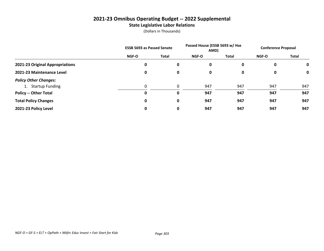## **2021-23 Omnibus Operating Budget -- 2022 Supplemental State Legislative Labor Relations**

|                                 | <b>ESSB 5693 as Passed Senate</b> |           | Passed House (ESSB 5693 w/ Hse<br>AMD) |       | <b>Conference Proposal</b> |             |
|---------------------------------|-----------------------------------|-----------|----------------------------------------|-------|----------------------------|-------------|
|                                 | <b>NGF-O</b>                      | Total     | <b>NGF-O</b>                           | Total | <b>NGF-O</b>               | Total       |
| 2021-23 Original Appropriations | 0                                 | 0         | 0                                      | 0     | 0                          | $\mathbf 0$ |
| 2021-23 Maintenance Level       | 0                                 | 0         | 0                                      | 0     | 0                          | 0           |
| <b>Policy Other Changes:</b>    |                                   |           |                                        |       |                            |             |
| 1. Startup Funding              | 0                                 | 0         | 947                                    | 947   | 947                        | 947         |
| <b>Policy -- Other Total</b>    | 0                                 | 0         | 947                                    | 947   | 947                        | 947         |
| <b>Total Policy Changes</b>     | 0                                 | $\pmb{0}$ | 947                                    | 947   | 947                        | 947         |
| 2021-23 Policy Level            | 0                                 | 0         | 947                                    | 947   | 947                        | 947         |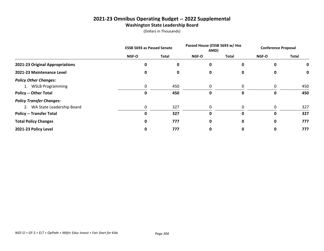# **2021-23 Omnibus Operating Budget -- 2022 Supplemental Washington State Leadership Board**

|                                 | <b>ESSB 5693 as Passed Senate</b> |              | Passed House (ESSB 5693 w/ Hse<br>AMD) |          | <b>Conference Proposal</b> |              |
|---------------------------------|-----------------------------------|--------------|----------------------------------------|----------|----------------------------|--------------|
|                                 | NGF-O                             | <b>Total</b> | NGF-O                                  | Total    | NGF-O                      | <b>Total</b> |
| 2021-23 Original Appropriations | 0                                 | 0            | 0                                      | 0        | 0                          | 0            |
| 2021-23 Maintenance Level       | 0                                 | 0            | 0                                      | 0        | 0                          | 0            |
| <b>Policy Other Changes:</b>    |                                   |              |                                        |          |                            |              |
| 1. WSLB Programming             | 0                                 | 450          | 0                                      | 0        | 0                          | 450          |
| <b>Policy -- Other Total</b>    | 0                                 | 450          | 0                                      | 0        | 0                          | 450          |
| <b>Policy Transfer Changes:</b> |                                   |              |                                        |          |                            |              |
| 2. WA State Leadership Board    | 0                                 | 327          | $\Omega$                               | $\Omega$ | 0                          | 327          |
| <b>Policy -- Transfer Total</b> | 0                                 | 327          | O                                      | 0        | 0                          | 327          |
| <b>Total Policy Changes</b>     | 0                                 | 777          | 0                                      | 0        | 0                          | 777          |
| 2021-23 Policy Level            | 0                                 | 777          | 0                                      | 0        | 0                          | 777          |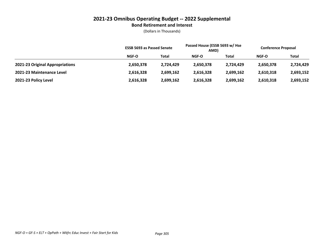#### **2021-23 Omnibus Operating Budget -- 2022 Supplemental Bond Retirement and Interest**

|                                 | <b>ESSB 5693 as Passed Senate</b> |              | Passed House (ESSB 5693 w/ Hse<br>AMD) |           | <b>Conference Proposal</b> |           |
|---------------------------------|-----------------------------------|--------------|----------------------------------------|-----------|----------------------------|-----------|
|                                 | NGF-O                             | <b>Total</b> | NGF-O                                  | Total     | NGF-O                      | Total     |
| 2021-23 Original Appropriations | 2,650,378                         | 2,724,429    | 2,650,378                              | 2,724,429 | 2,650,378                  | 2,724,429 |
| 2021-23 Maintenance Level       | 2,616,328                         | 2.699.162    | 2,616,328                              | 2,699,162 | 2,610,318                  | 2,693,152 |
| 2021-23 Policy Level            | 2,616,328                         | 2,699,162    | 2,616,328                              | 2,699,162 | 2,610,318                  | 2,693,152 |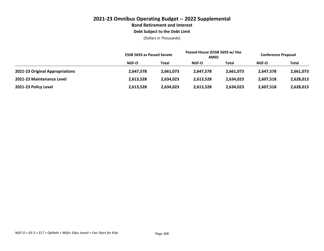# **2021-23 Omnibus Operating Budget -- 2022 Supplemental Bond Retirement and Interest**

#### **Debt Subject to the Debt Limit**

|                                 | <b>ESSB 5693 as Passed Senate</b> |           | Passed House (ESSB 5693 w/ Hse<br>AMD) |           | <b>Conference Proposal</b> |           |
|---------------------------------|-----------------------------------|-----------|----------------------------------------|-----------|----------------------------|-----------|
|                                 | <b>NGF-O</b>                      | Total     | NGF-O                                  | Total     | <b>NGF-O</b>               | Total     |
| 2021-23 Original Appropriations | 2,647,578                         | 2,661,073 | 2,647,578                              | 2,661,073 | 2,647,578                  | 2,661,073 |
| 2021-23 Maintenance Level       | 2,613,528                         | 2,634,023 | 2,613,528                              | 2,634,023 | 2,607,518                  | 2,628,013 |
| 2021-23 Policy Level            | 2,613,528                         | 2,634,023 | 2,613,528                              | 2,634,023 | 2,607,518                  | 2,628,013 |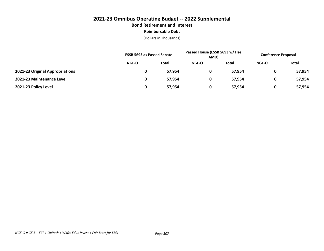# **2021-23 Omnibus Operating Budget -- 2022 Supplemental Bond Retirement and Interest Reimbursable Debt**

|                                 | <b>ESSB 5693 as Passed Senate</b> |              | Passed House (ESSB 5693 w/ Hse<br>AMD) |        | <b>Conference Proposal</b> |              |
|---------------------------------|-----------------------------------|--------------|----------------------------------------|--------|----------------------------|--------------|
|                                 | NGF-O                             | <b>Total</b> | <b>NGF-O</b>                           | Total  | <b>NGF-O</b>               | <b>Total</b> |
| 2021-23 Original Appropriations |                                   | 57,954       | 0                                      | 57.954 | 0                          | 57,954       |
| 2021-23 Maintenance Level       |                                   | 57,954       | 0                                      | 57,954 | 0                          | 57,954       |
| 2021-23 Policy Level            |                                   | 57,954       | 0                                      | 57,954 | 0                          | 57,954       |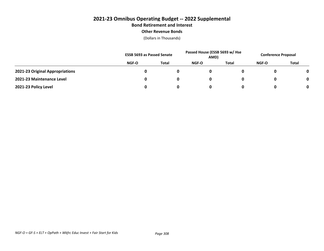## **2021-23 Omnibus Operating Budget -- 2022 Supplemental Bond Retirement and Interest Other Revenue Bonds**

|                                 | <b>ESSB 5693 as Passed Senate</b> |              | Passed House (ESSB 5693 w/ Hse<br>AMD) |       | <b>Conference Proposal</b> |              |
|---------------------------------|-----------------------------------|--------------|----------------------------------------|-------|----------------------------|--------------|
|                                 | NGF-O                             | <b>Total</b> | NGF-O                                  | Total | NGF-O                      | <b>Total</b> |
| 2021-23 Original Appropriations |                                   |              |                                        |       |                            |              |
| 2021-23 Maintenance Level       |                                   |              |                                        |       |                            | 0            |
| 2021-23 Policy Level            |                                   |              |                                        |       |                            | 0            |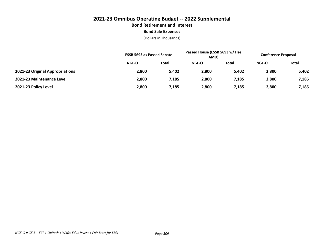# **2021-23 Omnibus Operating Budget -- 2022 Supplemental Bond Retirement and Interest Bond Sale Expenses**

|                                 | <b>ESSB 5693 as Passed Senate</b> |              | Passed House (ESSB 5693 w/ Hse<br>AMD) |       | <b>Conference Proposal</b> |              |
|---------------------------------|-----------------------------------|--------------|----------------------------------------|-------|----------------------------|--------------|
|                                 | NGF-O                             | <b>Total</b> | NGF-O                                  | Total | <b>NGF-O</b>               | <b>Total</b> |
| 2021-23 Original Appropriations | 2,800                             | 5,402        | 2,800                                  | 5,402 | 2,800                      | 5,402        |
| 2021-23 Maintenance Level       | 2,800                             | 7,185        | 2,800                                  | 7,185 | 2,800                      | 7,185        |
| 2021-23 Policy Level            | 2,800                             | 7,185        | 2,800                                  | 7,185 | 2,800                      | 7,185        |